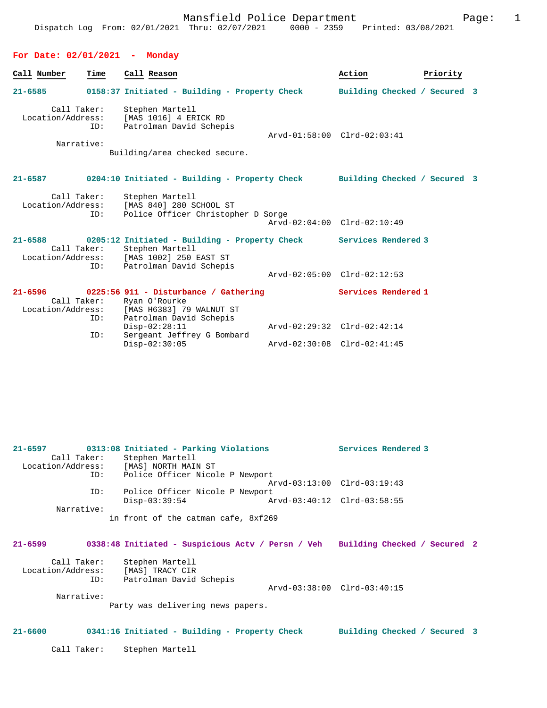## **For Date: 02/01/2021 - Monday**

|             | Call Number                                    | Time               | Call Reason                                                                                                                               |                              | Action                      | Priority |  |
|-------------|------------------------------------------------|--------------------|-------------------------------------------------------------------------------------------------------------------------------------------|------------------------------|-----------------------------|----------|--|
| $21 - 6585$ |                                                |                    | 0158:37 Initiated - Building - Property Check                                                                                             | Building Checked / Secured 3 |                             |          |  |
|             | Call Taker:<br>Location/Address:<br>Narrative: | ID:                | Stephen Martell<br>[MAS 1016] 4 ERICK RD<br>Patrolman David Schepis                                                                       |                              | Arvd-01:58:00 Clrd-02:03:41 |          |  |
|             |                                                |                    | Building/area checked secure.                                                                                                             |                              |                             |          |  |
|             | $21 - 6587$                                    |                    | 0204:10 Initiated - Building - Property Check Building Checked / Secured 3                                                                |                              |                             |          |  |
|             | Call Taker:<br>Location/Address:               | ID:                | Stephen Martell<br>[MAS 840] 280 SCHOOL ST<br>Police Officer Christopher D Sorge                                                          |                              |                             |          |  |
|             |                                                |                    |                                                                                                                                           |                              | Arvd-02:04:00 Clrd-02:10:49 |          |  |
| $21 - 6588$ | Location/Address:                              | Call Taker:<br>ID: | 0205:12 Initiated - Building - Property Check Services Rendered 3<br>Stephen Martell<br>[MAS 1002] 250 EAST ST<br>Patrolman David Schepis |                              |                             |          |  |
|             |                                                |                    |                                                                                                                                           |                              | Arvd-02:05:00 Clrd-02:12:53 |          |  |
|             |                                                | Call Taker:<br>ID: | $21-6596$ 0225:56 911 - Disturbance / Gathering<br>Ryan O'Rourke<br>Location/Address: [MAS H6383] 79 WALNUT ST<br>Patrolman David Schepis |                              | Services Rendered 1         |          |  |
|             |                                                |                    | $Disp-02:28:11$                                                                                                                           |                              | Arvd-02:29:32 Clrd-02:42:14 |          |  |
|             |                                                | ID:                | Sergeant Jeffrey G Bombard<br>$Disp-02:30:05$                                                                                             |                              | Arvd-02:30:08 Clrd-02:41:45 |          |  |

| $21 - 6597$       | 0313:08 Initiated - Parking Violations                                         | Services Rendered 3         |
|-------------------|--------------------------------------------------------------------------------|-----------------------------|
|                   | Call Taker: Stephen Martell                                                    |                             |
|                   | Location/Address: [MAS] NORTH MAIN ST                                          |                             |
|                   | ID: Police Officer Nicole P Newport                                            |                             |
|                   |                                                                                | Arvd-03:13:00 Clrd-03:19:43 |
| ID:               | Police Officer Nicole P Newport                                                |                             |
|                   | $Disp-03:39:54$                                                                |                             |
| Narrative:        |                                                                                |                             |
|                   | in front of the catman cafe, 8xf269                                            |                             |
|                   |                                                                                |                             |
|                   |                                                                                |                             |
| 21-6599           | 0338:48 Initiated - Suspicious Actv / Persn / Veh Building Checked / Secured 2 |                             |
|                   | Call Taker: Stephen Martell                                                    |                             |
| Location/Address: | [MAS] TRACY CIR                                                                |                             |
| ID:               | Patrolman David Schepis                                                        |                             |
|                   |                                                                                | Arvd-03:38:00 Clrd-03:40:15 |
| Narrative:        |                                                                                |                             |
|                   | Party was delivering news papers.                                              |                             |
|                   |                                                                                |                             |
|                   |                                                                                |                             |
| $21 - 6600$       | 0341:16 Initiated - Building - Property Check Building Checked / Secured 3     |                             |
|                   |                                                                                |                             |
|                   | Call Taker: Stephen Martell                                                    |                             |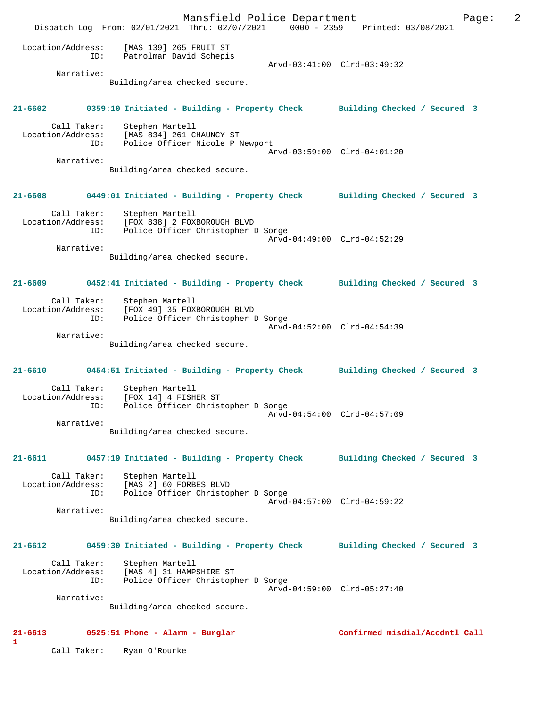Mansfield Police Department Page: 2 Dispatch Log From: 02/01/2021 Thru: 02/07/2021 0000 - 2359 Printed: 03/08/2021 Location/Address: [MAS 139] 265 FRUIT ST ID: Patrolman David Schepis Arvd-03:41:00 Clrd-03:49:32 Narrative: Building/area checked secure. **21-6602 0359:10 Initiated - Building - Property Check Building Checked / Secured 3** Call Taker: Stephen Martell Location/Address: [MAS 834] 261 CHAUNCY ST ID: Police Officer Nicole P Newport Arvd-03:59:00 Clrd-04:01:20 Narrative: Building/area checked secure. **21-6608 0449:01 Initiated - Building - Property Check Building Checked / Secured 3** Call Taker: Stephen Martell Location/Address: [FOX 838] 2 FOXBOROUGH BLVD ID: Police Officer Christopher D Sorge Arvd-04:49:00 Clrd-04:52:29 Narrative: Building/area checked secure. **21-6609 0452:41 Initiated - Building - Property Check Building Checked / Secured 3** Call Taker: Stephen Martell Location/Address: [FOX 49] 35 FOXBOROUGH BLVD ID: Police Officer Christopher D Sorge Arvd-04:52:00 Clrd-04:54:39 Narrative: Building/area checked secure. **21-6610 0454:51 Initiated - Building - Property Check Building Checked / Secured 3** Call Taker: Stephen Martell Location/Address: [FOX 14] 4 FISHER ST<br>ID: Police Officer Christ Police Officer Christopher D Sorge Arvd-04:54:00 Clrd-04:57:09 Narrative: Building/area checked secure. **21-6611 0457:19 Initiated - Building - Property Check Building Checked / Secured 3** Call Taker: Stephen Martell Location/Address: [MAS 2] 60 FORBES BLVD ID: Police Officer Christopher D Sorge Arvd-04:57:00 Clrd-04:59:22 Narrative: Building/area checked secure. **21-6612 0459:30 Initiated - Building - Property Check Building Checked / Secured 3** Call Taker: Stephen Martell Location/Address: [MAS 4] 31 HAMPSHIRE ST ID: Police Officer Christopher D Sorge Arvd-04:59:00 Clrd-05:27:40 Narrative: Building/area checked secure. **21-6613 0525:51 Phone - Alarm - Burglar Confirmed misdial/Accdntl Call 1** 

Call Taker: Ryan O'Rourke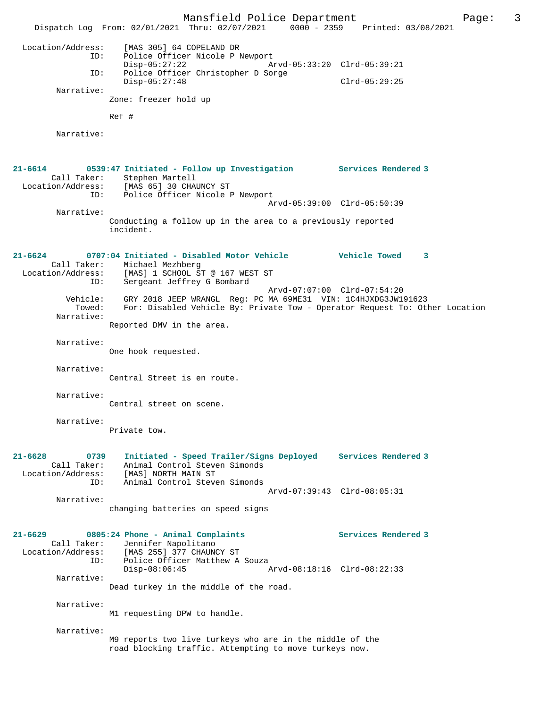Mansfield Police Department Page: 3 Dispatch Log From: 02/01/2021 Thru: 02/07/2021 0000 - 2359 Printed: 03/08/2021 Location/Address: [MAS 305] 64 COPELAND DR ID: Police Officer Nicole P Newport<br>Disp-05:27:22 Ar Disp-05:27:22 Arvd-05:33:20 Clrd-05:39:21 ID: Police Officer Christopher D Sorge Disp-05:27:48 Clrd-05:29:25 Narrative: Zone: freezer hold up Ref # Narrative: **21-6614 0539:47 Initiated - Follow up Investigation Services Rendered 3**  Call Taker: Stephen Martell Location/Address: [MAS 65] 30 CHAUNCY ST ID: Police Officer Nicole P Newport Arvd-05:39:00 Clrd-05:50:39 Narrative: Conducting a follow up in the area to a previously reported incident. **21-6624 0707:04 Initiated - Disabled Motor Vehicle Vehicle Towed 3**  Call Taker: Michael Mezhberg Location/Address: [MAS] 1 SCHOOL ST @ 167 WEST ST<br>ID: Sergeant Jeffrey G Bombard .<br>Sergeant Jeffrey G Bombard Arvd-07:07:00 Clrd-07:54:20 Vehicle: GRY 2018 JEEP WRANGL Reg: PC MA 69ME31 VIN: 1C4HJXDG3JW191623 Towed: For: Disabled Vehicle By: Private Tow - Operator Request To: Other Location Narrative: Reported DMV in the area. Narrative: One hook requested. Narrative: Central Street is en route. Narrative: Central street on scene. Narrative: Private tow. **21-6628 0739 Initiated - Speed Trailer/Signs Deployed Services Rendered 3**  Call Taker: Animal Control Steven Simonds Location/Address: [MAS] NORTH MAIN ST ID: Animal Control Steven Simonds Arvd-07:39:43 Clrd-08:05:31 Narrative: changing batteries on speed signs **21-6629 0805:24 Phone - Animal Complaints Services Rendered 3**  Call Taker: Jennifer Napolitano Location/Address: [MAS 255] 377 CHAUNCY ST ID: Police Officer Matthew A Souza Disp-08:06:45 Arvd-08:18:16 Clrd-08:22:33 Narrative: Dead turkey in the middle of the road. Narrative: M1 requesting DPW to handle. Narrative: M9 reports two live turkeys who are in the middle of the road blocking traffic. Attempting to move turkeys now.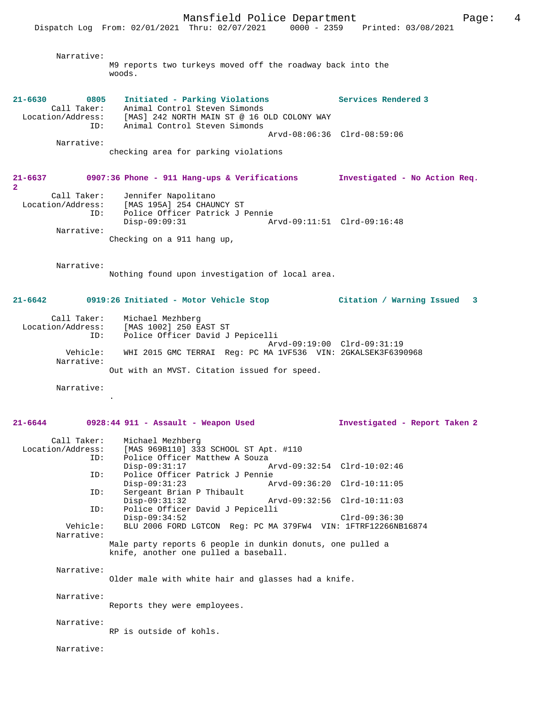Narrative:

M9 reports two turkeys moved off the roadway back into the woods.

**21-6630 0805 Initiated - Parking Violations Services Rendered 3**  Call Taker: Animal Control Steven Simonds Location/Address: [MAS] 242 NORTH MAIN ST @ 16 OLD COLONY WAY ID: Animal Control Steven Simonds Arvd-08:06:36 Clrd-08:59:06 Narrative: checking area for parking violations

**21-6637 0907:36 Phone - 911 Hang-ups & Verifications Investigated - No Action Req. 2**  Call Taker: Jennifer Napolitano

| Location/Address: | [MAS 195A] 254 CHAUNCY ST       |  |
|-------------------|---------------------------------|--|
| TD:               | Police Officer Patrick J Pennie |  |
|                   | Disp-09:09:31                   |  |
| Narrative:        |                                 |  |
|                   | Checking on a 911 hang up,      |  |

Narrative:

Nothing found upon investigation of local area.

## **21-6642 0919:26 Initiated - Motor Vehicle Stop Citation / Warning Issued 3**

 Call Taker: Michael Mezhberg Location/Address: [MAS 1002] 250 EAST ST ID: Police Officer David J Pepicelli Arvd-09:19:00 Clrd-09:31:19 Vehicle: WHI 2015 GMC TERRAI Reg: PC MA 1VF536 VIN: 2GKALSEK3F6390968 Narrative: Out with an MVST. Citation issued for speed.

Narrative:

.

 Call Taker: Michael Mezhberg Location/Address: [MAS 969B110] 333 SCHOOL ST Apt. #110<br>ID: Police Officer Matthew A Souza Police Officer Matthew A Souza Disp-09:31:17 Arvd-09:32:54 Clrd-10:02:46 ID: Police Officer Patrick J Pennie Disp-09:31:23 Arvd-09:36:20 Clrd-10:11:05<br>TD: Sergeant Brian P Thibault Sergeant Brian P Thibault<br>Disp-09:31:32 Disp-09:31:32 Arvd-09:32:56 Clrd-10:11:03 ID: Police Officer David J Pepicelli Disp-09:34:52 Clrd-09:36:30<br>Vehicle: BLU 2006 FORD LGTCON Reg: PC MA 379FW4 VIN: 1FTRF12266NB Vehicle: BLU 2006 FORD LGTCON Reg: PC MA 379FW4 VIN: 1FTRF12266NB16874 Narrative: Male party reports 6 people in dunkin donuts, one pulled a knife, another one pulled a baseball. Narrative: Older male with white hair and glasses had a knife. Narrative: Reports they were employees. Narrative:

**21-6644 0928:44 911 - Assault - Weapon Used Investigated - Report Taken 2**

RP is outside of kohls.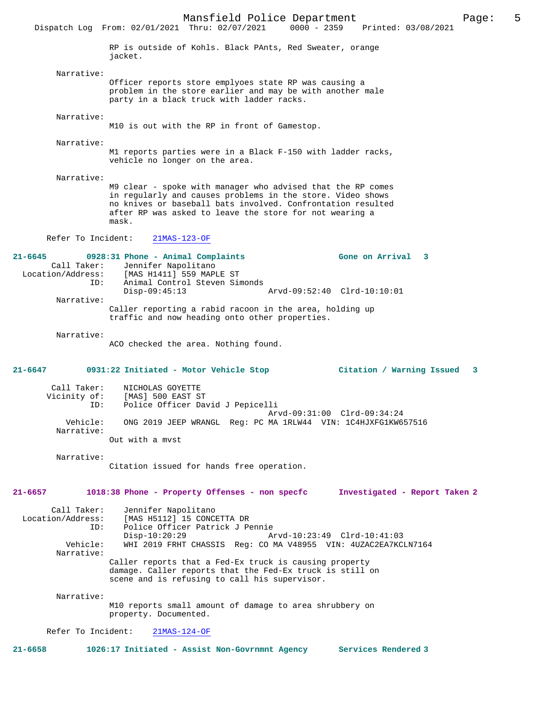Mansfield Police Department Page: 5 Dispatch Log From: 02/01/2021 Thru: 02/07/2021 RP is outside of Kohls. Black PAnts, Red Sweater, orange jacket. Narrative: Officer reports store emplyoes state RP was causing a problem in the store earlier and may be with another male party in a black truck with ladder racks. Narrative: M10 is out with the RP in front of Gamestop. Narrative: M1 reports parties were in a Black F-150 with ladder racks, vehicle no longer on the area. Narrative: M9 clear - spoke with manager who advised that the RP comes in regularly and causes problems in the store. Video shows no knives or baseball bats involved. Confrontation resulted after RP was asked to leave the store for not wearing a mask. Refer To Incident: 21MAS-123-OF **21-6645 0928:31 Phone - Animal Complaints Gone on Arrival 3**  Call Taker: Jennifer Napolitano<br>Location/Address: [MAS H1411] 559 MAP [MAS H1411] 559 MAPLE ST ID: Animal Control Steven Simonds Disp-09:45:13 Arvd-09:52:40 Clrd-10:10:01 Narrative: Caller reporting a rabid racoon in the area, holding up traffic and now heading onto other properties. Narrative: ACO checked the area. Nothing found. **21-6647 0931:22 Initiated - Motor Vehicle Stop Citation / Warning Issued 3** Call Taker: NICHOLAS GOYETTE Vicinity of: [MAS] 500 EAST ST ID: Police Officer David J Pepicelli Arvd-09:31:00 Clrd-09:34:24 Vehicle: ONG 2019 JEEP WRANGL Reg: PC MA 1RLW44 VIN: 1C4HJXFG1KW657516 Narrative: Out with a mvst Narrative: Citation issued for hands free operation. **21-6657 1018:38 Phone - Property Offenses - non specfc Investigated - Report Taken 2** Call Taker: Jennifer Napolitano Location/Address: [MAS H5112] 15 CONCETTA DR ID: Police Officer Patrick J Pennie Disp-10:20:29 <br>
Disp-10:20:29 Arvd-10:23:49 Clrd-10:41:03<br>
Vehicle: WHI 2019 FRHT CHASSIS Reg: CO MA V48955 VIN: 4UZAC2EA7KC WHI 2019 FRHT CHASSIS Reg: CO MA V48955 VIN: 4UZAC2EA7KCLN7164 Narrative: Caller reports that a Fed-Ex truck is causing property damage. Caller reports that the Fed-Ex truck is still on scene and is refusing to call his supervisor. Narrative: M10 reports small amount of damage to area shrubbery on property. Documented. Refer To Incident: 21MAS-124-OF **21-6658 1026:17 Initiated - Assist Non-Govrnmnt Agency Services Rendered 3**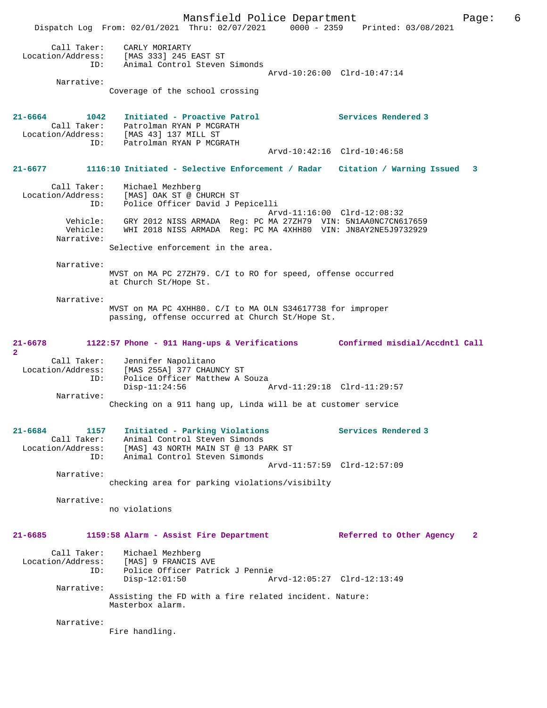Mansfield Police Department Page: 6 Dispatch Log From: 02/01/2021 Thru: 02/07/2021 0000 - 2359 Printed: 03/08/2021 Call Taker: CARLY MORIARTY Location/Address: [MAS 333] 245 EAST ST ID: Animal Control Steven Simonds Arvd-10:26:00 Clrd-10:47:14 Narrative: Coverage of the school crossing **21-6664 1042 Initiated - Proactive Patrol Services Rendered 3**  Call Taker: Patrolman RYAN P MCGRATH Location/Address: [MAS 43] 137 MILL ST ID: Patrolman RYAN P MCGRATH Arvd-10:42:16 Clrd-10:46:58 **21-6677 1116:10 Initiated - Selective Enforcement / Radar Citation / Warning Issued 3** Call Taker: Michael Mezhberg Location/Address: [MAS] OAK ST @ CHURCH ST ID: Police Officer David J Pepicelli Arvd-11:16:00 Clrd-12:08:32 Vehicle: GRY 2012 NISS ARMADA Reg: PC MA 27ZH79 VIN: 5N1AA0NC7CN617659 Vehicle: WHI 2018 NISS ARMADA Reg: PC MA 4XHH80 VIN: JN8AY2NE5J9732929 Narrative: Selective enforcement in the area. Narrative: MVST on MA PC 27ZH79. C/I to RO for speed, offense occurred at Church St/Hope St. Narrative: MVST on MA PC 4XHH80. C/I to MA OLN S34617738 for improper passing, offense occurred at Church St/Hope St. **21-6678 1122:57 Phone - 911 Hang-ups & Verifications Confirmed misdial/Accdntl Call 2**  Call Taker: Jennifer Napolitano Location/Address: [MAS 255A] 377 CHAUNCY ST ID: Police Officer Matthew A Souza<br>Disp-11:24:56 Disp-11:24:56 Arvd-11:29:18 Clrd-11:29:57 Narrative: Checking on a 911 hang up, Linda will be at customer service **21-6684 1157 Initiated - Parking Violations Services Rendered 3**  Call Taker: Animal Control Steven Simonds Location/Address: [MAS] 43 NORTH MAIN ST @ 13 PARK ST ID: Animal Control Steven Simonds Arvd-11:57:59 Clrd-12:57:09 Narrative: checking area for parking violations/visibilty Narrative: no violations **21-6685 1159:58 Alarm - Assist Fire Department Referred to Other Agency 2** Call Taker: Michael Mezhberg<br>Location/Address: [MAS] 9 FRANCIS rezuwerg: [MAS] 9 FRANCIS AVE<br>Location: [MAS] 9 FRANCIS AVE<br>ID: Police Officer Patri Police Officer Patrick J Pennie Disp-12:01:50 Arvd-12:05:27 Clrd-12:13:49 Narrative: Assisting the FD with a fire related incident. Nature: Masterbox alarm. Narrative: Fire handling.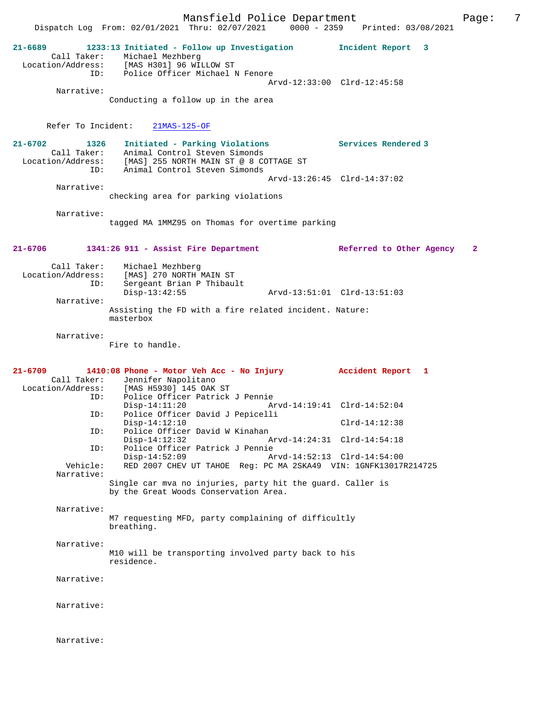Mansfield Police Department Fage: 7 Dispatch Log From: 02/01/2021 Thru: 02/07/2021 0000 - 2359 Printed: 03/08/2021 **21-6689 1233:13 Initiated - Follow up Investigation Incident Report 3**  Call Taker: Michael Mezhberg Location/Address: [MAS H301] 96 WILLOW ST ID: Police Officer Michael N Fenore Arvd-12:33:00 Clrd-12:45:58 Narrative: Conducting a follow up in the area Refer To Incident: 21MAS-125-OF **21-6702 1326 Initiated - Parking Violations Services Rendered 3**  Call Taker: Animal Control Steven Simonds Location/Address: [MAS] 255 NORTH MAIN ST @ 8 COTTAGE ST ID: Animal Control Steven Simonds Arvd-13:26:45 Clrd-14:37:02 Narrative: checking area for parking violations Narrative: tagged MA 1MMZ95 on Thomas for overtime parking **21-6706 1341:26 911 - Assist Fire Department Referred to Other Agency 2** Call Taker: Michael Mezhberg<br>Location/Address: [MAS] 270 NORTH 1 [MAS] 270 NORTH MAIN ST ID: Sergeant Brian P Thibault Disp-13:42:55 Arvd-13:51:01 Clrd-13:51:03 Narrative: Assisting the FD with a fire related incident. Nature: masterbox Narrative: Fire to handle. **21-6709 1410:08 Phone - Motor Veh Acc - No Injury Accident Report 1**  Call Taker: Jennifer Napolitano<br>Location/Address: [MAS H5930] 145 OAK Location/Address: [MAS H5930] 145 OAK ST ID: Police Officer Patrick J Pennie Disp-14:11:20 Arvd-14:19:41 Clrd-14:52:04 ID: Police Officer David J Pepicelli Disp-14:12:10 Clrd-14:12:38 ID: Police Officer David W Kinahan Disp-14:12:32 Arvd-14:24:31 Clrd-14:54:18 ID: Police Officer Patrick J Pennie Disp-14:52:09 Arvd-14:52:13 Clrd-14:54:00 Vehicle: RED 2007 CHEV UT TAHOE Reg: PC MA 2SKA49 VIN: 1GNFK13017R214725 Narrative: Single car mva no injuries, party hit the guard. Caller is by the Great Woods Conservation Area. Narrative: M7 requesting MFD, party complaining of difficultly breathing. Narrative: M10 will be transporting involved party back to his residence. Narrative: Narrative: Narrative: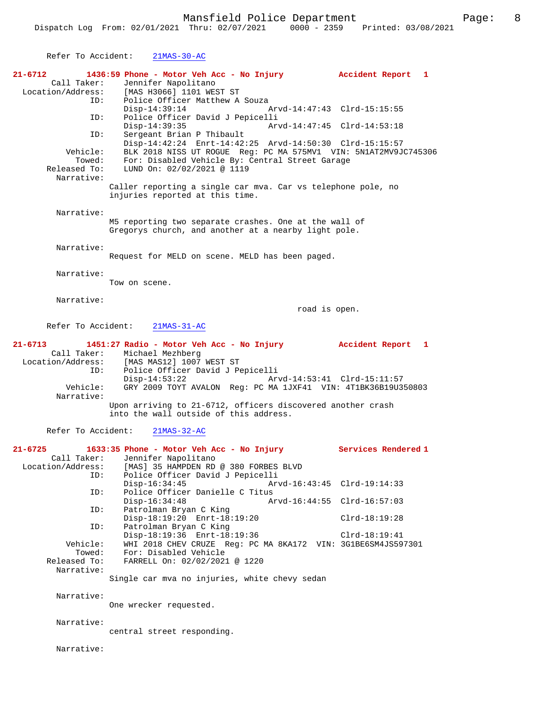Refer To Accident: 21MAS-30-AC **21-6712 1436:59 Phone - Motor Veh Acc - No Injury Accident Report 1**  Call Taker: Jennifer Napolitano<br>Location/Address: [MAS H3066] 1101 WES [MAS H3066] 1101 WEST ST ID: Police Officer Matthew A Souza<br>Disp-14:39:14 Arvd-14:47:43 Clrd-15:15:55 ID: Police Officer David J Pepicelli<br>Disp-14:39:35 Art Disp-14:39:35 Arvd-14:47:45 Clrd-14:53:18<br>TD: Sergeant Brian P Thibault Sergeant Brian P Thibault Disp-14:42:24 Enrt-14:42:25 Arvd-14:50:30 Clrd-15:15:57 Vehicle: BLK 2018 NISS UT ROGUE Reg: PC MA 575MV1 VIN: 5N1AT2MV9JC745306 Towed: For: Disabled Vehicle By: Central Street Garage<br>Released To: LUND On: 02/02/2021 @ 1119<br>Naunation: ROL: DISADICA VONICIO D7 Narrative: Caller reporting a single car mva. Car vs telephone pole, no injuries reported at this time. Narrative: M5 reporting two separate crashes. One at the wall of Gregorys church, and another at a nearby light pole. Narrative: Request for MELD on scene. MELD has been paged. Narrative: Tow on scene. Narrative: road is open. Refer To Accident: 21MAS-31-AC **21-6713 1451:27 Radio - Motor Veh Acc - No Injury Accident Report 1**  Call Taker: Michael Mezhberg Location/Address: [MAS MAS12] 1007 WEST ST ID: Police Officer David J Pepicelli Disp-14:53:22 Arvd-14:53:41 Clrd-15:11:57<br>Vehicle: GRY 2009 TOYT AVALON Reg: PC MA 1JXF41 VIN: 4T1BK36B19U3 GRY 2009 TOYT AVALON Reg: PC MA 1JXF41 VIN: 4T1BK36B19U350803 Narrative: Upon arriving to 21-6712, officers discovered another crash into the wall outside of this address. Refer To Accident: 21MAS-32-AC **21-6725 1633:35 Phone - Motor Veh Acc - No Injury Services Rendered 1**  Call Taker: Jennifer Napolitano<br>Location/Address: [MAS] 35 HAMPDEN RD SS: [MAS] 35 HAMPDEN RD @ 380 FORBES BLVD<br>ID: Police Officer David J Pepicelli ID: Police Officer David J Pepicelli Disp-16:34:45 Arvd-16:43:45 Clrd-19:14:33<br>TD: Police Officer Danielle C Titus ID: Police Officer Danielle C Titus Disp-16:34:48 Arvd-16:44:55 Clrd-16:57:03<br>TD: Patrolman Brvan C King Patrolman Bryan C King Disp-18:19:20 Enrt-18:19:20 Clrd-18:19:28<br>ID: Patrolman Bryan C King Patrolman Bryan C King Disp-18:19:36 Enrt-18:19:36 Mehicle: Disp-18:19:36 Enrt-18:19:36 Clrd-18:19:41 ehicle: WHI 2018 CHEV CRUZE Reg: PC MA 8KA172 VIN: 3G1BE6SM4JS597301<br>Towed: For: Disabled Vehicle Towed: For: Disabled Vehicle<br>Released To: FARRELL On: 02/02/2021 FARRELL On: 02/02/2021 @ 1220 Narrative: Single car mva no injuries, white chevy sedan Narrative: One wrecker requested. Narrative: central street responding. Narrative: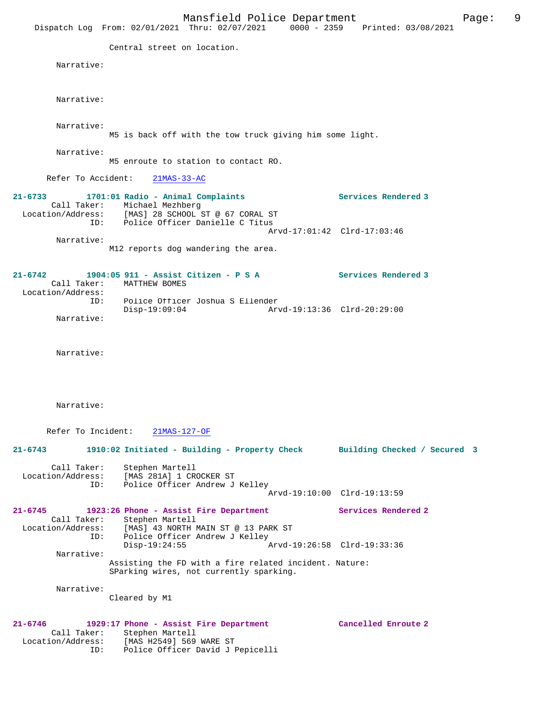Mansfield Police Department Page: 9 Dispatch Log From: 02/01/2021 Thru: 02/07/2021 0000 - 2359 Printed: 03/08/2021 Central street on location. Narrative: Narrative: Narrative: M5 is back off with the tow truck giving him some light. Narrative: M5 enroute to station to contact RO. Refer To Accident: 21MAS-33-AC **21-6733 1701:01 Radio - Animal Complaints Services Rendered 3**  Call Taker: Michael Mezhberg Location/Address: [MAS] 28 SCHOOL ST @ 67 CORAL ST ID: Police Officer Danielle C Titus Arvd-17:01:42 Clrd-17:03:46 Narrative: M12 reports dog wandering the area. **21-6742 1904:05 911 - Assist Citizen - P S A Services Rendered 3**  Call Taker: MATTHEW BOMES Location/Address: ID: Police Officer Joshua S Ellender Disp-19:09:04 Arvd-19:13:36 Clrd-20:29:00 Narrative: Narrative: Narrative: Refer To Incident: 21MAS-127-OF **21-6743 1910:02 Initiated - Building - Property Check Building Checked / Secured 3** Call Taker: Stephen Martell Location/Address: [MAS 281A] 1 CROCKER ST ID: Police Officer Andrew J Kelley Arvd-19:10:00 Clrd-19:13:59 **21-6745 1923:26 Phone - Assist Fire Department Services Rendered 2**  Call Taker: Stephen Martell<br>Location/Address: [MAS] 43 NORTH M [MAS] 43 NORTH MAIN ST @ 13 PARK ST ID: Police Officer Andrew J Kelley<br>Disp-19:24:55  $\bar{x}$  Arvd-19:26:58 Clrd-19:33:36 Narrative: Assisting the FD with a fire related incident. Nature: SParking wires, not currently sparking. Narrative: Cleared by M1 **21-6746 1929:17 Phone - Assist Fire Department Cancelled Enroute 2**  Call Taker: Stephen Martell Location/Address: [MAS H2549] 569 WARE ST ID: Police Officer David J Pepicelli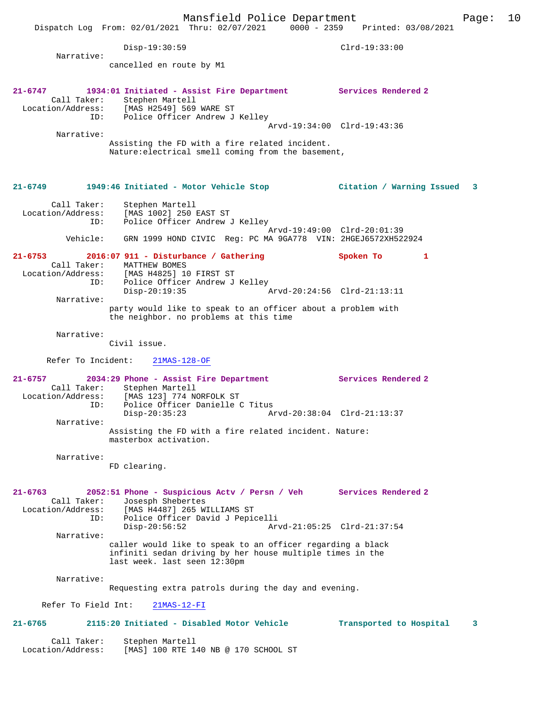Disp-19:30:59 Clrd-19:33:00 Narrative: cancelled en route by M1 **21-6747 1934:01 Initiated - Assist Fire Department Services Rendered 2**  Call Taker: Stephen Martell<br>Location/Address: [MAS H2549] 569 Location/Address: [MAS H2549] 569 WARE ST ID: Police Officer Andrew J Kelley Arvd-19:34:00 Clrd-19:43:36 Narrative: Assisting the FD with a fire related incident. Nature:electrical smell coming from the basement, **21-6749 1949:46 Initiated - Motor Vehicle Stop Citation / Warning Issued 3** Call Taker: Stephen Martell<br>Location/Address: [MAS 1002] 250 1 ess: [MAS 1002] 250 EAST ST<br>ID: Police Officer Andrew Police Officer Andrew J Kelley Arvd-19:49:00 Clrd-20:01:39 Vehicle: GRN 1999 HOND CIVIC Reg: PC MA 9GA778 VIN: 2HGEJ6572XH522924 **21-6753 2016:07 911 - Disturbance / Gathering Spoken To 1**  Call Taker: MATTHEW BOMES<br>Location/Address: [MAS H4825] 10 ess: [MAS H4825] 10 FIRST ST<br>ID: Police Officer Andrew J Police Officer Andrew J Kelley<br>Disp-20:19:35 Disp-20:19:35 Arvd-20:24:56 Clrd-21:13:11 Narrative: party would like to speak to an officer about a problem with the neighbor. no problems at this time Narrative: Civil issue. Refer To Incident: 21MAS-128-OF **21-6757 2034:29 Phone - Assist Fire Department Services Rendered 2**  Call Taker: Stephen Martell<br>Location/Address: [MAS 123] 774 NO [MAS 123] 774 NORFOLK ST ESS: ITHE 1233 I.L.<br>ID: Police Officer Danielle C Titus<br>Disp-20:35:23 Am Disp-20:35:23 Arvd-20:38:04 Clrd-21:13:37 Narrative: Assisting the FD with a fire related incident. Nature: masterbox activation. Narrative: FD clearing. **21-6763 2052:51 Phone - Suspicious Actv / Persn / Veh Services Rendered 2**  Call Taker: Josesph Shebertes<br>Location/Address: [MAS H4487] 265 W [MAS H4487] 265 WILLIAMS ST ESS: ITHE MILLIE DAVID J Pepicelli<br>ID: Police Officer David J Pepicelli<br>Disp-20:56:52 Art Arvd-21:05:25 Clrd-21:37:54 Narrative: caller would like to speak to an officer regarding a black infiniti sedan driving by her house multiple times in the last week. last seen 12:30pm Narrative: Requesting extra patrols during the day and evening. Refer To Field Int: 21MAS-12-FI **21-6765 2115:20 Initiated - Disabled Motor Vehicle Transported to Hospital 3** Call Taker: Stephen Martell Location/Address: [MAS] 100 RTE 140 NB @ 170 SCHOOL ST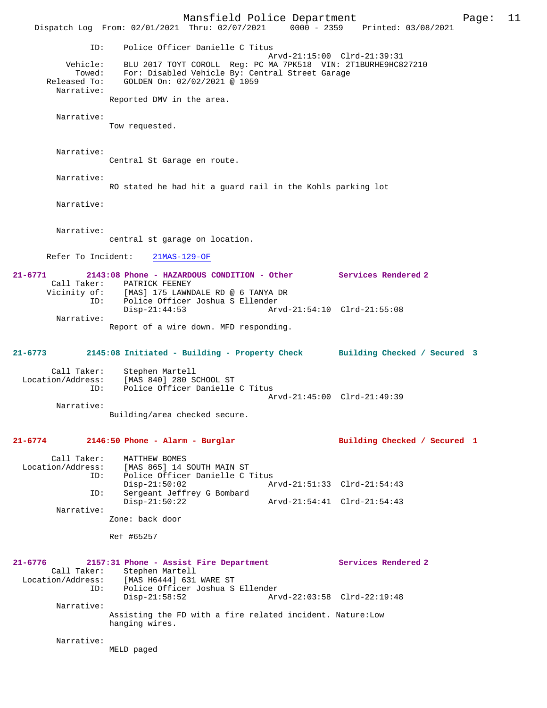Mansfield Police Department Page: 11 Dispatch Log From: 02/01/2021 Thru: 02/07/2021 0000 - 2359 Printed: 03/08/2021 ID: Police Officer Danielle C Titus Arvd-21:15:00 Clrd-21:39:31 Vehicle: BLU 2017 TOYT COROLL Reg: PC MA 7PK518 VIN: 2T1BURHE9HC827210 Towed: For: Disabled Vehicle By: Central Street Garage Released To: GOLDEN On: 02/02/2021 @ 1059 Narrative: Reported DMV in the area. Narrative: Tow requested. Narrative: Central St Garage en route. Narrative: RO stated he had hit a guard rail in the Kohls parking lot Narrative: Narrative: central st garage on location. Refer To Incident: 21MAS-129-OF **21-6771 2143:08 Phone - HAZARDOUS CONDITION - Other Services Rendered 2**  Call Taker: PATRICK FEENEY<br>Vicinity of: [MAS] 175 LAWN of: [MAS] 175 LAWNDALE RD @ 6 TANYA DR<br>ID: Police Officer Joshua S Ellender ID: Police Officer Joshua S Ellender Disp-21:44:53 Arvd-21:54:10 Clrd-21:55:08 Narrative: Report of a wire down. MFD responding. **21-6773 2145:08 Initiated - Building - Property Check Building Checked / Secured 3** Call Taker: Stephen Martell<br>Location/Address: [MAS 840] 280 S ess: [MAS 840] 280 SCHOOL ST<br>ID: Police Officer Danielle Police Officer Danielle C Titus Arvd-21:45:00 Clrd-21:49:39 Narrative: Building/area checked secure. **21-6774 2146:50 Phone - Alarm - Burglar Building Checked / Secured 1** Call Taker: MATTHEW BOMES<br>Location/Address: [MAS 865] 14 : Location/Address: [MAS 865] 14 SOUTH MAIN ST ID: Police Officer Danielle C Titus Disp-21:50:02 Arvd-21:51:33 Clrd-21:54:43 ID: Sergeant Jeffrey G Bombard Disp-21:50:22 Arvd-21:54:41 Clrd-21:54:43 Narrative: Zone: back door Ref #65257 **21-6776 2157:31 Phone - Assist Fire Department Services Rendered 2**  Call Taker: Stephen Martell<br>Location/Address: [MAS H6444] 631 ess: [MAS H6444] 631 WARE ST<br>ID: Police Officer Joshua S ID: Police Officer Joshua S Ellender Disp-21:58:52 Arvd-22:03:58 Clrd-22:19:48 Narrative: Assisting the FD with a fire related incident. Nature:Low hanging wires. Narrative: MELD paged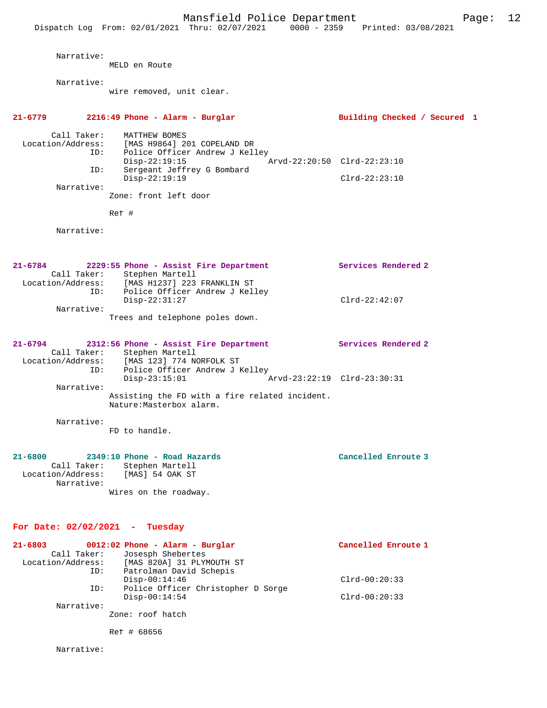| Narrative:                                                    | MELD en Route                                                                                                                                                                                                              |                                                           |
|---------------------------------------------------------------|----------------------------------------------------------------------------------------------------------------------------------------------------------------------------------------------------------------------------|-----------------------------------------------------------|
| Narrative:                                                    | wire removed, unit clear.                                                                                                                                                                                                  |                                                           |
| 21-6779                                                       | 2216:49 Phone - Alarm - Burglar                                                                                                                                                                                            | Building Checked / Secured 1                              |
| Call Taker:<br>ID:<br>Narrative:                              | MATTHEW BOMES<br>Location/Address: [MAS H9864] 201 COPELAND DR<br>ID: Police Officer Andrew J Kell<br>Police Officer Andrew J Kelley<br>$Disp-22:19:15$<br>Sergeant Jeffrey G Bombard<br>$Disp-22:19:19$                   | Arvd-22:20:50 Clrd-22:23:10<br>$Clrd-22:23:10$            |
|                                                               | Zone: front left door                                                                                                                                                                                                      |                                                           |
| Narrative:                                                    | Ref #                                                                                                                                                                                                                      |                                                           |
| 21-6784<br>ID:                                                | 2229:55 Phone - Assist Fire Department<br>Call Taker: Stephen Martell<br>Location/Address: [MAS H1237] 223 FRANKLIN ST<br>ID: Police Officer Andrew J Kell<br>Police Officer Andrew J Kelley                               | Services Rendered 2                                       |
| Narrative:                                                    | $Disp-22:31:27$<br>Trees and telephone poles down.                                                                                                                                                                         | $Clrd-22:42:07$                                           |
| $21 - 6794$<br>ID:<br>Narrative:                              | 2312:56 Phone - Assist Fire Department<br>Call Taker: Stephen Martell<br>Location/Address: [MAS 123] 774 NORFOLK ST<br>Police Officer Andrew J Kelley<br>$Disp-23:15:01$<br>Assisting the FD with a fire related incident. | <b>Services Rendered 2</b><br>Arvd-23:22:19 Clrd-23:30:31 |
| Narrative:                                                    | Nature: Masterbox alarm.<br>FD to handle.                                                                                                                                                                                  |                                                           |
| $21 - 6800$<br>Call Taker:<br>Location/Address:<br>Narrative: | 2349:10 Phone - Road Hazards<br>Stephen Martell<br>[MAS] 54 OAK ST<br>Wires on the roadway.                                                                                                                                | Cancelled Enroute 3                                       |
| For Date: $02/02/2021$ - Tuesday                              |                                                                                                                                                                                                                            |                                                           |
| 21-6803<br>Call Taker:<br>ID:<br>ID:<br>Narrative:            | 0012:02 Phone - Alarm - Burglar<br>Josesph Shebertes<br>Location/Address: [MAS 820A] 31 PLYMOUTH ST<br>Patrolman David Schepis<br>$Disp-00:14:46$<br>Police Officer Christopher D Sorge<br>$Disp-00:14:54$                 | Cancelled Enroute 1<br>$Clrd-00:20:33$<br>$Clrd-00:20:33$ |
|                                                               | Zone: roof hatch                                                                                                                                                                                                           |                                                           |
|                                                               | Ref # 68656                                                                                                                                                                                                                |                                                           |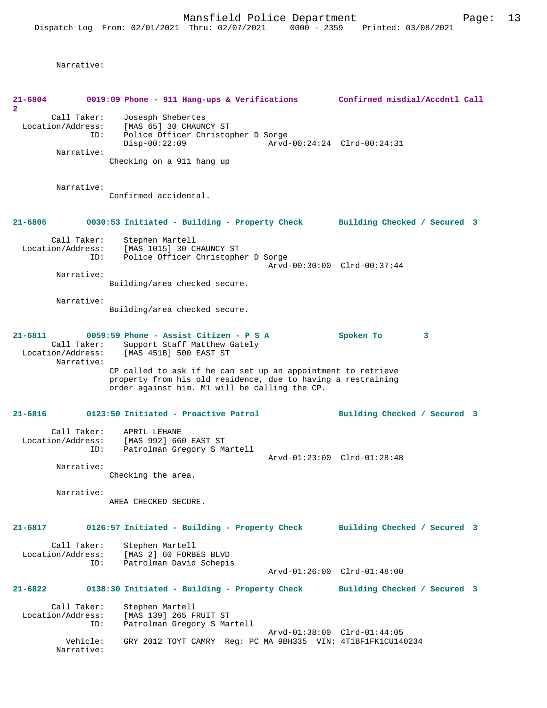| 21-6804<br>$\overline{2}$                             |                                                | 0019:09 Phone - 911 Hang-ups & Verifications Confirmed misdial/Accdntl Call                                                                                        |                              |
|-------------------------------------------------------|------------------------------------------------|--------------------------------------------------------------------------------------------------------------------------------------------------------------------|------------------------------|
| Call Taker:<br>Location/Address:<br>ID:<br>Narrative: |                                                | Josesph Shebertes<br>[MAS 65] 30 CHAUNCY ST<br>Police Officer Christopher D Sorge<br>$Disp-00:22:09$                                                               | Arvd-00:24:24 Clrd-00:24:31  |
|                                                       |                                                | Checking on a 911 hang up                                                                                                                                          |                              |
|                                                       | Narrative:                                     | Confirmed accidental.                                                                                                                                              |                              |
| 21-6806                                               |                                                | 0030:53 Initiated - Building - Property Check                                                                                                                      | Building Checked / Secured 3 |
|                                                       | Call Taker:<br>Location/Address:<br>ID:        | Stephen Martell<br>[MAS 1015] 30 CHAUNCY ST<br>Police Officer Christopher D Sorge                                                                                  | Arvd-00:30:00 Clrd-00:37:44  |
|                                                       | Narrative:                                     | Building/area checked secure.                                                                                                                                      |                              |
|                                                       | Narrative:                                     | Building/area checked secure.                                                                                                                                      |                              |
| 21-6811                                               | Call Taker:<br>Location/Address:<br>Narrative: | $0059:59$ Phone - Assist Citizen - P S A<br>Support Staff Matthew Gately<br>[MAS 451B] 500 EAST ST<br>CP called to ask if he can set up an appointment to retrieve | Spoken To<br>3               |
|                                                       |                                                | property from his old residence, due to having a restraining<br>order against him. M1 will be calling the CP.                                                      |                              |
| 21-6816                                               |                                                | 0123:50 Initiated - Proactive Patrol                                                                                                                               | Building Checked / Secured 3 |
|                                                       | Call Taker:<br>Location/Address:<br>ID:        | APRIL LEHANE<br>[MAS 992] 660 EAST ST<br>Patrolman Gregory S Martell                                                                                               | Arvd-01:23:00 Clrd-01:28:48  |
|                                                       | Narrative:                                     | Checking the area.                                                                                                                                                 |                              |
|                                                       | Narrative:                                     | AREA CHECKED SECURE.                                                                                                                                               |                              |
| $21 - 6817$                                           |                                                | 0126:57 Initiated - Building - Property Check                                                                                                                      | Building Checked / Secured 3 |
|                                                       | Call Taker:<br>Location/Address:<br>ID:        | Stephen Martell<br>[MAS 2] 60 FORBES BLVD<br>Patrolman David Schepis                                                                                               |                              |
| $21 - 6822$                                           |                                                |                                                                                                                                                                    | Arvd-01:26:00 Clrd-01:48:00  |
|                                                       | Call Taker:                                    | 0138:30 Initiated - Building - Property Check<br>Stephen Martell                                                                                                   | Building Checked / Secured 3 |
|                                                       | Location/Address:<br>ID:                       | [MAS 139] 265 FRUIT ST<br>Patrolman Gregory S Martell                                                                                                              | Arvd-01:38:00 Clrd-01:44:05  |
|                                                       | Vehicle:<br>Narrative:                         | GRY 2012 TOYT CAMRY Reg: PC MA 9BH335 VIN: 4T1BF1FK1CU140234                                                                                                       |                              |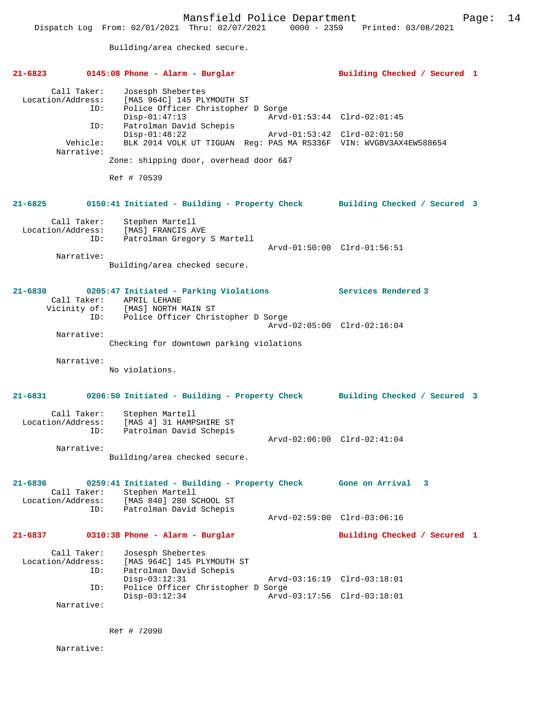Building/area checked secure.

| $21 - 6823$                                                              | 0145:08 Phone - Alarm - Burglar                                                                                                                                                                                                                                                      | Building Checked / Secured 1                               |  |  |
|--------------------------------------------------------------------------|--------------------------------------------------------------------------------------------------------------------------------------------------------------------------------------------------------------------------------------------------------------------------------------|------------------------------------------------------------|--|--|
| Call Taker:<br>Location/Address:<br>ID:<br>ID:<br>Vehicle:<br>Narrative: | Josesph Shebertes<br>[MAS 964C] 145 PLYMOUTH ST<br>Police Officer Christopher D Sorge<br>$Disp-01:47:13$<br>Patrolman David Schepis<br>$Disp-01:48:22$<br>BLK 2014 VOLK UT TIGUAN Reg: PAS MA RS336F VIN: WVGBV3AX4EW588654<br>Zone: shipping door, overhead door 6&7<br>Ref # 70539 | Arvd-01:53:44 Clrd-02:01:45<br>Arvd-01:53:42 Clrd-02:01:50 |  |  |
| 21-6825                                                                  | 0150:41 Initiated - Building - Property Check                                                                                                                                                                                                                                        | Building Checked / Secured 3                               |  |  |
| Call Taker:<br>Location/Address:<br>ID:<br>Narrative:                    | Stephen Martell<br>[MAS] FRANCIS AVE<br>Patrolman Gregory S Martell<br>Building/area checked secure.                                                                                                                                                                                 | Arvd-01:50:00 Clrd-01:56:51                                |  |  |
| $21 - 6830$<br>ID:                                                       | 0205:47 Initiated - Parking Violations<br>Call Taker: APRIL LEHANE<br>Vicinity of: [MAS] NORTH MAIN ST<br>Police Officer Christopher D Sorge                                                                                                                                         | Services Rendered 3                                        |  |  |
| Narrative:                                                               | Checking for downtown parking violations                                                                                                                                                                                                                                             | Arvd-02:05:00 Clrd-02:16:04                                |  |  |
| Narrative:                                                               | No violations.                                                                                                                                                                                                                                                                       |                                                            |  |  |
| 21-6831                                                                  | 0206:50 Initiated - Building - Property Check                                                                                                                                                                                                                                        | Building Checked / Secured 3                               |  |  |
| Call Taker:<br>Location/Address:<br>ID:                                  | Stephen Martell<br>[MAS 4] 31 HAMPSHIRE ST<br>Patrolman David Schepis                                                                                                                                                                                                                | Arvd-02:06:00 Clrd-02:41:04                                |  |  |
| Narrative:                                                               | Building/area checked secure.                                                                                                                                                                                                                                                        |                                                            |  |  |
| 21-6836<br>Call Taker:<br>Location/Address:<br>ID:                       | 0259:41 Initiated - Building - Property Check<br>Stephen Martell<br>[MAS 840] 280 SCHOOL ST<br>Patrolman David Schepis                                                                                                                                                               | Gone on Arrival<br>3                                       |  |  |
|                                                                          |                                                                                                                                                                                                                                                                                      | Arvd-02:59:00 Clrd-03:06:16                                |  |  |
| 21-6837                                                                  | 0310:38 Phone - Alarm - Burglar                                                                                                                                                                                                                                                      | Building Checked / Secured 1                               |  |  |
| Call Taker:<br>Location/Address:<br>ID:                                  | Josesph Shebertes<br>[MAS 964C] 145 PLYMOUTH ST<br>Patrolman David Schepis<br>$Disp-03:12:31$                                                                                                                                                                                        | Arvd-03:16:19 Clrd-03:18:01                                |  |  |
| ID:                                                                      | Police Officer Christopher D Sorge<br>$Disp-03:12:34$                                                                                                                                                                                                                                | Arvd-03:17:56 Clrd-03:18:01                                |  |  |
| Narrative:                                                               |                                                                                                                                                                                                                                                                                      |                                                            |  |  |

Ref # 72090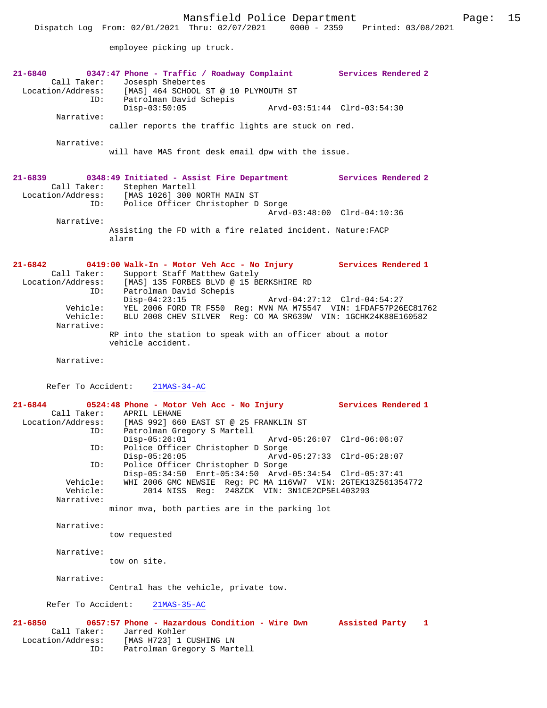employee picking up truck.

**21-6840 0347:47 Phone - Traffic / Roadway Complaint Services Rendered 2**  Call Taker: Josesph Shebertes Location/Address: [MAS] 464 SCHOOL ST @ 10 PLYMOUTH ST Patrolman David Schepis<br>Disp-03:50:05 Disp-03:50:05 Arvd-03:51:44 Clrd-03:54:30 Narrative: caller reports the traffic lights are stuck on red. Narrative: will have MAS front desk email dpw with the issue. **21-6839 0348:49 Initiated - Assist Fire Department Services Rendered 2**  Call Taker: Stephen Martell Location/Address: [MAS 1026] 300 NORTH MAIN ST ID: Police Officer Christopher D Sorge Arvd-03:48:00 Clrd-04:10:36 Narrative: Assisting the FD with a fire related incident. Nature:FACP alarm **21-6842 0419:00 Walk-In - Motor Veh Acc - No Injury Services Rendered 1**  Call Taker: Support Staff Matthew Gately Location/Address: [MAS] 135 FORBES BLVD @ 15 BERKSHIRE RD ID: Patrolman David Schepis<br>Disp-04:23:15 Disp-04:23:15 Arvd-04:27:12 Clrd-04:54:27 Vehicle: YEL 2006 FORD TR F550 Reg: MVN MA M75547 VIN: 1FDAF57P26EC81762 Vehicle: BLU 2008 CHEV SILVER Reg: CO MA SR639W VIN: 1GCHK24K88E160582 Narrative: RP into the station to speak with an officer about a motor vehicle accident. Narrative: Refer To Accident: 21MAS-34-AC **21-6844 0524:48 Phone - Motor Veh Acc - No Injury Services Rendered 1**  Call Taker: APRIL LEHANE Location/Address: [MAS 992] 660 EAST ST @ 25 FRANKLIN ST Patrolman Gregory S Martell<br>Disp-05:26:01 Disp-05:26:01 Arvd-05:26:07 Clrd-06:06:07 ID: Police Officer Christopher D Sorge Disp-05:26:05 Arvd-05:27:33 Clrd-05:28:07 ID: Police Officer Christopher D Sorge Disp-05:34:50 Enrt-05:34:50 Arvd-05:34:54 Clrd-05:37:41 Vehicle: WHI 2006 GMC NEWSIE Reg: PC MA 116VW7 VIN: 2GTEK13Z561354772 Vehicle: 2014 NISS Reg: 248ZCK VIN: 3N1CE2CP5EL403293 Narrative: minor mva, both parties are in the parking lot Narrative: tow requested Narrative: tow on site. Narrative: Central has the vehicle, private tow. Refer To Accident: 21MAS-35-AC **21-6850 0657:57 Phone - Hazardous Condition - Wire Dwn Assisted Party 1**  Call Taker: Jarred Kohler Location/Address: [MAS H723] 1 CUSHING LN ID: Patrolman Gregory S Martell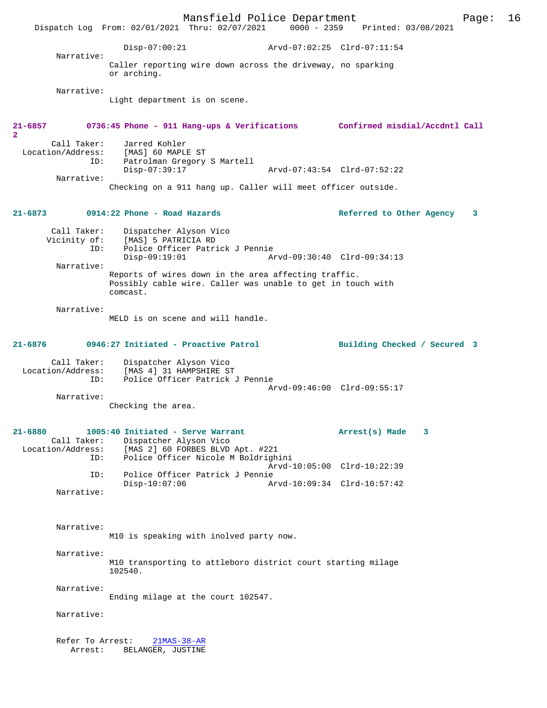Mansfield Police Department Page: 16 Dispatch Log From: 02/01/2021 Thru: 02/07/2021 Disp-07:00:21 Arvd-07:02:25 Clrd-07:11:54 Narrative: Caller reporting wire down across the driveway, no sparking or arching. Narrative: Light department is on scene. **21-6857 0736:45 Phone - 911 Hang-ups & Verifications Confirmed misdial/Accdntl Call 2**  Call Taker: Jarred Kohler Location/Address: [MAS] 60 MAPLE ST<br>ID: Patrolman Gregory Patrolman Gregory S Martell<br>Disp-07:39:17 Disp-07:39:17 Arvd-07:43:54 Clrd-07:52:22 Narrative: Checking on a 911 hang up. Caller will meet officer outside. **21-6873 0914:22 Phone - Road Hazards Referred to Other Agency 3** Call Taker: Dispatcher Alyson Vico<br>Vicinity of: [MAS] 5 PATRICIA RD of: [MAS] 5 PATRICIA RD<br>ID: Police Officer Patri Police Officer Patrick J Pennie Disp-09:19:01 Arvd-09:30:40 Clrd-09:34:13 Narrative: Reports of wires down in the area affecting traffic. Possibly cable wire. Caller was unable to get in touch with comcast. Narrative: MELD is on scene and will handle. **21-6876 0946:27 Initiated - Proactive Patrol Building Checked / Secured 3** Call Taker: Dispatcher Alyson Vico Location/Address: [MAS 4] 31 HAMPSHIRE ST ID: Police Officer Patrick J Pennie Arvd-09:46:00 Clrd-09:55:17 Narrative: Checking the area. **21-6880 1005:40 Initiated - Serve Warrant Arrest(s) Made 3**  Call Taker: Dispatcher Alyson Vico<br>Location/Address: [MAS 2] 60 FORBES BLVD Location/Address: [MAS 2] 60 FORBES BLVD Apt. #221 ID: Police Officer Nicole M Boldrighini Arvd-10:05:00 Clrd-10:22:39 ID: Police Officer Patrick J Pennie Disp-10:07:06 Arvd-10:09:34 Clrd-10:57:42 Narrative: Narrative: M10 is speaking with inolved party now. Narrative: M10 transporting to attleboro district court starting milage 102540. Narrative: Ending milage at the court 102547. Narrative: Refer To Arrest: 21MAS-38-AR Arrest: BELANGER, JUSTINE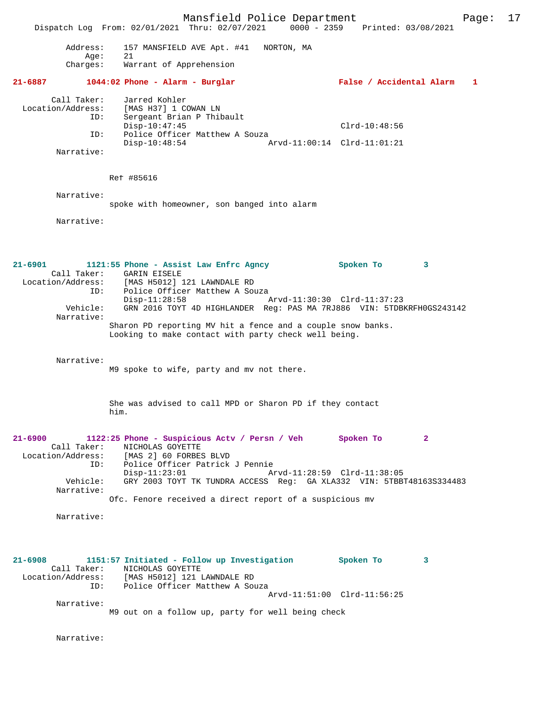Mansfield Police Department Form Page: 17 Dispatch Log From: 02/01/2021 Thru: 02/07/2021 0000 - 2359 Printed: 03/08/2021 Address: 157 MANSFIELD AVE Apt. #41 NORTON, MA Age: 21 Charges: Warrant of Apprehension **21-6887 1044:02 Phone - Alarm - Burglar False / Accidental Alarm 1** Call Taker: Jarred Kohler<br>Location/Address: [MAS H37] 1 CO Location/Address: [MAS H37] 1 COWAN LN ID: Sergeant Brian P Thibault ID: Sergeant Brian P Thibault<br>Disp-10:47:45 Clrd-10:48:56 ID: Police Officer Matthew A Souza<br>Disp-10:48:54 A Disp-10:48:54 Arvd-11:00:14 Clrd-11:01:21 Narrative: Ref #85616 Narrative: spoke with homeowner, son banged into alarm Narrative: **21-6901 1121:55 Phone - Assist Law Enfrc Agncy Spoken To 3**  Call Taker: GARIN EISELE Location/Address: [MAS H5012] 121 LAWNDALE RD ID: Police Officer Matthew A Souza<br>Disp-11:28:58 Disp-11:28:58 Arvd-11:30:30 Clrd-11:37:23 Vehicle: GRN 2016 TOYT 4D HIGHLANDER Reg: PAS MA 7RJ886 VIN: 5TDBKRFH0GS243142 Narrative: Sharon PD reporting MV hit a fence and a couple snow banks. Looking to make contact with party check well being. Narrative: M9 spoke to wife, party and mv not there. She was advised to call MPD or Sharon PD if they contact him. **21-6900 1122:25 Phone - Suspicious Actv / Persn / Veh Spoken To 2**  Call Taker: NICHOLAS GOYETTE<br>Location/Address: [MAS 2] 60 FORBE: [MAS 2] 60 FORBES BLVD ID: Police Officer Patrick J Pennie Disp-11:23:01 Arvd-11:28:59 Clrd-11:38:05<br>Vehicle: GRY 2003 TOYT TK TUNDRA ACCESS Req: GA XLA332 VIN: 5TBB GRY 2003 TOYT TK TUNDRA ACCESS Reg: GA XLA332 VIN: 5TBBT48163S334483 Narrative: Ofc. Fenore received a direct report of a suspicious mv Narrative: **21-6908 1151:57 Initiated - Follow up Investigation Spoken To 3**  Call Taker: NICHOLAS GOYETTE Location/Address: [MAS H5012] 121 LAWNDALE RD ID: Police Officer Matthew A Souza Arvd-11:51:00 Clrd-11:56:25 Narrative: M9 out on a follow up, party for well being check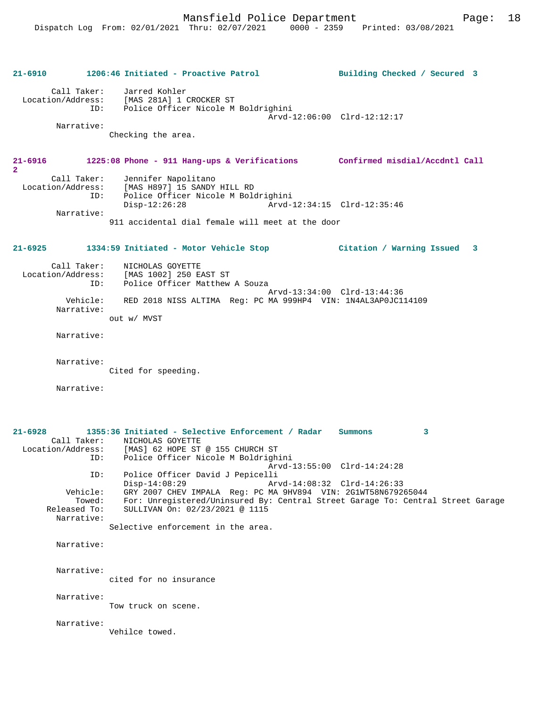**21-6910 1206:46 Initiated - Proactive Patrol Building Checked / Secured 3**

# Call Taker: Jarred Kohler Location/Address: [MAS 281A] 1 CROCKER ST ID: Police Officer Nicole M Boldrighini Arvd-12:06:00 Clrd-12:12:17 Narrative: Checking the area. **21-6916 1225:08 Phone - 911 Hang-ups & Verifications Confirmed misdial/Accdntl Call 2**  Call Taker: Jennifer Napolitano Location/Address: [MAS H897] 15 SANDY HILL RD ID: Police Officer Nicole M Boldrighini Disp-12:26:28 Arvd-12:34:15 Clrd-12:35:46 Narrative: 911 accidental dial female will meet at the door **21-6925 1334:59 Initiated - Motor Vehicle Stop Citation / Warning Issued 3** Call Taker: NICHOLAS GOYETTE Location/Address: [MAS 1002] 250 EAST ST Police Officer Matthew A Souza Arvd-13:34:00 Clrd-13:44:36 Vehicle: RED 2018 NISS ALTIMA Reg: PC MA 999HP4 VIN: 1N4AL3AP0JC114109 Narrative: out w/ MVST Narrative: Narrative: Cited for speeding. Narrative: **21-6928 1355:36 Initiated - Selective Enforcement / Radar Summons 3**  Call Taker: <br> NICHOLAS GOYETTE<br>
Location/Address: [MAS] 62 HOPE ST Location/Address: [MAS] 62 HOPE ST @ 155 CHURCH ST ID: Police Officer Nicole M Boldrighini Arvd-13:55:00 Clrd-14:24:28 ID: Police Officer David J Pepicelli Disp-14:08:29 Arvd-14:08:32 Clrd-14:26:33 Vehicle: GRY 2007 CHEV IMPALA Reg: PC MA 9HV894 VIN: 2G1WT58N679265044 Towed: For: Unregistered/Uninsured By: Central Street Garage To: Central Street Garage Released To: SULLIVAN On: 02/23/2021 @ 1115 Narrative: Selective enforcement in the area. Narrative: Narrative: cited for no insurance Narrative: Tow truck on scene. Narrative: Vehilce towed.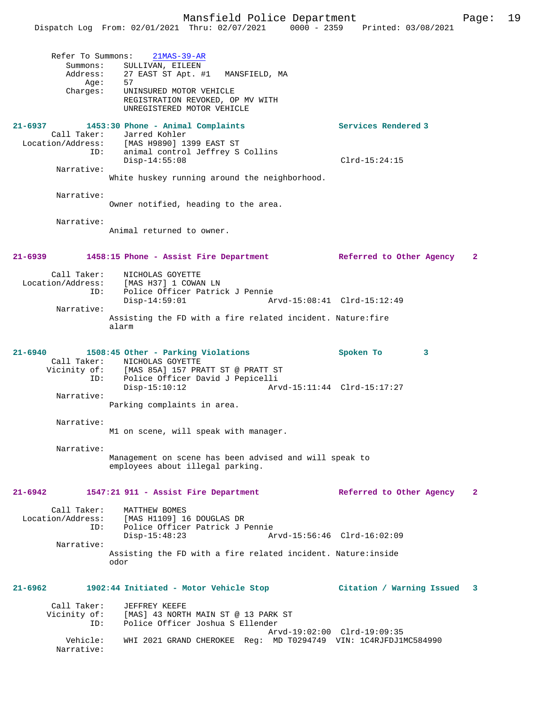|             | Refer To Summons: 21MAS-39-AR              |                     |
|-------------|--------------------------------------------|---------------------|
| Summons:    | SULLIVAN, EILEEN                           |                     |
| Address:    | 27 EAST ST Apt. #1<br>MANSFIELD, MA        |                     |
| Age:        | 57                                         |                     |
| Charges:    | UNINSURED MOTOR VEHICLE                    |                     |
|             | REGISTRATION REVOKED, OP MV WITH           |                     |
|             | UNREGISTERED MOTOR VEHICLE                 |                     |
| $21 - 6937$ | 1453:30 Phone - Animal Complaints          | Services Rendered 3 |
|             | Call Taker: Jarred Kohler                  |                     |
|             | Location/Address: [MAS H9890] 1399 EAST ST |                     |
| ID:         | animal control Jeffrey S Collins           |                     |
|             |                                            |                     |

Disp-14:55:08 Clrd-15:24:15

White huskey running around the neighborhood.

Narrative:

Narrative:

Owner notified, heading to the area.

Narrative:

Animal returned to owner.

#### **21-6939 1458:15 Phone - Assist Fire Department Referred to Other Agency 2**

| Call Taker:       | NICHOLAS GOYETTE                                                     |  |                             |  |  |  |
|-------------------|----------------------------------------------------------------------|--|-----------------------------|--|--|--|
| Location/Address: | [MAS H37] 1 COWAN LN                                                 |  |                             |  |  |  |
| ID:               | Police Officer Patrick J Pennie                                      |  |                             |  |  |  |
|                   | $Disp-14:59:01$                                                      |  | Arvd-15:08:41 Clrd-15:12:49 |  |  |  |
| Narrative:        |                                                                      |  |                             |  |  |  |
|                   | Assisting the FD with a fire related incident. Nature: fire<br>alarm |  |                             |  |  |  |

#### **21-6940 1508:45 Other - Parking Violations Spoken To 3**  Call Taker: NICHOLAS GOYETTE<br>Vicinity of: [MAS 85A] 157 PR [MAS 85A] 157 PRATT ST @ PRATT ST ID: Police Officer David J Pepicelli Disp-15:10:12 Arvd-15:11:44 Clrd-15:17:27 Narrative:

Parking complaints in area.

Narrative:

M1 on scene, will speak with manager.

Narrative:

Management on scene has been advised and will speak to employees about illegal parking.

### **21-6942 1547:21 911 - Assist Fire Department Referred to Other Agency 2**

| Call Taker:       | MATTHEW BOMES                                                 |  |
|-------------------|---------------------------------------------------------------|--|
| Location/Address: | [MAS H1109] 16 DOUGLAS DR                                     |  |
| ID:               | Police Officer Patrick J Pennie                               |  |
|                   | Arvd-15:56:46 Clrd-16:02:09<br>Disp-15:48:23                  |  |
| Narrative:        |                                                               |  |
|                   | Assisting the FD with a fire related incident. Nature: inside |  |
|                   | odor                                                          |  |

## **21-6962 1902:44 Initiated - Motor Vehicle Stop Citation / Warning Issued 3**

| Call Taker:            | JEFFREY KEEFE                                                   |
|------------------------|-----------------------------------------------------------------|
| Vicinity of:           | [MAS] 43 NORTH MAIN ST @ 13 PARK ST                             |
| ID:                    | Police Officer Joshua S Ellender                                |
|                        | Arvd-19:02:00 Clrd-19:09:35                                     |
| Vehicle:<br>Narrative: | WHI 2021 GRAND CHEROKEE Reg: MD T0294749 VIN: 1C4RJFDJ1MC584990 |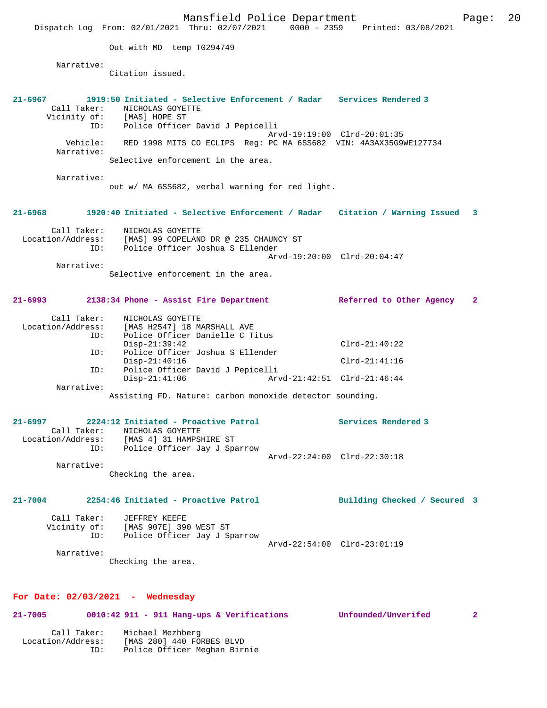Mansfield Police Department Page: 20 Dispatch Log From: 02/01/2021 Thru: 02/07/2021 0000 - 2359 Printed: 03/08/2021 Out with MD temp T0294749 Narrative: Citation issued. **21-6967 1919:50 Initiated - Selective Enforcement / Radar Services Rendered 3**  Call Taker: NICHOLAS GOYETTE Vicinity of: [MAS] HOPE ST ID: Police Officer David J Pepicelli Arvd-19:19:00 Clrd-20:01:35 Vehicle: RED 1998 MITS CO ECLIPS Reg: PC MA 6SS682 VIN: 4A3AX35G9WE127734 Narrative: Selective enforcement in the area. Narrative: out w/ MA 6SS682, verbal warning for red light. **21-6968 1920:40 Initiated - Selective Enforcement / Radar Citation / Warning Issued 3** Call Taker: NICHOLAS GOYETTE Location/Address: [MAS] 99 COPELAND DR @ 235 CHAUNCY ST ID: Police Officer Joshua S Ellender Arvd-19:20:00 Clrd-20:04:47 Narrative: Selective enforcement in the area. **21-6993 2138:34 Phone - Assist Fire Department Referred to Other Agency 2** Call Taker: NICHOLAS GOYETTE Location/Address: [MAS H2547] 18 MARSHALL AVE<br>TD: Police Officer Danielle C.T: Police Officer Danielle C Titus<br>Disp-21:39:42 Disp-21:39:42 Clrd-21:40:22<br>Th: Police Officer Joshua S Ellender Police Officer Joshua S Ellender Disp-21:40:16 Clrd-21:41:16 ID: Police Officer David J Pepicelli Disp-21:41:06 Arvd-21:42:51 Clrd-21:46:44 Narrative: Assisting FD. Nature: carbon monoxide detector sounding. **21-6997 2224:12 Initiated - Proactive Patrol Services Rendered 3**  Call Taker: NICHOLAS GOYETTE Location/Address: [MAS 4] 31 HAMPSHIRE ST ID: Police Officer Jay J Sparrow Arvd-22:24:00 Clrd-22:30:18 Narrative: Checking the area. **21-7004 2254:46 Initiated - Proactive Patrol Building Checked / Secured 3** Call Taker: JEFFREY KEEFE Vicinity of: [MAS 907E] 390 WEST ST ID: Police Officer Jay J Sparrow Arvd-22:54:00 Clrd-23:01:19 Narrative: Checking the area. **For Date: 02/03/2021 - Wednesday 21-7005 0010:42 911 - 911 Hang-ups & Verifications Unfounded/Unverifed 2**

Call Taker: Michael Mezhberg<br>Location/Address: [MAS 280] 440 FOR [MAS 280] 440 FORBES BLVD ID: Police Officer Meghan Birnie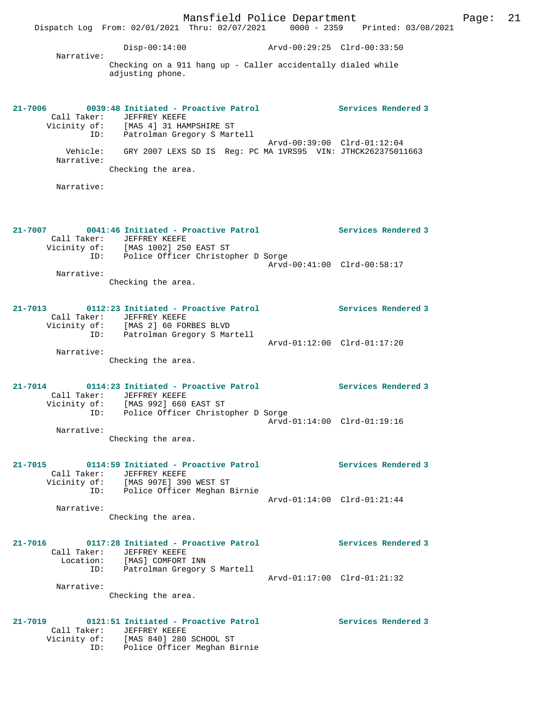Mansfield Police Department Fage: 21 Dispatch Log From: 02/01/2021 Thru: 02/07/2021 0000 - 2359 Printed: 03/08/2021 Disp-00:14:00 Arvd-00:29:25 Clrd-00:33:50 Narrative: Checking on a 911 hang up - Caller accidentally dialed while adjusting phone. **21-7006 0039:48 Initiated - Proactive Patrol Services Rendered 3**  Call Taker: JEFFREY KEEFE Vicinity of: [MAS 4] 31 HAMPSHIRE ST ID: Patrolman Gregory S Martell Arvd-00:39:00 Clrd-01:12:04 Vehicle: GRY 2007 LEXS SD IS Reg: PC MA 1VRS95 VIN: JTHCK262375011663 Narrative: Checking the area. Narrative: **21-7007 0041:46 Initiated - Proactive Patrol Services Rendered 3**  Call Taker: JEFFREY KEEFE Vicinity of: [MAS 1002] 250 EAST ST ID: Police Officer Christopher D Sorge Arvd-00:41:00 Clrd-00:58:17 Narrative: Checking the area. **21-7013 0112:23 Initiated - Proactive Patrol Services Rendered 3**  Call Taker: JEFFREY KEEFE Vicinity of: [MAS 2] 60 FORBES BLVD ID: Patrolman Gregory S Martell Arvd-01:12:00 Clrd-01:17:20 Narrative: Checking the area. **21-7014 0114:23 Initiated - Proactive Patrol Services Rendered 3**  Call Taker: JEFFREY KEEFE Vicinity of: [MAS 992] 660 EAST ST ID: Police Officer Christopher D Sorge Arvd-01:14:00 Clrd-01:19:16 Narrative: Checking the area. **21-7015 0114:59 Initiated - Proactive Patrol Services Rendered 3**  Call Taker: JEFFREY KEEFE Vicinity of: [MAS 907E] 390 WEST ST ID: Police Officer Meghan Birnie Arvd-01:14:00 Clrd-01:21:44 Narrative: Checking the area. **21-7016 0117:28 Initiated - Proactive Patrol Services Rendered 3**  Call Taker: JEFFREY KEEFE Location: [MAS] COMFORT INN ID: Patrolman Gregory S Martell Arvd-01:17:00 Clrd-01:21:32 Narrative: Checking the area. **21-7019 0121:51 Initiated - Proactive Patrol Services Rendered 3**  Call Taker: JEFFREY KEEFE Vicinity of: [MAS 840] 280 SCHOOL ST

ID: Police Officer Meghan Birnie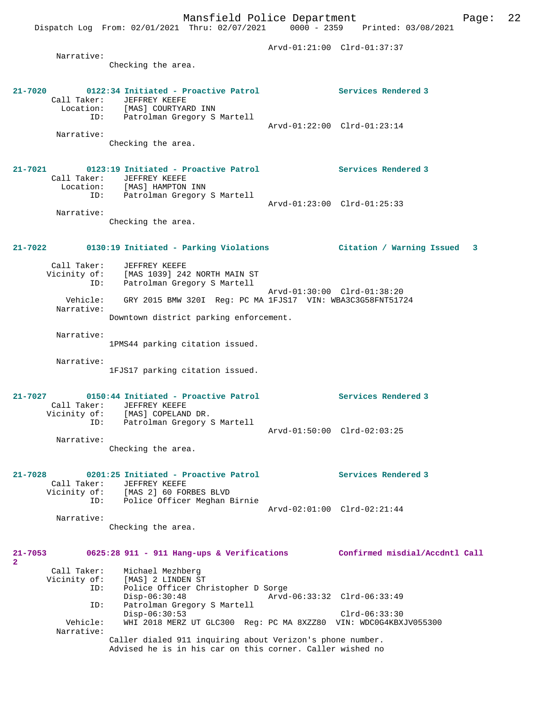Arvd-01:21:00 Clrd-01:37:37 Narrative: Checking the area. **21-7020 0122:34 Initiated - Proactive Patrol Services Rendered 3**  Call Taker: JEFFREY KEEFE Location: [MAS] COURTYARD INN ...<br>ion: [MAS] COURTYARD INN<br>ID: Patrolman Gregory S Martell Arvd-01:22:00 Clrd-01:23:14 Narrative: Checking the area. **21-7021 0123:19 Initiated - Proactive Patrol Services Rendered 3**  Call Taker: JEFFREY KEEFE Location: [MAS] HAMPTON INN ID: Patrolman Gregory S Martell Arvd-01:23:00 Clrd-01:25:33 Narrative: Checking the area. **21-7022 0130:19 Initiated - Parking Violations Citation / Warning Issued 3** Call Taker: JEFFREY KEEFE Vicinity of: [MAS 1039] 242 NORTH MAIN ST ID: Patrolman Gregory S Martell Arvd-01:30:00 Clrd-01:38:20 Vehicle: GRY 2015 BMW 320I Reg: PC MA 1FJS17 VIN: WBA3C3G58FNT51724 Narrative: Downtown district parking enforcement. Narrative: 1PMS44 parking citation issued. Narrative: 1FJS17 parking citation issued. **21-7027 0150:44 Initiated - Proactive Patrol Services Rendered 3**  Call Taker: JEFFREY KEEFE Vicinity of: [MAS] COPELAND DR. ID: Patrolman Gregory S Martell Arvd-01:50:00 Clrd-02:03:25 Narrative: Checking the area. **21-7028 0201:25 Initiated - Proactive Patrol Services Rendered 3**  Call Taker: JEFFREY KEEFE Vicinity of: [MAS 2] 60 FORBES BLVD ID: Police Officer Meghan Birnie Arvd-02:01:00 Clrd-02:21:44 Narrative: Checking the area. **21-7053 0625:28 911 - 911 Hang-ups & Verifications Confirmed misdial/Accdntl Call 2**  Call Taker: Michael Mezhberg Vicinity of: [MAS] 2 LINDEN ST ID: Police Officer Christopher D Sorge<br>Disp-06:30:48 Arvd Disp-06:30:48 Arvd-06:33:32 Clrd-06:33:49 ID: Patrolman Gregory S Martell Disp-06:30:53 Clrd-06:33:30 Vehicle: WHI 2018 MERZ UT GLC300 Reg: PC MA 8XZZ80 VIN: WDC0G4KBXJV055300 Narrative: Caller dialed 911 inquiring about Verizon's phone number. Advised he is in his car on this corner. Caller wished no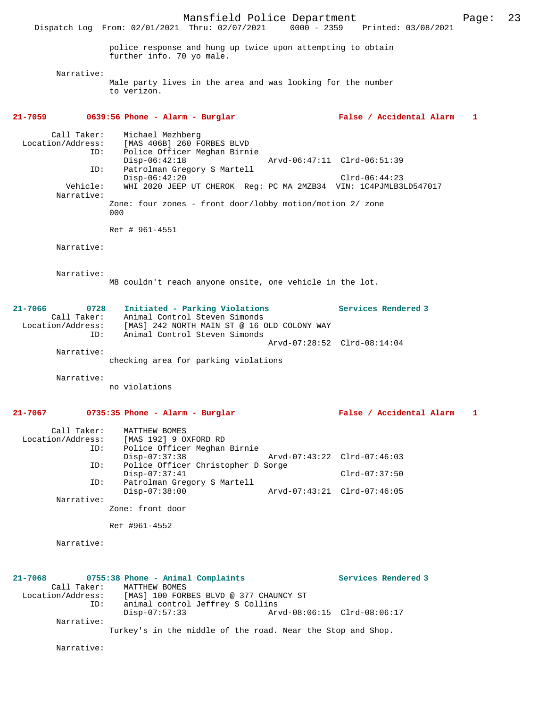Mansfield Police Department Page: 23 Dispatch Log From: 02/01/2021 Thru: 02/07/2021 0000 - 2359 Printed: 03/08/2021 police response and hung up twice upon attempting to obtain further info. 70 yo male. Narrative: Male party lives in the area and was looking for the number to verizon. **21-7059 0639:56 Phone - Alarm - Burglar False / Accidental Alarm 1** Call Taker: Michael Mezhberg<br>Location/Address: [MAS 406B] 260 F [MAS 406B] 260 FORBES BLVD ID: Police Officer Meghan Birnie Disp-06:42:18 Arvd-06:47:11 Clrd-06:51:39<br>ID: Patrolman Gregory S Martell Disp-06:42:18<br>Patrolman Gregory S Martell Disp-06:42:20 Clrd-06:44:23 Vehicle: WHI 2020 JEEP UT CHEROK Reg: PC MA 2MZB34 VIN: 1C4PJMLB3LD547017 Narrative: Zone: four zones - front door/lobby motion/motion 2/ zone 000 Ref # 961-4551 Narrative: Narrative: M8 couldn't reach anyone onsite, one vehicle in the lot. **21-7066 0728 Initiated - Parking Violations Services Rendered 3**  Call Taker: Animal Control Steven Simonds Location/Address: [MAS] 242 NORTH MAIN ST @ 16 OLD COLONY WAY ID: Animal Control Steven Simonds Arvd-07:28:52 Clrd-08:14:04 Narrative: checking area for parking violations Narrative: no violations **21-7067 0735:35 Phone - Alarm - Burglar False / Accidental Alarm 1** Call Taker: MATTHEW BOMES Location/Address: [MAS 192] 9 OXFORD RD<br>TD: Police Officer Meghan Police Officer Meghan Birnie<br>Disp-07:37:38 Disp-07:37:38 Arvd-07:43:22 Clrd-07:46:03 ID: Police Officer Christopher D Sorge Disp-07:37:41 Clrd-07:37:50 ID: Patrolman Gregory S Martell Disp-07:38:00 Arvd-07:43:21 Clrd-07:46:05 Narrative: Zone: front door Ref #961-4552 Narrative: **21-7068 0755:38 Phone - Animal Complaints Services Rendered 3**  Call Taker: MATTHEW BOMES<br>Location/Address: [MAS] 100 FORI ess: [MAS] 100 FORBES BLVD @ 377 CHAUNCY ST<br>ID: animal control Jeffrey S Collins animal control Jeffrey S Collins<br>Disp-07:57:33 Arv Arvd-08:06:15 Clrd-08:06:17 Narrative: Turkey's in the middle of the road. Near the Stop and Shop.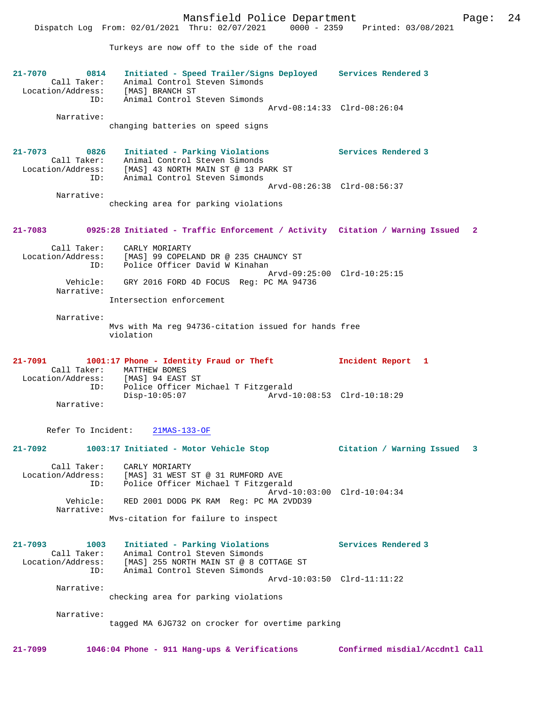Turkeys are now off to the side of the road

| $21 - 7070$<br>0814<br>Call Taker:<br>Location/Address:<br>ID: | Initiated - Speed Trailer/Signs Deployed Services Rendered 3<br>Animal Control Steven Simonds<br>[MAS] BRANCH ST<br>Animal Control Steven Simonds                     |                             |
|----------------------------------------------------------------|-----------------------------------------------------------------------------------------------------------------------------------------------------------------------|-----------------------------|
| Narrative:                                                     | changing batteries on speed signs                                                                                                                                     | Arvd-08:14:33 Clrd-08:26:04 |
| 0826<br>$21 - 7073$<br>TD:                                     | Initiated - Parking Violations<br>Call Taker: Animal Control Steven Simonds<br>Location/Address: [MAS] 43 NORTH MAIN ST @ 13 PARK ST<br>Animal Control Steven Simonds | Services Rendered 3         |
| Narrative:                                                     | checking area for parking violations                                                                                                                                  | Arvd-08:26:38 Clrd-08:56:37 |
|                                                                | 21-7083 0925:28 Initiated - Traffic Enforcement / Activity Citation / Warning Issued                                                                                  | 2                           |
| Call Taker:<br>Location/Address:<br>ID:                        | CARLY MORIARTY<br>[MAS] 99 COPELAND DR @ 235 CHAUNCY ST<br>Police Officer David W Kinahan                                                                             |                             |
| Vehicle:<br>Narrative:                                         | GRY 2016 FORD 4D FOCUS Req: PC MA 94736                                                                                                                               | Arvd-09:25:00 Clrd-10:25:15 |
|                                                                | Intersection enforcement                                                                                                                                              |                             |

 Narrative: Mvs with Ma reg 94736-citation issued for hands free violation

| $21 - 7091$       |     |                 | 1001:17 Phone - Identity Fraud or Theft |  |                                     | Incident Report 1 |  |
|-------------------|-----|-----------------|-----------------------------------------|--|-------------------------------------|-------------------|--|
| Call Taker:       |     | MATTHEW BOMES   |                                         |  |                                     |                   |  |
| Location/Address: |     |                 | [MAS] 94 EAST ST                        |  |                                     |                   |  |
|                   | ID: |                 |                                         |  | Police Officer Michael T Fitzgerald |                   |  |
|                   |     | $Disp-10:05:07$ |                                         |  | Arvd-10:08:53 Clrd-10:18:29         |                   |  |
| Narrative:        |     |                 |                                         |  |                                     |                   |  |

Refer To Incident: 21MAS-133-OF

### **21-7092 1003:17 Initiated - Motor Vehicle Stop Citation / Warning Issued 3**

 Call Taker: CARLY MORIARTY Location/Address: [MAS] 31 WEST ST @ 31 RUMFORD AVE ID: Police Officer Michael T Fitzgerald Arvd-10:03:00 Clrd-10:04:34<br>Vehicle: RED 2001 DODG PK RAM Reg: PC MA 2VDD39 RED 2001 DODG PK RAM Reg: PC MA 2VDD39 Narrative: Mvs-citation for failure to inspect

```
21-7093 1003 Initiated - Parking Violations Services Rendered 3 
 Call Taker: Animal Control Steven Simonds
 Location/Address: [MAS] 255 NORTH MAIN ST @ 8 COTTAGE ST
 ID: Animal Control Steven Simonds
                                            Arvd-10:03:50 Clrd-11:11:22
        Narrative:
```
checking area for parking violations

Narrative:

tagged MA 6JG732 on crocker for overtime parking

**21-7099 1046:04 Phone - 911 Hang-ups & Verifications Confirmed misdial/Accdntl Call**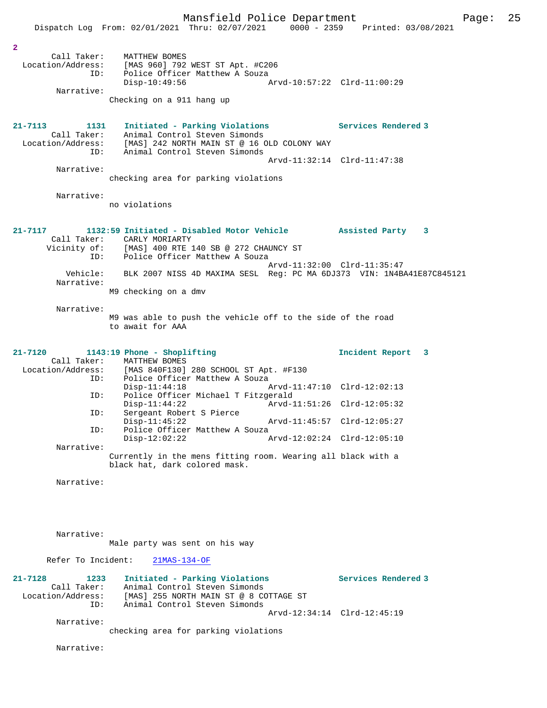|                                    | Mansfield Police Department                                                                                                                            |                             |                     | 25<br>Page: |
|------------------------------------|--------------------------------------------------------------------------------------------------------------------------------------------------------|-----------------------------|---------------------|-------------|
|                                    | Dispatch Log From: 02/01/2021 Thru: 02/07/2021 0000 - 2359 Printed: 03/08/2021                                                                         |                             |                     |             |
| $\overline{a}$                     |                                                                                                                                                        |                             |                     |             |
|                                    | Call Taker: MATTHEW BOMES<br>Location/Address: [MAS 960] 792 WEST ST Apt. #C206<br>ID: Police Officer Matthew A Souza                                  |                             |                     |             |
| Narrative:                         | $Disp-10:49:56$                                                                                                                                        | Arvd-10:57:22 Clrd-11:00:29 |                     |             |
|                                    | Checking on a 911 hang up                                                                                                                              |                             |                     |             |
| $21 - 7113$<br>1131                | Initiated - Parking Violations<br>Call Taker: Animal Control Steven Simonds                                                                            | Services Rendered 3         |                     |             |
| ID:                                | Location/Address: [MAS] 242 NORTH MAIN ST @ 16 OLD COLONY WAY<br>Animal Control Steven Simonds                                                         | Arvd-11:32:14 Clrd-11:47:38 |                     |             |
| Narrative:                         | checking area for parking violations                                                                                                                   |                             |                     |             |
| Narrative:                         |                                                                                                                                                        |                             |                     |             |
|                                    | no violations                                                                                                                                          |                             |                     |             |
| $21 - 7117$                        | 1132:59 Initiated - Disabled Motor Vehicle Assisted Party 3<br>Call Taker: CARLY MORIARTY                                                              |                             |                     |             |
|                                    | Vicinity of: [MAS] 400 RTE 140 SB @ 272 CHAUNCY ST<br>ID: Police Officer Matthew A Souza<br>Police Officer Matthew A Souza                             |                             |                     |             |
| Vehicle:                           | BLK 2007 NISS 4D MAXIMA SESL Reg: PC MA 6DJ373 VIN: 1N4BA41E87C845121                                                                                  | Arvd-11:32:00 Clrd-11:35:47 |                     |             |
| Narrative:                         | M9 checking on a dmv                                                                                                                                   |                             |                     |             |
| Narrative:                         |                                                                                                                                                        |                             |                     |             |
|                                    | M9 was able to push the vehicle off to the side of the road<br>to await for AAA                                                                        |                             |                     |             |
| $21 - 7120$<br>ID:                 | 1143:19 Phone - Shoplifting<br>Call Taker: MATTHEW BOMES<br>Location/Address: [MAS 840F130] 280 SCHOOL ST Apt. #F130<br>Police Officer Matthew A Souza |                             | Incident Report 3   |             |
| ID:                                | $Disp-11:44:18$<br>Police Officer Michael T Fitzgerald                                                                                                 |                             |                     |             |
| ID:                                | $Disp-11:44:22$<br>Sergeant Robert S Pierce                                                                                                            | Arvd-11:51:26 Clrd-12:05:32 |                     |             |
| ID:                                | $Disp-11:45:22$<br>Police Officer Matthew A Souza                                                                                                      | Arvd-11:45:57 Clrd-12:05:27 |                     |             |
| Narrative:                         | $Disp-12:02:22$                                                                                                                                        | Arvd-12:02:24 Clrd-12:05:10 |                     |             |
|                                    | Currently in the mens fitting room. Wearing all black with a<br>black hat, dark colored mask.                                                          |                             |                     |             |
| Narrative:                         |                                                                                                                                                        |                             |                     |             |
|                                    |                                                                                                                                                        |                             |                     |             |
| Narrative:                         | Male party was sent on his way                                                                                                                         |                             |                     |             |
| Refer To Incident:                 | $21MAS-134-OF$                                                                                                                                         |                             |                     |             |
| $21 - 7128$<br>1233<br>Call Taker: | Initiated - Parking Violations<br>Animal Control Steven Simonds                                                                                        |                             | Services Rendered 3 |             |
| Location/Address:<br>ID:           | [MAS] 255 NORTH MAIN ST @ 8 COTTAGE ST<br>Animal Control Steven Simonds                                                                                |                             |                     |             |
| Narrative:                         |                                                                                                                                                        | Arvd-12:34:14 Clrd-12:45:19 |                     |             |
|                                    | checking area for parking violations                                                                                                                   |                             |                     |             |
| Narrative:                         |                                                                                                                                                        |                             |                     |             |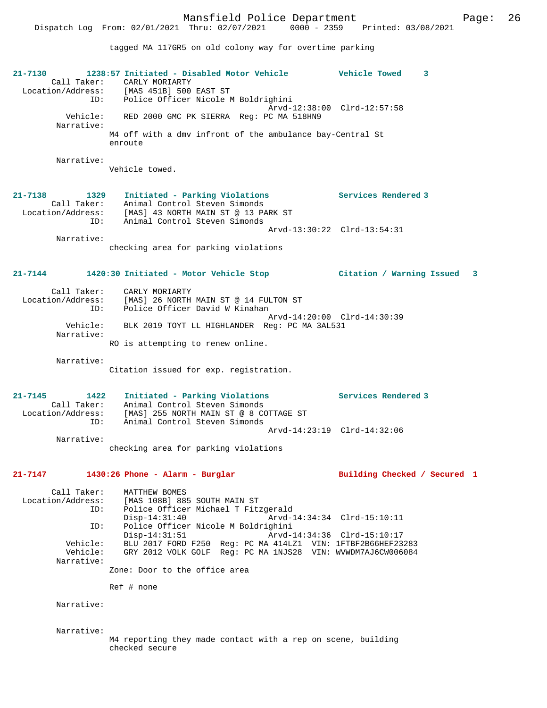tagged MA 117GR5 on old colony way for overtime parking

| 21-7130<br>Call Taker:                              | 1238:57 Initiated - Disabled Motor Vehicle<br>CARLY MORIARTY<br>Location/Address: [MAS 451B] 500 EAST ST<br>ID: Police Officer Nicole M Boldrighini       | <b>Vehicle Towed</b><br>3    |
|-----------------------------------------------------|-----------------------------------------------------------------------------------------------------------------------------------------------------------|------------------------------|
| Vehicle:<br>Narrative:                              | RED 2000 GMC PK SIERRA Req: PC MA 518HN9                                                                                                                  | Arvd-12:38:00 Clrd-12:57:58  |
|                                                     | M4 off with a dmv infront of the ambulance bay-Central St<br>enroute                                                                                      |                              |
| Narrative:                                          | Vehicle towed.                                                                                                                                            |                              |
| $21 - 7138$<br>1329<br>Call Taker:<br>ID:           | Initiated - Parking Violations<br>Animal Control Steven Simonds<br>Location/Address: [MAS] 43 NORTH MAIN ST @ 13 PARK ST<br>Animal Control Steven Simonds | Services Rendered 3          |
| Narrative:                                          |                                                                                                                                                           | Arvd-13:30:22 Clrd-13:54:31  |
|                                                     | checking area for parking violations                                                                                                                      |                              |
| $21 - 7144$                                         | 1420:30 Initiated - Motor Vehicle Stop                                                                                                                    | Citation / Warning Issued 3  |
| ID:                                                 | Call Taker: CARLY MORIARTY<br>Location/Address: [MAS] 26 NORTH MAIN ST @ 14 FULTON ST<br>Police Officer David W Kinahan                                   | Arvd-14:20:00 Clrd-14:30:39  |
| Narrative:                                          | Vehicle: BLK 2019 TOYT LL HIGHLANDER Reg: PC MA 3AL531                                                                                                    |                              |
|                                                     | RO is attempting to renew online.                                                                                                                         |                              |
| Narrative:                                          | Citation issued for exp. registration.                                                                                                                    |                              |
| 21-7145<br>1422<br>Call Taker:<br>Location/Address: | Initiated - Parking Violations<br>Animal Control Steven Simonds<br>[MAS] 255 NORTH MAIN ST @ 8 COTTAGE ST                                                 | Services Rendered 3          |
| ID:                                                 | Animal Control Steven Simonds                                                                                                                             | Arvd-14:23:19 Clrd-14:32:06  |
| Narrative:                                          | checking area for parking violations                                                                                                                      |                              |
| 21-7147                                             | 1430:26 Phone - Alarm - Burglar                                                                                                                           | Building Checked / Secured 1 |
| Call Taker:<br>Location/Address:<br>ID:             | MATTHEW BOMES<br>[MAS 108B] 885 SOUTH MAIN ST<br>Police Officer Michael T Fitzgerald<br>$Disp-14:31:40$                                                   | Arvd-14:34:34 Clrd-15:10:11  |
| ID:                                                 | Police Officer Nicole M Boldrighini<br>$Disp-14:31:51$                                                                                                    | Arvd-14:34:36 Clrd-15:10:17  |
| Vehicle:<br>Vehicle:                                | BLU 2017 FORD F250 Req: PC MA 414LZ1 VIN: 1FTBF2B66HEF23283<br>GRY 2012 VOLK GOLF Req: PC MA 1NJS28 VIN: WVWDM7AJ6CW006084                                |                              |
| Narrative:                                          | Zone: Door to the office area                                                                                                                             |                              |
|                                                     | Ref # none                                                                                                                                                |                              |
| Narrative:                                          |                                                                                                                                                           |                              |
| Narrative:                                          | M4 reporting they made contact with a rep on scene, building<br>checked secure                                                                            |                              |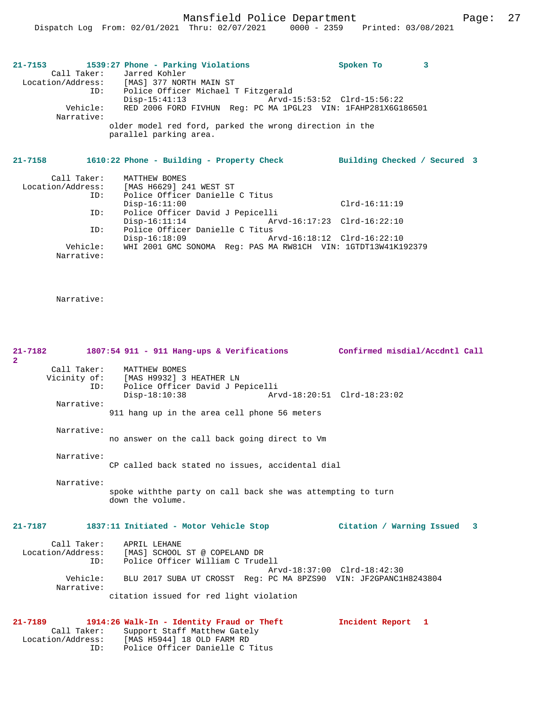Mansfield Police Department Page: 27

| 21-7153    |          | 1539:27 Phone - Parking Violations                                                |  | Spoken To |  |
|------------|----------|-----------------------------------------------------------------------------------|--|-----------|--|
|            |          | Call Taker: Jarred Kohler                                                         |  |           |  |
|            |          | Location/Address: [MAS] 377 NORTH MAIN ST                                         |  |           |  |
|            | ID:      | Police Officer Michael T Fitzgerald                                               |  |           |  |
|            |          | $Disp-15:41:13$                                                                   |  |           |  |
| Narrative: | Vehicle: | RED 2006 FORD FIVHUN Req: PC MA 1PGL23 VIN: 1FAHP281X6G186501                     |  |           |  |
|            |          | older model red ford, parked the wrong direction in the<br>parallel parking area. |  |           |  |
|            |          |                                                                                   |  |           |  |

## **21-7158 1610:22 Phone - Building - Property Check Building Checked / Secured 3**

ID: Police Officer Danielle C Titus

| Call Taker:       | MATTHEW BOMES                                                 |                             |
|-------------------|---------------------------------------------------------------|-----------------------------|
| Location/Address: | [MAS H6629] 241 WEST ST                                       |                             |
| ID:               | Police Officer Danielle C Titus                               |                             |
|                   | $Disp-16:11:00$                                               | $Clrd-16:11:19$             |
| ID:               | Police Officer David J Pepicelli                              |                             |
|                   | $Disp-16:11:14$                                               | Arvd-16:17:23 Clrd-16:22:10 |
| ID:               | Police Officer Danielle C Titus                               |                             |
|                   | $Disp-16:18:09$                                               | Arvd-16:18:12 Clrd-16:22:10 |
| Vehicle:          | WHI 2001 GMC SONOMA Req: PAS MA RW81CH VIN: 1GTDT13W41K192379 |                             |
| Narrative:        |                                                               |                             |

| $21 - 7182$<br>$\overline{2}$ |                                  | 1807:54 911 - 911 Hang-ups & Verifications                                                                                                                                                                                     | Confirmed misdial/Accdntl Call |  |
|-------------------------------|----------------------------------|--------------------------------------------------------------------------------------------------------------------------------------------------------------------------------------------------------------------------------|--------------------------------|--|
|                               | Call Taker:<br>ID:               | MATTHEW BOMES<br>Vicinity of: [MAS H9932] 3 HEATHER LN<br>Police Officer David J Pepicelli<br>Disp-18:10:38                                                                                                                    | Arvd-18:20:51 Clrd-18:23:02    |  |
|                               | Narrative:                       | 911 hang up in the area cell phone 56 meters                                                                                                                                                                                   |                                |  |
|                               | Narrative:                       | no answer on the call back going direct to Vm                                                                                                                                                                                  |                                |  |
|                               | Narrative:                       | CP called back stated no issues, accidental dial                                                                                                                                                                               |                                |  |
|                               | Narrative:                       | spoke withthe party on call back she was attempting to turn<br>down the volume.                                                                                                                                                |                                |  |
| $21 - 7187$                   |                                  | 1837:11 Initiated - Motor Vehicle Stop                                                                                                                                                                                         | Citation / Warning Issued 3    |  |
|                               | ID:<br>Vehicle:<br>Narrative:    | Call Taker: APRIL LEHANE<br>Location/Address: [MAS] SCHOOL ST @ COPELAND DR<br>Police Officer William C Trudell<br>BLU 2017 SUBA UT CROSST Req: PC MA 8PZS90 VIN: JF2GPANC1H8243804<br>citation issued for red light violation | Arvd-18:37:00 Clrd-18:42:30    |  |
| $21 - 7189$                   | Call Taker:<br>Location/Address: | 1914:26 Walk-In - Identity Fraud or Theft<br>Support Staff Matthew Gately<br>[MAS H5944] 18 OLD FARM RD                                                                                                                        | Incident Report 1              |  |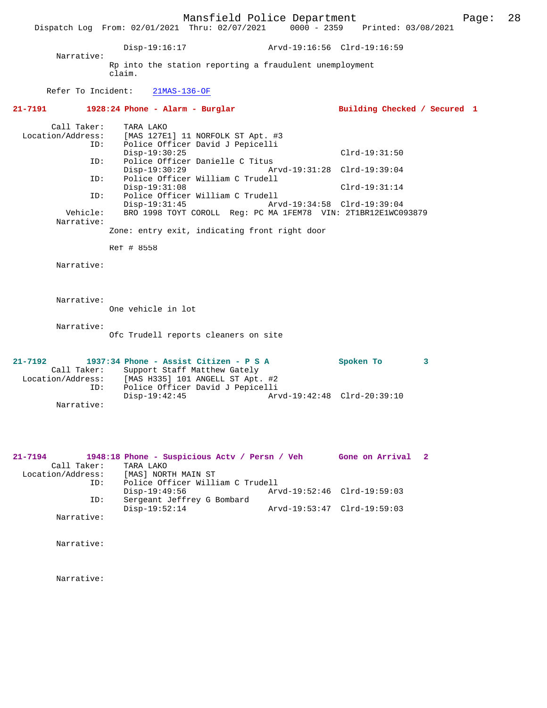Mansfield Police Department Page: 28 Dispatch Log From: 02/01/2021 Thru: 02/07/2021 Disp-19:16:17 Arvd-19:16:56 Clrd-19:16:59 Narrative: Rp into the station reporting a fraudulent unemployment claim. Refer To Incident: 21MAS-136-OF **21-7191 1928:24 Phone - Alarm - Burglar Building Checked / Secured 1** Call Taker: TARA LAKO Location/Address: [MAS 127E1] 11 NORFOLK ST Apt. #3 ID: Police Officer David J Pepicelli Disp-19:30:25 Clrd-19:31:50<br>ID: Police Officer Danielle C Titus Police Officer Danielle C Titus<br>Disp-19:30:29 Ary<br>Dolice Office Disp-19:30:29 Arvd-19:31:28 Clrd-19:39:04<br>ID: Police Officer William C Trudell Police Officer William C Trudell Disp-19:31:08 Clrd-19:31:14<br>TD: Police Officer William C Trudell ID: Police Officer William C Trudell Disp-19:31:45 Arvd-19:34:58 Clrd-19:39:04<br>Vehicle: BRO 1998 TOYT COROLL Req: PC MA 1FEM78 VIN: 2T1BR12E1WC09 Vehicle: BRO 1998 TOYT COROLL Reg: PC MA 1FEM78 VIN: 2T1BR12E1WC093879 Narrative: Zone: entry exit, indicating front right door Ref # 8558 Narrative: Narrative: One vehicle in lot Narrative: Ofc Trudell reports cleaners on site **21-7192 1937:34 Phone - Assist Citizen - P S A Spoken To 3**  Call Taker: Support Staff Matthew Gately<br>Location/Address: [MAS H335] 101 ANGELL ST Apt. ess: [MAS H335] 101 ANGELL ST Apt. #2<br>ID: Police Officer David J Pepicelli Police Officer David J Pepicelli<br>Disp-19:42:45 Arv Disp-19:42:45 Arvd-19:42:48 Clrd-20:39:10 Narrative: **21-7194 1948:18 Phone - Suspicious Actv / Persn / Veh Gone on Arrival 2**  Call Taker: TARA LAKO<br>Location/Address: [MAS] NOR [MAS] NORTH MAIN ST

 ID: Police Officer William C Trudell Disp-19:49:56 Arvd-19:52:46 Clrd-19:59:03<br>ID: Sergeant Jeffrey G Bombard Sergeant Jeffrey G Bombard<br>Disp-19:52:14 Disp-19:52:14 Arvd-19:53:47 Clrd-19:59:03 Narrative:

Narrative: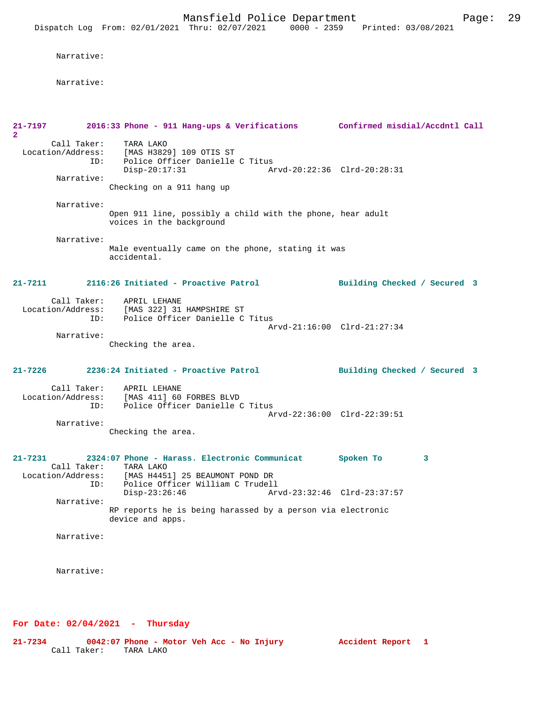Narrative:

Narrative:

| TARA LAKO<br>Police Officer Danielle C Titus<br>Disp-20:17:31                          | Arvd-20:22:36 Clrd-20:28:31                                                                                                                                                                                                                                                                                                                                                                                                                                                                                                                                                |
|----------------------------------------------------------------------------------------|----------------------------------------------------------------------------------------------------------------------------------------------------------------------------------------------------------------------------------------------------------------------------------------------------------------------------------------------------------------------------------------------------------------------------------------------------------------------------------------------------------------------------------------------------------------------------|
| Checking on a 911 hang up                                                              |                                                                                                                                                                                                                                                                                                                                                                                                                                                                                                                                                                            |
| Open 911 line, possibly a child with the phone, hear adult<br>voices in the background |                                                                                                                                                                                                                                                                                                                                                                                                                                                                                                                                                                            |
| Male eventually came on the phone, stating it was<br>accidental.                       |                                                                                                                                                                                                                                                                                                                                                                                                                                                                                                                                                                            |
|                                                                                        | Building Checked / Secured 3                                                                                                                                                                                                                                                                                                                                                                                                                                                                                                                                               |
| Police Officer Danielle C Titus                                                        | Arvd-21:16:00 Clrd-21:27:34                                                                                                                                                                                                                                                                                                                                                                                                                                                                                                                                                |
| Checking the area.                                                                     |                                                                                                                                                                                                                                                                                                                                                                                                                                                                                                                                                                            |
|                                                                                        | Building Checked / Secured 3                                                                                                                                                                                                                                                                                                                                                                                                                                                                                                                                               |
| Police Officer Danielle C Titus                                                        |                                                                                                                                                                                                                                                                                                                                                                                                                                                                                                                                                                            |
| Checking the area.                                                                     |                                                                                                                                                                                                                                                                                                                                                                                                                                                                                                                                                                            |
| [MAS H4451] 25 BEAUMONT POND DR                                                        | Spoken To<br>3                                                                                                                                                                                                                                                                                                                                                                                                                                                                                                                                                             |
| $Disp-23:26:46$                                                                        | Arvd-23:32:46 Clrd-23:37:57                                                                                                                                                                                                                                                                                                                                                                                                                                                                                                                                                |
| RP reports he is being harassed by a person via electronic<br>device and apps.         |                                                                                                                                                                                                                                                                                                                                                                                                                                                                                                                                                                            |
|                                                                                        |                                                                                                                                                                                                                                                                                                                                                                                                                                                                                                                                                                            |
|                                                                                        |                                                                                                                                                                                                                                                                                                                                                                                                                                                                                                                                                                            |
|                                                                                        | 2016:33 Phone - 911 Hang-ups & Verifications Confirmed misdial/Accdntl Call<br>Call Taker:<br>Location/Address: [MAS H3829] 109 OTIS ST<br>ID:<br>2116:26 Initiated - Proactive Patrol<br>Call Taker: APRIL LEHANE<br>Location/Address: [MAS 322] 31 HAMPSHIRE ST<br>ID:<br>2236:24 Initiated - Proactive Patrol<br>Call Taker: APRIL LEHANE<br>Location/Address: [MAS 411] 60 FORBES BLVD<br>ID:<br>Arvd-22:36:00 Clrd-22:39:51<br>2324:07 Phone - Harass. Electronic Communicat<br>Call Taker: TARA LAKO<br>Location/Address:<br>Police Officer William C Trudell<br>ID: |

**For Date: 02/04/2021 - Thursday**

**21-7234 0042:07 Phone - Motor Veh Acc - No Injury Accident Report 1**  Call Taker: TARA LAKO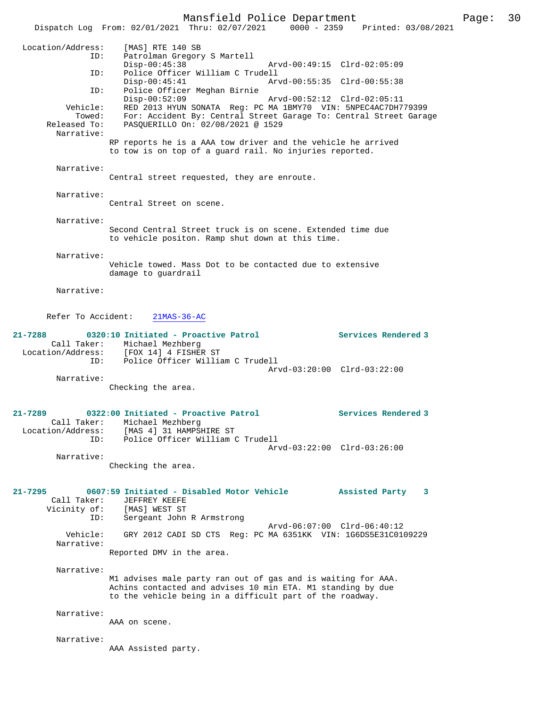Mansfield Police Department Page: 30 Dispatch Log From: 02/01/2021 Thru: 02/07/2021 0000 - 2359 Printed: 03/08/2021 Location/Address: [MAS] RTE 140 SB ID: Patrolman Gregory S Martell Disp-00:45:38 Arvd-00:49:15 Clrd-02:05:09 ID: Police Officer William C Trudell Arvd-00:55:35 Clrd-00:55:38 ID: Police Officer Meghan Birnie Disp-00:52:09 Arvd-00:52:12 Clrd-02:05:11 Vehicle: RED 2013 HYUN SONATA Reg: PC MA 1BMY70 VIN: 5NPEC4AC7DH779399 Towed: For: Accident By: Central Street Garage To: Central Street Garage Released To: PASQUERILLO On: 02/08/2021 @ 1529 Narrative: RP reports he is a AAA tow driver and the vehicle he arrived to tow is on top of a guard rail. No injuries reported. Narrative: Central street requested, they are enroute. Narrative: Central Street on scene. Narrative: Second Central Street truck is on scene. Extended time due to vehicle positon. Ramp shut down at this time. Narrative: Vehicle towed. Mass Dot to be contacted due to extensive damage to guardrail Narrative: Refer To Accident: 21MAS-36-AC **21-7288 0320:10 Initiated - Proactive Patrol Services Rendered 3**  Call Taker: Michael Mezhberg Location/Address: [FOX 14] 4 FISHER ST ID: Police Officer William C Trudell Arvd-03:20:00 Clrd-03:22:00 Narrative: Checking the area. **21-7289 0322:00 Initiated - Proactive Patrol Services Rendered 3**  Call Taker: Michael Mezhberg Location/Address: [MAS 4] 31 HAMPSHIRE ST ID: Police Officer William C Trudell Arvd-03:22:00 Clrd-03:26:00 Narrative: Checking the area. **21-7295 0607:59 Initiated - Disabled Motor Vehicle Assisted Party 3**  Call Taker: JEFFREY KEEFE Vicinity of: [MAS] WEST ST ID: Sergeant John R Armstrong Arvd-06:07:00 Clrd-06:40:12 Vehicle: GRY 2012 CADI SD CTS Reg: PC MA 6351KK VIN: 1G6DS5E31C0109229 Narrative: Reported DMV in the area. Narrative: M1 advises male party ran out of gas and is waiting for AAA. Achins contacted and advises 10 min ETA. M1 standing by due to the vehicle being in a difficult part of the roadway. Narrative: AAA on scene. Narrative: AAA Assisted party.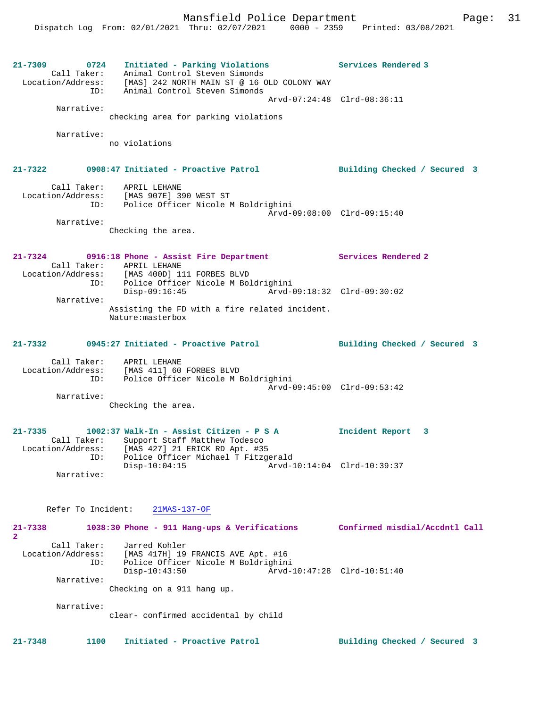| 21–7309<br>0724                         | Initiated - Parking Violations<br>Call Taker: Animal Control Steven Simonds<br>Location/Address: [MAS] 242 NORTH MAIN ST @ 16 OLD COLONY WAY<br>ID: Animal Control Steven Simonds    | Services Rendered 3          |
|-----------------------------------------|--------------------------------------------------------------------------------------------------------------------------------------------------------------------------------------|------------------------------|
| Narrative:                              |                                                                                                                                                                                      | Arvd-07:24:48 Clrd-08:36:11  |
|                                         | checking area for parking violations                                                                                                                                                 |                              |
| Narrative:                              | no violations                                                                                                                                                                        |                              |
|                                         | 21-7322 0908:47 Initiated - Proactive Patrol Building Checked / Secured 3                                                                                                            |                              |
|                                         | Call Taker: APRIL LEHANE<br>Location/Address: [MAS 907E] 390 WEST ST<br>ID: Police Officer Nicole M Boldrighini                                                                      | Arvd-09:08:00 Clrd-09:15:40  |
| Narrative:                              | Checking the area.                                                                                                                                                                   |                              |
| $21 - 7324$                             | 0916:18 Phone - Assist Fire Department<br>Call Taker: APRIL LEHANE<br>Location/Address: [MAS 400D] 111 FORBES BLVD                                                                   | Services Rendered 2          |
|                                         | ID: Police Officer Nicole M Boldrighini<br>Disp-09:16:45<br>Arvd-09:18:32 Clrd-09:30:02                                                                                              |                              |
| Narrative:                              | Assisting the FD with a fire related incident.<br>Nature: masterbox                                                                                                                  |                              |
|                                         |                                                                                                                                                                                      | Building Checked / Secured 3 |
|                                         | Call Taker: APRIL LEHANE<br>Location/Address: [MAS 411] 60 FORBES BLVD<br>ID: Police Officer Nicole M Boldrighini                                                                    | Arvd-09:45:00 Clrd-09:53:42  |
| Narrative:                              | Checking the area.                                                                                                                                                                   |                              |
| $21 - 7335$                             | 1002:37 Walk-In - Assist Citizen - P S A<br>Call Taker: Support Staff Matthew Todesco<br>Location/Address: [MAS 427] 21 ERICK RD Apt. #35<br>ID: Police Officer Michael T Fitzgerald | Incident Report 3            |
| Narrative:                              | $Disp-10:04:15$                                                                                                                                                                      | Arvd-10:14:04 Clrd-10:39:37  |
| Refer To Incident:                      | $21MAS-137-OF$                                                                                                                                                                       |                              |
| 21-7338<br>$\mathbf{2}$                 | 1038:30 Phone - 911 Hang-ups & Verifications Confirmed misdial/Accdntl Call                                                                                                          |                              |
| Call Taker:<br>Location/Address:<br>ID: | Jarred Kohler<br>[MAS 417H] 19 FRANCIS AVE Apt. #16<br>Police Officer Nicole M Boldrighini<br>$Disp-10:43:50$                                                                        | Arvd-10:47:28 Clrd-10:51:40  |
| Narrative:                              | Checking on a 911 hang up.                                                                                                                                                           |                              |
| Narrative:                              | clear- confirmed accidental by child                                                                                                                                                 |                              |
| $21 - 7348$<br>1100                     | Initiated - Proactive Patrol                                                                                                                                                         | Building Checked / Secured 3 |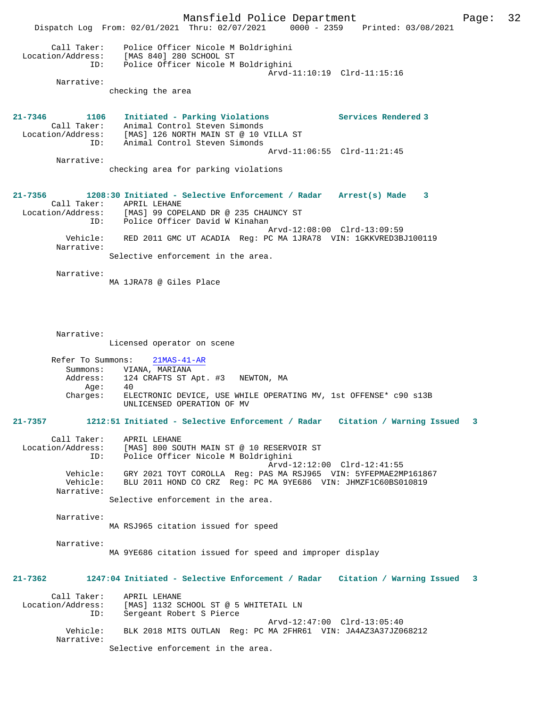Mansfield Police Department Page: 32 Dispatch Log From: 02/01/2021 Thru: 02/07/2021 0000 - 2359 Printed: 03/08/2021 Call Taker: Police Officer Nicole M Boldrighini Location/Address: [MAS 840] 280 SCHOOL ST ID: Police Officer Nicole M Boldrighini Arvd-11:10:19 Clrd-11:15:16 Narrative: checking the area **21-7346 1106 Initiated - Parking Violations Services Rendered 3**  Call Taker: Animal Control Steven Simonds Location/Address: [MAS] 126 NORTH MAIN ST @ 10 VILLA ST ID: Animal Control Steven Simonds Arvd-11:06:55 Clrd-11:21:45 Narrative: checking area for parking violations **21-7356 1208:30 Initiated - Selective Enforcement / Radar Arrest(s) Made 3**  Call Taker: APRIL LEHANE<br>Location/Address: [MAS] 99 COPE Location/Address: [MAS] 99 COPELAND DR @ 235 CHAUNCY ST ID: Police Officer David W Kinahan Arvd-12:08:00 Clrd-13:09:59 Vehicle: RED 2011 GMC UT ACADIA Reg: PC MA 1JRA78 VIN: 1GKKVRED3BJ100119 Narrative: Selective enforcement in the area. Narrative: MA 1JRA78 @ Giles Place Narrative: Licensed operator on scene Refer To Summons: 21MAS-41-AR Summons: VIANA, MARIANA<br>Address: 124 CRAFTS ST P 124 CRAFTS ST Apt. #3 NEWTON, MA<br>40  $Age:$  Charges: ELECTRONIC DEVICE, USE WHILE OPERATING MV, 1st OFFENSE\* c90 s13B UNLICENSED OPERATION OF MV **21-7357 1212:51 Initiated - Selective Enforcement / Radar Citation / Warning Issued 3** Call Taker: APRIL LEHANE Location/Address: [MAS] 800 SOUTH MAIN ST @ 10 RESERVOIR ST ID: Police Officer Nicole M Boldrighini Arvd-12:12:00 Clrd-12:41:55 Vehicle: GRY 2021 TOYT COROLLA Reg: PAS MA RSJ965 VIN: 5YFEPMAE2MP161867 BLU 2011 HOND CO CRZ Reg: PC MA 9YE686 VIN: JHMZF1C60BS010819 Narrative: Selective enforcement in the area. Narrative: MA RSJ965 citation issued for speed Narrative: MA 9YE686 citation issued for speed and improper display **21-7362 1247:04 Initiated - Selective Enforcement / Radar Citation / Warning Issued 3** Call Taker: APRIL LEHANE<br>Location/Address: [MAS] 1132 S ess: [MAS] 1132 SCHOOL ST @ 5 WHITETAIL LN<br>TD: Sergeant Robert S Pierce Sergeant Robert S Pierce Arvd-12:47:00 Clrd-13:05:40 Vehicle: BLK 2018 MITS OUTLAN Reg: PC MA 2FHR61 VIN: JA4AZ3A37JZ068212 Narrative: Selective enforcement in the area.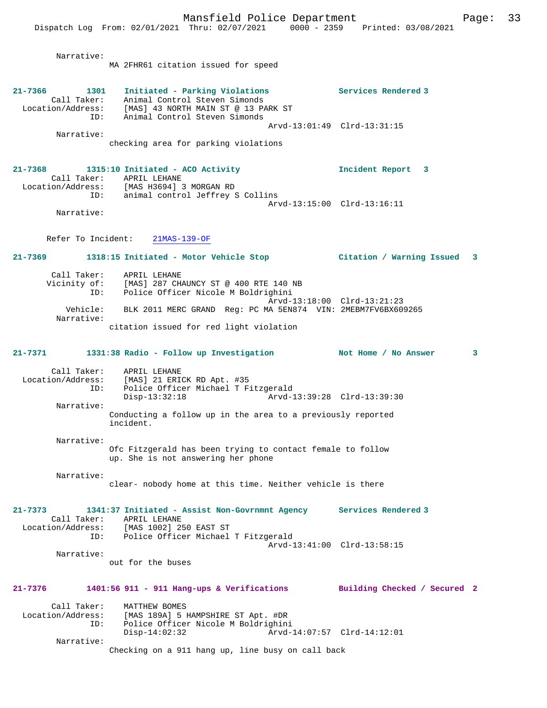Dispatch Log From: 02/01/2021 Thru: 02/07/2021 0000 - 2359 Printed: 03/08/2021

| Narrative:                                  | MA 2FHR61 citation issued for speed                                                                                                                                                    |                              |
|---------------------------------------------|----------------------------------------------------------------------------------------------------------------------------------------------------------------------------------------|------------------------------|
|                                             | 21-7366 1301 Initiated - Parking Violations<br>Call Taker: Animal Control Steven Simonds<br>Location/Address: [MAS] 43 NORTH MAIN ST @ 13 PARK ST<br>ID: Animal Control Steven Simonds | Services Rendered 3          |
| Narrative:                                  | Arvd-13:01:49 Clrd-13:31:15<br>checking area for parking violations                                                                                                                    |                              |
|                                             | 21-7368 1315:10 Initiated - ACO Activity                                                                                                                                               | Incident Report 3            |
|                                             | Call Taker: APRIL LEHANE<br>Location/Address: [MAS H3694] 3 MORGAN RD<br>ID: animal control Jeffrey S Collins<br>Arvd-13:15:00 Clrd-13:16:11                                           |                              |
| Narrative:                                  |                                                                                                                                                                                        |                              |
|                                             | Refer To Incident: 21MAS-139-OF                                                                                                                                                        |                              |
|                                             | 21-7369 1318:15 Initiated - Motor Vehicle Stop [11-7369] Citation / Warning Issued                                                                                                     | 3                            |
|                                             | Call Taker: APRIL LEHANE<br>Vicinity of: [MAS] 287 CHAUNCY ST @ 400 RTE 140 NB<br>ID: Police Officer Nicole M Boldrighini                                                              |                              |
|                                             | Arvd-13:18:00 Clrd-13:21:23<br>Vehicle: BLK 2011 MERC GRAND Req: PC MA 5EN874 VIN: 2MEBM7FV6BX609265                                                                                   |                              |
| Narrative:                                  | citation issued for red light violation                                                                                                                                                |                              |
|                                             | 21-7371 1331:38 Radio - Follow up Investigation Not Home / No Answer                                                                                                                   | 3                            |
| ID:                                         | Call Taker: APRIL LEHANE<br>Location/Address: [MAS] 21 ERICK RD Apt. #35<br>Police Officer Michael T Fitzgerald<br>$Disp-13:32:18$<br>Arvd-13:39:28 Clrd-13:39:30                      |                              |
| Narrative:                                  | Conducting a follow up in the area to a previously reported<br>incident.                                                                                                               |                              |
| Narrative:                                  | Ofc Fitzgerald has been trying to contact female to follow<br>up. She is not answering her phone                                                                                       |                              |
| Narrative:                                  | clear- nobody home at this time. Neither vehicle is there                                                                                                                              |                              |
| 21-7373<br>Call Taker:<br>Location/Address: | 1341:37 Initiated - Assist Non-Govrnmnt Agency<br>APRIL LEHANE<br>[MAS 1002] 250 EAST ST<br>ID:<br>Police Officer Michael T Fitzgerald                                                 | Services Rendered 3          |
| Narrative:                                  | Arvd-13:41:00 Clrd-13:58:15<br>out for the buses                                                                                                                                       |                              |
| 21-7376                                     | $1401:56$ 911 - 911 Hang-ups & Verifications                                                                                                                                           | Building Checked / Secured 2 |
| Call Taker:<br>Location/Address:<br>ID:     | MATTHEW BOMES<br>[MAS 189A] 5 HAMPSHIRE ST Apt. #DR<br>Police Officer Nicole M Boldrighini<br>$Disp-14:02:32$<br>Arvd-14:07:57 Clrd-14:12:01                                           |                              |
| Narrative:                                  | Checking on a 911 hang up, line busy on call back                                                                                                                                      |                              |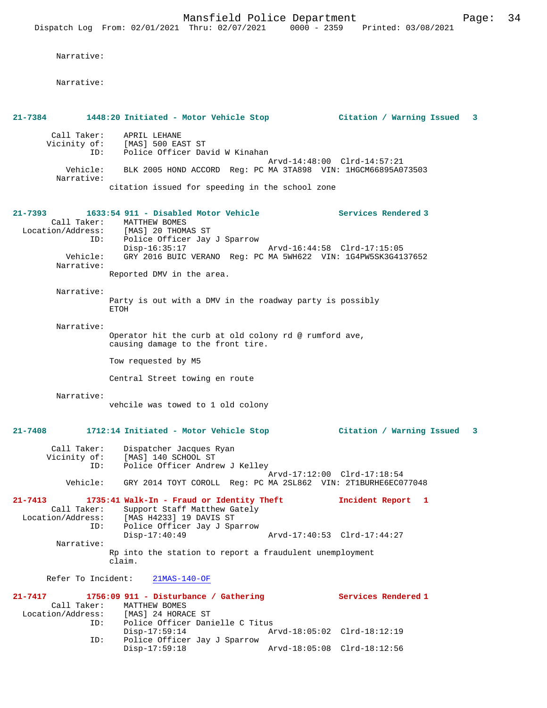|                                                                                       |                                                             | Mansfield Police Department                                                                                           |                             | Dispatch Log From: 02/01/2021 Thru: 02/07/2021 0000 - 2359 Printed: 03/08/2021               | Page: 34     |  |
|---------------------------------------------------------------------------------------|-------------------------------------------------------------|-----------------------------------------------------------------------------------------------------------------------|-----------------------------|----------------------------------------------------------------------------------------------|--------------|--|
| Narrative:                                                                            |                                                             |                                                                                                                       |                             |                                                                                              |              |  |
| Narrative:                                                                            |                                                             |                                                                                                                       |                             |                                                                                              |              |  |
|                                                                                       |                                                             |                                                                                                                       |                             | 21-7384 1448:20 Initiated - Motor Vehicle Stop             Citation / Warning Issued         | $\mathbf{3}$ |  |
| Call Taker:                                                                           | APRIL LEHANE                                                |                                                                                                                       |                             |                                                                                              |              |  |
| ID:                                                                                   | Vicinity of: [MAS] 500 EAST ST                              | Police Officer David W Kinahan                                                                                        |                             |                                                                                              |              |  |
| Vehicle:<br>Narrative:                                                                |                                                             |                                                                                                                       |                             | Arvd-14:48:00 Clrd-14:57:21<br>BLK 2005 HOND ACCORD Req: PC MA 3TA898 VIN: 1HGCM66895A073503 |              |  |
|                                                                                       |                                                             | citation issued for speeding in the school zone                                                                       |                             |                                                                                              |              |  |
| 21-7393<br>Location/Address: [MAS] 20 THOMAS ST<br>ID:                                | Call Taker: MATTHEW BOMES                                   | 1633:54 911 - Disabled Motor Vehicle<br>Police Officer Jay J Sparrow                                                  |                             | <b>Services Rendered 3</b>                                                                   |              |  |
| Vehicle:                                                                              | Disp-16:35:17                                               |                                                                                                                       | Arvd-16:44:58 Clrd-17:15:05 | GRY 2016 BUIC VERANO Reg: PC MA 5WH622 VIN: 1G4PW5SK3G4137652                                |              |  |
| Narrative:                                                                            | Reported DMV in the area.                                   |                                                                                                                       |                             |                                                                                              |              |  |
| Narrative:                                                                            |                                                             |                                                                                                                       |                             |                                                                                              |              |  |
|                                                                                       | ETOH                                                        | Party is out with a DMV in the roadway party is possibly                                                              |                             |                                                                                              |              |  |
| Narrative:                                                                            |                                                             | Operator hit the curb at old colony rd @ rumford ave,<br>causing damage to the front tire.                            |                             |                                                                                              |              |  |
|                                                                                       | Tow requested by M5                                         |                                                                                                                       |                             |                                                                                              |              |  |
|                                                                                       | Central Street towing en route                              |                                                                                                                       |                             |                                                                                              |              |  |
| Narrative:                                                                            |                                                             | vehcile was towed to 1 old colony                                                                                     |                             |                                                                                              |              |  |
|                                                                                       |                                                             |                                                                                                                       |                             | 21-7408 1712:14 Initiated - Motor Vehicle Stop             Citation / Warning Issued 3       |              |  |
| Call Taker:                                                                           | Dispatcher Jacques Ryan<br>Vicinity of: [MAS] 140 SCHOOL ST |                                                                                                                       |                             |                                                                                              |              |  |
| ID:                                                                                   |                                                             | Police Officer Andrew J Kelley                                                                                        |                             |                                                                                              |              |  |
| Vehicle:                                                                              |                                                             |                                                                                                                       |                             | Arvd-17:12:00 Clrd-17:18:54<br>GRY 2014 TOYT COROLL Req: PC MA 2SL862 VIN: 2T1BURHE6EC077048 |              |  |
| 21-7413<br>Location/Address: [MAS H4233] 19 DAVIS ST<br>ID:                           |                                                             | 1735:41 Walk-In - Fraud or Identity Theft<br>Call Taker: Support Staff Matthew Gately<br>Police Officer Jay J Sparrow |                             | Incident Report 1                                                                            |              |  |
| Narrative:                                                                            | $Disp-17:40:49$                                             |                                                                                                                       |                             | Arvd-17:40:53 Clrd-17:44:27                                                                  |              |  |
|                                                                                       | claim.                                                      | Rp into the station to report a fraudulent unemployment                                                               |                             |                                                                                              |              |  |
| Refer To Incident:                                                                    | $21MAS-140-OF$                                              |                                                                                                                       |                             |                                                                                              |              |  |
| 21-7417 1756:09 911 - Disturbance / Gathering<br>Location/Address: [MAS] 24 HORACE ST | Call Taker: MATTHEW BOMES                                   |                                                                                                                       |                             | <b>Services Rendered 1</b>                                                                   |              |  |
| ID:<br>ID:                                                                            | $Disp-17:59:14$                                             | Police Officer Danielle C Titus<br>Police Officer Jay J Sparrow                                                       |                             | Arvd-18:05:02 Clrd-18:12:19                                                                  |              |  |
|                                                                                       | $Disp-17:59:18$                                             |                                                                                                                       | Arvd-18:05:08 Clrd-18:12:56 |                                                                                              |              |  |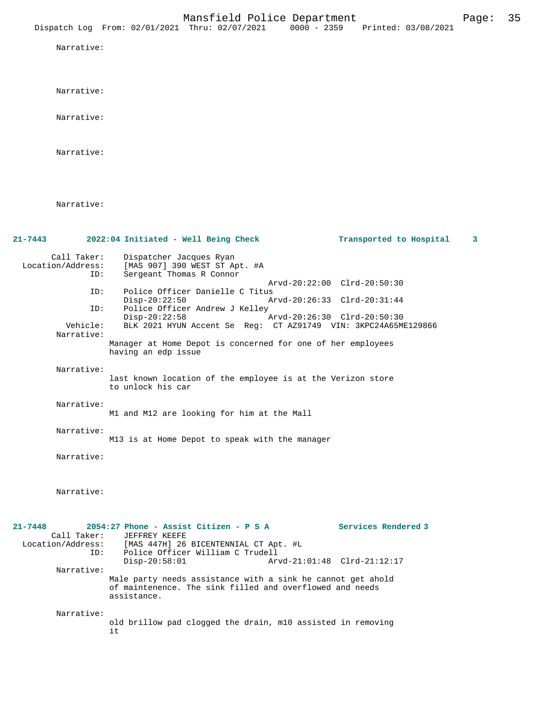Narrative:

Narrative:

Narrative:

Narrative:

| $21 - 7443$ |                                         | 2022:04 Initiated - Well Being Check                                                                                                   | Transported to Hospital     | 3 |
|-------------|-----------------------------------------|----------------------------------------------------------------------------------------------------------------------------------------|-----------------------------|---|
|             | Call Taker:<br>Location/Address:<br>ID: | Dispatcher Jacques Ryan<br>[MAS 907] 390 WEST ST Apt. #A<br>Sergeant Thomas R Connor                                                   |                             |   |
|             |                                         |                                                                                                                                        | Arvd-20:22:00 Clrd-20:50:30 |   |
|             | ID:                                     | Police Officer Danielle C Titus<br>$Disp-20:22:50$                                                                                     | Arvd-20:26:33 Clrd-20:31:44 |   |
|             | ID:                                     | Police Officer Andrew J Kelley<br>$Disp-20:22:58$                                                                                      |                             |   |
|             | Vehicle:<br>Narrative:                  | BLK 2021 HYUN Accent Se Reg: CT AZ91749 VIN: 3KPC24A65ME129866                                                                         | Arvd-20:26:30 Clrd-20:50:30 |   |
|             |                                         | Manager at Home Depot is concerned for one of her employees<br>having an edp issue                                                     |                             |   |
|             | Narrative:                              |                                                                                                                                        |                             |   |
|             |                                         | last known location of the employee is at the Verizon store<br>to unlock his car                                                       |                             |   |
|             | Narrative:                              |                                                                                                                                        |                             |   |
|             |                                         | M1 and M12 are looking for him at the Mall                                                                                             |                             |   |
|             | Narrative:                              | M13 is at Home Depot to speak with the manager                                                                                         |                             |   |
|             | Narrative:                              |                                                                                                                                        |                             |   |
|             |                                         |                                                                                                                                        |                             |   |
|             |                                         |                                                                                                                                        |                             |   |
|             | Narrative:                              |                                                                                                                                        |                             |   |
|             |                                         |                                                                                                                                        |                             |   |
| $21 - 7448$ |                                         | 2054:27 Phone - Assist Citizen - P S A Services Rendered 3                                                                             |                             |   |
|             | Call Taker:<br>Location/Address:        | JEFFREY KEEFE<br>[MAS 447H] 26 BICENTENNIAL CT Apt. #L                                                                                 |                             |   |
|             | ID:                                     | Police Officer William C Trudell                                                                                                       |                             |   |
|             | Narrative:                              | $Disp-20:58:01$                                                                                                                        | Arvd-21:01:48 Clrd-21:12:17 |   |
|             |                                         | Male party needs assistance with a sink he cannot get ahold<br>of maintenence. The sink filled and overflowed and needs<br>assistance. |                             |   |
|             | Narrative:                              |                                                                                                                                        |                             |   |
|             |                                         | old brillow pad clogged the drain, m10 assisted in removing<br>it                                                                      |                             |   |
|             |                                         |                                                                                                                                        |                             |   |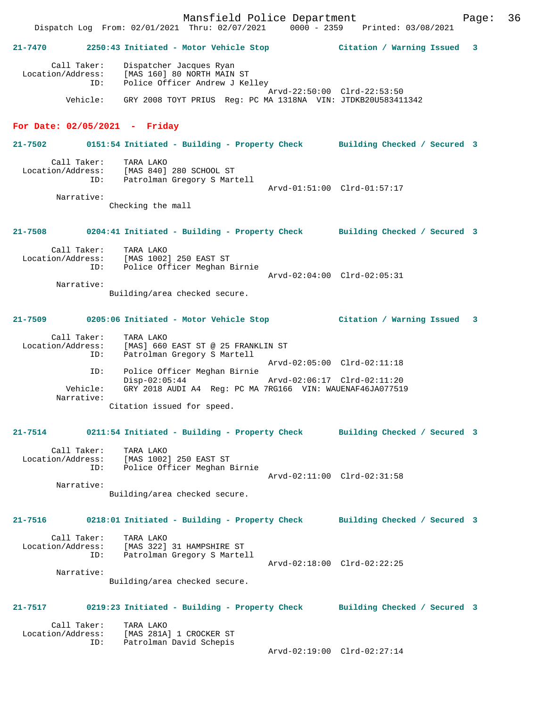## **21-7470 2250:43 Initiated - Motor Vehicle Stop Citation / Warning Issued 3**

 Call Taker: Dispatcher Jacques Ryan Location/Address: [MAS 160] 80 NORTH MAIN ST ID: Police Officer Andrew J Kelley Arvd-22:50:00 Clrd-22:53:50 Vehicle: GRY 2008 TOYT PRIUS Reg: PC MA 1318NA VIN: JTDKB20U583411342

#### **For Date: 02/05/2021 - Friday**

**21-7502 0151:54 Initiated - Building - Property Check Building Checked / Secured 3**

 Call Taker: TARA LAKO Location/Address: [MAS 840] 280 SCHOOL ST ID: Patrolman Gregory S Martell Arvd-01:51:00 Clrd-01:57:17 Narrative:

Checking the mall

**21-7508 0204:41 Initiated - Building - Property Check Building Checked / Secured 3**

| Call Taker:<br>Location/Address:<br>ID: | TARA LAKO<br>[MAS 1002] 250 EAST ST<br>Police Officer Meghan Birnie | Arvd-02:04:00 Clrd-02:05:31 |
|-----------------------------------------|---------------------------------------------------------------------|-----------------------------|
| Narrative:                              |                                                                     |                             |

Building/area checked secure.

#### **21-7509 0205:06 Initiated - Motor Vehicle Stop Citation / Warning Issued 3**

| Call Taker:       | TARA LAKO                                                 |
|-------------------|-----------------------------------------------------------|
| Location/Address: | [MAS] 660 EAST ST @ 25 FRANKLIN ST                        |
| ID:               | Patrolman Gregory S Martell                               |
|                   | Arvd-02:05:00 Clrd-02:11:18                               |
| ID:               | Police Officer Meghan Birnie                              |
|                   | Arvd-02:06:17 Clrd-02:11:20<br>$Disp-02:05:44$            |
| Vehicle:          | GRY 2018 AUDI A4 Req: PC MA 7RG166 VIN: WAUENAF46JA077519 |
| Narrative:        |                                                           |
|                   | Citation issued for speed.                                |

#### **21-7514 0211:54 Initiated - Building - Property Check Building Checked / Secured 3**

| Call Taker:       | TARA LAKO                    |                             |  |
|-------------------|------------------------------|-----------------------------|--|
| Location/Address: | [MAS 1002] 250 EAST ST       |                             |  |
| ID:               | Police Officer Meghan Birnie |                             |  |
|                   |                              | Arvd-02:11:00 Clrd-02:31:58 |  |
| Narrative:        |                              |                             |  |

Building/area checked secure.

**21-7516 0218:01 Initiated - Building - Property Check Building Checked / Secured 3** Call Taker: TARA LAKO Location/Address: [MAS 322] 31 HAMPSHIRE ST ID: Patrolman Gregory S Martell Arvd-02:18:00 Clrd-02:22:25 Narrative:

Building/area checked secure.

### **21-7517 0219:23 Initiated - Building - Property Check Building Checked / Secured 3**

 Call Taker: TARA LAKO Location/Address: [MAS 281A] 1 CROCKER ST ID: Patrolman David Schepis

Arvd-02:19:00 Clrd-02:27:14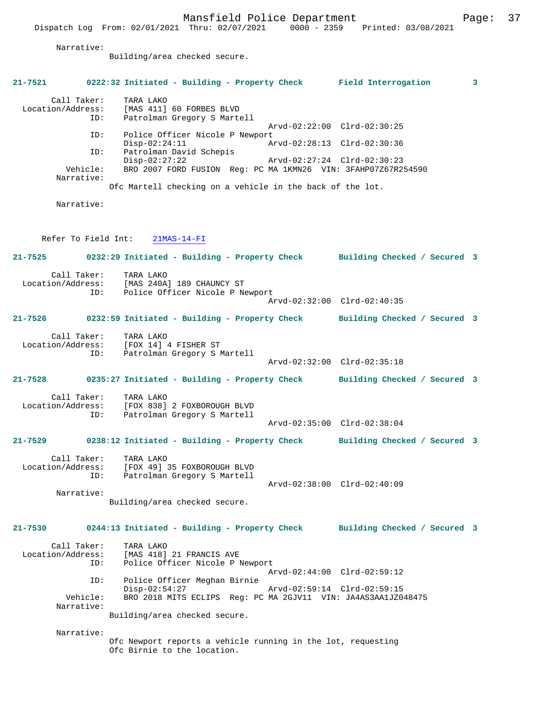Narrative:

Building/area checked secure.

|         |                                         | 21-7521 0222:32 Initiated - Building - Property Check Field Interrogation                                               |                             | 3 |
|---------|-----------------------------------------|-------------------------------------------------------------------------------------------------------------------------|-----------------------------|---|
|         | Call Taker:                             | TARA LAKO<br>Location/Address: [MAS 411] 60 FORBES BLVD<br>ID: Patrolman Gregory S Marte<br>Patrolman Gregory S Martell |                             |   |
|         | ID:                                     | Police Officer Nicole P Newport                                                                                         | Arvd-02:22:00 Clrd-02:30:25 |   |
|         | ID:                                     | $Disp-02:24:11$<br>Patrolman David Schepis                                                                              | Arvd-02:28:13 Clrd-02:30:36 |   |
|         |                                         | $Disp-02:27:22$                                                                                                         | Arvd-02:27:24 Clrd-02:30:23 |   |
|         | Vehicle:<br>Narrative:                  | BRO 2007 FORD FUSION Reg: PC MA 1KMN26 VIN: 3FAHP07Z67R254590                                                           |                             |   |
|         |                                         | Ofc Martell checking on a vehicle in the back of the lot.                                                               |                             |   |
|         | Narrative:                              |                                                                                                                         |                             |   |
|         |                                         |                                                                                                                         |                             |   |
|         |                                         | Refer To Field Int: 21MAS-14-FI                                                                                         |                             |   |
|         |                                         | 21-7525 0232:29 Initiated - Building - Property Check Building Checked / Secured 3                                      |                             |   |
|         |                                         | Call Taker: TARA LAKO<br>Location/Address: [MAS 240A] 189 CHAUNCY ST                                                    |                             |   |
|         | ID:                                     | Police Officer Nicole P Newport                                                                                         | Arvd-02:32:00 Clrd-02:40:35 |   |
|         |                                         |                                                                                                                         |                             |   |
|         |                                         | 21-7526 0232:59 Initiated - Building - Property Check Building Checked / Secured 3                                      |                             |   |
|         |                                         | Call Taker: TARA LAKO<br>Location/Address: [FOX 14] 4 FISHER ST<br>ID: Patrolman Gregory S N                            |                             |   |
|         | ID:                                     | Patrolman Gregory S Martell                                                                                             | Arvd-02:32:00 Clrd-02:35:18 |   |
|         |                                         | 21-7528 0235:27 Initiated - Building - Property Check Building Checked / Secured 3                                      |                             |   |
|         |                                         |                                                                                                                         |                             |   |
|         | Call Taker:                             | TARA LAKO<br>Location/Address: [FOX 838] 2 FOXBOROUGH BLVD                                                              |                             |   |
|         | ID:                                     | Patrolman Gregory S Martell                                                                                             | Arvd-02:35:00 Clrd-02:38:04 |   |
|         |                                         | 21-7529 0238:12 Initiated - Building - Property Check Building Checked / Secured 3                                      |                             |   |
|         | Call Taker:<br>Location/Address:<br>ID: | TARA LAKO<br>FOX 49] 35 FOXBOROUGH BLVD<br>Patrolman Gregory S Martell                                                  |                             |   |
|         | Narrative:                              |                                                                                                                         | Arvd-02:38:00 Clrd-02:40:09 |   |
|         |                                         | Building/area checked secure.                                                                                           |                             |   |
| 21-7530 |                                         | 0244:13 Initiated - Building - Property Check Building Checked / Secured 3                                              |                             |   |
|         | Call Taker:<br>Location/Address:<br>ID: | TARA LAKO<br>MAS 418] 21 FRANCIS AVE<br>Police Officer Nicolo D<br>Police Officer Nicole P Newport                      |                             |   |
|         | ID:                                     | Police Officer Meghan Birnie                                                                                            | Arvd-02:44:00 Clrd-02:59:12 |   |
|         | Vehicle:                                | $Disp-02:54:27$<br>BRO 2018 MITS ECLIPS Reg: PC MA 2GJV11 VIN: JA4AS3AA1JZ048475                                        | Arvd-02:59:14 Clrd-02:59:15 |   |
|         | Narrative:                              | Building/area checked secure.                                                                                           |                             |   |
|         | Narrative:                              |                                                                                                                         |                             |   |

Ofc Newport reports a vehicle running in the lot, requesting Ofc Birnie to the location.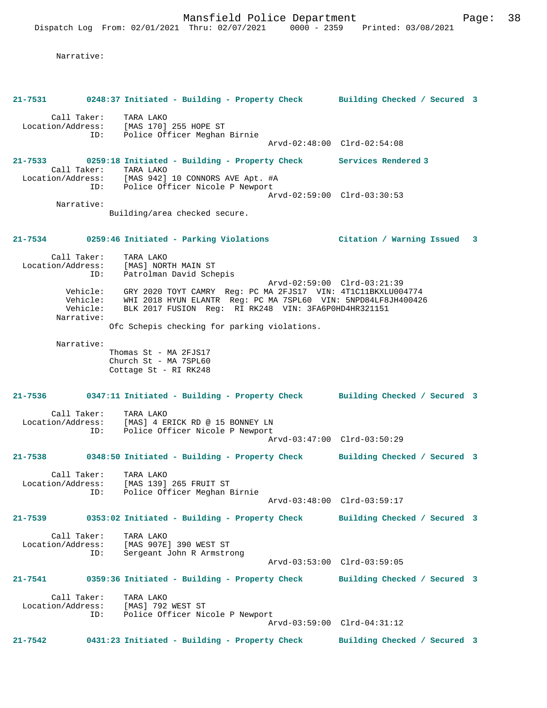Narrative:

|                                  |     | 21-7531 0248:37 Initiated - Building - Property Check Building Checked / Secured 3                                                                                                                                                                                       |                             |                              |  |
|----------------------------------|-----|--------------------------------------------------------------------------------------------------------------------------------------------------------------------------------------------------------------------------------------------------------------------------|-----------------------------|------------------------------|--|
|                                  |     | Call Taker: TARA LAKO<br>Location/Address: [MAS 170] 255 HOPE ST<br>ID: Police Officer Meghan Birnie                                                                                                                                                                     |                             |                              |  |
|                                  |     |                                                                                                                                                                                                                                                                          |                             | Arvd-02:48:00 Clrd-02:54:08  |  |
|                                  |     | 21-7533 0259:18 Initiated - Building - Property Check Services Rendered 3<br>Call Taker: TARA LAKO                                                                                                                                                                       |                             |                              |  |
|                                  |     | Location/Address: [MAS 942] 10 CONNORS AVE Apt. #A<br>ID: Police Officer Nicole P Newport                                                                                                                                                                                |                             | Arvd-02:59:00 Clrd-03:30:53  |  |
| Narrative:                       |     | Building/area checked secure.                                                                                                                                                                                                                                            |                             |                              |  |
|                                  |     |                                                                                                                                                                                                                                                                          |                             |                              |  |
|                                  |     | 21-7534 0259:46 Initiated - Parking Violations Citation / Warning Issued 3                                                                                                                                                                                               |                             |                              |  |
| Call Taker:                      |     | TARA LAKO<br>Location/Address: [MAS] NORTH MAIN ST<br>ID: Patrolman David Schepis                                                                                                                                                                                        |                             |                              |  |
| Narrative:                       |     | Vehicle: GRY 2020 TOYT CAMRY Reg: PC MA 2FJS17 VIN: 4T1C11BKXLU004774<br>Vehicle: WHI 2018 HYUN ELANTR Reg: PC MA 7SPL60 VIN: 5NPD84LF8JH400426<br>Vehicle: BLK 2017 FUSION Reg: RI RK248 VIN: 3FA6D0HD4HR321151<br>BLK 2017 FUSION Reg: RI RK248 VIN: 3FA6P0HD4HR321151 | Arvd-02:59:00 Clrd-03:21:39 |                              |  |
|                                  |     | Ofc Schepis checking for parking violations.                                                                                                                                                                                                                             |                             |                              |  |
| Narrative:                       |     |                                                                                                                                                                                                                                                                          |                             |                              |  |
|                                  |     | Thomas St - MA 2FJS17<br>Church St - MA 7SPL60<br>Cottage St - RI RK248                                                                                                                                                                                                  |                             |                              |  |
|                                  |     | 21-7536 0347:11 Initiated - Building - Property Check Building Checked / Secured 3                                                                                                                                                                                       |                             |                              |  |
| Location/Address:                |     | Call Taker: TARA LAKO<br>ion/Address: [MAS] 4 ERICK RD @ 15 BONNEY LN<br>ID: Police Officer Nicole P Newport                                                                                                                                                             |                             |                              |  |
|                                  |     |                                                                                                                                                                                                                                                                          |                             | Arvd-03:47:00 Clrd-03:50:29  |  |
|                                  |     | 21-7538 0348:50 Initiated - Building - Property Check Building Checked / Secured 3                                                                                                                                                                                       |                             |                              |  |
| Call Taker:<br>Location/Address: |     | TARA LAKO<br>[MAS 139] 265 FRUIT ST<br>Police Officer Meghan Birnie                                                                                                                                                                                                      |                             |                              |  |
|                                  | ID: |                                                                                                                                                                                                                                                                          |                             | Arvd-03:48:00 Clrd-03:59:17  |  |
| 21-7539                          |     | 0353:02 Initiated - Building - Property Check                                                                                                                                                                                                                            |                             | Building Checked / Secured 3 |  |
| Call Taker:<br>Location/Address: | ID: | TARA LAKO<br>[MAS 907E] 390 WEST ST<br>Sergeant John R Armstrong                                                                                                                                                                                                         |                             |                              |  |
|                                  |     |                                                                                                                                                                                                                                                                          |                             | Arvd-03:53:00 Clrd-03:59:05  |  |
| $21 - 7541$                      |     | 0359:36 Initiated - Building - Property Check                                                                                                                                                                                                                            |                             | Building Checked / Secured 3 |  |
| Call Taker:                      |     | TARA LAKO                                                                                                                                                                                                                                                                |                             |                              |  |
| Location/Address:                |     | [MAS] 792 WEST ST<br>ID: Police Officer Nicole P Newport                                                                                                                                                                                                                 |                             |                              |  |
|                                  |     |                                                                                                                                                                                                                                                                          |                             | Arvd-03:59:00 Clrd-04:31:12  |  |
| 21-7542                          |     | 0431:23 Initiated - Building - Property Check                                                                                                                                                                                                                            |                             | Building Checked / Secured 3 |  |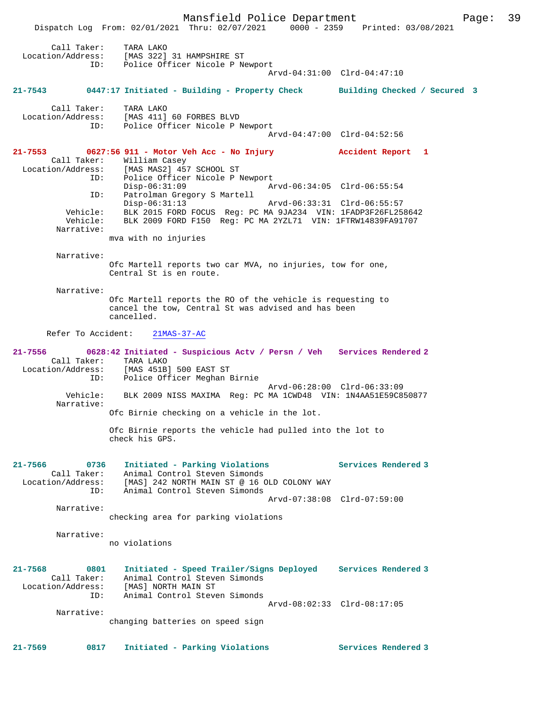Mansfield Police Department Page: 39 Dispatch Log From: 02/01/2021 Thru: 02/07/2021 0000 - 2359 Printed: 03/08/2021 Call Taker: TARA LAKO Location/Address: [MAS 322] 31 HAMPSHIRE ST ID: Police Officer Nicole P Newport Arvd-04:31:00 Clrd-04:47:10 **21-7543 0447:17 Initiated - Building - Property Check Building Checked / Secured 3** Call Taker: TARA LAKO Location/Address: [MAS 411] 60 FORBES BLVD ID: Police Officer Nicole P Newport Arvd-04:47:00 Clrd-04:52:56 **21-7553 0627:56 911 - Motor Veh Acc - No Injury Accident Report 1**  Call Taker: William Casey Location/Address: [MAS MAS2] 457 SCHOOL ST ID: Police Officer Nicole P Newport<br>Disp-06:31:09 Ar Disp-06:31:09 Arvd-06:34:05 Clrd-06:55:54 ID: Patrolman Gregory S Martell Disp-06:31:13 Arvd-06:33:31 Clrd-06:55:57 Vehicle: BLK 2015 FORD FOCUS Reg: PC MA 9JA234 VIN: 1FADP3F26FL258642 Vehicle: BLK 2009 FORD F150 Reg: PC MA 2YZL71 VIN: 1FTRW14839FA91707 Narrative: mva with no injuries Narrative: Ofc Martell reports two car MVA, no injuries, tow for one, Central St is en route. Narrative: Ofc Martell reports the RO of the vehicle is requesting to cancel the tow, Central St was advised and has been cancelled. Refer To Accident: 21MAS-37-AC **21-7556 0628:42 Initiated - Suspicious Actv / Persn / Veh Services Rendered 2**  Call Taker: TARA LAKO Location/Address: [MAS 451B] 500 EAST ST Police Officer Meghan Birnie Arvd-06:28:00 Clrd-06:33:09 Vehicle: BLK 2009 NISS MAXIMA Reg: PC MA 1CWD48 VIN: 1N4AA51E59C850877 Narrative: Ofc Birnie checking on a vehicle in the lot. Ofc Birnie reports the vehicle had pulled into the lot to check his GPS. **21-7566 0736 Initiated - Parking Violations Services Rendered 3**  Call Taker: Animal Control Steven Simonds Location/Address: [MAS] 242 NORTH MAIN ST @ 16 OLD COLONY WAY ID: Animal Control Steven Simonds Arvd-07:38:08 Clrd-07:59:00 Narrative: checking area for parking violations Narrative: no violations **21-7568 0801 Initiated - Speed Trailer/Signs Deployed Services Rendered 3**  Call Taker: Animal Control Steven Simonds Location/Address: [MAS] NORTH MAIN ST ID: Animal Control Steven Simonds Arvd-08:02:33 Clrd-08:17:05 Narrative: changing batteries on speed sign **21-7569 0817 Initiated - Parking Violations Services Rendered 3**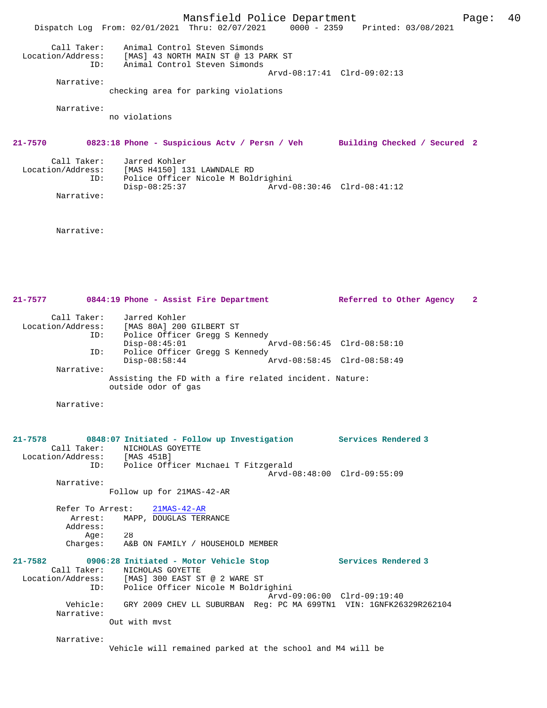Mansfield Police Department Fage: 40 Dispatch Log From: 02/01/2021 Thru: 02/07/2021 0000 - 2359 Printed: 03/08/2021 Call Taker: Animal Control Steven Simonds Location/Address: [MAS] 43 NORTH MAIN ST @ 13 PARK ST ID: Animal Control Steven Simonds Arvd-08:17:41 Clrd-09:02:13 Narrative: checking area for parking violations Narrative: no violations **21-7570 0823:18 Phone - Suspicious Actv / Persn / Veh Building Checked / Secured 2** Call Taker: Jarred Kohler Location/Address: [MAS H4150] 131 LAWNDALE RD ID: Police Officer Nicole M Boldrighini Disp-08:25:37 Arvd-08:30:46 Clrd-08:41:12 Narrative:

Narrative:

**21-7577 0844:19 Phone - Assist Fire Department Referred to Other Agency 2** Call Taker: Jarred Kohler Location/Address: [MAS 80A] 200 GILBERT ST ID: Police Officer Gregg S Kennedy Disp-08:45:01 Arvd-08:56:45 Clrd-08:58:10 ID: Police Officer Gregg S Kennedy<br>Disp-08:58:44 A Disp-08:58:44 Arvd-08:58:45 Clrd-08:58:49 Narrative: Assisting the FD with a fire related incident. Nature: outside odor of gas Narrative:

**21-7578 0848:07 Initiated - Follow up Investigation Services Rendered 3**  Call Taker: NICHOLAS GOYETTE Location/Address: [MAS 451B] ID: Police Officer Michael T Fitzgerald Arvd-08:48:00 Clrd-09:55:09 Narrative: Follow up for 21MAS-42-AR Refer To Arrest: 21MAS-42-AR Arrest: MAPP, DOUGLAS TERRANCE Address: Age: 28 Charges: A&B ON FAMILY / HOUSEHOLD MEMBER **21-7582 0906:28 Initiated - Motor Vehicle Stop Services Rendered 3**  Call Taker: NICHOLAS GOYETTE Location/Address: [MAS] 300 EAST ST @ 2 WARE ST ID: Police Officer Nicole M Boldrighini Arvd-09:06:00 Clrd-09:19:40 Vehicle: GRY 2009 CHEV LL SUBURBAN Reg: PC MA 699TN1 VIN: 1GNFK26329R262104 Narrative: Out with mvst

Narrative:

Vehicle will remained parked at the school and M4 will be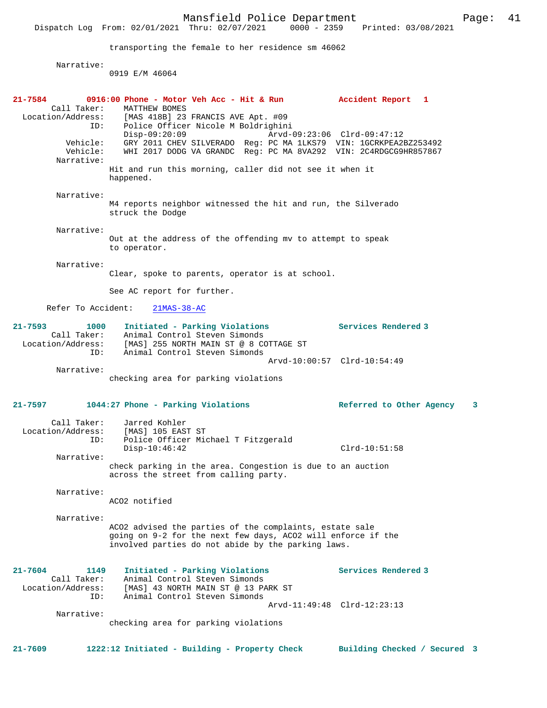Mansfield Police Department Page: 41 Dispatch Log From: 02/01/2021 Thru: 02/07/2021 transporting the female to her residence sm 46062 Narrative: 0919 E/M 46064 **21-7584 0916:00 Phone - Motor Veh Acc - Hit & Run Accident Report 1**  Call Taker: MATTHEW BOMES<br>Location/Address: [MAS 418B] 23 ess: [MAS 418B] 23 FRANCIS AVE Apt. #09<br>ID: Police Officer Nicole M Boldrighin ID: Police Officer Nicole M Boldrighini Disp-09:20:09 Arvd-09:23:06 Clrd-09:47:12<br>Vehicle: GRY 2011 CHEV SILVERADO Req: PC MA 1LKS79 VIN: 1GCRKPEA21 Vehicle: GRY 2011 CHEV SILVERADO Reg: PC MA 1LKS79 VIN: 1GCRKPEA2BZ253492 WHI 2017 DODG VA GRANDC Reg: PC MA 8VA292 VIN: 2C4RDGCG9HR857867 Narrative: Hit and run this morning, caller did not see it when it happened. Narrative: M4 reports neighbor witnessed the hit and run, the Silverado struck the Dodge Narrative: Out at the address of the offending mv to attempt to speak to operator. Narrative: Clear, spoke to parents, operator is at school. See AC report for further. Refer To Accident: 21MAS-38-AC **21-7593 1000 Initiated - Parking Violations Services Rendered 3**  Call Taker: Animal Control Steven Simonds Location/Address: [MAS] 255 NORTH MAIN ST @ 8 COTTAGE ST ID: Animal Control Steven Simonds Arvd-10:00:57 Clrd-10:54:49 Narrative: checking area for parking violations **21-7597 1044:27 Phone - Parking Violations Referred to Other Agency 3** Call Taker: Jarred Kohler<br>.on/Address: [MAS] 105 EAST ST Location/Address:<br>ID: Police Officer Michael T Fitzgerald Disp-10:46:42 Clrd-10:51:58 Narrative: check parking in the area. Congestion is due to an auction across the street from calling party. Narrative: ACO2 notified Narrative: ACO2 advised the parties of the complaints, estate sale going on 9-2 for the next few days, ACO2 will enforce if the involved parties do not abide by the parking laws. **21-7604 1149 Initiated - Parking Violations Services Rendered 3**  Call Taker: Animal Control Steven Simonds Location/Address: [MAS] 43 NORTH MAIN ST @ 13 PARK ST ID: Animal Control Steven Simonds Arvd-11:49:48 Clrd-12:23:13 Narrative: checking area for parking violations **21-7609 1222:12 Initiated - Building - Property Check Building Checked / Secured 3**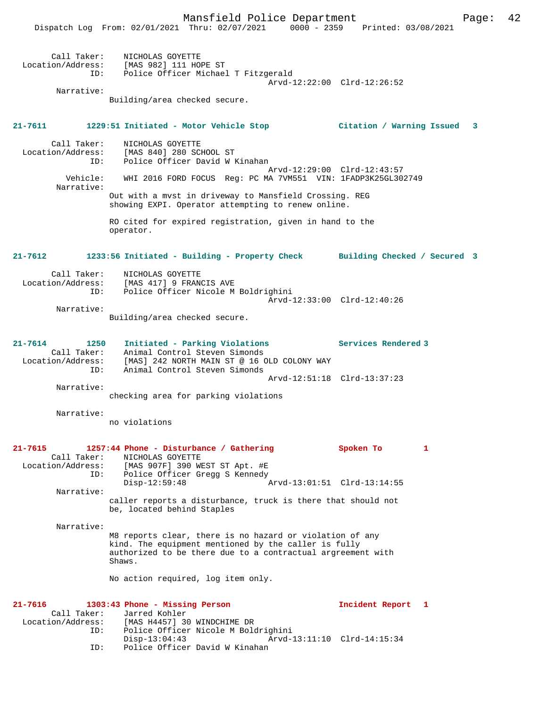|                                                    | Mansfield Police Department<br>Dispatch Log From: 02/01/2021 Thru: 02/07/2021 0000 - 2359 Printed: 03/08/2021                                                                             | Page:                       | 42 |
|----------------------------------------------------|-------------------------------------------------------------------------------------------------------------------------------------------------------------------------------------------|-----------------------------|----|
|                                                    | Call Taker: NICHOLAS GOYETTE<br>Location/Address: [MAS 982] 111 HOPE ST<br>ID: Police Officer Michael T Fitzgerald                                                                        |                             |    |
| Narrative:                                         | Building/area checked secure.                                                                                                                                                             | Arvd-12:22:00 Clrd-12:26:52 |    |
| 21-7611                                            | 1229:51 Initiated - Motor Vehicle Stop                   Citation / Warning Issued                                                                                                        | 3                           |    |
| Call Taker:<br>ID:                                 | NICHOLAS GOYETTE<br>Location/Address: [MAS 840] 280 SCHOOL ST<br>Police Officer David W Kinahan                                                                                           | Arvd-12:29:00 Clrd-12:43:57 |    |
| Vehicle:<br>Narrative:                             | WHI 2016 FORD FOCUS Reg: PC MA 7VM551 VIN: 1FADP3K25GL302749                                                                                                                              |                             |    |
|                                                    | Out with a myst in driveway to Mansfield Crossing. REG<br>showing EXPI. Operator attempting to renew online.                                                                              |                             |    |
|                                                    | RO cited for expired registration, given in hand to the<br>operator.                                                                                                                      |                             |    |
| 21-7612                                            | 1233:56 Initiated - Building - Property Check Building Checked / Secured 3                                                                                                                |                             |    |
| Call Taker:<br>ID:                                 | NICHOLAS GOYETTE<br>Location/Address: [MAS 417] 9 FRANCIS AVE<br>Police Officer Nicole M Boldrighini                                                                                      |                             |    |
| Narrative:                                         | Building/area checked secure.                                                                                                                                                             | Arvd-12:33:00 Clrd-12:40:26 |    |
| 21-7614<br>1250<br>ID:                             | Initiated - Parking Violations<br>Call Taker: Animal Control Steven Simonds<br>Location/Address: [MAS] 242 NORTH MAIN ST @ 16 OLD COLONY WAY<br>Animal Control Steven Simonds             | Services Rendered 3         |    |
| Narrative:                                         |                                                                                                                                                                                           | Arvd-12:51:18 Clrd-13:37:23 |    |
|                                                    | checking area for parking violations                                                                                                                                                      |                             |    |
| Narrative:                                         | no violations                                                                                                                                                                             |                             |    |
| 21-7615<br>Call Taker:<br>Location/Address:<br>ID: | 1257:44 Phone - Disturbance / Gathering<br>NICHOLAS GOYETTE<br>[MAS 907F] 390 WEST ST Apt. #E<br>Police Officer Gregg S Kennedy                                                           | Spoken To<br>1              |    |
| Narrative:                                         | $Disp-12:59:48$                                                                                                                                                                           |                             |    |
|                                                    | caller reports a disturbance, truck is there that should not<br>be, located behind Staples                                                                                                |                             |    |
| Narrative:                                         | M8 reports clear, there is no hazard or violation of any<br>kind. The equipment mentioned by the caller is fully<br>authorized to be there due to a contractual argreement with<br>Shaws. |                             |    |

No action required, log item only.

| 21-7616 |                   | 1303:43 Phone - Missing Person      |                             | Incident Report 1 |  |
|---------|-------------------|-------------------------------------|-----------------------------|-------------------|--|
|         |                   | Call Taker: Jarred Kohler           |                             |                   |  |
|         | Location/Address: | [MAS H4457] 30 WINDCHIME DR         |                             |                   |  |
|         | ID:               | Police Officer Nicole M Boldrighini |                             |                   |  |
|         |                   | Disp-13:04:43                       | Arvd-13:11:10 Clrd-14:15:34 |                   |  |
|         | ID:               | Police Officer David W Kinahan      |                             |                   |  |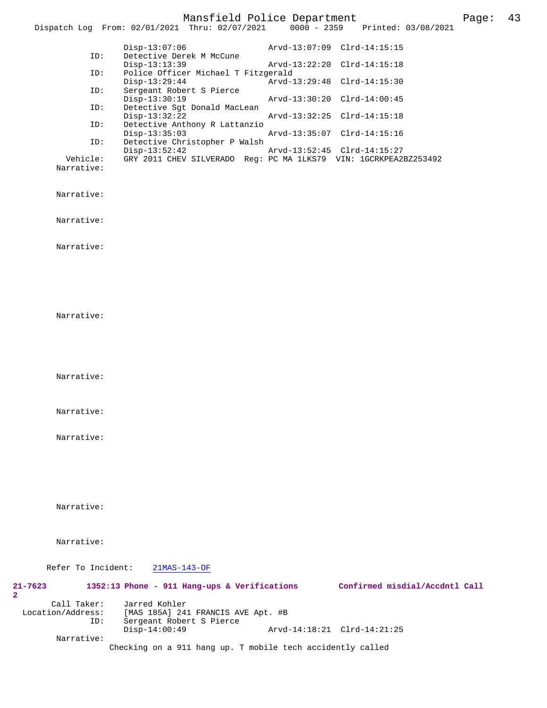# Mansfield Police Department Page: 43

|                                  | Dispatch Log From: 02/01/2021 Thru: 02/07/2021                                                                              | $0000 - 2359$ | Printed: 03/08/2021            |  |
|----------------------------------|-----------------------------------------------------------------------------------------------------------------------------|---------------|--------------------------------|--|
|                                  | $Disp-13:07:06$                                                                                                             |               | Arvd-13:07:09 Clrd-14:15:15    |  |
|                                  | Detective Derek M McCune<br>ID:<br>$Disp-13:13:39$                                                                          |               | Arvd-13:22:20 Clrd-14:15:18    |  |
|                                  | Police Officer Michael T Fitzgerald<br>ID:<br>$Disp-13:29:44$                                                               | Arvd-13:29:48 | $Clrd-14:15:30$                |  |
|                                  | Sergeant Robert S Pierce<br>ID:<br>$Disp-13:30:19$                                                                          |               | Arvd-13:30:20 Clrd-14:00:45    |  |
|                                  | Detective Sgt Donald MacLean<br>ID:<br>$Disp-13:32:22$<br>Detective Anthony R Lattanzio                                     |               | Arvd-13:32:25 Clrd-14:15:18    |  |
|                                  | ID:<br>$Disp-13:35:03$                                                                                                      |               | Arvd-13:35:07 Clrd-14:15:16    |  |
| Vehicle:                         | Detective Christopher P Walsh<br>ID:<br>$Disp-13:52:42$<br>GRY 2011 CHEV SILVERADO Reg: PC MA 1LKS79 VIN: 1GCRKPEA2BZ253492 |               | Arvd-13:52:45 Clrd-14:15:27    |  |
| Narrative:                       |                                                                                                                             |               |                                |  |
| Narrative:                       |                                                                                                                             |               |                                |  |
| Narrative:                       |                                                                                                                             |               |                                |  |
| Narrative:                       |                                                                                                                             |               |                                |  |
|                                  |                                                                                                                             |               |                                |  |
|                                  |                                                                                                                             |               |                                |  |
|                                  |                                                                                                                             |               |                                |  |
| Narrative:                       |                                                                                                                             |               |                                |  |
|                                  |                                                                                                                             |               |                                |  |
|                                  |                                                                                                                             |               |                                |  |
| Narrative:                       |                                                                                                                             |               |                                |  |
| Narrative:                       |                                                                                                                             |               |                                |  |
|                                  |                                                                                                                             |               |                                |  |
| Narrative:                       |                                                                                                                             |               |                                |  |
|                                  |                                                                                                                             |               |                                |  |
|                                  |                                                                                                                             |               |                                |  |
|                                  |                                                                                                                             |               |                                |  |
| Narrative:                       |                                                                                                                             |               |                                |  |
| Narrative:                       |                                                                                                                             |               |                                |  |
|                                  |                                                                                                                             |               |                                |  |
| Refer To Incident:               | $21MAS-143-OF$                                                                                                              |               |                                |  |
| 21-7623<br>2                     | 1352:13 Phone - 911 Hang-ups & Verifications                                                                                |               | Confirmed misdial/Accdntl Call |  |
| Call Taker:<br>Location/Address: | Jarred Kohler<br>[MAS 185A] 241 FRANCIS AVE Apt. #B                                                                         |               |                                |  |
|                                  | ID:<br>Sergeant Robert S Pierce<br>Disp-14:00:49                                                                            |               | Arvd-14:18:21 Clrd-14:21:25    |  |
| Narrative:                       | Checking on a 911 hang up. T mobile tech accidently called                                                                  |               |                                |  |
|                                  |                                                                                                                             |               |                                |  |

**2**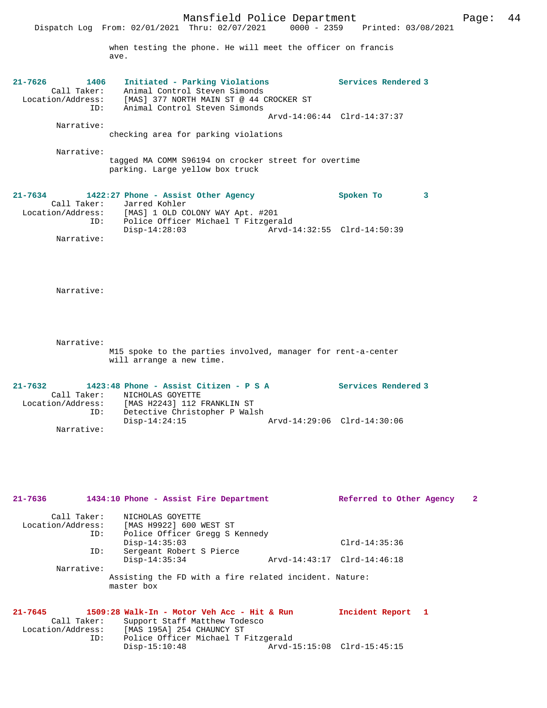|                                                                | Dispatch Log From: 02/01/2021 Thru: 02/07/2021<br>when testing the phone. He will meet the officer on francis<br>ave.                                               | $0000 - 2359$<br>Printed: 03/08/2021                           |
|----------------------------------------------------------------|---------------------------------------------------------------------------------------------------------------------------------------------------------------------|----------------------------------------------------------------|
| $21 - 7626$<br>1406<br>Call Taker:<br>Location/Address:<br>ID: | Initiated - Parking Violations<br>Animal Control Steven Simonds<br>[MAS] 377 NORTH MAIN ST @ 44 CROCKER ST<br>Animal Control Steven Simonds                         | <b>Services Rendered 3</b>                                     |
| Narrative:                                                     | checking area for parking violations                                                                                                                                | Arvd-14:06:44 Clrd-14:37:37                                    |
| Narrative:                                                     | tagged MA COMM S96194 on crocker street for overtime<br>parking. Large yellow box truck                                                                             |                                                                |
| 21-7634<br>Call Taker:<br>Location/Address:<br>ID:             | 1422:27 Phone - Assist Other Agency<br>Jarred Kohler<br>[MAS] 1 OLD COLONY WAY Apt. #201<br>Police Officer Michael T Fitzgerald                                     | Spoken To<br>3                                                 |
| Narrative:                                                     | $Disp-14:28:03$                                                                                                                                                     | Arvd-14:32:55 Clrd-14:50:39                                    |
| Narrative:                                                     |                                                                                                                                                                     |                                                                |
| Narrative:                                                     | M15 spoke to the parties involved, manager for rent-a-center<br>will arrange a new time.                                                                            |                                                                |
| 21-7632<br>Call Taker:<br>Location/Address:<br>ID:             | 1423:48 Phone - Assist Citizen - P S A<br>NICHOLAS GOYETTE<br>[MAS H2243] 112 FRANKLIN ST<br>Detective Christopher P Walsh                                          | Services Rendered 3                                            |
| Narrative:                                                     | $Disp-14:24:15$                                                                                                                                                     | Arvd-14:29:06 Clrd-14:30:06                                    |
| $21 - 7636$                                                    |                                                                                                                                                                     |                                                                |
| Call Taker:                                                    | 1434:10 Phone - Assist Fire Department<br>NICHOLAS GOYETTE                                                                                                          | Referred to Other Agency<br>2                                  |
| Location/Address:<br>ID:                                       | [MAS H9922] 600 WEST ST<br>Police Officer Gregg S Kennedy<br>$Disp-14:35:03$                                                                                        | $Clrd-14:35:36$                                                |
| ID:                                                            | Sergeant Robert S Pierce<br>$Disp-14:35:34$                                                                                                                         | Arvd-14:43:17 Clrd-14:46:18                                    |
| Narrative:                                                     | Assisting the FD with a fire related incident. Nature:<br>master box                                                                                                |                                                                |
| $21 - 7645$<br>Call Taker:<br>Location/Address:<br>ID:         | 1509:28 Walk-In - Motor Veh Acc - Hit & Run<br>Support Staff Matthew Todesco<br>[MAS 195A] 254 CHAUNCY ST<br>Police Officer Michael T Fitzgerald<br>$Disp-15:10:48$ | Incident Report<br>$\mathbf{1}$<br>Arvd-15:15:08 Clrd-15:45:15 |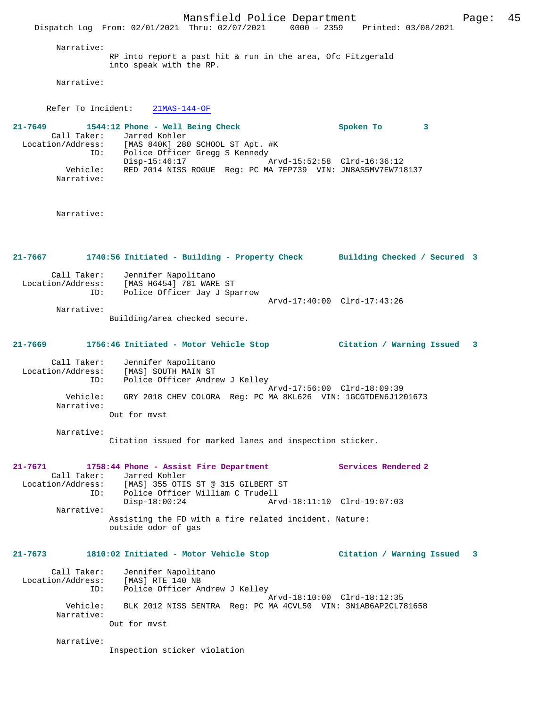Mansfield Police Department Fage: 45 Dispatch Log From: 02/01/2021 Thru: 02/07/2021 0000 - 2359 Printed: 03/08/2021 Narrative: RP into report a past hit & run in the area, Ofc Fitzgerald into speak with the RP. Narrative: Refer To Incident: 21MAS-144-OF **21-7649 1544:12 Phone - Well Being Check Spoken To 3**  Call Taker: Jarred Kohler<br>Location/Address: [MAS 840K] 280  $[MAS 840K] 280$  SCHOOL ST Apt. #K ID: Police Officer Gregg S Kennedy Disp-15:46:17 Arvd-15:52:58 Clrd-16:36:12 Vehicle: RED 2014 NISS ROGUE Reg: PC MA 7EP739 VIN: JN8AS5MV7EW718137 Narrative: Narrative: **21-7667 1740:56 Initiated - Building - Property Check Building Checked / Secured 3** Call Taker: Jennifer Napolitano Location/Address: [MAS H6454] 781 WARE ST ID: Police Officer Jay J Sparrow Arvd-17:40:00 Clrd-17:43:26 Narrative: Building/area checked secure. **21-7669 1756:46 Initiated - Motor Vehicle Stop Citation / Warning Issued 3** Call Taker: Jennifer Napolitano Location/Address: [MAS] SOUTH MAIN ST ID: Police Officer Andrew J Kelley Arvd-17:56:00 Clrd-18:09:39 Vehicle: GRY 2018 CHEV COLORA Reg: PC MA 8KL626 VIN: 1GCGTDEN6J1201673 Narrative: Out for mvst Narrative: Citation issued for marked lanes and inspection sticker. **21-7671 1758:44 Phone - Assist Fire Department Services Rendered 2**  Call Taker: Jarred Kohler Location/Address: [MAS] 355 OTIS ST @ 315 GILBERT ST ID: Police Officer William C Trudell<br>Disp-18:00:24 Arv Disp-18:00:24 Arvd-18:11:10 Clrd-19:07:03 Narrative: Assisting the FD with a fire related incident. Nature: outside odor of gas **21-7673 1810:02 Initiated - Motor Vehicle Stop Citation / Warning Issued 3** Call Taker: Jennifer Napolitano Location/Address: [MAS] RTE 140 NB ID: Police Officer Andrew J Kelley Arvd-18:10:00 Clrd-18:12:35 Vehicle: BLK 2012 NISS SENTRA Reg: PC MA 4CVL50 VIN: 3N1AB6AP2CL781658 Narrative: Out for mvst Narrative: Inspection sticker violation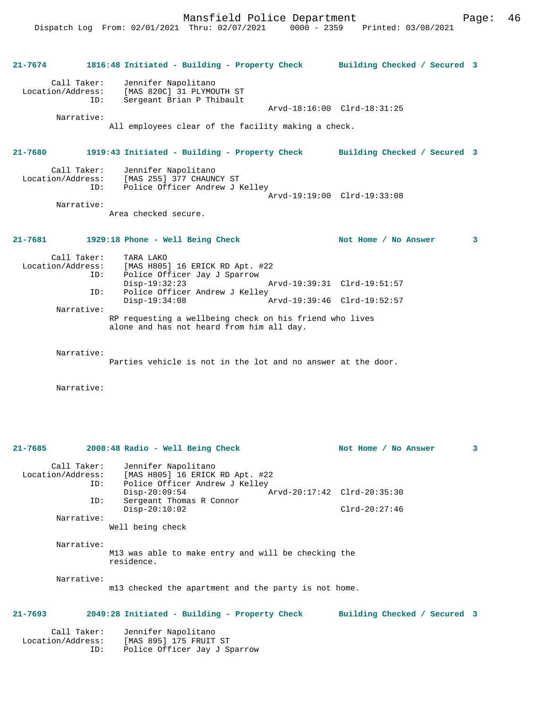| 21-7674           |                    | 1816:48 Initiated - Building - Property Check Building Checked / Secured 3                           |                             |   |
|-------------------|--------------------|------------------------------------------------------------------------------------------------------|-----------------------------|---|
| Location/Address: | Call Taker:<br>ID: | Jennifer Napolitano<br>[MAS 820C] 31 PLYMOUTH ST<br>Sergeant Brian P Thibault                        |                             |   |
|                   |                    |                                                                                                      | Arvd-18:16:00 Clrd-18:31:25 |   |
|                   | Narrative:         | All employees clear of the facility making a check.                                                  |                             |   |
| $21 - 7680$       |                    | 1919:43 Initiated - Building - Property Check Building Checked / Secured 3                           |                             |   |
| Location/Address: | Call Taker:        | Jennifer Napolitano<br>[MAS 255] 377 CHAUNCY ST                                                      |                             |   |
|                   | ID:                | Police Officer Andrew J Kelley                                                                       | Arvd-19:19:00 Clrd-19:33:08 |   |
|                   | Narrative:         | Area checked secure.                                                                                 |                             |   |
| 21-7681           |                    | 1929:18 Phone - Well Being Check                                                                     | Not Home / No Answer        | 3 |
|                   | Call Taker:<br>ID: | TARA LAKO<br>Location/Address: [MAS H805] 16 ERICK RD Apt. #22<br>Police Officer Jay J Sparrow       |                             |   |
|                   | ID:                | $Disp-19:32:23$<br>Police Officer Andrew J Kelley                                                    | Arvd-19:39:31 Clrd-19:51:57 |   |
|                   |                    | $Disp-19:34:08$                                                                                      | Arvd-19:39:46 Clrd-19:52:57 |   |
|                   | Narrative:         | RP requesting a wellbeing check on his friend who lives<br>alone and has not heard from him all day. |                             |   |
|                   | Narrative:         |                                                                                                      |                             |   |
|                   |                    | Parties vehicle is not in the lot and no answer at the door.                                         |                             |   |
|                   | Narrative:         |                                                                                                      |                             |   |
|                   |                    |                                                                                                      |                             |   |
|                   |                    |                                                                                                      |                             |   |

| $21 - 7685$ |                                         | 2008:48 Radio - Well Being Check                                                                           | Not Home / No Answer         | 3 |
|-------------|-----------------------------------------|------------------------------------------------------------------------------------------------------------|------------------------------|---|
|             | Call Taker:<br>ID:                      | Jennifer Napolitano<br>Location/Address: [MAS H805] 16 ERICK RD Apt. #22<br>Police Officer Andrew J Kelley |                              |   |
|             |                                         | Arvd-20:17:42 Clrd-20:35:30<br>$Disp-20:09:54$                                                             |                              |   |
|             | ID:                                     | Sergeant Thomas R Connor<br>$Disp-20:10:02$                                                                | $Clrd-20:27:46$              |   |
|             | Narrative:                              |                                                                                                            |                              |   |
|             |                                         | Well being check                                                                                           |                              |   |
|             | Narrative:                              |                                                                                                            |                              |   |
|             |                                         | M13 was able to make entry and will be checking the<br>residence.                                          |                              |   |
|             | Narrative:                              | m13 checked the apartment and the party is not home.                                                       |                              |   |
| $21 - 7693$ |                                         | 2049:28 Initiated - Building - Property Check                                                              | Building Checked / Secured 3 |   |
|             | Call Taker:<br>Location/Address:<br>ID: | Jennifer Napolitano<br>[MAS 895] 175 FRUIT ST<br>Police Officer Jay J Sparrow                              |                              |   |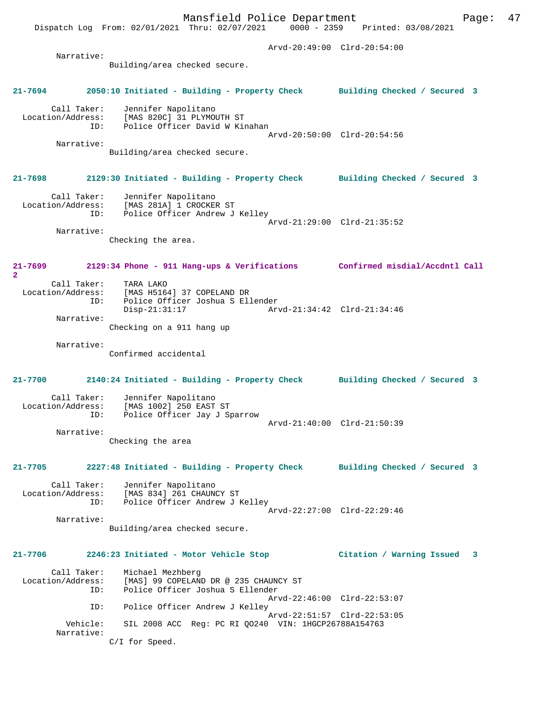Mansfield Police Department Fage: 47 Dispatch Log From: 02/01/2021 Thru: 02/07/2021 0000 - 2359 Printed: 03/08/2021 Arvd-20:49:00 Clrd-20:54:00 Narrative: Building/area checked secure. **21-7694 2050:10 Initiated - Building - Property Check Building Checked / Secured 3** Call Taker: Jennifer Napolitano Location/Address: [MAS 820C] 31 PLYMOUTH ST ID: Police Officer David W Kinahan Arvd-20:50:00 Clrd-20:54:56 Narrative: Building/area checked secure. **21-7698 2129:30 Initiated - Building - Property Check Building Checked / Secured 3** Call Taker: Jennifer Napolitano Location/Address: [MAS 281A] 1 CROCKER ST ID: Police Officer Andrew J Kelley Arvd-21:29:00 Clrd-21:35:52 Narrative: Checking the area. **21-7699 2129:34 Phone - 911 Hang-ups & Verifications Confirmed misdial/Accdntl Call 2**  Call Taker: TARA LAKO<br>Location/Address: [MAS H5164] 37 COPELAND DR Location/Address: [MAS H5164] 37 COPELAND DR ID: Police Officer Joshua S Ellender Disp-21:31:17 Arvd-21:34:42 Clrd-21:34:46 Narrative: Checking on a 911 hang up Narrative: Confirmed accidental **21-7700 2140:24 Initiated - Building - Property Check Building Checked / Secured 3** Call Taker: Jennifer Napolitano<br>Location/Address: [MAS 1002] 250 EAST Location/Address: [MAS 1002] 250 EAST ST ID: Police Officer Jay J Sparrow Arvd-21:40:00 Clrd-21:50:39 Narrative: Checking the area **21-7705 2227:48 Initiated - Building - Property Check Building Checked / Secured 3** Call Taker: Jennifer Napolitano Location/Address: [MAS 834] 261 CHAUNCY ST ID: Police Officer Andrew J Kelley Arvd-22:27:00 Clrd-22:29:46 Narrative: Building/area checked secure. **21-7706 2246:23 Initiated - Motor Vehicle Stop Citation / Warning Issued 3** Call Taker: Michael Mezhberg Location/Address: [MAS] 99 COPELAND DR @ 235 CHAUNCY ST ID: Police Officer Joshua S Ellender Arvd-22:46:00 Clrd-22:53:07 ID: Police Officer Andrew J Kelley Arvd-22:51:57 Clrd-22:53:05 Vehicle: SIL 2008 ACC Reg: PC RI QO240 VIN: 1HGCP26788A154763 Narrative: C/I for Speed.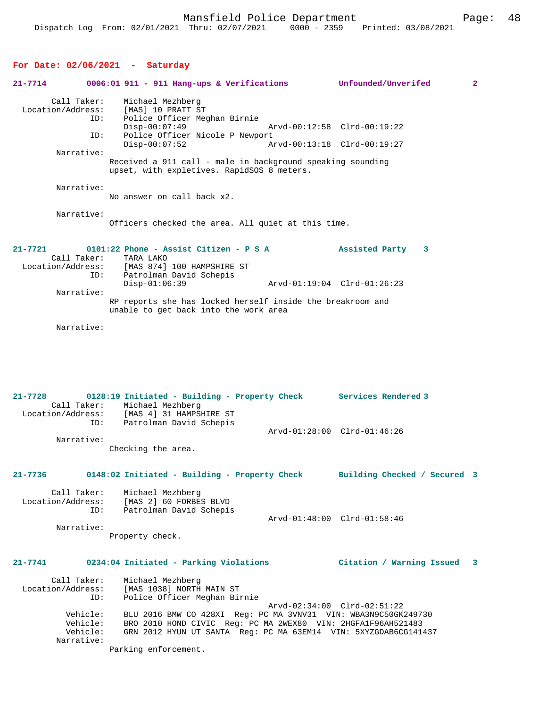# **For Date: 02/06/2021 - Saturday**

| 21-7714     |                                                | $0006:01$ 911 - 911 Hang-ups & Verifications                                                                                                                                                                              | Unfounded/Unverifed          | $\mathbf{2}$ |
|-------------|------------------------------------------------|---------------------------------------------------------------------------------------------------------------------------------------------------------------------------------------------------------------------------|------------------------------|--------------|
|             | Call Taker:<br>Location/Address:<br>ID:        | Michael Mezhberg<br>[MAS] 10 PRATT ST<br>Police Officer Meghan Birnie<br>$Disp-00:07:49$                                                                                                                                  | Arvd-00:12:58 Clrd-00:19:22  |              |
|             | ID:                                            | Police Officer Nicole P Newport<br>$Disp-00:07:52$                                                                                                                                                                        | Arvd-00:13:18 Clrd-00:19:27  |              |
|             | Narrative:                                     | Received a 911 call - male in background speaking sounding<br>upset, with expletives. RapidSOS 8 meters.                                                                                                                  |                              |              |
|             | Narrative:                                     | No answer on call back x2.                                                                                                                                                                                                |                              |              |
|             | Narrative:                                     | Officers checked the area. All quiet at this time.                                                                                                                                                                        |                              |              |
| $21 - 7721$ | Call Taker:                                    | $0101:22$ Phone - Assist Citizen - P S A<br>TARA LAKO                                                                                                                                                                     | Assisted Party<br>3          |              |
|             | Location/Address:<br>ID:                       | [MAS 874] 100 HAMPSHIRE ST<br>Patrolman David Schepis<br>$Disp-01:06:39$                                                                                                                                                  | Arvd-01:19:04 Clrd-01:26:23  |              |
|             | Narrative:                                     | RP reports she has locked herself inside the breakroom and<br>unable to get back into the work area                                                                                                                       |                              |              |
|             | Narrative:                                     |                                                                                                                                                                                                                           |                              |              |
| $21 - 7728$ | Location/Address:<br>ID:                       | 0128:19 Initiated - Building - Property Check Services Rendered 3<br>Call Taker: Michael Mezhberg<br>[MAS 4] 31 HAMPSHIRE ST<br>Patrolman David Schepis                                                                   | Arvd-01:28:00 Clrd-01:46:26  |              |
|             | Narrative:                                     |                                                                                                                                                                                                                           |                              |              |
|             |                                                | Checking the area.                                                                                                                                                                                                        |                              |              |
| 21-7736     |                                                | 0148:02 Initiated - Building - Property Check                                                                                                                                                                             | Building Checked / Secured 3 |              |
|             | ID:                                            | Call Taker: Michael Mezhberg<br>Location/Address: [MAS 2] 60 FORBES BLVD<br>Patrolman David Schepis                                                                                                                       | Arvd-01:48:00 Clrd-01:58:46  |              |
|             | Narrative:                                     | Property check.                                                                                                                                                                                                           |                              |              |
|             |                                                | 21-7741 0234:04 Initiated - Parking Violations                                                                                                                                                                            | Citation / Warning Issued 3  |              |
|             | Call Taker:<br>Location/Address:<br>ID:        | Michael Mezhberg<br>[MAS 1038] NORTH MAIN ST<br>Police Officer Meghan Birnie                                                                                                                                              |                              |              |
|             | Vehicle:<br>Vehicle:<br>Vehicle:<br>Narrative: | BLU 2016 BMW CO 428XI Reg: PC MA 3VNV31 VIN: WBA3N9C50GK249730<br>BRO 2010 HOND CIVIC Reg: PC MA 2WEX80 VIN: 2HGFA1F96AH521483<br>GRN 2012 HYUN UT SANTA Reg: PC MA 63EM14 VIN: 5XYZGDAB6CG141437<br>Parking enforcement. | Arvd-02:34:00 Clrd-02:51:22  |              |
|             |                                                |                                                                                                                                                                                                                           |                              |              |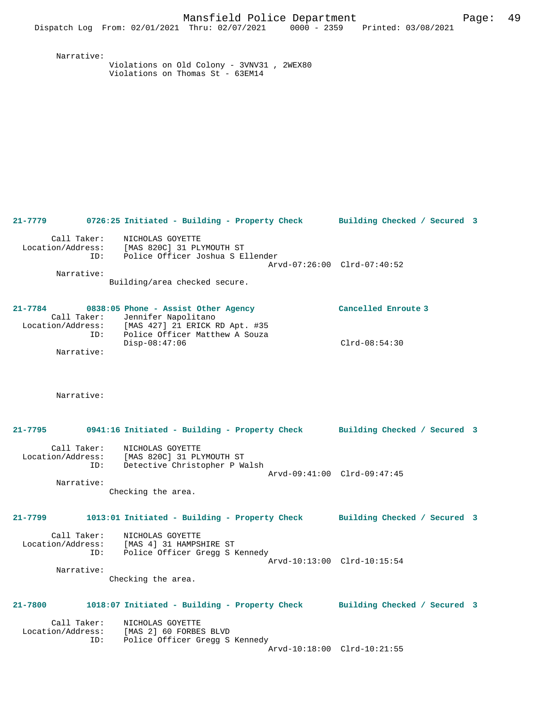Narrative: Violations on Old Colony - 3VNV31 , 2WEX80 Violations on Thomas St - 63EM14

**21-7779 0726:25 Initiated - Building - Property Check Building Checked / Secured 3** Call Taker: NICHOLAS GOYETTE Location/Address: [MAS 820C] 31 PLYMOUTH ST ID: Police Officer Joshua S Ellender Arvd-07:26:00 Clrd-07:40:52 Narrative: Building/area checked secure. **21-7784 0838:05 Phone - Assist Other Agency Cancelled Enroute 3** 

| Call Taker:       | Jennifer Napolitano            |                 |
|-------------------|--------------------------------|-----------------|
| Location/Address: | [MAS 427] 21 ERICK RD Apt. #35 |                 |
| ID:               | Police Officer Matthew A Souza |                 |
|                   | Disp-08:47:06                  | $Clrd-08:54:30$ |
| Narrative:        |                                |                 |

Narrative:

| $21 - 7795$ | 0941:16 Initiated - Building - Property Check                                                                   | Building Checked / Secured 3                      |  |
|-------------|-----------------------------------------------------------------------------------------------------------------|---------------------------------------------------|--|
| ID:         | Call Taker: NICHOLAS GOYETTE<br>Location/Address: [MAS 820C] 31 PLYMOUTH ST<br>Detective Christopher P Walsh    | Arvd-09:41:00 Clrd-09:47:45                       |  |
| Narrative:  | Checking the area.                                                                                              |                                                   |  |
|             |                                                                                                                 |                                                   |  |
| $21 - 7799$ | 1013:01 Initiated - Building - Property Check Building Checked / Secured 3                                      |                                                   |  |
|             | Call Taker: NICHOLAS GOYETTE<br>Location/Address: [MAS 4] 31 HAMPSHIRE ST<br>ID: Police Officer Gregg S Kennedy | Arvd-10:13:00 Clrd-10:15:54                       |  |
| Narrative:  |                                                                                                                 |                                                   |  |
|             | Checking the area.                                                                                              |                                                   |  |
| $21 - 7800$ | 1018:07 Initiated - Building - Property Check Building Checked / Secured 3                                      |                                                   |  |
| ID:         | Call Taker: NICHOLAS GOYETTE<br>Location/Address: [MAS 2] 60 FORBES BLVD<br>Police Officer Gregg S Kennedy      | $\overline{a}$ , and an an another $\overline{a}$ |  |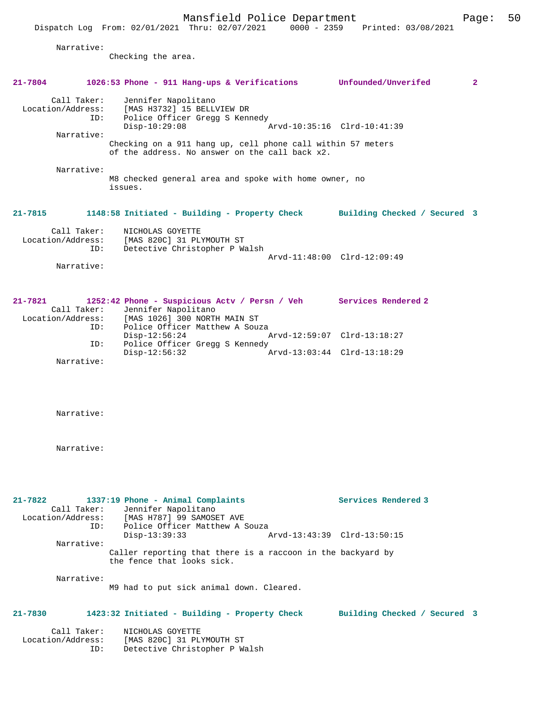|             |                                         |                                                          | Mansfield Police Department                                                                                   |                                 | Page:          | 50 |
|-------------|-----------------------------------------|----------------------------------------------------------|---------------------------------------------------------------------------------------------------------------|---------------------------------|----------------|----|
|             |                                         |                                                          | Dispatch Log From: 02/01/2021 Thru: 02/07/2021                                                                | 0000 - 2359 Printed: 03/08/2021 |                |    |
|             | Narrative:                              | Checking the area.                                       |                                                                                                               |                                 |                |    |
| $21 - 7804$ |                                         |                                                          | 1026:53 Phone - 911 Hang-ups & Verifications Unfounded/Unverifed                                              |                                 | $\overline{2}$ |    |
|             | Call Taker:<br>Location/Address:<br>ID: | Jennifer Napolitano<br>$Disp-10:29:08$                   | [MAS H3732] 15 BELLVIEW DR<br>Police Officer Gregg S Kennedy                                                  | Arvd-10:35:16 Clrd-10:41:39     |                |    |
|             | Narrative:                              |                                                          | Checking on a 911 hang up, cell phone call within 57 meters<br>of the address. No answer on the call back x2. |                                 |                |    |
|             | Narrative:                              | issues.                                                  | M8 checked general area and spoke with home owner, no                                                         |                                 |                |    |
| 21-7815     |                                         |                                                          | 1148:58 Initiated - Building - Property Check Building Checked / Secured 3                                    |                                 |                |    |
|             | Call Taker:<br>Location/Address:<br>ID: | NICHOLAS GOYETTE<br>[MAS 820C] 31 PLYMOUTH ST            | Detective Christopher P Walsh                                                                                 |                                 |                |    |
|             | Narrative:                              |                                                          |                                                                                                               | Arvd-11:48:00 Clrd-12:09:49     |                |    |
| $21 - 7821$ | Call Taker:<br>Location/Address:        | Jennifer Napolitano                                      | 1252:42 Phone - Suspicious Actv / Persn / Veh Services Rendered 2<br>[MAS 1026] 300 NORTH MAIN ST             |                                 |                |    |
|             | ID:<br>ID:                              | $Disp-12:56:24$                                          | Police Officer Matthew A Souza<br>Police Officer Gregg S Kennedy                                              | Arvd-12:59:07 Clrd-13:18:27     |                |    |
|             | Narrative:                              | $Disp-12:56:32$                                          |                                                                                                               | Arvd-13:03:44 Clrd-13:18:29     |                |    |
|             |                                         |                                                          |                                                                                                               |                                 |                |    |
|             | Narrative:                              |                                                          |                                                                                                               |                                 |                |    |
|             | Narrative:                              |                                                          |                                                                                                               |                                 |                |    |
| $21 - 7822$ | Call Taker:                             | 1337:19 Phone - Animal Complaints<br>Jennifer Napolitano |                                                                                                               | Services Rendered 3             |                |    |

 Location/Address: [MAS H787] 99 SAMOSET AVE ID: Police Officer Matthew A Souza<br>Disp-13:39:33 Arvd-13:43:39 Clrd-13:50:15 Narrative: Caller reporting that there is a raccoon in the backyard by the fence that looks sick.

Narrative:

M9 had to put sick animal down. Cleared.

## **21-7830 1423:32 Initiated - Building - Property Check Building Checked / Secured 3**

 Call Taker: NICHOLAS GOYETTE Location/Address: [MAS 820C] 31 PLYMOUTH ST ID: Detective Christopher P Walsh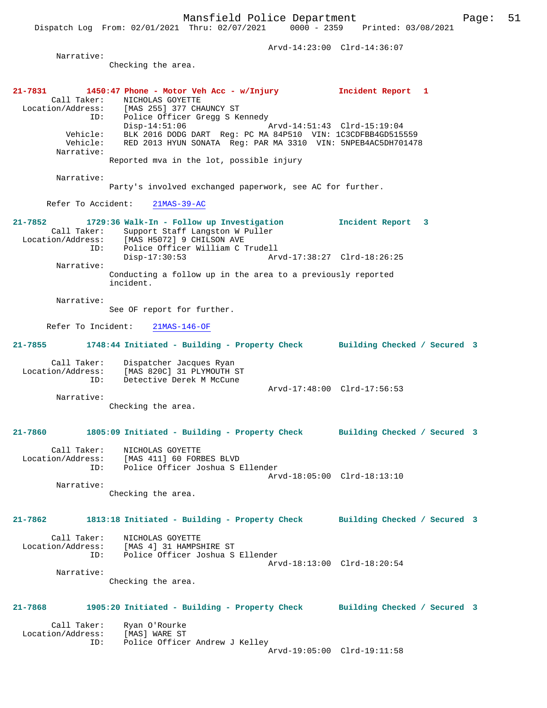Mansfield Police Department Page: 51 Dispatch Log From: 02/01/2021 Thru: 02/07/2021 0000 - 2359 Printed: 03/08/2021 Arvd-14:23:00 Clrd-14:36:07 Narrative: Checking the area. **21-7831 1450:47 Phone - Motor Veh Acc - w/Injury Incident Report 1**  Call Taker: NICHOLAS GOYETTE<br>Location/Address: [MAS 255] 377 CHA Location/Address: [MAS 255] 377 CHAUNCY ST ID: Police Officer Gregg S Kennedy Disp-14:51:06 Arvd-14:51:43 Clrd-15:19:04 Vehicle: BLK 2016 DODG DART Reg: PC MA 84P510 VIN: 1C3CDFBB4GD515559 Vehicle: RED 2013 HYUN SONATA Reg: PAR MA 3310 VIN: 5NPEB4AC5DH701478 Narrative: Reported mva in the lot, possible injury Narrative: Party's involved exchanged paperwork, see AC for further. Refer To Accident: 21MAS-39-AC **21-7852 1729:36 Walk-In - Follow up Investigation Incident Report 3**  Call Taker: Support Staff Langston W Puller Location/Address: [MAS H5072] 9 CHILSON AVE ID: Police Officer William C Trudell<br>Disp-17:30:53 Arv Arvd-17:38:27 Clrd-18:26:25 Narrative: Conducting a follow up in the area to a previously reported incident. Narrative: See OF report for further. Refer To Incident: 21MAS-146-OF **21-7855 1748:44 Initiated - Building - Property Check Building Checked / Secured 3** Call Taker: Dispatcher Jacques Ryan Location/Address: [MAS 820C] 31 PLYMOUTH ST ID: Detective Derek M McCune Arvd-17:48:00 Clrd-17:56:53 Narrative: Checking the area. **21-7860 1805:09 Initiated - Building - Property Check Building Checked / Secured 3** Call Taker: NICHOLAS GOYETTE Location/Address: [MAS 411] 60 FORBES BLVD ID: Police Officer Joshua S Ellender Arvd-18:05:00 Clrd-18:13:10 Narrative: Checking the area. **21-7862 1813:18 Initiated - Building - Property Check Building Checked / Secured 3** Call Taker: NICHOLAS GOYETTE Location/Address: [MAS 4] 31 HAMPSHIRE ST ID: Police Officer Joshua S Ellender Arvd-18:13:00 Clrd-18:20:54 Narrative: Checking the area. **21-7868 1905:20 Initiated - Building - Property Check Building Checked / Secured 3** Call Taker: Ryan O'Rourke

Arvd-19:05:00 Clrd-19:11:58

Location/Address: [MAS] WARE ST

ID: Police Officer Andrew J Kelley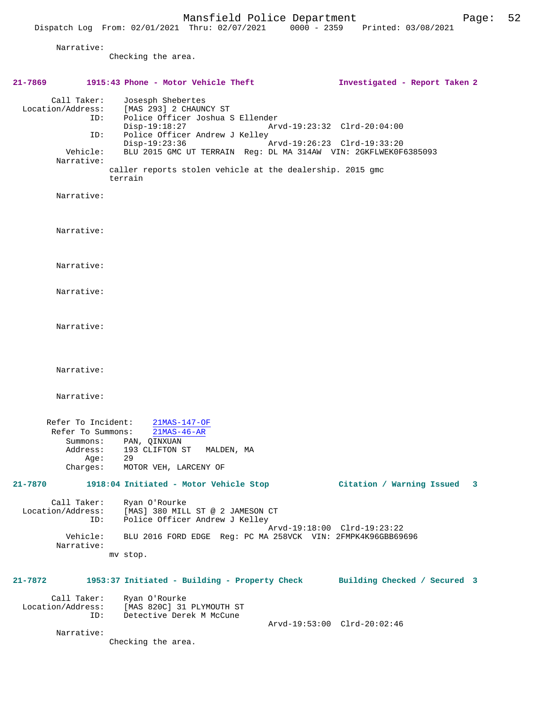Narrative:

Checking the area.

**21-7869 1915:43 Phone - Motor Vehicle Theft Investigated - Report Taken 2** Call Taker: Josesph Shebertes<br>Location/Address: [MAS 293] 2 CHAUN  $[MAS 293] 2 CHAUNCY ST$ ID: Police Officer Joshua S Ellender<br>Disp-19:18:27 Ar Disp-19:18:27 Arvd-19:23:32 Clrd-20:04:00 ID: Police Officer Andrew J Kelley Disp-19:23:36 Arvd-19:26:23 Clrd-19:33:20<br>Vehicle: BLU 2015 GMC UT TERRAIN Reg: DL MA 314AW VIN: 2GKFLWEKOF BLU 2015 GMC UT TERRAIN Reg: DL MA 314AW VIN: 2GKFLWEK0F6385093 Narrative: caller reports stolen vehicle at the dealership. 2015 gmc terrain Narrative: Narrative: Narrative: Narrative: Narrative: Narrative: Narrative: Refer To Incident: 21MAS-147-OF Refer To Summons: 21MAS-46-AR Summons: PAN, QINXUAN<br>Address: 193 CLIFTON ST 193 CLIFTON ST MALDEN, MA Age: 29 Charges: MOTOR VEH, LARCENY OF **21-7870 1918:04 Initiated - Motor Vehicle Stop Citation / Warning Issued 3** Call Taker: Ryan O'Rourke Location/Address: [MAS] 380 MILL ST @ 2 JAMESON CT<br>ID: Police Officer Andrew J Kelley Police Officer Andrew J Kelley Arvd-19:18:00 Clrd-19:23:22 Vehicle: BLU 2016 FORD EDGE Reg: PC MA 258VCK VIN: 2FMPK4K96GBB69696 Narrative: mv stop. **21-7872 1953:37 Initiated - Building - Property Check Building Checked / Secured 3** Call Taker: Ryan O'Rourke Location/Address: [MAS 820C] 31 PLYMOUTH ST ID: Detective Derek M McCune Arvd-19:53:00 Clrd-20:02:46 Narrative: Checking the area.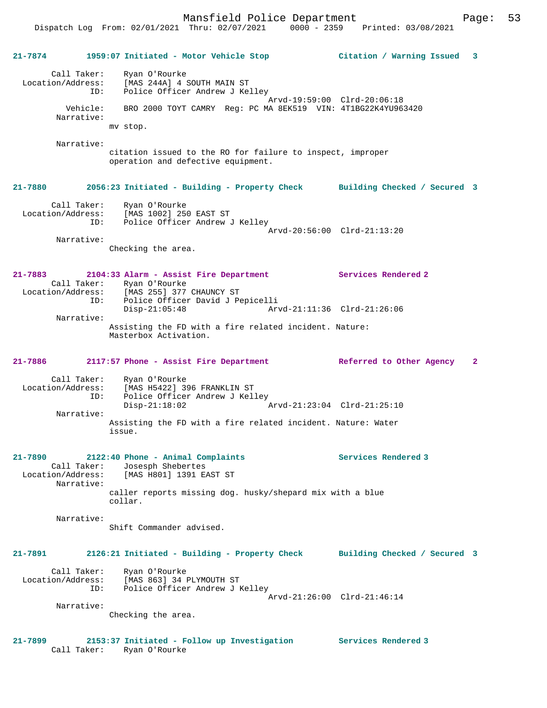Dispatch Log From: 02/01/2021 Thru: 02/07/2021 0000 - 2359 Printed: 03/08/2021

**21-7874 1959:07 Initiated - Motor Vehicle Stop Citation / Warning Issued 3** Call Taker: Ryan O'Rourke Location/Address: [MAS 244A] 4 SOUTH MAIN ST ID: Police Officer Andrew J Kelley Arvd-19:59:00 Clrd-20:06:18 Vehicle: BRO 2000 TOYT CAMRY Reg: PC MA 8EK519 VIN: 4T1BG22K4YU963420 Narrative: mv stop. Narrative: citation issued to the RO for failure to inspect, improper operation and defective equipment. **21-7880 2056:23 Initiated - Building - Property Check Building Checked / Secured 3** Call Taker: Ryan O'Rourke Location/Address: [MAS 1002] 250 EAST ST ID: Police Officer Andrew J Kelley Arvd-20:56:00 Clrd-21:13:20 Narrative: Checking the area. **21-7883 2104:33 Alarm - Assist Fire Department Services Rendered 2**  Call Taker: Ryan O'Rourke Location/Address: [MAS 255] 377 CHAUNCY ST ID: Police Officer David J Pepicelli<br>Disp-21:05:48 Arv Arvd-21:11:36 Clrd-21:26:06 Narrative: Assisting the FD with a fire related incident. Nature: Masterbox Activation. **21-7886 2117:57 Phone - Assist Fire Department Referred to Other Agency 2** Call Taker: Ryan O'Rourke Location/Address: [MAS H5422] 396 FRANKLIN ST<br>ID: police Officer Andrew J Kell<br>Disp-21:18:02 Police Officer Andrew J Kelley Disp-21:18:02 Arvd-21:23:04 Clrd-21:25:10 Narrative: Assisting the FD with a fire related incident. Nature: Water issue. **21-7890 2122:40 Phone - Animal Complaints Services Rendered 3**  Call Taker: Josesph Shebertes Location/Address: [MAS H801] 1391 EAST ST Narrative: caller reports missing dog. husky/shepard mix with a blue collar. Narrative: Shift Commander advised. **21-7891 2126:21 Initiated - Building - Property Check Building Checked / Secured 3** Call Taker: Ryan O'Rourke Location/Address: [MAS 863] 34 PLYMOUTH ST ID: Police Officer Andrew J Kelley Arvd-21:26:00 Clrd-21:46:14 Narrative: Checking the area. **21-7899 2153:37 Initiated - Follow up Investigation Services Rendered 3** 

Call Taker: Ryan O'Rourke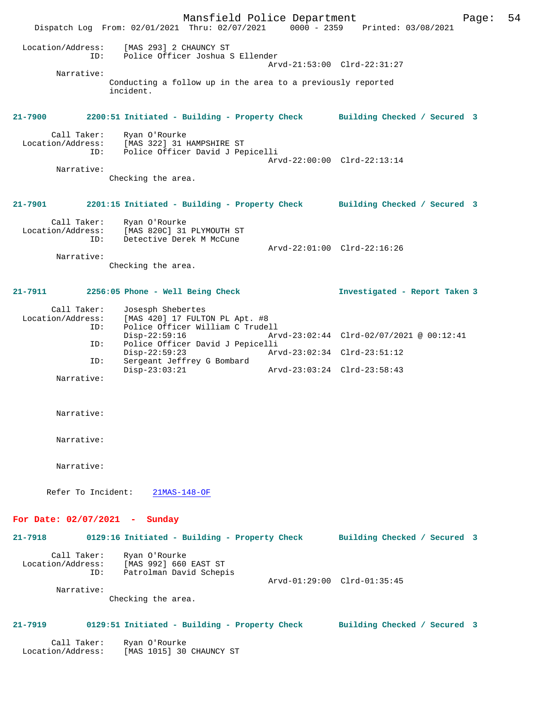Mansfield Police Department Page: 54 Dispatch Log From: 02/01/2021 Thru: 02/07/2021 0000 - 2359 Printed: 03/08/2021 Location/Address: [MAS 293] 2 CHAUNCY ST ID: Police Officer Joshua S Ellender Arvd-21:53:00 Clrd-22:31:27 Narrative: Conducting a follow up in the area to a previously reported incident. **21-7900 2200:51 Initiated - Building - Property Check Building Checked / Secured 3** Call Taker: Ryan O'Rourke<br>Location/Address: [MAS 322] 31 1 [MAS 322] 31 HAMPSHIRE ST ID: Police Officer David J Pepicelli Arvd-22:00:00 Clrd-22:13:14 Narrative: Checking the area. **21-7901 2201:15 Initiated - Building - Property Check Building Checked / Secured 3** Call Taker: Ryan O'Rourke<br>Location/Address: [MAS 820C] 31 [MAS 820C] 31 PLYMOUTH ST ID: Detective Derek M McCune Arvd-22:01:00 Clrd-22:16:26 Narrative: Checking the area. **21-7911 2256:05 Phone - Well Being Check Investigated - Report Taken 3** Call Taker: Josesph Shebertes Location/Address: [MAS 420] 17 FULTON PL Apt. #8 ID: Police Officer William C Trudell Disp-22:59:16 Arvd-23:02:44 Clrd-02/07/2021 @ 00:12:41 ID: Police Officer David J Pepicelli<br>Disp-22:59:23 Ar Disp-22:59:23 Arvd-23:02:34 Clrd-23:51:12 ID: Sergeant Jeffrey G Bombard Disp-23:03:21 Arvd-23:03:24 Clrd-23:58:43 Narrative: Narrative: Narrative: Narrative: Refer To Incident: 21MAS-148-OF **For Date: 02/07/2021 - Sunday 21-7918 0129:16 Initiated - Building - Property Check Building Checked / Secured 3** Call Taker: Ryan O'Rourke Location/Address: [MAS 992] 660 EAST ST ID: Patrolman David Schepis Arvd-01:29:00 Clrd-01:35:45 Narrative: Checking the area. **21-7919 0129:51 Initiated - Building - Property Check Building Checked / Secured 3** Call Taker: Ryan O'Rourke Location/Address: [MAS 1015] 30 CHAUNCY ST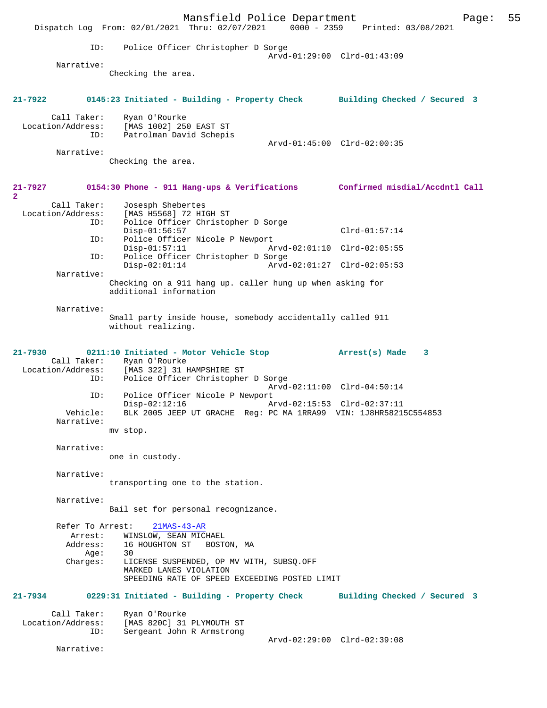Mansfield Police Department Page: 55 Dispatch Log From: 02/01/2021 Thru: 02/07/2021 0000 - 2359 Printed: 03/08/2021 ID: Police Officer Christopher D Sorge Arvd-01:29:00 Clrd-01:43:09 Narrative: Checking the area. **21-7922 0145:23 Initiated - Building - Property Check Building Checked / Secured 3** Call Taker: Ryan O'Rourke Location/Address: [MAS 1002] 250 EAST ST ID: Patrolman David Schepis Arvd-01:45:00 Clrd-02:00:35 Narrative: Checking the area. **21-7927 0154:30 Phone - 911 Hang-ups & Verifications Confirmed misdial/Accdntl Call 2**  Call Taker: Josesph Shebertes Location/Address: [MAS H5568] 72 HIGH ST Police Officer Christopher D Sorge Disp-01:56:57 Clrd-01:57:14 ID: Police Officer Nicole P Newport<br>Disp-01:57:11 Ar Arvd-02:01:10 Clrd-02:05:55 ID: Police Officer Christopher D Sorge Disp-02:01:14 Arvd-02:01:27 Clrd-02:05:53 Narrative: Checking on a 911 hang up. caller hung up when asking for additional information Narrative: Small party inside house, somebody accidentally called 911 without realizing. **21-7930 0211:10 Initiated - Motor Vehicle Stop Arrest(s) Made 3**  Call Taker: Ryan O'Rourke Location/Address: [MAS 322] 31 HAMPSHIRE ST Police Officer Christopher D Sorge Arvd-02:11:00 Clrd-04:50:14<br>ID: Police Officer Nicole P Newport Police Officer Nicole P Newport<br>Disp-02:12:16 A Arvd-02:15:53 Clrd-02:37:11 Vehicle: BLK 2005 JEEP UT GRACHE Reg: PC MA 1RRA99 VIN: 1J8HR58215C554853 Narrative: mv stop. Narrative: one in custody. Narrative: transporting one to the station. Narrative: Bail set for personal recognizance. Refer To Arrest: 21MAS-43-AR Arrest: WINSLOW, SEAN MICHAEL<br>Address: 16 HOUGHTON ST BOST 16 HOUGHTON ST BOSTON, MA<br>30  $Age:$  Charges: LICENSE SUSPENDED, OP MV WITH, SUBSQ.OFF MARKED LANES VIOLATION SPEEDING RATE OF SPEED EXCEEDING POSTED LIMIT **21-7934 0229:31 Initiated - Building - Property Check Building Checked / Secured 3** Call Taker: Ryan O'Rourke<br>Location/Address: [MAS 820C] 31 ess: [MAS 820C] 31 PLYMOUTH ST<br>ID: Sergeant John R Armstrong Sergeant John R Armstrong Arvd-02:29:00 Clrd-02:39:08 Narrative: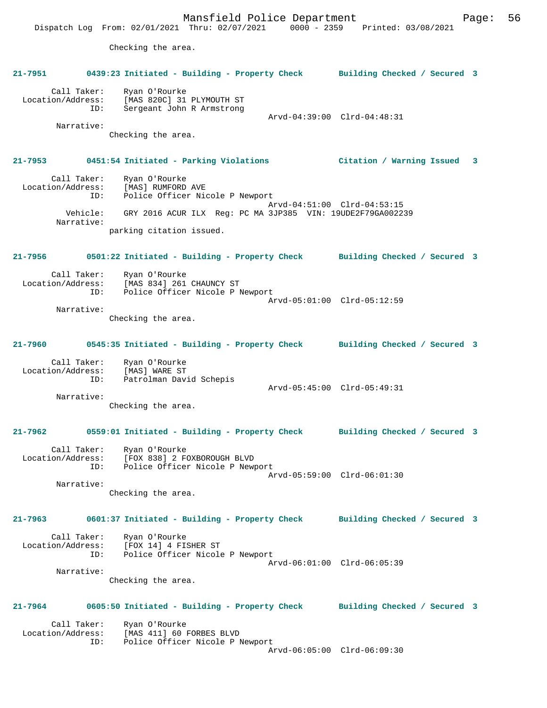Mansfield Police Department Page: 56 Dispatch Log From: 02/01/2021 Thru: 02/07/2021 0000 - 2359 Printed: 03/08/2021 Checking the area. **21-7951 0439:23 Initiated - Building - Property Check Building Checked / Secured 3** Call Taker: Ryan O'Rourke Location/Address: [MAS 820C] 31 PLYMOUTH ST ID: Sergeant John R Armstrong Arvd-04:39:00 Clrd-04:48:31 Narrative: Checking the area. **21-7953 0451:54 Initiated - Parking Violations Citation / Warning Issued 3** Call Taker: Ryan O'Rourke Location/Address: [MAS] RUMFORD AVE ID: Police Officer Nicole P Newport Arvd-04:51:00 Clrd-04:53:15 Vehicle: GRY 2016 ACUR ILX Reg: PC MA 3JP385 VIN: 19UDE2F79GA002239 Narrative: parking citation issued. **21-7956 0501:22 Initiated - Building - Property Check Building Checked / Secured 3** Call Taker: Ryan O'Rourke Location/Address: [MAS 834] 261 CHAUNCY ST ID: Police Officer Nicole P Newport Arvd-05:01:00 Clrd-05:12:59 Narrative: Checking the area. **21-7960 0545:35 Initiated - Building - Property Check Building Checked / Secured 3** Call Taker: Ryan O'Rourke Location/Address: [MAS] WARE ST ID: Patrolman David Schepis Arvd-05:45:00 Clrd-05:49:31 Narrative: Checking the area. **21-7962 0559:01 Initiated - Building - Property Check Building Checked / Secured 3** Call Taker: Ryan O'Rourke Location/Address: [FOX 838] 2 FOXBOROUGH BLVD ID: Police Officer Nicole P Newport Arvd-05:59:00 Clrd-06:01:30 Narrative: Checking the area. **21-7963 0601:37 Initiated - Building - Property Check Building Checked / Secured 3** Call Taker: Ryan O'Rourke Location/Address: [FOX 14] 4 FISHER ST ID: Police Officer Nicole P Newport Arvd-06:01:00 Clrd-06:05:39 Narrative: Checking the area. **21-7964 0605:50 Initiated - Building - Property Check Building Checked / Secured 3** Call Taker: Ryan O'Rourke<br>Location/Address: [MAS 411] 60 1 Location/Address: [MAS 411] 60 FORBES BLVD ID: Police Officer Nicole P Newport Arvd-06:05:00 Clrd-06:09:30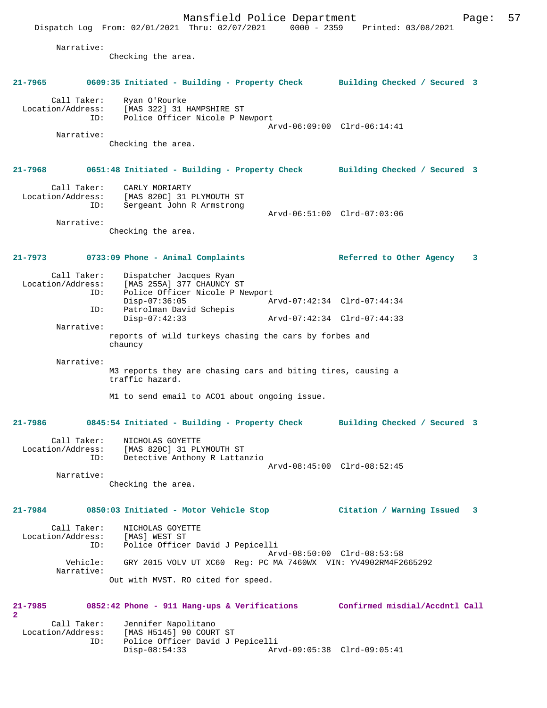Mansfield Police Department Form Page: 57 Dispatch Log From: 02/01/2021 Thru: 02/07/2021 0000 - 2359 Printed: 03/08/2021 Narrative: Checking the area. **21-7965 0609:35 Initiated - Building - Property Check Building Checked / Secured 3** Call Taker: Ryan O'Rourke Location/Address: [MAS 322] 31 HAMPSHIRE ST ID: Police Officer Nicole P Newport Arvd-06:09:00 Clrd-06:14:41 Narrative: Checking the area. **21-7968 0651:48 Initiated - Building - Property Check Building Checked / Secured 3** Call Taker: CARLY MORIARTY Location/Address: [MAS 820C] 31 PLYMOUTH ST ID: Sergeant John R Armstrong Arvd-06:51:00 Clrd-07:03:06 Narrative: Checking the area. **21-7973 0733:09 Phone - Animal Complaints Referred to Other Agency 3** Call Taker: Dispatcher Jacques Ryan Location/Address: [MAS 255A] 377 CHAUNCY ST<br>ID: Police Officer Nicole P Ne Police Officer Nicole P Newport<br>Disp-07:36:05 A Disp-07:36:05 Arvd-07:42:34 Clrd-07:44:34<br>ID: Patrolman David Schepis Patrolman David Schepis<br>Disp-07:42:33 Disp-07:42:33 Arvd-07:42:34 Clrd-07:44:33 Narrative: reports of wild turkeys chasing the cars by forbes and chauncy Narrative: M3 reports they are chasing cars and biting tires, causing a traffic hazard. M1 to send email to ACO1 about ongoing issue. **21-7986 0845:54 Initiated - Building - Property Check Building Checked / Secured 3** Call Taker: NICHOLAS GOYETTE Location/Address: [MAS 820C] 31 PLYMOUTH ST<br>ID: Detective Anthony R Lattar Detective Anthony R Lattanzio Arvd-08:45:00 Clrd-08:52:45 Narrative: Checking the area. **21-7984 0850:03 Initiated - Motor Vehicle Stop Citation / Warning Issued 3** Call Taker: NICHOLAS GOYETTE<br>.on/Address: [MAS] WEST ST Location/Address:<br>ID: Police Officer David J Pepicelli Arvd-08:50:00 Clrd-08:53:58 Vehicle: GRY 2015 VOLV UT XC60 Reg: PC MA 7460WX VIN: YV4902RM4F2665292 Narrative: Out with MVST. RO cited for speed. **21-7985 0852:42 Phone - 911 Hang-ups & Verifications Confirmed misdial/Accdntl Call 2**  Call Taker: Jennifer Napolitano<br>Location/Address: [MAS H5145] 90 COUR [MAS H5145] 90 COURT ST ID: Police Officer David J Pepicelli

Disp-08:54:33 Arvd-09:05:38 Clrd-09:05:41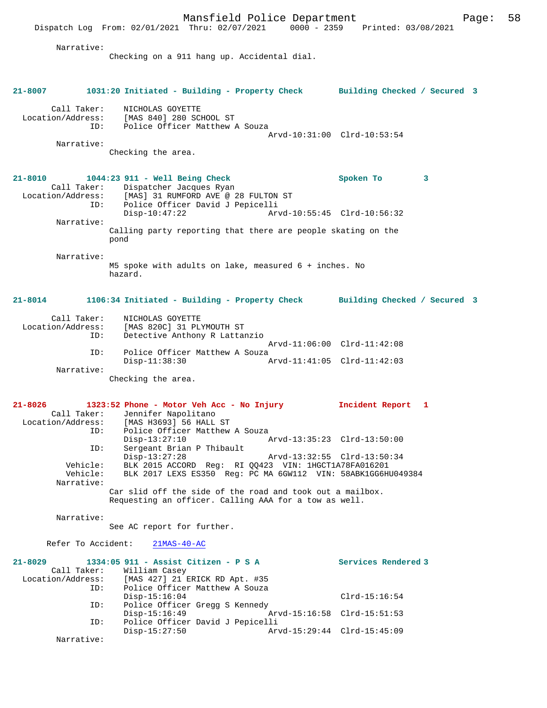|                                                        | Dispatch Log From: 02/01/2021 Thru: 02/07/2021<br>0000 - 2359                                                                                                       | Printed: 03/08/2021                           |
|--------------------------------------------------------|---------------------------------------------------------------------------------------------------------------------------------------------------------------------|-----------------------------------------------|
| Narrative:                                             | Checking on a 911 hang up. Accidental dial.                                                                                                                         |                                               |
| $21 - 8007$                                            | 1031:20 Initiated - Building - Property Check Building Checked / Secured 3                                                                                          |                                               |
| Call Taker:<br>ID:                                     | NICHOLAS GOYETTE<br>Location/Address: [MAS 840] 280 SCHOOL ST<br>Police Officer Matthew A Souza                                                                     | Arvd-10:31:00 Clrd-10:53:54                   |
| Narrative:                                             | Checking the area.                                                                                                                                                  |                                               |
| $21 - 8010$<br>Location/Address:<br>ID:                | 1044:23 911 - Well Being Check<br>Call Taker: Dispatcher Jacques Ryan<br>[MAS] 31 RUMFORD AVE @ 28 FULTON ST<br>Police Officer David J Pepicelli<br>$Disp-10:47:22$ | Spoken To<br>3<br>Arvd-10:55:45 Clrd-10:56:32 |
| Narrative:                                             | Calling party reporting that there are people skating on the<br>pond                                                                                                |                                               |
| Narrative:                                             |                                                                                                                                                                     |                                               |
|                                                        | M5 spoke with adults on lake, measured $6 +$ inches. No<br>hazard.                                                                                                  |                                               |
| $21 - 8014$                                            | 1106:34 Initiated - Building - Property Check Building Checked / Secured 3                                                                                          |                                               |
| Call Taker:<br>Location/Address:<br>ID:                | NICHOLAS GOYETTE<br>[MAS 820C] 31 PLYMOUTH ST<br>Detective Anthony R Lattanzio                                                                                      |                                               |
| ID:                                                    | Police Officer Matthew A Souza                                                                                                                                      | Arvd-11:06:00 Clrd-11:42:08                   |
|                                                        | $Disp-11:38:30$                                                                                                                                                     | Arvd-11:41:05 Clrd-11:42:03                   |
| Narrative:                                             | Checking the area.                                                                                                                                                  |                                               |
| $21 - 8026$<br>Call Taker:<br>Location/Address:<br>ID: | 1323:52 Phone - Motor Veh Acc - No Injury<br>Jennifer Napolitano<br>[MAS H3693] 56 HALL ST<br>Police Officer Matthew A Souza                                        | Incident Report 1                             |
| ID:                                                    | $Disp-13:27:10$<br>Sergeant Brian P Thibault                                                                                                                        | Arvd-13:35:23 Clrd-13:50:00                   |
| Vehicle:<br>Vehicle:<br>Narrative:                     | $Disp-13:27:28$<br>BLK 2015 ACCORD Reg: RI QQ423 VIN: 1HGCT1A78FA016201<br>BLK 2017 LEXS ES350 Req: PC MA 6GW112 VIN: 58ABK1GG6HU049384                             | Arvd-13:32:55 Clrd-13:50:34                   |
|                                                        | Car slid off the side of the road and took out a mailbox.<br>Requesting an officer. Calling AAA for a tow as well.                                                  |                                               |
| Narrative:                                             | See AC report for further.                                                                                                                                          |                                               |
| Refer To Accident:                                     | $21MAS-40-AC$                                                                                                                                                       |                                               |
| $21 - 8029$<br>Call Taker:<br>Location/Address:<br>ID: | 1334:05 911 - Assist Citizen - P S A<br>William Casey<br>[MAS 427] 21 ERICK RD Apt. #35<br>Police Officer Matthew A Souza                                           | Services Rendered 3                           |
|                                                        | $Disp-15:16:04$                                                                                                                                                     | $Clrd-15:16:54$                               |
| ID:<br>ID:                                             | Police Officer Gregg S Kennedy<br>$Disp-15:16:49$<br>Police Officer David J Pepicelli                                                                               | Arvd-15:16:58 Clrd-15:51:53                   |
| Narrative:                                             | $Disp-15:27:50$                                                                                                                                                     | Arvd-15:29:44 Clrd-15:45:09                   |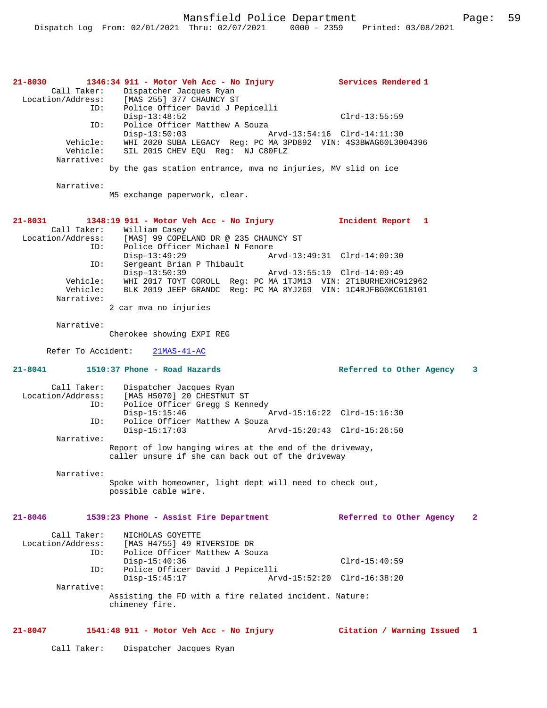Mansfield Police Department Page: 59

| 21-8030<br>Call Taker:<br>ID:<br>ID:<br>Vehicle:<br>Vehicle:<br>Narrative:<br>Narrative:        | 1346:34 911 - Motor Veh Acc - No Injury<br>Dispatcher Jacques Ryan<br>Location/Address: [MAS 255] 377 CHAUNCY ST<br>Police Officer David J Pepicelli<br>$Disp-13:48:52$<br>Police Officer Matthew A Souza<br>$Disp-13:50:03$<br>WHI 2020 SUBA LEGACY Reg: PC MA 3PD892 VIN: 4S3BWAG60L3004396<br>SIL 2015 CHEV EQU Req: NJ C80FLZ<br>by the gas station entrance, mya no injuries, MV slid on ice | Services Rendered 1<br>$Clrd-13:55:59$<br>Arvd-13:54:16 Clrd-14:11:30 |              |
|-------------------------------------------------------------------------------------------------|---------------------------------------------------------------------------------------------------------------------------------------------------------------------------------------------------------------------------------------------------------------------------------------------------------------------------------------------------------------------------------------------------|-----------------------------------------------------------------------|--------------|
|                                                                                                 | M5 exchange paperwork, clear.                                                                                                                                                                                                                                                                                                                                                                     |                                                                       |              |
| 21-8031<br>Call Taker:<br>Location/Address:<br>ID:<br>ID:<br>Vehicle:<br>Vehicle:<br>Narrative: | 1348:19 911 - Motor Veh Acc - No Injury<br>William Casey<br>[MAS] 99 COPELAND DR @ 235 CHAUNCY ST<br>Police Officer Michael N Fenore<br>$Disp-13:49:29$<br>Sergeant Brian P Thibault<br>$Disp-13:50:39$<br>WHI 2017 TOYT COROLL Reg: PC MA 1TJM13 VIN: 2T1BURHEXHC912962<br>BLK 2019 JEEP GRANDC Reg: PC MA 8YJ269 VIN: 1C4RJFBG0KC618101<br>2 car mva no injuries                                | Incident Report 1<br>Arvd-13:55:19 Clrd-14:09:49                      |              |
| Narrative:                                                                                      | Cherokee showing EXPI REG                                                                                                                                                                                                                                                                                                                                                                         |                                                                       |              |
| Refer To Accident:                                                                              | $21MAS-41-AC$                                                                                                                                                                                                                                                                                                                                                                                     |                                                                       |              |
| $21 - 8041$                                                                                     | 1510:37 Phone - Road Hazards                                                                                                                                                                                                                                                                                                                                                                      | Referred to Other Agency 3                                            |              |
| Call Taker:<br>Location/Address:<br>ID:<br>ID:<br>Narrative:                                    | Dispatcher Jacques Ryan<br>[MAS H5070] 20 CHESTNUT ST<br>Police Officer Gregg S Kennedy<br>$Disp-15:15:46$<br>Police Officer Matthew A Souza<br>$Disp-15:17:03$<br>Report of low hanging wires at the end of the driveway,<br>caller unsure if she can back out of the driveway                                                                                                                   | Arvd-15:16:22 Clrd-15:16:30<br>Arvd-15:20:43 Clrd-15:26:50            |              |
|                                                                                                 |                                                                                                                                                                                                                                                                                                                                                                                                   |                                                                       |              |
| Narrative:                                                                                      |                                                                                                                                                                                                                                                                                                                                                                                                   |                                                                       |              |
|                                                                                                 | Spoke with homeowner, light dept will need to check out,<br>possible cable wire.                                                                                                                                                                                                                                                                                                                  |                                                                       |              |
| $21 - 8046$                                                                                     | 1539:23 Phone - Assist Fire Department                                                                                                                                                                                                                                                                                                                                                            | Referred to Other Agency                                              | $\mathbf{2}$ |
| Call Taker:<br>Location/Address:<br>ID:<br>ID:<br>Narrative:                                    | NICHOLAS GOYETTE<br>[MAS H4755] 49 RIVERSIDE DR<br>Police Officer Matthew A Souza<br>$Disp-15:40:36$<br>Police Officer David J Pepicelli<br>$Disp-15:45:17$<br>Assisting the FD with a fire related incident. Nature:<br>chimeney fire.                                                                                                                                                           | $Clrd-15:40:59$<br>Arvd-15:52:20 Clrd-16:38:20                        |              |

Call Taker: Dispatcher Jacques Ryan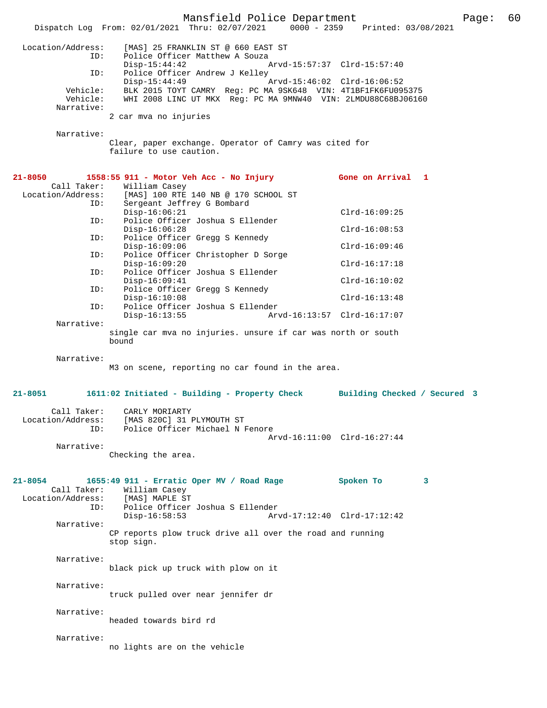Mansfield Police Department Page: 60 Dispatch Log From:  $02/01/2021$  Thru:  $02/07/2021$  0000 - 2359 Location/Address: [MAS] 25 FRANKLIN ST @ 660 EAST ST ID: Police Officer Matthew A Souza<br>Disp-15:44:42 Disp-15:44:42 Arvd-15:57:37 Clrd-15:57:40 ID: Police Officer Andrew J Kelley<br>Disp-15:44:49 Disp-15:44:49 Arvd-15:46:02 Clrd-16:06:52<br>Vehicle: BLK 2015 TOYT CAMRY Req: PC MA 9SK648 VIN: 4T1BF1FK6FU09 BLK 2015 TOYT CAMRY Reg: PC MA 9SK648 VIN: 4T1BF1FK6FU095375 Vehicle: WHI 2008 LINC UT MKX Reg: PC MA 9MNW40 VIN: 2LMDU88C68BJ06160 Narrative: 2 car mva no injuries Narrative: Clear, paper exchange. Operator of Camry was cited for failure to use caution. **21-8050 1558:55 911 - Motor Veh Acc - No Injury Gone on Arrival 1**  Call Taker: William Casey<br>Location/Address: [MAS] 100 RTE [MAS] 100 RTE 140 NB @ 170 SCHOOL ST ID: Sergeant Jeffrey G Bombard Disp-16:06:21 Clrd-16:09:25<br>TD: Police Officer Joshua S Ellender Police Officer Joshua S Ellender Disp-16:06:28 Clrd-16:08:53<br>ID: Police Officer Gregg S Kennedy Police Officer Gregg S Kennedy Disp-16:09:06 Clrd-16:09:46<br>TD: Police Officer Christopher D Sorge Police Officer Christopher D Sorge Disp-16:09:20 Clrd-16:17:18 ID: Police Officer Joshua S Ellender Disp-16:09:41 Clrd-16:10:02 ID: Police Officer Gregg S Kennedy Disp-16:10:08 Clrd-16:13:48<br>ID: Police Officer Joshua S Ellender Police Officer Joshua S Ellender Disp-16:13:55 Arvd-16:13:57 Clrd-16:17:07 Narrative: single car mva no injuries. unsure if car was north or south bound Narrative: M3 on scene, reporting no car found in the area. **21-8051 1611:02 Initiated - Building - Property Check Building Checked / Secured 3** Call Taker: CARLY MORIARTY<br>Location/Address: [MAS 820C] 31 1 [MAS 820C] 31 PLYMOUTH ST ID: Police Officer Michael N Fenore Arvd-16:11:00 Clrd-16:27:44 Narrative: Checking the area. **21-8054 1655:49 911 - Erratic Oper MV / Road Rage Spoken To 3**  Call Taker: William Casey Location/Address: [MAS] MAPLE ST ID: Police Officer Joshua S Ellender Disp-16:58:53 Arvd-17:12:40 Clrd-17:12:42 Narrative: CP reports plow truck drive all over the road and running stop sign. Narrative: black pick up truck with plow on it Narrative: truck pulled over near jennifer dr Narrative: headed towards bird rd Narrative: no lights are on the vehicle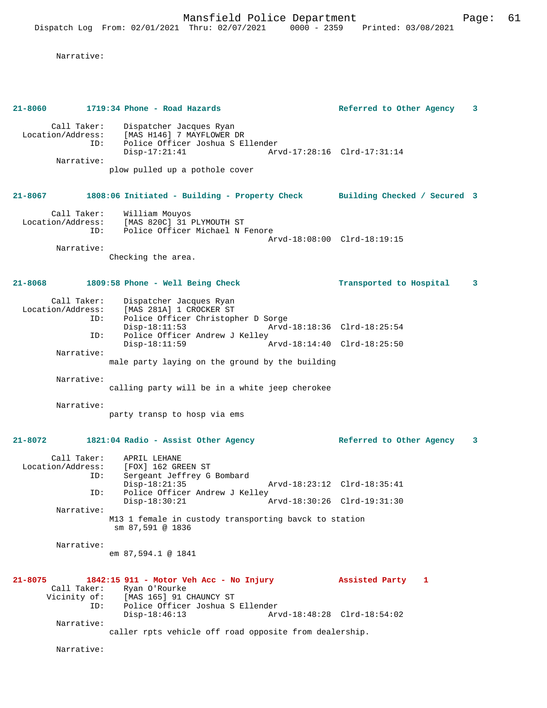```
 Narrative:
```

| 21-8060                                               | 1719:34 Phone - Road Hazards                                                                                                                  | Referred to Other Agency<br>3 |
|-------------------------------------------------------|-----------------------------------------------------------------------------------------------------------------------------------------------|-------------------------------|
| Call Taker:<br>Location/Address:<br>ID:<br>Narrative: | Dispatcher Jacques Ryan<br>[MAS H146] 7 MAYFLOWER DR<br>Police Officer Joshua S Ellender<br>$Disp-17:21:41$<br>plow pulled up a pothole cover | Arvd-17:28:16 Clrd-17:31:14   |
| $21 - 8067$                                           | 1808:06 Initiated - Building - Property Check Building Checked / Secured 3                                                                    |                               |
| Call Taker:<br>Location/Address:<br>ID:<br>Narrative: | William Mouyos<br>[MAS 820C] 31 PLYMOUTH ST<br>Police Officer Michael N Fenore                                                                | Arvd-18:08:00 Clrd-18:19:15   |
|                                                       | Checking the area.                                                                                                                            |                               |
| 21-8068                                               | 1809:58 Phone - Well Being Check                                                                                                              | Transported to Hospital<br>3  |
| Call Taker:<br>Location/Address:<br>ID:<br>ID:        | Dispatcher Jacques Ryan<br>[MAS 281A] 1 CROCKER ST<br>Police Officer Christopher D Sorge<br>$Disp-18:11:53$<br>Police Officer Andrew J Kelley | Arvd-18:18:36 Clrd-18:25:54   |
| Narrative:                                            | $Disp-18:11:59$                                                                                                                               | Arvd-18:14:40 Clrd-18:25:50   |
| Narrative:                                            | male party laying on the ground by the building                                                                                               |                               |
|                                                       | calling party will be in a white jeep cherokee                                                                                                |                               |
| Narrative:                                            | party transp to hosp via ems                                                                                                                  |                               |
| 21-8072                                               | 1821:04 Radio - Assist Other Agency                                                                                                           | Referred to Other Agency<br>3 |
| Call Taker:<br>Location/Address:<br>ID:               | APRIL LEHANE<br>[FOX] 162 GREEN ST<br>Sergeant Jeffrey G Bombard<br>$Disp-18:21:35$                                                           | Arvd-18:23:12 Clrd-18:35:41   |
| ID:                                                   | Police Officer Andrew J Kelley<br>$Disp-18:30:21$<br>Arvd-18:30:26                                                                            | $Clrd-19:31:30$               |
| Narrative:                                            | M13 1 female in custody transporting bavck to station<br>sm 87,591 @ 1836                                                                     |                               |
| Narrative:                                            | em 87,594.1 @ 1841                                                                                                                            |                               |
| $21 - 8075$<br>Call Taker:<br>Vicinity of:<br>ID:     | 1842:15 911 - Motor Veh Acc - No Injury<br>Ryan O'Rourke<br>[MAS 165] 91 CHAUNCY ST<br>Police Officer Joshua S Ellender                       | Assisted Party<br>1           |
| Narrative:                                            | $Disp-18:46:13$<br>caller rpts vehicle off road opposite from dealership.                                                                     | Arvd-18:48:28 Clrd-18:54:02   |
| Narrative:                                            |                                                                                                                                               |                               |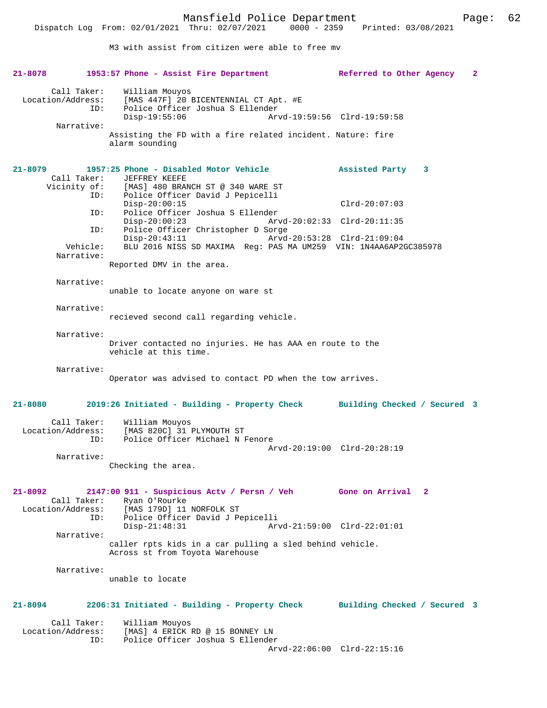M3 with assist from citizen were able to free mv

**21-8078 1953:57 Phone - Assist Fire Department Referred to Other Agency 2** Call Taker: William Mouyos Location/Address: [MAS 447F] 20 BICENTENNIAL CT Apt. #E<br>TD: Police Officer Joshua S Ellender Police Officer Joshua S Ellender<br>Disp-19:55:06 Arv Disp-19:55:06 Arvd-19:59:56 Clrd-19:59:58 Narrative: Assisting the FD with a fire related incident. Nature: fire alarm sounding **21-8079 1957:25 Phone - Disabled Motor Vehicle Assisted Party 3**  Call Taker: JEFFREY KEEFE<br>Vicinity of: [MAS] 480 BRAI [MAS] 480 BRANCH ST @ 340 WARE ST ID: Police Officer David J Pepicelli Disp-20:00:15 Clrd-20:07:03<br>TD: Police Officer Joshua S Ellender Clrd-20:07:03 Police Officer Joshua S Ellender<br>Disp-20:00:23 Arv Disp-20:00:23 Arvd-20:02:33 Clrd-20:11:35 ID: Police Officer Christopher D Sorge Disp-20:43:11 Arvd-20:53:28 Clrd-21:09:04<br>Vehicle: BLU 2016 NISS SD MAXIMA Reg: PAS MA UM259 VIN: 1N4AA6AP2 BLU 2016 NISS SD MAXIMA Reg: PAS MA UM259 VIN: 1N4AA6AP2GC385978 Narrative: Reported DMV in the area. Narrative: unable to locate anyone on ware st Narrative: recieved second call regarding vehicle. Narrative: Driver contacted no injuries. He has AAA en route to the vehicle at this time. Narrative: Operator was advised to contact PD when the tow arrives. **21-8080 2019:26 Initiated - Building - Property Check Building Checked / Secured 3** Call Taker: William Mouyos Location/Address: [MAS 820C] 31 PLYMOUTH ST ID: Police Officer Michael N Fenore Arvd-20:19:00 Clrd-20:28:19 Narrative: Checking the area. **21-8092 2147:00 911 - Suspicious Actv / Persn / Veh Gone on Arrival 2**  Call Taker: Ryan O'Rourke Location/Address: [MAS 179D] 11 NORFOLK ST<br>ID: Police Officer David J Pe ID: Police Officer David J Pepicelli Disp-21:48:31 Arvd-21:59:00 Clrd-22:01:01 Narrative: caller rpts kids in a car pulling a sled behind vehicle. Across st from Toyota Warehouse Narrative: unable to locate **21-8094 2206:31 Initiated - Building - Property Check Building Checked / Secured 3** Call Taker: William Mouyos Location/Address: [MAS] 4 ERICK RD @ 15 BONNEY LN ID: Police Officer Joshua S Ellender Arvd-22:06:00 Clrd-22:15:16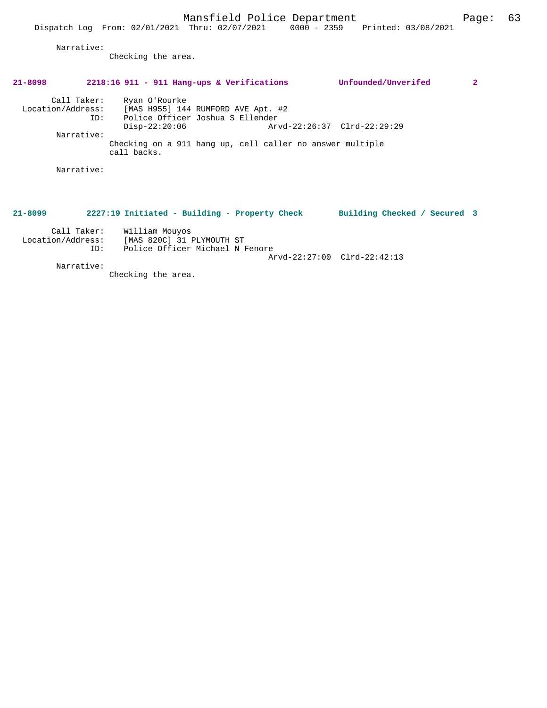Narrative:

Checking the area.

# **21-8098 2218:16 911 - 911 Hang-ups & Verifications Unfounded/Unverifed 2**

 Call Taker: Ryan O'Rourke Location/Address: [MAS H955] 144 RUMFORD AVE Apt. #2 ID: Police Officer Joshua S Ellender Disp-22:20:06 Arvd-22:26:37 Clrd-22:29:29 Narrative: Checking on a 911 hang up, cell caller no answer multiple call backs.

Narrative:

### **21-8099 2227:19 Initiated - Building - Property Check Building Checked / Secured 3**

| Call Taker:       | William Mouyos                  |  |
|-------------------|---------------------------------|--|
| Location/Address: | [MAS 820C] 31 PLYMOUTH ST       |  |
| TD:               | Police Officer Michael N Fenore |  |
|                   | Arvd-22:27:00 Clrd-22:42:13     |  |

Narrative:

Checking the area.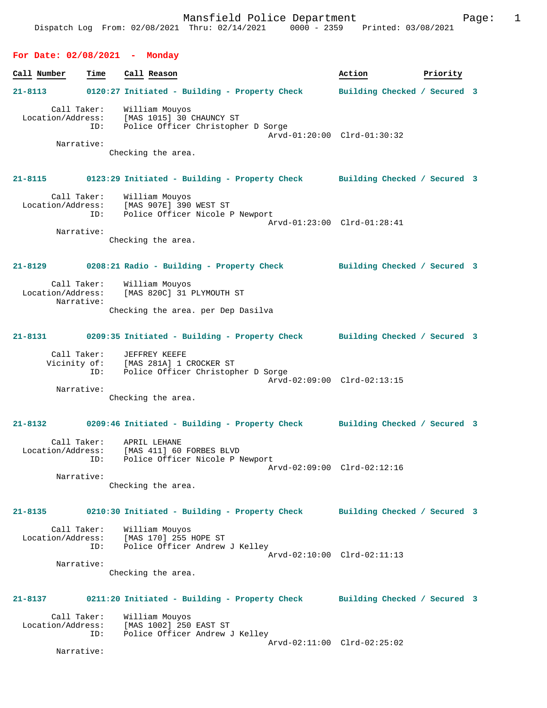| For Date: $02/08/2021$ - Monday |                                                                                                                                                                                                                                                                                                                                                            |                              |          |  |
|---------------------------------|------------------------------------------------------------------------------------------------------------------------------------------------------------------------------------------------------------------------------------------------------------------------------------------------------------------------------------------------------------|------------------------------|----------|--|
| Call Number<br>Time             | Call Reason                                                                                                                                                                                                                                                                                                                                                | Action                       | Priority |  |
|                                 | 21-8113 0120:27 Initiated - Building - Property Check                                                                                                                                                                                                                                                                                                      | Building Checked / Secured 3 |          |  |
| ID:<br>Narrative:               | Call Taker: William Mouyos<br>Location/Address: [MAS 1015] 30 CHAUNCY ST<br>Police Officer Christopher D Sorge<br>Checking the area.                                                                                                                                                                                                                       | Arvd-01:20:00 Clrd-01:30:32  |          |  |
|                                 | 21-8115 0123:29 Initiated - Building - Property Check Building Checked / Secured 3                                                                                                                                                                                                                                                                         |                              |          |  |
| ID:                             | Call Taker: William Mouyos<br>Location/Address: [MAS 907E] 390 WEST ST<br>Police Officer Nicole P Newport                                                                                                                                                                                                                                                  | Arvd-01:23:00 Clrd-01:28:41  |          |  |
| Narrative:                      | Checking the area.                                                                                                                                                                                                                                                                                                                                         |                              |          |  |
| $21 - 8129$                     | 0208:21 Radio - Building - Property Check                                                                                                                                                                                                                                                                                                                  | Building Checked / Secured 3 |          |  |
| Location/Address:<br>Narrative: | Call Taker: William Mouyos<br>[MAS 820C] 31 PLYMOUTH ST                                                                                                                                                                                                                                                                                                    |                              |          |  |
|                                 | Checking the area. per Dep Dasilva                                                                                                                                                                                                                                                                                                                         |                              |          |  |
|                                 | 21-8131 0209:35 Initiated - Building - Property Check Building Checked / Secured 3                                                                                                                                                                                                                                                                         |                              |          |  |
| Call Taker:                     | JEFFREY KEEFE<br>$\mathbf{r}$ , $\mathbf{r}$ , $\mathbf{r}$ , $\mathbf{r}$ , $\mathbf{r}$ , $\mathbf{r}$ , $\mathbf{r}$ , $\mathbf{r}$ , $\mathbf{r}$ , $\mathbf{r}$ , $\mathbf{r}$ , $\mathbf{r}$ , $\mathbf{r}$ , $\mathbf{r}$ , $\mathbf{r}$ , $\mathbf{r}$ , $\mathbf{r}$ , $\mathbf{r}$ , $\mathbf{r}$ , $\mathbf{r}$ , $\mathbf{r}$ , $\mathbf{r}$ , |                              |          |  |

| Vicinity of: | [MAS 281A] 1 CROCKER ST            |                             |
|--------------|------------------------------------|-----------------------------|
| ID:          | Police Officer Christopher D Sorge |                             |
|              |                                    | Arvd-02:09:00 Clrd-02:13:15 |
| Narrative:   |                                    |                             |

Checking the area.

# **21-8132 0209:46 Initiated - Building - Property Check Building Checked / Secured 3**

| Call Taker:       | APRIL LEHANE                    |  |
|-------------------|---------------------------------|--|
| Location/Address: | [MAS 411] 60 FORBES BLVD        |  |
| TD:               | Police Officer Nicole P Newport |  |
|                   | Arvd-02:09:00 Clrd-02:12:16     |  |
| Narrative:        |                                 |  |

Checking the area.

## **21-8135 0210:30 Initiated - Building - Property Check Building Checked / Secured 3** Call Taker: William Mouyos<br>Location/Address: [MAS 170] 255 1 ess: [MAS 170] 255 HOPE ST<br>ID: Police Officer Andrew Police Officer Andrew J Kelley Arvd-02:10:00 Clrd-02:11:13

Narrative:

Checking the area.

# **21-8137 0211:20 Initiated - Building - Property Check Building Checked / Secured 3**

 Call Taker: William Mouyos Location/Address: [MAS 1002] 250 EAST ST ID: Police Officer Andrew J Kelley Arvd-02:11:00 Clrd-02:25:02

Narrative: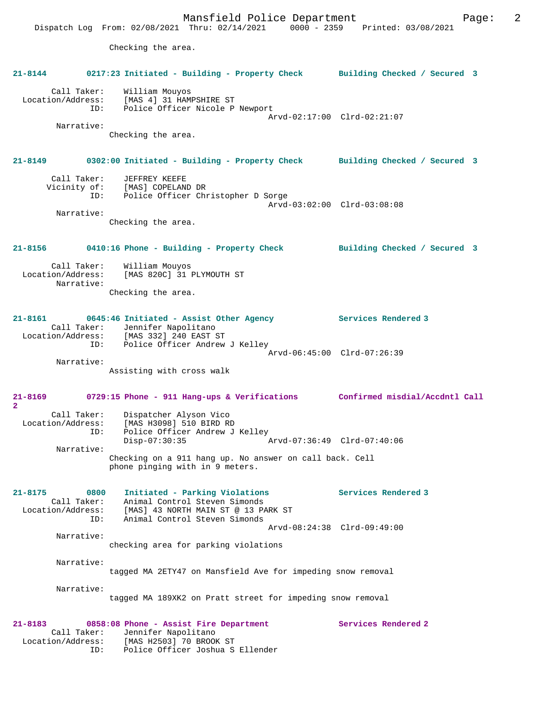Mansfield Police Department Fage: 2 Dispatch Log From: 02/08/2021 Thru: 02/14/2021 0000 - 2359 Printed: 03/08/2021 Checking the area. **21-8144 0217:23 Initiated - Building - Property Check Building Checked / Secured 3** Call Taker: William Mouyos Location/Address: [MAS 4] 31 HAMPSHIRE ST ID: Police Officer Nicole P Newport Arvd-02:17:00 Clrd-02:21:07 Narrative: Checking the area. **21-8149 0302:00 Initiated - Building - Property Check Building Checked / Secured 3** Call Taker: JEFFREY KEEFE Vicinity of: [MAS] COPELAND DR ID: Police Officer Christopher D Sorge Arvd-03:02:00 Clrd-03:08:08 Narrative: Checking the area. **21-8156 0410:16 Phone - Building - Property Check Building Checked / Secured 3** Call Taker: William Mouyos Location/Address: [MAS 820C] 31 PLYMOUTH ST Narrative: Checking the area. **21-8161 0645:46 Initiated - Assist Other Agency Services Rendered 3**  Call Taker: Jennifer Napolitano Location/Address: [MAS 332] 240 EAST ST ID: Police Officer Andrew J Kelley Arvd-06:45:00 Clrd-07:26:39 Narrative: Assisting with cross walk **21-8169 0729:15 Phone - 911 Hang-ups & Verifications Confirmed misdial/Accdntl Call 2**  Call Taker: Dispatcher Alyson Vico Location/Address: [MAS H3098] 510 BIRD RD ID: Police Officer Andrew J Kelley<br>Disp-07:30:35 Disp-07:30:35 Arvd-07:36:49 Clrd-07:40:06 Narrative: Checking on a 911 hang up. No answer on call back. Cell phone pinging with in 9 meters. **21-8175 0800 Initiated - Parking Violations Services Rendered 3**  Call Taker: Animal Control Steven Simonds Location/Address: [MAS] 43 NORTH MAIN ST @ 13 PARK ST ID: Animal Control Steven Simonds Arvd-08:24:38 Clrd-09:49:00 Narrative: checking area for parking violations Narrative: tagged MA 2ETY47 on Mansfield Ave for impeding snow removal Narrative: tagged MA 189XK2 on Pratt street for impeding snow removal **21-8183 0858:08 Phone - Assist Fire Department Services Rendered 2**  Call Taker: Jennifer Napolitano Location/Address: [MAS H2503] 70 BROOK ST ID: Police Officer Joshua S Ellender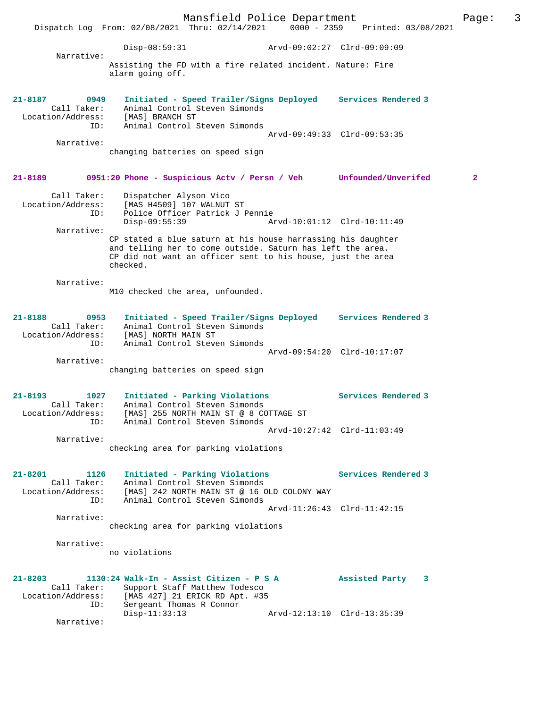Mansfield Police Department Page: 3 Dispatch Log From: 02/08/2021 Thru: 02/14/2021 0000 - 2359 Printed: 03/08/2021 Disp-08:59:31 Arvd-09:02:27 Clrd-09:09:09 Narrative: Assisting the FD with a fire related incident. Nature: Fire alarm going off. **21-8187 0949 Initiated - Speed Trailer/Signs Deployed Services Rendered 3**  Call Taker: Animal Control Steven Simonds Location/Address: [MAS] BRANCH ST ID: Animal Control Steven Simonds Arvd-09:49:33 Clrd-09:53:35 Narrative: changing batteries on speed sign **21-8189 0951:20 Phone - Suspicious Actv / Persn / Veh Unfounded/Unverifed 2** Call Taker: Dispatcher Alyson Vico Location/Address: [MAS H4509] 107 WALNUT ST ID: Police Officer Patrick J Pennie Disp-09:55:39 Arvd-10:01:12 Clrd-10:11:49 Narrative: CP stated a blue saturn at his house harrassing his daughter and telling her to come outside. Saturn has left the area. CP did not want an officer sent to his house, just the area checked. Narrative: M10 checked the area, unfounded. **21-8188 0953 Initiated - Speed Trailer/Signs Deployed Services Rendered 3**  Call Taker: Animal Control Steven Simonds Location/Address: [MAS] NORTH MAIN ST ID: Animal Control Steven Simonds Arvd-09:54:20 Clrd-10:17:07 Narrative: changing batteries on speed sign **21-8193 1027 Initiated - Parking Violations Services Rendered 3**  Call Taker: Animal Control Steven Simonds Location/Address: [MAS] 255 NORTH MAIN ST @ 8 COTTAGE ST ID: Animal Control Steven Simonds Arvd-10:27:42 Clrd-11:03:49 Narrative: checking area for parking violations **21-8201 1126 Initiated - Parking Violations Services Rendered 3**  Call Taker: Animal Control Steven Simonds Location/Address: [MAS] 242 NORTH MAIN ST @ 16 OLD COLONY WAY ID: Animal Control Steven Simonds Arvd-11:26:43 Clrd-11:42:15 Narrative: checking area for parking violations Narrative: no violations **21-8203 1130:24 Walk-In - Assist Citizen - P S A Assisted Party 3**  Call Taker: Support Staff Matthew Todesco Location/Address: [MAS 427] 21 ERICK RD Apt. #35 ID: Sergeant Thomas R Connor Disp-11:33:13 Arvd-12:13:10 Clrd-13:35:39 Narrative: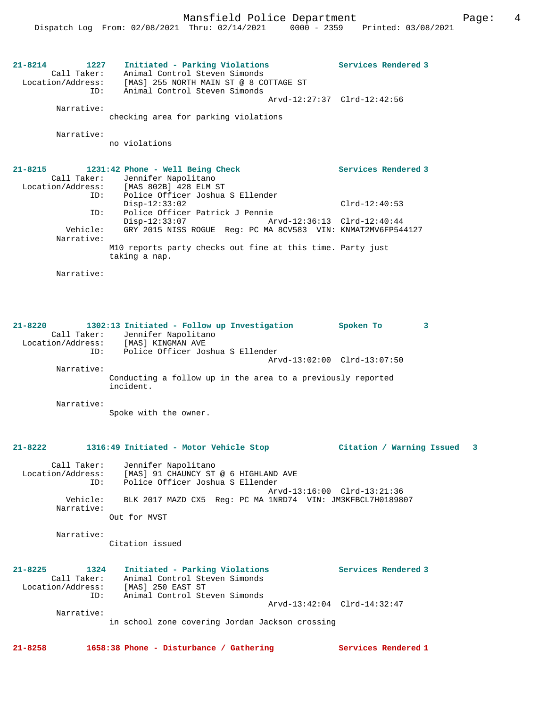**21-8214 1227 Initiated - Parking Violations Services Rendered 3**  Call Taker: Animal Control Steven Simonds Location/Address: [MAS] 255 NORTH MAIN ST @ 8 COTTAGE ST ID: Animal Control Steven Simonds Arvd-12:27:37 Clrd-12:42:56 Narrative: checking area for parking violations Narrative: no violations **21-8215 1231:42 Phone - Well Being Check Services Rendered 3**  Call Taker: Jennifer Napolitano Location/Address: [MAS 802B] 428 ELM ST ID: Police Officer Joshua S Ellender Disp-12:33:02 Clrd-12:40:53 ID: Police Officer Patrick J Pennie<br>Disp-12:33:07 Ar Disp-12:33:07 Arvd-12:36:13 Clrd-12:40:44 Vehicle: GRY 2015 NISS ROGUE Reg: PC MA 8CV583 VIN: KNMAT2MV6FP544127 Narrative: M10 reports party checks out fine at this time. Party just taking a nap. Narrative: **21-8220 1302:13 Initiated - Follow up Investigation Spoken To 3**  Call Taker: Jennifer Napolitano Location/Address: [MAS] KINGMAN AVE ID: Police Officer Joshua S Ellender Arvd-13:02:00 Clrd-13:07:50 Narrative: Conducting a follow up in the area to a previously reported incident. Narrative: Spoke with the owner. **21-8222 1316:49 Initiated - Motor Vehicle Stop Citation / Warning Issued 3** Call Taker: Jennifer Napolitano Location/Address: [MAS] 91 CHAUNCY ST @ 6 HIGHLAND AVE ID: Police Officer Joshua S Ellender Arvd-13:16:00 Clrd-13:21:36<br>Vehicle: BLK 2017 MAZD CX5 Req: PC MA 1NRD74 VIN: JM3KFBCL7H018986 BLK 2017 MAZD CX5 Req: PC MA 1NRD74 VIN: JM3KFBCL7H0189807 Narrative: Out for MVST Narrative: Citation issued **21-8225 1324 Initiated - Parking Violations Services Rendered 3**  Call Taker: Animal Control Steven Simonds Location/Address: [MAS] 250 EAST ST ID: Animal Control Steven Simonds Arvd-13:42:04 Clrd-14:32:47 Narrative: in school zone covering Jordan Jackson crossing **21-8258 1658:38 Phone - Disturbance / Gathering Services Rendered 1**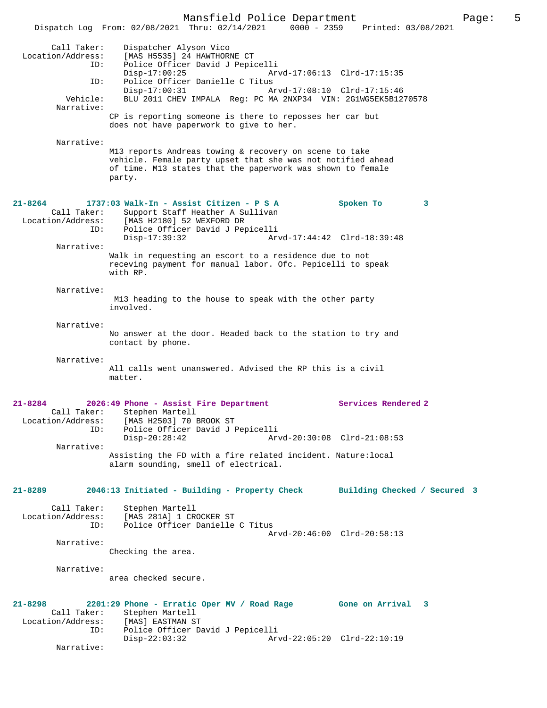Mansfield Police Department<br>Thru:  $02/14/2021$  0000 - 2359 Printed: 03/08/2021 Dispatch Log From:  $02/08/2021$  Thru:  $02/14/2021$  0000 - 2359 Call Taker: Dispatcher Alyson Vico Location/Address: [MAS H5535] 24 HAWTHORNE CT ESS: THE HOUSE I HOMEONIC LIBRARY<br>ID: Police Officer David J Pepicelli<br>Disp-17:00:25 Ar Disp-17:00:25 Arvd-17:06:13 Clrd-17:15:35 ID: Police Officer Danielle C Titus Disp-17:00:31 Arvd-17:08:10 Clrd-17:15:46 Vehicle: BLU 2011 CHEV IMPALA Reg: PC MA 2NXP34 VIN: 2G1WG5EK5B1270578 Narrative: CP is reporting someone is there to reposses her car but does not have paperwork to give to her. Narrative: M13 reports Andreas towing & recovery on scene to take vehicle. Female party upset that she was not notified ahead of time. M13 states that the paperwork was shown to female party. **21-8264 1737:03 Walk-In - Assist Citizen - P S A Spoken To 3**  Call Taker: Support Staff Heather A Sullivan Location/Address: [MAS H2180] 52 WEXFORD DR ID: Police Officer David J Pepicelli Disp-17:39:32 Arvd-17:44:42 Clrd-18:39:48 Narrative: Walk in requesting an escort to a residence due to not receving payment for manual labor. Ofc. Pepicelli to speak with RP. Narrative: M13 heading to the house to speak with the other party involved. Narrative: No answer at the door. Headed back to the station to try and contact by phone. Narrative: All calls went unanswered. Advised the RP this is a civil matter. **21-8284 2026:49 Phone - Assist Fire Department Services Rendered 2**  Call Taker: Stephen Martell<br>Location/Address: [MAS H2503] 70 E Location/Address: [MAS H2503] 70 BROOK ST ID: Police Officer David J Pepicelli Disp-20:28:42 Arvd-20:30:08 Clrd-21:08:53 Narrative: Assisting the FD with a fire related incident. Nature:local alarm sounding, smell of electrical. **21-8289 2046:13 Initiated - Building - Property Check Building Checked / Secured 3** Call Taker: Stephen Martell Location/Address: [MAS 281A] 1 CROCKER ST ID: Police Officer Danielle C Titus Arvd-20:46:00 Clrd-20:58:13 Narrative: Checking the area. Narrative: area checked secure. **21-8298 2201:29 Phone - Erratic Oper MV / Road Rage Gone on Arrival 3**  Call Taker: Stephen Martell<br>ion/Address: [MAS] EASTMAN ST Location/Address: ID: Police Officer David J Pepicelli Disp-22:03:32 Arvd-22:05:20 Clrd-22:10:19 Narrative: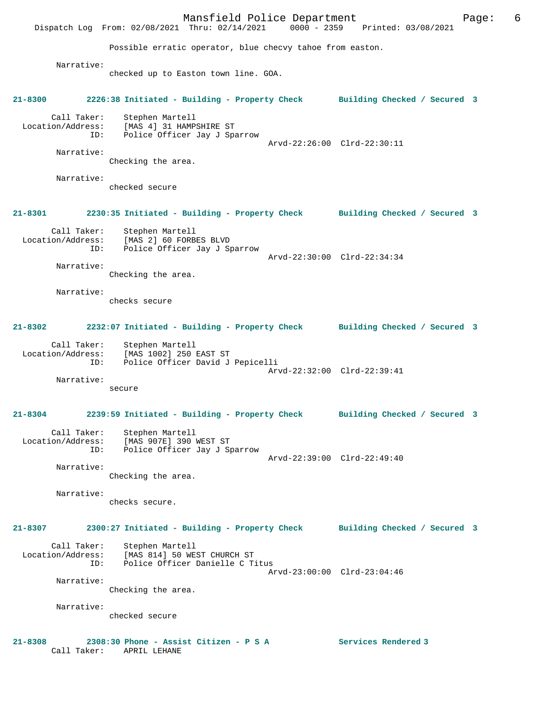Mansfield Police Department Fage: 6 Dispatch Log From: 02/08/2021 Thru: 02/14/2021 0000 - 2359 Printed: 03/08/2021 Possible erratic operator, blue checvy tahoe from easton. Narrative: checked up to Easton town line. GOA. **21-8300 2226:38 Initiated - Building - Property Check Building Checked / Secured 3** Call Taker: Stephen Martell Location/Address: [MAS 4] 31 HAMPSHIRE ST ID: Police Officer Jay J Sparrow Arvd-22:26:00 Clrd-22:30:11 Narrative: Checking the area. Narrative: checked secure **21-8301 2230:35 Initiated - Building - Property Check Building Checked / Secured 3** Call Taker: Stephen Martell Location/Address: [MAS 2] 60 FORBES BLVD ID: Police Officer Jay J Sparrow Arvd-22:30:00 Clrd-22:34:34 Narrative: Checking the area. Narrative: checks secure **21-8302 2232:07 Initiated - Building - Property Check Building Checked / Secured 3** Call Taker: Stephen Martell Location/Address: [MAS 1002] 250 EAST ST ID: Police Officer David J Pepicelli Arvd-22:32:00 Clrd-22:39:41 Narrative: secure **21-8304 2239:59 Initiated - Building - Property Check Building Checked / Secured 3** Call Taker: Stephen Martell Location/Address: [MAS 907E] 390 WEST ST ID: Police Officer Jay J Sparrow Arvd-22:39:00 Clrd-22:49:40 Narrative: Checking the area. Narrative: checks secure. **21-8307 2300:27 Initiated - Building - Property Check Building Checked / Secured 3** Call Taker: Stephen Martell Location/Address: [MAS 814] 50 WEST CHURCH ST ID: Police Officer Danielle C Titus Arvd-23:00:00 Clrd-23:04:46 Narrative: Checking the area. Narrative: checked secure **21-8308 2308:30 Phone - Assist Citizen - P S A Services Rendered 3**  Call Taker: APRIL LEHANE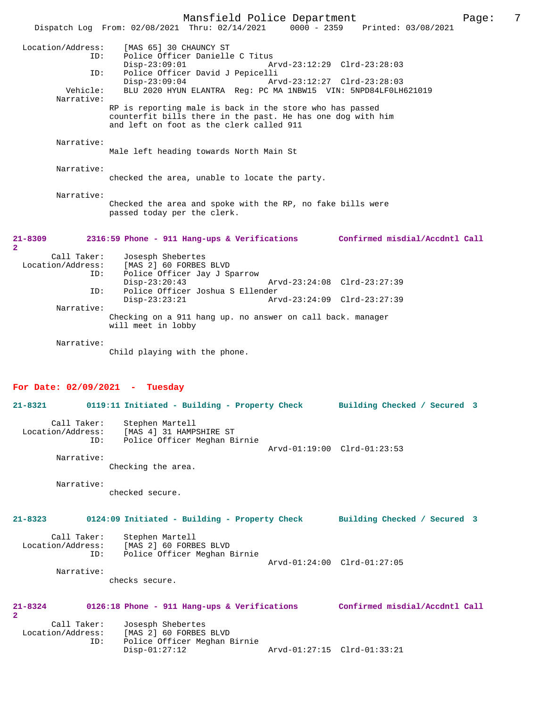Mansfield Police Department Page: 7 Dispatch Log From: 02/08/2021 Thru: 02/14/2021 Location/Address: [MAS 65] 30 CHAUNCY ST ID: Police Officer Danielle C Titus Disp-23:09:01 Arvd-23:12:29 Clrd-23:28:03<br>ID: Police Officer David J Pepicelli Police Officer David J Pepicelli<br>Disp-23:09:04 Arv Disp-23:09:04 Arvd-23:12:27 Clrd-23:28:03<br>Vehicle: BLU 2020 HYUN ELANTRA Reg: PC MA 1NBW15 VIN: 5NPD84LF0LH BLU 2020 HYUN ELANTRA Reg: PC MA 1NBW15 VIN: 5NPD84LF0LH621019 RP is reporting male is back in the store who has passed counterfit bills there in the past. He has one dog with him and left on foot as the clerk called 911

Male left heading towards North Main St

Narrative:

Narrative:

Narrative:

checked the area, unable to locate the party.

 Narrative: Checked the area and spoke with the RP, no fake bills were passed today per the clerk.

#### **21-8309 2316:59 Phone - 911 Hang-ups & Verifications Confirmed misdial/Accdntl Call 2**  Call Taker: Josesph Shebertes Location/Address: [MAS 2] 60 FORBES BLVD<br>ID: Police Officer Jav J St Police Officer Jay J Sparrow Disp-23:20:43 Arvd-23:24:08 Clrd-23:27:39<br>TD: Police Officer Joshua S Ellender Police Officer Joshua S Ellender<br>Disp-23:23:21 Arv Disp-23:23:21 Arvd-23:24:09 Clrd-23:27:39 Narrative:

Checking on a 911 hang up. no answer on call back. manager will meet in lobby

Narrative:

Child playing with the phone.

ID: Police Officer Meghan Birnie

### **For Date: 02/09/2021 - Tuesday**

|                               |                   | 21-8321 0119:11 Initiated - Building - Property Check Building Checked / Secured 3                           |                              |  |
|-------------------------------|-------------------|--------------------------------------------------------------------------------------------------------------|------------------------------|--|
|                               |                   | Call Taker: Stephen Martell<br>Location/Address: [MAS 4] 31 HAMPSHIRE ST<br>ID: Police Officer Meghan Birnie | Arvd-01:19:00 Clrd-01:23:53  |  |
|                               | Narrative:        | Checking the area.                                                                                           |                              |  |
|                               | Narrative:        | checked secure.                                                                                              |                              |  |
| $21 - 8323$                   |                   | 0124:09 Initiated - Building - Property Check                                                                | Building Checked / Secured 3 |  |
|                               | ID:               | Call Taker: Stephen Martell<br>Location/Address: [MAS 2] 60 FORBES BLVD<br>Police Officer Meghan Birnie      | Arvd-01:24:00 Clrd-01:27:05  |  |
|                               | Narrative:        | checks secure.                                                                                               |                              |  |
| $21 - 8324$<br>$\overline{2}$ |                   | 0126:18 Phone - 911 Hang-ups & Verifications Confirmed misdial/Accdntl Call                                  |                              |  |
|                               | Call Taker:       | Josesph Shebertes                                                                                            |                              |  |
|                               | Location/Address: | [MAS 2] 60 FORBES BLVD                                                                                       |                              |  |

Disp-01:27:12 Arvd-01:27:15 Clrd-01:33:21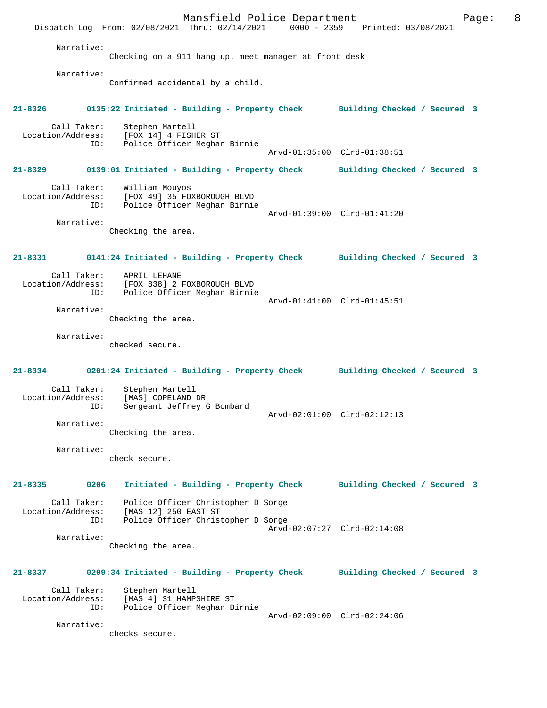Mansfield Police Department Page: 8 Dispatch Log From: 02/08/2021 Thru: 02/14/2021 0000 - 2359 Printed: 03/08/2021 Narrative: Checking on a 911 hang up. meet manager at front desk Narrative: Confirmed accidental by a child. **21-8326 0135:22 Initiated - Building - Property Check Building Checked / Secured 3** Call Taker: Stephen Martell<br>.on/Address: [FOX 14] 4 FISHER ST Location/Address: ID: Police Officer Meghan Birnie Arvd-01:35:00 Clrd-01:38:51 **21-8329 0139:01 Initiated - Building - Property Check Building Checked / Secured 3** Call Taker: William Mouyos Location/Address: [FOX 49] 35 FOXBOROUGH BLVD ID: Police Officer Meghan Birnie Arvd-01:39:00 Clrd-01:41:20 Narrative: Checking the area. **21-8331 0141:24 Initiated - Building - Property Check Building Checked / Secured 3** Call Taker: APRIL LEHANE<br>Location/Address: [FOX 838] 2 1 ess: [FOX 838] 2 FOXBOROUGH BLVD<br>ID: Police Officer Meghan Birnie Police Officer Meghan Birnie Arvd-01:41:00 Clrd-01:45:51 Narrative: Checking the area. Narrative: checked secure. **21-8334 0201:24 Initiated - Building - Property Check Building Checked / Secured 3** Call Taker: Stephen Martell Location/Address: [MAS] COPELAND DR<br>ID: Sergeant Jeffrey ( Sergeant Jeffrey G Bombard Arvd-02:01:00 Clrd-02:12:13 Narrative: Checking the area. Narrative: check secure. **21-8335 0206 Initiated - Building - Property Check Building Checked / Secured 3** Call Taker: Police Officer Christopher D Sorge Location/Address: [MAS 12] 250 EAST ST ID: Police Officer Christopher D Sorge Arvd-02:07:27 Clrd-02:14:08 Narrative: Checking the area. **21-8337 0209:34 Initiated - Building - Property Check Building Checked / Secured 3** Call Taker: Stephen Martell<br>Location/Address: [MAS 4] 31 HAMP [MAS 4] 31 HAMPSHIRE ST ID: Police Officer Meghan Birnie Arvd-02:09:00 Clrd-02:24:06 Narrative: checks secure.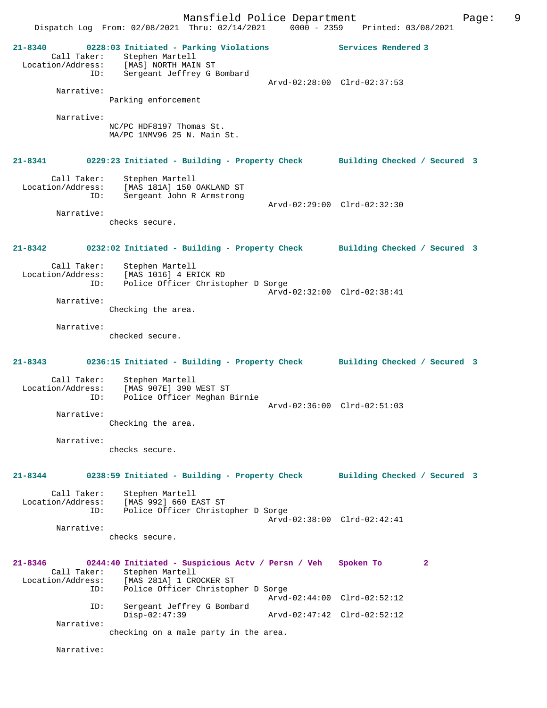Mansfield Police Department Page: 9 Dispatch Log From: 02/08/2021 Thru: 02/14/2021 0000 - 2359 Printed: 03/08/2021 **21-8340 0228:03 Initiated - Parking Violations Services Rendered 3**  Call Taker: Stephen Martell Location/Address: [MAS] NORTH MAIN ST ID: Sergeant Jeffrey G Bombard Arvd-02:28:00 Clrd-02:37:53 Narrative: Parking enforcement Narrative: NC/PC HDF8197 Thomas St. MA/PC 1NMV96 25 N. Main St. **21-8341 0229:23 Initiated - Building - Property Check Building Checked / Secured 3** Call Taker: Stephen Martell Location/Address: [MAS 181A] 150 OAKLAND ST ID: Sergeant John R Armstrong Arvd-02:29:00 Clrd-02:32:30 Narrative: checks secure. **21-8342 0232:02 Initiated - Building - Property Check Building Checked / Secured 3** Call Taker: Stephen Martell Location/Address: [MAS 1016] 4 ERICK RD ID: Police Officer Christopher D Sorge Arvd-02:32:00 Clrd-02:38:41 Narrative: Checking the area. Narrative: checked secure. **21-8343 0236:15 Initiated - Building - Property Check Building Checked / Secured 3** Call Taker: Stephen Martell Location/Address: [MAS 907E] 390 WEST ST ID: Police Officer Meghan Birnie Arvd-02:36:00 Clrd-02:51:03 Narrative: Checking the area. Narrative: checks secure. **21-8344 0238:59 Initiated - Building - Property Check Building Checked / Secured 3** Call Taker: Stephen Martell Location/Address: [MAS 992] 660 EAST ST ID: Police Officer Christopher D Sorge Arvd-02:38:00 Clrd-02:42:41 Narrative: checks secure. **21-8346 0244:40 Initiated - Suspicious Actv / Persn / Veh Spoken To 2**  Call Taker: Stephen Martell<br>Location/Address: [MAS 281A] 1 CR Location/Address: [MAS 281A] 1 CROCKER ST ID: Police Officer Christopher D Sorge Arvd-02:44:00 Clrd-02:52:12 ID: Sergeant Jeffrey G Bombard Arvd-02:47:42 Clrd-02:52:12 Narrative: checking on a male party in the area.

Narrative: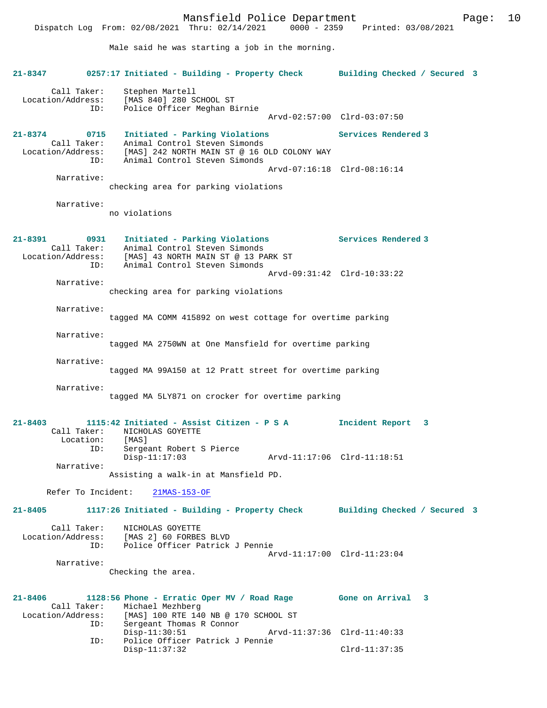Mansfield Police Department Fage: 10 Dispatch Log From: 02/08/2021 Thru: 02/14/2021 0000 - 2359 Printed: 03/08/2021 Male said he was starting a job in the morning. **21-8347 0257:17 Initiated - Building - Property Check Building Checked / Secured 3** Call Taker: Stephen Martell Location/Address: [MAS 840] 280 SCHOOL ST Police Officer Meghan Birnie Arvd-02:57:00 Clrd-03:07:50 **21-8374 0715 Initiated - Parking Violations Services Rendered 3**  Call Taker: Animal Control Steven Simonds Location/Address: [MAS] 242 NORTH MAIN ST @ 16 OLD COLONY WAY ID: Animal Control Steven Simonds Arvd-07:16:18 Clrd-08:16:14 Narrative: checking area for parking violations Narrative: no violations **21-8391 0931 Initiated - Parking Violations Services Rendered 3**  Call Taker: Animal Control Steven Simonds Location/Address: [MAS] 43 NORTH MAIN ST @ 13 PARK ST ID: Animal Control Steven Simonds Arvd-09:31:42 Clrd-10:33:22 Narrative: checking area for parking violations Narrative: tagged MA COMM 415892 on west cottage for overtime parking Narrative: tagged MA 2750WN at One Mansfield for overtime parking Narrative: tagged MA 99A150 at 12 Pratt street for overtime parking Narrative: tagged MA 5LY871 on crocker for overtime parking **21-8403 1115:42 Initiated - Assist Citizen - P S A Incident Report 3**  Call Taker: NICHOLAS GOYETTE Location:<br>ID: Sergeant Robert S Pierce<br>Disp-11:17:03 Disp-11:17:03 Arvd-11:17:06 Clrd-11:18:51 Narrative: Assisting a walk-in at Mansfield PD. Refer To Incident: 21MAS-153-OF **21-8405 1117:26 Initiated - Building - Property Check Building Checked / Secured 3** Call Taker: NICHOLAS GOYETTE Location/Address: [MAS 2] 60 FORBES BLVD ID: Police Officer Patrick J Pennie Arvd-11:17:00 Clrd-11:23:04 Narrative: Checking the area. **21-8406 1128:56 Phone - Erratic Oper MV / Road Rage Gone on Arrival 3**  Call Taker: Michael Mezhberg<br>Location/Address: [MAS] 100 RTE 140 ess: [MAS] 100 RTE 140 NB @ 170 SCHOOL ST<br>ID: Sergeant Thomas R Connor Sergeant Thomas R Connor<br>Disp-11:30:51 Disp-11:30:51 Arvd-11:37:36 Clrd-11:40:33<br>ID: Police Officer Patrick J Pennie Police Officer Patrick J Pennie Disp-11:37:32 Clrd-11:37:35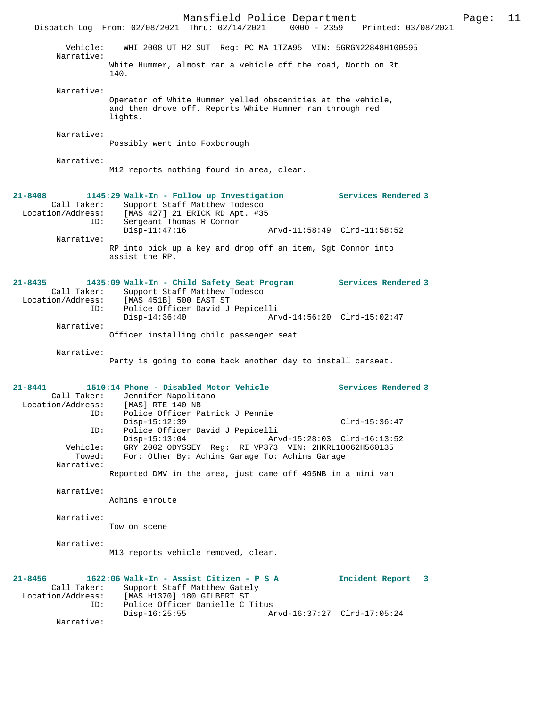Mansfield Police Department Page: 11 Dispatch Log From: 02/08/2021 Thru: 02/14/2021 Vehicle: WHI 2008 UT H2 SUT Reg: PC MA 1TZA95 VIN: 5GRGN22848H100595 Narrative: White Hummer, almost ran a vehicle off the road, North on Rt 140. Narrative: Operator of White Hummer yelled obscenities at the vehicle, and then drove off. Reports White Hummer ran through red lights. Narrative: Possibly went into Foxborough Narrative: M12 reports nothing found in area, clear. **21-8408 1145:29 Walk-In - Follow up Investigation Services Rendered 3**  Call Taker: Support Staff Matthew Todesco<br>Location/Address: [MAS 427] 21 ERICK RD Apt. #39 ess: [MAS 427] 21 ERICK RD Apt. #35<br>ID: Sergeant Thomas R Connor Sergeant Thomas R Connor Disp-11:47:16 Arvd-11:58:49 Clrd-11:58:52 Narrative: RP into pick up a key and drop off an item, Sgt Connor into assist the RP. **21-8435 1435:09 Walk-In - Child Safety Seat Program Services Rendered 3**  Call Taker: Support Staff Matthew Todesco Location/Address: [MAS 451B] 500 EAST ST ID: Police Officer David J Pepicelli Disp-14:36:40 Arvd-14:56:20 Clrd-15:02:47 Narrative: Officer installing child passenger seat Narrative: Party is going to come back another day to install carseat. **21-8441 1510:14 Phone - Disabled Motor Vehicle Services Rendered 3**  Call Taker: Jennifer Napolitano<br>ion/Address: [MAS] RTE 140 NB Location/Address: ID: Police Officer Patrick J Pennie Disp-15:12:39 Clrd-15:36:47 ID: Police Officer David J Pepicelli Disp-15:13:04 Arvd-15:28:03 Clrd-16:13:52<br>Vehicle: GRY 2002 ODYSSEY Reg: RI VP373 VIN: 2HKRL18062H560135 Vehicle: GRY 2002 ODYSSEY Reg: RI VP373 VIN: 2HKRL18062H560135 Towed: For: Other By: Achins Garage To: Achins Garage Narrative: Reported DMV in the area, just came off 495NB in a mini van Narrative: Achins enroute Narrative: Tow on scene Narrative: M13 reports vehicle removed, clear. **21-8456 1622:06 Walk-In - Assist Citizen - P S A Incident Report 3**  Call Taker: Support Staff Matthew Gately Location/Address: [MAS H1370] 180 GILBERT ST<br>D: Police Officer Danielle C Police Officer Danielle C Titus<br>Disp-16:25:55 A Disp-16:25:55 Arvd-16:37:27 Clrd-17:05:24 Narrative: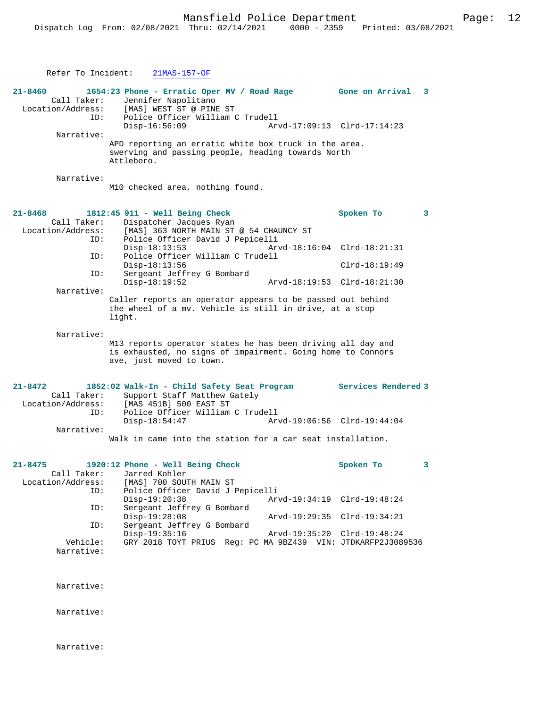Refer To Incident: 21MAS-157-OF **21-8460 1654:23 Phone - Erratic Oper MV / Road Rage Gone on Arrival 3**  Call Taker: Jennifer Napolitano<br>Location/Address: [MAS] WEST ST @ PINE ess: [MAS] WEST ST @ PINE ST<br>TD: Police Officer William ( Police Officer William C Trudell<br>Disp-16:56:09 Arv Arvd-17:09:13 Clrd-17:14:23 Narrative: APD reporting an erratic white box truck in the area. swerving and passing people, heading towards North Attleboro. Narrative: M10 checked area, nothing found. **21-8468 1812:45 911 - Well Being Check Spoken To 3**  Call Taker: Dispatcher Jacques Ryan<br>Location/Address: [MAS] 363 NORTH MAIN ST ess: [MAS] 363 NORTH MAIN ST @ 54 CHAUNCY ST<br>ID: Police Officer David J Penicelli ID: Police Officer David J Pepicelli Disp-18:13:53 Arvd-18:16:04 Clrd-18:21:31<br>TD: Police Officer William C Trudell Police Officer William C Trudell Disp-18:13:56 Clrd-18:19:49<br>ID: Sergeant Jeffrey G Bombard Sergeant Jeffrey G Bombard<br>Disp-18:19:52 Disp-18:19:52 Arvd-18:19:53 Clrd-18:21:30 Narrative: Caller reports an operator appears to be passed out behind the wheel of a mv. Vehicle is still in drive, at a stop light. Narrative: M13 reports operator states he has been driving all day and is exhausted, no signs of impairment. Going home to Connors ave, just moved to town. **21-8472 1852:02 Walk-In - Child Safety Seat Program Services Rendered 3**  Call Taker: Support Staff Matthew Gately<br>Location/Address: [MAS 451B] 500 EAST ST ess: [MAS 451B] 500 EAST ST<br>ID: Police Officer William ID: Police Officer William C Trudell Disp-18:54:47 Arvd-19:06:56 Clrd-19:44:04 Narrative: Walk in came into the station for a car seat installation. **21-8475 1920:12 Phone - Well Being Check Spoken To 3**  Call Taker: Jarred Kohler<br>Location/Address: [MAS] 700 SOU ess: [MAS] 700 SOUTH MAIN ST<br>ID: Police Officer David J P Police Officer David J Pepicelli<br>Disp-19:20:38 Arv Disp-19:20:38 Arvd-19:34:19 Clrd-19:48:24 Sergeant Jeffrey G Bombard<br>Disp-19:28:08 Disp-19:28:08 Arvd-19:29:35 Clrd-19:34:21<br>TD: Sergeant Jeffrey G Bombard Sergeant Jeffrey G Bombard<br>Disp-19:35:16 Disp-19:35:16 Arvd-19:35:20 Clrd-19:48:24<br>Vehicle: GRY 2018 TOYT PRIUS Req: PC MA 9BZ439 VIN: JTDKARFP2J308 GRY 2018 TOYT PRIUS Reg: PC MA 9BZ439 VIN: JTDKARFP2J3089536 Narrative: Narrative: Narrative:

Narrative: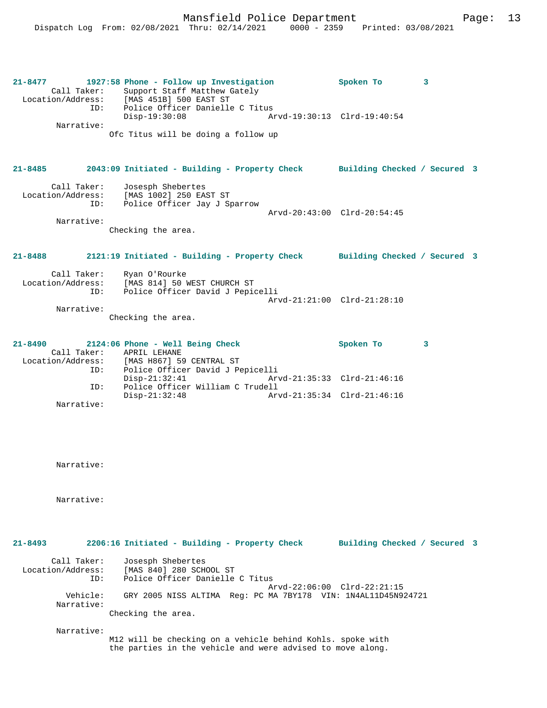**21-8477 1927:58 Phone - Follow up Investigation Spoken To 3**  Call Taker: Support Staff Matthew Gately Location/Address: [MAS 451B] 500 EAST ST ID: Police Officer Danielle C Titus Disp-19:30:08 Arvd-19:30:13 Clrd-19:40:54 Narrative: Ofc Titus will be doing a follow up **21-8485 2043:09 Initiated - Building - Property Check Building Checked / Secured 3** Call Taker: Josesph Shebertes Location/Address: [MAS 1002] 250 EAST ST ID: Police Officer Jay J Sparrow Arvd-20:43:00 Clrd-20:54:45 Narrative: Checking the area. **21-8488 2121:19 Initiated - Building - Property Check Building Checked / Secured 3** Call Taker: Ryan O'Rourke Location/Address: [MAS 814] 50 WEST CHURCH ST ID: Police Officer David J Pepicelli Arvd-21:21:00 Clrd-21:28:10 Narrative: Checking the area. **21-8490 2124:06 Phone - Well Being Check Spoken To 3**  Call Taker: APRIL LEHANE<br>Location/Address: [MAS H867] 59 [MAS H867] 59 CENTRAL ST ID: Police Officer David J Pepicelli Disp-21:32:41 Arvd-21:35:33 Clrd-21:46:16<br>ID: Police Officer William C Trudell Police Officer William C Trudell<br>Disp-21:32:48 Arv Disp-21:32:48 Arvd-21:35:34 Clrd-21:46:16 Narrative:

Narrative:

Narrative:

**21-8493 2206:16 Initiated - Building - Property Check Building Checked / Secured 3** Call Taker: Josesph Shebertes Location/Address: [MAS 840] 280 SCHOOL ST ID: Police Officer Danielle C Titus Arvd-22:06:00 Clrd-22:21:15<br>Vehicle: GRY 2005 NISS ALTIMA Reg: PC MA 7RY178 VIN: 1N4AL11D45N9 Vehicle: GRY 2005 NISS ALTIMA Reg: PC MA 7BY178 VIN: 1N4AL11D45N924721 Narrative: Checking the area. Narrative:

M12 will be checking on a vehicle behind Kohls. spoke with the parties in the vehicle and were advised to move along.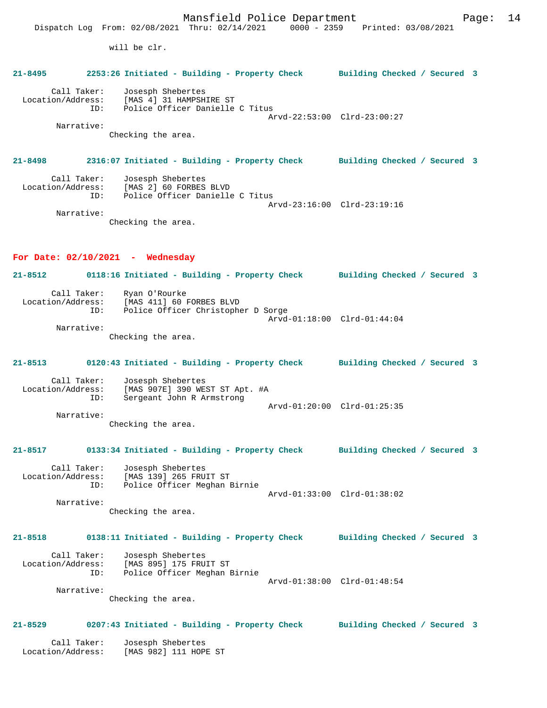Mansfield Police Department Page: 14 Dispatch Log From: 02/08/2021 Thru: 02/14/2021 0000 - 2359 Printed: 03/08/2021 will be clr. **21-8495 2253:26 Initiated - Building - Property Check Building Checked / Secured 3** Call Taker: Josesph Shebertes Location/Address: [MAS 4] 31 HAMPSHIRE ST ID: Police Officer Danielle C Titus Arvd-22:53:00 Clrd-23:00:27 Narrative: Checking the area. **21-8498 2316:07 Initiated - Building - Property Check Building Checked / Secured 3** Call Taker: Josesph Shebertes Location/Address: [MAS 2] 60 FORBES BLVD ID: Police Officer Danielle C Titus Arvd-23:16:00 Clrd-23:19:16 Narrative: Checking the area. **For Date: 02/10/2021 - Wednesday 21-8512 0118:16 Initiated - Building - Property Check Building Checked / Secured 3** Call Taker: Ryan O'Rourke Location/Address: [MAS 411] 60 FORBES BLVD ID: Police Officer Christopher D Sorge Arvd-01:18:00 Clrd-01:44:04 Narrative: Checking the area. **21-8513 0120:43 Initiated - Building - Property Check Building Checked / Secured 3** Call Taker: Josesph Shebertes Location/Address: [MAS 907E] 390 WEST ST Apt. #A ID: Sergeant John R Armstrong Arvd-01:20:00 Clrd-01:25:35 Narrative: Checking the area. **21-8517 0133:34 Initiated - Building - Property Check Building Checked / Secured 3** Call Taker: Josesph Shebertes Location/Address: [MAS 139] 265 FRUIT ST ID: Police Officer Meghan Birnie Arvd-01:33:00 Clrd-01:38:02 Narrative: Checking the area. **21-8518 0138:11 Initiated - Building - Property Check Building Checked / Secured 3** Call Taker: Josesph Shebertes Location/Address: [MAS 895] 175 FRUIT ST ID: Police Officer Meghan Birnie Arvd-01:38:00 Clrd-01:48:54 Narrative: Checking the area. **21-8529 0207:43 Initiated - Building - Property Check Building Checked / Secured 3** Call Taker: Josesph Shebertes Location/Address: [MAS 982] 111 HOPE ST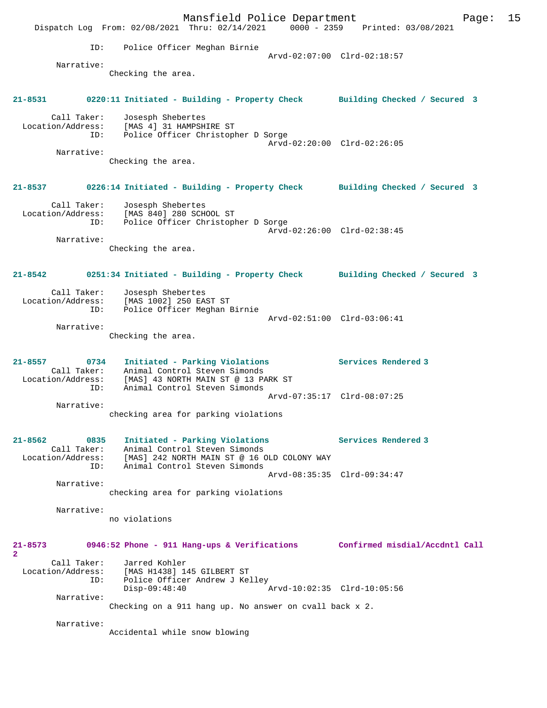Mansfield Police Department Fage: 15 Dispatch Log From: 02/08/2021 Thru: 02/14/2021 0000 - 2359 Printed: 03/08/2021 ID: Police Officer Meghan Birnie Arvd-02:07:00 Clrd-02:18:57 Narrative: Checking the area. **21-8531 0220:11 Initiated - Building - Property Check Building Checked / Secured 3** Call Taker: Josesph Shebertes Location/Address: [MAS 4] 31 HAMPSHIRE ST ID: Police Officer Christopher D Sorge Arvd-02:20:00 Clrd-02:26:05 Narrative: Checking the area. **21-8537 0226:14 Initiated - Building - Property Check Building Checked / Secured 3** Call Taker: Josesph Shebertes Location/Address: [MAS 840] 280 SCHOOL ST ID: Police Officer Christopher D Sorge Arvd-02:26:00 Clrd-02:38:45 Narrative: Checking the area. **21-8542 0251:34 Initiated - Building - Property Check Building Checked / Secured 3** Call Taker: Josesph Shebertes Location/Address: [MAS 1002] 250 EAST ST ID: Police Officer Meghan Birnie Arvd-02:51:00 Clrd-03:06:41 Narrative: Checking the area. **21-8557 0734 Initiated - Parking Violations Services Rendered 3**  Call Taker: Animal Control Steven Simonds Location/Address: [MAS] 43 NORTH MAIN ST @ 13 PARK ST ID: Animal Control Steven Simonds Arvd-07:35:17 Clrd-08:07:25 Narrative: checking area for parking violations **21-8562 0835 Initiated - Parking Violations Services Rendered 3**  Call Taker: Animal Control Steven Simonds Location/Address: [MAS] 242 NORTH MAIN ST @ 16 OLD COLONY WAY ID: Animal Control Steven Simonds Arvd-08:35:35 Clrd-09:34:47 Narrative: checking area for parking violations Narrative: no violations **21-8573 0946:52 Phone - 911 Hang-ups & Verifications Confirmed misdial/Accdntl Call**  $\mathbf{2}$  Call Taker: Jarred Kohler Location/Address: [MAS H1438] 145 GILBERT ST Location/Address: [MAS H1438] 145 GILBERT ST<br>ID: Police Officer Andrew J Kelley<br>Disp-09:48:40 Disp-09:48:40 Arvd-10:02:35 Clrd-10:05:56 Narrative: Checking on a 911 hang up. No answer on cvall back x 2. Narrative: Accidental while snow blowing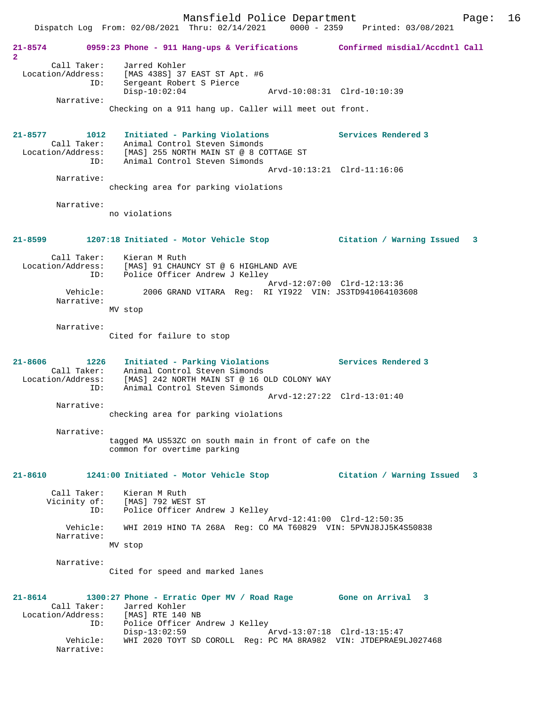Mansfield Police Department Page: 16 Dispatch Log From: 02/08/2021 Thru: 02/14/2021 0000 - 2359 Printed: 03/08/2021 **21-8574 0959:23 Phone - 911 Hang-ups & Verifications Confirmed misdial/Accdntl Call 2**  Call Taker: Jarred Kohler Location/Address: [MAS 438S] 37 EAST ST Apt. #6 ID: Sergeant Robert S Pierce Disp-10:02:04 Arvd-10:08:31 Clrd-10:10:39 Narrative: Checking on a 911 hang up. Caller will meet out front. **21-8577 1012 Initiated - Parking Violations Services Rendered 3**  Call Taker: Animal Control Steven Simonds Location/Address: [MAS] 255 NORTH MAIN ST @ 8 COTTAGE ST ID: Animal Control Steven Simonds Arvd-10:13:21 Clrd-11:16:06 Narrative: checking area for parking violations Narrative: no violations **21-8599 1207:18 Initiated - Motor Vehicle Stop Citation / Warning Issued 3** Call Taker: Kieran M Ruth Location/Address: [MAS] 91 CHAUNCY ST @ 6 HIGHLAND AVE ID: Police Officer Andrew J Kelley Arvd-12:07:00 Clrd-12:13:36 Vehicle: 2006 GRAND VITARA Reg: RI YI922 VIN: JS3TD941064103608 Narrative: MV stop Narrative: Cited for failure to stop **21-8606 1226 Initiated - Parking Violations Services Rendered 3**  Call Taker: Animal Control Steven Simonds Location/Address: [MAS] 242 NORTH MAIN ST @ 16 OLD COLONY WAY ID: Animal Control Steven Simonds Arvd-12:27:22 Clrd-13:01:40 Narrative: checking area for parking violations Narrative: tagged MA US53ZC on south main in front of cafe on the common for overtime parking **21-8610 1241:00 Initiated - Motor Vehicle Stop Citation / Warning Issued 3** Call Taker: Kieran M Ruth Vicinity of: [MAS] 792 WEST ST<br>ID: Police Officer And Police Officer Andrew J Kelley Arvd-12:41:00 Clrd-12:50:35 Vehicle: WHI 2019 HINO TA 268A Reg: CO MA T60829 VIN: 5PVNJ8JJ5K4S50838 Narrative: MV stop Narrative: Cited for speed and marked lanes **21-8614 1300:27 Phone - Erratic Oper MV / Road Rage Gone on Arrival 3**  Call Taker: Jarred Kohler<br>ion/Address: [MAS] RTE 140 NB Location/Address: ID: Police Officer Andrew J Kelley<br>Disp-13:02:59 Disp-13:02:59 Arvd-13:07:18 Clrd-13:15:47 Vehicle: WHI 2020 TOYT SD COROLL Reg: PC MA 8RA982 VIN: JTDEPRAE9LJ027468 Narrative: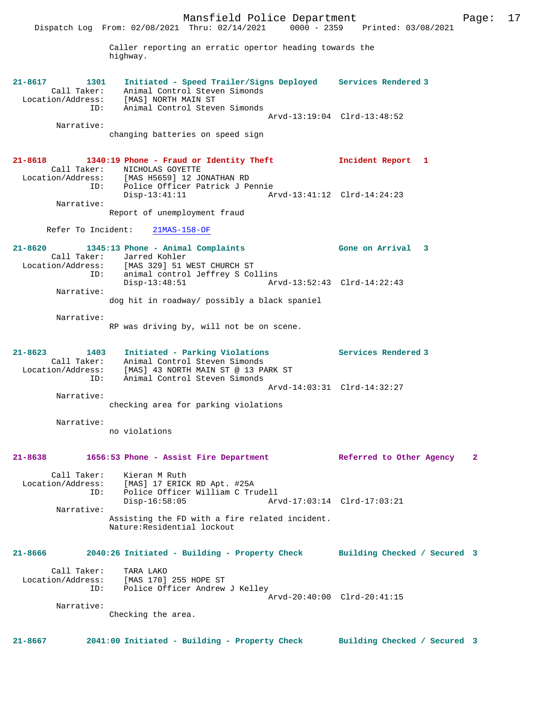Mansfield Police Department Fage: 17 Dispatch Log From: 02/08/2021 Thru: 02/14/2021 0000 - 2359 Printed: 03/08/2021 Caller reporting an erratic opertor heading towards the highway. **21-8617 1301 Initiated - Speed Trailer/Signs Deployed Services Rendered 3**  Call Taker: Animal Control Steven Simonds Location/Address: [MAS] NORTH MAIN ST ID: Animal Control Steven Simonds Arvd-13:19:04 Clrd-13:48:52 Narrative: changing batteries on speed sign **21-8618 1340:19 Phone - Fraud or Identity Theft Incident Report 1**  Call Taker: NICHOLAS GOYETTE Location/Address: [MAS H5659] 12 JONATHAN RD ID: Police Officer Patrick J Pennie Disp-13:41:11 Arvd-13:41:12 Clrd-14:24:23 Narrative: Report of unemployment fraud Refer To Incident: 21MAS-158-OF **21-8620 1345:13 Phone - Animal Complaints Gone on Arrival 3**  Call Taker: Jarred Kohler Location/Address: [MAS 329] 51 WEST CHURCH ST ID: animal control Jeffrey S Collins Disp-13:48:51 Arvd-13:52:43 Clrd-14:22:43 Narrative: dog hit in roadway/ possibly a black spaniel Narrative: RP was driving by, will not be on scene. **21-8623 1403 Initiated - Parking Violations Services Rendered 3**  Call Taker: Animal Control Steven Simonds Location/Address: [MAS] 43 NORTH MAIN ST @ 13 PARK ST ID: Animal Control Steven Simonds Arvd-14:03:31 Clrd-14:32:27 Narrative: checking area for parking violations Narrative: no violations **21-8638 1656:53 Phone - Assist Fire Department Referred to Other Agency 2** Call Taker: Kieran M Ruth Location/Address: [MAS] 17 ERICK RD Apt. #25A ID: Police Officer William C Trudell Disp-16:58:05 Arvd-17:03:14 Clrd-17:03:21 Narrative: Assisting the FD with a fire related incident. Nature:Residential lockout **21-8666 2040:26 Initiated - Building - Property Check Building Checked / Secured 3** Call Taker: TARA LAKO Location/Address: [MAS 170] 255 HOPE ST ID: Police Officer Andrew J Kelley Arvd-20:40:00 Clrd-20:41:15 Narrative: Checking the area.

**21-8667 2041:00 Initiated - Building - Property Check Building Checked / Secured 3**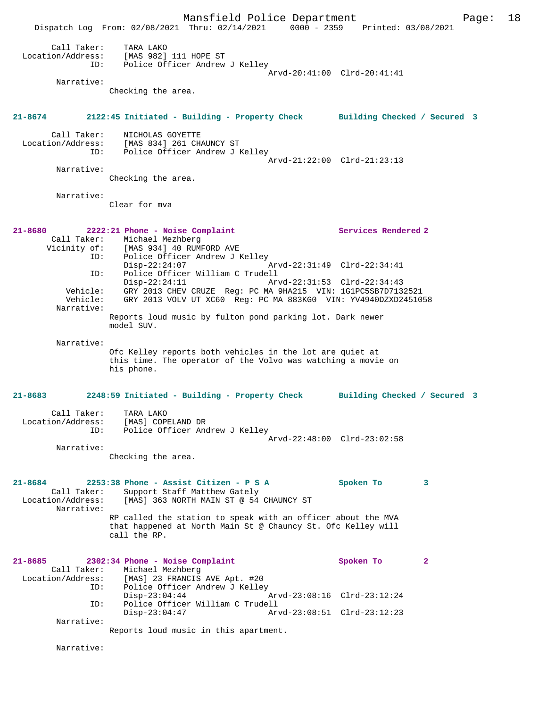Mansfield Police Department Page: 18 Dispatch Log From: 02/08/2021 Thru: 02/14/2021 0000 - 2359 Printed: 03/08/2021 Call Taker: TARA LAKO Location/Address: [MAS 982] 111 HOPE ST ID: Police Officer Andrew J Kelley Arvd-20:41:00 Clrd-20:41:41 Narrative: Checking the area. **21-8674 2122:45 Initiated - Building - Property Check Building Checked / Secured 3** Call Taker: NICHOLAS GOYETTE Location/Address: [MAS 834] 261 CHAUNCY ST ID: Police Officer Andrew J Kelley Arvd-21:22:00 Clrd-21:23:13 Narrative: Checking the area. Narrative: Clear for mva **21-8680 2222:21 Phone - Noise Complaint Services Rendered 2**  Call Taker: Michael Mezhberg Vicinity of: [MAS 934] 40 RUMFORD AVE ID: Police Officer Andrew J Kelley Disp-22:24:07<br>ID: Police Officer William C Trud ID: Police Officer William C Trudell Disp-22:24:11 Arvd-22:31:53 Clrd-22:34:43 Vehicle: GRY 2013 CHEV CRUZE Reg: PC MA 9HA215 VIN: 1G1PC5SB7D7132521 Vehicle: GRY 2013 VOLV UT XC60 Reg: PC MA 883KG0 VIN: YV4940DZXD2451058 Narrative: Reports loud music by fulton pond parking lot. Dark newer model SUV. Narrative: Ofc Kelley reports both vehicles in the lot are quiet at this time. The operator of the Volvo was watching a movie on his phone. **21-8683 2248:59 Initiated - Building - Property Check Building Checked / Secured 3** Call Taker: TARA LAKO Location/Address: [MAS] COPELAND DR ID: Police Officer Andrew J Kelley Arvd-22:48:00 Clrd-23:02:58 Narrative: Checking the area. **21-8684 2253:38 Phone - Assist Citizen - P S A Spoken To 3**  Call Taker: Support Staff Matthew Gately<br>Location/Address: [MAS] 363 NORTH MAIN ST @ 54 [MAS] 363 NORTH MAIN ST @ 54 CHAUNCY ST Narrative: RP called the station to speak with an officer about the MVA that happened at North Main St @ Chauncy St. Ofc Kelley will call the RP. **21-8685 2302:34 Phone - Noise Complaint Spoken To 2**  Call Taker: Michael Mezhberg<br>Location/Address: [MAS] 23 FRANCIS [MAS] 23 FRANCIS AVE Apt. #20 ID: Police Officer Andrew J Kelley<br>Disp-23:04:44 Disp-23:04:44 Arvd-23:08:16 Clrd-23:12:24<br>ID: Police Officer William C Trudell<br>Disp-23:04:47 Arvd-23:08:51 Clrd-23:12:23 Police Officer William C Trudell Disp-23:04:47 Arvd-23:08:51 Clrd-23:12:23 Narrative: Reports loud music in this apartment. Narrative: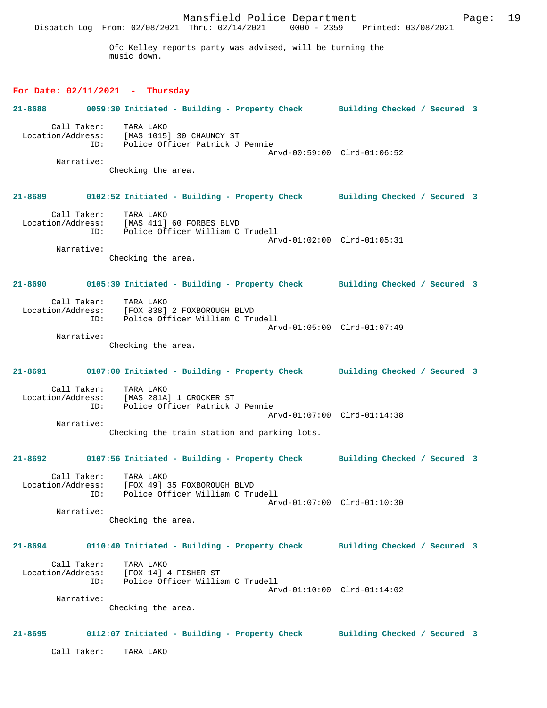Mansfield Police Department Page: 19 Dispatch Log From: 02/08/2021 Thru: 02/14/2021 0000 - 2359 Printed: 03/08/2021 Ofc Kelley reports party was advised, will be turning the music down. **For Date: 02/11/2021 - Thursday 21-8688 0059:30 Initiated - Building - Property Check Building Checked / Secured 3** Call Taker: TARA LAKO Location/Address: [MAS 1015] 30 CHAUNCY ST ID: Police Officer Patrick J Pennie Arvd-00:59:00 Clrd-01:06:52 Narrative: Checking the area. **21-8689 0102:52 Initiated - Building - Property Check Building Checked / Secured 3** Call Taker: TARA LAKO Location/Address: [MAS 411] 60 FORBES BLVD ID: Police Officer William C Trudell Arvd-01:02:00 Clrd-01:05:31 Narrative: Checking the area. **21-8690 0105:39 Initiated - Building - Property Check Building Checked / Secured 3** Call Taker: TARA LAKO<br>Location/Address: [FOX 838] [FOX 838] 2 FOXBOROUGH BLVD ID: Police Officer William C Trudell Arvd-01:05:00 Clrd-01:07:49 Narrative: Checking the area. **21-8691 0107:00 Initiated - Building - Property Check Building Checked / Secured 3** Call Taker: TARA LAKO Location/Address: [MAS 281A] 1 CROCKER ST Police Officer Patrick J Pennie Arvd-01:07:00 Clrd-01:14:38 Narrative: Checking the train station and parking lots. **21-8692 0107:56 Initiated - Building - Property Check Building Checked / Secured 3** Call Taker: TARA LAKO Location/Address: [FOX 49] 35 FOXBOROUGH BLVD ID: Police Officer William C Trudell Arvd-01:07:00 Clrd-01:10:30 Narrative: Checking the area. **21-8694 0110:40 Initiated - Building - Property Check Building Checked / Secured 3** Call Taker: TARA LAKO Location/Address: [FOX 14] 4 FISHER ST<br>ID: Police Officer Willia Police Officer William C Trudell Arvd-01:10:00 Clrd-01:14:02 Narrative: Checking the area. **21-8695 0112:07 Initiated - Building - Property Check Building Checked / Secured 3** Call Taker: TARA LAKO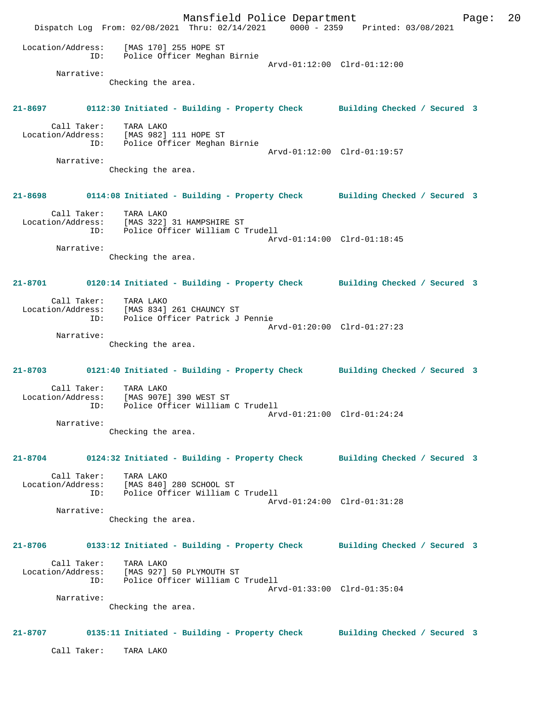Mansfield Police Department Fage: 20 Dispatch Log From: 02/08/2021 Thru: 02/14/2021 0000 - 2359 Printed: 03/08/2021 Location/Address: [MAS 170] 255 HOPE ST ID: Police Officer Meghan Birnie Arvd-01:12:00 Clrd-01:12:00 Narrative: Checking the area. **21-8697 0112:30 Initiated - Building - Property Check Building Checked / Secured 3** Call Taker: TARA LAKO Location/Address: [MAS 982] 111 HOPE ST ID: Police Officer Meghan Birnie Arvd-01:12:00 Clrd-01:19:57 Narrative: Checking the area. **21-8698 0114:08 Initiated - Building - Property Check Building Checked / Secured 3** Call Taker: TARA LAKO Location/Address: [MAS 322] 31 HAMPSHIRE ST ID: Police Officer William C Trudell Arvd-01:14:00 Clrd-01:18:45 Narrative: Checking the area. **21-8701 0120:14 Initiated - Building - Property Check Building Checked / Secured 3** Call Taker: TARA LAKO Location/Address: [MAS 834] 261 CHAUNCY ST ID: Police Officer Patrick J Pennie Arvd-01:20:00 Clrd-01:27:23 Narrative: Checking the area. **21-8703 0121:40 Initiated - Building - Property Check Building Checked / Secured 3** Call Taker: TARA LAKO Location/Address: [MAS 907E] 390 WEST ST ID: Police Officer William C Trudell Arvd-01:21:00 Clrd-01:24:24 Narrative: Checking the area. **21-8704 0124:32 Initiated - Building - Property Check Building Checked / Secured 3** Call Taker: TARA LAKO Location/Address: [MAS 840] 280 SCHOOL ST ID: Police Officer William C Trudell Arvd-01:24:00 Clrd-01:31:28 Narrative: Checking the area. **21-8706 0133:12 Initiated - Building - Property Check Building Checked / Secured 3** Call Taker: TARA LAKO Location/Address: [MAS 927] 50 PLYMOUTH ST ID: Police Officer William C Trudell Arvd-01:33:00 Clrd-01:35:04 Narrative: Checking the area. **21-8707 0135:11 Initiated - Building - Property Check Building Checked / Secured 3** Call Taker: TARA LAKO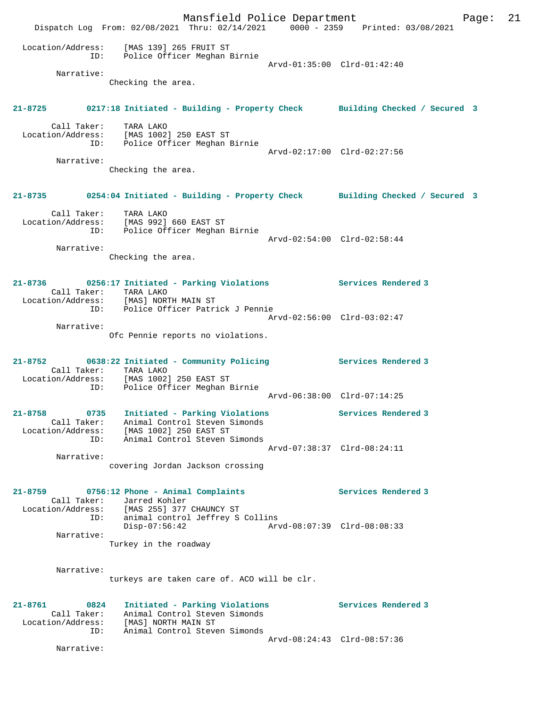Mansfield Police Department Fage: 21 Dispatch Log From: 02/08/2021 Thru: 02/14/2021 0000 - 2359 Printed: 03/08/2021 Location/Address: [MAS 139] 265 FRUIT ST ID: Police Officer Meghan Birnie Arvd-01:35:00 Clrd-01:42:40 Narrative: Checking the area. **21-8725 0217:18 Initiated - Building - Property Check Building Checked / Secured 3** Call Taker: TARA LAKO Location/Address: [MAS 1002] 250 EAST ST ID: Police Officer Meghan Birnie Arvd-02:17:00 Clrd-02:27:56 Narrative: Checking the area. **21-8735 0254:04 Initiated - Building - Property Check Building Checked / Secured 3** Call Taker: TARA LAKO Location/Address: [MAS 992] 660 EAST ST ID: Police Officer Meghan Birnie Arvd-02:54:00 Clrd-02:58:44 Narrative: Checking the area. **21-8736 0256:17 Initiated - Parking Violations Services Rendered 3**  Call Taker: TARA LAKO Location/Address: [MAS] NORTH MAIN ST ID: Police Officer Patrick J Pennie Arvd-02:56:00 Clrd-03:02:47 Narrative: Ofc Pennie reports no violations. **21-8752 0638:22 Initiated - Community Policing Services Rendered 3**  Call Taker: TARA LAKO Location/Address: [MAS 1002] 250 EAST ST ID: Police Officer Meghan Birnie Arvd-06:38:00 Clrd-07:14:25 **21-8758 0735 Initiated - Parking Violations Services Rendered 3**  Call Taker: Animal Control Steven Simonds Location/Address: [MAS 1002] 250 EAST ST ID: Animal Control Steven Simonds Arvd-07:38:37 Clrd-08:24:11 Narrative: covering Jordan Jackson crossing **21-8759 0756:12 Phone - Animal Complaints Services Rendered 3**  Call Taker: Jarred Kohler<br>Location/Address: [MAS 255] 377 Location/Address: [MAS 255] 377 CHAUNCY ST ID: animal control Jeffrey S Collins Disp-07:56:42 Arvd-08:07:39 Clrd-08:08:33 Narrative: Turkey in the roadway Narrative: turkeys are taken care of. ACO will be clr. **21-8761 0824 Initiated - Parking Violations Services Rendered 3**  Call Taker: Animal Control Steven Simonds Location/Address: [MAS] NORTH MAIN ST ID: Animal Control Steven Simonds Arvd-08:24:43 Clrd-08:57:36 Narrative: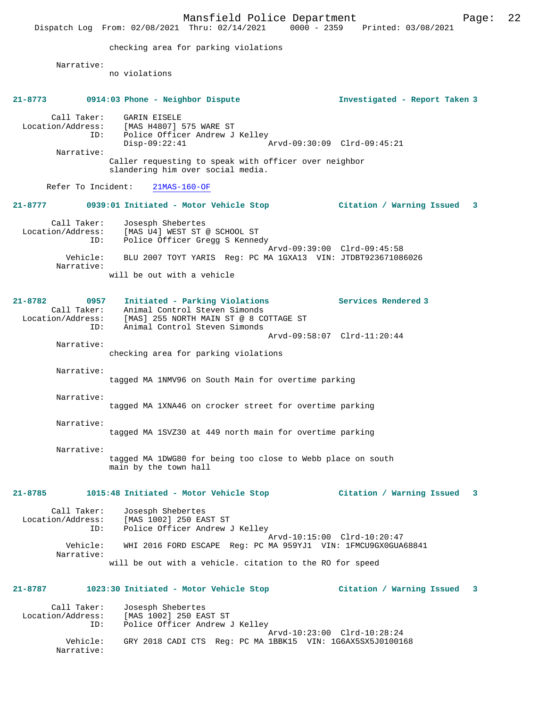|                                         | Mansfield Police Department<br>Dispatch Log From: 02/08/2021 Thru: 02/14/2021 0000 - 2359 Printed: 03/08/2021                                                                    | Page:                          | 22 |
|-----------------------------------------|----------------------------------------------------------------------------------------------------------------------------------------------------------------------------------|--------------------------------|----|
|                                         | checking area for parking violations                                                                                                                                             |                                |    |
| Narrative:                              | no violations                                                                                                                                                                    |                                |    |
|                                         | 21-8773 0914:03 Phone - Neighbor Dispute                                                                                                                                         | Investigated - Report Taken 3  |    |
| Call Taker:<br>Location/Address:<br>ID: | GARIN EISELE<br>[MAS H4807] 575 WARE ST<br>Police Officer Andrew J Kelley<br>$Disp-09:22:41$                                                                                     | Arvd-09:30:09 Clrd-09:45:21    |    |
| Narrative:                              | Caller requesting to speak with officer over neighbor<br>slandering him over social media.                                                                                       |                                |    |
| Refer To Incident:                      | $21MAS-160-OF$                                                                                                                                                                   |                                |    |
|                                         |                                                                                                                                                                                  | Citation / Warning Issued 3    |    |
| Call Taker:<br>ID:                      | Josesph Shebertes<br>Location/Address: [MAS U4] WEST ST @ SCHOOL ST<br>Police Officer Gregg S Kennedy                                                                            |                                |    |
| Vehicle:<br>Narrative:                  | BLU 2007 TOYT YARIS Req: PC MA 1GXA13 VIN: JTDBT923671086026                                                                                                                     | Arvd-09:39:00 Clrd-09:45:58    |    |
|                                         | will be out with a vehicle                                                                                                                                                       |                                |    |
| 21-8782<br>0957<br>Call Taker:<br>ID:   | Initiated - Parking Violations Services Rendered 3<br>Animal Control Steven Simonds<br>Location/Address: [MAS] 255 NORTH MAIN ST @ 8 COTTAGE ST<br>Animal Control Steven Simonds |                                |    |
| Narrative:                              | checking area for parking violations                                                                                                                                             | Arvd-09:58:07 Clrd-11:20:44    |    |
| Narrative:                              | tagged MA 1NMV96 on South Main for overtime parking                                                                                                                              |                                |    |
| Narrative:                              | tagged MA 1XNA46 on crocker street for overtime parking                                                                                                                          |                                |    |
| Narrative:                              | tagged MA 1SVZ30 at 449 north main for overtime parking                                                                                                                          |                                |    |
| Narrative:                              | tagged MA 1DWG80 for being too close to Webb place on south<br>main by the town hall                                                                                             |                                |    |
| 21-8785                                 | 1015:48 Initiated - Motor Vehicle Stop                                                                                                                                           | Citation / Warning Issued<br>3 |    |
| Call Taker:<br>Location/Address:<br>ID: | Josesph Shebertes<br>[MAS 1002] 250 EAST ST<br>Police Officer Andrew J Kelley                                                                                                    |                                |    |
| Vehicle:<br>Narrative:                  | WHI 2016 FORD ESCAPE Reg: PC MA 959YJ1 VIN: 1FMCU9GX0GUA68841                                                                                                                    | Arvd-10:15:00 Clrd-10:20:47    |    |
|                                         | will be out with a vehicle. citation to the RO for speed                                                                                                                         |                                |    |
| 21-8787                                 | 1023:30 Initiated - Motor Vehicle Stop                                                                                                                                           | Citation / Warning Issued<br>3 |    |
| Call Taker:<br>Location/Address:<br>ID: | Josesph Shebertes<br>[MAS 1002] 250 EAST ST<br>Police Officer Andrew J Kelley                                                                                                    |                                |    |
| Vehicle:<br>Narrative:                  | GRY 2018 CADI CTS Reg: PC MA 1BBK15 VIN: 1G6AX5SX5J0100168                                                                                                                       | Arvd-10:23:00 Clrd-10:28:24    |    |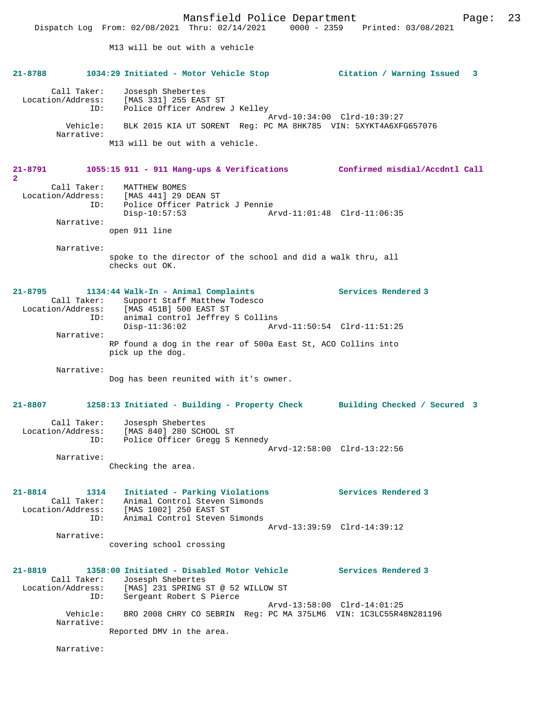Dispatch Log From: 02/08/2021 Thru: 02/14/2021 0000 - 2359 Printed: 03/08/2021 M13 will be out with a vehicle **21-8788 1034:29 Initiated - Motor Vehicle Stop Citation / Warning Issued 3** Call Taker: Josesph Shebertes Location/Address: [MAS 331] 255 EAST ST ID: Police Officer Andrew J Kelley Arvd-10:34:00 Clrd-10:39:27 Vehicle: BLK 2015 KIA UT SORENT Reg: PC MA 8HK785 VIN: 5XYKT4A6XFG657076 Narrative: M13 will be out with a vehicle. **21-8791 1055:15 911 - 911 Hang-ups & Verifications Confirmed misdial/Accdntl Call 2**  Call Taker: MATTHEW BOMES Location/Address: [MAS 441] 29 DEAN ST ID: Police Officer Patrick J Pennie Arvd-11:01:48 Clrd-11:06:35 Narrative: open 911 line Narrative: spoke to the director of the school and did a walk thru, all checks out OK. **21-8795 1134:44 Walk-In - Animal Complaints Services Rendered 3**  Call Taker: Support Staff Matthew Todesco Location/Address: [MAS 451B] 500 EAST ST ID: animal control Jeffrey S Collins<br>Disp-11:36:02 Arv Disp-11:36:02 Arvd-11:50:54 Clrd-11:51:25 Narrative: RP found a dog in the rear of 500a East St, ACO Collins into pick up the dog. Narrative: Dog has been reunited with it's owner. **21-8807 1258:13 Initiated - Building - Property Check Building Checked / Secured 3** Call Taker: Josesph Shebertes Location/Address: [MAS 840] 280 SCHOOL ST ID: Police Officer Gregg S Kennedy Arvd-12:58:00 Clrd-13:22:56 Narrative: Checking the area. **21-8814 1314 Initiated - Parking Violations Services Rendered 3**  Call Taker: Animal Control Steven Simonds Location/Address: [MAS 1002] 250 EAST ST ID: Animal Control Steven Simonds Arvd-13:39:59 Clrd-14:39:12 Narrative: covering school crossing **21-8819 1358:00 Initiated - Disabled Motor Vehicle Services Rendered 3**  Call Taker: Josesph Shebertes<br>Location/Address: [MAS] 231 SPRING [MAS] 231 SPRING ST @ 52 WILLOW ST ID: Sergeant Robert S Pierce Arvd-13:58:00 Clrd-14:01:25 Vehicle: BRO 2008 CHRY CO SEBRIN Reg: PC MA 375LM6 VIN: 1C3LC55R48N281196 Narrative: Reported DMV in the area.

Narrative: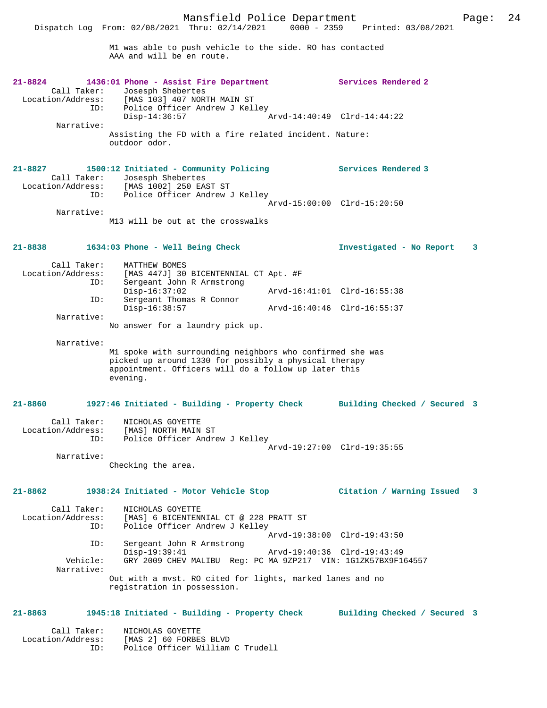Mansfield Police Department Page: 24 Dispatch Log From: 02/08/2021 Thru: 02/14/2021 M1 was able to push vehicle to the side. RO has contacted AAA and will be en route. **21-8824 1436:01 Phone - Assist Fire Department Services Rendered 2**  Call Taker: Josesph Shebertes<br>Location/Address: [MAS 103] 407 NOR ess: [MAS 103] 407 NORTH MAIN ST<br>TD: Police Officer Andrew J Kel Police Officer Andrew J Kelley<br>Disp-14:36:57 Disp-14:36:57 Arvd-14:40:49 Clrd-14:44:22 Narrative: Assisting the FD with a fire related incident. Nature: outdoor odor. **21-8827 1500:12 Initiated - Community Policing Services Rendered 3**  Call Taker: Josesph Shebertes<br>Location/Address: [MAS 1002] 250 EA: Location/Address: [MAS 1002] 250 EAST ST ID: Police Officer Andrew J Kelley Arvd-15:00:00 Clrd-15:20:50 Narrative: M13 will be out at the crosswalks **21-8838 1634:03 Phone - Well Being Check Investigated - No Report 3** Call Taker: MATTHEW BOMES<br>Location/Address: [MAS 447J] 30 [MAS 447J] 30 BICENTENNIAL CT Apt. #F ID: Sergeant John R Armstrong Disp-16:37:02 <br>
D: Sergeant Thomas R Connor<br>
D: Sergeant Thomas R Connor Sergeant Thomas R Connor Disp-16:38:57 Arvd-16:40:46 Clrd-16:55:37 Narrative: No answer for a laundry pick up. Narrative: M1 spoke with surrounding neighbors who confirmed she was picked up around 1330 for possibly a physical therapy appointment. Officers will do a follow up later this evening. **21-8860 1927:46 Initiated - Building - Property Check Building Checked / Secured 3** Call Taker: NICHOLAS GOYETTE Location/Address: [MAS] NORTH MAIN ST<br>ID: Police Officer Andre Police Officer Andrew J Kelley Arvd-19:27:00 Clrd-19:35:55 Narrative: Checking the area. **21-8862 1938:24 Initiated - Motor Vehicle Stop Citation / Warning Issued 3** Call Taker: NICHOLAS GOYETTE<br>Location/Address: [MAS] 6 BICENTEN ess: [MAS] 6 BICENTENNIAL CT @ 228 PRATT ST<br>ID: Police Officer Andrew J Kelley Police Officer Andrew J Kelley Arvd-19:38:00 Clrd-19:43:50<br>ID: Sergeant John R Armstrong Sergeant John R Armstrong Disp-19:39:41 Arvd-19:40:36 Clrd-19:43:49<br>Vehicle: GRY 2009 CHEV MALIBU Reg: PC MA 9ZP217 VIN: 1G1ZK57RX9F1 GRY 2009 CHEV MALIBU Reg: PC MA 9ZP217 VIN: 1G1ZK57BX9F164557 Narrative: Out with a mvst. RO cited for lights, marked lanes and no registration in possession.

#### **21-8863 1945:18 Initiated - Building - Property Check Building Checked / Secured 3**

 Call Taker: NICHOLAS GOYETTE Location/Address: [MAS 2] 60 FORBES BLVD Police Officer William C Trudell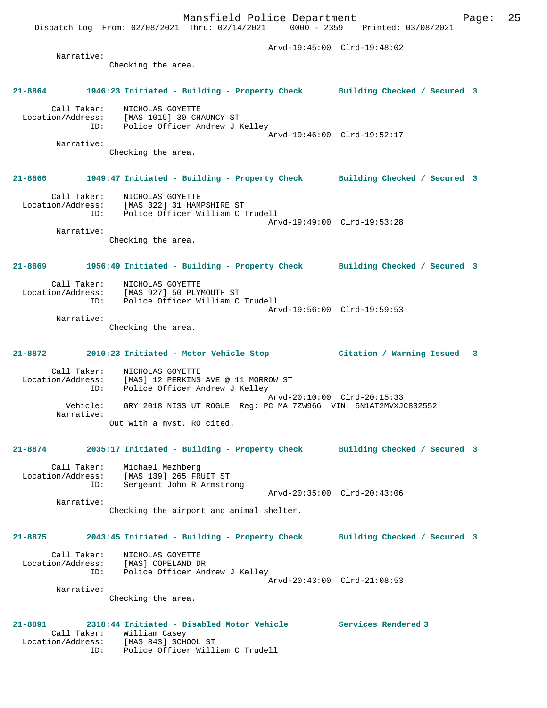Dispatch Log From: 02/08/2021 Thru: 02/14/2021 0000 - 2359 Printed: 03/08/2021

 Arvd-19:45:00 Clrd-19:48:02 Narrative: Checking the area. **21-8864 1946:23 Initiated - Building - Property Check Building Checked / Secured 3** Call Taker: NICHOLAS GOYETTE Location/Address: [MAS 1015] 30 CHAUNCY ST ID: Police Officer Andrew J Kelley Arvd-19:46:00 Clrd-19:52:17 Narrative: Checking the area. **21-8866 1949:47 Initiated - Building - Property Check Building Checked / Secured 3** Call Taker: NICHOLAS GOYETTE Location/Address: [MAS 322] 31 HAMPSHIRE ST ID: Police Officer William C Trudell Arvd-19:49:00 Clrd-19:53:28 Narrative: Checking the area. **21-8869 1956:49 Initiated - Building - Property Check Building Checked / Secured 3** Call Taker: NICHOLAS GOYETTE<br>Location/Address: [MAS 927] 50 PLY [MAS 927] 50 PLYMOUTH ST ID: Police Officer William C Trudell Arvd-19:56:00 Clrd-19:59:53 Narrative: Checking the area. **21-8872 2010:23 Initiated - Motor Vehicle Stop Citation / Warning Issued 3** Call Taker: NICHOLAS GOYETTE Location/Address: [MAS] 12 PERKINS AVE @ 11 MORROW ST ID: Police Officer Andrew J Kelley Arvd-20:10:00 Clrd-20:15:33<br>Vehicle: GRY 2018 NISS UT ROGUE Req: PC MA 7ZW966 VIN: 5N1AT2MVXJO GRY 2018 NISS UT ROGUE Reg: PC MA 7ZW966 VIN: 5N1AT2MVXJC832552 Narrative: Out with a mvst. RO cited. **21-8874 2035:17 Initiated - Building - Property Check Building Checked / Secured 3** Call Taker: Michael Mezhberg Location/Address: [MAS 139] 265 FRUIT ST ID: Sergeant John R Armstrong Arvd-20:35:00 Clrd-20:43:06 Narrative: Checking the airport and animal shelter. **21-8875 2043:45 Initiated - Building - Property Check Building Checked / Secured 3** Call Taker: NICHOLAS GOYETTE Location/Address: [MAS] COPELAND DR ID: Police Officer Andrew J Kelley Arvd-20:43:00 Clrd-21:08:53 Narrative: Checking the area. **21-8891 2318:44 Initiated - Disabled Motor Vehicle Services Rendered 3**  Call Taker: William Casey<br>Location/Address: [MAS 843] SCHO [MAS 843] SCHOOL ST ID: Police Officer William C Trudell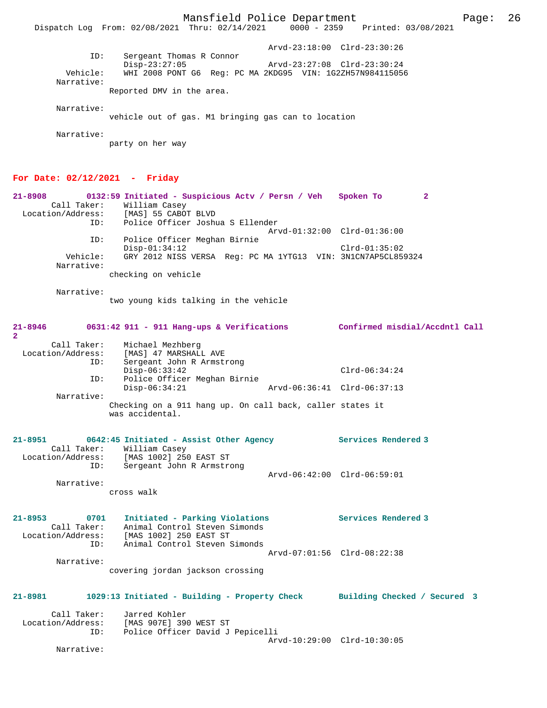Mansfield Police Department Page: 26

Dispatch Log From: 02/08/2021 Thru: 02/14/2021 0000 - 2359 Printed: 03/08/2021

 Arvd-23:18:00 Clrd-23:30:26 ID: Sergeant Thomas R Connor Disp-23:27:05 Arvd-23:27:08 Clrd-23:30:24 Vehicle: WHI 2008 PONT G6 Reg: PC MA 2KDG95 VIN: 1G2ZH57N984115056 Narrative: Reported DMV in the area. Narrative: vehicle out of gas. M1 bringing gas can to location Narrative: party on her way **For Date: 02/12/2021 - Friday**

| 21-8908<br>Call Taker:<br>Location/Address:<br>ID: | 0132:59 Initiated - Suspicious Acty / Persn / Veh<br>William Casey<br>[MAS] 55 CABOT BLVD<br>Police Officer Joshua S Ellender | Spoken To       | 2 |
|----------------------------------------------------|-------------------------------------------------------------------------------------------------------------------------------|-----------------|---|
| ID:                                                | Arvd-01:32:00 Clrd-01:36:00<br>Police Officer Meghan Birnie<br>$Disp-01:34:12$                                                | $Clrd-01:35:02$ |   |
| Vehicle:<br>Narrative:                             | GRY 2012 NISS VERSA Req: PC MA 1YTG13 VIN: 3N1CN7AP5CL859324<br>checking on vehicle                                           |                 |   |
| Narrative:                                         |                                                                                                                               |                 |   |

two young kids talking in the vehicle

| 21-8946           |             | 0631:42 911 - 911 Hang-ups & Verifications                                   |                             | Confirmed misdial/Accdntl Call |  |
|-------------------|-------------|------------------------------------------------------------------------------|-----------------------------|--------------------------------|--|
| $\overline{2}$    |             |                                                                              |                             |                                |  |
|                   |             | Call Taker: Michael Mezhberg                                                 |                             |                                |  |
| Location/Address: |             | [MAS] 47 MARSHALL AVE                                                        |                             |                                |  |
|                   | ID:         | Sergeant John R Armstrong                                                    |                             |                                |  |
|                   |             | $Disp-06:33:42$                                                              |                             | $Clrd-06:34:24$                |  |
|                   | ID:         | Police Officer Meghan Birnie                                                 |                             |                                |  |
|                   |             | $Disp-06:34:21$                                                              | Arvd-06:36:41 Clrd-06:37:13 |                                |  |
|                   | Narrative:  |                                                                              |                             |                                |  |
|                   |             | Checking on a 911 hang up. On call back, caller states it<br>was accidental. |                             |                                |  |
| $21 - 8951$       |             | 0642:45 Initiated - Assist Other Agency                                      |                             | Services Rendered 3            |  |
|                   |             | Call Taker: William Casey                                                    |                             |                                |  |
|                   |             | Location/Address: [MAS 1002] 250 EAST ST                                     |                             |                                |  |
|                   | ID:         | Sergeant John R Armstrong                                                    |                             |                                |  |
|                   |             |                                                                              |                             | Arvd-06:42:00 Clrd-06:59:01    |  |
|                   | Narrative:  |                                                                              |                             |                                |  |
|                   |             | cross walk                                                                   |                             |                                |  |
| $21 - 8953$       | 0701        | Initiated - Parking Violations                                               |                             | Services Rendered 3            |  |
|                   | Call Taker: | Animal Control Steven Simonds                                                |                             |                                |  |

 Call Taker: Animal Control Steven Simonds Location/Address: [MAS 1002] 250 EAST ST ID: Animal Control Steven Simonds Arvd-07:01:56 Clrd-08:22:38 Narrative: covering jordan jackson crossing

# **21-8981 1029:13 Initiated - Building - Property Check Building Checked / Secured 3** Call Taker: Jarred Kohler<br>Location/Address: [MAS 907E] 390

ess: [MAS 907E] 390 WEST ST<br>ID: Police Officer David J Police Officer David J Pepicelli Arvd-10:29:00 Clrd-10:30:05 Narrative: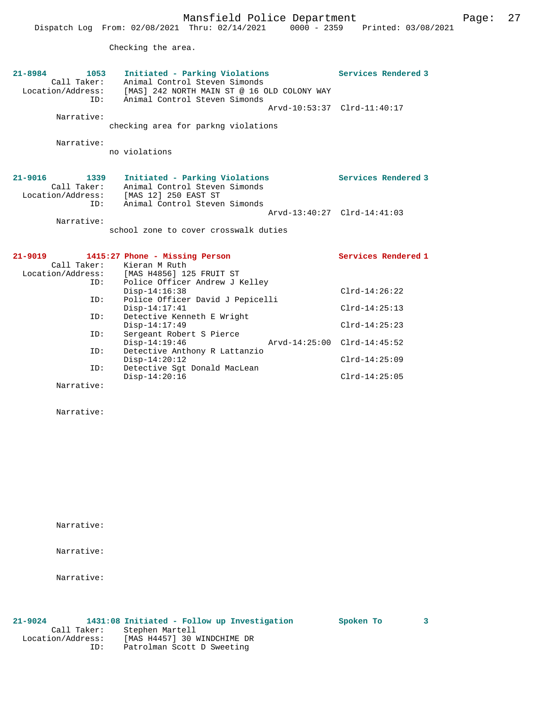Checking the area.

| 21-8984<br>1053<br>Call Taker:<br>Location/Address:<br>TD:     | Initiated - Parking Violations<br>Animal Control Steven Simonds<br>[MAS] 242 NORTH MAIN ST @ 16 OLD COLONY WAY<br>Animal Control Steven Simonds | Services Rendered 3<br>Arvd-10:53:37 Clrd-11:40:17 |
|----------------------------------------------------------------|-------------------------------------------------------------------------------------------------------------------------------------------------|----------------------------------------------------|
| Narrative:<br>Narrative:                                       | checking area for parkng violations<br>no violations                                                                                            |                                                    |
|                                                                |                                                                                                                                                 |                                                    |
| $21 - 9016$<br>1339<br>Call Taker:<br>Location/Address:<br>ID: | Initiated - Parking Violations<br>Animal Control Steven Simonds<br>[MAS 12] 250 EAST ST<br>Animal Control Steven Simonds                        | Services Rendered 3                                |
| Narrative:                                                     | school zone to cover crosswalk duties                                                                                                           | Arvd-13:40:27 Clrd-14:41:03                        |
|                                                                |                                                                                                                                                 |                                                    |
| $21 - 9019$<br>Call Taker:<br>ID:                              | 1415:27 Phone - Missing Person<br>Kieran M Ruth<br>Location/Address: [MAS H4856] 125 FRUIT ST<br>Police Officer Andrew J Kelley                 | Services Rendered 1                                |
| ID:                                                            | $Disp-14:16:38$<br>Police Officer David J Pepicelli                                                                                             | $Clrd-14:26:22$                                    |
| ID:                                                            | $Disp-14:17:41$<br>Detective Kenneth E Wright                                                                                                   | $Clrd-14:25:13$                                    |
| ID:                                                            | $Disp-14:17:49$<br>Sergeant Robert S Pierce<br>$Disp-14:19:46$                                                                                  | $Clrd-14:25:23$<br>Arvd-14:25:00 Clrd-14:45:52     |
| ID:                                                            | Detective Anthony R Lattanzio<br>$Disp-14:20:12$                                                                                                | $Clrd-14:25:09$                                    |
| TD:<br>Narrative:                                              | Detective Sqt Donald MacLean<br>$Disp-14:20:16$                                                                                                 | $Clrd-14:25:05$                                    |

Narrative:

Narrative:

Narrative:

Narrative:

### **21-9024 1431:08 Initiated - Follow up Investigation Spoken To 3**

 Call Taker: Stephen Martell Location/Address: [MAS H4457] 30 WINDCHIME DR ID: Patrolman Scott D Sweeting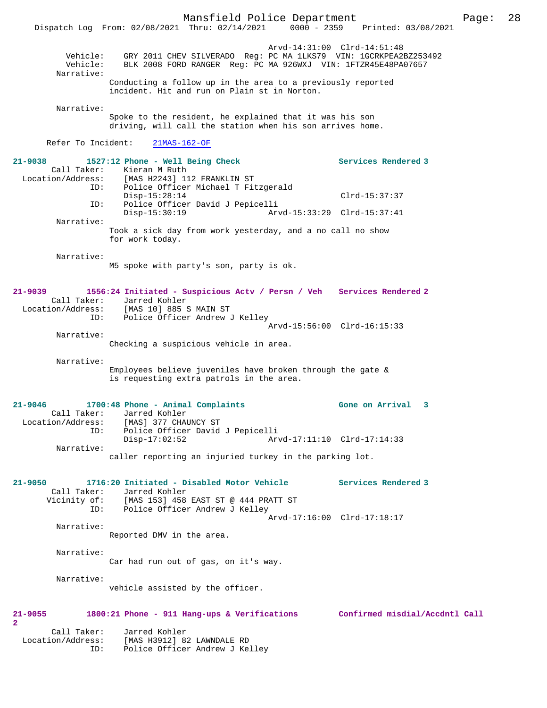Mansfield Police Department Page: 28 Dispatch Log From: 02/08/2021 Thru: 02/14/2021 0000 - 2359 Printed: 03/08/2021 Arvd-14:31:00 Clrd-14:51:48 Vehicle: GRY 2011 CHEV SILVERADO Reg: PC MA 1LKS79 VIN: 1GCRKPEA2BZ253492 Vehicle: BLK 2008 FORD RANGER Reg: PC MA 926WXJ VIN: 1FTZR45E48PA07657 Narrative: Conducting a follow up in the area to a previously reported incident. Hit and run on Plain st in Norton. Narrative: Spoke to the resident, he explained that it was his son driving, will call the station when his son arrives home. Refer To Incident: 21MAS-162-OF **21-9038 1527:12 Phone - Well Being Check Services Rendered 3**  Call Taker: Kieran M Ruth Location/Address: [MAS H2243] 112 FRANKLIN ST ID: Police Officer Michael T Fitzgerald Disp-15:28:14 Clrd-15:37:37 ID: Police Officer David J Pepicelli Disp-15:30:19 Arvd-15:33:29 Clrd-15:37:41 Narrative: Took a sick day from work yesterday, and a no call no show for work today. Narrative: M5 spoke with party's son, party is ok. **21-9039 1556:24 Initiated - Suspicious Actv / Persn / Veh Services Rendered 2**  Call Taker: Jarred Kohler<br>Location/Address: [MAS 10] 885 9 [MAS 10] 885 S MAIN ST ID: Police Officer Andrew J Kelley Arvd-15:56:00 Clrd-16:15:33 Narrative: Checking a suspicious vehicle in area. Narrative: Employees believe juveniles have broken through the gate & is requesting extra patrols in the area. **21-9046 1700:48 Phone - Animal Complaints Gone on Arrival 3**  Call Taker: Jarred Kohler Location/Address: [MAS] 377 CHAUNCY ST ID: Police Officer David J Pepicelli Disp-17:02:52 Arvd-17:11:10 Clrd-17:14:33 Narrative: caller reporting an injuried turkey in the parking lot. **21-9050 1716:20 Initiated - Disabled Motor Vehicle Services Rendered 3**  Call Taker: Jarred Kohler<br>Vicinity of: [MAS 153] 458 of: [MAS 153] 458 EAST ST @ 444 PRATT ST<br>ID: Police Officer Andrew J Kellev ID: Police Officer Andrew J Kelley Arvd-17:16:00 Clrd-17:18:17 Narrative: Reported DMV in the area. Narrative: Car had run out of gas, on it's way. Narrative: vehicle assisted by the officer. **21-9055 1800:21 Phone - 911 Hang-ups & Verifications Confirmed misdial/Accdntl Call 2**  Call Taker: Jarred Kohler Location/Address: [MAS H3912] 82 LAWNDALE RD ID: Police Officer Andrew J Kelley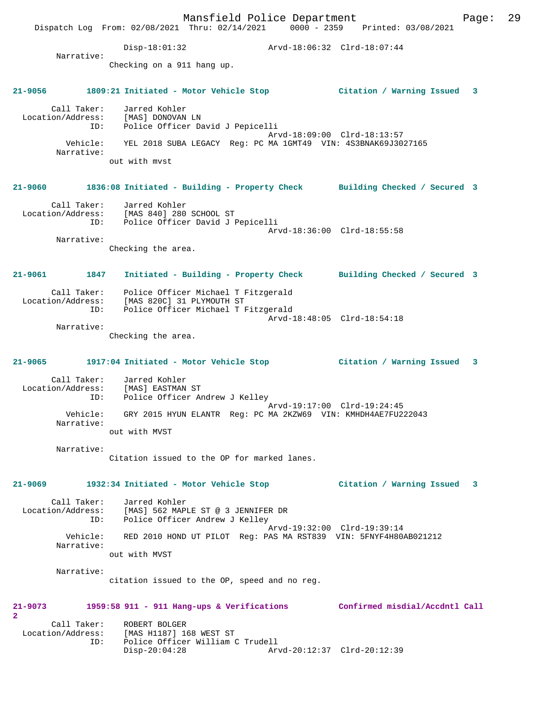Mansfield Police Department Fage: 29 Dispatch Log From: 02/08/2021 Thru: 02/14/2021 0000 - 2359 Printed: 03/08/2021 Disp-18:01:32 Arvd-18:06:32 Clrd-18:07:44 Narrative: Checking on a 911 hang up. **21-9056 1809:21 Initiated - Motor Vehicle Stop Citation / Warning Issued 3** Call Taker: Jarred Kohler Location/Address: [MAS] DONOVAN LN ID: Police Officer David J Pepicelli Arvd-18:09:00 Clrd-18:13:57 Vehicle: YEL 2018 SUBA LEGACY Reg: PC MA 1GMT49 VIN: 4S3BNAK69J3027165 Narrative: out with mvst **21-9060 1836:08 Initiated - Building - Property Check Building Checked / Secured 3** Call Taker: Jarred Kohler Location/Address: [MAS 840] 280 SCHOOL ST ID: Police Officer David J Pepicelli Arvd-18:36:00 Clrd-18:55:58 Narrative: Checking the area. **21-9061 1847 Initiated - Building - Property Check Building Checked / Secured 3** Call Taker: Police Officer Michael T Fitzgerald Location/Address: [MAS 820C] 31 PLYMOUTH ST ID: Police Officer Michael T Fitzgerald Arvd-18:48:05 Clrd-18:54:18 Narrative: Checking the area. **21-9065 1917:04 Initiated - Motor Vehicle Stop Citation / Warning Issued 3** Call Taker: Jarred Kohler Location/Address: [MAS] EASTMAN ST ID: Police Officer Andrew J Kelley Arvd-19:17:00 Clrd-19:24:45 Vehicle: GRY 2015 HYUN ELANTR Reg: PC MA 2KZW69 VIN: KMHDH4AE7FU222043 Narrative: out with MVST Narrative: Citation issued to the OP for marked lanes. **21-9069 1932:34 Initiated - Motor Vehicle Stop Citation / Warning Issued 3** Call Taker: Jarred Kohler Location/Address: [MAS] 562 MAPLE ST @ 3 JENNIFER DR<br>ID: Police Officer Andrew J Kelley Police Officer Andrew J Kelley Arvd-19:32:00 Clrd-19:39:14 Vehicle: RED 2010 HOND UT PILOT Reg: PAS MA RST839 VIN: 5FNYF4H80AB021212 Narrative: out with MVST Narrative: citation issued to the OP, speed and no reg. **21-9073 1959:58 911 - 911 Hang-ups & Verifications Confirmed misdial/Accdntl Call 2**  Call Taker: ROBERT BOLGER<br>Location/Address: [MAS H1187] 1 ess: [MAS H1187] 168 WEST ST<br>ID: Police Officer William C Police Officer William C Trudell Disp-20:04:28 Arvd-20:12:37 Clrd-20:12:39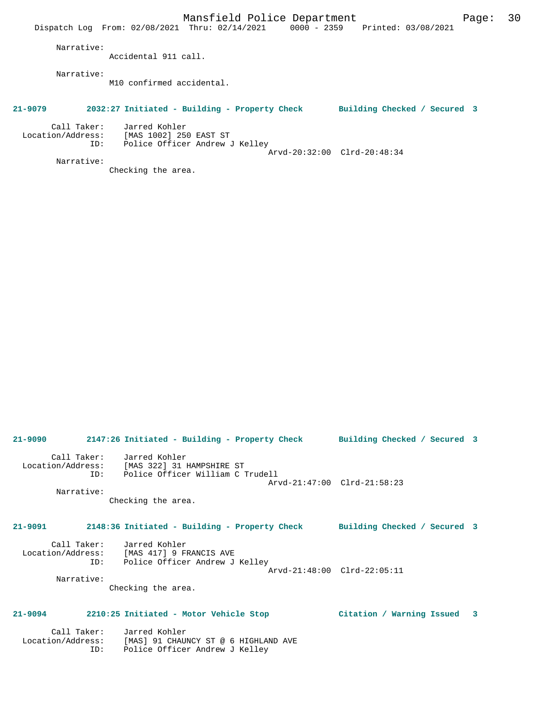Mansfield Police Department Fage: 30 Dispatch Log From: 02/08/2021 Thru: 02/14/2021 0000 - 2359 Printed: 03/08/2021 Narrative: Accidental 911 call. Narrative: M10 confirmed accidental. **21-9079 2032:27 Initiated - Building - Property Check Building Checked / Secured 3** Call Taker: Jarred Kohler Location/Address: [MAS 1002] 250 EAST ST ID: Police Officer Andrew J Kelley Arvd-20:32:00 Clrd-20:48:34 Narrative: Checking the area.

**21-9090 2147:26 Initiated - Building - Property Check Building Checked / Secured 3** Call Taker: Jarred Kohler Location/Address: [MAS 322] 31 HAMPSHIRE ST ID: Police Officer William C Trudell Arvd-21:47:00 Clrd-21:58:23 Narrative: Checking the area. **21-9091 2148:36 Initiated - Building - Property Check Building Checked / Secured 3** Call Taker: Jarred Kohler Location/Address: [MAS 417] 9 FRANCIS AVE ID: Police Officer Andrew J Kelley Arvd-21:48:00 Clrd-22:05:11 Narrative: Checking the area. **21-9094 2210:25 Initiated - Motor Vehicle Stop Citation / Warning Issued 3** Call Taker: Jarred Kohler

 Location/Address: [MAS] 91 CHAUNCY ST @ 6 HIGHLAND AVE ID: Police Officer Andrew J Kelley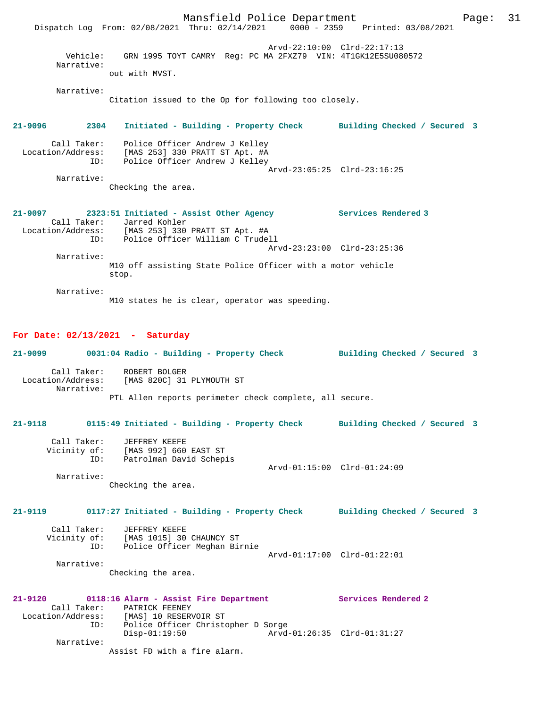Mansfield Police Department Fage: 31 Dispatch Log From: 02/08/2021 Thru: 02/14/2021 0000 - 2359 Printed: 03/08/2021 Arvd-22:10:00 Clrd-22:17:13 Vehicle: GRN 1995 TOYT CAMRY Reg: PC MA 2FXZ79 VIN: 4T1GK12E5SU080572 Narrative: out with MVST. Narrative: Citation issued to the Op for following too closely. **21-9096 2304 Initiated - Building - Property Check Building Checked / Secured 3** Call Taker: Police Officer Andrew J Kelley Location/Address: [MAS 253] 330 PRATT ST Apt. #A ID: Police Officer Andrew J Kelley Arvd-23:05:25 Clrd-23:16:25 Narrative: Checking the area. **21-9097 2323:51 Initiated - Assist Other Agency Services Rendered 3**  Call Taker: Jarred Kohler<br>Location/Address: [MAS 253] 330 ess: [MAS 253] 330 PRATT ST Apt. #A<br>ID: Police Officer William C Trude Police Officer William C Trudell Arvd-23:23:00 Clrd-23:25:36 Narrative: M10 off assisting State Police Officer with a motor vehicle stop. Narrative: M10 states he is clear, operator was speeding. **For Date: 02/13/2021 - Saturday 21-9099 0031:04 Radio - Building - Property Check Building Checked / Secured 3** Call Taker: ROBERT BOLGER Location/Address: [MAS 820C] 31 PLYMOUTH ST Narrative: PTL Allen reports perimeter check complete, all secure. **21-9118 0115:49 Initiated - Building - Property Check Building Checked / Secured 3** Call Taker: JEFFREY KEEFE Vicinity of: [MAS 992] 660 EAST ST ID: Patrolman David Schepis Arvd-01:15:00 Clrd-01:24:09 Narrative: Checking the area. **21-9119 0117:27 Initiated - Building - Property Check Building Checked / Secured 3** Call Taker: JEFFREY KEEFE<br>Vicinity of: [MAS 1015] 30 [MAS 1015] 30 CHAUNCY ST ID: Police Officer Meghan Birnie Arvd-01:17:00 Clrd-01:22:01 Narrative: Checking the area. **21-9120 0118:16 Alarm - Assist Fire Department Services Rendered 2**  Call Taker: PATRICK FEENEY<br>Location/Address: [MAS] 10 RESER [MAS] 10 RESERVOIR ST ID: Police Officer Christopher D Sorge Disp-01:19:50 Arvd-01:26:35 Clrd-01:31:27 Narrative: Assist FD with a fire alarm.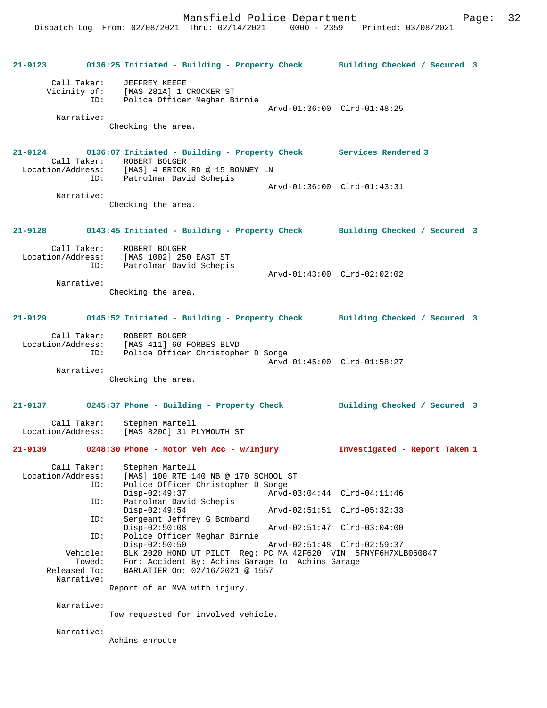**21-9123 0136:25 Initiated - Building - Property Check Building Checked / Secured 3** Call Taker: JEFFREY KEEFE Vicinity of: [MAS 281A] 1 CROCKER ST ID: Police Officer Meghan Birnie Arvd-01:36:00 Clrd-01:48:25 Narrative: Checking the area. **21-9124 0136:07 Initiated - Building - Property Check Services Rendered 3**  Call Taker: ROBERT BOLGER<br>Location/Address: [MAS] 4 ERICK [MAS] 4 ERICK RD @ 15 BONNEY LN ID: Patrolman David Schepis Arvd-01:36:00 Clrd-01:43:31 Narrative: Checking the area. **21-9128 0143:45 Initiated - Building - Property Check Building Checked / Secured 3** Call Taker: ROBERT BOLGER Location/Address: [MAS 1002] 250 EAST ST ID: Patrolman David Schepis Arvd-01:43:00 Clrd-02:02:02 Narrative: Checking the area. **21-9129 0145:52 Initiated - Building - Property Check Building Checked / Secured 3** Call Taker: ROBERT BOLGER Location/Address: [MAS 411] 60 FORBES BLVD ID: Police Officer Christopher D Sorge Arvd-01:45:00 Clrd-01:58:27 Narrative: Checking the area. **21-9137 0245:37 Phone - Building - Property Check Building Checked / Secured 3** Call Taker: Stephen Martell Location/Address: [MAS 820C] 31 PLYMOUTH ST **21-9139 0248:30 Phone - Motor Veh Acc - w/Injury Investigated - Report Taken 1** Call Taker: Stephen Martell Location/Address: [MAS] 100 RTE 140 NB @ 170 SCHOOL ST ID: Police Officer Christopher D Sorge Disp-02:49:37 Arvd-03:04:44 Clrd-04:11:46 ID: Patrolman David Schepis Disp-02:49:54 Arvd-02:51:51 Clrd-05:32:33<br>ID: Sergeant Jeffrey G Bombard Sergeant Jeffrey G Bombard<br>Disp-02:50:08 Disp-02:50:08 Arvd-02:51:47 Clrd-03:04:00<br>ID: Police Officer Meghan Birnie Police Officer Meghan Birnie<br>Disp-02:50:50 Disp-02:50:50 Arvd-02:51:48 Clrd-02:59:37 Vehicle: BLK 2020 HOND UT PILOT Reg: PC MA 42F620 VIN: 5FNYF6H7XLB060847 Towed: For: Accident By: Achins Garage To: Achins Garage Released To: BARLATIER On: 02/16/2021 @ 1557 Narrative: Report of an MVA with injury. Narrative: Tow requested for involved vehicle.

Narrative:

Achins enroute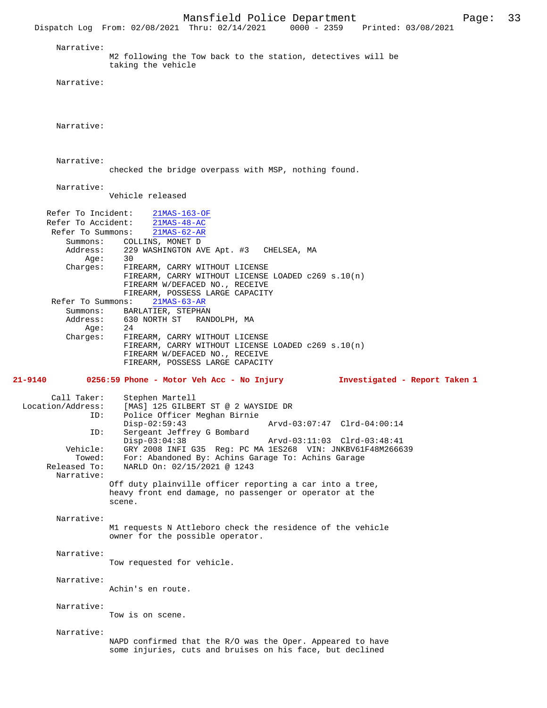Mansfield Police Department Page: 33 Dispatch Log From: 02/08/2021 Thru: 02/14/2021 Narrative: M2 following the Tow back to the station, detectives will be taking the vehicle Narrative: Narrative: Narrative: checked the bridge overpass with MSP, nothing found. Narrative: Vehicle released Refer To Incident:  $\frac{21\text{MAS} - 163 - \text{OF}}{21\text{MAS} - 48 - \text{AC}}$ Refer To Accident:  $\frac{21\text{MAS} - 48 - \text{AC}}{21\text{MAS} - 62 - \text{AR}}$ Refer To Summons: Summons: COLLINS, MONET D<br>Address: 229 WASHINGTON AV 229 WASHINGTON AVE Apt. #3 CHELSEA, MA Age:<br>:Charges FIREARM, CARRY WITHOUT LICENSE FIREARM, CARRY WITHOUT LICENSE LOADED c269 s.10(n) FIREARM W/DEFACED NO., RECEIVE FIREARM, POSSESS LARGE CAPACITY<br>ns: 21MAS-63-AR Refer To Summons: Summons: BARLATIER, STEPHAN Address: 630 NORTH ST RANDOLPH, MA<br>Age: 24  $Age:$  Charges: FIREARM, CARRY WITHOUT LICENSE FIREARM, CARRY WITHOUT LICENSE LOADED c269 s.10(n) FIREARM W/DEFACED NO., RECEIVE FIREARM, POSSESS LARGE CAPACITY **21-9140 0256:59 Phone - Motor Veh Acc - No Injury Investigated - Report Taken 1** Call Taker: Stephen Martell<br>Location/Address: [MAS] 125 GILBE ess: [MAS] 125 GILBERT ST @ 2 WAYSIDE DR<br>ID: Police Officer Meghan Birnie Police Officer Meghan Birnie Disp-02:59:43 Arvd-03:07:47 Clrd-04:00:14<br>ID: Sergeant Jeffrey G Bombard Sergeant Jeffrey G Bombard<br>Disp-03:04:38 Disp-03:04:38 Arvd-03:11:03 Clrd-03:48:41<br>Vehicle: GRY 2008 INFI G35 Req: PC MA 1ES268 VIN: JNKRV61E48M2666 ehicle: GRY 2008 INFI G35 Reg: PC MA 1ES268 VIN: JNKBV61F48M266639<br>Towed: For: Abandoned By: Achins Garage To: Achins Garage Towed: For: Abandoned By: Achins Garage To: Achins Garage Released To: NARLD On: 02/15/2021 @ 1243 NARLD On: 02/15/2021 @ 1243 Narrative: Off duty plainville officer reporting a car into a tree, heavy front end damage, no passenger or operator at the scene. Narrative: M1 requests N Attleboro check the residence of the vehicle owner for the possible operator. Narrative: Tow requested for vehicle. Narrative: Achin's en route. Narrative: Tow is on scene. Narrative: NAPD confirmed that the R/O was the Oper. Appeared to have some injuries, cuts and bruises on his face, but declined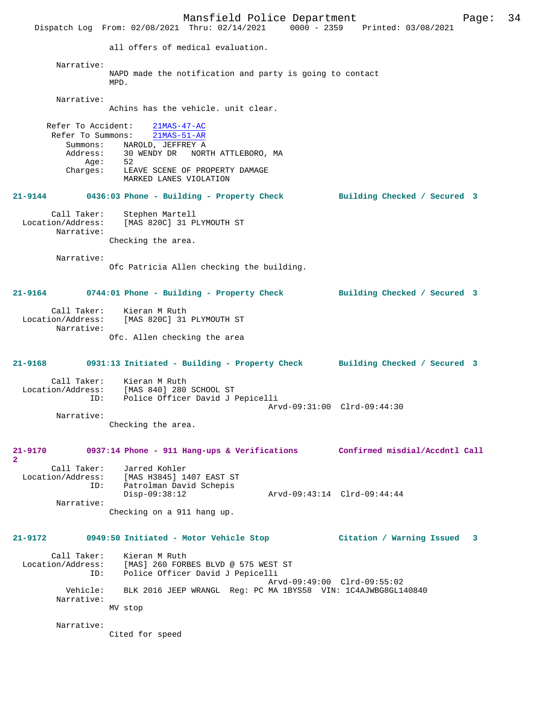Mansfield Police Department Page: 34 Dispatch Log From: 02/08/2021 Thru: 02/14/2021 0000 - 2359 Printed: 03/08/2021 all offers of medical evaluation. Narrative: NAPD made the notification and party is going to contact MPD. Narrative: Achins has the vehicle. unit clear. Refer To Accident: 21MAS-47-AC<br>Refer To Summons: 21MAS-51-AR Refer To Summons: Summons: NAROLD, JEFFREY A<br>Address: 30 WENDY DR NOR 30 WENDY DR NORTH ATTLEBORO, MA<br>52 Age:<br>:Charges LEAVE SCENE OF PROPERTY DAMAGE MARKED LANES VIOLATION **21-9144 0436:03 Phone - Building - Property Check Building Checked / Secured 3** Call Taker: Stephen Martell<br>Location/Address: [MAS 820C] 31 P [MAS 820C] 31 PLYMOUTH ST Narrative: Checking the area. Narrative: Ofc Patricia Allen checking the building. **21-9164 0744:01 Phone - Building - Property Check Building Checked / Secured 3** Call Taker: Kieran M Ruth Location/Address: [MAS 820C] 31 PLYMOUTH ST Narrative: Ofc. Allen checking the area **21-9168 0931:13 Initiated - Building - Property Check Building Checked / Secured 3** Call Taker: Kieran M Ruth Location/Address: [MAS 840] 280 SCHOOL ST ID: Police Officer David J Pepicelli Arvd-09:31:00 Clrd-09:44:30 Narrative: Checking the area. **21-9170 0937:14 Phone - 911 Hang-ups & Verifications Confirmed misdial/Accdntl Call 2**  Call Taker: Jarred Kohler<br>Location/Address: [MAS H3845] 14 Location/Address: [MAS H3845] 1407 EAST ST Patrolman David Schepis<br>Disp-09:38:12 Disp-09:38:12 Arvd-09:43:14 Clrd-09:44:44 Narrative: Checking on a 911 hang up. **21-9172 0949:50 Initiated - Motor Vehicle Stop Citation / Warning Issued 3** Call Taker: Kieran M Ruth Location/Address: [MAS] 260 FORBES BLVD @ 575 WEST ST ID: Police Officer David J Pepicelli Arvd-09:49:00 Clrd-09:55:02 Vehicle: BLK 2016 JEEP WRANGL Reg: PC MA 1BYS58 VIN: 1C4AJWBG8GL140840 Narrative: MV stop Narrative: Cited for speed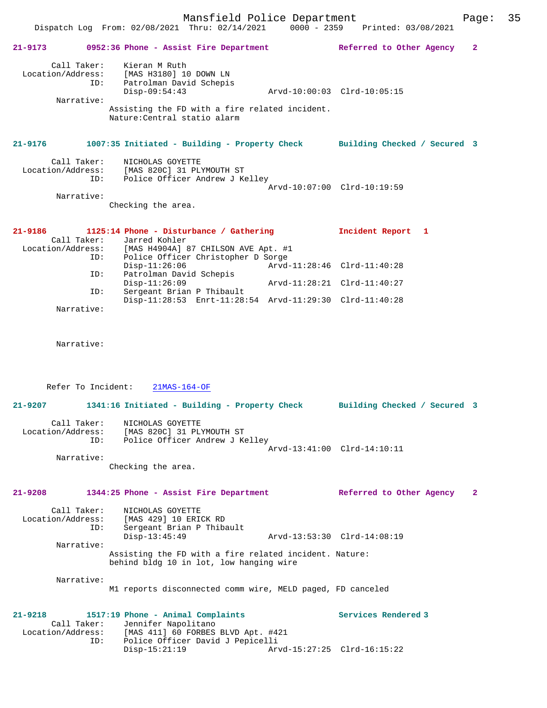Mansfield Police Department Page: 35 Dispatch Log From: 02/08/2021 Thru: 02/14/2021 0000 - 2359 Printed: 03/08/2021 **21-9173 0952:36 Phone - Assist Fire Department Referred to Other Agency 2** Call Taker: Kieran M Ruth Location/Address: [MAS H3180] 10 DOWN LN ID: Patrolman David Schepis Disp-09:54:43 Arvd-10:00:03 Clrd-10:05:15 Narrative: Assisting the FD with a fire related incident. Nature:Central statio alarm **21-9176 1007:35 Initiated - Building - Property Check Building Checked / Secured 3** Call Taker: NICHOLAS GOYETTE Location/Address: [MAS 820C] 31 PLYMOUTH ST ID: Police Officer Andrew J Kelley Arvd-10:07:00 Clrd-10:19:59 Narrative: Checking the area.

| 21-9186           | 1125:14 Phone - Disturbance / Gathering                 |                             | Incident Report 1 |  |
|-------------------|---------------------------------------------------------|-----------------------------|-------------------|--|
| Call Taker:       | Jarred Kohler                                           |                             |                   |  |
| Location/Address: | [MAS H4904A] 87 CHILSON AVE Apt. #1                     |                             |                   |  |
| ID:               | Police Officer Christopher D Sorge                      |                             |                   |  |
|                   | $Disp-11:26:06$                                         | Arvd-11:28:46 Clrd-11:40:28 |                   |  |
| ID:               | Patrolman David Schepis                                 |                             |                   |  |
|                   | $Disp-11:26:09$                                         | Arvd-11:28:21 Clrd-11:40:27 |                   |  |
| ID:               | Sergeant Brian P Thibault                               |                             |                   |  |
|                   | Disp-11:28:53 Enrt-11:28:54 Arvd-11:29:30 Clrd-11:40:28 |                             |                   |  |
| Narrative:        |                                                         |                             |                   |  |

Narrative:

Refer To Incident: 21MAS-164-OF

**21-9207 1341:16 Initiated - Building - Property Check Building Checked / Secured 3** Call Taker: NICHOLAS GOYETTE Location/Address: [MAS 820C] 31 PLYMOUTH ST ID: Police Officer Andrew J Kelley Arvd-13:41:00 Clrd-14:10:11 Narrative: Checking the area.

### **21-9208 1344:25 Phone - Assist Fire Department Referred to Other Agency 2**

Call Taker: NICHOLAS GOYETTE<br>Location/Address: [MAS 429] 10 ERI Location/Address: [MAS 429] 10 ERICK RD ID: Sergeant Brian P Thibault Disp-13:45:49 Arvd-13:53:30 Clrd-14:08:19 Narrative: Assisting the FD with a fire related incident. Nature: behind bldg 10 in lot, low hanging wire

Narrative:

M1 reports disconnected comm wire, MELD paged, FD canceled

#### **21-9218 1517:19 Phone - Animal Complaints Services Rendered 3**  Call Taker: Jennifer Napolitano<br>Location/Address: [MAS 411] 60 FORBES Location/Address: [MAS 411] 60 FORBES BLVD Apt. #421 ID: Police Officer David J Pepicelli Disp-15:21:19 Arvd-15:27:25 Clrd-16:15:22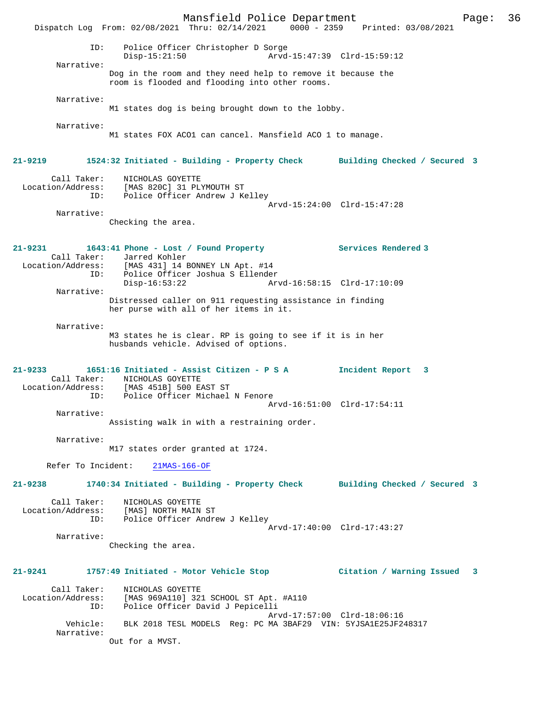Mansfield Police Department Page: 36 Dispatch Log From: 02/08/2021 Thru: 02/14/2021 0000 - 2359 Printed: 03/08/2021 ID: Police Officer Christopher D Sorge Disp-15:21:50 Arvd-15:47:39 Clrd-15:59:12 Narrative: Dog in the room and they need help to remove it because the room is flooded and flooding into other rooms. Narrative: M1 states dog is being brought down to the lobby. Narrative: M1 states FOX ACO1 can cancel. Mansfield ACO 1 to manage. **21-9219 1524:32 Initiated - Building - Property Check Building Checked / Secured 3** Call Taker: NICHOLAS GOYETTE Location/Address: [MAS 820C] 31 PLYMOUTH ST ID: Police Officer Andrew J Kelley Arvd-15:24:00 Clrd-15:47:28 Narrative: Checking the area. **21-9231 1643:41 Phone - Lost / Found Property Services Rendered 3**  Call Taker: Jarred Kohler Location/Address: [MAS 431] 14 BONNEY LN Apt. #14 ID: Police Officer Joshua S Ellender Disp-16:53:22 Arvd-16:58:15 Clrd-17:10:09 Narrative: Distressed caller on 911 requesting assistance in finding her purse with all of her items in it. Narrative: M3 states he is clear. RP is going to see if it is in her husbands vehicle. Advised of options. **21-9233 1651:16 Initiated - Assist Citizen - P S A Incident Report 3**  Call Taker: NICHOLAS GOYETTE Location/Address: [MAS 451B] 500 EAST ST ID: Police Officer Michael N Fenore Arvd-16:51:00 Clrd-17:54:11 Narrative: Assisting walk in with a restraining order. Narrative: M17 states order granted at 1724. Refer To Incident: 21MAS-166-OF **21-9238 1740:34 Initiated - Building - Property Check Building Checked / Secured 3** Call Taker: NICHOLAS GOYETTE Location/Address: [MAS] NORTH MAIN ST ID: Police Officer Andrew J Kelley Arvd-17:40:00 Clrd-17:43:27 Narrative: Checking the area. **21-9241 1757:49 Initiated - Motor Vehicle Stop Citation / Warning Issued 3** Call Taker: NICHOLAS GOYETTE Location/Address: [MAS 969A110] 321 SCHOOL ST Apt. #A110 ID: Police Officer David J Pepicelli Arvd-17:57:00 Clrd-18:06:16 Vehicle: BLK 2018 TESL MODELS Reg: PC MA 3BAF29 VIN: 5YJSA1E25JF248317 Narrative: Out for a MVST.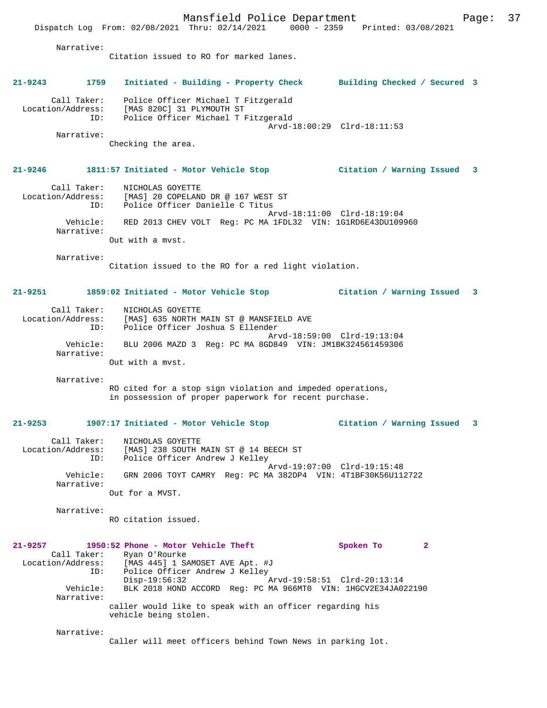Dispatch Log From: 02/08/2021 Thru: 02/14/2021 0000 - 2359 Printed: 03/08/2021

 Narrative: Citation issued to RO for marked lanes. **21-9243 1759 Initiated - Building - Property Check Building Checked / Secured 3** Call Taker: Police Officer Michael T Fitzgerald Location/Address: [MAS 820C] 31 PLYMOUTH ST ID: Police Officer Michael T Fitzgerald Arvd-18:00:29 Clrd-18:11:53 Narrative: Checking the area. **21-9246 1811:57 Initiated - Motor Vehicle Stop Citation / Warning Issued 3** Call Taker: NICHOLAS GOYETTE Location/Address: [MAS] 20 COPELAND DR @ 167 WEST ST ID: Police Officer Danielle C Titus Arvd-18:11:00 Clrd-18:19:04 Vehicle: RED 2013 CHEV VOLT Reg: PC MA 1FDL32 VIN: 1G1RD6E43DU109960 Narrative: Out with a mvst. Narrative: Citation issued to the RO for a red light violation. **21-9251 1859:02 Initiated - Motor Vehicle Stop Citation / Warning Issued 3** Call Taker: NICHOLAS GOYETTE Location/Address: [MAS] 635 NORTH MAIN ST @ MANSFIELD AVE ID: Police Officer Joshua S Ellender Arvd-18:59:00 Clrd-19:13:04 Vehicle: BLU 2006 MAZD 3 Reg: PC MA 8GD849 VIN: JM1BK324561459306 Narrative: Out with a mvst. Narrative: RO cited for a stop sign violation and impeded operations, in possession of proper paperwork for recent purchase. **21-9253 1907:17 Initiated - Motor Vehicle Stop Citation / Warning Issued 3** Call Taker: NICHOLAS GOYETTE Location/Address: [MAS] 238 SOUTH MAIN ST @ 14 BEECH ST ID: Police Officer Andrew J Kelley Arvd-19:07:00 Clrd-19:15:48 Vehicle: GRN 2006 TOYT CAMRY Reg: PC MA 382DP4 VIN: 4T1BF30K56U112722 Narrative: Out for a MVST. Narrative: RO citation issued. **21-9257 1950:52 Phone - Motor Vehicle Theft Spoken To 2**  Call Taker: Ryan O'Rourke Location/Address: [MAS 445] 1 SAMOSET AVE Apt. #J ID: Police Officer Andrew J Kelley Disp-19:56:32 Arvd-19:58:51 Clrd-20:13:14 Vehicle: BLK 2018 HOND ACCORD Reg: PC MA 966MT0 VIN: 1HGCV2E34JA022190 Narrative: caller would like to speak with an officer regarding his vehicle being stolen. Narrative:

Caller will meet officers behind Town News in parking lot.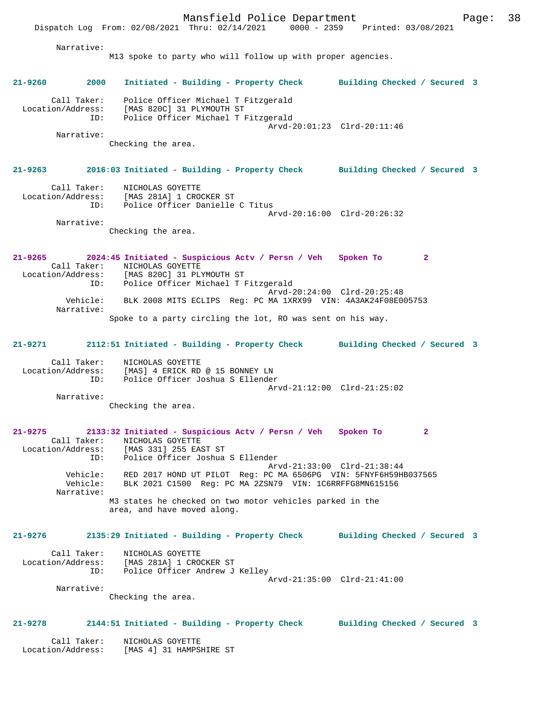Mansfield Police Department Page: 38 Dispatch Log From: 02/08/2021 Thru: 02/14/2021 0000 - 2359 Printed: 03/08/2021 Narrative: M13 spoke to party who will follow up with proper agencies. **21-9260 2000 Initiated - Building - Property Check Building Checked / Secured 3** Call Taker: Police Officer Michael T Fitzgerald Location/Address: [MAS 820C] 31 PLYMOUTH ST ID: Police Officer Michael T Fitzgerald Arvd-20:01:23 Clrd-20:11:46 Narrative: Checking the area. **21-9263 2016:03 Initiated - Building - Property Check Building Checked / Secured 3** Call Taker: NICHOLAS GOYETTE Location/Address: [MAS 281A] 1 CROCKER ST ID: Police Officer Danielle C Titus Arvd-20:16:00 Clrd-20:26:32 Narrative: Checking the area. **21-9265 2024:45 Initiated - Suspicious Actv / Persn / Veh Spoken To 2**  Call Taker: NICHOLAS GOYETTE Location/Address: [MAS 820C] 31 PLYMOUTH ST<br>TD: Police Officer Michael T I Police Officer Michael T Fitzgerald Arvd-20:24:00 Clrd-20:25:48 Vehicle: BLK 2008 MITS ECLIPS Reg: PC MA 1XRX99 VIN: 4A3AK24F08E005753 Narrative: Spoke to a party circling the lot, RO was sent on his way. **21-9271 2112:51 Initiated - Building - Property Check Building Checked / Secured 3** Call Taker: NICHOLAS GOYETTE Location/Address: [MAS] 4 ERICK RD @ 15 BONNEY LN ID: Police Officer Joshua S Ellender Arvd-21:12:00 Clrd-21:25:02 Narrative: Checking the area. **21-9275 2133:32 Initiated - Suspicious Actv / Persn / Veh Spoken To 2**  Call Taker: <br>
MICHOLAS GOYETTE<br>
Location/Address: [MAS 331] 255 EAS ess: [MAS 331] 255 EAST ST<br>ID: Police Officer Joshua Police Officer Joshua S Ellender Arvd-21:33:00 Clrd-21:38:44 Vehicle: RED 2017 HOND UT PILOT Reg: PC MA 6506PG VIN: 5FNYF6H59HB037565 Vehicle: BLK 2021 C1500 Reg: PC MA 2ZSN79 VIN: 1C6RRFFG8MN615156 Narrative: M3 states he checked on two motor vehicles parked in the area, and have moved along. **21-9276 2135:29 Initiated - Building - Property Check Building Checked / Secured 3** Call Taker: NICHOLAS GOYETTE

 Location/Address: [MAS 281A] 1 CROCKER ST ID: Police Officer Andrew J Kelley Arvd-21:35:00 Clrd-21:41:00 Narrative:

Checking the area.

## **21-9278 2144:51 Initiated - Building - Property Check Building Checked / Secured 3**

 Call Taker: NICHOLAS GOYETTE Location/Address: [MAS 4] 31 HAMPSHIRE ST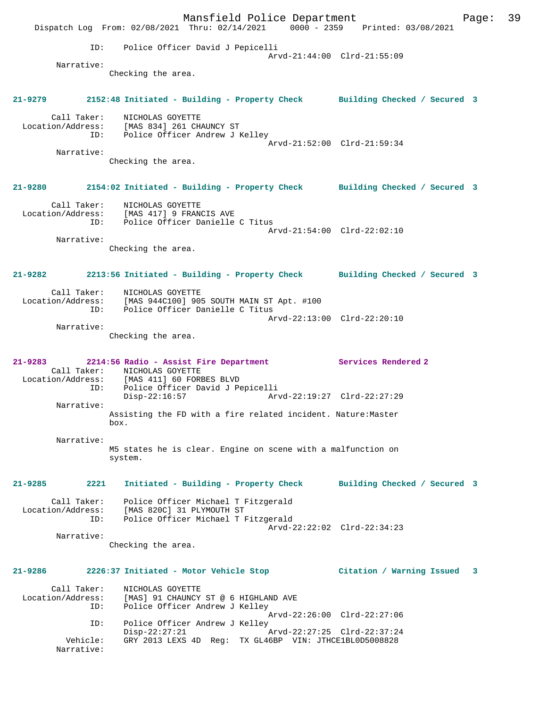Mansfield Police Department Fage: 39 Dispatch Log From: 02/08/2021 Thru: 02/14/2021 0000 - 2359 Printed: 03/08/2021 ID: Police Officer David J Pepicelli Arvd-21:44:00 Clrd-21:55:09 Narrative: Checking the area. **21-9279 2152:48 Initiated - Building - Property Check Building Checked / Secured 3** Call Taker: NICHOLAS GOYETTE Location/Address: [MAS 834] 261 CHAUNCY ST ID: Police Officer Andrew J Kelley Arvd-21:52:00 Clrd-21:59:34 Narrative: Checking the area. **21-9280 2154:02 Initiated - Building - Property Check Building Checked / Secured 3** Call Taker: NICHOLAS GOYETTE Location/Address: [MAS 417] 9 FRANCIS AVE ID: Police Officer Danielle C Titus Arvd-21:54:00 Clrd-22:02:10 Narrative: Checking the area. **21-9282 2213:56 Initiated - Building - Property Check Building Checked / Secured 3** Call Taker: NICHOLAS GOYETTE Location/Address: [MAS 944C100] 905 SOUTH MAIN ST Apt. #100 ID: Police Officer Danielle C Titus Arvd-22:13:00 Clrd-22:20:10 Narrative: Checking the area. **21-9283 2214:56 Radio - Assist Fire Department Services Rendered 2**  Call Taker: NICHOLAS GOYETTE<br>Location/Address: [MAS 411] 60 FORI [MAS 411] 60 FORBES BLVD ID: Police Officer David J Pepicelli Disp-22:16:57 Arvd-22:19:27 Clrd-22:27:29 Narrative: Assisting the FD with a fire related incident. Nature:Master box. Narrative: M5 states he is clear. Engine on scene with a malfunction on system. **21-9285 2221 Initiated - Building - Property Check Building Checked / Secured 3** Call Taker: Police Officer Michael T Fitzgerald Location/Address: [MAS 820C] 31 PLYMOUTH ST ID: Police Officer Michael T Fitzgerald Arvd-22:22:02 Clrd-22:34:23 Narrative: Checking the area. **21-9286 2226:37 Initiated - Motor Vehicle Stop Citation / Warning Issued 3** Call Taker: NICHOLAS GOYETTE Location/Address: [MAS] 91 CHAUNCY ST @ 6 HIGHLAND AVE ID: Police Officer Andrew J Kelley Arvd-22:26:00 Clrd-22:27:06<br>ID: Police Officer Andrew J Kelley Police Officer Andrew J Kelley<br>Disp-22:27:21 P Disp-22:27:21 Arvd-22:27:25 Clrd-22:37:24 Vehicle: GRY 2013 LEXS 4D Reg: TX GL46BP VIN: JTHCE1BL0D5008828 Narrative: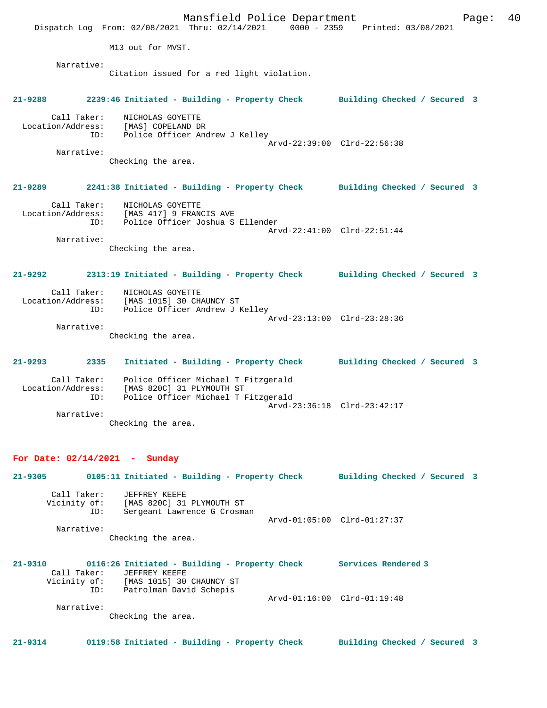Mansfield Police Department Fage: 40 Dispatch Log From: 02/08/2021 Thru: 02/14/2021 0000 - 2359 Printed: 03/08/2021 M13 out for MVST. Narrative: Citation issued for a red light violation. **21-9288 2239:46 Initiated - Building - Property Check Building Checked / Secured 3** Call Taker: NICHOLAS GOYETTE Location/Address: [MAS] COPELAND DR ID: Police Officer Andrew J Kelley Arvd-22:39:00 Clrd-22:56:38 Narrative: Checking the area. **21-9289 2241:38 Initiated - Building - Property Check Building Checked / Secured 3** Call Taker: NICHOLAS GOYETTE Location/Address: [MAS 417] 9 FRANCIS AVE ID: Police Officer Joshua S Ellender Arvd-22:41:00 Clrd-22:51:44 Narrative: Checking the area. **21-9292 2313:19 Initiated - Building - Property Check Building Checked / Secured 3** Call Taker: NICHOLAS GOYETTE Location/Address: [MAS 1015] 30 CHAUNCY ST ID: Police Officer Andrew J Kelley Arvd-23:13:00 Clrd-23:28:36 Narrative: Checking the area. **21-9293 2335 Initiated - Building - Property Check Building Checked / Secured 3** Call Taker: Police Officer Michael T Fitzgerald Location/Address: [MAS 820C] 31 PLYMOUTH ST ID: Police Officer Michael T Fitzgerald Arvd-23:36:18 Clrd-23:42:17 Narrative: Checking the area. **For Date: 02/14/2021 - Sunday 21-9305 0105:11 Initiated - Building - Property Check Building Checked / Secured 3** Call Taker: JEFFREY KEEFE Vicinity of: [MAS 820C] 31 PLYMOUTH ST ID: Sergeant Lawrence G Crosman Arvd-01:05:00 Clrd-01:27:37 Narrative: Checking the area. **21-9310 0116:26 Initiated - Building - Property Check Services Rendered 3**  Call Taker: JEFFREY KEEFE Vicinity of: [MAS 1015] 30 CHAUNCY ST ID: Patrolman David Schepis Arvd-01:16:00 Clrd-01:19:48 Narrative: Checking the area.

**21-9314 0119:58 Initiated - Building - Property Check Building Checked / Secured 3**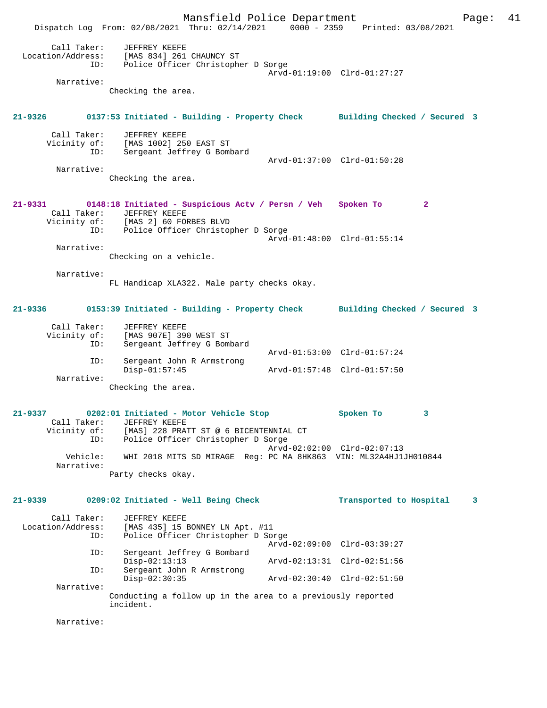Mansfield Police Department Page: 41 Dispatch Log From: 02/08/2021 Thru: 02/14/2021 0000 - 2359 Printed: 03/08/2021 Call Taker: JEFFREY KEEFE Location/Address: [MAS 834] 261 CHAUNCY ST ID: Police Officer Christopher D Sorge Arvd-01:19:00 Clrd-01:27:27 Narrative: Checking the area. **21-9326 0137:53 Initiated - Building - Property Check Building Checked / Secured 3** Call Taker: JEFFREY KEEFE Vicinity of: [MAS 1002] 250 EAST ST ID: Sergeant Jeffrey G Bombard Arvd-01:37:00 Clrd-01:50:28 Narrative: Checking the area. **21-9331 0148:18 Initiated - Suspicious Actv / Persn / Veh Spoken To 2**  Call Taker: JEFFREY KEEFE<br>Vicinity of: [MAS 2] 60 FOI Vicinity of: [MAS 2] 60 FORBES BLVD ID: Police Officer Christopher D Sorge Arvd-01:48:00 Clrd-01:55:14 Narrative: Checking on a vehicle. Narrative: FL Handicap XLA322. Male party checks okay. **21-9336 0153:39 Initiated - Building - Property Check Building Checked / Secured 3** Call Taker: JEFFREY KEEFE Vicinity of: [MAS 907E] 390 WEST ST ID: Sergeant Jeffrey G Bombard ID: Sergeant Jeffrey G Bombard<br>Arvd-01:53:00 Clrd-01:57:24 ID: Sergeant John R Armstrong Disp-01:57:45 Arvd-01:57:48 Clrd-01:57:50 Narrative: Checking the area. **21-9337 0202:01 Initiated - Motor Vehicle Stop Spoken To 3**  Call Taker: JEFFREY KEEFE Vicinity of: [MAS] 228 PRATT ST @ 6 BICENTENNIAL CT ID: Police Officer Christopher D Sorge Arvd-02:02:00 Clrd-02:07:13 Vehicle: WHI 2018 MITS SD MIRAGE Reg: PC MA 8HK863 VIN: ML32A4HJ1JH010844 Narrative: Party checks okay. **21-9339 0209:02 Initiated - Well Being Check Transported to Hospital 3** Call Taker: JEFFREY KEEFE Location/Address: [MAS 435] 15 BONNEY LN Apt. #11 ID: Police Officer Christopher D Sorge Arvd-02:09:00 Clrd-03:39:27<br>TD: Sergeant Jeffrey G Bombard Sergeant Jeffrey G Bombard<br>Disp-02:13:13 Disp-02:13:13<br>
Disp-02:13:13 Arvd-02:13:31 Clrd-02:51:56<br>
Displement John R Armstrong Sergeant John R Armstrong<br>Disp-02:30:35 Disp-02:30:35 Arvd-02:30:40 Clrd-02:51:50 Narrative: Conducting a follow up in the area to a previously reported incident.

Narrative: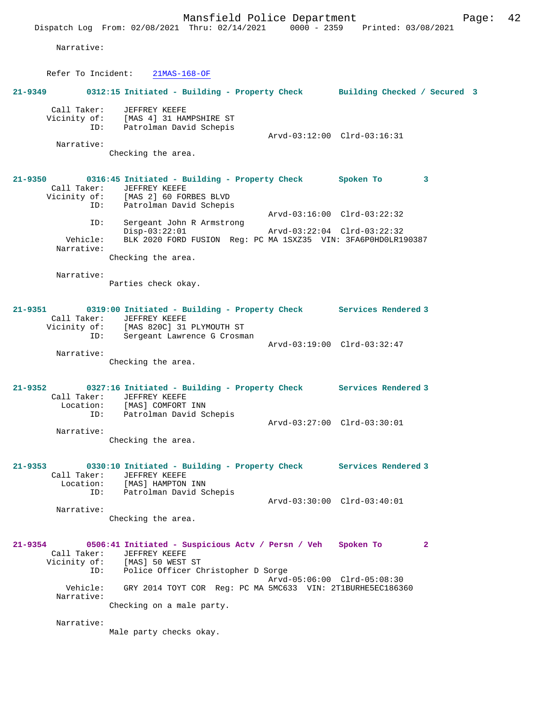Narrative:

Refer To Incident: 21MAS-168-OF

# **21-9349 0312:15 Initiated - Building - Property Check Building Checked / Secured 3** Call Taker: JEFFREY KEEFE Vicinity of: [MAS 4] 31 HAMPSHIRE ST ID: Patrolman David Schepis Arvd-03:12:00 Clrd-03:16:31 Narrative: Checking the area. **21-9350 0316:45 Initiated - Building - Property Check Spoken To 3**  Call Taker: JEFFREY KEEFE Vicinity of: [MAS 2] 60 FORBES BLVD ID: Patrolman David Schepis Arvd-03:16:00 Clrd-03:22:32 ID: Sergeant John R Armstrong Disp-03:22:01 Arvd-03:22:04 Clrd-03:22:32<br>Vehicle: BLK 2020 FORD FUSION Reg: PC MA 1SXZ35 VIN: 3FA6P0HD0LR19 BLK 2020 FORD FUSION Reg: PC MA 1SXZ35 VIN: 3FA6P0HD0LR190387 Narrative: Checking the area. Narrative: Parties check okay. **21-9351 0319:00 Initiated - Building - Property Check Services Rendered 3**  Call Taker: JEFFREY KEEFE Vicinity of: [MAS 820C] 31 PLYMOUTH ST ID: Sergeant Lawrence G Crosman Arvd-03:19:00 Clrd-03:32:47 Narrative: Checking the area. **21-9352 0327:16 Initiated - Building - Property Check Services Rendered 3**  Call Taker: JEFFREY KEEFE<br>Location: [MAS] COMFORT INN Location: [MAS] COMFORT INN ID: Patrolman David Schepis Arvd-03:27:00 Clrd-03:30:01 Narrative: Checking the area. **21-9353 0330:10 Initiated - Building - Property Check Services Rendered 3**  Call Taker: JEFFREY KEEFE Location: [MAS] HAMPTON INN ID: Patrolman David Schepis Arvd-03:30:00 Clrd-03:40:01 Narrative: Checking the area. **21-9354 0506:41 Initiated - Suspicious Actv / Persn / Veh Spoken To 2**  Call Taker: JEFFREY KEEFE<br>Vicinity of: [MAS] 50 WEST Vicinity of: [MAS] 50 WEST ST ID: Police Officer Christopher D Sorge Arvd-05:06:00 Clrd-05:08:30 Vehicle: GRY 2014 TOYT COR Reg: PC MA 5MC633 VIN: 2T1BURHE5EC186360 Narrative: Checking on a male party. Narrative: Male party checks okay.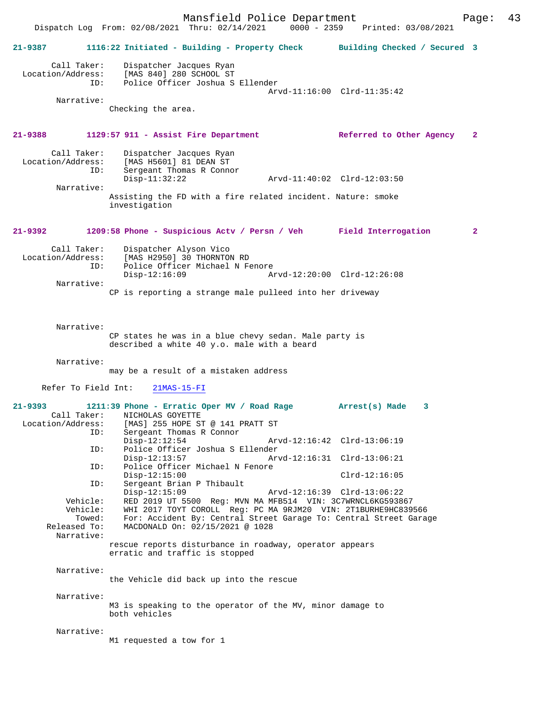Mansfield Police Department Page: 43 Dispatch Log From: 02/08/2021 Thru: 02/14/2021 **21-9387 1116:22 Initiated - Building - Property Check Building Checked / Secured 3** Call Taker: Dispatcher Jacques Ryan Location/Address: [MAS 840] 280 SCHOOL ST ID: Police Officer Joshua S Ellender Arvd-11:16:00 Clrd-11:35:42 Narrative: Checking the area. **21-9388 1129:57 911 - Assist Fire Department Referred to Other Agency 2** Call Taker: Dispatcher Jacques Ryan<br>Location/Address: [MAS H5601] 81 DEAN ST ess: [MAS H5601] 81 DEAN ST<br>ID: Sergeant Thomas R Conno Sergeant Thomas R Connor<br>Disp-11:32:22 Disp-11:32:22 Arvd-11:40:02 Clrd-12:03:50 Narrative: Assisting the FD with a fire related incident. Nature: smoke investigation **21-9392 1209:58 Phone - Suspicious Actv / Persn / Veh Field Interrogation 2** Call Taker: Dispatcher Alyson Vico<br>Location/Address: [MAS H2950] 30 THORNTO [MAS H2950] 30 THORNTON RD ID: Police Officer Michael N Fenore<br>Disp-12:16:09 A Disp-12:16:09 Arvd-12:20:00 Clrd-12:26:08 Narrative: CP is reporting a strange male pulleed into her driveway Narrative: CP states he was in a blue chevy sedan. Male party is described a white 40 y.o. male with a beard Narrative: may be a result of a mistaken address Refer To Field Int: 21MAS-15-FI **21-9393 1211:39 Phone - Erratic Oper MV / Road Rage Arrest(s) Made 3**  Call Taker: NICHOLAS GOYETTE<br>Location/Address: [MAS] 255 HOPE ST ess: [MAS] 255 HOPE ST @ 141 PRATT ST<br>TD: Sergeant Thomas R Connor Sergeant Thomas R Connor<br>Disp-12:12:54 Disp-12:12:54 Arvd-12:16:42 Clrd-13:06:19<br>TD: Police Officer Joshua S Ellender ID: Police Officer Joshua S Ellender Disp-12:13:57 Arvd-12:16:31 Clrd-13:06:21<br>ID: Police Officer Michael N Fenore Police Officer Michael N Fenore Disp-12:15:00 Clrd-12:16:05<br>ID: Sergeant Brian P Thibault Sergeant Brian P Thibault Disp-12:15:09 Arvd-12:16:39 Clrd-13:06:22<br>Vehicle: RED 2019 UT 5500 Reg: MVN MA MFB514 VIN: 3C7WRNCL6KG59386 Vehicle: RED 2019 UT 5500 Reg: MVN MA MFB514 VIN: 3C7WRNCL6KG593867 ehicle: WHI 2017 TOYT COROLL Reg: PC MA 9RJM20 VIN: 2T1BURHE9HC839566<br>Towed: For: Accident By: Central Street Garage To: Central Street Garag Towed: For: Accident By: Central Street Garage To: Central Street Garage<br>Released To: MACDONALD On: 02/15/2021 @ 1028 MACDONALD On: 02/15/2021 @ 1028 Narrative: rescue reports disturbance in roadway, operator appears erratic and traffic is stopped Narrative: the Vehicle did back up into the rescue Narrative: M3 is speaking to the operator of the MV, minor damage to both vehicles Narrative: M1 requested a tow for 1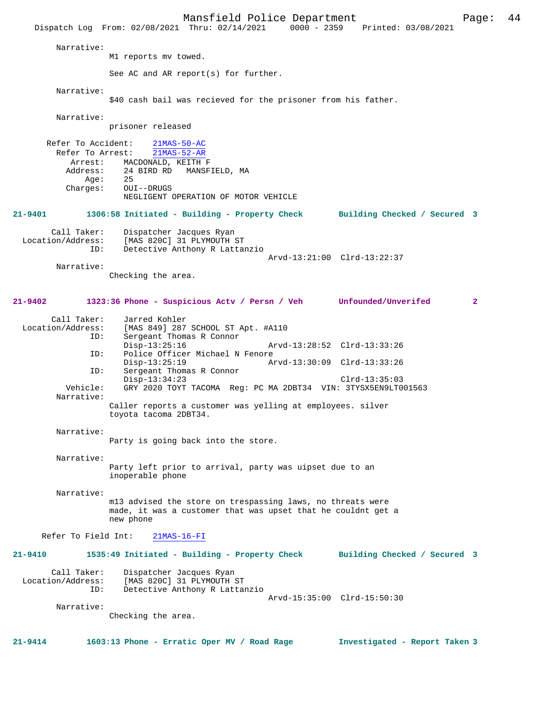Mansfield Police Department Page: 44 Dispatch Log From: 02/08/2021 Thru: 02/14/2021 Narrative: M1 reports mv towed. See AC and AR report(s) for further. Narrative: \$40 cash bail was recieved for the prisoner from his father. Narrative: prisoner released Refer To Accident: 21MAS-50-AC Refer To Arrest: 21MAS-52-AR Arrest: MACDONALD, KEITH F<br>Address: 24 BIRD RD MANSF 24 BIRD RD MANSFIELD, MA<br>25 Age: Charges: OUI--DRUGS NEGLIGENT OPERATION OF MOTOR VEHICLE **21-9401 1306:58 Initiated - Building - Property Check Building Checked / Secured 3** Call Taker: Dispatcher Jacques Ryan<br>Location/Address: [MAS 820C] 31 PLYMOUTH { ess: [MAS 820C] 31 PLYMOUTH ST<br>ID: Detective Anthony R Lattar Detective Anthony R Lattanzio Arvd-13:21:00 Clrd-13:22:37 Narrative: Checking the area. **21-9402 1323:36 Phone - Suspicious Actv / Persn / Veh Unfounded/Unverifed 2** Call Taker: Jarred Kohler<br>Location/Address: [MAS 849] 287 [MAS 849] 287 SCHOOL ST Apt. #A110 ID: Sergeant Thomas R Connor Disp-13:25:16 Arvd-13:28:52 Clrd-13:33:26<br>ID: Police Officer Michael N Fenore Police Officer Michael N Fenore<br>Disp-13:25:19 Ar Disp-13:25:19 Arvd-13:30:09 Clrd-13:33:26<br>TD: Sergeant Thomas R Connor Sergeant Thomas R Connor Disp-13:34:23 Clrd-13:35:03<br>Vehicle: GRY 2020 TOYT TACOMA Reg: PC MA 2DBT34 VIN: 3TYSX5EN9LT0 GRY 2020 TOYT TACOMA Reg: PC MA 2DBT34 VIN: 3TYSX5EN9LT001563 Narrative: Caller reports a customer was yelling at employees. silver toyota tacoma 2DBT34. Narrative: Party is going back into the store. Narrative: Party left prior to arrival, party was uipset due to an inoperable phone Narrative: m13 advised the store on trespassing laws, no threats were made, it was a customer that was upset that he couldnt get a new phone Refer To Field Int: 21MAS-16-FI **21-9410 1535:49 Initiated - Building - Property Check Building Checked / Secured 3** Call Taker: Dispatcher Jacques Ryan<br>| Location/Address: [MAS 820C] 31 PLYMOUTH ess: [MAS 820C] 31 PLYMOUTH ST<br>ID: Detective Anthony R Lattai Detective Anthony R Lattanzio Arvd-15:35:00 Clrd-15:50:30 Narrative: Checking the area. **21-9414 1603:13 Phone - Erratic Oper MV / Road Rage Investigated - Report Taken 3**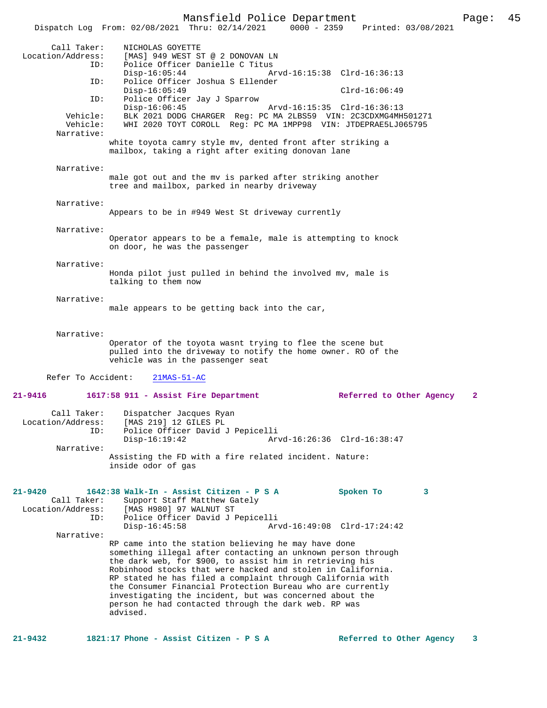Mansfield Police Department Page: 45 Dispatch Log From: 02/08/2021 Thru: 02/14/2021 Call Taker: <br>
MICHOLAS GOYETTE<br>
Location/Address: [MAS] 949 WEST ST ess: [MAS] 949 WEST ST @ 2 DONOVAN LN<br>ID: Police Officer Danielle C Titus Innessen<br>Police Officer Danielle C Titus<br>Disp-16:05:44 Am Disp-16:05:44 Arvd-16:15:38 Clrd-16:36:13<br>TD: Police Officer Joshua S Ellender Police Officer Joshua S Ellender<br>Disp-16:05:49 Disp-16:05:49 Clrd-16:06:49 ID: Police Officer Jay J Sparrow Disp-16:06:45 Arvd-16:15:35 Clrd-16:36:13<br>Vehicle: BLK 2021 DODG CHARGER Req: PC MA 2LBS59 VIN: 2C3CDXMG4MH Vehicle: BLK 2021 DODG CHARGER Reg: PC MA 2LBS59 VIN: 2C3CDXMG4MH501271 WHI 2020 TOYT COROLL Reg: PC MA 1MPP98 VIN: JTDEPRAE5LJ065795 Narrative: white toyota camry style mv, dented front after striking a mailbox, taking a right after exiting donovan lane Narrative: male got out and the mv is parked after striking another tree and mailbox, parked in nearby driveway Narrative: Appears to be in #949 West St driveway currently Narrative: Operator appears to be a female, male is attempting to knock on door, he was the passenger Narrative: Honda pilot just pulled in behind the involved mv, male is talking to them now Narrative: male appears to be getting back into the car, Narrative: Operator of the toyota wasnt trying to flee the scene but pulled into the driveway to notify the home owner. RO of the vehicle was in the passenger seat Refer To Accident: 21MAS-51-AC **21-9416 1617:58 911 - Assist Fire Department Referred to Other Agency 2** Call Taker: Dispatcher Jacques Ryan Location/Address: [MAS 219] 12 GILES PL ID: Police Officer David J Pepicelli Arvd-16:26:36 Clrd-16:38:47 Narrative: Assisting the FD with a fire related incident. Nature: inside odor of gas **21-9420 1642:38 Walk-In - Assist Citizen - P S A Spoken To 3**  Call Taker: Support Staff Matthew Gately Location/Address: [MAS H980] 97 WALNUT ST<br>ID: Police Officer David J J ID: Police Officer David J Pepicelli Disp-16:45:58 Arvd-16:49:08 Clrd-17:24:42 Narrative: RP came into the station believing he may have done something illegal after contacting an unknown person through the dark web, for \$900, to assist him in retrieving his Robinhood stocks that were hacked and stolen in California. RP stated he has filed a complaint through California with the Consumer Financial Protection Bureau who are currently investigating the incident, but was concerned about the person he had contacted through the dark web. RP was

**21-9432 1821:17 Phone - Assist Citizen - P S A Referred to Other Agency 3**

advised.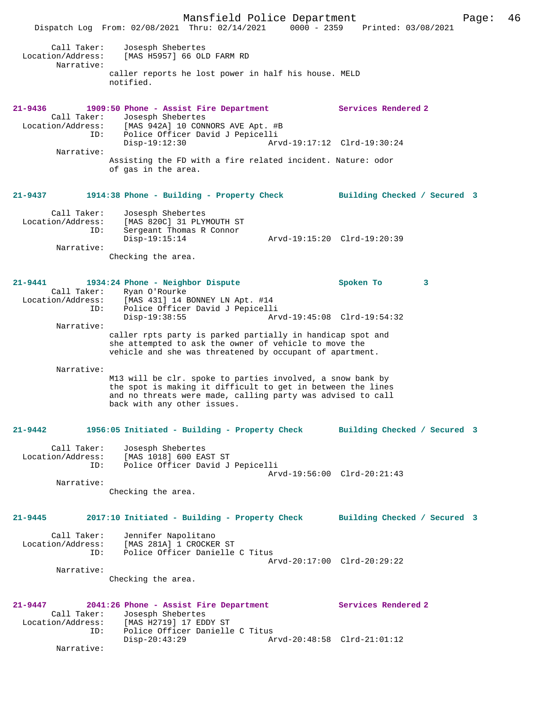Mansfield Police Department Page: 46 Dispatch Log From: 02/08/2021 Thru: 02/14/2021 0000 - 2359 Printed: 03/08/2021 Call Taker: Josesph Shebertes Location/Address: [MAS H5957] 66 OLD FARM RD Narrative: caller reports he lost power in half his house. MELD notified. **21-9436 1909:50 Phone - Assist Fire Department Services Rendered 2**  Call Taker: Josesph Shebertes Location/Address: [MAS 942A] 10 CONNORS AVE Apt. #B ID: Police Officer David J Pepicelli Disp-19:12:30 Arvd-19:17:12 Clrd-19:30:24 Narrative: Assisting the FD with a fire related incident. Nature: odor of gas in the area. **21-9437 1914:38 Phone - Building - Property Check Building Checked / Secured 3** Call Taker: Josesph Shebertes<br>Location/Address: [MAS 820C] 31 PLY Location/Address: [MAS 820C] 31 PLYMOUTH ST ID: Sergeant Thomas R Connor Disp-19:15:14 Arvd-19:15:20 Clrd-19:20:39 Narrative: Checking the area. **21-9441 1934:24 Phone - Neighbor Dispute Spoken To 3**  Call Taker: Ryan O'Rourke Location/Address: [MAS 431] 14 BONNEY LN Apt. #14 ID: Police Officer David J Pepicelli Disp-19:38:55 Arvd-19:45:08 Clrd-19:54:32 Narrative: caller rpts party is parked partially in handicap spot and she attempted to ask the owner of vehicle to move the vehicle and she was threatened by occupant of apartment. Narrative: M13 will be clr. spoke to parties involved, a snow bank by the spot is making it difficult to get in between the lines and no threats were made, calling party was advised to call back with any other issues. **21-9442 1956:05 Initiated - Building - Property Check Building Checked / Secured 3** Call Taker: Josesph Shebertes Location/Address: [MAS 1018] 600 EAST ST ID: Police Officer David J Pepicelli Arvd-19:56:00 Clrd-20:21:43 Narrative: Checking the area. **21-9445 2017:10 Initiated - Building - Property Check Building Checked / Secured 3** Call Taker: Jennifer Napolitano Location/Address: [MAS 281A] 1 CROCKER ST ID: Police Officer Danielle C Titus Arvd-20:17:00 Clrd-20:29:22 Narrative: Checking the area. **21-9447 2041:26 Phone - Assist Fire Department Services Rendered 2**  Call Taker: Josesph Shebertes<br>Location/Address: [MAS H2719] 17 ED [MAS H2719] 17 EDDY ST ID: Police Officer Danielle C Titus<br>Disp-20:43:29 Ar Disp-20:43:29 Arvd-20:48:58 Clrd-21:01:12 Narrative: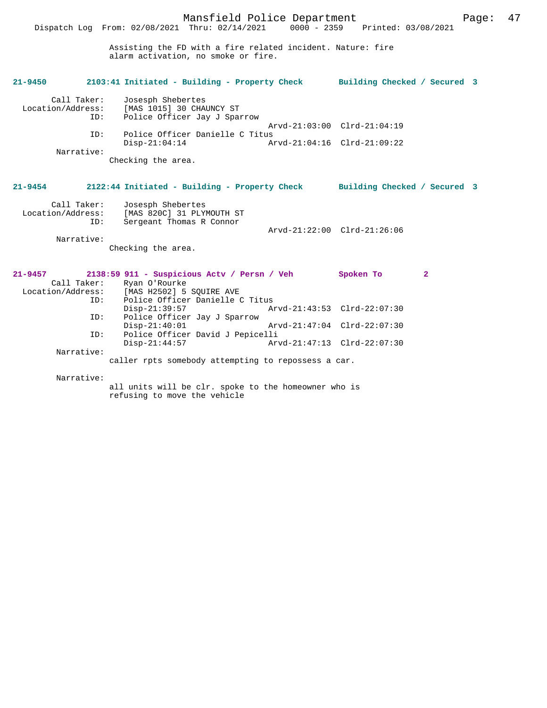Assisting the FD with a fire related incident. Nature: fire alarm activation, no smoke or fire.

Dispatch Log From: 02/08/2021 Thru: 02/14/2021 0000 - 2359 Printed: 03/08/2021

| $21 - 9450$ | 2103:41 Initiated - Building - Property Check Building Checked / Secured 3                             |                             |   |  |
|-------------|--------------------------------------------------------------------------------------------------------|-----------------------------|---|--|
| Call Taker: | Josesph Shebertes<br>Location/Address: [MAS 1015] 30 CHAUNCY ST<br>Police Officer Jay J Sparrow<br>ID: |                             |   |  |
|             |                                                                                                        | Arvd-21:03:00 Clrd-21:04:19 |   |  |
| ID:         | Police Officer Danielle C Titus                                                                        |                             |   |  |
| Narrative:  | $Disp-21:04:14$                                                                                        | Arvd-21:04:16 Clrd-21:09:22 |   |  |
|             | Checking the area.                                                                                     |                             |   |  |
|             |                                                                                                        |                             |   |  |
|             |                                                                                                        |                             |   |  |
| $21 - 9454$ | 2122:44 Initiated - Building - Property Check Building Checked / Secured 3                             |                             |   |  |
|             |                                                                                                        |                             |   |  |
| Call Taker: | Josesph Shebertes                                                                                      |                             |   |  |
|             | Location/Address: [MAS 820C] 31 PLYMOUTH ST                                                            |                             |   |  |
| ID:         | Sergeant Thomas R Connor                                                                               | Arvd-21:22:00 Clrd-21:26:06 |   |  |
| Narrative:  |                                                                                                        |                             |   |  |
|             | Checking the area.                                                                                     |                             |   |  |
|             |                                                                                                        |                             |   |  |
|             |                                                                                                        |                             |   |  |
|             | 21-9457 2138:59 911 - Suspicious Actv / Persn / Veh Spoken To                                          |                             | 2 |  |
|             | Call Taker: Ryan O'Rourke                                                                              |                             |   |  |
|             | Location/Address: [MAS H2502] 5 SOUIRE AVE                                                             |                             |   |  |
|             | Police Officer Danielle C Titus<br>ID:                                                                 |                             |   |  |
|             | $Disp-21:39:57$                                                                                        | Arvd-21:43:53 Clrd-22:07:30 |   |  |
| ID:         | Police Officer Jay J Sparrow                                                                           |                             |   |  |
|             | $Disp-21:40:01$                                                                                        | Arvd-21:47:04 Clrd-22:07:30 |   |  |
| ID:         | Police Officer David J Pepicelli                                                                       |                             |   |  |
|             | $Disp-21:44:57$                                                                                        | Arvd-21:47:13 Clrd-22:07:30 |   |  |

Narrative:

caller rpts somebody attempting to repossess a car.

Narrative:

all units will be clr. spoke to the homeowner who is refusing to move the vehicle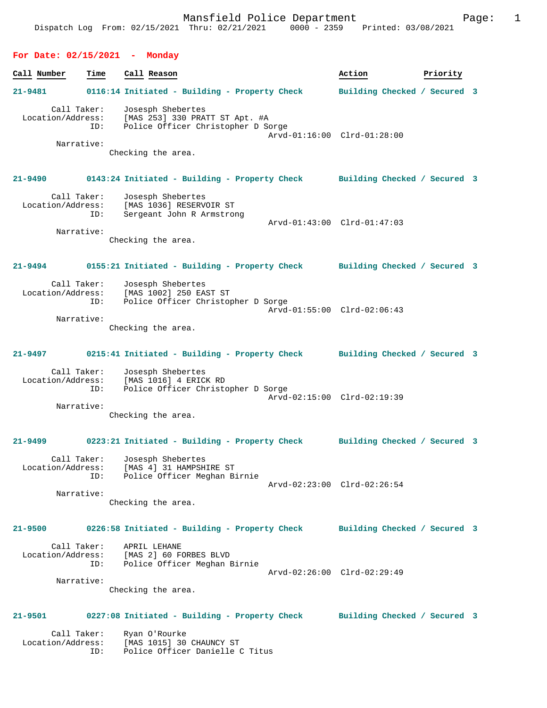# **For Date: 02/15/2021 - Monday**

Location/Address: [MAS 1015] 30 CHAUNCY ST

ID: Police Officer Danielle C Titus

| Call Number | Time                                                  | Call Reason                                                                                        | Action                       | Priority |
|-------------|-------------------------------------------------------|----------------------------------------------------------------------------------------------------|------------------------------|----------|
| 21-9481     |                                                       | 0116:14 Initiated - Building - Property Check                                                      | Building Checked / Secured 3 |          |
|             | Call Taker:<br>Location/Address:<br>ID:               | Josesph Shebertes<br>[MAS 253] 330 PRATT ST Apt. #A<br>Police Officer Christopher D Sorge          | Arvd-01:16:00 Clrd-01:28:00  |          |
|             | Narrative:                                            | Checking the area.                                                                                 |                              |          |
|             |                                                       | 21-9490 0143:24 Initiated - Building - Property Check Building Checked / Secured 3                 |                              |          |
|             | Call Taker:<br>Location/Address:<br>ID:               | Josesph Shebertes<br>[MAS 1036] RESERVOIR ST<br>Sergeant John R Armstrong                          | Arvd-01:43:00 Clrd-01:47:03  |          |
|             | Narrative:                                            | Checking the area.                                                                                 |                              |          |
|             |                                                       | 21-9494 0155:21 Initiated - Building - Property Check Building Checked / Secured 3                 |                              |          |
|             | Call Taker:<br>Location/Address:<br>ID:<br>Narrative: | Josesph Shebertes<br>[MAS 1002] 250 EAST ST<br>Police Officer Christopher D Sorge                  | Arvd-01:55:00 Clrd-02:06:43  |          |
|             |                                                       | Checking the area.                                                                                 |                              |          |
|             |                                                       | 21-9497 0215:41 Initiated - Building - Property Check Building Checked / Secured 3                 |                              |          |
|             | Call Taker:<br>ID:                                    | Josesph Shebertes<br>Location/Address: [MAS 1016] 4 ERICK RD<br>Police Officer Christopher D Sorge | Arvd-02:15:00 Clrd-02:19:39  |          |
|             | Narrative:                                            | Checking the area.                                                                                 |                              |          |
|             |                                                       | 21-9499 		 0223:21 Initiated - Building - Property Check 		 Building Checked / Secured 3           |                              |          |
|             | Call Taker:<br>ID:                                    | Josesph Shebertes<br>Location/Address: [MAS 4] 31 HAMPSHIRE ST<br>Police Officer Meghan Birnie     | Arvd-02:23:00 Clrd-02:26:54  |          |
|             | Narrative:                                            | Checking the area.                                                                                 |                              |          |
| $21 - 9500$ |                                                       | 0226:58 Initiated - Building - Property Check                                                      | Building Checked / Secured 3 |          |
|             | Call Taker:<br>Location/Address:<br>ID:               | APRIL LEHANE<br>[MAS 2] 60 FORBES BLVD<br>Police Officer Meghan Birnie                             | Arvd-02:26:00 Clrd-02:29:49  |          |
|             | Narrative:                                            | Checking the area.                                                                                 |                              |          |
| 21-9501     |                                                       | 0227:08 Initiated - Building - Property Check                                                      | Building Checked / Secured 3 |          |
|             | Call Taker:                                           | Ryan O'Rourke                                                                                      |                              |          |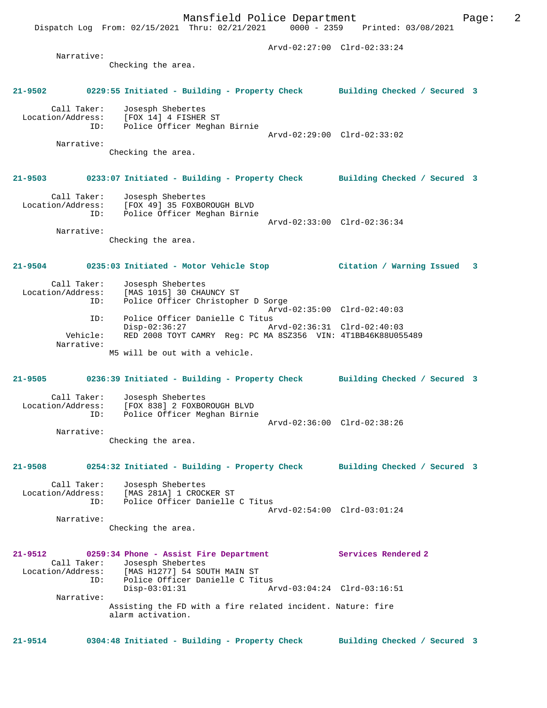Arvd-02:27:00 Clrd-02:33:24 Narrative: Checking the area. **21-9502 0229:55 Initiated - Building - Property Check Building Checked / Secured 3** Call Taker: Josesph Shebertes<br>ion/Address: [FOX 14] 4 FISHER ST Location/Address: [FOX 14] 4 FISHER ST ID: Police Officer Meghan Birnie Arvd-02:29:00 Clrd-02:33:02 Narrative: Checking the area. **21-9503 0233:07 Initiated - Building - Property Check Building Checked / Secured 3** Call Taker: Josesph Shebertes Location/Address: [FOX 49] 35 FOXBOROUGH BLVD ID: Police Officer Meghan Birnie Arvd-02:33:00 Clrd-02:36:34 Narrative: Checking the area. **21-9504 0235:03 Initiated - Motor Vehicle Stop Citation / Warning Issued 3** Call Taker: Josesph Shebertes<br>Location/Address: [MAS 1015] 30 CHAT [MAS 1015] 30 CHAUNCY ST ID: Police Officer Christopher D Sorge Arvd-02:35:00 Clrd-02:40:03<br>ID: Police Officer Danielle C Titus Police Officer Danielle C Titus Disp-02:36:27 Arvd-02:36:31 Clrd-02:40:03<br>Vebicle: RED 2008 TOYT CAMRY Req: PC MA 857356 VIN: 4T1BB46K88U055 Vehicle: RED 2008 TOYT CAMRY Reg: PC MA 8SZ356 VIN: 4T1BB46K88U055489 Narrative: M5 will be out with a vehicle. **21-9505 0236:39 Initiated - Building - Property Check Building Checked / Secured 3** Call Taker: Josesph Shebertes<br>Location/Address: [FOX 838] 2 FOXBOI [FOX 838] 2 FOXBOROUGH BLVD ID: Police Officer Meghan Birnie Arvd-02:36:00 Clrd-02:38:26 Narrative: Checking the area. **21-9508 0254:32 Initiated - Building - Property Check Building Checked / Secured 3** Call Taker: Josesph Shebertes Location/Address: [MAS 281A] 1 CROCKER ST ID: Police Officer Danielle C Titus Arvd-02:54:00 Clrd-03:01:24 Narrative: Checking the area. **21-9512 0259:34 Phone - Assist Fire Department Services Rendered 2**  Call Taker: Josesph Shebertes<br>Location/Address: [MAS H1277] 54 SO ess: [MAS H1277] 54 SOUTH MAIN ST<br>TD: Police Officer Danielle C Tit ID: Police Officer Danielle C Titus Disp-03:01:31 Arvd-03:04:24 Clrd-03:16:51 Narrative: Assisting the FD with a fire related incident. Nature: fire alarm activation. **21-9514 0304:48 Initiated - Building - Property Check Building Checked / Secured 3**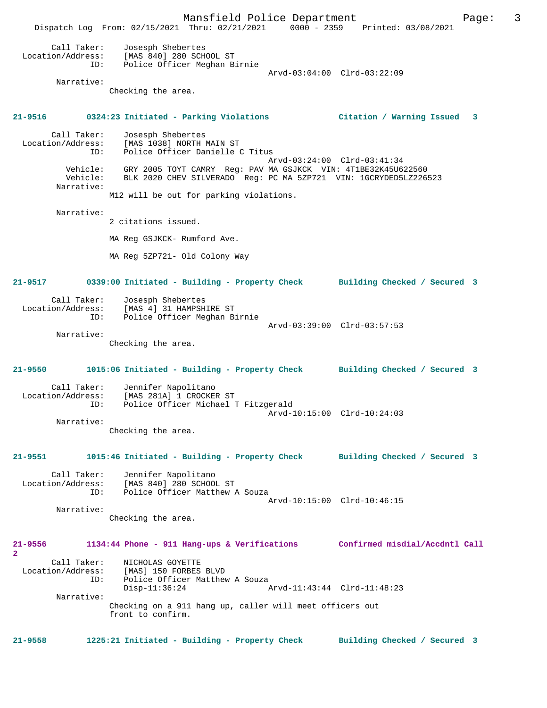Mansfield Police Department Form Page: 3 Dispatch Log From: 02/15/2021 Thru: 02/21/2021 0000 - 2359 Printed: 03/08/2021 Call Taker: Josesph Shebertes Location/Address: [MAS 840] 280 SCHOOL ST ID: Police Officer Meghan Birnie Arvd-03:04:00 Clrd-03:22:09 Narrative: Checking the area. **21-9516 0324:23 Initiated - Parking Violations Citation / Warning Issued 3** Call Taker: Josesph Shebertes Location/Address: [MAS 1038] NORTH MAIN ST ID: Police Officer Danielle C Titus Arvd-03:24:00 Clrd-03:41:34 Vehicle: GRY 2005 TOYT CAMRY Reg: PAV MA GSJKCK VIN: 4T1BE32K45U622560 Vehicle: BLK 2020 CHEV SILVERADO Reg: PC MA 5ZP721 VIN: 1GCRYDED5LZ226523 Narrative: M12 will be out for parking violations. Narrative: 2 citations issued. MA Reg GSJKCK- Rumford Ave. MA Reg 5ZP721- Old Colony Way **21-9517 0339:00 Initiated - Building - Property Check Building Checked / Secured 3** Call Taker: Josesph Shebertes Location/Address: [MAS 4] 31 HAMPSHIRE ST ID: Police Officer Meghan Birnie Arvd-03:39:00 Clrd-03:57:53 Narrative: Checking the area. **21-9550 1015:06 Initiated - Building - Property Check Building Checked / Secured 3** Call Taker: Jennifer Napolitano Location/Address: [MAS 281A] 1 CROCKER ST ID: Police Officer Michael T Fitzgerald Arvd-10:15:00 Clrd-10:24:03 Narrative: Checking the area. **21-9551 1015:46 Initiated - Building - Property Check Building Checked / Secured 3** Call Taker: Jennifer Napolitano Location/Address: [MAS 840] 280 SCHOOL ST ID: Police Officer Matthew A Souza Arvd-10:15:00 Clrd-10:46:15 Narrative: Checking the area. **21-9556 1134:44 Phone - 911 Hang-ups & Verifications Confirmed misdial/Accdntl Call 2**  Call Taker: NICHOLAS GOYETTE Location/Address: [MAS] 150 FORBES BLVD ID: Police Officer Matthew A Souza Disp-11:36:24 Arvd-11:43:44 Clrd-11:48:23 Narrative: Checking on a 911 hang up, caller will meet officers out front to confirm. **21-9558 1225:21 Initiated - Building - Property Check Building Checked / Secured 3**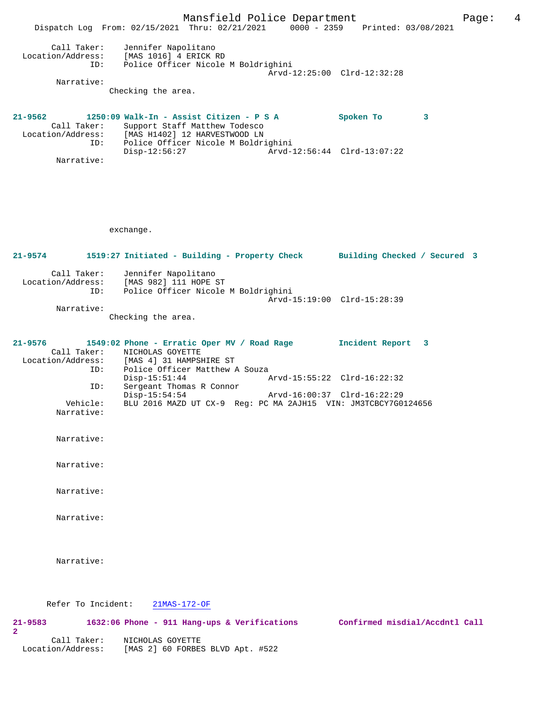Mansfield Police Department Form Page: 4 Dispatch Log From: 02/15/2021 Thru: 02/21/2021 0000 - 2359 Printed: 03/08/2021 Call Taker: Jennifer Napolitano Location/Address: [MAS 1016] 4 ERICK RD ID: Police Officer Nicole M Boldrighini Arvd-12:25:00 Clrd-12:32:28 Narrative: Checking the area. **21-9562 1250:09 Walk-In - Assist Citizen - P S A Spoken To 3**  Call Taker: Support Staff Matthew Todesco Location/Address: [MAS H1402] 12 HARVESTWOOD LN ID: Police Officer Nicole M Boldrighini Disp-12:56:27 Arvd-12:56:44 Clrd-13:07:22 Narrative: exchange. **21-9574 1519:27 Initiated - Building - Property Check Building Checked / Secured 3** Call Taker: Jennifer Napolitano Location/Address: [MAS 982] 111 HOPE ST ID: Police Officer Nicole M Boldrighini Arvd-15:19:00 Clrd-15:28:39 Narrative: Checking the area. **21-9576 1549:02 Phone - Erratic Oper MV / Road Rage Incident Report 3**  Call Taker: NICHOLAS GOYETTE<br>Location/Address: [MAS 4] 31 HAMPSI Location/Address: [MAS 4] 31 HAMPSHIRE ST ID: Police Officer Matthew A Souza<br>Disp-15:51:44 Disp-15:51:44 Arvd-15:55:22 Clrd-16:22:32<br>ID: Sergeant Thomas R Connor Sergeant Thomas R Connor<br>Disp-15:54:54 Disp-15:54:54 Arvd-16:00:37 Clrd-16:22:29 Vehicle: BLU 2016 MAZD UT CX-9 Reg: PC MA 2AJH15 VIN: JM3TCBCY7G0124656 Narrative: Narrative: Narrative: Narrative: Narrative: Narrative: Refer To Incident: 21MAS-172-OF **21-9583 1632:06 Phone - 911 Hang-ups & Verifications Confirmed misdial/Accdntl Call 2**  Call Taker: NICHOLAS GOYETTE Location/Address: [MAS 2] 60 FORBES BLVD Apt. #522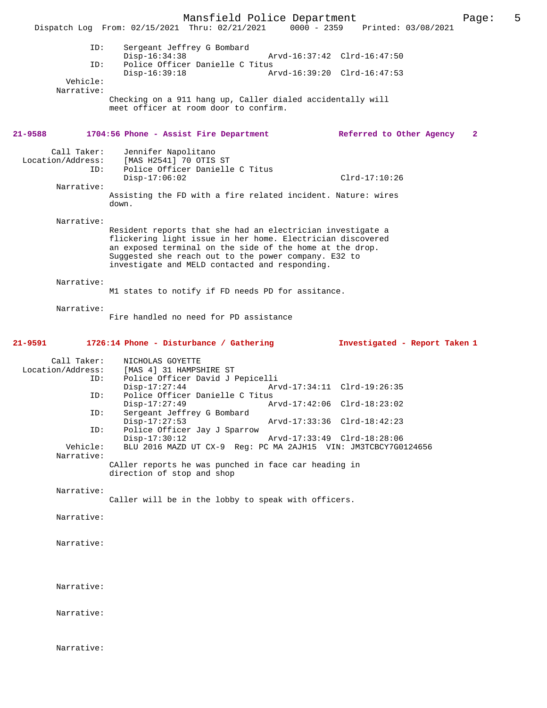Mansfield Police Department Page: 5 Dispatch Log From: 02/15/2021 Thru: 02/21/2021 ID: Sergeant Jeffrey G Bombard Disp-16:34:38 Arvd-16:37:42 Clrd-16:47:50<br>TD: Police Officer Danielle C Titus Police Officer Danielle C Titus<br>Disp-16:39:18 A Disp-16:39:18 Arvd-16:39:20 Clrd-16:47:53 Vehicle: Narrative: Checking on a 911 hang up, Caller dialed accidentally will meet officer at room door to confirm. **21-9588 1704:56 Phone - Assist Fire Department Referred to Other Agency 2** Call Taker: Jennifer Napolitano<br>Location/Address: [MAS H2541] 70 OTIS [MAS H2541] 70 OTIS ST ID: Police Officer Danielle C Titus Disp-17:06:02 Clrd-17:10:26 Narrative: Assisting the FD with a fire related incident. Nature: wires down. Narrative: Resident reports that she had an electrician investigate a flickering light issue in her home. Electrician discovered an exposed terminal on the side of the home at the drop. Suggested she reach out to the power company. E32 to investigate and MELD contacted and responding. Narrative: M1 states to notify if FD needs PD for assitance. Narrative: Fire handled no need for PD assistance **21-9591 1726:14 Phone - Disturbance / Gathering Investigated - Report Taken 1** Call Taker: NICHOLAS GOYETTE Location/Address: [MAS 4] 31 HAMPSHIRE ST Police Officer David J Pepicelli<br>Disp-17:27:44 Ar Arvd-17:34:11 Clrd-19:26:35 ID: Police Officer Danielle C Titus<br>Disp-17:27:49 A: Disp-17:27:49 Arvd-17:42:06 Clrd-18:23:02 ID: Sergeant Jeffrey G Bombard<br>Disp-17:27:53 Disp-17:27:53 Arvd-17:33:36 Clrd-18:42:23<br>ID: Police Officer Jav J Sparrow Police Officer Jay J Sparrow<br>Disp-17:30:12 Disp-17:30:12 Arvd-17:33:49 Clrd-18:28:06<br>Vehicle: BLU 2016 MAZD UT CX-9 Req: PC MA 2AJH15 VIN: JM3TCBCY7GO BLU 2016 MAZD UT CX-9 Reg: PC MA 2AJH15 VIN: JM3TCBCY7G0124656 Narrative: CAller reports he was punched in face car heading in direction of stop and shop Narrative: Caller will be in the lobby to speak with officers. Narrative: Narrative: Narrative: Narrative: Narrative: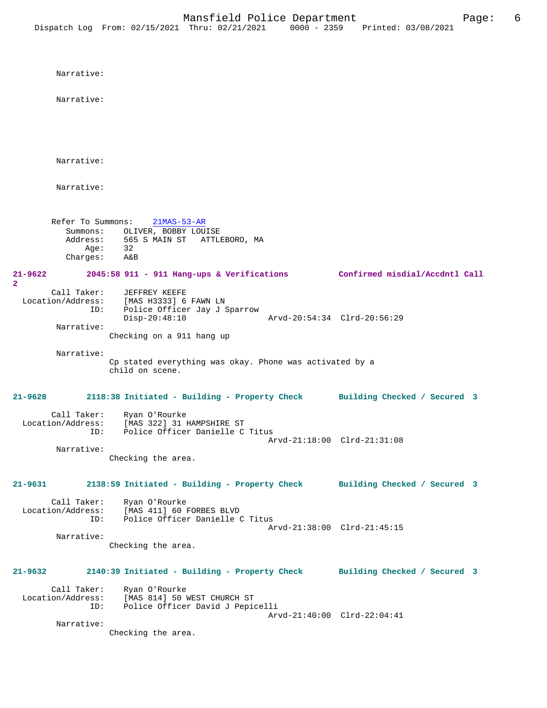Narrative: Narrative: Narrative: Narrative: Refer To Summons: 21MAS-53-AR Summons: OLIVER, BOBBY LOUISE Address: 565 S MAIN ST ATTLEBORO, MA<br>Age: 32 Age: Charges: A&B **21-9622 2045:58 911 - 911 Hang-ups & Verifications Confirmed misdial/Accdntl Call** Call Taker: JEFFREY KEEFE Location/Address: [MAS H3333] 6 FAWN LN ID: Police Officer Jay J Sparrow Disp-20:48:10 Arvd-20:54:34 Clrd-20:56:29 Narrative: Checking on a 911 hang up Narrative: Cp stated everything was okay. Phone was activated by a child on scene. **21-9628 2118:38 Initiated - Building - Property Check Building Checked / Secured 3** Call Taker: Ryan O'Rourke Location/Address: [MAS 322] 31 HAMPSHIRE ST ID: Police Officer Danielle C Titus Arvd-21:18:00 Clrd-21:31:08 Narrative: Checking the area. **21-9631 2138:59 Initiated - Building - Property Check Building Checked / Secured 3** Call Taker: Ryan O'Rourke Location/Address: [MAS 411] 60 FORBES BLVD Police Officer Danielle C Titus Arvd-21:38:00 Clrd-21:45:15 Narrative: Checking the area. **21-9632 2140:39 Initiated - Building - Property Check Building Checked / Secured 3** Call Taker: Ryan O'Rourke Location/Address: [MAS 814] 50 WEST CHURCH ST ID: Police Officer David J Pepicelli Arvd-21:40:00 Clrd-22:04:41 Narrative:

Checking the area.

**2**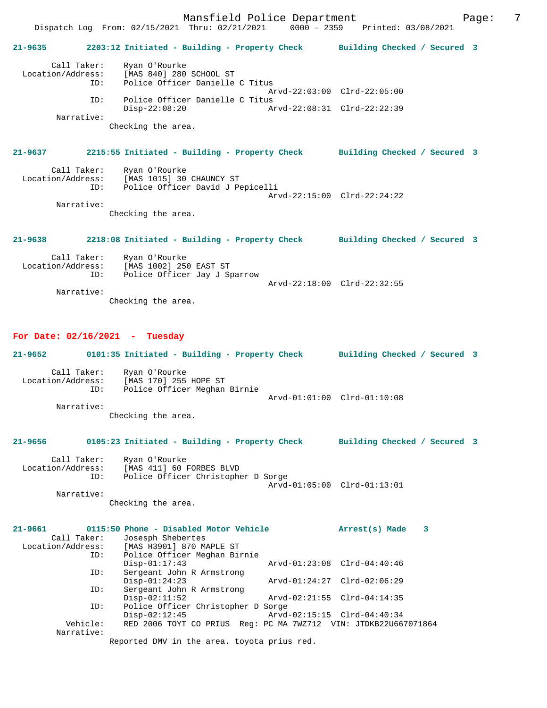Mansfield Police Department Fage: 7 Dispatch Log From: 02/15/2021 Thru: 02/21/2021 0000 - 2359 Printed: 03/08/2021 **21-9635 2203:12 Initiated - Building - Property Check Building Checked / Secured 3** Call Taker: Ryan O'Rourke Location/Address: [MAS 840] 280 SCHOOL ST ID: Police Officer Danielle C Titus Arvd-22:03:00 Clrd-22:05:00 ID: Police Officer Danielle C Titus Disp-22:08:20 Arvd-22:08:31 Clrd-22:22:39 Narrative: Checking the area. **21-9637 2215:55 Initiated - Building - Property Check Building Checked / Secured 3** Call Taker: Ryan O'Rourke<br>Location/Address: [MAS 1015] 30 ess: [MAS 1015] 30 CHAUNCY ST<br>ID: Police Officer David J Pe .<br>Police Officer David J Pepicelli Arvd-22:15:00 Clrd-22:24:22 Narrative: Checking the area. **21-9638 2218:08 Initiated - Building - Property Check Building Checked / Secured 3** Call Taker: Ryan O'Rourke Location/Address: [MAS 1002] 250 EAST ST ID: Police Officer Jay J Sparrow Arvd-22:18:00 Clrd-22:32:55 Narrative: Checking the area. **For Date: 02/16/2021 - Tuesday 21-9652 0101:35 Initiated - Building - Property Check Building Checked / Secured 3** Call Taker: Ryan O'Rourke Location/Address: [MAS 170] 255 HOPE ST ID: Police Officer Meghan Birnie Arvd-01:01:00 Clrd-01:10:08

Checking the area.

Narrative:

# **21-9656 0105:23 Initiated - Building - Property Check Building Checked / Secured 3**

 Call Taker: Ryan O'Rourke Location/Address: [MAS 411] 60 FORBES BLVD ID: Police Officer Christopher D Sorge Arvd-01:05:00 Clrd-01:13:01 Narrative:

Checking the area.

| $21 - 9661$       | 0115:50 Phone - Disabled Motor Vehicle                          | 3<br>Arrest(s) Made         |
|-------------------|-----------------------------------------------------------------|-----------------------------|
| Call Taker:       | Josesph Shebertes                                               |                             |
| Location/Address: | [MAS H3901] 870 MAPLE ST                                        |                             |
| ID:               | Police Officer Meghan Birnie                                    |                             |
|                   | $Disp-01:17:43$                                                 | Arvd-01:23:08 Clrd-04:40:46 |
| ID:               | Sergeant John R Armstrong                                       |                             |
|                   | $Disp-01:24:23$                                                 | Arvd-01:24:27 Clrd-02:06:29 |
| ID:               | Sergeant John R Armstrong                                       |                             |
|                   | $Disp-02:11:52$                                                 | Arvd-02:21:55 Clrd-04:14:35 |
| ID:               | Police Officer Christopher D Sorge                              |                             |
|                   | $Disp-02:12:45$                                                 | Arvd-02:15:15 Clrd-04:40:34 |
| Vehicle:          | RED 2006 TOYT CO PRIUS Req: PC MA 7WZ712 VIN: JTDKB22U667071864 |                             |
| Narrative:        |                                                                 |                             |
|                   | Reported DMV in the area. toyota prius red.                     |                             |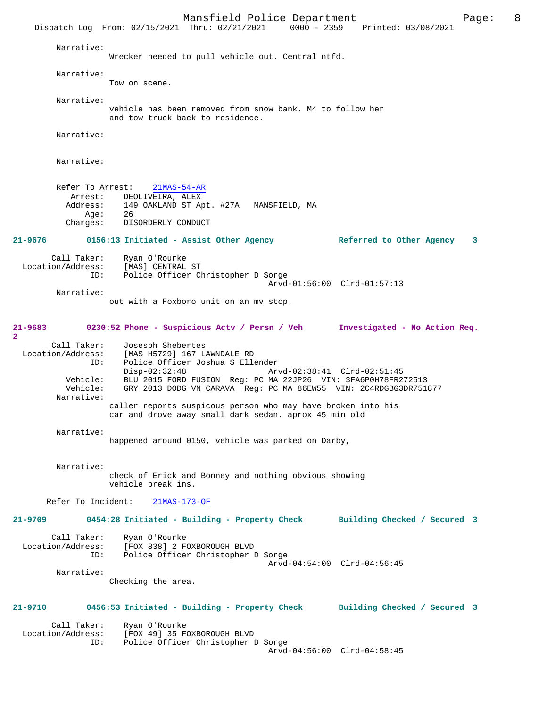Mansfield Police Department Page: 8 Dispatch Log From: 02/15/2021 Thru: 02/21/2021 Narrative: Wrecker needed to pull vehicle out. Central ntfd. Narrative: Tow on scene. Narrative: vehicle has been removed from snow bank. M4 to follow her and tow truck back to residence. Narrative: Narrative: Refer To Arrest: 21MAS-54-AR Arrest: DEOLIVEIRA, ALEX<br>Address: 149 OAKLAND ST Ap 149 OAKLAND ST Apt. #27A MANSFIELD, MA<br>26  $Age:$  Charges: DISORDERLY CONDUCT **21-9676 0156:13 Initiated - Assist Other Agency Referred to Other Agency 3** Call Taker: Ryan O'Rourke Location/Address: [MAS] CENTRAL ST<br>TD: Police Officer C Police Officer Christopher D Sorge Arvd-01:56:00 Clrd-01:57:13 Narrative: out with a Foxboro unit on an mv stop. **21-9683 0230:52 Phone - Suspicious Actv / Persn / Veh Investigated - No Action Req. 2**  Call Taker: Josesph Shebertes<br>Location/Address: [MAS H5729] 167 L Location/Address: [MAS H5729] 167 LAWNDALE RD ID: Police Officer Joshua S Ellender ID: Police Officer Joshua S Ellender<br>Disp-02:32:48 Arvd-02:38:41 Clrd-02:51:45 Vehicle: BLU 2015 FORD FUSION Reg: PC MA 22JP26 VIN: 3FA6P0H78FR272513 GRY 2013 DODG VN CARAVA Reg: PC MA 86EW55 VIN: 2C4RDGBG3DR751877 Narrative: caller reports suspicous person who may have broken into his car and drove away small dark sedan. aprox 45 min old Narrative: happened around 0150, vehicle was parked on Darby, Narrative: check of Erick and Bonney and nothing obvious showing vehicle break ins. Refer To Incident: 21MAS-173-OF **21-9709 0454:28 Initiated - Building - Property Check Building Checked / Secured 3** Call Taker: Ryan O'Rourke Location/Address: [FOX 838] 2 FOXBOROUGH BLVD ID: Police Officer Christopher D Sorge Arvd-04:54:00 Clrd-04:56:45 Narrative: Checking the area. **21-9710 0456:53 Initiated - Building - Property Check Building Checked / Secured 3** Call Taker: Ryan O'Rourke<br>Location/Address: [FOX 49] 35 F [FOX 49] 35 FOXBOROUGH BLVD ID: Police Officer Christopher D Sorge Arvd-04:56:00 Clrd-04:58:45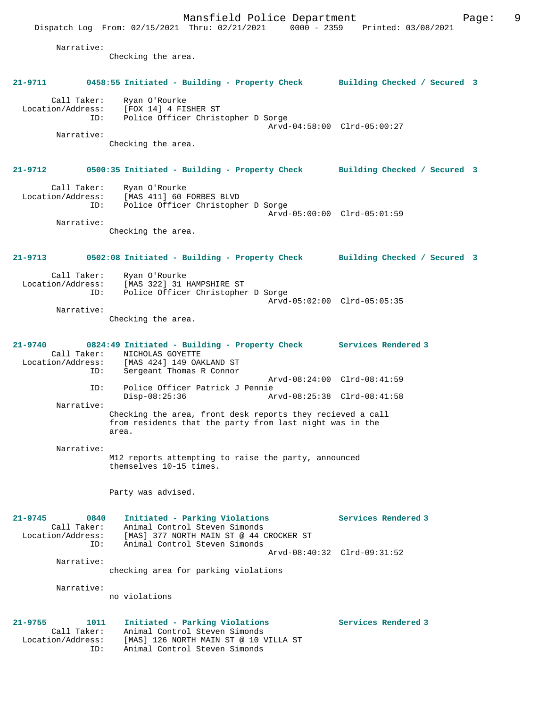Mansfield Police Department Fage: 9 Dispatch Log From: 02/15/2021 Thru: 02/21/2021 0000 - 2359 Printed: 03/08/2021 Narrative: Checking the area. **21-9711 0458:55 Initiated - Building - Property Check Building Checked / Secured 3** Call Taker: Ryan O'Rourke Location/Address: [FOX 14] 4 FISHER ST ID: Police Officer Christopher D Sorge Arvd-04:58:00 Clrd-05:00:27 Narrative: Checking the area. **21-9712 0500:35 Initiated - Building - Property Check Building Checked / Secured 3** Call Taker: Ryan O'Rourke Location/Address: [MAS 411] 60 FORBES BLVD ID: Police Officer Christopher D Sorge Arvd-05:00:00 Clrd-05:01:59 Narrative: Checking the area. **21-9713 0502:08 Initiated - Building - Property Check Building Checked / Secured 3** Call Taker: Ryan O'Rourke<br>Location/Address: [MAS 322] 31 1 ess: [MAS 322] 31 HAMPSHIRE ST<br>ID: Police Officer Christopher Police Officer Christopher D Sorge Arvd-05:02:00 Clrd-05:05:35 Narrative: Checking the area. **21-9740 0824:49 Initiated - Building - Property Check Services Rendered 3**  Call Taker: NICHOLAS GOYETTE Location/Address: [MAS 424] 149 OAKLAND ST ID: Sergeant Thomas R Connor Arvd-08:24:00 Clrd-08:41:59 ID: Police Officer Patrick J Pennie Disp-08:25:36 Arvd-08:25:38 Clrd-08:41:58 Narrative: Checking the area, front desk reports they recieved a call from residents that the party from last night was in the area. Narrative: M12 reports attempting to raise the party, announced themselves 10-15 times. Party was advised. **21-9745 0840 Initiated - Parking Violations Services Rendered 3**  Call Taker: Animal Control Steven Simonds Location/Address: [MAS] 377 NORTH MAIN ST @ 44 CROCKER ST ID: Animal Control Steven Simonds Arvd-08:40:32 Clrd-09:31:52 Narrative: checking area for parking violations Narrative: no violations **21-9755 1011 Initiated - Parking Violations Services Rendered 3**  Call Taker: Animal Control Steven Simonds Location/Address: [MAS] 126 NORTH MAIN ST @ 10 VILLA ST ID: Animal Control Steven Simonds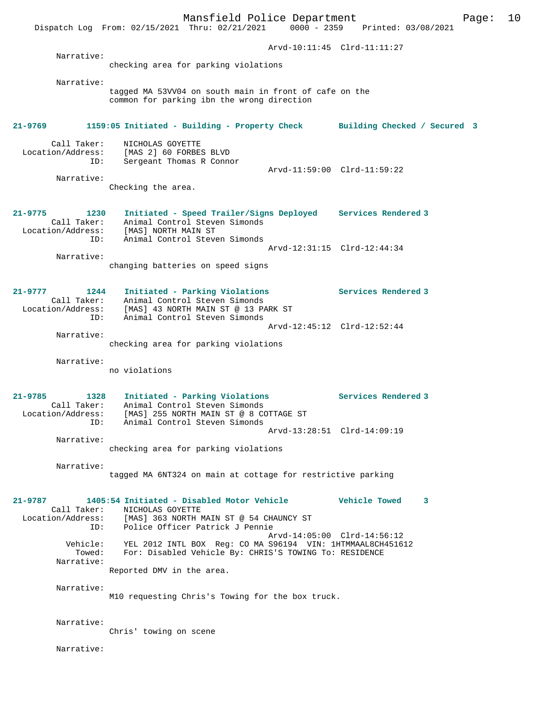Mansfield Police Department Form Page: 10 Dispatch Log From: 02/15/2021 Thru: 02/21/2021 0000 - 2359 Printed: 03/08/2021 Arvd-10:11:45 Clrd-11:11:27 Narrative: checking area for parking violations Narrative: tagged MA 53VV04 on south main in front of cafe on the common for parking ibn the wrong direction **21-9769 1159:05 Initiated - Building - Property Check Building Checked / Secured 3** Call Taker: NICHOLAS GOYETTE Location/Address: [MAS 2] 60 FORBES BLVD Sergeant Thomas R Connor Arvd-11:59:00 Clrd-11:59:22 Narrative: Checking the area. **21-9775 1230 Initiated - Speed Trailer/Signs Deployed Services Rendered 3**  Call Taker: Animal Control Steven Simonds Location/Address: [MAS] NORTH MAIN ST ID: Animal Control Steven Simonds Arvd-12:31:15 Clrd-12:44:34 Narrative: changing batteries on speed signs **21-9777 1244 Initiated - Parking Violations Services Rendered 3**  Call Taker: Animal Control Steven Simonds Location/Address: [MAS] 43 NORTH MAIN ST @ 13 PARK ST ID: Animal Control Steven Simonds Arvd-12:45:12 Clrd-12:52:44 Narrative: checking area for parking violations Narrative: no violations **21-9785 1328 Initiated - Parking Violations Services Rendered 3**  Call Taker: Animal Control Steven Simonds Location/Address: [MAS] 255 NORTH MAIN ST @ 8 COTTAGE ST ID: Animal Control Steven Simonds Arvd-13:28:51 Clrd-14:09:19 Narrative: checking area for parking violations Narrative: tagged MA 6NT324 on main at cottage for restrictive parking **21-9787 1405:54 Initiated - Disabled Motor Vehicle Vehicle Towed 3**  Call Taker: NICHOLAS GOYETTE Location/Address: [MAS] 363 NORTH MAIN ST @ 54 CHAUNCY ST ID: Police Officer Patrick J Pennie Arvd-14:05:00 Clrd-14:56:12 Vehicle: YEL 2012 INTL BOX Reg: CO MA S96194 VIN: 1HTMMAAL8CH451612 Towed: For: Disabled Vehicle By: CHRIS'S TOWING To: RESIDENCE Narrative: Reported DMV in the area. Narrative: M10 requesting Chris's Towing for the box truck. Narrative: Chris' towing on scene Narrative: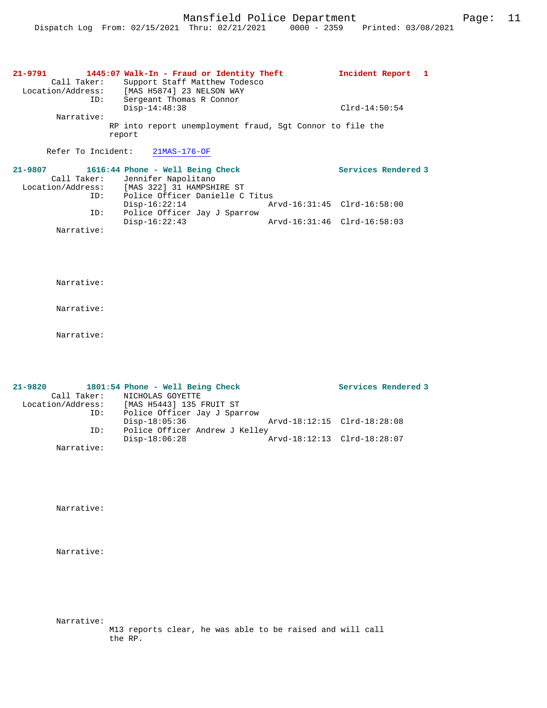| $21 - 9791$<br>Call Taker:<br>Location/Address: |     | 1445:07 Walk-In - Fraud or Identity Theft<br>Support Staff Matthew Todesco<br>[MAS H5874] 23 NELSON WAY | Incident Report 1 |  |
|-------------------------------------------------|-----|---------------------------------------------------------------------------------------------------------|-------------------|--|
| Narrative:                                      | ID: | Sergeant Thomas R Connor<br>$Disp-14:48:38$                                                             | $Clrd-14:50:54$   |  |
|                                                 |     | RP into report unemployment fraud, Sqt Connor to file the<br>report                                     |                   |  |
| Refer To Incident:                              |     | $21MAS-176-OF$                                                                                          |                   |  |

| 21-9807           | 1616:44 Phone - Well Being Check |                             | Services Rendered 3 |
|-------------------|----------------------------------|-----------------------------|---------------------|
| Call Taker:       | Jennifer Napolitano              |                             |                     |
| Location/Address: | [MAS 322] 31 HAMPSHIRE ST        |                             |                     |
| ID:               | Police Officer Danielle C Titus  |                             |                     |
|                   | $Disp-16:22:14$                  | Arvd-16:31:45 Clrd-16:58:00 |                     |
| ID:               | Police Officer Jay J Sparrow     |                             |                     |
|                   | $Disp-16:22:43$                  | Arvd-16:31:46 Clrd-16:58:03 |                     |
| Narrative:        |                                  |                             |                     |

Narrative:

Narrative:

| $21 - 9820$       | 1801:54 Phone - Well Being Check |                             | Services Rendered 3 |
|-------------------|----------------------------------|-----------------------------|---------------------|
| Call Taker:       | NICHOLAS GOYETTE                 |                             |                     |
| Location/Address: | [MAS H5443] 135 FRUIT ST         |                             |                     |
| ID:               | Police Officer Jay J Sparrow     |                             |                     |
|                   | $Disp-18:05:36$                  | Arvd-18:12:15 Clrd-18:28:08 |                     |
| ID:               | Police Officer Andrew J Kelley   |                             |                     |
|                   | $Disp-18:06:28$                  | Arvd-18:12:13 Clrd-18:28:07 |                     |
| Narrative:        |                                  |                             |                     |

Narrative:

Narrative:

Narrative:

M13 reports clear, he was able to be raised and will call the RP.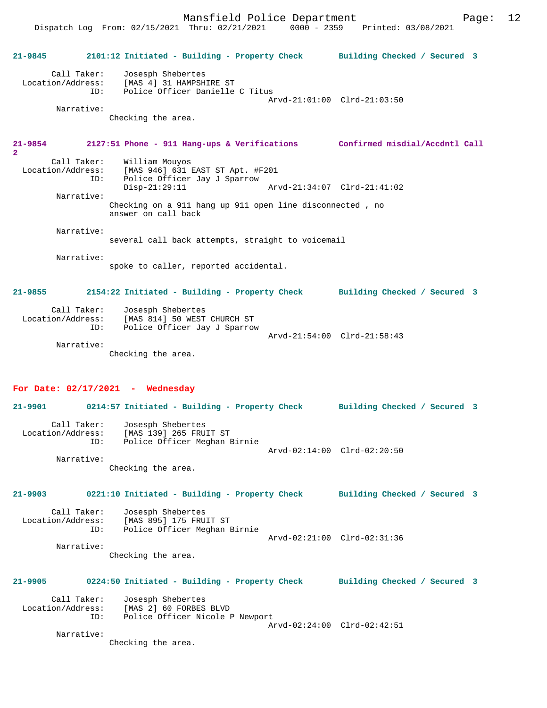Mansfield Police Department Fage: 12

 Dispatch Log From: 02/15/2021 Thru: 02/21/2021 0000 - 2359 Printed: 03/08/2021 **21-9845 2101:12 Initiated - Building - Property Check Building Checked / Secured 3** Call Taker: Josesph Shebertes Location/Address: [MAS 4] 31 HAMPSHIRE ST ID: Police Officer Danielle C Titus Arvd-21:01:00 Clrd-21:03:50 Narrative: Checking the area. **21-9854 2127:51 Phone - 911 Hang-ups & Verifications Confirmed misdial/Accdntl Call 2**  Call Taker: William Mouyos<br>Location/Address: [MAS 946] 631 E Location/Address: [MAS 946] 631 EAST ST Apt. #F201 ID: Police Officer Jay J Sparrow Disp-21:29:11 Arvd-21:34:07 Clrd-21:41:02 Narrative: Checking on a 911 hang up 911 open line disconnected , no answer on call back Narrative: several call back attempts, straight to voicemail Narrative: spoke to caller, reported accidental. **21-9855 2154:22 Initiated - Building - Property Check Building Checked / Secured 3** Call Taker: Josesph Shebertes Location/Address: [MAS 814] 50 WEST CHURCH ST ID: Police Officer Jay J Sparrow Arvd-21:54:00 Clrd-21:58:43 Narrative: Checking the area. **For Date: 02/17/2021 - Wednesday 21-9901 0214:57 Initiated - Building - Property Check Building Checked / Secured 3**

 Call Taker: Josesph Shebertes Location/Address: [MAS 139] 265 FRUIT ST ID: Police Officer Meghan Birnie Arvd-02:14:00 Clrd-02:20:50 Narrative:

Checking the area.

# **21-9903 0221:10 Initiated - Building - Property Check Building Checked / Secured 3**

Call Taker: Josesph Shebertes<br>Location/Address: [MAS 895] 175 FRU ess: [MAS 895] 175 FRUIT ST<br>ID: Police Officer Meghan B Police Officer Meghan Birnie Arvd-02:21:00 Clrd-02:31:36 Narrative:

Checking the area.

# **21-9905 0224:50 Initiated - Building - Property Check Building Checked / Secured 3**

| Call Taker:       | Josesph Shebertes               |  |
|-------------------|---------------------------------|--|
| Location/Address: | [MAS 2] 60 FORBES BLVD          |  |
| TD:               | Police Officer Nicole P Newport |  |
|                   | Arvd-02:24:00 Clrd-02:42:51     |  |

Narrative:

Checking the area.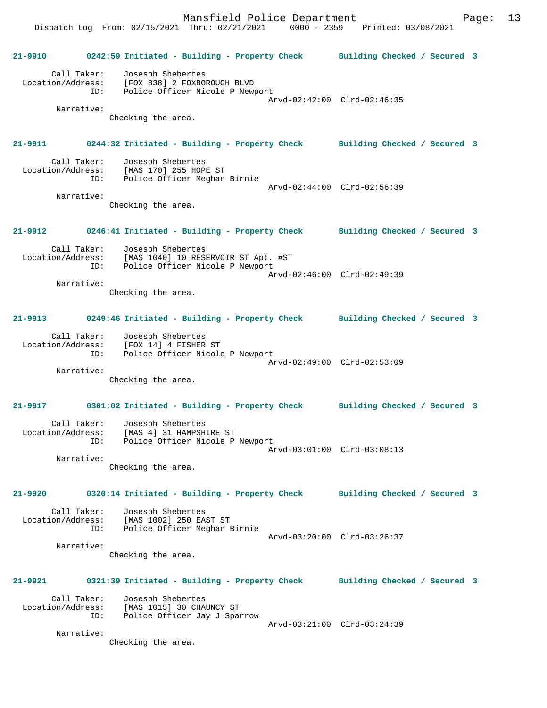Dispatch Log From: 02/15/2021 Thru: 02/21/2021 0000 - 2359 Printed: 03/08/2021 **21-9910 0242:59 Initiated - Building - Property Check Building Checked / Secured 3** Call Taker: Josesph Shebertes Location/Address: [FOX 838] 2 FOXBOROUGH BLVD ID: Police Officer Nicole P Newport Arvd-02:42:00 Clrd-02:46:35 Narrative: Checking the area. **21-9911 0244:32 Initiated - Building - Property Check Building Checked / Secured 3** Call Taker: Josesph Shebertes Location/Address: [MAS 170] 255 HOPE ST ID: Police Officer Meghan Birnie Arvd-02:44:00 Clrd-02:56:39 Narrative: Checking the area. **21-9912 0246:41 Initiated - Building - Property Check Building Checked / Secured 3** Call Taker: Josesph Shebertes Location/Address: [MAS 1040] 10 RESERVOIR ST Apt. #ST ID: Police Officer Nicole P Newport Arvd-02:46:00 Clrd-02:49:39 Narrative: Checking the area. **21-9913 0249:46 Initiated - Building - Property Check Building Checked / Secured 3** Call Taker: Josesph Shebertes Location/Address: [FOX 14] 4 FISHER ST ID: Police Officer Nicole P Newport Arvd-02:49:00 Clrd-02:53:09 Narrative: Checking the area. **21-9917 0301:02 Initiated - Building - Property Check Building Checked / Secured 3** Call Taker: Josesph Shebertes Location/Address: [MAS 4] 31 HAMPSHIRE ST ID: Police Officer Nicole P Newport Arvd-03:01:00 Clrd-03:08:13 Narrative: Checking the area. **21-9920 0320:14 Initiated - Building - Property Check Building Checked / Secured 3** Call Taker: Josesph Shebertes Location/Address: [MAS 1002] 250 EAST ST ID: Police Officer Meghan Birnie Arvd-03:20:00 Clrd-03:26:37 Narrative: Checking the area. **21-9921 0321:39 Initiated - Building - Property Check Building Checked / Secured 3** Call Taker: Josesph Shebertes Location/Address: [MAS 1015] 30 CHAUNCY ST ID: Police Officer Jay J Sparrow Arvd-03:21:00 Clrd-03:24:39 Narrative: Checking the area.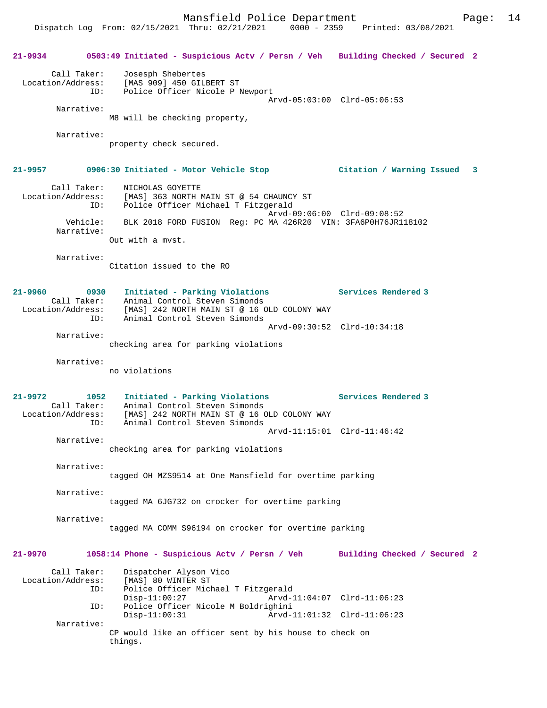Dispatch Log From: 02/15/2021 Thru: 02/21/2021 0000 - 2359 Printed: 03/08/2021

|                                                            | 21-9934 0503:49 Initiated - Suspicious Actv / Persn / Veh Building Checked / Secured 2                                                                                               |                                                            |
|------------------------------------------------------------|--------------------------------------------------------------------------------------------------------------------------------------------------------------------------------------|------------------------------------------------------------|
|                                                            | Call Taker: Josesph Shebertes<br>Location/Address: [MAS 909] 450 GILBERT ST<br>ID: Police Officer Nicole P Newport                                                                   | Arvd-05:03:00 Clrd-05:06:53                                |
| Narrative:                                                 | M8 will be checking property,                                                                                                                                                        |                                                            |
| Narrative:                                                 | property check secured.                                                                                                                                                              |                                                            |
|                                                            | 21-9957 0906:30 Initiated - Motor Vehicle Stop Citation / Warning Issued 3                                                                                                           |                                                            |
|                                                            | Call Taker: NICHOLAS GOYETTE<br>Location/Address: [MAS] 363 NORTH MAIN ST @ 54 CHAUNCY ST<br>ID: Police Officer Michael T Fitzgerald                                                 |                                                            |
| Narrative:                                                 | Vehicle: BLK 2018 FORD FUSION Req: PC MA 426R20 VIN: 3FA6P0H76JR118102                                                                                                               | Arvd-09:06:00 Clrd-09:08:52                                |
|                                                            | Out with a myst.                                                                                                                                                                     |                                                            |
| Narrative:                                                 | Citation issued to the RO                                                                                                                                                            |                                                            |
| 21-9960<br>0930                                            | Initiated - Parking Violations<br>Call Taker: Animal Control Steven Simonds<br>Location/Address: [MAS] 242 NORTH MAIN ST @ 16 OLD COLONY WAY<br>Animal Control Steven Simonds<br>ID: | <b>Services Rendered 3</b>                                 |
| Narrative:                                                 | checking area for parking violations                                                                                                                                                 | Arvd-09:30:52 Clrd-10:34:18                                |
| Narrative:                                                 | no violations                                                                                                                                                                        |                                                            |
| 21-9972<br>1052<br>Call Taker:<br>Location/Address:<br>ID: | Initiated - Parking Violations Services Rendered 3<br>Animal Control Steven Simonds<br>[MAS] 242 NORTH MAIN ST @ 16 OLD COLONY WAY<br>Animal Control Steven Simonds                  |                                                            |
| Narrative:                                                 | checking area for parking violations                                                                                                                                                 | Arvd-11:15:01 Clrd-11:46:42                                |
| Narrative:                                                 | tagged OH MZS9514 at One Mansfield for overtime parking                                                                                                                              |                                                            |
| Narrative:                                                 | tagged MA 6JG732 on crocker for overtime parking                                                                                                                                     |                                                            |
| Narrative:                                                 | tagged MA COMM S96194 on crocker for overtime parking                                                                                                                                |                                                            |
| 21-9970                                                    | 1058:14 Phone - Suspicious Actv / Persn / Veh                                                                                                                                        | Building Checked / Secured 2                               |
| Call Taker:<br>Location/Address:<br>ID:                    | Dispatcher Alyson Vico<br>[MAS] 80 WINTER ST<br>Police Officer Michael T Fitzgerald                                                                                                  |                                                            |
| ID:                                                        | $Disp-11:00:27$<br>Police Officer Nicole M Boldrighini<br>$Disp-11:00:31$                                                                                                            | Arvd-11:04:07 Clrd-11:06:23<br>Arvd-11:01:32 Clrd-11:06:23 |
| Narrative:                                                 | CP would like an officer sent by his house to check on<br>things.                                                                                                                    |                                                            |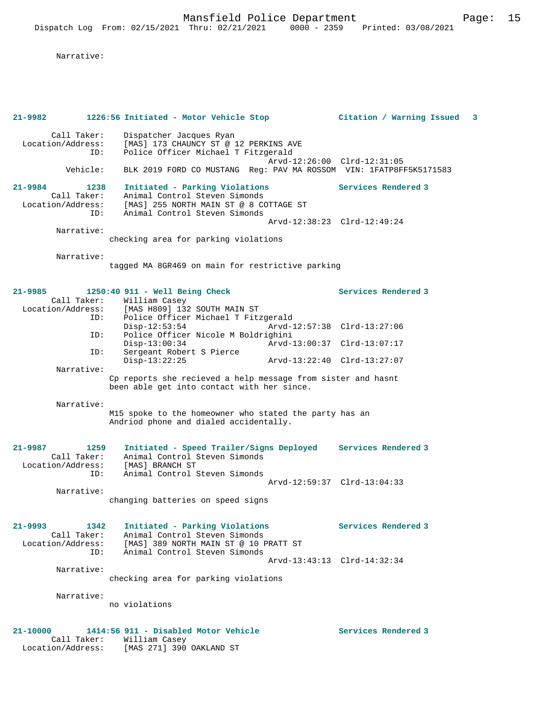| $21 - 9982$                                                | 1226:56 Initiated - Motor Vehicle Stop                                                                                                    |                             | Citation / Warning Issued 3 |  |
|------------------------------------------------------------|-------------------------------------------------------------------------------------------------------------------------------------------|-----------------------------|-----------------------------|--|
| Call Taker:<br>Location/Address:<br>ID:                    | Dispatcher Jacques Ryan<br>[MAS] 173 CHAUNCY ST @ 12 PERKINS AVE<br>Police Officer Michael T Fitzgerald                                   |                             |                             |  |
| Vehicle:                                                   | BLK 2019 FORD CO MUSTANG Reg: PAV MA ROSSOM VIN: 1FATP8FF5K5171583                                                                        | Arvd-12:26:00 Clrd-12:31:05 |                             |  |
| 21-9984<br>1238<br>Call Taker:<br>Location/Address:        | Initiated - Parking Violations<br>Animal Control Steven Simonds<br>[MAS] 255 NORTH MAIN ST @ 8 COTTAGE ST                                 |                             | Services Rendered 3         |  |
| ID:                                                        | Animal Control Steven Simonds                                                                                                             | Arvd-12:38:23 Clrd-12:49:24 |                             |  |
| Narrative:                                                 | checking area for parking violations                                                                                                      |                             |                             |  |
| Narrative:                                                 | tagged MA 8GR469 on main for restrictive parking                                                                                          |                             |                             |  |
| 21-9985                                                    | $1250:40$ 911 - Well Being Check                                                                                                          |                             | Services Rendered 3         |  |
| Call Taker:<br>ID:                                         | William Casey<br>Location/Address: [MAS H809] 132 SOUTH MAIN ST                                                                           |                             |                             |  |
| ID:                                                        | Police Officer Michael T Fitzgerald<br>$Disp-12:53:54$<br>Police Officer Nicole M Boldrighini                                             | Arvd-12:57:38 Clrd-13:27:06 |                             |  |
| ID:                                                        | $Disp-13:00:34$<br>Sergeant Robert S Pierce                                                                                               | Arvd-13:00:37 Clrd-13:07:17 |                             |  |
| Narrative:                                                 | $Disp-13:22:25$                                                                                                                           | Arvd-13:22:40 Clrd-13:27:07 |                             |  |
|                                                            | Cp reports she recieved a help message from sister and hasnt<br>been able get into contact with her since.                                |                             |                             |  |
| Narrative:                                                 | M15 spoke to the homeowner who stated the party has an<br>Andriod phone and dialed accidentally.                                          |                             |                             |  |
| 21-9987<br>1259<br>Call Taker:<br>Location/Address:        | Initiated - Speed Trailer/Signs Deployed Services Rendered 3<br>Animal Control Steven Simonds<br>[MAS] BRANCH ST                          |                             |                             |  |
| ID:<br>Narrative:                                          | Animal Control Steven Simonds                                                                                                             | Arvd-12:59:37 Clrd-13:04:33 |                             |  |
|                                                            | changing batteries on speed signs                                                                                                         |                             |                             |  |
| 21–9993<br>1342<br>Call Taker:<br>Location/Address:<br>ID: | Initiated - Parking Violations<br>Animal Control Steven Simonds<br>[MAS] 389 NORTH MAIN ST @ 10 PRATT ST<br>Animal Control Steven Simonds |                             | Services Rendered 3         |  |
| Narrative:                                                 |                                                                                                                                           | Arvd-13:43:13 Clrd-14:32:34 |                             |  |
|                                                            | checking area for parking violations                                                                                                      |                             |                             |  |
| Narrative:                                                 | no violations                                                                                                                             |                             |                             |  |
| $21 - 10000$<br>Call Taker:<br>Location/Address:           | 1414:56 911 - Disabled Motor Vehicle<br>William Casey<br>[MAS 271] 390 OAKLAND ST                                                         |                             | Services Rendered 3         |  |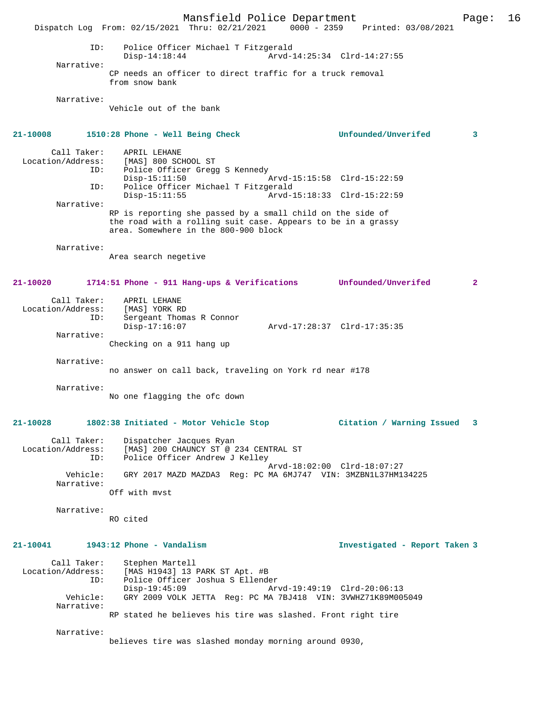Mansfield Police Department Page: 16 Dispatch Log From: 02/15/2021 Thru: 02/21/2021 0000 - 2359 ID: Police Officer Michael T Fitzgerald Disp-14:18:44 Arvd-14:25:34 Clrd-14:27:55 Narrative: CP needs an officer to direct traffic for a truck removal from snow bank Narrative: Vehicle out of the bank **21-10008 1510:28 Phone - Well Being Check Unfounded/Unverifed 3** Call Taker: APRIL LEHANE<br>Location/Address: [MAS] 800 SC ess: [MAS] 800 SCHOOL ST<br>ID: Police Officer Gregg Police Officer Gregg S Kennedy Disp-15:11:50 Arvd-15:15:58 Clrd-15:22:59<br>ID: Police Officer Michael T Fitzgerald ID: Police Officer Michael T Fitzgerald Arvd-15:18:33 Clrd-15:22:59 Narrative: RP is reporting she passed by a small child on the side of the road with a rolling suit case. Appears to be in a grassy area. Somewhere in the 800-900 block Narrative: Area search negetive **21-10020 1714:51 Phone - 911 Hang-ups & Verifications Unfounded/Unverifed 2** Call Taker: APRIL LEHANE Location/Address: [MAS] YORK RD<br>TD: Sergeant Thoma Sergeant Thomas R Connor<br>Disp-17:16:07 Disp-17:16:07 Arvd-17:28:37 Clrd-17:35:35 Narrative: Checking on a 911 hang up Narrative: no answer on call back, traveling on York rd near #178 Narrative: No one flagging the ofc down **21-10028 1802:38 Initiated - Motor Vehicle Stop Citation / Warning Issued 3** Call Taker: Dispatcher Jacques Ryan Location/Address: [MAS] 200 CHAUNCY ST @ 234 CENTRAL ST<br>TD: Police Officer Andrew J Kelley Police Officer Andrew J Kelley Arvd-18:02:00 Clrd-18:07:27 Vehicle: GRY 2017 MAZD MAZDA3 Reg: PC MA 6MJ747 VIN: 3MZBN1L37HM134225 Narrative: Off with mvst Narrative: RO cited **21-10041 1943:12 Phone - Vandalism Investigated - Report Taken 3** Call Taker: Stephen Martell<br>Location/Address: [MAS H1943] 13 I ess: [MAS H1943] 13 PARK ST Apt. #B<br>ID: Police Officer Joshua S Ellende ID: Police Officer Joshua S Ellender Disp-19:45:09 Arvd-19:49:19 Clrd-20:06:13<br>Vehicle: GRY 2009 VOLK JETTA Req: PC MA 7BJ418 VIN: 3VWHZ71K89M00 GRY 2009 VOLK JETTA Reg: PC MA 7BJ418 VIN: 3VWHZ71K89M005049 Narrative: RP stated he believes his tire was slashed. Front right tire Narrative: believes tire was slashed monday morning around 0930,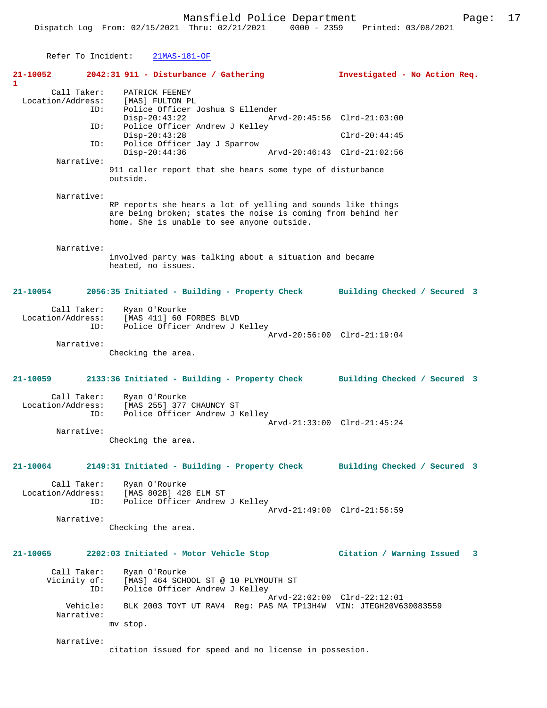| Refer To Incident:                |     |          | $21MAS-181-OF$                             |                                                                                                                              |                               |  |
|-----------------------------------|-----|----------|--------------------------------------------|------------------------------------------------------------------------------------------------------------------------------|-------------------------------|--|
| $21 - 10052$<br>1                 |     |          | $2042:31$ 911 - Disturbance / Gathering    |                                                                                                                              | Investigated - No Action Req. |  |
|                                   |     |          | Call Taker: PATRICK FEENEY                 |                                                                                                                              |                               |  |
| Location/Address: [MAS] FULTON PL |     |          |                                            |                                                                                                                              |                               |  |
|                                   | ID: |          | Police Officer Joshua S Ellender           |                                                                                                                              |                               |  |
|                                   |     |          | Disp-20:43:22                              |                                                                                                                              | Arvd-20:45:56 Clrd-21:03:00   |  |
|                                   | ID: |          | Police Officer Andrew J Kelley             |                                                                                                                              |                               |  |
|                                   |     |          | $Disp-20:43:28$                            |                                                                                                                              | $Clrd-20:44:45$               |  |
|                                   | ID: |          | Police Officer Jay J Sparrow               |                                                                                                                              |                               |  |
|                                   |     |          | $Disp-20:44:36$                            |                                                                                                                              | Arvd-20:46:43 Clrd-21:02:56   |  |
| Narrative:                        |     |          |                                            |                                                                                                                              |                               |  |
|                                   |     | outside. |                                            | 911 caller report that she hears some type of disturbance                                                                    |                               |  |
| Narrative:                        |     |          |                                            |                                                                                                                              |                               |  |
|                                   |     |          | home. She is unable to see anyone outside. | RP reports she hears a lot of yelling and sounds like things<br>are being broken; states the noise is coming from behind her |                               |  |

Refer To Incident:

involved party was talking about a situation and became heated, no issues.

**21-10054 2056:35 Initiated - Building - Property Check Building Checked / Secured 3**

| Call Taker:       | Ryan O'Rourke                  |  |
|-------------------|--------------------------------|--|
| Location/Address: | [MAS 411] 60 FORBES BLVD       |  |
| TD:               | Police Officer Andrew J Kelley |  |
|                   | Arvd-20:56:00 Clrd-21:19:04    |  |

Narrative:

Checking the area.

### **21-10059 2133:36 Initiated - Building - Property Check Building Checked / Secured 3**

| Call Taker:       | Ryan O'Rourke                  |  |
|-------------------|--------------------------------|--|
| Location/Address: | [MAS 255] 377 CHAUNCY ST       |  |
| ID:               | Police Officer Andrew J Kelley |  |
|                   | Arvd-21:33:00 Clrd-21:45:24    |  |
| Narrative:        |                                |  |

Checking the area.

# **21-10064 2149:31 Initiated - Building - Property Check Building Checked / Secured 3**

Call Taker: Ryan O'Rourke<br>Location/Address: [MAS 802B] 428 ess: [MAS 802B] 428 ELM ST<br>ID: Police Officer Andrew Police Officer Andrew J Kelley Arvd-21:49:00 Clrd-21:56:59

Narrative:

Checking the area.

# **21-10065 2202:03 Initiated - Motor Vehicle Stop Citation / Warning Issued 3**

 Call Taker: Ryan O'Rourke Vicinity of: [MAS] 464 SCHOOL ST @ 10 PLYMOUTH ST ID: Police Officer Andrew J Kelley Arvd-22:02:00 Clrd-22:12:01<br>Vehicle: BLK 2003 TOYT UT RAV4 Req: PAS MA TP13H4W VIN: JTEGH20V6 BLK 2003 TOYT UT RAV4 Reg: PAS MA TP13H4W VIN: JTEGH20V630083559 Narrative: mv stop.

Narrative:

citation issued for speed and no license in possesion.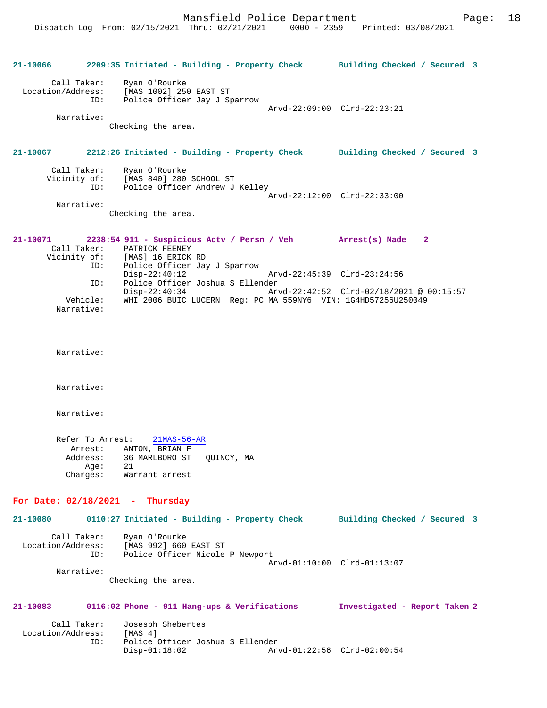|                   |                                      | 21-10066 2209:35 Initiated - Building - Property Check Building Checked / Secured 3                     |                             |                                                                                                           |              |  |
|-------------------|--------------------------------------|---------------------------------------------------------------------------------------------------------|-----------------------------|-----------------------------------------------------------------------------------------------------------|--------------|--|
| Location/Address: | Call Taker:<br>ID:                   | Ryan O'Rourke<br>MAS 1002] 250 EAST ST<br>Police Officer Jav J C<br>Police Officer Jay J Sparrow        |                             | Arvd-22:09:00 Clrd-22:23:21                                                                               |              |  |
|                   | Narrative:                           | Checking the area.                                                                                      |                             |                                                                                                           |              |  |
|                   |                                      | 21-10067 2212:26 Initiated - Building - Property Check Building Checked / Secured 3                     |                             |                                                                                                           |              |  |
|                   |                                      | Call Taker: Ryan O'Rourke<br>Vicinity of: [MAS 840] 280 SCHOOL ST<br>ID: Police Officer Andrew J Kelley | Arvd-22:12:00 Clrd-22:33:00 |                                                                                                           |              |  |
|                   | Narrative:                           | Checking the area.                                                                                      |                             |                                                                                                           |              |  |
| 21-10071          | Call Taker:<br>Vicinity of:          | 2238:54 911 - Suspicious Actv / Persn / Veh Arrest(s) Made<br>PATRICK FEENEY<br>[MAS] 16 ERICK RD       |                             |                                                                                                           | $\mathbf{2}$ |  |
|                   | ID:<br>ID:                           | Police Officer Jay J Sparrow<br>$Disp-22:40:12$<br>Police Officer Joshua S Ellender                     |                             | Arvd-22:45:39 Clrd-23:24:56                                                                               |              |  |
|                   | Vehicle:<br>Narrative:               | $Disp-22:40:34$                                                                                         |                             | Arvd-22:42:52 Clrd-02/18/2021 @ 00:15:57<br>WHI 2006 BUIC LUCERN Reg: PC MA 559NY6 VIN: 1G4HD57256U250049 |              |  |
|                   | Narrative:                           |                                                                                                         |                             |                                                                                                           |              |  |
|                   | Narrative:                           |                                                                                                         |                             |                                                                                                           |              |  |
|                   | Narrative:                           |                                                                                                         |                             |                                                                                                           |              |  |
|                   | Refer To Arrest:<br>Address:<br>Age: | $21MAS-56-AR$<br>Arrest: ANTON, BRIAN F<br>36 MARLBORO ST QUINCY, MA<br>21<br>Charges: Warrant arrest   |                             |                                                                                                           |              |  |
|                   |                                      | For Date: $02/18/2021$ - Thursday                                                                       |                             |                                                                                                           |              |  |
|                   |                                      | 21-10080 0110:27 Initiated - Building - Property Check Building Checked / Secured 3                     |                             |                                                                                                           |              |  |
| Location/Address: | Call Taker:<br>ID:                   | Ryan O'Rourke<br>[MAS 992] 660 EAST ST<br>Police Officer Nicole P Newport                               |                             | Arvd-01:10:00 Clrd-01:13:07                                                                               |              |  |
|                   | Narrative:                           | Checking the area.                                                                                      |                             |                                                                                                           |              |  |
| 21-10083          |                                      | 0116:02 Phone - 911 Hang-ups & Verifications Investigated - Report Taken 2                              |                             |                                                                                                           |              |  |
| Location/Address: | Call Taker:<br>ID:                   | Josesph Shebertes<br>[MAS <sub>4</sub> ]<br>Police Officer Joshua S Ellender                            |                             |                                                                                                           |              |  |
|                   |                                      | $Disp-01:18:02$                                                                                         |                             | Arvd-01:22:56 Clrd-02:00:54                                                                               |              |  |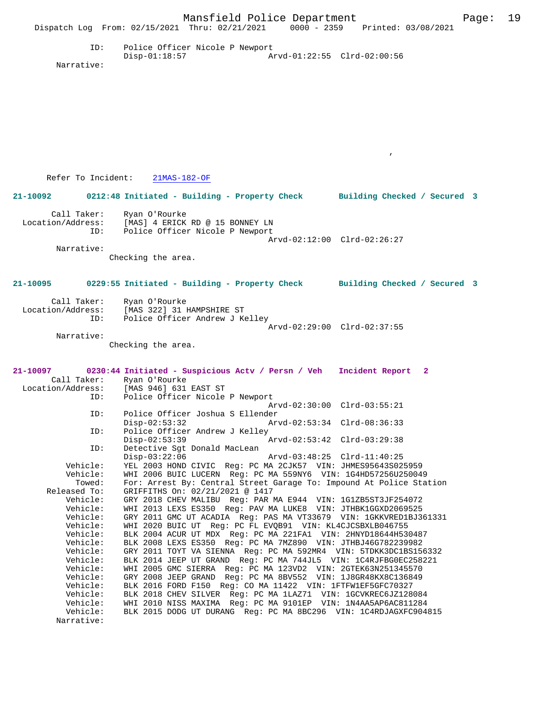|                      |                                                                                                             | Mansfield Police Department                                | Dispatch Log From: 02/15/2021 Thru: 02/21/2021 0000 - 2359 Printed: 03/08/2021                                                    | Page: | 19 |
|----------------------|-------------------------------------------------------------------------------------------------------------|------------------------------------------------------------|-----------------------------------------------------------------------------------------------------------------------------------|-------|----|
| ID:<br>Narrative:    | $Disp-01:18:57$                                                                                             | Police Officer Nicole P Newport                            | Arvd-01:22:55 Clrd-02:00:56                                                                                                       |       |    |
|                      |                                                                                                             |                                                            |                                                                                                                                   |       |    |
|                      |                                                                                                             |                                                            |                                                                                                                                   |       |    |
|                      | Refer To Incident: 21MAS-182-OF                                                                             |                                                            |                                                                                                                                   |       |    |
|                      |                                                                                                             |                                                            | 21-10092 0212:48 Initiated - Building - Property Check Building Checked / Secured 3                                               |       |    |
|                      |                                                                                                             |                                                            |                                                                                                                                   |       |    |
| Call Taker:<br>ID:   | Ryan O'Rourke<br>Location/Address: [MAS] 4 ERICK RD @ 15 BONNEY LN                                          | Police Officer Nicole P Newport                            |                                                                                                                                   |       |    |
| Narrative:           |                                                                                                             |                                                            | Arvd-02:12:00 Clrd-02:26:27                                                                                                       |       |    |
|                      | Checking the area.                                                                                          |                                                            |                                                                                                                                   |       |    |
|                      |                                                                                                             |                                                            | 21-10095 0229:55 Initiated - Building - Property Check Building Checked / Secured 3                                               |       |    |
| ID:                  | Call Taker: Ryan O'Rourke<br>Location/Address: [MAS 322] 31 HAMPSHIRE ST                                    | Police Officer Andrew J Kelley                             |                                                                                                                                   |       |    |
| Narrative:           |                                                                                                             |                                                            | Arvd-02:29:00 Clrd-02:37:55                                                                                                       |       |    |
|                      | Checking the area.                                                                                          |                                                            |                                                                                                                                   |       |    |
|                      |                                                                                                             |                                                            | 21-10097 0230:44 Initiated - Suspicious Actv / Persn / Veh Incident Report 2                                                      |       |    |
|                      | Call Taker: Ryan O'Rourke<br>Location/Address: [MAS 946] 631 EAST ST<br>ID: Police Officer Nicole P Newport |                                                            |                                                                                                                                   |       |    |
|                      |                                                                                                             |                                                            | Arvd-02:30:00 Clrd-03:55:21                                                                                                       |       |    |
|                      | ID: Police Officer Joshua S Ellender<br>$Disp-02:53:32$                                                     |                                                            | Arvd-02:53:34 Clrd-08:36:33                                                                                                       |       |    |
| ID:                  | $Disp-02:53:39$                                                                                             | Police Officer Andrew J Kelley                             | Arvd-02:53:42 Clrd-03:29:38                                                                                                       |       |    |
| ID:                  | $Disp-03:22:06$                                                                                             | Detective Sqt Donald MacLean                               | Arvd-03:48:25 Clrd-11:40:25                                                                                                       |       |    |
| Vehicle:<br>Vehicle: |                                                                                                             |                                                            | YEL 2003 HOND CIVIC Req: PC MA 2CJK57 VIN: JHMES95643S025959<br>WHI 2006 BUIC LUCERN Req: PC MA 559NY6 VIN: 1G4HD57256U250049     |       |    |
| Towed:               |                                                                                                             |                                                            | For: Arrest By: Central Street Garage To: Impound At Police Station                                                               |       |    |
| Released To:         |                                                                                                             | GRIFFITHS On: 02/21/2021 @ 1417                            |                                                                                                                                   |       |    |
| Vehicle:             |                                                                                                             |                                                            | GRY 2018 CHEV MALIBU Req: PAR MA E944 VIN: 1G1ZB5ST3JF254072                                                                      |       |    |
| Vehicle:<br>Vehicle: |                                                                                                             |                                                            | WHI 2013 LEXS ES350 Reg: PAV MA LUKE8 VIN: JTHBK1GGXD2069525<br>GRY 2011 GMC UT ACADIA Req: PAS MA VT33679 VIN: 1GKKVRED1BJ361331 |       |    |
| Vehicle:             |                                                                                                             | WHI 2020 BUIC UT Reg: PC FL EVQB91 VIN: KL4CJCSBXLB046755  |                                                                                                                                   |       |    |
| Vehicle:             |                                                                                                             |                                                            | BLK 2004 ACUR UT MDX Req: PC MA 221FA1 VIN: 2HNYD18644H530487                                                                     |       |    |
| Vehicle:<br>Vehicle: |                                                                                                             |                                                            | BLK 2008 LEXS ES350 Reg: PC MA 7MZ890 VIN: JTHBJ46G782239982<br>GRY 2011 TOYT VA SIENNA Reg: PC MA 592MR4 VIN: 5TDKK3DC1BS156332  |       |    |
| Vehicle:             |                                                                                                             |                                                            | BLK 2014 JEEP UT GRAND Req: PC MA 744JL5 VIN: 1C4RJFBG0EC258221                                                                   |       |    |
| Vehicle:             |                                                                                                             |                                                            | WHI 2005 GMC SIERRA Reg: PC MA 123VD2 VIN: 2GTEK63N251345570                                                                      |       |    |
| Vehicle:             |                                                                                                             |                                                            | GRY 2008 JEEP GRAND Reg: PC MA 8BV552 VIN: 1J8GR48KX8C136849                                                                      |       |    |
| Vehicle:<br>Vehicle: |                                                                                                             | BLK 2016 FORD F150 Reg: CO MA 11422 VIN: 1FTFW1EF5GFC70327 | BLK 2018 CHEV SILVER Req: PC MA 1LAZ71 VIN: 1GCVKREC6JZ128084                                                                     |       |    |
| Vehicle:             |                                                                                                             |                                                            | WHI 2010 NISS MAXIMA Reg: PC MA 9101EP VIN: 1N4AA5AP6AC811284                                                                     |       |    |
| Vehicle:             |                                                                                                             |                                                            | BLK 2015 DODG UT DURANG Reg: PC MA 8BC296 VIN: 1C4RDJAGXFC904815                                                                  |       |    |
| Narrative:           |                                                                                                             |                                                            |                                                                                                                                   |       |    |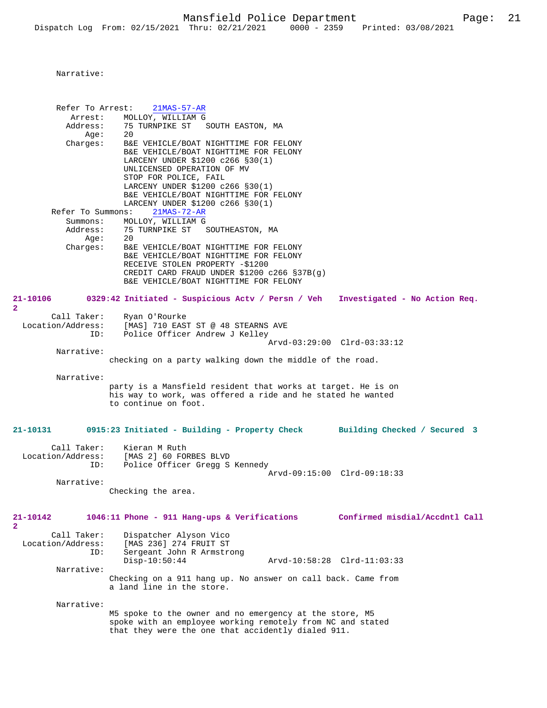Refer To Arrest: 21MAS-57-AR Arrest: MOLLOY, WILLIAM G<br>Address: 75 TURNPIKE ST 75 TURNPIKE ST SOUTH EASTON, MA<br>20 Age: Charges: B&E VEHICLE/BOAT NIGHTTIME FOR FELONY B&E VEHICLE/BOAT NIGHTTIME FOR FELONY LARCENY UNDER \$1200 c266 §30(1) UNLICENSED OPERATION OF MV STOP FOR POLICE, FAIL LARCENY UNDER \$1200 c266 §30(1) B&E VEHICLE/BOAT NIGHTTIME FOR FELONY LARCENY UNDER \$1200 c266 §30(1)<br>ns: 21MAS-72-AR Refer To Summons: Summons: MOLLOY, WILLIAM G<br>Address: 75 TURNPIKE ST 75 TURNPIKE ST SOUTHEASTON, MA Age: Charges: B&E VEHICLE/BOAT NIGHTTIME FOR FELONY B&E VEHICLE/BOAT NIGHTTIME FOR FELONY RECEIVE STOLEN PROPERTY -\$1200 CREDIT CARD FRAUD UNDER \$1200 c266 §37B(g) B&E VEHICLE/BOAT NIGHTTIME FOR FELONY **21-10106 0329:42 Initiated - Suspicious Actv / Persn / Veh Investigated - No Action Req. 2**  Call Taker: Ryan O'Rourke<br>Location/Address: [MAS] 710 EAS ess: [MAS] 710 EAST ST @ 48 STEARNS AVE Police Officer Andrew J Kelley Arvd-03:29:00 Clrd-03:33:12 Narrative: checking on a party walking down the middle of the road. Narrative: party is a Mansfield resident that works at target. He is on his way to work, was offered a ride and he stated he wanted to continue on foot. **21-10131 0915:23 Initiated - Building - Property Check Building Checked / Secured 3** Call Taker: Kieran M Ruth Location/Address: [MAS 2] 60 FORBES BLVD ID: Police Officer Gregg S Kennedy Arvd-09:15:00 Clrd-09:18:33 Narrative: Checking the area. **21-10142 1046:11 Phone - 911 Hang-ups & Verifications Confirmed misdial/Accdntl Call 2**  Call Taker: Dispatcher Alyson Vico<br>Location/Address: [MAS 236] 274 FRUIT ST ess: [MAS 236] 274 FRUIT ST<br>ID: Sergeant John R Armstro Sergeant John R Armstrong Disp-10:50:44 Arvd-10:58:28 Clrd-11:03:33 Narrative: Checking on a 911 hang up. No answer on call back. Came from a land line in the store. Narrative: M5 spoke to the owner and no emergency at the store, M5 spoke with an employee working remotely from NC and stated that they were the one that accidently dialed 911.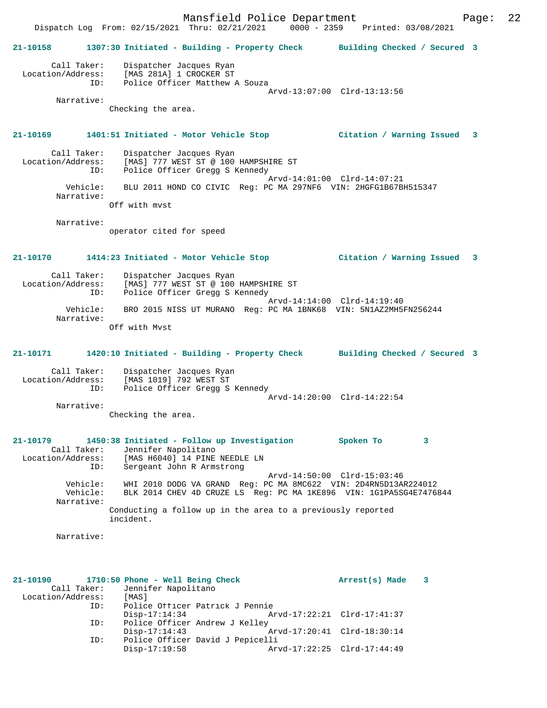Mansfield Police Department Page: 22 Dispatch Log From: 02/15/2021 Thru: 02/21/2021 0000 - 2359 Printed: 03/08/2021 **21-10158 1307:30 Initiated - Building - Property Check Building Checked / Secured 3** Call Taker: Dispatcher Jacques Ryan Location/Address: [MAS 281A] 1 CROCKER ST ID: Police Officer Matthew A Souza Arvd-13:07:00 Clrd-13:13:56 Narrative: Checking the area. **21-10169 1401:51 Initiated - Motor Vehicle Stop Citation / Warning Issued 3** Call Taker: Dispatcher Jacques Ryan Location/Address: [MAS] 777 WEST ST @ 100 HAMPSHIRE ST<br>TD: Police Officer Gregg S Kennedy Police Officer Gregg S Kennedy Arvd-14:01:00 Clrd-14:07:21 Vehicle: BLU 2011 HOND CO CIVIC Reg: PC MA 297NF6 VIN: 2HGFG1B67BH515347 Narrative: Off with mvst Narrative: operator cited for speed **21-10170 1414:23 Initiated - Motor Vehicle Stop Citation / Warning Issued 3** Call Taker: Dispatcher Jacques Ryan Location/Address: [MAS] 777 WEST ST @ 100 HAMPSHIRE ST ID: Police Officer Gregg S Kennedy Arvd-14:14:00 Clrd-14:19:40 Vehicle: BRO 2015 NISS UT MURANO Reg: PC MA 1BNK68 VIN: 5N1AZ2MH5FN256244 Narrative: Off with Mvst **21-10171 1420:10 Initiated - Building - Property Check Building Checked / Secured 3** Call Taker: Dispatcher Jacques Ryan Location/Address: [MAS 1019] 792 WEST ST ID: Police Officer Gregg S Kennedy Arvd-14:20:00 Clrd-14:22:54 Narrative: Checking the area. **21-10179 1450:38 Initiated - Follow up Investigation Spoken To 3**  Call Taker: Jennifer Napolitano<br>Location/Address: [MAS H6040] 14 PINE<br>ID: Sergeant John R Arms Location/Address: [MAS H6040] 14 PINE NEEDLE LN ID: Sergeant John R Armstrong Arvd-14:50:00 Clrd-15:03:46 Vehicle: WHI 2010 DODG VA GRAND Reg: PC MA 8MC622 VIN: 2D4RN5D13AR224012 Vehicle: BLK 2014 CHEV 4D CRUZE LS Reg: PC MA 1KE896 VIN: 1G1PA5SG4E7476844 Narrative: Conducting a follow up in the area to a previously reported incident. Narrative: **21-10190 1710:50 Phone - Well Being Check Arrest(s) Made 3**  Call Taker: Jennifer Napolitano<br>tion/Address: [MAS] Location/Address: ID: Police Officer Patrick J Pennie Disp-17:14:34 Arvd-17:22:21 Clrd-17:41:37<br>ID: Police Officer Andrew J Kelley Police Officer Andrew J Kelley<br>Disp-17:14:43 Arvd-17:20:41 Clrd-18:30:14 ID: Police Officer David J Pepicelli Disp-17:19:58 Arvd-17:22:25 Clrd-17:44:49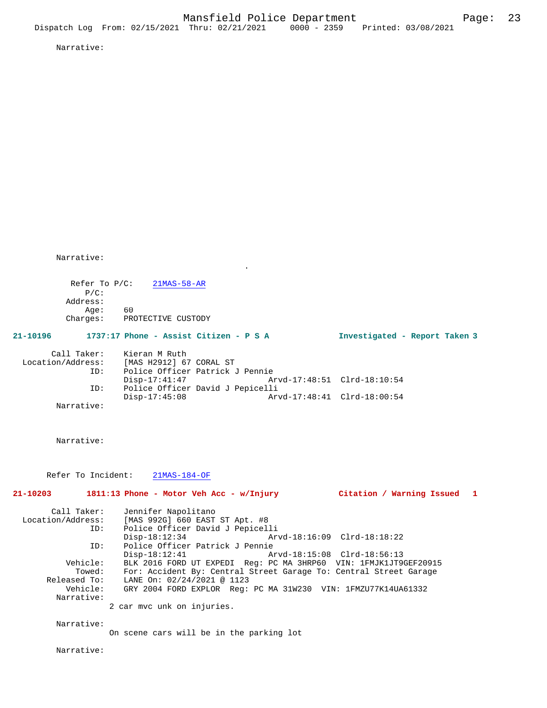Narrative:

Refer To P/C: 21MAS-58-AR P/C: Address: Age: 60 Charges: PROTECTIVE CUSTODY

# **21-10196 1737:17 Phone - Assist Citizen - P S A Investigated - Report Taken 3**

| Call Taker:       | Kieran M Ruth           |                                  |  |
|-------------------|-------------------------|----------------------------------|--|
| Location/Address: | [MAS H2912] 67 CORAL ST |                                  |  |
| TD:               |                         | Police Officer Patrick J Pennie  |  |
|                   | Disp-17:41:47           | Arvd-17:48:51 Clrd-18:10:54      |  |
| ID:               |                         | Police Officer David J Pepicelli |  |
|                   | Disp-17:45:08           | Arvd-17:48:41 Clrd-18:00:54      |  |
| Narrative:        |                         |                                  |  |

.

Narrative:

Refer To Incident: 21MAS-184-OF

|            | $21-10203$ 1811:13 Phone - Motor Veh Acc - w/Injury<br>Citation / Warning Issued 1 |  |
|------------|------------------------------------------------------------------------------------|--|
|            | Call Taker: Jennifer Napolitano                                                    |  |
|            | Location/Address: [MAS 992G] 660 EAST ST Apt. #8                                   |  |
| ID:        | Police Officer David J Pepicelli                                                   |  |
|            | $Disp-18:12:34$                                                                    |  |
| ID:        | Police Officer Patrick J Pennie                                                    |  |
|            | Disp-18:12:41                                                                      |  |
| Vehicle:   | BLK 2016 FORD UT EXPEDI Req: PC MA 3HRP60 VIN: 1FMJK1JT9GEF20915                   |  |
| Towed:     | For: Accident By: Central Street Garage To: Central Street Garage                  |  |
|            | Released To: LANE On: 02/24/2021 @ 1123                                            |  |
|            | Vehicle: GRY 2004 FORD EXPLOR Req: PC MA 31W230 VIN: 1FMZU77K14UA61332             |  |
| Narrative: |                                                                                    |  |
|            | 2 car mvc unk on injuries.                                                         |  |
| Narrative: |                                                                                    |  |
|            | On scene cars will be in the parking lot                                           |  |
| Narrative: |                                                                                    |  |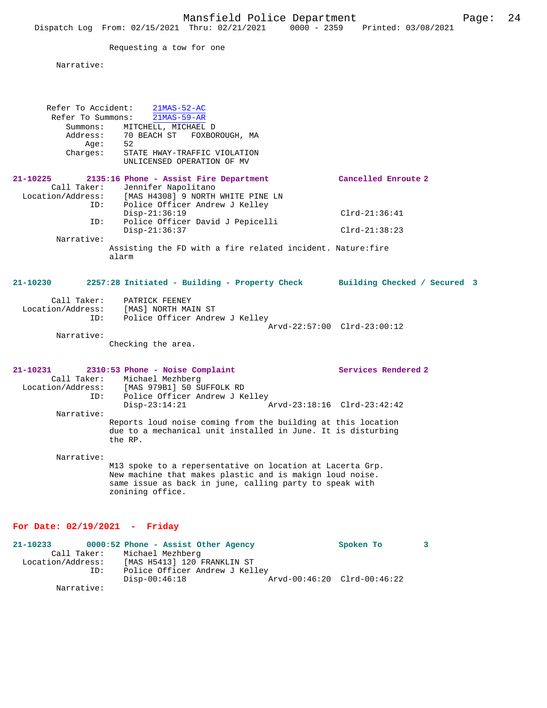Requesting a tow for one

ID: Police Officer Andrew J Kelley

Narrative:

Disp-00:46:18 Arvd-00:46:20 Clrd-00:46:22

Narrative:

| Refer To Accident:<br>Refer To Summons:<br>Summons:<br>Address:<br>Aqe:<br>Charges: | $21MAS-52-AC$<br>$21MAS-59-AR$<br>MITCHELL, MICHAEL D<br>70 BEACH ST FOXBOROUGH, MA<br>52<br>STATE HWAY-TRAFFIC VIOLATION<br>UNLICENSED OPERATION OF MV                                                                                                                                                        |                                                    |   |
|-------------------------------------------------------------------------------------|----------------------------------------------------------------------------------------------------------------------------------------------------------------------------------------------------------------------------------------------------------------------------------------------------------------|----------------------------------------------------|---|
| $21 - 10225$<br>Call Taker:<br>Location/Address:<br>ID:<br>ID:                      | 2135:16 Phone - Assist Fire Department<br>Jennifer Napolitano<br>[MAS H4308] 9 NORTH WHITE PINE LN<br>Police Officer Andrew J Kelley<br>$Disp-21:36:19$<br>Police Officer David J Pepicelli                                                                                                                    | Cancelled Enroute 2<br>$Clrd-21:36:41$             |   |
| Narrative:                                                                          | $Disp-21:36:37$<br>Assisting the FD with a fire related incident. Nature: fire<br>alarm                                                                                                                                                                                                                        | $Clrd-21:38:23$                                    |   |
| $21 - 10230$                                                                        | 2257:28 Initiated - Building - Property Check Building Checked / Secured 3                                                                                                                                                                                                                                     |                                                    |   |
| Call Taker:<br>ID:<br>Narrative:                                                    | PATRICK FEENEY<br>Location/Address: [MAS] NORTH MAIN ST<br>Police Officer Andrew J Kelley<br>Checking the area.                                                                                                                                                                                                | Arvd-22:57:00 Clrd-23:00:12                        |   |
| $21 - 10231$<br>ID:<br>Narrative:                                                   | 2310:53 Phone - Noise Complaint<br>Call Taker: Michael Mezhberg<br>Location/Address: [MAS 979B1] 50 SUFFOLK RD<br>Police Officer Andrew J Kelley<br>$Disp-23:14:21$<br>Reports loud noise coming from the building at this location<br>due to a mechanical unit installed in June. It is disturbing<br>the RP. | Services Rendered 2<br>Arvd-23:18:16 Clrd-23:42:42 |   |
| Narrative:                                                                          | M13 spoke to a repersentative on location at Lacerta Grp.<br>New machine that makes plastic and is makign loud noise.<br>same issue as back in june, calling party to speak with<br>zonining office.                                                                                                           |                                                    |   |
| For Date: $02/19/2021$ - Friday                                                     |                                                                                                                                                                                                                                                                                                                |                                                    |   |
| 21-10233<br>Call Taker:<br>Location/Address:                                        | 0000:52 Phone - Assist Other Agency<br>Michael Mezhberg<br>[MAS H5413] 120 FRANKLIN ST                                                                                                                                                                                                                         | Spoken To                                          | 3 |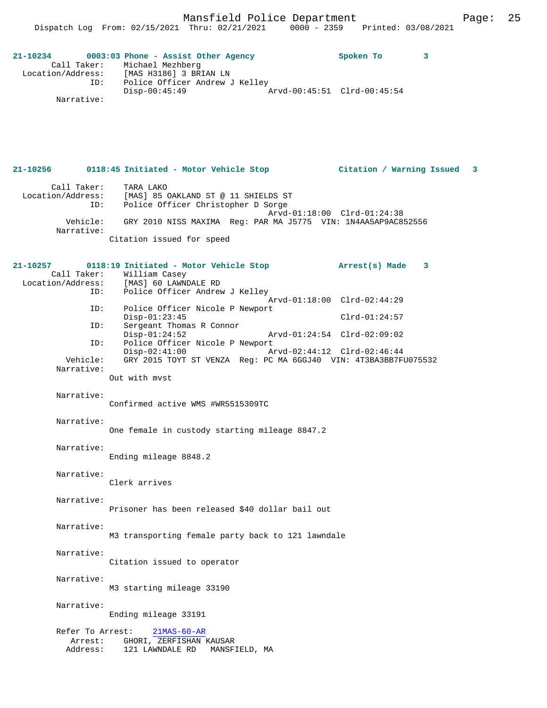| 21-10234          |                              |                 | 0003:03 Phone - Assist Other Agency |  | Spoken To |  |
|-------------------|------------------------------|-----------------|-------------------------------------|--|-----------|--|
|                   | Call Taker: Michael Mezhberg |                 |                                     |  |           |  |
| Location/Address: |                              |                 | [MAS H3186] 3 BRIAN LN              |  |           |  |
|                   | ID:                          |                 | Police Officer Andrew J Kelley      |  |           |  |
|                   |                              | $Disp-00:45:49$ |                                     |  |           |  |
|                   | Narrative:                   |                 |                                     |  |           |  |

# **21-10256 0118:45 Initiated - Motor Vehicle Stop Citation / Warning Issued 3** Call Taker: TARA LAKO Location/Address: [MAS] 85 OAKLAND ST @ 11 SHIELDS ST

 ID: Police Officer Christopher D Sorge Arvd-01:18:00 Clrd-01:24:38 Vehicle: GRY 2010 NISS MAXIMA Reg: PAR MA J5775 VIN: 1N4AA5AP9AC852556 Narrative: Citation issued for speed

## **21-10257 0118:19 Initiated - Motor Vehicle Stop Arrest(s) Made 3**  Call Taker: William Casey<br>Location/Address: [MAS] 60 LAWNI [MAS] 60 LAWNDALE RD ID: Police Officer Andrew J Kelley Arvd-01:18:00 Clrd-02:44:29 ID: Police Officer Nicole P Newport Disp-01:23:45 Clrd-01:24:57<br>ID: Sergeant Thomas R Connor Sergeant Thomas R Connor<br>Disp-01:24:52 Disp-01:24:52 Arvd-01:24:54 Clrd-02:09:02 ID: Police Officer Nicole P Newport<br>Disp-02:41:00 A Disp-02:41:00 Arvd-02:44:12 Clrd-02:46:44 Vehicle: GRY 2015 TOYT ST VENZA Reg: PC MA 6GGJ40 VIN: 4T3BA3BB7FU075532 Narrative:

Out with mvst

#### Narrative:

Confirmed active WMS #WR5515309TC

## Narrative:

One female in custody starting mileage 8847.2

### Narrative:

Ending mileage 8848.2

### Narrative:

Clerk arrives

#### Narrative:

Prisoner has been released \$40 dollar bail out

## Narrative:

M3 transporting female party back to 121 lawndale

### Narrative:

Citation issued to operator

## Narrative:

M3 starting mileage 33190

# Narrative:

Ending mileage 33191

# Refer To Arrest: 21MAS-60-AR Arrest: GHORI, ZERFISHAN KAUSAR Address: 121 LAWNDALE RD MANSFIELD, MA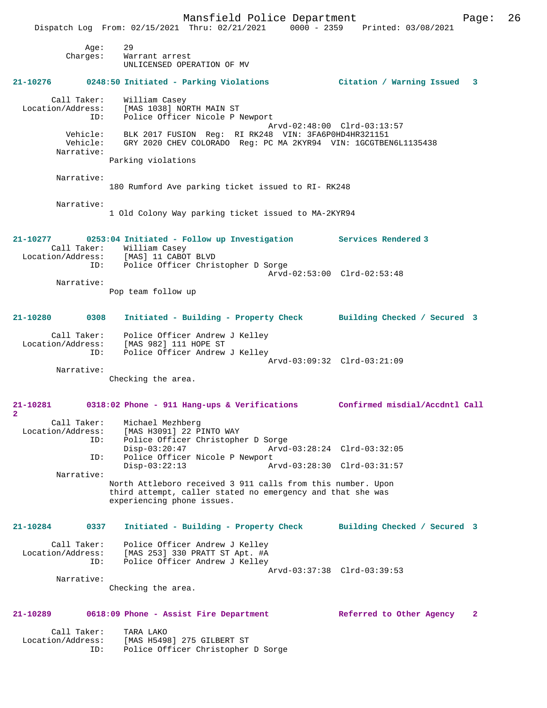Mansfield Police Department Page: 26 Dispatch Log From: 02/15/2021 Thru: 02/21/2021 0000 - 2359 Printed: 03/08/2021 Age: 29 Charges: Warrant arrest UNLICENSED OPERATION OF MV **21-10276 0248:50 Initiated - Parking Violations Citation / Warning Issued 3** Call Taker: William Casey Location/Address: [MAS 1038] NORTH MAIN ST ID: Police Officer Nicole P Newport Arvd-02:48:00 Clrd-03:13:57 Vehicle: BLK 2017 FUSION Reg: RI RK248 VIN: 3FA6P0HD4HR321151 Vehicle: GRY 2020 CHEV COLORADO Reg: PC MA 2KYR94 VIN: 1GCGTBEN6L1135438 Narrative: Parking violations Narrative: 180 Rumford Ave parking ticket issued to RI- RK248 Narrative: 1 Old Colony Way parking ticket issued to MA-2KYR94 **21-10277 0253:04 Initiated - Follow up Investigation Services Rendered 3**  Call Taker: William Casey<br>Location/Address: [MAS] 11 CABO [MAS] 11 CABOT BLVD ID: Police Officer Christopher D Sorge Arvd-02:53:00 Clrd-02:53:48 Narrative: Pop team follow up **21-10280 0308 Initiated - Building - Property Check Building Checked / Secured 3** Call Taker: Police Officer Andrew J Kelley Location/Address: [MAS 982] 111 HOPE ST ID: Police Officer Andrew J Kelley Arvd-03:09:32 Clrd-03:21:09 Narrative: Checking the area. **21-10281 0318:02 Phone - 911 Hang-ups & Verifications Confirmed misdial/Accdntl Call 2**  Call Taker: Michael Mezhberg Location/Address: [MAS H3091] 22 PINTO WAY Police Officer Christopher D Sorge<br>Disp-03:20:47 Arvd-Disp-03:20:47 Arvd-03:28:24 Clrd-03:32:05<br>ID: Police Officer Nicole P Newport Police Officer Nicole P Newport<br>Disp-03:22:13 Ar Disp-03:22:13 Arvd-03:28:30 Clrd-03:31:57 Narrative: North Attleboro received 3 911 calls from this number. Upon third attempt, caller stated no emergency and that she was experiencing phone issues. **21-10284 0337 Initiated - Building - Property Check Building Checked / Secured 3** Call Taker: Police Officer Andrew J Kelley Location/Address: [MAS 253] 330 PRATT ST Apt. #A ID: Police Officer Andrew J Kelley Arvd-03:37:38 Clrd-03:39:53 Narrative: Checking the area. **21-10289 0618:09 Phone - Assist Fire Department Referred to Other Agency 2**

Call Taker: TARA LAKO<br>Location/Address: [MAS H549 [MAS H5498] 275 GILBERT ST ID: Police Officer Christopher D Sorge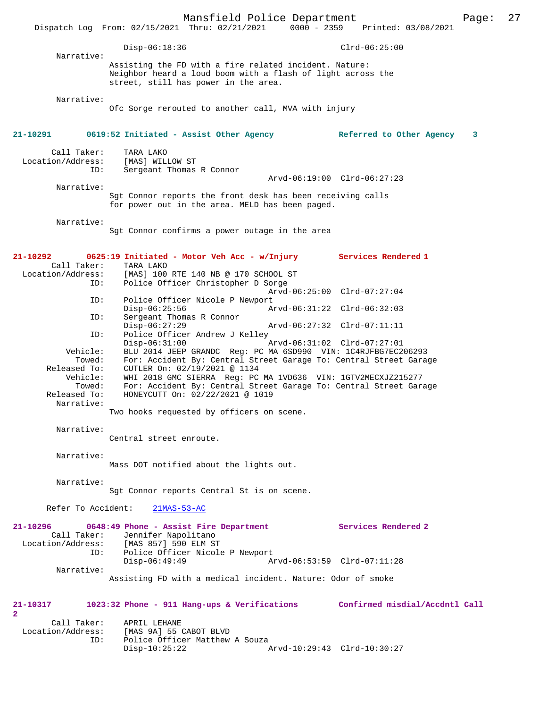|                               |                    |                                                                                                                                    | Mansfield Police Department |                             |                            |                          | Page: | 27 |
|-------------------------------|--------------------|------------------------------------------------------------------------------------------------------------------------------------|-----------------------------|-----------------------------|----------------------------|--------------------------|-------|----|
|                               |                    | Dispatch Log From: 02/15/2021 Thru: 02/21/2021                                                                                     |                             | $0000 - 2359$               |                            | Printed: 03/08/2021      |       |    |
|                               |                    | $Disp-06:18:36$                                                                                                                    |                             |                             | $Clrd-06:25:00$            |                          |       |    |
|                               | Narrative:         |                                                                                                                                    |                             |                             |                            |                          |       |    |
|                               |                    | Assisting the FD with a fire related incident. Nature:<br>Neighbor heard a loud boom with a flash of light across the              |                             |                             |                            |                          |       |    |
|                               |                    | street, still has power in the area.                                                                                               |                             |                             |                            |                          |       |    |
|                               | Narrative:         |                                                                                                                                    |                             |                             |                            |                          |       |    |
|                               |                    | Ofc Sorge rerouted to another call, MVA with injury                                                                                |                             |                             |                            |                          |       |    |
|                               |                    |                                                                                                                                    |                             |                             |                            |                          |       |    |
| 21-10291                      |                    | 0619:52 Initiated - Assist Other Agency                                                                                            |                             |                             |                            | Referred to Other Agency | 3     |    |
| Call Taker:                   |                    | TARA LAKO                                                                                                                          |                             |                             |                            |                          |       |    |
| Location/Address:             |                    | [MAS] WILLOW ST                                                                                                                    |                             |                             |                            |                          |       |    |
|                               | ID:                | Sergeant Thomas R Connor                                                                                                           |                             |                             |                            |                          |       |    |
|                               | Narrative:         |                                                                                                                                    |                             | Arvd-06:19:00 Clrd-06:27:23 |                            |                          |       |    |
|                               |                    | Sgt Connor reports the front desk has been receiving calls                                                                         |                             |                             |                            |                          |       |    |
|                               |                    | for power out in the area. MELD has been paged.                                                                                    |                             |                             |                            |                          |       |    |
|                               | Narrative:         |                                                                                                                                    |                             |                             |                            |                          |       |    |
|                               |                    | Sqt Connor confirms a power outage in the area                                                                                     |                             |                             |                            |                          |       |    |
|                               |                    |                                                                                                                                    |                             |                             |                            |                          |       |    |
| 21-10292                      |                    | 0625:19 Initiated - Motor Veh Acc - w/Injury                                                                                       |                             |                             | Services Rendered 1        |                          |       |    |
|                               | Call Taker:        | TARA LAKO<br>Location/Address: [MAS] 100 RTE 140 NB @ 170 SCHOOL ST                                                                |                             |                             |                            |                          |       |    |
|                               | ID:                | Police Officer Christopher D Sorge                                                                                                 |                             |                             |                            |                          |       |    |
|                               | ID:                | Police Officer Nicole P Newport                                                                                                    |                             | Arvd-06:25:00 Clrd-07:27:04 |                            |                          |       |    |
|                               |                    | $Disp-06:25:56$                                                                                                                    |                             | Arvd-06:31:22 Clrd-06:32:03 |                            |                          |       |    |
|                               | ID:                | Sergeant Thomas R Connor<br>$Disp-06:27:29$                                                                                        |                             | Arvd-06:27:32 Clrd-07:11:11 |                            |                          |       |    |
|                               | ID:                | Police Officer Andrew J Kelley                                                                                                     |                             |                             |                            |                          |       |    |
|                               |                    | $Disp-06:31:00$                                                                                                                    |                             | Arvd-06:31:02 Clrd-07:27:01 |                            |                          |       |    |
|                               | Vehicle:<br>Towed: | BLU 2014 JEEP GRANDC Req: PC MA 6SD990 VIN: 1C4RJFBG7EC206293<br>For: Accident By: Central Street Garage To: Central Street Garage |                             |                             |                            |                          |       |    |
| Released To:                  |                    | CUTLER On: 02/19/2021 @ 1134                                                                                                       |                             |                             |                            |                          |       |    |
|                               | Vehicle:<br>Towed: | WHI 2018 GMC SIERRA Reg: PC MA 1VD636 VIN: 1GTV2MECXJZ215277<br>For: Accident By: Central Street Garage To: Central Street Garage  |                             |                             |                            |                          |       |    |
| Released To:                  |                    | HONEYCUTT On: 02/22/2021 @ 1019                                                                                                    |                             |                             |                            |                          |       |    |
|                               | Narrative:         |                                                                                                                                    |                             |                             |                            |                          |       |    |
|                               |                    | Two hooks requested by officers on scene.                                                                                          |                             |                             |                            |                          |       |    |
|                               | Narrative:         |                                                                                                                                    |                             |                             |                            |                          |       |    |
|                               |                    | Central street enroute.                                                                                                            |                             |                             |                            |                          |       |    |
|                               | Narrative:         |                                                                                                                                    |                             |                             |                            |                          |       |    |
|                               |                    | Mass DOT notified about the lights out.                                                                                            |                             |                             |                            |                          |       |    |
|                               | Narrative:         |                                                                                                                                    |                             |                             |                            |                          |       |    |
|                               |                    | Sgt Connor reports Central St is on scene.                                                                                         |                             |                             |                            |                          |       |    |
|                               | Refer To Accident: | $21MAS-53-AC$                                                                                                                      |                             |                             |                            |                          |       |    |
|                               |                    |                                                                                                                                    |                             |                             |                            |                          |       |    |
| $21 - 10296$                  | Call Taker:        | 0648:49 Phone - Assist Fire Department<br>Jennifer Napolitano                                                                      |                             |                             | <b>Services Rendered 2</b> |                          |       |    |
|                               |                    | Location/Address: [MAS 857] 590 ELM ST                                                                                             |                             |                             |                            |                          |       |    |
|                               | ID:                | Police Officer Nicole P Newport                                                                                                    |                             |                             |                            |                          |       |    |
|                               | Narrative:         | $Disp-06:49:49$                                                                                                                    |                             | Arvd-06:53:59 Clrd-07:11:28 |                            |                          |       |    |
|                               |                    | Assisting FD with a medical incident. Nature: Odor of smoke                                                                        |                             |                             |                            |                          |       |    |
|                               |                    |                                                                                                                                    |                             |                             |                            |                          |       |    |
| 21-10317                      |                    | 1023:32 Phone - 911 Hang-ups & Verifications Confirmed misdial/Accdntl Call                                                        |                             |                             |                            |                          |       |    |
| $\overline{2}$<br>Call Taker: |                    | APRIL LEHANE                                                                                                                       |                             |                             |                            |                          |       |    |
| Location/Address:             |                    | [MAS 9A] 55 CABOT BLVD                                                                                                             |                             |                             |                            |                          |       |    |
|                               | ID:                | Police Officer Matthew A Souza<br>$Disp-10:25:22$                                                                                  |                             | Arvd-10:29:43 Clrd-10:30:27 |                            |                          |       |    |
|                               |                    |                                                                                                                                    |                             |                             |                            |                          |       |    |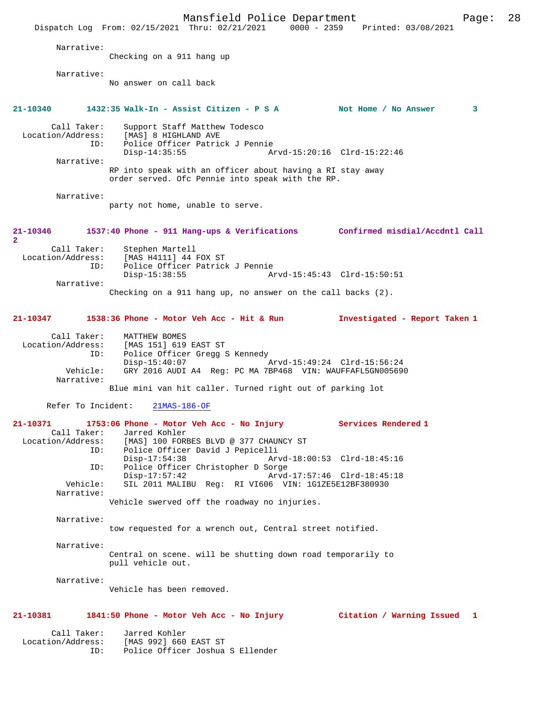Mansfield Police Department Fage: 28 Dispatch Log From: 02/15/2021 Thru: 02/21/2021 0000 - 2359 Printed: 03/08/2021 Narrative: Checking on a 911 hang up Narrative: No answer on call back **21-10340 1432:35 Walk-In - Assist Citizen - P S A Not Home / No Answer 3** Call Taker: Support Staff Matthew Todesco<br>Location/Address: [MAS] 8 HIGHLAND AVE ess: [MAS] 8 HIGHLAND AVE<br>ID: Police Officer Patric Police Officer Patrick J Pennie Disp-14:35:55 Arvd-15:20:16 Clrd-15:22:46 Narrative: RP into speak with an officer about having a RI stay away order served. Ofc Pennie into speak with the RP. Narrative: party not home, unable to serve. **21-10346 1537:40 Phone - 911 Hang-ups & Verifications Confirmed misdial/Accdntl Call 2**  Call Taker: Stephen Martell<br>Location/Address: [MAS H4111] 44 ess: [MAS H4111] 44 FOX ST<br>ID: Police Officer Patrick Police Officer Patrick J Pennie<br>Disp-15:38:55 A Disp-15:38:55 Arvd-15:45:43 Clrd-15:50:51 Narrative: Checking on a 911 hang up, no answer on the call backs (2). **21-10347 1538:36 Phone - Motor Veh Acc - Hit & Run Investigated - Report Taken 1** Call Taker: MATTHEW BOMES<br>Location/Address: [MAS 151] 619 [MAS 151] 619 EAST ST ID: Police Officer Gregg S Kennedy Disp-15:40:07 Arvd-15:49:24 Clrd-15:56:24<br>Vehicle: GRY 2016 AUDI A4 Reg: PC MA 7BP468 VIN: WAUFFAFL5GN005690 GRY 2016 AUDI A4 Reg: PC MA 7BP468 VIN: WAUFFAFL5GN005690 Narrative: Blue mini van hit caller. Turned right out of parking lot Refer To Incident: 21MAS-186-OF **21-10371 1753:06 Phone - Motor Veh Acc - No Injury Services Rendered 1**  Call Taker: Jarred Kohler<br>Location/Address: [MAS] 100 FORI [MAS] 100 FORBES BLVD @ 377 CHAUNCY ST ID: Police Officer David J Pepicelli Disp-17:54:38 Arvd-18:00:53 Clrd-18:45:16 ID: Police Officer Christopher D Sorge Disp-17:57:42 Arvd-17:57:46 Clrd-18:45:18<br>Vehicle: SIL 2011 MALIBU Reg: RI VI606 VIN: 1G1ZE5E12BF380930 SIL 2011 MALIBU Reg: RI VI606 VIN: 1G1ZE5E12BF380930 Narrative: Vehicle swerved off the roadway no injuries. Narrative: tow requested for a wrench out, Central street notified. Narrative: Central on scene. will be shutting down road temporarily to pull vehicle out. Narrative: Vehicle has been removed. **21-10381 1841:50 Phone - Motor Veh Acc - No Injury Citation / Warning Issued 1** Call Taker: Jarred Kohler Location/Address: [MAS 992] 660 EAST ST ID: Police Officer Joshua S Ellender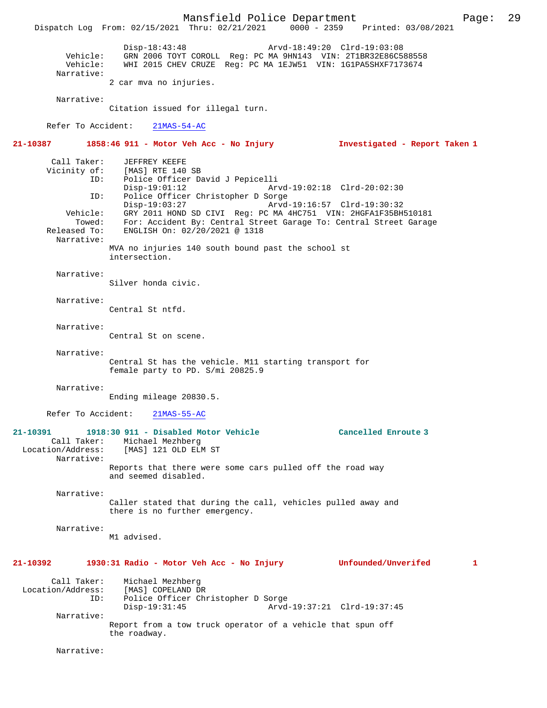Mansfield Police Department Page: 29 Dispatch Log From: 02/15/2021 Thru: 02/21/2021 Disp-18:43:48 Arvd-18:49:20 Clrd-19:03:08 Vehicle: GRN 2006 TOYT COROLL Reg: PC MA 9HN143 VIN: 2T1BR32E86C588558 Vehicle: WHI 2015 CHEV CRUZE Reg: PC MA 1EJW51 VIN: 1G1PA5SHXF7173674 Narrative: 2 car mva no injuries. Narrative: Citation issued for illegal turn. Refer To Accident: 21MAS-54-AC **21-10387 1858:46 911 - Motor Veh Acc - No Injury Investigated - Report Taken 1** Call Taker: JEFFREY KEEFE<br>Vicinity of: [MAS] RTE 140 CHER CONSIDERT<br>Of: [MAS] RTE 140 SB<br>ID: Police Officer Da Police Officer David J Pepicelli<br>Disp-19:01:12 Ar Disp-19:01:12 Arvd-19:02:18 Clrd-20:02:30<br>ID: Police Officer Christopher D Sorge Police Officer Christopher D Sorge<br>Disp-19:03:27 Arvd Disp-19:03:27 Arvd-19:16:57 Clrd-19:30:32 Vehicle: GRY 2011 HOND SD CIVI Reg: PC MA 4HC751 VIN: 2HGFA1F35BH510181 Towed: For: Accident By: Central Street Garage To: Central Street Garage Released To: ENGLISH On: 02/20/2021 @ 1318 Narrative: MVA no injuries 140 south bound past the school st intersection. Narrative: Silver honda civic. Narrative: Central St ntfd. Narrative: Central St on scene. Narrative: Central St has the vehicle. M11 starting transport for female party to PD. S/mi 20825.9 Narrative: Ending mileage 20830.5. Refer To Accident: 21MAS-55-AC **21-10391 1918:30 911 - Disabled Motor Vehicle Cancelled Enroute 3**  Call Taker: Michael Mezhberg<br>Location/Address: [MAS] 121 OLD ELM [MAS] 121 OLD ELM ST Narrative: Reports that there were some cars pulled off the road way and seemed disabled. Narrative: Caller stated that during the call, vehicles pulled away and there is no further emergency. Narrative: M1 advised. **21-10392 1930:31 Radio - Motor Veh Acc - No Injury Unfounded/Unverifed 1** Call Taker: Michael Mezhberg<br>Location/Address: [MAS] COPELAND D Location/Address: [MAS] COPELAND DR ID: Police Officer Christopher D Sorge Disp-19:31:45 Arvd-19:37:21 Clrd-19:37:45 Narrative: Report from a tow truck operator of a vehicle that spun off the roadway. Narrative: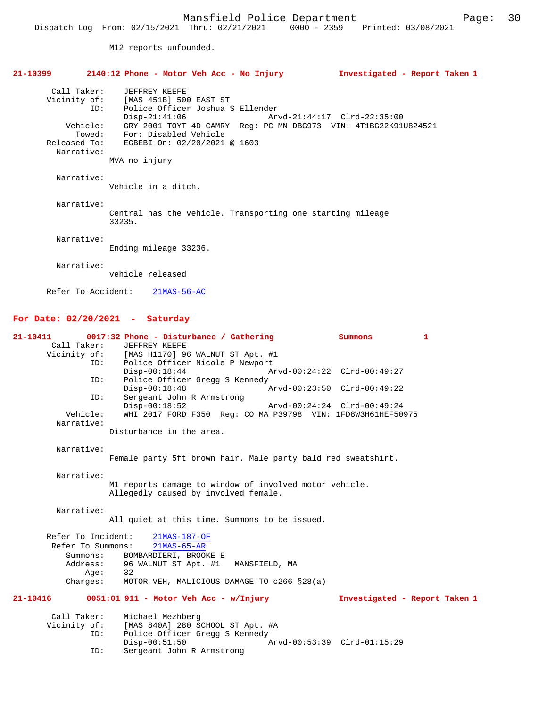M12 reports unfounded.

|                                   | $21-10399$ 2140:12 Phone - Motor Veh Acc - No Injury                                                                                                                                                                                                                                | Investigated - Report Taken 1 |
|-----------------------------------|-------------------------------------------------------------------------------------------------------------------------------------------------------------------------------------------------------------------------------------------------------------------------------------|-------------------------------|
| Call Taker:<br>ID:<br>Narrative:  | JEFFREY KEEFE<br>Vicinity of: [MAS 451B] 500 EAST ST<br>Police Officer Joshua S Ellender<br>Disp-21:41:06<br>Vehicle: GRY 2001 TOYT 4D CAMRY Req: PC MN DBG973 VIN: 4T1BG22K91U824521<br>Towed: For: Disabled Vehicle<br>Released To: EGBEBI On: 02/20/2021 @ 1603<br>MVA no injury | Arvd-21:44:17 Clrd-22:35:00   |
| Narrative:                        | Vehicle in a ditch.                                                                                                                                                                                                                                                                 |                               |
| Narrative:                        | Central has the vehicle. Transporting one starting mileage<br>33235.                                                                                                                                                                                                                |                               |
| Narrative:                        | Ending mileage 33236.                                                                                                                                                                                                                                                               |                               |
| Narrative:                        | vehicle released                                                                                                                                                                                                                                                                    |                               |
| Refer To Accident:                | $21MAS-56-AC$                                                                                                                                                                                                                                                                       |                               |
| For Date: $02/20/2021$ - Saturday |                                                                                                                                                                                                                                                                                     |                               |

| 21-10411           | 0017:32 Phone - Disturbance / Gathering                                        | Summons                       | $\mathbf{1}$ |
|--------------------|--------------------------------------------------------------------------------|-------------------------------|--------------|
| Call Taker:        | JEFFREY KEEFE<br>Vicinity of: [MAS H1170] 96 WALNUT ST Apt. #1                 |                               |              |
| ID:                | Police Officer Nicole P Newport                                                |                               |              |
|                    | $Disp-00:18:44$                                                                | Arvd-00:24:22 Clrd-00:49:27   |              |
| ID:                | Police Officer Gregg S Kennedy                                                 |                               |              |
|                    | $Disp-00:18:48$                                                                | Arvd-00:23:50 Clrd-00:49:22   |              |
| ID:                | Sergeant John R Armstrong                                                      |                               |              |
| Vehicle:           | $Disp-00:18:52$<br>WHI 2017 FORD F350 Req: CO MA P39798 VIN: 1FD8W3H61HEF50975 | Arvd-00:24:24 Clrd-00:49:24   |              |
| Narrative:         |                                                                                |                               |              |
|                    | Disturbance in the area.                                                       |                               |              |
|                    |                                                                                |                               |              |
| Narrative:         |                                                                                |                               |              |
|                    | Female party 5ft brown hair. Male party bald red sweatshirt.                   |                               |              |
| Narrative:         |                                                                                |                               |              |
|                    | M1 reports damage to window of involved motor vehicle.                         |                               |              |
|                    | Allegedly caused by involved female.                                           |                               |              |
|                    |                                                                                |                               |              |
| Narrative:         |                                                                                |                               |              |
|                    | All quiet at this time. Summons to be issued.                                  |                               |              |
| Refer To Incident: | 21MAS-187-OF                                                                   |                               |              |
| Refer To Summons:  | $21MAS-65-AR$                                                                  |                               |              |
| Summons:           | BOMBARDIERI, BROOKE E                                                          |                               |              |
| Address:           | 96 WALNUT ST Apt. #1<br>MANSFIELD, MA                                          |                               |              |
| Aqe:               | 32                                                                             |                               |              |
| Charges:           | MOTOR VEH, MALICIOUS DAMAGE TO c266 §28(a)                                     |                               |              |
| $21 - 10416$       | $0051:01$ 911 - Motor Veh Acc - w/Injury                                       | Investigated - Report Taken 1 |              |
|                    |                                                                                |                               |              |
| Call Taker:        | Michael Mezhberg                                                               |                               |              |
| Vicinity of:       | [MAS 840A] 280 SCHOOL ST Apt. #A                                               |                               |              |
| ID:                | Police Officer Gregg S Kennedy                                                 |                               |              |
|                    | $Disp-00:51:50$                                                                | Arvd-00:53:39 Clrd-01:15:29   |              |
| ID:                | Sergeant John R Armstrong                                                      |                               |              |
|                    |                                                                                |                               |              |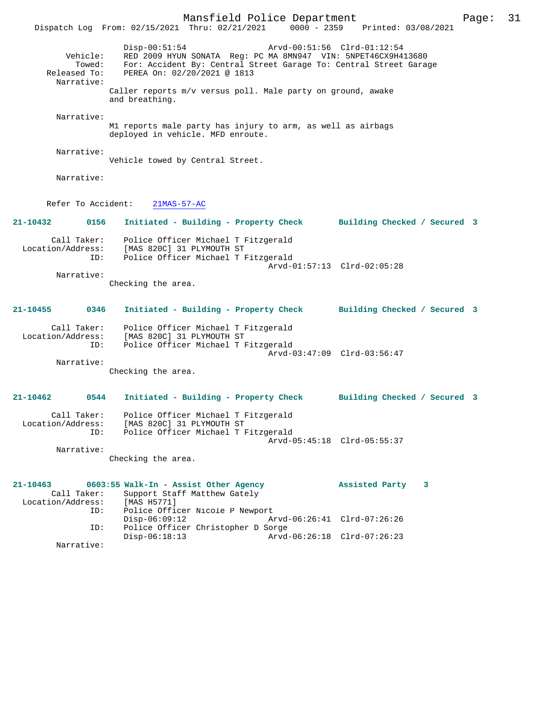Mansfield Police Department Page: 31 Dispatch Log From: 02/15/2021 Thru: 02/21/2021 Disp-00:51:54 Arvd-00:51:56 Clrd-01:12:54 Vehicle: RED 2009 HYUN SONATA Reg: PC MA 8MN947 VIN: 5NPET46CX9H413680 Towed: For: Accident By: Central Street Garage To: Central Street Garage Released To: PEREA On: 02/20/2021 @ 1813 Narrative: Caller reports m/v versus poll. Male party on ground, awake and breathing. Narrative: M1 reports male party has injury to arm, as well as airbags deployed in vehicle. MFD enroute. Narrative: Vehicle towed by Central Street. Narrative: Refer To Accident: 21MAS-57-AC **21-10432 0156 Initiated - Building - Property Check Building Checked / Secured 3** Call Taker: Police Officer Michael T Fitzgerald Location/Address: [MAS 820C] 31 PLYMOUTH ST ID: Police Officer Michael T Fitzgerald Arvd-01:57:13 Clrd-02:05:28 Narrative: Checking the area. **21-10455 0346 Initiated - Building - Property Check Building Checked / Secured 3** Call Taker: Police Officer Michael T Fitzgerald Location/Address: [MAS 820C] 31 PLYMOUTH ST<br>TD: Police Officer Michael T E Police Officer Michael T Fitzgerald Arvd-03:47:09 Clrd-03:56:47 Narrative: Checking the area. **21-10462 0544 Initiated - Building - Property Check Building Checked / Secured 3** Call Taker: Police Officer Michael T Fitzgerald Location/Address: [MAS 820C] 31 PLYMOUTH ST<br>ID: Police Officer Michael T I Police Officer Michael T Fitzgerald Arvd-05:45:18 Clrd-05:55:37 Narrative: Checking the area. **21-10463 0603:55 Walk-In - Assist Other Agency Assisted Party 3**  Call Taker: Support Staff Matthew Gately<br>ion/Address: [MAS H5771] Location/Address: ID: Police Officer Nicole P Newport<br>Disp-06:09:12 A Disp-06:09:12 Arvd-06:26:41 Clrd-07:26:26<br>ID: Police Officer Christopher D Sorge Police Officer Christopher D Sorge<br>Disp-06:18:13 Arvd Disp-06:18:13 Arvd-06:26:18 Clrd-07:26:23 Narrative: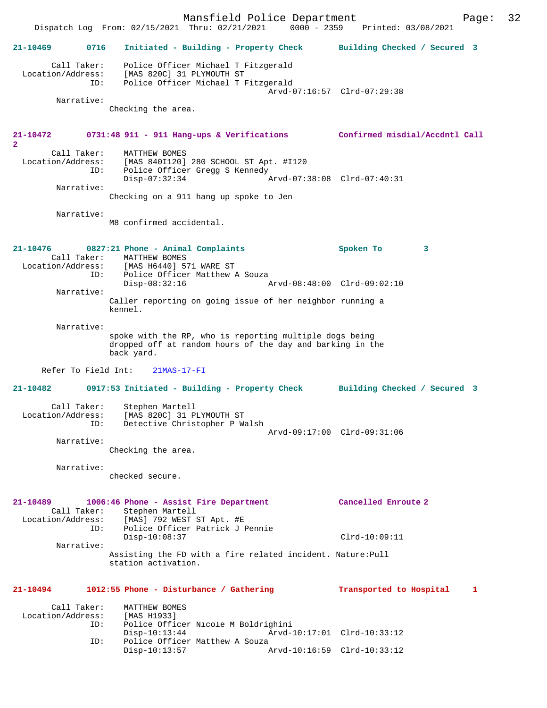Mansfield Police Department Form Page: 32 Dispatch Log From: 02/15/2021 Thru: 02/21/2021 0000 - 2359 Printed: 03/08/2021 **21-10469 0716 Initiated - Building - Property Check Building Checked / Secured 3** Call Taker: Police Officer Michael T Fitzgerald Location/Address: [MAS 820C] 31 PLYMOUTH ST ID: Police Officer Michael T Fitzgerald Arvd-07:16:57 Clrd-07:29:38 Narrative: Checking the area. **21-10472 0731:48 911 - 911 Hang-ups & Verifications Confirmed misdial/Accdntl Call 2**  Call Taker: MATTHEW BOMES Location/Address: [MAS 840I120] 280 SCHOOL ST Apt. #I120 ID: Police Officer Gregg S Kennedy Disp-07:32:34 Arvd-07:38:08 Clrd-07:40:31 Narrative: Checking on a 911 hang up spoke to Jen Narrative: M8 confirmed accidental. **21-10476 0827:21 Phone - Animal Complaints Spoken To 3**  Call Taker: MATTHEW BOMES<br>Location/Address: [MAS H6440] 5' [MAS H6440] 571 WARE ST ID: Police Officer Matthew A Souza<br>Disp-08:32:16 Disp-08:32:16 Arvd-08:48:00 Clrd-09:02:10 Narrative: Caller reporting on going issue of her neighbor running a kennel. Narrative: spoke with the RP, who is reporting multiple dogs being dropped off at random hours of the day and barking in the back yard. Refer To Field Int: 21MAS-17-FI **21-10482 0917:53 Initiated - Building - Property Check Building Checked / Secured 3** Call Taker: Stephen Martell Location/Address: [MAS 820C] 31 PLYMOUTH ST ID: Detective Christopher P Walsh Arvd-09:17:00 Clrd-09:31:06 Narrative: Checking the area. Narrative: checked secure. **21-10489 1006:46 Phone - Assist Fire Department Cancelled Enroute 2**  Call Taker: Stephen Martell<br>Location/Address: [MAS] 792 WEST 9 Location/Address: [MAS] 792 WEST ST Apt. #E ID: Police Officer Patrick J Pennie Disp-10:08:37 Clrd-10:09:11 Narrative: Assisting the FD with a fire related incident. Nature:Pull station activation. **21-10494 1012:55 Phone - Disturbance / Gathering Transported to Hospital 1** Call Taker: MATTHEW BOMES<br>ion/Address: [MAS H1933] Location/Address: ID: Police Officer Nicole M Boldrighini Disp-10:13:44 Arvd-10:17:01 Clrd-10:33:12<br>ID: Police Officer Matthew A Souza Police Officer Matthew A Souza Disp-10:13:57 Arvd-10:16:59 Clrd-10:33:12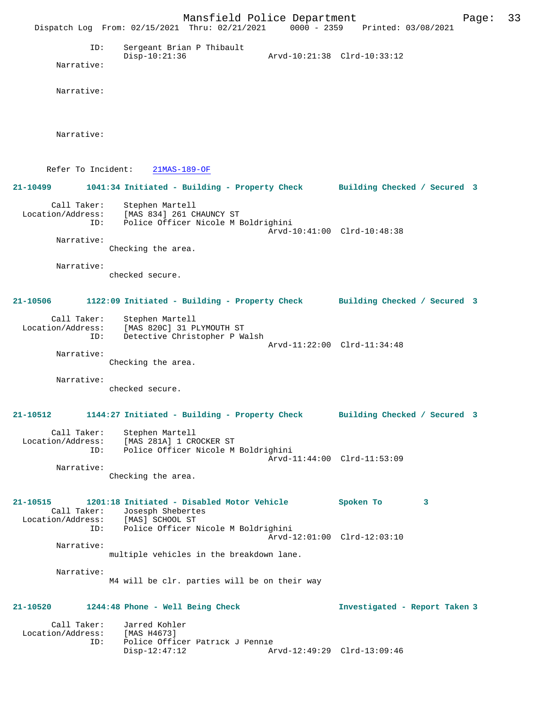Mansfield Police Department Page: 33 Dispatch Log From: 02/15/2021 Thru: 02/21/2021 0000 - 2359 Printed: 03/08/2021 ID: Sergeant Brian P Thibault Disp-10:21:36 Arvd-10:21:38 Clrd-10:33:12 Narrative: Narrative: Narrative: Refer To Incident: 21MAS-189-OF **21-10499 1041:34 Initiated - Building - Property Check Building Checked / Secured 3** Call Taker: Stephen Martell Location/Address: [MAS 834] 261 CHAUNCY ST ID: Police Officer Nicole M Boldrighini Arvd-10:41:00 Clrd-10:48:38 Narrative: Checking the area. Narrative: checked secure. **21-10506 1122:09 Initiated - Building - Property Check Building Checked / Secured 3** Call Taker: Stephen Martell Location/Address: [MAS 820C] 31 PLYMOUTH ST ID: Detective Christopher P Walsh Arvd-11:22:00 Clrd-11:34:48 Narrative: Checking the area. Narrative: checked secure. **21-10512 1144:27 Initiated - Building - Property Check Building Checked / Secured 3** Call Taker: Stephen Martell Location/Address: [MAS 281A] 1 CROCKER ST ID: Police Officer Nicole M Boldrighini Arvd-11:44:00 Clrd-11:53:09 Narrative: Checking the area. **21-10515 1201:18 Initiated - Disabled Motor Vehicle Spoken To 3**  Call Taker: Josesph Shebertes<br>Location/Address: [MAS] SCHOOL ST Location/Address: [MAS] SCHOOL ST ID: Police Officer Nicole M Boldrighini Arvd-12:01:00 Clrd-12:03:10 Narrative: multiple vehicles in the breakdown lane. Narrative: M4 will be clr. parties will be on their way **21-10520 1244:48 Phone - Well Being Check Investigated - Report Taken 3** Call Taker: Jarred Kohler<br>.on/Address: [MAS H4673] Location/Address:<br>ID: Police Officer Patrick J Pennie Disp-12:47:12 Arvd-12:49:29 Clrd-13:09:46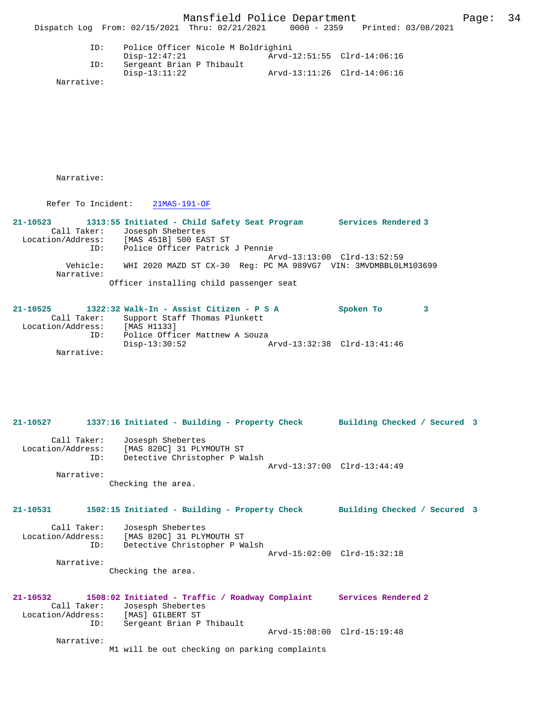Disp-13:11:22 Arvd-13:11:26 Clrd-14:06:16

Narrative:

Narrative:

Refer To Incident: 21MAS-191-OF

**21-10523 1313:55 Initiated - Child Safety Seat Program Services Rendered 3**  Call Taker: Josesph Shebertes Location/Address: [MAS 451B] 500 EAST ST ID: Police Officer Patrick J Pennie Arvd-13:13:00 Clrd-13:52:59 Vehicle: WHI 2020 MAZD ST CX-30 Reg: PC MA 989VG7 VIN: 3MVDMBBL0LM103699 Narrative: Officer installing child passenger seat

Sergeant Brian P Thibault<br>Disp-13:11:22

**21-10525 1322:32 Walk-In - Assist Citizen - P S A Spoken To 3**  Call Taker: Support Staff Thomas Plunkett<br>.on/Address: [MAS H1133] Location/Address:<br>ID: Police Officer Matthew A Souza<br>Disp-13:30:52 Disp-13:30:52 Arvd-13:32:38 Clrd-13:41:46 Narrative:

**21-10527 1337:16 Initiated - Building - Property Check Building Checked / Secured 3** Call Taker: Josesph Shebertes Location/Address: [MAS 820C] 31 PLYMOUTH ST ID: Detective Christopher P Walsh Arvd-13:37:00 Clrd-13:44:49 Narrative: Checking the area. **21-10531 1502:15 Initiated - Building - Property Check Building Checked / Secured 3** Call Taker: Josesph Shebertes Location/Address: [MAS 820C] 31 PLYMOUTH ST ID: Detective Christopher P Walsh Arvd-15:02:00 Clrd-15:32:18 Narrative: Checking the area. **21-10532 1508:02 Initiated - Traffic / Roadway Complaint Services Rendered 2**  Call Taker: Josesph Shebertes<br>.on/Address: [MAS] GILBERT ST Location/Address:<br>ID: Sergeant Brian P Thibault Arvd-15:08:00 Clrd-15:19:48 Narrative: M1 will be out checking on parking complaints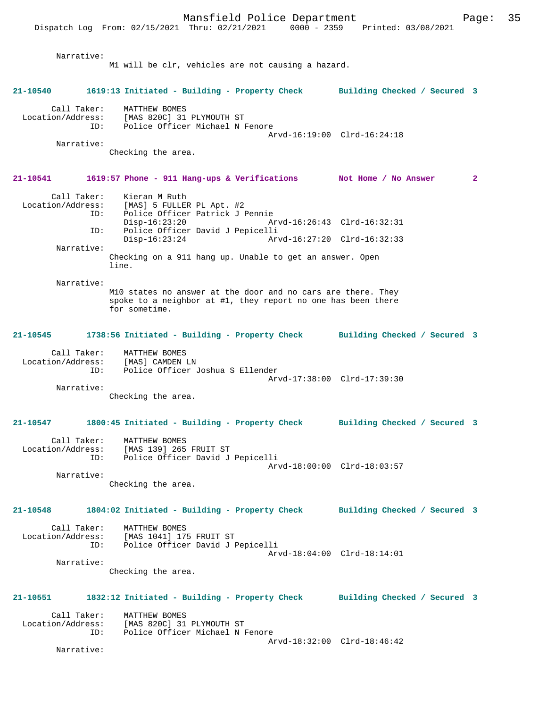Narrative: M1 will be clr, vehicles are not causing a hazard. **21-10540 1619:13 Initiated - Building - Property Check Building Checked / Secured 3** Call Taker: MATTHEW BOMES Location/Address: [MAS 820C] 31 PLYMOUTH ST ID: Police Officer Michael N Fenore Arvd-16:19:00 Clrd-16:24:18 Narrative: Checking the area. **21-10541 1619:57 Phone - 911 Hang-ups & Verifications Not Home / No Answer 2** Call Taker: Kieran M Ruth Location/Address: [MAS] 5 FULLER PL Apt. #2 ID: Police Officer Patrick J Pennie Disp-16:23:20 Arvd-16:26:43 Clrd-16:32:31<br>ID: Police Officer David J Pepicelli ID: Police Officer David J Pepicelli Disp-16:23:24 Arvd-16:27:20 Clrd-16:32:33 Narrative: Checking on a 911 hang up. Unable to get an answer. Open line. Narrative: M10 states no answer at the door and no cars are there. They spoke to a neighbor at #1, they report no one has been there for sometime. **21-10545 1738:56 Initiated - Building - Property Check Building Checked / Secured 3** Call Taker: MATTHEW BOMES Location/Address: [MAS] CAMDEN LN ID: Police Officer Joshua S Ellender Arvd-17:38:00 Clrd-17:39:30 Narrative: Checking the area. **21-10547 1800:45 Initiated - Building - Property Check Building Checked / Secured 3** Call Taker: MATTHEW BOMES Location/Address: [MAS 139] 265 FRUIT ST ID: Police Officer David J Pepicelli Arvd-18:00:00 Clrd-18:03:57 Narrative: Checking the area. **21-10548 1804:02 Initiated - Building - Property Check Building Checked / Secured 3** Call Taker: MATTHEW BOMES Location/Address: [MAS 1041] 175 FRUIT ST<br>TD: Police Officer David J I Police Officer David J Pepicelli Arvd-18:04:00 Clrd-18:14:01 Narrative: Checking the area. **21-10551 1832:12 Initiated - Building - Property Check Building Checked / Secured 3** Call Taker: MATTHEW BOMES<br>Location/Address: [MAS 820C] 31 ess: [MAS 820C] 31 PLYMOUTH ST<br>ID: Police Officer Michael N I Police Officer Michael N Fenore Arvd-18:32:00 Clrd-18:46:42 Narrative: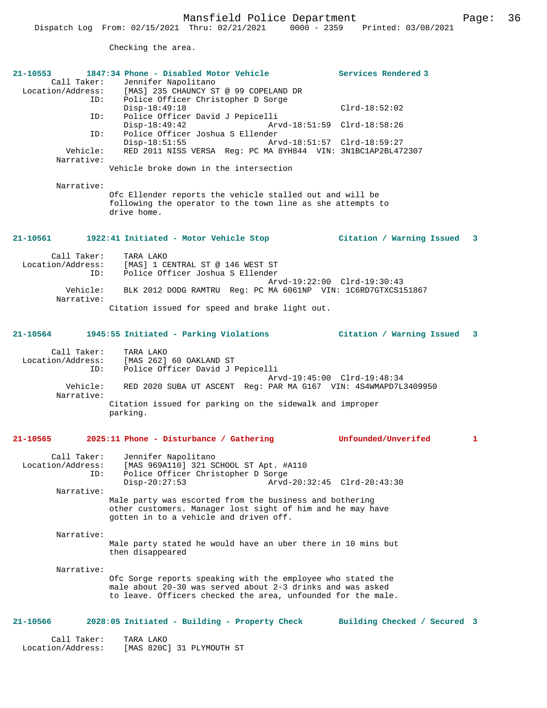Checking the area.

Location/Address: [MAS 820C] 31 PLYMOUTH ST

| 21-10553<br>ID:<br>ID:<br>ID:<br>Vehicle:<br>Narrative:<br>Narrative: | 1847:34 Phone - Disabled Motor Vehicle<br>Call Taker: Jennifer Napolitano<br>Location/Address: [MAS] 235 CHAUNCY ST @ 99 COPELAND DR<br>Police Officer Christopher D Sorge<br>Disp-18:49:18<br>Police Officer David J Pepicelli<br>$Disp-18:49:42$<br>Arvd-18:51:59 Clrd-18:58:26<br>Police Officer Joshua S Ellender<br>Disp-18:51:55<br>Arvd-18:51:57 Clrd-18:59:27<br>RED 2011 NISS VERSA Reg: PC MA 8YH844 VIN: 3N1BC1AP2BL472307<br>Vehicle broke down in the intersection<br>Ofc Ellender reports the vehicle stalled out and will be<br>following the operator to the town line as she attempts to<br>drive home. | Services Rendered 3<br>$Clrd-18:52:02$ |   |
|-----------------------------------------------------------------------|--------------------------------------------------------------------------------------------------------------------------------------------------------------------------------------------------------------------------------------------------------------------------------------------------------------------------------------------------------------------------------------------------------------------------------------------------------------------------------------------------------------------------------------------------------------------------------------------------------------------------|----------------------------------------|---|
| 21-10561                                                              | 1922:41 Initiated - Motor Vehicle Stop                                                                                                                                                                                                                                                                                                                                                                                                                                                                                                                                                                                   | Citation / Warning Issued 3            |   |
| Call Taker:<br>Location/Address:<br>ID:<br>Vehicle:<br>Narrative:     | TARA LAKO<br>[MAS] 1 CENTRAL ST @ 146 WEST ST<br>Police Officer Joshua S Ellender<br>Arvd-19:22:00 Clrd-19:30:43<br>BLK 2012 DODG RAMTRU Req: PC MA 6061NP VIN: 1C6RD7GTXCS151867<br>Citation issued for speed and brake light out.                                                                                                                                                                                                                                                                                                                                                                                      |                                        |   |
| 21-10564                                                              | 1945:55 Initiated - Parking Violations                                                                                                                                                                                                                                                                                                                                                                                                                                                                                                                                                                                   | Citation / Warning Issued 3            |   |
| Call Taker:<br>Location/Address:<br>ID:<br>Vehicle:<br>Narrative:     | TARA LAKO<br>[MAS 262] 60 OAKLAND ST<br>Police Officer David J Pepicelli<br>Arvd-19:45:00 Clrd-19:48:34<br>RED 2020 SUBA UT ASCENT Req: PAR MA G167 VIN: 4S4WMAPD7L3409950<br>Citation issued for parking on the sidewalk and improper<br>parking.                                                                                                                                                                                                                                                                                                                                                                       |                                        |   |
| 21-10565                                                              | 2025:11 Phone - Disturbance / Gathering                                                                                                                                                                                                                                                                                                                                                                                                                                                                                                                                                                                  | Unfounded/Unverifed                    | 1 |
| Call Taker:<br>Location/Address:<br>ID:<br>Narrative:                 | Jennifer Napolitano<br>[MAS 969A110] 321 SCHOOL ST Apt. #A110<br>Police Officer Christopher D Sorge<br>Arvd-20:32:45 Clrd-20:43:30<br>$Disp-20:27:53$<br>Male party was escorted from the business and bothering<br>other customers. Manager lost sight of him and he may have<br>gotten in to a vehicle and driven off.                                                                                                                                                                                                                                                                                                 |                                        |   |
| Narrative:                                                            |                                                                                                                                                                                                                                                                                                                                                                                                                                                                                                                                                                                                                          |                                        |   |
|                                                                       | Male party stated he would have an uber there in 10 mins but<br>then disappeared                                                                                                                                                                                                                                                                                                                                                                                                                                                                                                                                         |                                        |   |
| Narrative:                                                            | Ofc Sorge reports speaking with the employee who stated the<br>male about 20-30 was served about 2-3 drinks and was asked<br>to leave. Officers checked the area, unfounded for the male.                                                                                                                                                                                                                                                                                                                                                                                                                                |                                        |   |
| 21-10566                                                              | 2028:05 Initiated - Building - Property Check                                                                                                                                                                                                                                                                                                                                                                                                                                                                                                                                                                            | Building Checked / Secured 3           |   |
| Call Taker:                                                           | TARA LAKO                                                                                                                                                                                                                                                                                                                                                                                                                                                                                                                                                                                                                |                                        |   |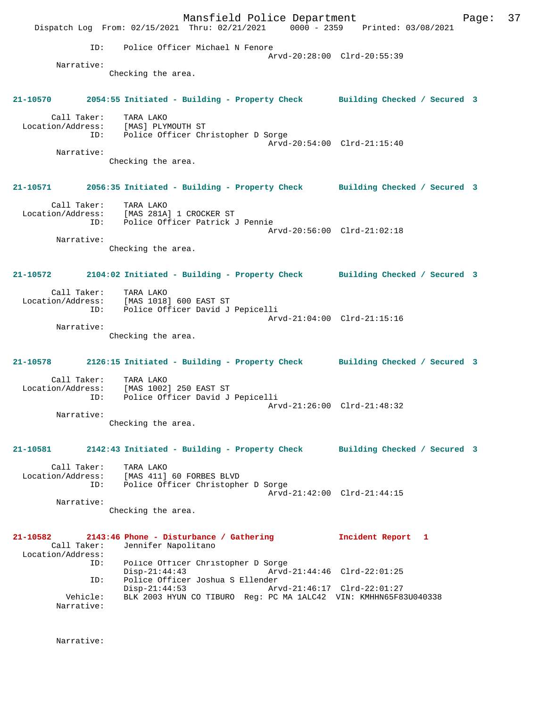Mansfield Police Department Fage: 37 Dispatch Log From: 02/15/2021 Thru: 02/21/2021 0000 - 2359 Printed: 03/08/2021 ID: Police Officer Michael N Fenore Arvd-20:28:00 Clrd-20:55:39 Narrative: Checking the area. **21-10570 2054:55 Initiated - Building - Property Check Building Checked / Secured 3** Call Taker: TARA LAKO Location/Address: [MAS] PLYMOUTH ST ID: Police Officer Christopher D Sorge Arvd-20:54:00 Clrd-21:15:40 Narrative: Checking the area. **21-10571 2056:35 Initiated - Building - Property Check Building Checked / Secured 3** Call Taker: TARA LAKO Location/Address: [MAS 281A] 1 CROCKER ST ID: Police Officer Patrick J Pennie Arvd-20:56:00 Clrd-21:02:18 Narrative: Checking the area. **21-10572 2104:02 Initiated - Building - Property Check Building Checked / Secured 3** Call Taker: TARA LAKO Location/Address: [MAS 1018] 600 EAST ST ID: Police Officer David J Pepicelli Arvd-21:04:00 Clrd-21:15:16 Narrative: Checking the area. **21-10578 2126:15 Initiated - Building - Property Check Building Checked / Secured 3** Call Taker: TARA LAKO Location/Address: [MAS 1002] 250 EAST ST<br>ID: Police Officer David J Police Officer David J Pepicelli Arvd-21:26:00 Clrd-21:48:32 Narrative: Checking the area. **21-10581 2142:43 Initiated - Building - Property Check Building Checked / Secured 3** Call Taker: TARA LAKO Location/Address: [MAS 411] 60 FORBES BLVD ID: Police Officer Christopher D Sorge Arvd-21:42:00 Clrd-21:44:15 Narrative: Checking the area. **21-10582 2143:46 Phone - Disturbance / Gathering Incident Report 1**  Call Taker: Jennifer Napolitano Location/Address: ID: Police Officer Christopher D Sorge Disp-21:44:43 Arvd-21:44:46 Clrd-22:01:25<br>ID: Police Officer Joshua S Ellender ID: Police Officer Joshua S Ellender Disp-21:44:53 Arvd-21:46:17 Clrd-22:01:27 Vehicle: BLK 2003 HYUN CO TIBURO Reg: PC MA 1ALC42 VIN: KMHHN65F83U040338 Narrative:

Narrative: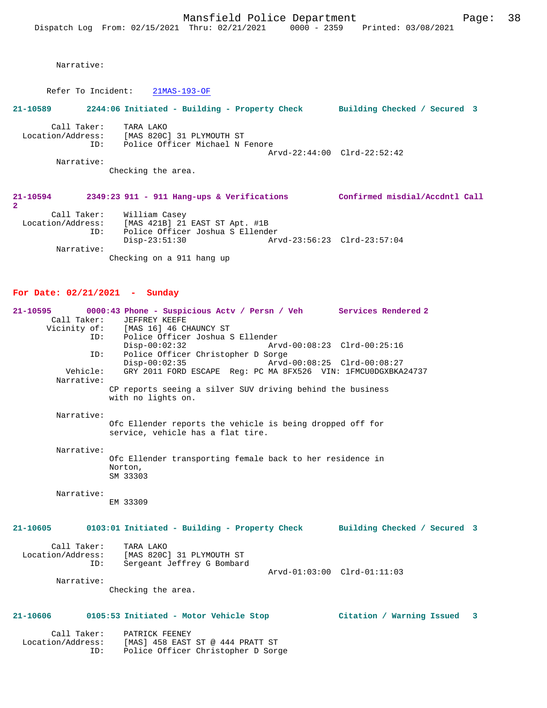Narrative:

Refer To Incident: 21MAS-193-OF

#### **21-10589 2244:06 Initiated - Building - Property Check Building Checked / Secured 3**

Call Taker: TARA LAKO<br>Location/Address: [MAS 820C Location/Address: [MAS 820C] 31 PLYMOUTH ST ID: Police Officer Michael N Fenore Arvd-22:44:00 Clrd-22:52:42 Narrative:

Checking the area.

#### **21-10594 2349:23 911 - 911 Hang-ups & Verifications Confirmed misdial/Accdntl Call**

```
2
```
 Call Taker: William Casey Location/Address: [MAS 421B] 21 EAST ST Apt. #1B ID: Police Officer Joshua S Ellender Disp-23:51:30 Arvd-23:56:23 Clrd-23:57:04 Narrative:

Checking on a 911 hang up

#### **For Date: 02/21/2021 - Sunday**

**21-10595 0000:43 Phone - Suspicious Actv / Persn / Veh Services Rendered 2**  Call Taker: JEFFREY KEEFE<br>Vicinity of: [MAS 16] 46 CI [MAS 16] 46 CHAUNCY ST ID: Police Officer Joshua S Ellender Disp-00:02:32 Arvd-00:08:23 Clrd-00:25:16<br>TD: Police Officer Christopher D Sorge Police Officer Christopher D Sorge<br>Disp-00:02:35 Arvd Disp-00:02:35 Arvd-00:08:25 Clrd-00:08:27 Vehicle: GRY 2011 FORD ESCAPE Reg: PC MA 8FX526 VIN: 1FMCU0DGXBKA24737 Narrative: CP reports seeing a silver SUV driving behind the business with no lights on. Narrative: Ofc Ellender reports the vehicle is being dropped off for service, vehicle has a flat tire. Narrative: Ofc Ellender transporting female back to her residence in Norton, SM 33303 Narrative: EM 33309 **21-10605 0103:01 Initiated - Building - Property Check Building Checked / Secured 3** Call Taker: TARA LAKO Location/Address: [MAS 820C] 31 PLYMOUTH ST ID: Sergeant Jeffrey G Bombard Arvd-01:03:00 Clrd-01:11:03 Narrative: Checking the area. **21-10606 0105:53 Initiated - Motor Vehicle Stop Citation / Warning Issued 3** Call Taker: PATRICK FEENEY<br>Location/Address: [MAS] 458 EAST ess: [MAS] 458 EAST ST @ 444 PRATT ST<br>ID: Police Officer Christopher D Sore

Police Officer Christopher D Sorge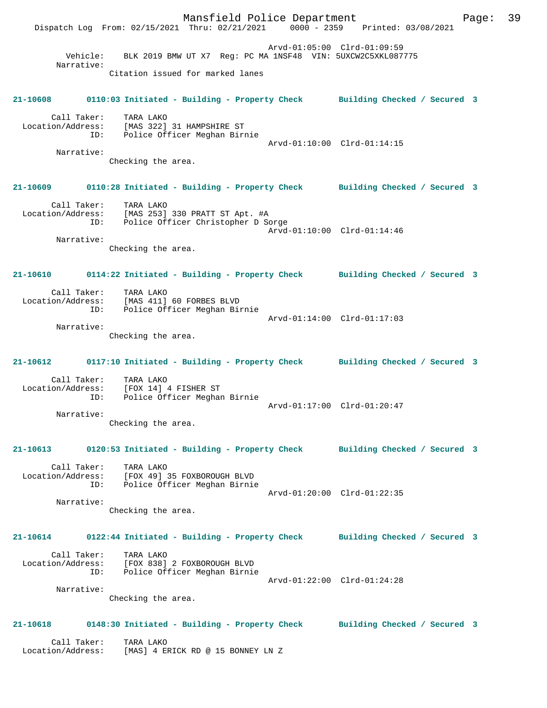Mansfield Police Department Fage: 39 Dispatch Log From: 02/15/2021 Thru: 02/21/2021 0000 - 2359 Printed: 03/08/2021 Arvd-01:05:00 Clrd-01:09:59 Vehicle: BLK 2019 BMW UT X7 Reg: PC MA 1NSF48 VIN: 5UXCW2C5XKL087775 Narrative: Citation issued for marked lanes **21-10608 0110:03 Initiated - Building - Property Check Building Checked / Secured 3** Call Taker: TARA LAKO Location/Address: [MAS 322] 31 HAMPSHIRE ST ID: Police Officer Meghan Birnie Arvd-01:10:00 Clrd-01:14:15 Narrative: Checking the area. **21-10609 0110:28 Initiated - Building - Property Check Building Checked / Secured 3** Call Taker: TARA LAKO Location/Address: [MAS 253] 330 PRATT ST Apt. #A ID: Police Officer Christopher D Sorge Arvd-01:10:00 Clrd-01:14:46 Narrative: Checking the area. **21-10610 0114:22 Initiated - Building - Property Check Building Checked / Secured 3** Call Taker: TARA LAKO Location/Address: [MAS 411] 60 FORBES BLVD ID: Police Officer Meghan Birnie Arvd-01:14:00 Clrd-01:17:03 Narrative: Checking the area. **21-10612 0117:10 Initiated - Building - Property Check Building Checked / Secured 3** Call Taker: TARA LAKO Location/Address: [FOX 14] 4 FISHER ST ID: Police Officer Meghan Birnie Arvd-01:17:00 Clrd-01:20:47 Narrative: Checking the area. **21-10613 0120:53 Initiated - Building - Property Check Building Checked / Secured 3** Call Taker: TARA LAKO Location/Address: [FOX 49] 35 FOXBOROUGH BLVD ID: Police Officer Meghan Birnie Arvd-01:20:00 Clrd-01:22:35 Narrative: Checking the area. **21-10614 0122:44 Initiated - Building - Property Check Building Checked / Secured 3** Call Taker: TARA LAKO Location/Address: [FOX 838] 2 FOXBOROUGH BLVD ID: Police Officer Meghan Birnie Arvd-01:22:00 Clrd-01:24:28 Narrative: Checking the area. **21-10618 0148:30 Initiated - Building - Property Check Building Checked / Secured 3** Call Taker: TARA LAKO Location/Address: [MAS] 4 ERICK RD @ 15 BONNEY LN Z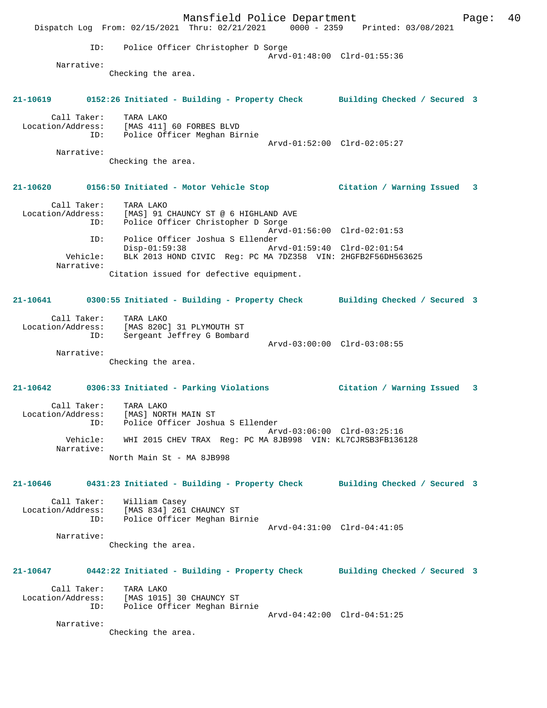Mansfield Police Department Fage: 40 Dispatch Log From: 02/15/2021 Thru: 02/21/2021 0000 - 2359 Printed: 03/08/2021 ID: Police Officer Christopher D Sorge Arvd-01:48:00 Clrd-01:55:36 Narrative: Checking the area. **21-10619 0152:26 Initiated - Building - Property Check Building Checked / Secured 3** Call Taker: TARA LAKO Location/Address: [MAS 411] 60 FORBES BLVD ID: Police Officer Meghan Birnie Arvd-01:52:00 Clrd-02:05:27 Narrative: Checking the area. **21-10620 0156:50 Initiated - Motor Vehicle Stop Citation / Warning Issued 3** Call Taker: TARA LAKO Location/Address: [MAS] 91 CHAUNCY ST @ 6 HIGHLAND AVE ID: Police Officer Christopher D Sorge Arvd-01:56:00 Clrd-02:01:53 ID: Police Officer Joshua S Ellender Disp-01:59:38 Arvd-01:59:40 Clrd-02:01:54 Vehicle: BLK 2013 HOND CIVIC Reg: PC MA 7DZ358 VIN: 2HGFB2F56DH563625 Narrative: Citation issued for defective equipment. **21-10641 0300:55 Initiated - Building - Property Check Building Checked / Secured 3** Call Taker: TARA LAKO Location/Address: [MAS 820C] 31 PLYMOUTH ST ID: Sergeant Jeffrey G Bombard Arvd-03:00:00 Clrd-03:08:55 Narrative: Checking the area. **21-10642 0306:33 Initiated - Parking Violations Citation / Warning Issued 3** Call Taker: TARA LAKO Location/Address: [MAS] NORTH MAIN ST ID: Police Officer Joshua S Ellender Arvd-03:06:00 Clrd-03:25:16 Vehicle: WHI 2015 CHEV TRAX Reg: PC MA 8JB998 VIN: KL7CJRSB3FB136128 Narrative: North Main St - MA 8JB998 **21-10646 0431:23 Initiated - Building - Property Check Building Checked / Secured 3** Call Taker: William Casey Location/Address: [MAS 834] 261 CHAUNCY ST ID: Police Officer Meghan Birnie Arvd-04:31:00 Clrd-04:41:05 Narrative: Checking the area. **21-10647 0442:22 Initiated - Building - Property Check Building Checked / Secured 3** Call Taker: TARA LAKO Location/Address: [MAS 1015] 30 CHAUNCY ST ID: Police Officer Meghan Birnie Arvd-04:42:00 Clrd-04:51:25 Narrative: Checking the area.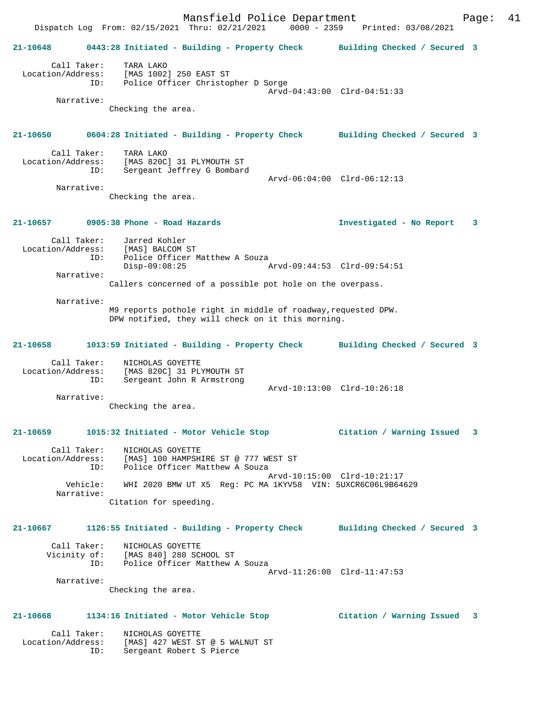Mansfield Police Department Form Page: 41 Dispatch Log From: 02/15/2021 Thru: 02/21/2021 0000 - 2359 Printed: 03/08/2021 **21-10648 0443:28 Initiated - Building - Property Check Building Checked / Secured 3** Call Taker: TARA LAKO Location/Address: [MAS 1002] 250 EAST ST ID: Police Officer Christopher D Sorge Arvd-04:43:00 Clrd-04:51:33 Narrative: Checking the area. **21-10650 0604:28 Initiated - Building - Property Check Building Checked / Secured 3** Call Taker: TARA LAKO Location/Address: [MAS 820C] 31 PLYMOUTH ST Sergeant Jeffrey G Bombard Arvd-06:04:00 Clrd-06:12:13 Narrative: Checking the area. **21-10657 0905:38 Phone - Road Hazards Investigated - No Report 3** Call Taker: Jarred Kohler Location/Address: [MAS] BALCOM ST ID: Police Officer Matthew A Souza Disp-09:08:25 Arvd-09:44:53 Clrd-09:54:51 Narrative: Callers concerned of a possible pot hole on the overpass. Narrative: M9 reports pothole right in middle of roadway,requested DPW. DPW notified, they will check on it this morning. **21-10658 1013:59 Initiated - Building - Property Check Building Checked / Secured 3** Call Taker: NICHOLAS GOYETTE Location/Address: [MAS 820C] 31 PLYMOUTH ST ID: Sergeant John R Armstrong Arvd-10:13:00 Clrd-10:26:18 Narrative: Checking the area. **21-10659 1015:32 Initiated - Motor Vehicle Stop Citation / Warning Issued 3** Call Taker: NICHOLAS GOYETTE Location/Address: [MAS] 100 HAMPSHIRE ST @ 777 WEST ST ID: Police Officer Matthew A Souza Arvd-10:15:00 Clrd-10:21:17 Vehicle: WHI 2020 BMW UT X5 Reg: PC MA 1KYV58 VIN: 5UXCR6C06L9B64629 Narrative: Citation for speeding. **21-10667 1126:55 Initiated - Building - Property Check Building Checked / Secured 3** Call Taker: NICHOLAS GOYETTE Vicinity of: [MAS 840] 280 SCHOOL ST ID: Police Officer Matthew A Souza Arvd-11:26:00 Clrd-11:47:53 Narrative: Checking the area. **21-10668 1134:16 Initiated - Motor Vehicle Stop Citation / Warning Issued 3** Call Taker: NICHOLAS GOYETTE Location/Address: [MAS] 427 WEST ST @ 5 WALNUT ST ID: Sergeant Robert S Pierce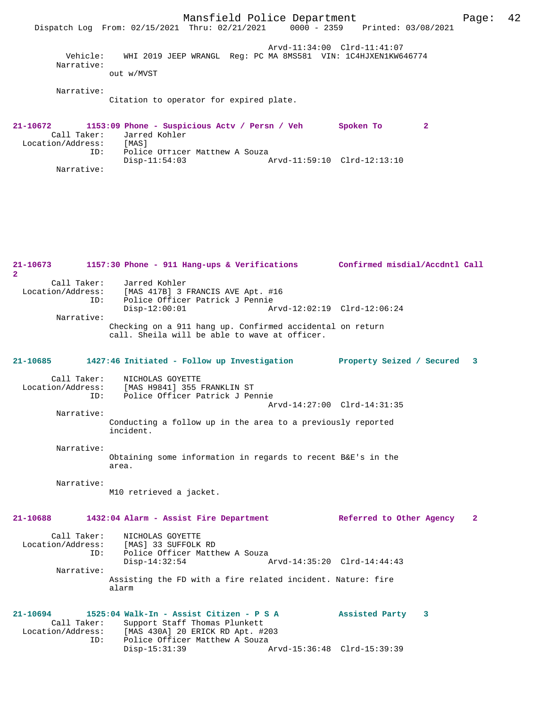Mansfield Police Department Fage: 42 Dispatch Log From: 02/15/2021 Thru: 02/21/2021 0000 - 2359 Printed: 03/08/2021 Arvd-11:34:00 Clrd-11:41:07 Vehicle: WHI 2019 JEEP WRANGL Reg: PC MA 8MS581 VIN: 1C4HJXEN1KW646774 Narrative: out w/MVST Narrative: Citation to operator for expired plate. **21-10672 1153:09 Phone - Suspicious Actv / Persn / Veh Spoken To 2**  Call Taker: Jarred Kohler<br>ion/Address: [MAS] Location/Address:<br>ID: Police Officer Matthew A Souza<br>Disp-11:54:03 Disp-11:54:03 Arvd-11:59:10 Clrd-12:13:10 Narrative: **21-10673 1157:30 Phone - 911 Hang-ups & Verifications Confirmed misdial/Accdntl Call 2**  Call Taker: Jarred Kohler<br>Location/Address: [MAS 417B] 3 1 [MAS 417B] 3 FRANCIS AVE Apt. #16 ID: Police Officer Patrick J Pennie Disp-12:00:01 Arvd-12:02:19 Clrd-12:06:24 Narrative: Checking on a 911 hang up. Confirmed accidental on return call. Sheila will be able to wave at officer. **21-10685 1427:46 Initiated - Follow up Investigation Property Seized / Secured 3** Call Taker: NICHOLAS GOYETTE<br>Location/Address: [MAS H9841] 355 ] للمصنيف المصدر العديد العديد المصدر IMAS H9841] 355 FRANKLIN ST<br>ID: Police Officer Patrick J Per Police Officer Patrick J Pennie Arvd-14:27:00 Clrd-14:31:35 Narrative: Conducting a follow up in the area to a previously reported incident. Narrative: Obtaining some information in regards to recent B&E's in the area. Narrative: M10 retrieved a jacket. **21-10688 1432:04 Alarm - Assist Fire Department Referred to Other Agency 2** Call Taker: NICHOLAS GOYETTE Location/Address: [MAS] 33 SUFFOLK RD Police Officer Matthew A Souza<br>Disp-14:32:54 Disp-14:32:54 Arvd-14:35:20 Clrd-14:44:43 Narrative: Assisting the FD with a fire related incident. Nature: fire alarm **21-10694 1525:04 Walk-In - Assist Citizen - P S A Assisted Party 3**  Call Taker: Support Staff Thomas Plunkett Location/Address: [MAS 430A] 20 ERICK RD Apt. #203 ID: Police Officer Matthew A Souza Disp-15:31:39 Arvd-15:36:48 Clrd-15:39:39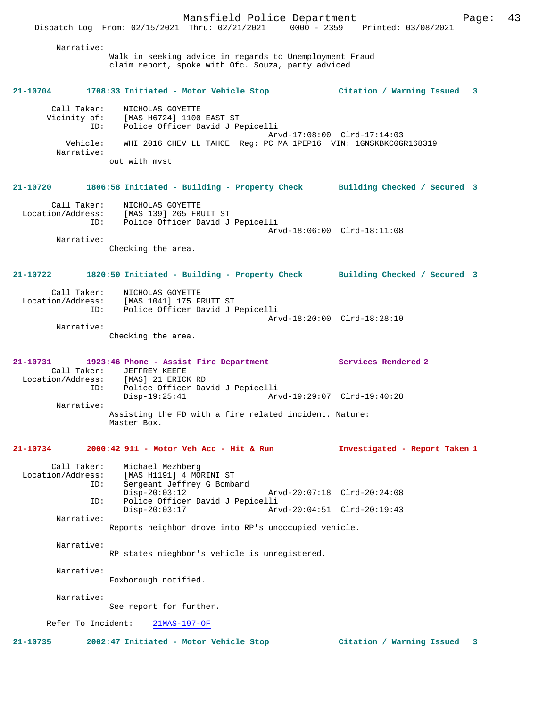Narrative: Walk in seeking advice in regards to Unemployment Fraud claim report, spoke with Ofc. Souza, party adviced **21-10704 1708:33 Initiated - Motor Vehicle Stop Citation / Warning Issued 3** Call Taker: NICHOLAS GOYETTE Vicinity of: [MAS H6724] 1100 EAST ST ID: Police Officer David J Pepicelli Arvd-17:08:00 Clrd-17:14:03 Vehicle: WHI 2016 CHEV LL TAHOE Reg: PC MA 1PEP16 VIN: 1GNSKBKC0GR168319 Narrative: out with mvst **21-10720 1806:58 Initiated - Building - Property Check Building Checked / Secured 3** Call Taker: NICHOLAS GOYETTE Location/Address: [MAS 139] 265 FRUIT ST ID: Police Officer David J Pepicelli Arvd-18:06:00 Clrd-18:11:08 Narrative: Checking the area. **21-10722 1820:50 Initiated - Building - Property Check Building Checked / Secured 3** Call Taker: NICHOLAS GOYETTE Location/Address: [MAS 1041] 175 FRUIT ST ID: Police Officer David J Pepicelli Arvd-18:20:00 Clrd-18:28:10 Narrative: Checking the area. **21-10731 1923:46 Phone - Assist Fire Department Services Rendered 2**  Call Taker: JEFFREY KEEFE<br>Location/Address: [MAS] 21 ERICI ess: [MAS] 21 ERICK RD<br>ID: Police Officer Day ID: Police Officer David J Pepicelli Disp-19:25:41 Arvd-19:29:07 Clrd-19:40:28 Narrative: Assisting the FD with a fire related incident. Nature: Master Box. **21-10734 2000:42 911 - Motor Veh Acc - Hit & Run Investigated - Report Taken 1** Call Taker: Michael Mezhberg<br>Location/Address: [MAS H1191] 4 MO [MAS H1191] 4 MORINI ST ID: Sergeant Jeffrey G Bombard<br>Disp-20:03:12 Disp-20:03:12 Arvd-20:07:18 Clrd-20:24:08 ID: Police Officer David J Pepicelli Disp-20:03:17 Arvd-20:04:51 Clrd-20:19:43 Narrative: Reports neighbor drove into RP's unoccupied vehicle. Narrative: RP states nieghbor's vehicle is unregistered. Narrative: Foxborough notified. Narrative: See report for further. Refer To Incident: 21MAS-197-OF **21-10735 2002:47 Initiated - Motor Vehicle Stop Citation / Warning Issued 3**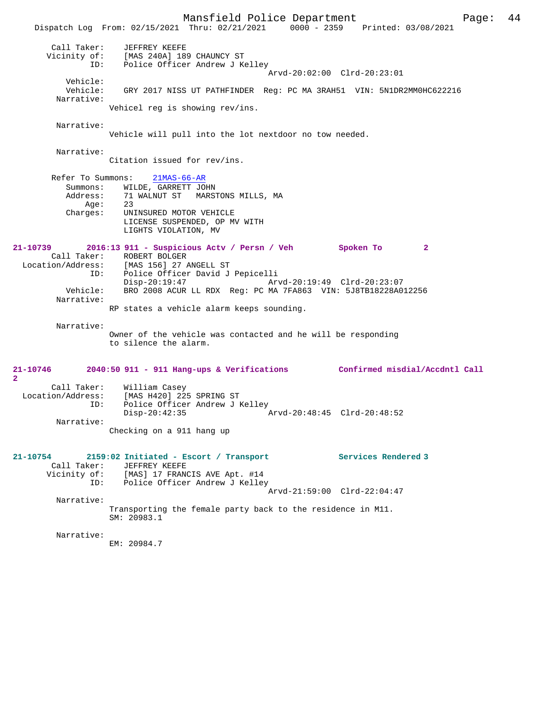Mansfield Police Department Form Page: 44 Dispatch Log From: 02/15/2021 Thru: 02/21/2021 0000 - 2359 Printed: 03/08/2021 Call Taker: JEFFREY KEEFE Vicinity of: [MAS 240A] 189 CHAUNCY ST ID: Police Officer Andrew J Kelley Arvd-20:02:00 Clrd-20:23:01 Vehicle: Vehicle: GRY 2017 NISS UT PATHFINDER Reg: PC MA 3RAH51 VIN: 5N1DR2MM0HC622216 Narrative: Vehicel reg is showing rev/ins. Narrative: Vehicle will pull into the lot nextdoor no tow needed. Narrative: Citation issued for rev/ins. Refer To Summons: 21MAS-66-AR Summons: WILDE, GARRETT JOHN<br>Address: 71 WALNUT ST MARST 71 WALNUT ST MARSTONS MILLS, MA<br>23  $Age:$  Charges: UNINSURED MOTOR VEHICLE LICENSE SUSPENDED, OP MV WITH LIGHTS VIOLATION, MV **21-10739 2016:13 911 - Suspicious Actv / Persn / Veh Spoken To 2**  Call Taker: ROBERT BOLGER Location/Address: [MAS 156] 27 ANGELL ST ID: Police Officer David J Pepicelli Disp-20:19:47 Arvd-20:19:49 Clrd-20:23:07<br>Vehicle: BRO 2008 ACUR LL RDX Req: PC MA 7FA863 VIN: 5J8TB18228A0 BRO 2008 ACUR LL RDX Reg: PC MA 7FA863 VIN: 5J8TB18228A012256 Narrative: RP states a vehicle alarm keeps sounding. Narrative: Owner of the vehicle was contacted and he will be responding to silence the alarm. **21-10746 2040:50 911 - 911 Hang-ups & Verifications Confirmed misdial/Accdntl Call 2**  Call Taker: William Casey Location/Address: [MAS H420] 225 SPRING ST ID: Police Officer Andrew J Kelley<br>Disp-20:42:35 Disp-20:42:35 Arvd-20:48:45 Clrd-20:48:52 Narrative: Checking on a 911 hang up **21-10754 2159:02 Initiated - Escort / Transport Services Rendered 3**  Call Taker: JEFFREY KEEFE Vicinity of: [MAS] 17 FRANCIS AVE Apt. #14 ID: Police Officer Andrew J Kelley Arvd-21:59:00 Clrd-22:04:47 Narrative: Transporting the female party back to the residence in M11. SM: 20983.1 Narrative: EM: 20984.7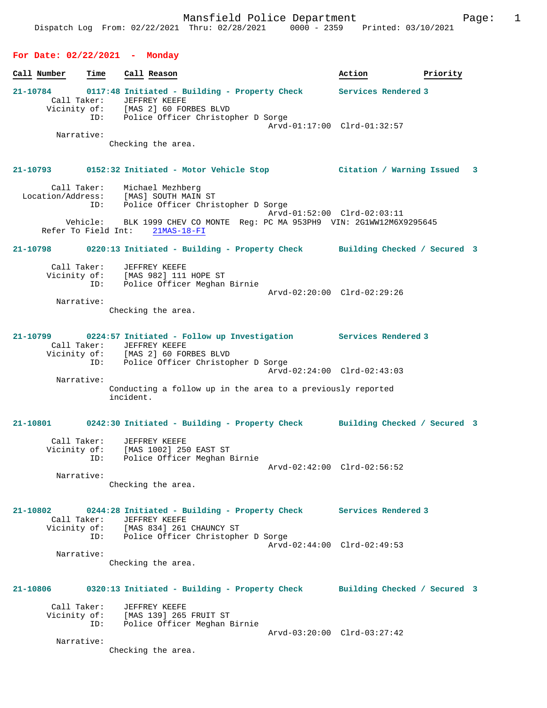## **For Date: 02/22/2021 - Monday**

**Call Number Time Call Reason 6 and Call Reason Action Action Priority 21-10784 0117:48 Initiated - Building - Property Check Services Rendered 3**  Call Taker: JEFFREY KEEFE Vicinity of: [MAS 2] 60 FORBES BLVD ID: Police Officer Christopher D Sorge Arvd-01:17:00 Clrd-01:32:57 Narrative: Checking the area. **21-10793 0152:32 Initiated - Motor Vehicle Stop Citation / Warning Issued 3** Call Taker: Michael Mezhberg Location/Address: [MAS] SOUTH MAIN ST ID: Police Officer Christopher D Sorge Arvd-01:52:00 Clrd-02:03:11 Vehicle: BLK 1999 CHEV CO MONTE Reg: PC MA 953PH9 VIN: 2G1WW12M6X9295645 Refer To Field Int: 21MAS-18-FI **21-10798 0220:13 Initiated - Building - Property Check Building Checked / Secured 3** Call Taker: JEFFREY KEEFE Vicinity of: [MAS 982] 111 HOPE ST ID: Police Officer Meghan Birnie Arvd-02:20:00 Clrd-02:29:26 Narrative: Checking the area. **21-10799 0224:57 Initiated - Follow up Investigation Services Rendered 3**  Call Taker: JEFFREY KEEFE<br>Vicinity of: [MAS 2] 60 FOI Vicinity of: [MAS 2] 60 FORBES BLVD ID: Police Officer Christopher D Sorge Arvd-02:24:00 Clrd-02:43:03 Narrative: Conducting a follow up in the area to a previously reported incident. **21-10801 0242:30 Initiated - Building - Property Check Building Checked / Secured 3** Call Taker: JEFFREY KEEFE Vicinity of: [MAS 1002] 250 EAST ST ID: Police Officer Meghan Birnie Arvd-02:42:00 Clrd-02:56:52 Narrative: Checking the area. **21-10802 0244:28 Initiated - Building - Property Check Services Rendered 3**  Call Taker: JEFFREY KEEFE<br>Vicinity of: [MAS 834] 261 [MAS 834] 261 CHAUNCY ST ID: Police Officer Christopher D Sorge Arvd-02:44:00 Clrd-02:49:53 Narrative: Checking the area. **21-10806 0320:13 Initiated - Building - Property Check Building Checked / Secured 3** Call Taker: JEFFREY KEEFE Vicinity of: [MAS 139] 265 FRUIT ST ID: Police Officer Meghan Birnie Arvd-03:20:00 Clrd-03:27:42 Narrative: Checking the area.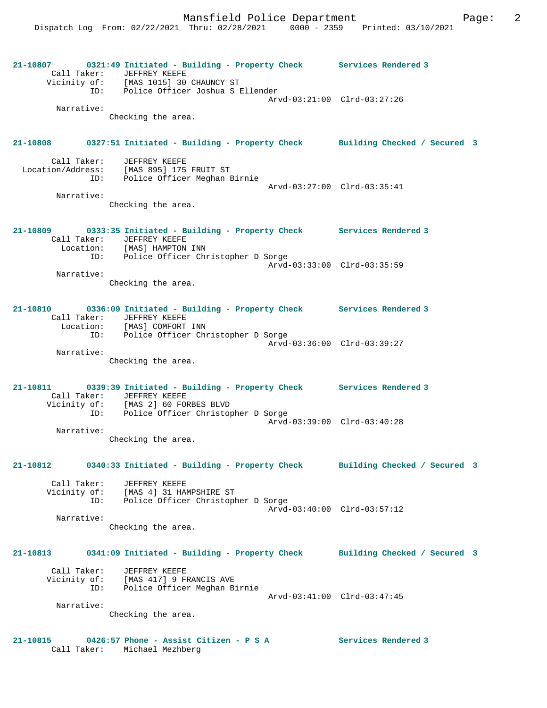**21-10807 0321:49 Initiated - Building - Property Check Services Rendered 3**  Call Taker: JEFFREY KEEFE Vicinity of: [MAS 1015] 30 CHAUNCY ST ID: Police Officer Joshua S Ellender Arvd-03:21:00 Clrd-03:27:26 Narrative: Checking the area. **21-10808 0327:51 Initiated - Building - Property Check Building Checked / Secured 3** Call Taker: JEFFREY KEEFE Location/Address: [MAS 895] 175 FRUIT ST ID: Police Officer Meghan Birnie Arvd-03:27:00 Clrd-03:35:41 Narrative: Checking the area. **21-10809 0333:35 Initiated - Building - Property Check Services Rendered 3**  Call Taker: JEFFREY KEEFE Location: [MAS] HAMPTON INN ID: Police Officer Christopher D Sorge Arvd-03:33:00 Clrd-03:35:59 Narrative: Checking the area. **21-10810 0336:09 Initiated - Building - Property Check Services Rendered 3**  Call Taker: JEFFREY KEEFE Location: [MAS] COMFORT INN ID: Police Officer Christopher D Sorge Arvd-03:36:00 Clrd-03:39:27 Narrative: Checking the area. **21-10811 0339:39 Initiated - Building - Property Check Services Rendered 3**  Call Taker: JEFFREY KEEFE Vicinity of: [MAS 2] 60 FORBES BLVD ID: Police Officer Christopher D Sorge Arvd-03:39:00 Clrd-03:40:28 Narrative: Checking the area. **21-10812 0340:33 Initiated - Building - Property Check Building Checked / Secured 3** Call Taker: JEFFREY KEEFE Vicinity of: [MAS 4] 31 HAMPSHIRE ST<br>ID: Police Officer Christopl Police Officer Christopher D Sorge Arvd-03:40:00 Clrd-03:57:12 Narrative: Checking the area. **21-10813 0341:09 Initiated - Building - Property Check Building Checked / Secured 3** Call Taker: JEFFREY KEEFE Vicinity of: [MAS 417] 9 FRANCIS AVE ID: Police Officer Meghan Birnie Arvd-03:41:00 Clrd-03:47:45 Narrative: Checking the area. **21-10815 0426:57 Phone - Assist Citizen - P S A Services Rendered 3**  Call Taker: Michael Mezhberg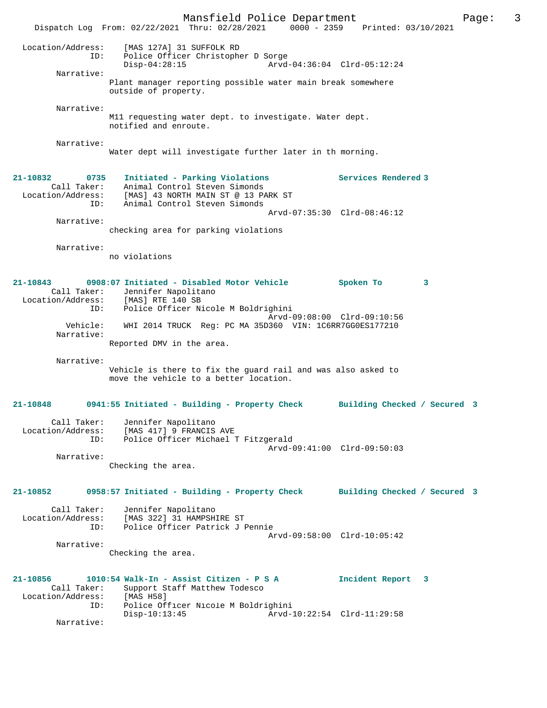Mansfield Police Department Page: 3 Dispatch Log From: 02/22/2021 Thru: 02/28/2021 0000 - 2359 Printed: 03/10/2021 Location/Address: [MAS 127A] 31 SUFFOLK RD ID: Police Officer Christopher D Sorge Disp-04:28:15 Arvd-04:36:04 Clrd-05:12:24 Narrative: Plant manager reporting possible water main break somewhere outside of property. Narrative: M11 requesting water dept. to investigate. Water dept. notified and enroute. Narrative: Water dept will investigate further later in th morning. **21-10832 0735 Initiated - Parking Violations Services Rendered 3**  Call Taker: Animal Control Steven Simonds Location/Address: [MAS] 43 NORTH MAIN ST @ 13 PARK ST ID: Animal Control Steven Simonds Arvd-07:35:30 Clrd-08:46:12 Narrative: checking area for parking violations Narrative: no violations **21-10843 0908:07 Initiated - Disabled Motor Vehicle Spoken To 3**  Call Taker: Jennifer Napolitano Location/Address: [MAS] RTE 140 SB ID: Police Officer Nicole M Boldrighini Arvd-09:08:00 Clrd-09:10:56 Vehicle: WHI 2014 TRUCK Reg: PC MA 35D360 VIN: 1C6RR7GG0ES177210 Narrative: Reported DMV in the area. Narrative: Vehicle is there to fix the guard rail and was also asked to move the vehicle to a better location. **21-10848 0941:55 Initiated - Building - Property Check Building Checked / Secured 3** Call Taker: Jennifer Napolitano Location/Address: [MAS 417] 9 FRANCIS AVE .<br>Police Officer Michael T Fitzgerald Arvd-09:41:00 Clrd-09:50:03 Narrative: Checking the area. **21-10852 0958:57 Initiated - Building - Property Check Building Checked / Secured 3** Call Taker: Jennifer Napolitano Location/Address: [MAS 322] 31 HAMPSHIRE ST ID: Police Officer Patrick J Pennie Arvd-09:58:00 Clrd-10:05:42 Narrative: Checking the area. **21-10856 1010:54 Walk-In - Assist Citizen - P S A Incident Report 3**  Call Taker: Support Staff Matthew Todesco<br>ion/Address: [MAS H58] Location/Address:<br>ID: ID: Police Officer Nicole M Boldrighini Arvd-10:22:54 Clrd-11:29:58 Narrative: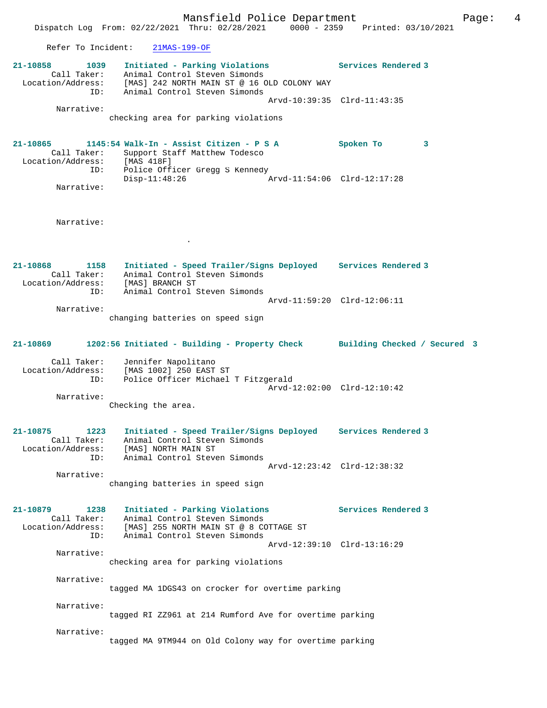Mansfield Police Department Form Page: 4 Dispatch Log From: 02/22/2021 Thru: 02/28/2021 0000 - 2359 Printed: 03/10/2021 Refer To Incident: 21MAS-199-OF **21-10858 1039 Initiated - Parking Violations Services Rendered 3**  Call Taker: Animal Control Steven Simonds Location/Address: [MAS] 242 NORTH MAIN ST @ 16 OLD COLONY WAY ID: Animal Control Steven Simonds Arvd-10:39:35 Clrd-11:43:35 Narrative: checking area for parking violations **21-10865 1145:54 Walk-In - Assist Citizen - P S A Spoken To 3**  Call Taker: Support Staff Matthew Todesco Location/Address: [MAS 418F]<br>ID: Police Officer<br>Disp-11:48:26 Police Officer Gregg S Kennedy Arvd-11:54:06 Clrd-12:17:28 Narrative: Narrative: . **21-10868 1158 Initiated - Speed Trailer/Signs Deployed Services Rendered 3**  Call Taker: Animal Control Steven Simonds Location/Address: [MAS] BRANCH ST ID: Animal Control Steven Simonds Arvd-11:59:20 Clrd-12:06:11 Narrative: changing batteries on speed sign **21-10869 1202:56 Initiated - Building - Property Check Building Checked / Secured 3** Call Taker: Jennifer Napolitano Location/Address: [MAS 1002] 250 EAST ST ID: Police Officer Michael T Fitzgerald Arvd-12:02:00 Clrd-12:10:42 Narrative: Checking the area. **21-10875 1223 Initiated - Speed Trailer/Signs Deployed Services Rendered 3**  Call Taker: Animal Control Steven Simonds Location/Address: [MAS] NORTH MAIN ST ID: Animal Control Steven Simonds Arvd-12:23:42 Clrd-12:38:32 Narrative: changing batteries in speed sign **21-10879 1238 Initiated - Parking Violations Services Rendered 3**  Call Taker: Animal Control Steven Simonds Location/Address: [MAS] 255 NORTH MAIN ST @ 8 COTTAGE ST ID: Animal Control Steven Simonds Arvd-12:39:10 Clrd-13:16:29 Narrative: checking area for parking violations Narrative: tagged MA 1DGS43 on crocker for overtime parking Narrative: tagged RI ZZ961 at 214 Rumford Ave for overtime parking Narrative: tagged MA 9TM944 on Old Colony way for overtime parking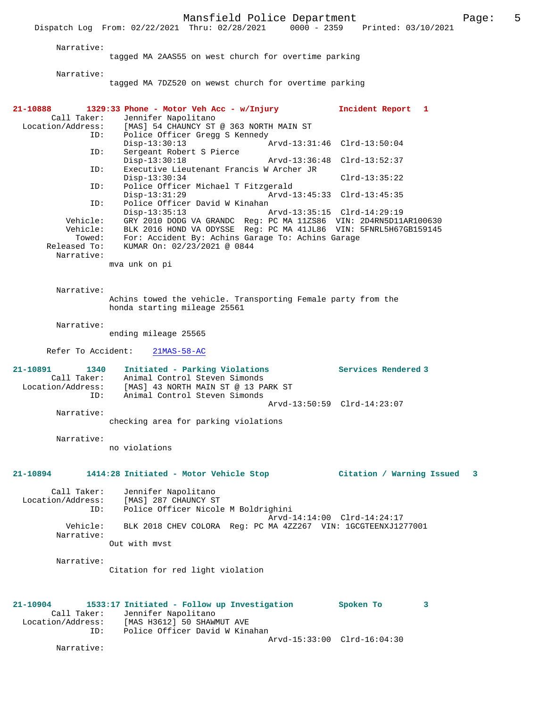Mansfield Police Department The Page: 5 Dispatch Log From: 02/22/2021 Thru: 02/28/2021 0000 - 2359 Printed: 03/10/2021

Narrative:

tagged MA 2AAS55 on west church for overtime parking

Narrative:

tagged MA 7DZ520 on wewst church for overtime parking

| 21-10888<br>Call Taker:<br>Location/Address:<br>ID:<br>ID:<br>ID:<br>ID:<br>ID:<br>Vehicle:<br>Vehicle:<br>Towed:<br>Released To:<br>Narrative: | 1329:33 Phone - Motor Veh Acc - w/Injury<br>Jennifer Napolitano<br>[MAS] 54 CHAUNCY ST @ 363 NORTH MAIN ST<br>Police Officer Gregg S Kennedy<br>$Disp-13:30:13$<br>Sergeant Robert S Pierce<br>$Disp-13:30:18$<br>Arvd-13:36:48<br>Executive Lieutenant Francis W Archer JR<br>$Disp-13:30:34$<br>Police Officer Michael T Fitzgerald<br>$Disp-13:31:29$<br>Police Officer David W Kinahan<br>$Disp-13:35:13$<br>GRY 2010 DODG VA GRANDC Req: PC MA 11ZS86 VIN: 2D4RN5D11AR100630<br>BLK 2016 HOND VA ODYSSE Reg: PC MA 41JL86 VIN: 5FNRL5H67GB159145<br>For: Accident By: Achins Garage To: Achins Garage<br>KUMAR On: 02/23/2021 @ 0844<br>mva unk on pi | Incident Report 1<br>Arvd-13:31:46 Clrd-13:50:04<br>$Clrd-13:52:37$<br>$Clrd-13:35:22$<br>Arvd-13:45:33 Clrd-13:45:35<br>Arvd-13:35:15 Clrd-14:29:19 |
|-------------------------------------------------------------------------------------------------------------------------------------------------|------------------------------------------------------------------------------------------------------------------------------------------------------------------------------------------------------------------------------------------------------------------------------------------------------------------------------------------------------------------------------------------------------------------------------------------------------------------------------------------------------------------------------------------------------------------------------------------------------------------------------------------------------------|------------------------------------------------------------------------------------------------------------------------------------------------------|
| Narrative:                                                                                                                                      | Achins towed the vehicle. Transporting Female party from the<br>honda starting mileage 25561                                                                                                                                                                                                                                                                                                                                                                                                                                                                                                                                                               |                                                                                                                                                      |
| Narrative:                                                                                                                                      | ending mileage 25565                                                                                                                                                                                                                                                                                                                                                                                                                                                                                                                                                                                                                                       |                                                                                                                                                      |
| Refer To Accident:                                                                                                                              | $21MAS-58-AC$                                                                                                                                                                                                                                                                                                                                                                                                                                                                                                                                                                                                                                              |                                                                                                                                                      |
| 21-10891<br>1340<br>Call Taker:<br>Location/Address:<br>ID:                                                                                     | Initiated - Parking Violations<br>Animal Control Steven Simonds<br>[MAS] 43 NORTH MAIN ST @ 13 PARK ST<br>Animal Control Steven Simonds                                                                                                                                                                                                                                                                                                                                                                                                                                                                                                                    | Services Rendered 3                                                                                                                                  |
| Narrative:                                                                                                                                      | checking area for parking violations                                                                                                                                                                                                                                                                                                                                                                                                                                                                                                                                                                                                                       | Arvd-13:50:59 Clrd-14:23:07                                                                                                                          |
| Narrative:                                                                                                                                      | no violations                                                                                                                                                                                                                                                                                                                                                                                                                                                                                                                                                                                                                                              |                                                                                                                                                      |
| 21-10894                                                                                                                                        | 1414:28 Initiated - Motor Vehicle Stop                                                                                                                                                                                                                                                                                                                                                                                                                                                                                                                                                                                                                     | Citation / Warning Issued 3                                                                                                                          |
| Call Taker:<br>ID:                                                                                                                              | Jennifer Napolitano<br>Location/Address: [MAS] 287 CHAUNCY ST<br>Police Officer Nicole M Boldrighini                                                                                                                                                                                                                                                                                                                                                                                                                                                                                                                                                       | Arvd-14:14:00 Clrd-14:24:17                                                                                                                          |
| Vehicle:<br>Narrative:                                                                                                                          | BLK 2018 CHEV COLORA Req: PC MA 4ZZ267 VIN: 1GCGTEENXJ1277001                                                                                                                                                                                                                                                                                                                                                                                                                                                                                                                                                                                              |                                                                                                                                                      |
| Narrative:                                                                                                                                      | Out with myst                                                                                                                                                                                                                                                                                                                                                                                                                                                                                                                                                                                                                                              |                                                                                                                                                      |
|                                                                                                                                                 | Citation for red light violation                                                                                                                                                                                                                                                                                                                                                                                                                                                                                                                                                                                                                           |                                                                                                                                                      |
| 21-10904<br>Call Taker:<br>ID:                                                                                                                  | 1533:17 Initiated - Follow up Investigation<br>Jennifer Napolitano<br>Location/Address: [MAS H3612] 50 SHAWMUT AVE<br>Police Officer David W Kinahan                                                                                                                                                                                                                                                                                                                                                                                                                                                                                                       | Spoken To<br>3<br>Arvd-15:33:00 Clrd-16:04:30                                                                                                        |
| Narrative:                                                                                                                                      |                                                                                                                                                                                                                                                                                                                                                                                                                                                                                                                                                                                                                                                            |                                                                                                                                                      |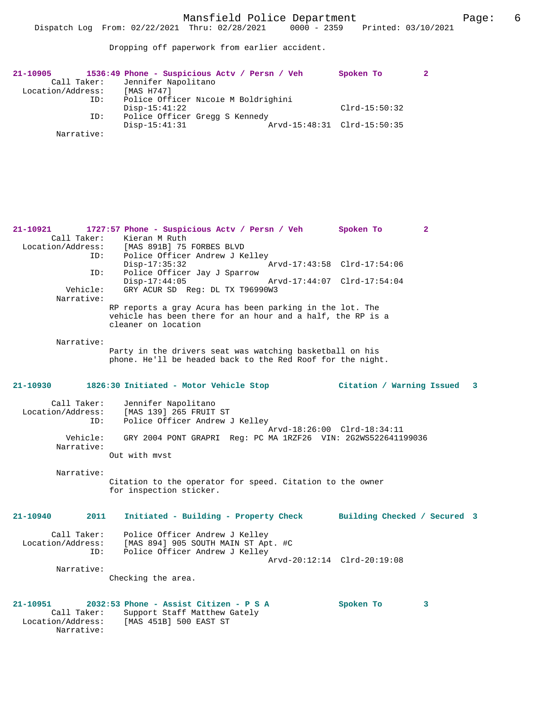Dropping off paperwork from earlier accident.

| 1536:49 Phone - Suspicious Actv / Persn / Veh | Spoken To       |                             |
|-----------------------------------------------|-----------------|-----------------------------|
| Jennifer Napolitano                           |                 |                             |
| [MAS H747]                                    |                 |                             |
| Police Officer Nicole M Boldrighini           |                 |                             |
| $Disp-15:41:22$                               | $Clrd-15:50:32$ |                             |
| Police Officer Gregg S Kennedy                |                 |                             |
| $Disp-15:41:31$                               |                 |                             |
|                                               |                 |                             |
|                                               |                 | Arvd-15:48:31 Clrd-15:50:35 |

**21-10921 1727:57 Phone - Suspicious Actv / Persn / Veh Spoken To 2**  Call Taker: Kieran M Ruth<br>Location/Address: [MAS 891B] 75 ess: [MAS 891B] 75 FORBES BLVD<br>ID: Police Officer Andrew J Ke Police Officer Andrew J Kelley<br>Disp-17:35:32 Disp-17:35:32 Arvd-17:43:58 Clrd-17:54:06 ID: Police Officer Jay J Sparrow Disp-17:44:05 Arvd-17:44:07 Clrd-17:54:04<br>Vehicle: GRY ACUR SD Req: DL TX T96990W3 GRY ACUR SD Reg: DL TX T96990W3 Narrative: RP reports a gray Acura has been parking in the lot. The vehicle has been there for an hour and a half, the RP is a cleaner on location Narrative: Party in the drivers seat was watching basketball on his phone. He'll be headed back to the Red Roof for the night. **21-10930 1826:30 Initiated - Motor Vehicle Stop Citation / Warning Issued 3** Call Taker: Jennifer Napolitano Location/Address: [MAS 139] 265 FRUIT ST ID: Police Officer Andrew J Kelley Arvd-18:26:00 Clrd-18:34:11 Vehicle: GRY 2004 PONT GRAPRI Reg: PC MA 1RZF26 VIN: 2G2WS522641199036 Narrative: Out with mvst Narrative: Citation to the operator for speed. Citation to the owner for inspection sticker. **21-10940 2011 Initiated - Building - Property Check Building Checked / Secured 3** Call Taker: Police Officer Andrew J Kelley<br>Location/Address: [MAS 894] 905 SOUTH MAIN ST Apt Location Construct Address: [MAS 894] 905 SOUTH MAIN ST Apt. #C<br>TD: Police Officer Andrew J Kelley Police Officer Andrew J Kelley Arvd-20:12:14 Clrd-20:19:08 Narrative: Checking the area. **21-10951 2032:53 Phone - Assist Citizen - P S A Spoken To 3**  Call Taker: Support Staff Matthew Gately<br>Location/Address: [MAS 451B] 500 EAST ST [MAS 451B] 500 EAST ST Narrative: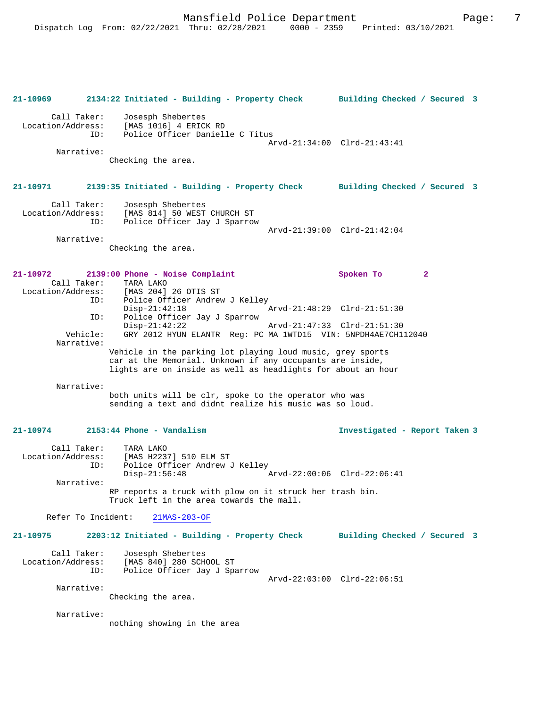**21-10969 2134:22 Initiated - Building - Property Check Building Checked / Secured 3** Call Taker: Josesph Shebertes Location/Address: [MAS 1016] 4 ERICK RD ID: Police Officer Danielle C Titus Arvd-21:34:00 Clrd-21:43:41 Narrative: Checking the area. **21-10971 2139:35 Initiated - Building - Property Check Building Checked / Secured 3** Call Taker: Josesph Shebertes Location/Address: [MAS 814] 50 WEST CHURCH ST<br>ID: Police Officer Jay J Sparrow Police Officer Jay J Sparrow Arvd-21:39:00 Clrd-21:42:04 Narrative: Checking the area. **21-10972 2139:00 Phone - Noise Complaint Spoken To 2**  Call Taker: TARA LAKO<br>ion/Address: [MAS 204] 26 OTIS ST Location/Address:<br>ID: Police Officer Andrew J Kelley<br>Disp-21:42:18 Disp-21:42:18 <br>
Th: Police Officer Jay J Sparrow <br>
Disp-21:48:29 Clrd-21:51:30 Police Officer Jay J Sparrow<br>Disp-21:42:22 Disp-21:42:22 Arvd-21:47:33 Clrd-21:51:30<br>Vehicle: GRY 2012 HYUN ELANTR Req: PC MA 1WTD15 VIN: 5NPDH4AE7CH1 GRY 2012 HYUN ELANTR Reg: PC MA 1WTD15 VIN: 5NPDH4AE7CH112040 Narrative: Vehicle in the parking lot playing loud music, grey sports car at the Memorial. Unknown if any occupants are inside, lights are on inside as well as headlights for about an hour Narrative: both units will be clr, spoke to the operator who was sending a text and didnt realize his music was so loud. **21-10974 2153:44 Phone - Vandalism Investigated - Report Taken 3** Call Taker: TARA LAKO Location/Address: [MAS H2237] 510 ELM ST ID: Police Officer Andrew J Kelley<br>Disp-21:56:48 Disp-21:56:48 Arvd-22:00:06 Clrd-22:06:41 Narrative: RP reports a truck with plow on it struck her trash bin. Truck left in the area towards the mall. Refer To Incident: 21MAS-203-OF **21-10975 2203:12 Initiated - Building - Property Check Building Checked / Secured 3** Call Taker: Josesph Shebertes<br>Location/Address: [MAS 840] 280 SCHOOL ST Location/Address: [MAS 840] 280 SCHOOL ST ID: Police Officer Jay J Sparrow Arvd-22:03:00 Clrd-22:06:51 Narrative: Checking the area. Narrative: nothing showing in the area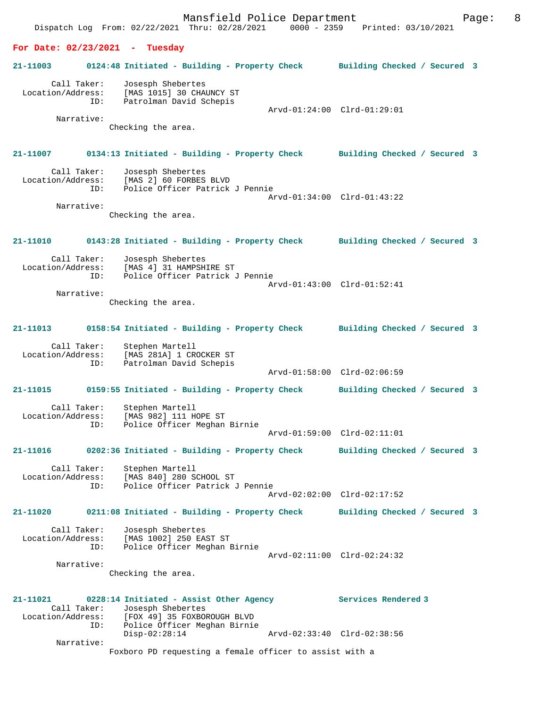Mansfield Police Department Fage: 8 Dispatch Log From: 02/22/2021 Thru: 02/28/2021 0000 - 2359 Printed: 03/10/2021 **For Date: 02/23/2021 - Tuesday 21-11003 0124:48 Initiated - Building - Property Check Building Checked / Secured 3** Call Taker: Josesph Shebertes Location/Address: [MAS 1015] 30 CHAUNCY ST ID: Patrolman David Schepis Arvd-01:24:00 Clrd-01:29:01 Narrative: Checking the area. **21-11007 0134:13 Initiated - Building - Property Check Building Checked / Secured 3** Call Taker: Josesph Shebertes Location/Address: [MAS 2] 60 FORBES BLVD Police Officer Patrick J Pennie Arvd-01:34:00 Clrd-01:43:22 Narrative: Checking the area. **21-11010 0143:28 Initiated - Building - Property Check Building Checked / Secured 3** Call Taker: Josesph Shebertes Location/Address: [MAS 4] 31 HAMPSHIRE ST ID: Police Officer Patrick J Pennie Arvd-01:43:00 Clrd-01:52:41 Narrative: Checking the area. **21-11013 0158:54 Initiated - Building - Property Check Building Checked / Secured 3** Call Taker: Stephen Martell Location/Address: [MAS 281A] 1 CROCKER ST<br>ID: Patrolman David Schepis Patrolman David Schepis Arvd-01:58:00 Clrd-02:06:59 **21-11015 0159:55 Initiated - Building - Property Check Building Checked / Secured 3** Call Taker: Stephen Martell Location/Address: [MAS 982] 111 HOPE ST Police Officer Meghan Birnie Arvd-01:59:00 Clrd-02:11:01 **21-11016 0202:36 Initiated - Building - Property Check Building Checked / Secured 3** Call Taker: Stephen Martell Location/Address: [MAS 840] 280 SCHOOL ST<br>ID: Police Officer Patrick Police Officer Patrick J Pennie Arvd-02:02:00 Clrd-02:17:52 **21-11020 0211:08 Initiated - Building - Property Check Building Checked / Secured 3** Call Taker: Josesph Shebertes<br>Location/Address: [MAS 1002] 250 EA Location Supplementes<br>Star (MAS 1002) 250 EAST ST<br>ID: Police Officer Meghan E Police Officer Meghan Birnie Arvd-02:11:00 Clrd-02:24:32 Narrative: Checking the area. **21-11021 0228:14 Initiated - Assist Other Agency Services Rendered 3**  Call Taker: Josesph Shebertes Location/Address: [FOX 49] 35 FOXBOROUGH BLVD ID: Police Officer Meghan Birnie Disp-02:28:14 Arvd-02:33:40 Clrd-02:38:56 Narrative: Foxboro PD requesting a female officer to assist with a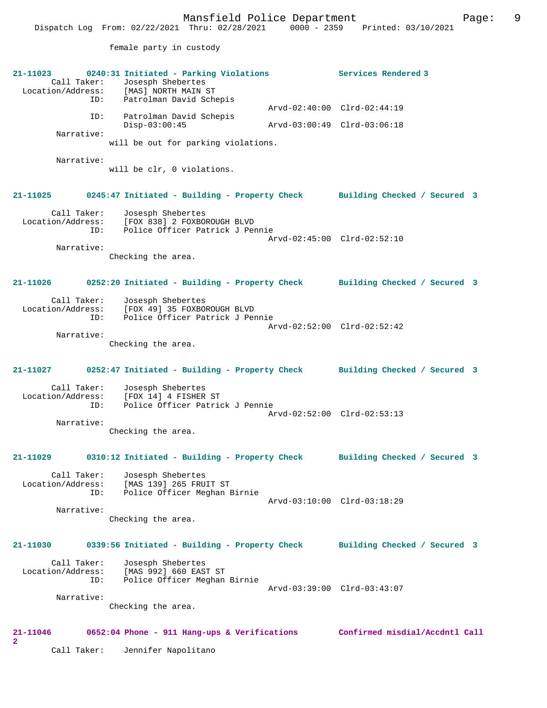female party in custody

| 21-11023<br>Call Taker:                 | 0240:31 Initiated - Parking Violations<br>Josesph Shebertes<br>Location/Address: [MAS] NORTH MAIN ST | Services Rendered 3            |
|-----------------------------------------|------------------------------------------------------------------------------------------------------|--------------------------------|
| ID:                                     | Patrolman David Schepis                                                                              | Arvd-02:40:00 Clrd-02:44:19    |
| ID:                                     | Patrolman David Schepis<br>$Disp-03:00:45$                                                           | Arvd-03:00:49 Clrd-03:06:18    |
| Narrative:                              | will be out for parking violations.                                                                  |                                |
| Narrative:                              | will be clr, 0 violations.                                                                           |                                |
| $21 - 11025$                            | 0245:47 Initiated - Building - Property Check                                                        | Building Checked / Secured 3   |
| Call Taker:<br>Location/Address:<br>ID: | Josesph Shebertes<br>[FOX 838] 2 FOXBOROUGH BLVD<br>Police Officer Patrick J Pennie                  |                                |
| Narrative:                              |                                                                                                      | Arvd-02:45:00 Clrd-02:52:10    |
|                                         | Checking the area.                                                                                   |                                |
| 21-11026                                | 0252:20 Initiated - Building - Property Check                                                        | Building Checked / Secured 3   |
| Call Taker:<br>Location/Address:<br>ID: | Josesph Shebertes<br>[FOX 49] 35 FOXBOROUGH BLVD<br>Police Officer Patrick J Pennie                  | Arvd-02:52:00 Clrd-02:52:42    |
| Narrative:                              | Checking the area.                                                                                   |                                |
| 21-11027                                | 0252:47 Initiated - Building - Property Check                                                        | Building Checked / Secured 3   |
| Call Taker:<br>Location/Address:<br>ID: | Josesph Shebertes<br>[FOX 14] 4 FISHER ST<br>Police Officer Patrick J Pennie                         | Arvd-02:52:00 Clrd-02:53:13    |
| Narrative:                              | Checking the area.                                                                                   |                                |
| 21-11029                                | 0310:12 Initiated - Building - Property Check                                                        | Building Checked / Secured 3   |
| Call Taker:<br>Location/Address:<br>ID: | Josesph Shebertes<br>[MAS 139] 265 FRUIT ST<br>Police Officer Meghan Birnie                          |                                |
| Narrative:                              |                                                                                                      | Arvd-03:10:00 Clrd-03:18:29    |
|                                         | Checking the area.                                                                                   |                                |
| 21-11030                                | 0339:56 Initiated - Building - Property Check                                                        | Building Checked / Secured 3   |
| Call Taker:<br>Location/Address:<br>ID: | Josesph Shebertes<br>[MAS 992] 660 EAST ST<br>Police Officer Meghan Birnie                           | Arvd-03:39:00 Clrd-03:43:07    |
| Narrative:                              | Checking the area.                                                                                   |                                |
| 21-11046<br>2                           | 0652:04 Phone - 911 Hang-ups & Verifications                                                         | Confirmed misdial/Accdntl Call |
| Call Taker:                             | Jennifer Napolitano                                                                                  |                                |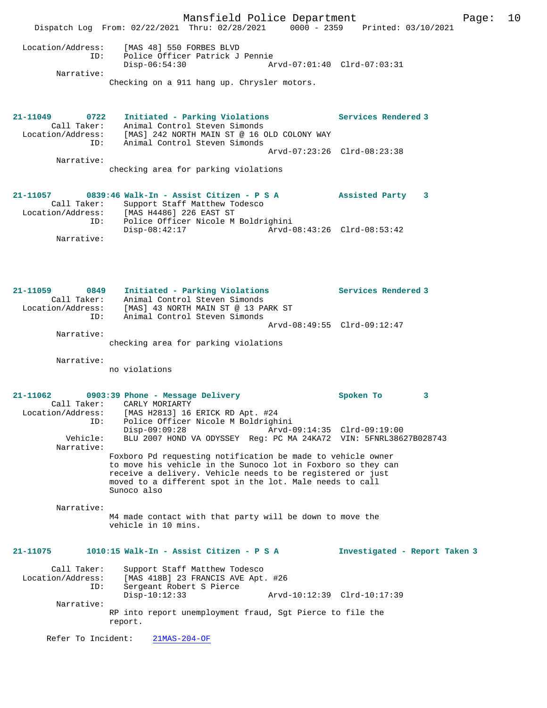|                                         | Mansfield Police Department<br>Dispatch Log From: 02/22/2021 Thru: 02/28/2021 0000 - 2359 Printed: 03/10/2021                                                                                                                                                        |                               | Page: | 10 |
|-----------------------------------------|----------------------------------------------------------------------------------------------------------------------------------------------------------------------------------------------------------------------------------------------------------------------|-------------------------------|-------|----|
| Narrative:                              | Location/Address: [MAS 48] 550 FORBES BLVD<br>ID:<br>Police Officer Patrick J Pennie<br>Disp-06:54:30                                                                                                                                                                | Arvd-07:01:40 Clrd-07:03:31   |       |    |
|                                         | Checking on a 911 hang up. Chrysler motors.                                                                                                                                                                                                                          |                               |       |    |
| 21-11049                                | 0722 Initiated - Parking Violations<br>Call Taker: Animal Control Steven Simonds<br>Location/Address: [MAS] 242 NORTH MAIN ST @ 16 OLD COLONY WAY<br>ID: Animal Control Steven Simonds                                                                               | Services Rendered 3           |       |    |
| Narrative:                              | checking area for parking violations                                                                                                                                                                                                                                 | Arvd-07:23:26 Clrd-08:23:38   |       |    |
|                                         | 21-11057 0839:46 Walk-In - Assist Citizen - P S A<br>Call Taker: Support Staff Matthew Todesco<br>Location/Address: [MAS H4486] 226 EAST ST                                                                                                                          | Assisted Party<br>3           |       |    |
| Narrative:                              | ID: Police Officer Nicole M Boldrighini<br>Disp-08:42:17                                                                                                                                                                                                             |                               |       |    |
| 21-11059                                | 0849 Initiated - Parking Violations Services Rendered 3<br>Call Taker: Animal Control Steven Simonds<br>Location/Address: [MAS] 43 NORTH MAIN ST @ 13 PARK ST                                                                                                        |                               |       |    |
| ID:<br>Narrative:                       | Animal Control Steven Simonds<br>checking area for parking violations                                                                                                                                                                                                | Arvd-08:49:55 Clrd-09:12:47   |       |    |
| Narrative:                              | no violations                                                                                                                                                                                                                                                        |                               |       |    |
| Call Taker:<br>Location/Address:<br>ID: | $21-11062$ 0903:39 Phone - Message Delivery<br>CARLY MORIARTY<br>[MAS H2813] 16 ERICK RD Apt. #24<br>Police Officer Nicole M Boldrighini                                                                                                                             | Spoken To<br>3                |       |    |
| Vehicle:<br>Narrative:                  | $Disp-09:09:28$<br>BLU 2007 HOND VA ODYSSEY Reg: PC MA 24KA72 VIN: 5FNRL38627B028743                                                                                                                                                                                 | Arvd-09:14:35 Clrd-09:19:00   |       |    |
|                                         | Foxboro Pd requesting notification be made to vehicle owner<br>to move his vehicle in the Sunoco lot in Foxboro so they can<br>receive a delivery. Vehicle needs to be registered or just<br>moved to a different spot in the lot. Male needs to call<br>Sunoco also |                               |       |    |
| Narrative:                              | M4 made contact with that party will be down to move the<br>vehicle in 10 mins.                                                                                                                                                                                      |                               |       |    |
| 21-11075                                | 1010:15 Walk-In - Assist Citizen - P S A                                                                                                                                                                                                                             | Investigated - Report Taken 3 |       |    |
| Call Taker:<br>Location/Address:<br>ID: | Support Staff Matthew Todesco<br>[MAS 418B] 23 FRANCIS AVE Apt. #26<br>Sergeant Robert S Pierce                                                                                                                                                                      |                               |       |    |
| Narrative:                              | $Disp-10:12:33$<br>RP into report unemployment fraud, Sgt Pierce to file the<br>report.                                                                                                                                                                              | Arvd-10:12:39 Clrd-10:17:39   |       |    |
| Refer To Incident:                      | $21MAS-204-OF$                                                                                                                                                                                                                                                       |                               |       |    |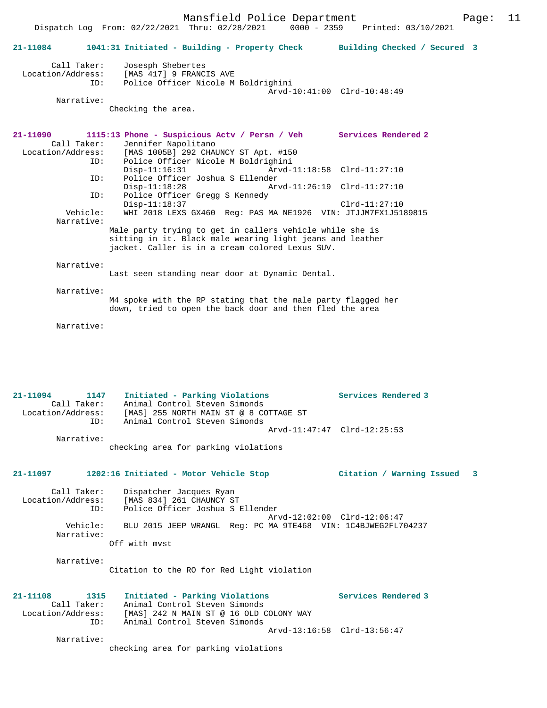|                                                             | Dispatch Log From: 02/22/2021 Thru: 02/28/2021<br>$0000 - 2359$                                                                                                          | Printed: 03/10/2021          |
|-------------------------------------------------------------|--------------------------------------------------------------------------------------------------------------------------------------------------------------------------|------------------------------|
| 21-11084                                                    | 1041:31 Initiated - Building - Property Check                                                                                                                            | Building Checked / Secured 3 |
| Call Taker:<br>Location/Address:<br>ID:<br>Narrative:       | Josesph Shebertes<br>[MAS 417] 9 FRANCIS AVE<br>Police Officer Nicole M Boldrighini<br>Checking the area.                                                                | Arvd-10:41:00 Clrd-10:48:49  |
|                                                             |                                                                                                                                                                          |                              |
| 21-11090<br>Call Taker:<br>Location/Address:                | 1115:13 Phone - Suspicious Actv / Persn / Veh Services Rendered 2<br>Jennifer Napolitano<br>[MAS 1005B] 292 CHAUNCY ST Apt. #150                                         |                              |
| ID:<br>ID:                                                  | Police Officer Nicole M Boldrighini<br>$Disp-11:16:31$<br>Police Officer Joshua S Ellender                                                                               | Arvd-11:18:58 Clrd-11:27:10  |
|                                                             | $Disp-11:18:28$                                                                                                                                                          | Arvd-11:26:19 Clrd-11:27:10  |
| ID:                                                         | Police Officer Gregg S Kennedy<br>$Disp-11:18:37$                                                                                                                        | $Clrd-11:27:10$              |
| Vehicle:<br>Narrative:                                      | WHI 2018 LEXS GX460 Req: PAS MA NE1926 VIN: JTJJM7FX1J5189815                                                                                                            |                              |
|                                                             | Male party trying to get in callers vehicle while she is<br>sitting in it. Black male wearing light jeans and leather<br>jacket. Caller is in a cream colored Lexus SUV. |                              |
| Narrative:                                                  | Last seen standing near door at Dynamic Dental.                                                                                                                          |                              |
| Narrative:                                                  | M4 spoke with the RP stating that the male party flagged her<br>down, tried to open the back door and then fled the area                                                 |                              |
| Narrative:                                                  |                                                                                                                                                                          |                              |
|                                                             |                                                                                                                                                                          |                              |
| 21-11094<br>1147<br>Call Taker:<br>Location/Address:        | Initiated - Parking Violations<br>Animal Control Steven Simonds<br>[MAS] 255 NORTH MAIN ST @ 8 COTTAGE ST                                                                | Services Rendered 3          |
| ID:                                                         | Animal Control Steven Simonds                                                                                                                                            |                              |
| Narrative:                                                  | checking area for parking violations                                                                                                                                     |                              |
| 21-11097                                                    | 1202:16 Initiated - Motor Vehicle Stop                                                                                                                                   | Citation / Warning Issued 3  |
| Call Taker:<br>Location/Address:<br>ID:                     | Dispatcher Jacques Ryan<br>[MAS 834] 261 CHAUNCY ST<br>Police Officer Joshua S Ellender                                                                                  |                              |
| Vehicle:<br>Narrative:                                      | BLU 2015 JEEP WRANGL Req: PC MA 9TE468 VIN: 1C4BJWEG2FL704237                                                                                                            | Arvd-12:02:00 Clrd-12:06:47  |
|                                                             | Off with myst                                                                                                                                                            |                              |
| Narrative:                                                  | Citation to the RO for Red Light violation                                                                                                                               |                              |
| 21-11108<br>1315<br>Call Taker:<br>Location/Address:<br>ID: | Initiated - Parking Violations<br>Animal Control Steven Simonds<br>[MAS] 242 N MAIN ST @ 16 OLD COLONY WAY<br>Animal Control Steven Simonds                              | Services Rendered 3          |
| Narrative:                                                  | checking area for parking violations                                                                                                                                     | Arvd-13:16:58 Clrd-13:56:47  |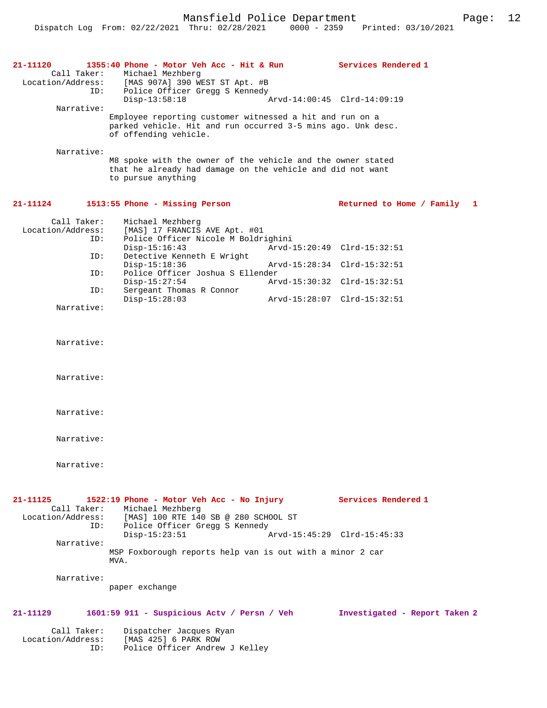| 21-11120                                | 1355:40 Phone - Motor Veh Acc - Hit & Run                                                                                                         |                             | Services Rendered 1           |
|-----------------------------------------|---------------------------------------------------------------------------------------------------------------------------------------------------|-----------------------------|-------------------------------|
| Call Taker:<br>Location/Address:<br>ID: | Michael Mezhberg<br>[MAS 907A] 390 WEST ST Apt. #B<br>Police Officer Gregg S Kennedy                                                              |                             |                               |
| Narrative:                              | $Disp-13:58:18$                                                                                                                                   |                             | Arvd-14:00:45 Clrd-14:09:19   |
|                                         | Employee reporting customer witnessed a hit and run on a<br>parked vehicle. Hit and run occurred 3-5 mins ago. Unk desc.<br>of offending vehicle. |                             |                               |
| Narrative:                              |                                                                                                                                                   |                             |                               |
|                                         | M8 spoke with the owner of the vehicle and the owner stated<br>that he already had damage on the vehicle and did not want<br>to pursue anything   |                             |                               |
| 21-11124                                | 1513:55 Phone - Missing Person                                                                                                                    |                             | Returned to Home / Family 1   |
| Call Taker:<br>Location/Address:<br>ID: | Michael Mezhberg<br>[MAS] 17 FRANCIS AVE Apt. #01<br>Police Officer Nicole M Boldrighini                                                          |                             |                               |
| ID:                                     | $Disp-15:16:43$<br>Detective Kenneth E Wright                                                                                                     |                             | Arvd-15:20:49 Clrd-15:32:51   |
| ID:                                     | $Disp-15:18:36$<br>Police Officer Joshua S Ellender                                                                                               |                             | Arvd-15:28:34 Clrd-15:32:51   |
| ID:                                     | $Disp-15:27:54$<br>Sergeant Thomas R Connor                                                                                                       |                             | Arvd-15:30:32 Clrd-15:32:51   |
| Narrative:                              | $Disp-15:28:03$                                                                                                                                   | Arvd-15:28:07 Clrd-15:32:51 |                               |
|                                         |                                                                                                                                                   |                             |                               |
| Narrative:                              |                                                                                                                                                   |                             |                               |
| Narrative:                              |                                                                                                                                                   |                             |                               |
| Narrative:                              |                                                                                                                                                   |                             |                               |
| Narrative:                              |                                                                                                                                                   |                             |                               |
| Narrative:                              |                                                                                                                                                   |                             |                               |
| 21-11125                                | 1522:19 Phone - Motor Veh Acc - No Injury                                                                                                         |                             | Services Rendered 1           |
| Call Taker:<br>ID:                      | Michael Mezhberg<br>Location/Address: [MAS] 100 RTE 140 SB @ 280 SCHOOL ST<br>Police Officer Gregg S Kennedy                                      |                             |                               |
| Narrative:                              | $Disp-15:23:51$                                                                                                                                   |                             | Arvd-15:45:29 Clrd-15:45:33   |
|                                         | MSP Foxborough reports help van is out with a minor 2 car<br>MVA.                                                                                 |                             |                               |
| Narrative:                              | paper exchange                                                                                                                                    |                             |                               |
| 21-11129                                | 1601:59 911 - Suspicious Actv / Persn / Veh                                                                                                       |                             | Investigated - Report Taken 2 |
| Call Taker:<br>Location/Address:<br>ID: | Dispatcher Jacques Ryan<br>[MAS 425] 6 PARK ROW<br>Police Officer Andrew J Kelley                                                                 |                             |                               |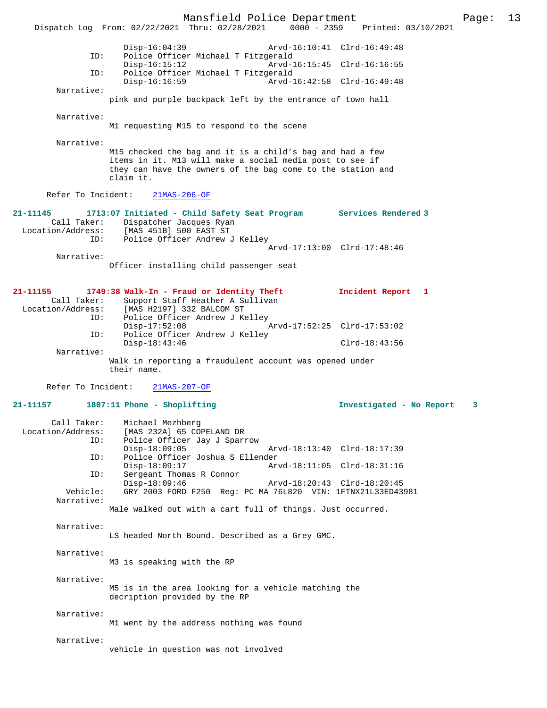Mansfield Police Department Page: 13 Dispatch Log From: 02/22/2021 Thru: 02/28/2021 Disp-16:04:39 Arvd-16:10:41 Clrd-16:49:48 ID: Police Officer Michael T Fitzgerald Disp-16:15:12 Arvd-16:15:45 Clrd-16:16:55<br>TD: Police Officer Michael T Fitzgerald Police Officer Michael T Fitzgerald<br>Disp-16:16:59 Arvd-1 Disp-16:16:59 Arvd-16:42:58 Clrd-16:49:48 Narrative: pink and purple backpack left by the entrance of town hall Narrative: M1 requesting M15 to respond to the scene Narrative: M15 checked the bag and it is a child's bag and had a few items in it. M13 will make a social media post to see if they can have the owners of the bag come to the station and claim it. Refer To Incident: 21MAS-206-OF **21-11145 1713:07 Initiated - Child Safety Seat Program Services Rendered 3**  Call Taker: Dispatcher Jacques Ryan<br>Location/Address: [MAS 451B] 500 EAST ST ess: [MAS 451B] 500 EAST ST<br>ID: Police Officer Andrew Police Officer Andrew J Kelley Arvd-17:13:00 Clrd-17:48:46 Narrative: Officer installing child passenger seat **21-11155 1749:38 Walk-In - Fraud or Identity Theft Incident Report 1**  Call Taker: Support Staff Heather A Sullivan<br>Location/Address: [MAS H2197] 332 BALCOM ST [MAS H2197] 332 BALCOM ST ID: Police Officer Andrew J Kelley<br>Disp-17:52:08 Disp-17:52:08 Arvd-17:52:25 Clrd-17:53:02<br>ID: Police Officer Andrew J Kelley Police Officer Andrew J Kelley Disp-18:43:46 Clrd-18:43:56 Narrative: Walk in reporting a fraudulent account was opened under their name. Refer To Incident: 21MAS-207-OF **21-11157 1807:11 Phone - Shoplifting Investigated - No Report 3** Call Taker: Michael Mezhberg<br>Location/Address: [MAS 232A] 65 COI [MAS 232A] 65 COPELAND DR ID: Police Officer Jay J Sparrow Disp-18:09:05 Arvd-18:13:40 Clrd-18:17:39<br>ID: Police Officer Joshua S Ellender ID: Police Officer Joshua S Ellender Disp-18:09:17 Arvd-18:11:05 Clrd-18:31:16<br>ID: Sergeant Thomas R Connor Sergeant Thomas R Connor Disp-18:09:46 <br>Disp-18:09:46 Arvd-18:20:43 Clrd-18:20:45 Arvd-18:20:45 Clrd-18:20:45 GRY 2003 FORD F250 Reg: PC MA 76L820 VIN: 1FTNX21L33ED43981 Narrative: Male walked out with a cart full of things. Just occurred. Narrative: LS headed North Bound. Described as a Grey GMC. Narrative: M3 is speaking with the RP Narrative: M5 is in the area looking for a vehicle matching the decription provided by the RP Narrative: M1 went by the address nothing was found Narrative: vehicle in question was not involved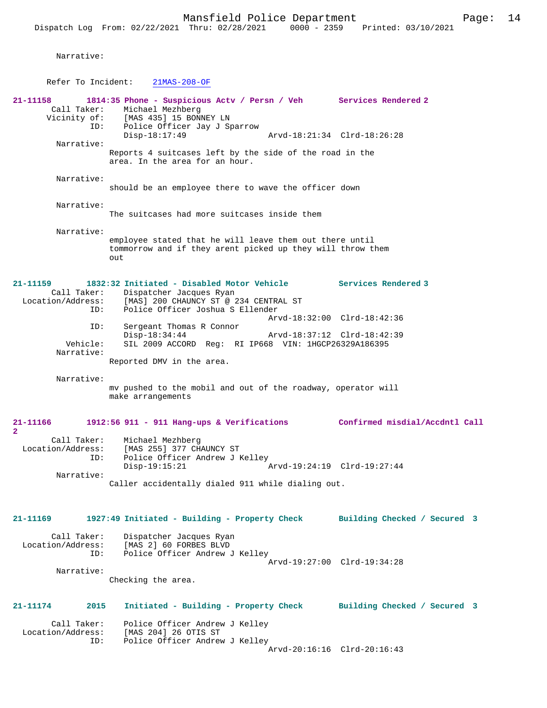Narrative:

Refer To Incident: 21MAS-208-OF

**21-11158 1814:35 Phone - Suspicious Actv / Persn / Veh Services Rendered 2**  Call Taker: Michael Mezhberg<br>Vicinity of: [MAS 435] 15 BONI of: [MAS 435] 15 BONNEY LN<br>ID: Police Officer Jav J Sm Police Officer Jay J Sparrow<br>Police Officer Jay J Sparrow Disp-18:17:49 Arvd-18:21:34 Clrd-18:26:28 Narrative: Reports 4 suitcases left by the side of the road in the area. In the area for an hour. Narrative: should be an employee there to wave the officer down Narrative: The suitcases had more suitcases inside them Narrative: employee stated that he will leave them out there until tommorrow and if they arent picked up they will throw them out **21-11159 1832:32 Initiated - Disabled Motor Vehicle Services Rendered 3**  Call Taker: Dispatcher Jacques Ryan<br>Location/Address: [MAS] 200 CHAUNCY ST @ 2 ess: [MAS] 200 CHAUNCY ST @ 234 CENTRAL ST<br>ID: Police Officer Joshua S Ellender Police Officer Joshua S Ellender Arvd-18:32:00 Clrd-18:42:36 ID: Sergeant Thomas R Connor Disp-18:34:44 Arvd-18:37:12 Clrd-18:42:39<br>Vehicle: SIL 2009 ACCORD Reg: RI IP668 VIN: 1HGCP26329A186395 SIL 2009 ACCORD Reg: RI IP668 VIN: 1HGCP26329A186395 Narrative: Reported DMV in the area. Narrative: mv pushed to the mobil and out of the roadway, operator will make arrangements **21-11166 1912:56 911 - 911 Hang-ups & Verifications Confirmed misdial/Accdntl Call 2**  Call Taker: Michael Mezhberg<br>Location/Address: [MAS 255] 377 CH ess: [MAS 255] 377 CHAUNCY ST<br>ID: Police Officer Andrew J F Police Officer Andrew J Kelley<br>Disp-19:15:21 Disp-19:15:21 Arvd-19:24:19 Clrd-19:27:44 Narrative: Caller accidentally dialed 911 while dialing out. **21-11169 1927:49 Initiated - Building - Property Check Building Checked / Secured 3** Call Taker: Dispatcher Jacques Ryan<br>Location/Address: [MAS 2] 60 FORBES BLVD ess: [MAS 2] 60 FORBES BLVD<br>ID: Police Officer Andrew J Police Officer Andrew J Kelley Arvd-19:27:00 Clrd-19:34:28 Narrative: Checking the area. **21-11174 2015 Initiated - Building - Property Check Building Checked / Secured 3** Call Taker: Police Officer Andrew J Kelley<br>Location/Address: [MAS 204] 26 OTIS ST [MAS 204] 26 OTIS ST ID: Police Officer Andrew J Kelley

Arvd-20:16:16 Clrd-20:16:43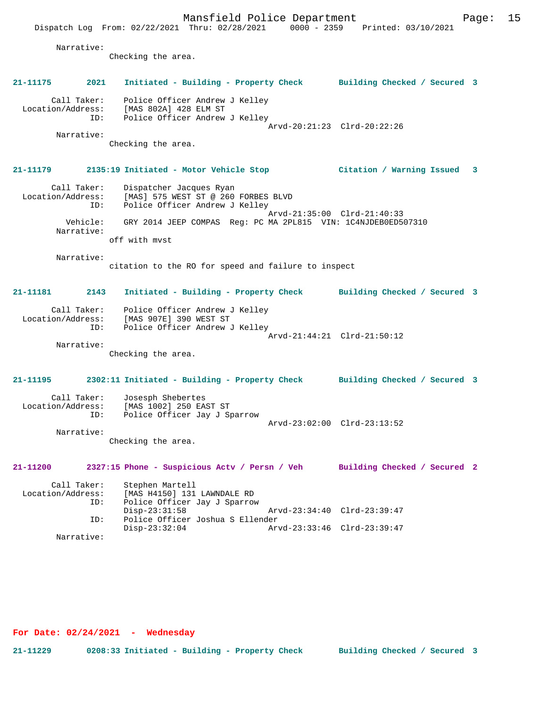Narrative:

Checking the area.

# **21-11175 2021 Initiated - Building - Property Check Building Checked / Secured 3**

 Call Taker: Police Officer Andrew J Kelley Location/Address: [MAS 802A] 428 ELM ST ID: Police Officer Andrew J Kelley Arvd-20:21:23 Clrd-20:22:26 Narrative:

Checking the area.

## **21-11179 2135:19 Initiated - Motor Vehicle Stop Citation / Warning Issued 3**

 Call Taker: Dispatcher Jacques Ryan Location/Address: [MAS] 575 WEST ST @ 260 FORBES BLVD ID: Police Officer Andrew J Kelley Arvd-21:35:00 Clrd-21:40:33 Vehicle: GRY 2014 JEEP COMPAS Reg: PC MA 2PL815 VIN: 1C4NJDEB0ED507310 Narrative: off with mvst

Narrative:

citation to the RO for speed and failure to inspect

## **21-11181 2143 Initiated - Building - Property Check Building Checked / Secured 3** Call Taker: Police Officer Andrew J Kelley Location/Address: [MAS 907E] 390 WEST ST ID: Police Officer Andrew J Kelley

Arvd-21:44:21 Clrd-21:50:12

Narrative:

Checking the area.

### **21-11195 2302:11 Initiated - Building - Property Check Building Checked / Secured 3**

Call Taker: Josesph Shebertes<br>Location/Address: [MAS 1002] 250 EA Location Suepertes<br>Star (MAS 1002) 250 EAST ST<br>ID: Police Officer Jay J Sp Police Officer Jay J Sparrow Arvd-23:02:00 Clrd-23:13:52 Narrative:

Checking the area.

### **21-11200 2327:15 Phone - Suspicious Actv / Persn / Veh Building Checked / Secured 2**

Call Taker: Stephen Martell<br>Location/Address: [MAS H4150] 131 Location<br>IMAS H4150] 131 LAWNDALE RD ID: Police Officer Jay J Sparrow Disp-23:31:58 Arvd-23:34:40 Clrd-23:39:47<br>ID: Police Officer Joshua S Ellender Police Officer Joshua S Ellender Disp-23:32:04 Arvd-23:33:46 Clrd-23:39:47 Narrative:

**For Date: 02/24/2021 - Wednesday**

**21-11229 0208:33 Initiated - Building - Property Check Building Checked / Secured 3**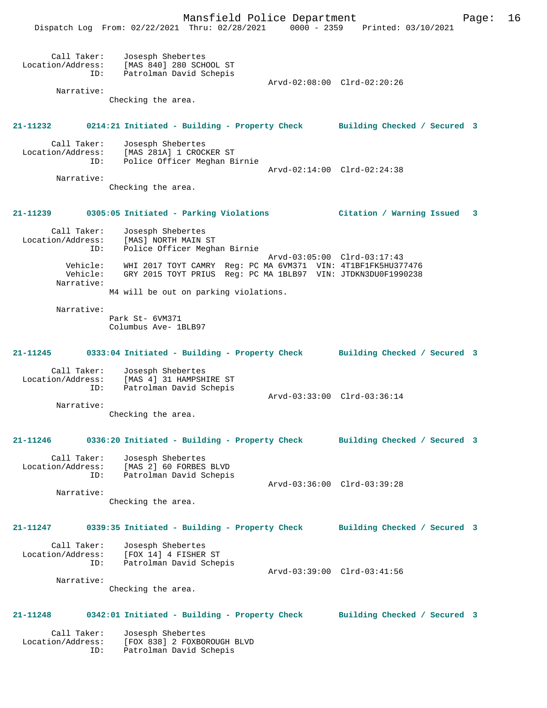|                                                       | Dispatch Log From: 02/22/2021 Thru: 02/28/2021 0000 - 2359 Printed: 03/10/2021                                               | Mansfield Police Department |                              | 16<br>Page: |
|-------------------------------------------------------|------------------------------------------------------------------------------------------------------------------------------|-----------------------------|------------------------------|-------------|
| Call Taker:<br>Location/Address:<br>ID:<br>Narrative: | Josesph Shebertes<br>[MAS 840] 280 SCHOOL ST<br>Patrolman David Schepis                                                      | Arvd-02:08:00 Clrd-02:20:26 |                              |             |
|                                                       | Checking the area.                                                                                                           |                             |                              |             |
| 21-11232                                              | 0214:21 Initiated - Building - Property Check Building Checked / Secured 3                                                   |                             |                              |             |
| Call Taker:<br>Location/Address:<br>ID:               | Josesph Shebertes<br>[MAS 281A] 1 CROCKER ST<br>Police Officer Meghan Birnie                                                 | Arvd-02:14:00 Clrd-02:24:38 |                              |             |
| Narrative:                                            | Checking the area.                                                                                                           |                             |                              |             |
|                                                       | 21-11239 0305:05 Initiated - Parking Violations                                                                              |                             | Citation / Warning Issued    | 3           |
| Call Taker:<br>Location/Address:<br>ID:               | Josesph Shebertes<br>[MAS] NORTH MAIN ST<br>Police Officer Meghan Birnie                                                     |                             |                              |             |
| Vehicle:<br>Vehicle:<br>Narrative:                    | WHI 2017 TOYT CAMRY Req: PC MA 6VM371 VIN: 4T1BF1FK5HU377476<br>GRY 2015 TOYT PRIUS Req: PC MA 1BLB97 VIN: JTDKN3DU0F1990238 | Arvd-03:05:00 Clrd-03:17:43 |                              |             |
|                                                       | M4 will be out on parking violations.                                                                                        |                             |                              |             |
| Narrative:                                            | Park St- 6VM371<br>Columbus Ave- 1BLB97                                                                                      |                             |                              |             |
| 21-11245                                              | 0333:04 Initiated - Building - Property Check Building Checked / Secured 3                                                   |                             |                              |             |
| Call Taker:<br>Location/Address:<br>ID:               | Josesph Shebertes<br>[MAS 4] 31 HAMPSHIRE ST<br>Patrolman David Schepis                                                      | Arvd-03:33:00 Clrd-03:36:14 |                              |             |
| Narrative:                                            |                                                                                                                              |                             |                              |             |
|                                                       | Checking the area.                                                                                                           |                             |                              |             |
| 21-11246                                              | 0336:20 Initiated - Building - Property Check                                                                                |                             | Building Checked / Secured 3 |             |
| Call Taker:<br>Location/Address:<br>ID:               | Josesph Shebertes<br>[MAS 2] 60 FORBES BLVD<br>Patrolman David Schepis                                                       | Arvd-03:36:00 Clrd-03:39:28 |                              |             |
| Narrative:                                            | Checking the area.                                                                                                           |                             |                              |             |
| 21-11247                                              | 0339:35 Initiated - Building - Property Check                                                                                |                             | Building Checked / Secured 3 |             |
| Call Taker:<br>Location/Address:<br>ID:               | Josesph Shebertes<br>[FOX 14] 4 FISHER ST<br>Patrolman David Schepis                                                         | Arvd-03:39:00 Clrd-03:41:56 |                              |             |
| Narrative:                                            |                                                                                                                              |                             |                              |             |
|                                                       | Checking the area.                                                                                                           |                             |                              |             |
| 21-11248                                              | 0342:01 Initiated - Building - Property Check                                                                                |                             | Building Checked / Secured 3 |             |
| Call Taker:<br>Location/Address:<br>ID:               | Josesph Shebertes<br>[FOX 838] 2 FOXBOROUGH BLVD<br>Patrolman David Schepis                                                  |                             |                              |             |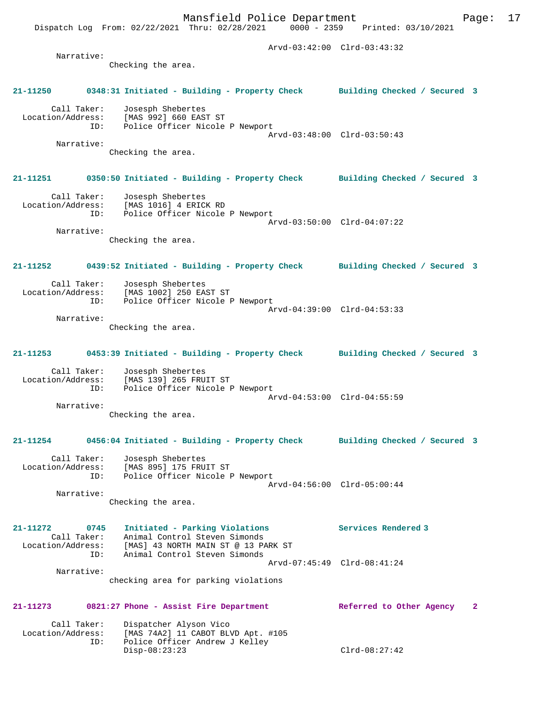Dispatch Log From: 02/22/2021 Thru: 02/28/2021 0000 - 2359 Printed: 03/10/2021 Arvd-03:42:00 Clrd-03:43:32 Narrative: Checking the area. **21-11250 0348:31 Initiated - Building - Property Check Building Checked / Secured 3** Call Taker: Josesph Shebertes Location/Address: [MAS 992] 660 EAST ST ID: Police Officer Nicole P Newport Arvd-03:48:00 Clrd-03:50:43 Narrative: Checking the area. **21-11251 0350:50 Initiated - Building - Property Check Building Checked / Secured 3** Call Taker: Josesph Shebertes Location/Address: [MAS 1016] 4 ERICK RD ID: Police Officer Nicole P Newport Arvd-03:50:00 Clrd-04:07:22 Narrative: Checking the area. **21-11252 0439:52 Initiated - Building - Property Check Building Checked / Secured 3** Call Taker: Josesph Shebertes<br>Location/Address: [MAS 1002] 250 EAST ST Location/Address: [MAS 1002] 250 EAST ST ID: Police Officer Nicole P Newport Arvd-04:39:00 Clrd-04:53:33 Narrative: Checking the area. **21-11253 0453:39 Initiated - Building - Property Check Building Checked / Secured 3** Call Taker: Josesph Shebertes Location/Address: [MAS 139] 265 FRUIT ST ID: Police Officer Nicole P Newport Arvd-04:53:00 Clrd-04:55:59 Narrative: Checking the area. **21-11254 0456:04 Initiated - Building - Property Check Building Checked / Secured 3** Call Taker: Josesph Shebertes Location/Address: [MAS 895] 175 FRUIT ST ID: Police Officer Nicole P Newport Arvd-04:56:00 Clrd-05:00:44 Narrative: Checking the area. **21-11272 0745 Initiated - Parking Violations Services Rendered 3**  Call Taker: Animal Control Steven Simonds Location/Address: [MAS] 43 NORTH MAIN ST @ 13 PARK ST ID: Animal Control Steven Simonds Arvd-07:45:49 Clrd-08:41:24 Narrative: checking area for parking violations **21-11273 0821:27 Phone - Assist Fire Department Referred to Other Agency 2** Call Taker: Dispatcher Alyson Vico<br>Location/Address: [MAS 74A2] 11 CABOT BL ess: [MAS 74A2] 11 CABOT BLVD Apt. #105<br>ID: Police Officer Andrew J Kelley Police Officer Andrew J Kelley<br>Disp-08:23:23

Mansfield Police Department Fage: 17

Disp-08:23:23 Clrd-08:27:42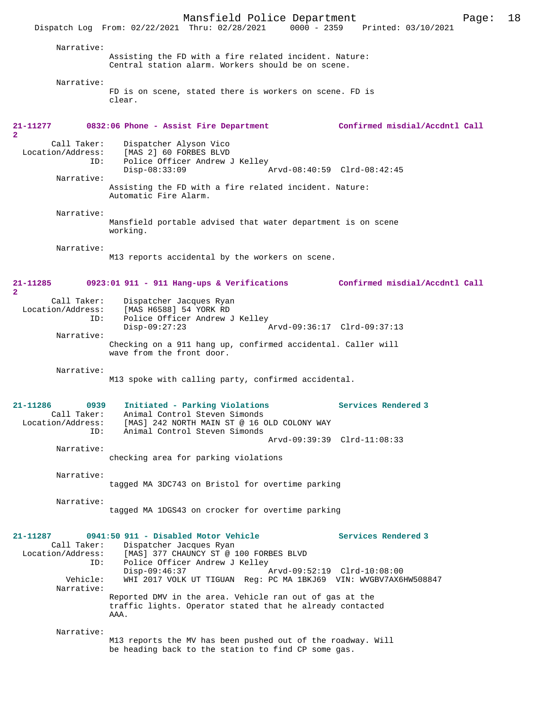|                                  | Mansfield Police Department                                                                                          |                                | Page: | 18 |
|----------------------------------|----------------------------------------------------------------------------------------------------------------------|--------------------------------|-------|----|
|                                  | $0000 - 2359$<br>Dispatch Log From: 02/22/2021 Thru: 02/28/2021                                                      | Printed: 03/10/2021            |       |    |
| Narrative:                       |                                                                                                                      |                                |       |    |
|                                  | Assisting the FD with a fire related incident. Nature:                                                               |                                |       |    |
|                                  | Central station alarm. Workers should be on scene.                                                                   |                                |       |    |
| Narrative:                       |                                                                                                                      |                                |       |    |
|                                  | FD is on scene, stated there is workers on scene. FD is<br>clear.                                                    |                                |       |    |
|                                  |                                                                                                                      |                                |       |    |
| 21-11277                         | 0832:06 Phone - Assist Fire Department                                                                               | Confirmed misdial/Accdntl Call |       |    |
| $\overline{2}$                   |                                                                                                                      |                                |       |    |
| Call Taker:<br>Location/Address: | Dispatcher Alyson Vico<br>[MAS 2] 60 FORBES BLVD                                                                     |                                |       |    |
| ID:                              | Police Officer Andrew J Kelley                                                                                       |                                |       |    |
| Narrative:                       | $Disp-08:33:09$                                                                                                      | Arvd-08:40:59 Clrd-08:42:45    |       |    |
|                                  | Assisting the FD with a fire related incident. Nature:                                                               |                                |       |    |
|                                  | Automatic Fire Alarm.                                                                                                |                                |       |    |
| Narrative:                       |                                                                                                                      |                                |       |    |
|                                  | Mansfield portable advised that water department is on scene<br>working.                                             |                                |       |    |
|                                  |                                                                                                                      |                                |       |    |
| Narrative:                       | M13 reports accidental by the workers on scene.                                                                      |                                |       |    |
|                                  |                                                                                                                      |                                |       |    |
| 21-11285                         | $0923:01$ 911 - 911 Hang-ups & Verifications                                                                         | Confirmed misdial/Accdntl Call |       |    |
| $\overline{2}$                   |                                                                                                                      |                                |       |    |
| Call Taker:<br>Location/Address: | Dispatcher Jacques Ryan<br>[MAS H6588] 54 YORK RD                                                                    |                                |       |    |
| ID:                              | Police Officer Andrew J Kelley                                                                                       |                                |       |    |
| Narrative:                       | $Disp-09:27:23$                                                                                                      | Arvd-09:36:17 Clrd-09:37:13    |       |    |
|                                  | Checking on a 911 hang up, confirmed accidental. Caller will<br>wave from the front door.                            |                                |       |    |
|                                  |                                                                                                                      |                                |       |    |
| Narrative:                       | M13 spoke with calling party, confirmed accidental.                                                                  |                                |       |    |
|                                  |                                                                                                                      |                                |       |    |
| $21 - 11286$<br>0939             | Initiated - Parking Violations                                                                                       | Services Rendered 3            |       |    |
|                                  | Call Taker: Animal Control Steven Simonds                                                                            |                                |       |    |
| Location/Address:<br>ID:         | [MAS] 242 NORTH MAIN ST @ 16 OLD COLONY WAY<br>Animal Control Steven Simonds                                         |                                |       |    |
|                                  |                                                                                                                      | Arvd-09:39:39 Clrd-11:08:33    |       |    |
| Narrative:                       | checking area for parking violations                                                                                 |                                |       |    |
|                                  |                                                                                                                      |                                |       |    |
| Narrative:                       | tagged MA 3DC743 on Bristol for overtime parking                                                                     |                                |       |    |
|                                  |                                                                                                                      |                                |       |    |
| Narrative:                       | tagged MA 1DGS43 on crocker for overtime parking                                                                     |                                |       |    |
|                                  |                                                                                                                      |                                |       |    |
| 21-11287                         | 0941:50 911 - Disabled Motor Vehicle                                                                                 | Services Rendered 3            |       |    |
| Call Taker:<br>Location/Address: | Dispatcher Jacques Ryan<br>[MAS] 377 CHAUNCY ST @ 100 FORBES BLVD                                                    |                                |       |    |
| ID:                              | Police Officer Andrew J Kelley                                                                                       |                                |       |    |
| Vehicle:                         | Disp-09:46:37<br>WHI 2017 VOLK UT TIGUAN Req: PC MA 1BKJ69 VIN: WVGBV7AX6HW508847                                    | Arvd-09:52:19 Clrd-10:08:00    |       |    |
| Narrative:                       |                                                                                                                      |                                |       |    |
|                                  | Reported DMV in the area. Vehicle ran out of gas at the<br>traffic lights. Operator stated that he already contacted |                                |       |    |
|                                  | AAA.                                                                                                                 |                                |       |    |
| Narrative:                       |                                                                                                                      |                                |       |    |
|                                  | M13 reports the MV has been pushed out of the roadway. Will                                                          |                                |       |    |
|                                  | be heading back to the station to find CP some gas.                                                                  |                                |       |    |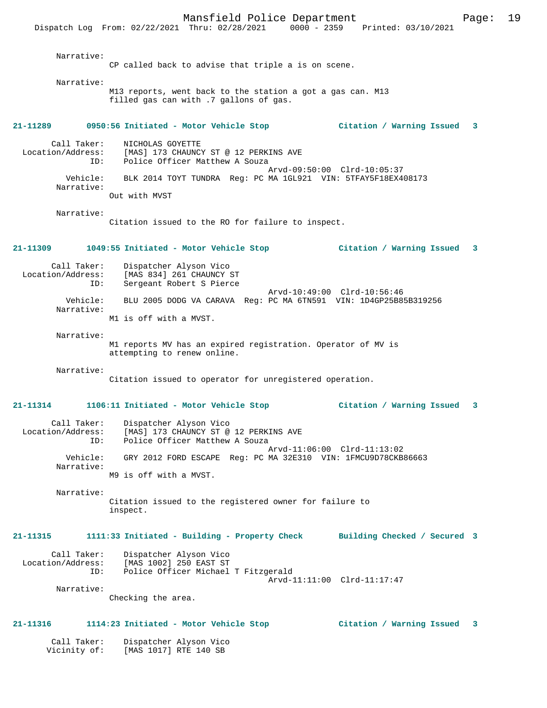Mansfield Police Department Fage: 19 Dispatch Log From: 02/22/2021 Thru: 02/28/2021 0000 - 2359 Printed: 03/10/2021 Narrative: CP called back to advise that triple a is on scene. Narrative: M13 reports, went back to the station a got a gas can. M13 filled gas can with .7 gallons of gas. **21-11289 0950:56 Initiated - Motor Vehicle Stop Citation / Warning Issued 3** Call Taker: NICHOLAS GOYETTE Location/Address: [MAS] 173 CHAUNCY ST @ 12 PERKINS AVE<br>ID: Police Officer Matthew A Souza Police Officer Matthew A Souza Arvd-09:50:00 Clrd-10:05:37<br>Vehicle: BLK 2014 TOYT TUNDRA Req: PC MA 1GL921 VIN: 5TFAY5F18EX4 BLK 2014 TOYT TUNDRA Reg: PC MA 1GL921 VIN: 5TFAY5F18EX408173 Narrative: Out with MVST Narrative: Citation issued to the RO for failure to inspect. **21-11309 1049:55 Initiated - Motor Vehicle Stop Citation / Warning Issued 3** Call Taker: Dispatcher Alyson Vico<br>Location/Address: [MAS 834] 261 CHAUNCY ess: [MAS 834] 261 CHAUNCY ST<br>ID: Sergeant Robert S Pierce Sergeant Robert S Pierce Arvd-10:49:00 Clrd-10:56:46<br>Vebicle: BLU 2005 DODG VA CARAVA Reg: PC MA 6TN591 VIN: 1D4GP25B8 BLU 2005 DODG VA CARAVA Reg: PC MA 6TN591 VIN: 1D4GP25B85B319256 Narrative: M1 is off with a MVST. Narrative: M1 reports MV has an expired registration. Operator of MV is attempting to renew online. Narrative: Citation issued to operator for unregistered operation. **21-11314 1106:11 Initiated - Motor Vehicle Stop Citation / Warning Issued 3** Call Taker: Dispatcher Alyson Vico Location/Address: [MAS] 173 CHAUNCY ST @ 12 PERKINS AVE ID: Police Officer Matthew A Souza Arvd-11:06:00 Clrd-11:13:02 Vehicle: GRY 2012 FORD ESCAPE Reg: PC MA 32E310 VIN: 1FMCU9D78CKB86663 Narrative: M9 is off with a MVST. Narrative: Citation issued to the registered owner for failure to inspect. **21-11315 1111:33 Initiated - Building - Property Check Building Checked / Secured 3** Call Taker: Dispatcher Alyson Vico Location/Address: [MAS 1002] 250 EAST ST Police Officer Michael T Fitzgerald Arvd-11:11:00 Clrd-11:17:47 Narrative: Checking the area. **21-11316 1114:23 Initiated - Motor Vehicle Stop Citation / Warning Issued 3** Call Taker: Dispatcher Alyson Vico

Vicinity of: [MAS 1017] RTE 140 SB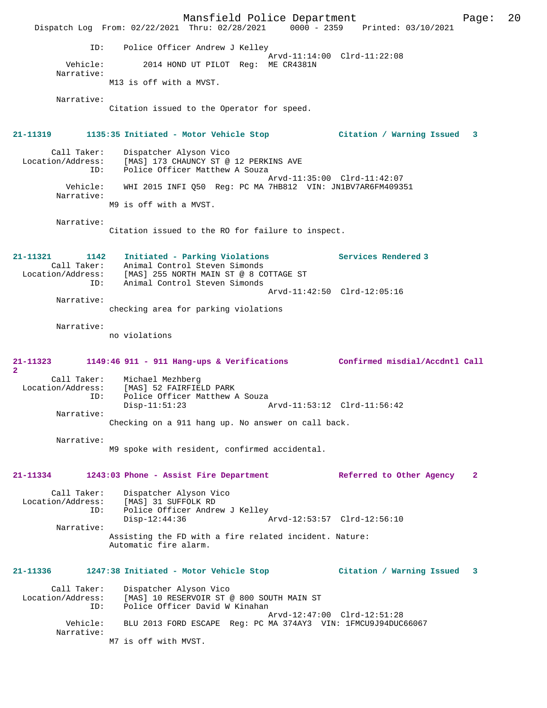Mansfield Police Department Fage: 20 Dispatch Log From: 02/22/2021 Thru: 02/28/2021 0000 - 2359 Printed: 03/10/2021 ID: Police Officer Andrew J Kelley Arvd-11:14:00 Clrd-11:22:08<br>Vehicle: 2014 HOND UT PILOT Reg: ME CR4381N 2014 HOND UT PILOT Req: ME CR4381N Narrative: M13 is off with a MVST. Narrative: Citation issued to the Operator for speed. **21-11319 1135:35 Initiated - Motor Vehicle Stop Citation / Warning Issued 3** Call Taker: Dispatcher Alyson Vico<br>Location/Address: [MAS] 173 CHAUNCY ST @ Location Construction (Address: The Pass: The Pass: The Pass of Pass and Pass ave<br>Location Police of Ficer Matthew A Souza Police Officer Matthew A Souza Arvd-11:35:00 Clrd-11:42:07 Vehicle: WHI 2015 INFI Q50 Reg: PC MA 7HB812 VIN: JN1BV7AR6FM409351 Narrative: M9 is off with a MVST. Narrative: Citation issued to the RO for failure to inspect. **21-11321 1142 Initiated - Parking Violations Services Rendered 3**  Call Taker: Animal Control Steven Simonds Location/Address: [MAS] 255 NORTH MAIN ST @ 8 COTTAGE ST ID: Animal Control Steven Simonds Arvd-11:42:50 Clrd-12:05:16 Narrative: checking area for parking violations Narrative: no violations **21-11323 1149:46 911 - 911 Hang-ups & Verifications Confirmed misdial/Accdntl Call 2**  Call Taker: Michael Mezhberg Location/Address: [MAS] 52 FAIRFIELD PARK<br>ID: Police Officer Matthew A<br>Disp-11:51:23 Police Officer Matthew A Souza Disp-11:51:23 Arvd-11:53:12 Clrd-11:56:42 Narrative: Checking on a 911 hang up. No answer on call back. Narrative: M9 spoke with resident, confirmed accidental. **21-11334 1243:03 Phone - Assist Fire Department Referred to Other Agency 2** Call Taker: Dispatcher Alyson Vico Location/Address: [MAS] 31 SUFFOLK RD Police Officer Andrew J Kelley<br>Disp-12:44:36 Disp-12:44:36 Arvd-12:53:57 Clrd-12:56:10 Narrative: Assisting the FD with a fire related incident. Nature: Automatic fire alarm. **21-11336 1247:38 Initiated - Motor Vehicle Stop Citation / Warning Issued 3** Call Taker: Dispatcher Alyson Vico Location/Address: [MAS] 10 RESERVOIR ST @ 800 SOUTH MAIN ST ID: Police Officer David W Kinahan Arvd-12:47:00 Clrd-12:51:28 Vehicle: BLU 2013 FORD ESCAPE Reg: PC MA 374AY3 VIN: 1FMCU9J94DUC66067 Narrative: M7 is off with MVST.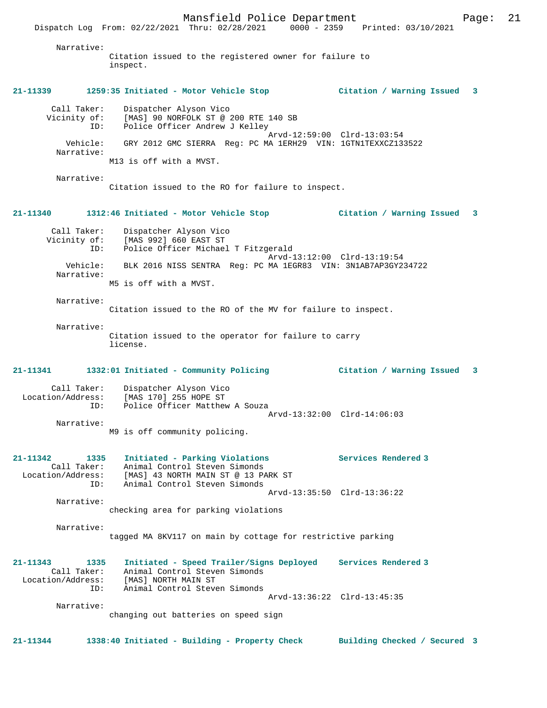Narrative:

Citation issued to the registered owner for failure to inspect.

### **21-11339 1259:35 Initiated - Motor Vehicle Stop Citation / Warning Issued 3**

| Call Taker:            | Dispatcher Alyson Vico                                       |  |
|------------------------|--------------------------------------------------------------|--|
| Vicinity of:           | [MAS] 90 NORFOLK ST @ 200 RTE 140 SB                         |  |
| ID:                    | Police Officer Andrew J Kelley                               |  |
|                        | Arvd-12:59:00 Clrd-13:03:54                                  |  |
| Vehicle:<br>Narrative: | GRY 2012 GMC SIERRA Req: PC MA 1ERH29 VIN: 1GTN1TEXXCZ133522 |  |
|                        | M13 is off with a MVST.                                      |  |

Narrative:

Citation issued to the RO for failure to inspect.

### **21-11340 1312:46 Initiated - Motor Vehicle Stop Citation / Warning Issued 3**

| Call Taker:<br>Vicinity of: | Dispatcher Alyson Vico<br>[MAS 992] 660 EAST ST               |
|-----------------------------|---------------------------------------------------------------|
| ID:                         | Police Officer Michael T Fitzgerald                           |
|                             | Arvd-13:12:00 Clrd-13:19:54                                   |
| Vehicle:<br>Narrative:      | BLK 2016 NISS SENTRA Req: PC MA 1EGR83 VIN: 3N1AB7AP3GY234722 |
|                             | M5 is off with a MVST.                                        |
|                             |                                                               |

Narrative:

Citation issued to the RO of the MV for failure to inspect.

#### Narrative:

Citation issued to the operator for failure to carry license.

### **21-11341 1332:01 Initiated - Community Policing Citation / Warning Issued 3**

#### Call Taker: Dispatcher Alyson Vico Location/Address: [MAS 170] 255 HOPE ST ID: Police Officer Matthew A Souza Arvd-13:32:00 Clrd-14:06:03 Narrative:

M9 is off community policing.

#### **21-11342 1335 Initiated - Parking Violations Services Rendered 3**  Call Taker: Animal Control Steven Simonds Location/Address: [MAS] 43 NORTH MAIN ST @ 13 PARK ST ID: Animal Control Steven Simonds Arvd-13:35:50 Clrd-13:36:22

Narrative:

checking area for parking violations

#### Narrative: tagged MA 8KV117 on main by cottage for restrictive parking

### **21-11343 1335 Initiated - Speed Trailer/Signs Deployed Services Rendered 3**  Call Taker: Animal Control Steven Simonds Location/Address: [MAS] NORTH MAIN ST ID: Animal Control Steven Simonds Arvd-13:36:22 Clrd-13:45:35 Narrative:

changing out batteries on speed sign

**21-11344 1338:40 Initiated - Building - Property Check Building Checked / Secured 3**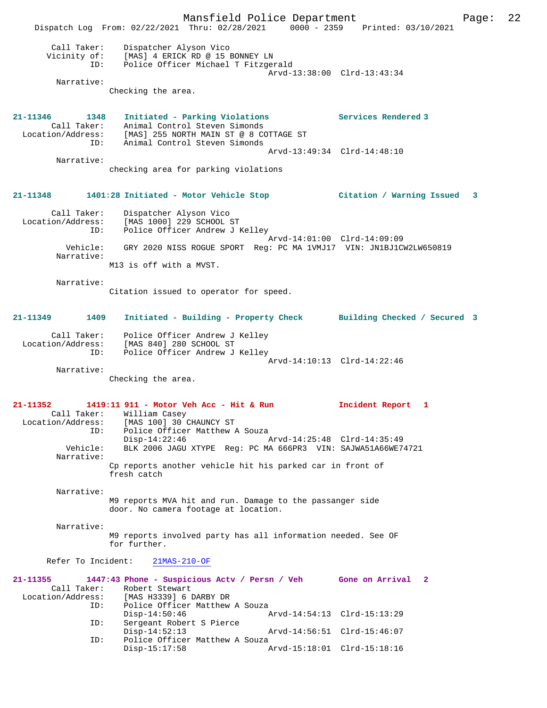Mansfield Police Department Page: 22 Dispatch Log From: 02/22/2021 Thru: 02/28/2021 0000 - 2359 Printed: 03/10/2021 Call Taker: Dispatcher Alyson Vico Vicinity of: [MAS] 4 ERICK RD @ 15 BONNEY LN ID: Police Officer Michael T Fitzgerald Arvd-13:38:00 Clrd-13:43:34 Narrative: Checking the area. **21-11346 1348 Initiated - Parking Violations Services Rendered 3**  Call Taker: Animal Control Steven Simonds Location/Address: [MAS] 255 NORTH MAIN ST @ 8 COTTAGE ST ID: Animal Control Steven Simonds Arvd-13:49:34 Clrd-14:48:10 Narrative: checking area for parking violations **21-11348 1401:28 Initiated - Motor Vehicle Stop Citation / Warning Issued 3** Call Taker: Dispatcher Alyson Vico Location/Address: [MAS 1000] 229 SCHOOL ST ID: Police Officer Andrew J Kelley Arvd-14:01:00 Clrd-14:09:09 Vehicle: GRY 2020 NISS ROGUE SPORT Reg: PC MA 1VMJ17 VIN: JN1BJ1CW2LW650819 Narrative: M13 is off with a MVST. Narrative: Citation issued to operator for speed. **21-11349 1409 Initiated - Building - Property Check Building Checked / Secured 3** Call Taker: Police Officer Andrew J Kelley Location/Address: [MAS 840] 280 SCHOOL ST ID: Police Officer Andrew J Kelley Arvd-14:10:13 Clrd-14:22:46 Narrative: Checking the area. **21-11352 1419:11 911 - Motor Veh Acc - Hit & Run Incident Report 1**  Call Taker: William Casey Location/Address: [MAS 100] 30 CHAUNCY ST ID: Police Officer Matthew A Souza Disp-14:22:46 Arvd-14:25:48 Clrd-14:35:49 Vehicle: BLK 2006 JAGU XTYPE Reg: PC MA 666PR3 VIN: SAJWA51A66WE74721 Narrative: Cp reports another vehicle hit his parked car in front of fresh catch Narrative: M9 reports MVA hit and run. Damage to the passanger side door. No camera footage at location. Narrative: M9 reports involved party has all information needed. See OF for further. Refer To Incident: 21MAS-210-OF **21-11355 1447:43 Phone - Suspicious Actv / Persn / Veh Gone on Arrival 2**  Call Taker: Robert Stewart<br>Location/Address: [MAS H3339] 6 1 ess: [MAS H3339] 6 DARBY DR<br>ID: Police Officer Matthew Police Officer Matthew A Souza<br>Disp-14:50:46 Disp-14:50:46 Arvd-14:54:13 Clrd-15:13:29<br>TD: Sergeant Robert S Pierce Sergeant Robert S Pierce Disp-14:52:13 Arvd-14:56:51 Clrd-15:46:07 ID: Police Officer Matthew A Souza<br>Disp-15:17:58 A Arvd-15:18:01 Clrd-15:18:16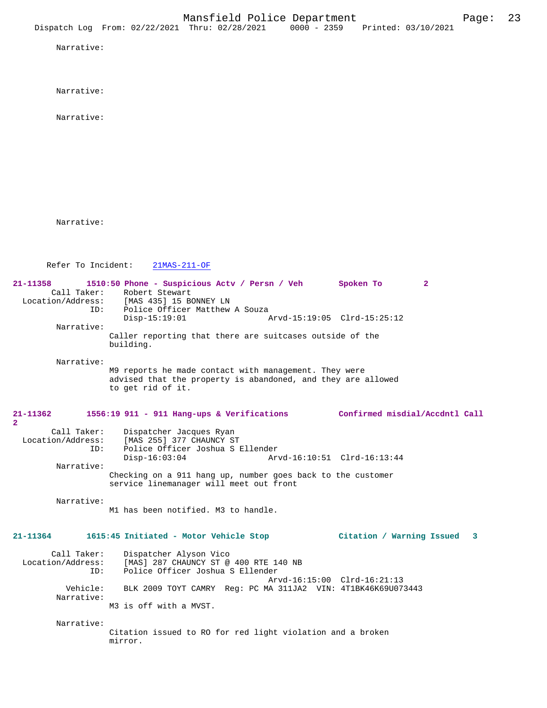Narrative:

Narrative:

Narrative:

Narrative:

Refer To Incident: 21MAS-211-OF

**21-11358 1510:50 Phone - Suspicious Actv / Persn / Veh Spoken To 2**  Call Taker: Robert Stewart<br>Location/Address: [MAS 435] 15 B [MAS 435] 15 BONNEY LN ID: Police Officer Matthew A Souza<br>Disp-15:19:01 Arvd-15:19:05 Clrd-15:25:12 Narrative: Caller reporting that there are suitcases outside of the building. Narrative: M9 reports he made contact with management. They were advised that the property is abandoned, and they are allowed to get rid of it. **21-11362 1556:19 911 - 911 Hang-ups & Verifications Confirmed misdial/Accdntl Call 2**  Call Taker: Dispatcher Jacques Ryan<br>Location/Address: [MAS 255] 377 CHAUNCY ST ess: [MAS 255] 377 CHAUNCY ST<br>ID: Police Officer Joshua S I Police Officer Joshua S Ellender<br>Disp-16:03:04 Ar Disp-16:03:04 Arvd-16:10:51 Clrd-16:13:44 Narrative: Checking on a 911 hang up, number goes back to the customer service linemanager will meet out front Narrative: M1 has been notified. M3 to handle. **21-11364 1615:45 Initiated - Motor Vehicle Stop Citation / Warning Issued 3** Call Taker: Dispatcher Alyson Vico<br>Location/Address: [MAS] 287 CHAUNCY ST @ ess: [MAS] 287 CHAUNCY ST @ 400 RTE 140 NB<br>ID: Police Officer Joshua S Ellender Police Officer Joshua S Ellender Arvd-16:15:00 Clrd-16:21:13 Vehicle: BLK 2009 TOYT CAMRY Reg: PC MA 311JA2 VIN: 4T1BK46K69U073443 Narrative: M3 is off with a MVST. Narrative: Citation issued to RO for red light violation and a broken mirror.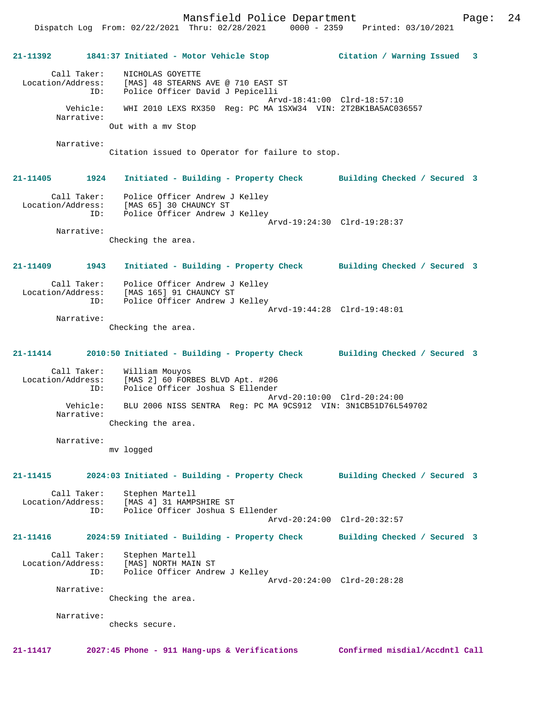Mansfield Police Department Page: 24

**21-11392 1841:37 Initiated - Motor Vehicle Stop Citation / Warning Issued 3** Call Taker: NICHOLAS GOYETTE Location/Address: [MAS] 48 STEARNS AVE @ 710 EAST ST ID: Police Officer David J Pepicelli Arvd-18:41:00 Clrd-18:57:10 Vehicle: WHI 2010 LEXS RX350 Reg: PC MA 1SXW34 VIN: 2T2BK1BA5AC036557 Narrative: Out with a mv Stop Narrative: Citation issued to Operator for failure to stop. **21-11405 1924 Initiated - Building - Property Check Building Checked / Secured 3** Call Taker: Police Officer Andrew J Kelley Location/Address: [MAS 65] 30 CHAUNCY ST ID: Police Officer Andrew J Kelley Arvd-19:24:30 Clrd-19:28:37 Narrative: Checking the area. **21-11409 1943 Initiated - Building - Property Check Building Checked / Secured 3** Call Taker: Police Officer Andrew J Kelley<br>Location/Address: [MAS 165] 91 CHAUNCY ST ess: [MAS 165] 91 CHAUNCY ST<br>ID: Police Officer Andrew J Police Officer Andrew J Kelley Arvd-19:44:28 Clrd-19:48:01 Narrative: Checking the area. **21-11414 2010:50 Initiated - Building - Property Check Building Checked / Secured 3** Call Taker: William Mouyos Location/Address: [MAS 2] 60 FORBES BLVD Apt. #206 ID: Police Officer Joshua S Ellender Arvd-20:10:00 Clrd-20:24:00<br>Vehicle: BLU 2006 NISS SENTRA Reg: PC MA 9CS912 VIN: 3N1CB51D76L54 BLU 2006 NISS SENTRA Reg: PC MA 9CS912 VIN: 3N1CB51D76L549702 Narrative: Checking the area. Narrative: mv logged **21-11415 2024:03 Initiated - Building - Property Check Building Checked / Secured 3** Call Taker: Stephen Martell Location/Address: [MAS 4] 31 HAMPSHIRE ST ID: Police Officer Joshua S Ellender Arvd-20:24:00 Clrd-20:32:57 **21-11416 2024:59 Initiated - Building - Property Check Building Checked / Secured 3** Call Taker: Stephen Martell Location/Address: [MAS] NORTH MAIN ST Police Officer Andrew J Kelley Arvd-20:24:00 Clrd-20:28:28 Narrative: Checking the area. Narrative: checks secure.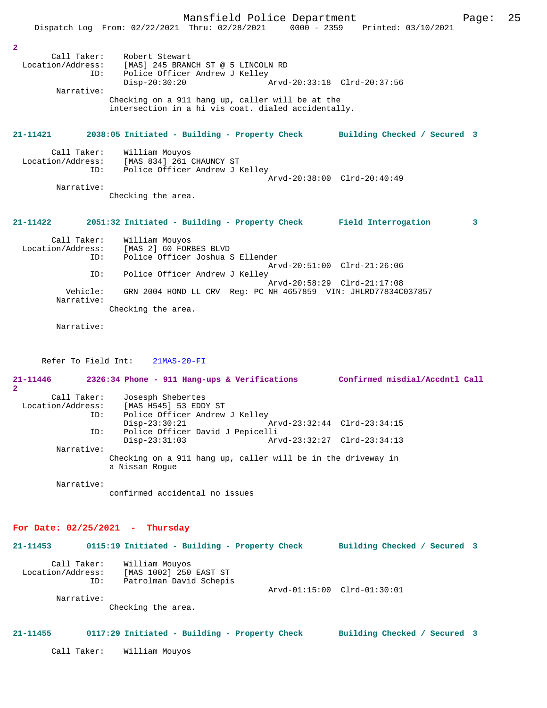|                                                                                        | Mansfield Police Department<br>Dispatch Log From: 02/22/2021 Thru: 02/28/2021                                                                                                                                                          |                                                            | 0000 - 2359 Printed: 03/10/2021 | Page: | 25 |
|----------------------------------------------------------------------------------------|----------------------------------------------------------------------------------------------------------------------------------------------------------------------------------------------------------------------------------------|------------------------------------------------------------|---------------------------------|-------|----|
| $\overline{a}$<br>Call Taker:<br>ID:<br>Narrative:                                     | Robert Stewart<br>Location/Address: [MAS] 245 BRANCH ST @ 5 LINCOLN RD<br>Police Officer Andrew J Kelley<br>$Disp-20:30:20$<br>Checking on a 911 hang up, caller will be at the<br>intersection in a hi vis coat. dialed accidentally. | Arvd-20:33:18 Clrd-20:37:56                                |                                 |       |    |
| 21-11421                                                                               | 2038:05 Initiated - Building - Property Check                                                                                                                                                                                          |                                                            | Building Checked / Secured 3    |       |    |
| Call Taker:<br>Location/Address:<br>ID:<br>Narrative:                                  | William Mouyos<br>[MAS 834] 261 CHAUNCY ST<br>Police Officer Andrew J Kelley<br>Checking the area.                                                                                                                                     | Arvd-20:38:00 Clrd-20:40:49                                |                                 |       |    |
| $21 - 11422$                                                                           | 2051:32 Initiated - Building - Property Check Field Interrogation                                                                                                                                                                      |                                                            |                                 | 3     |    |
| Call Taker:<br>Location/Address:<br>ID:<br>ID:<br>Vehicle:<br>Narrative:<br>Narrative: | William Mouyos<br>[MAS 2] 60 FORBES BLVD<br>Police Officer Joshua S Ellender<br>Police Officer Andrew J Kelley<br>GRN 2004 HOND LL CRV Reg: PC NH 4657859 VIN: JHLRD77834C037857<br>Checking the area.                                 | Arvd-20:51:00 Clrd-21:26:06<br>Arvd-20:58:29 Clrd-21:17:08 |                                 |       |    |
| . <i>. .</i>                                                                           | 011222222222                                                                                                                                                                                                                           |                                                            |                                 |       |    |

Refer To Field Int: 21MAS-20-FI

**21-11446 2326:34 Phone - 911 Hang-ups & Verifications Confirmed misdial/Accdntl Call 2**  Call Taker: Josesph Shebertes<br>Location/Address: [MAS H545] 53 EDD [MAS H545] 53 EDDY ST ID: Police Officer Andrew J Kelley Disp-23:30:21 <br>
Disp-23:32:44 Clrd-23:34:15<br>
Dice Officer David J Pepicelli Police Officer David J Pepicelli<br>Disp-23:31:03 Ar Disp-23:31:03 Arvd-23:32:27 Clrd-23:34:13 Narrative: Checking on a 911 hang up, caller will be in the driveway in a Nissan Rogue Narrative:

confirmed accidental no issues

## **For Date: 02/25/2021 - Thursday**

| $21 - 11453$                                   |     | 0115:19 Initiated - Building - Property Check                                             |                             | Building Checked / Secured 3 |  |
|------------------------------------------------|-----|-------------------------------------------------------------------------------------------|-----------------------------|------------------------------|--|
| Call Taker:<br>Location/Address:<br>Narrative: | ID: | William Mouyos<br>[MAS 1002] 250 EAST ST<br>Patrolman David Schepis<br>Checking the area. | Arvd-01:15:00 Clrd-01:30:01 |                              |  |

## **21-11455 0117:29 Initiated - Building - Property Check Building Checked / Secured 3**

Call Taker: William Mouyos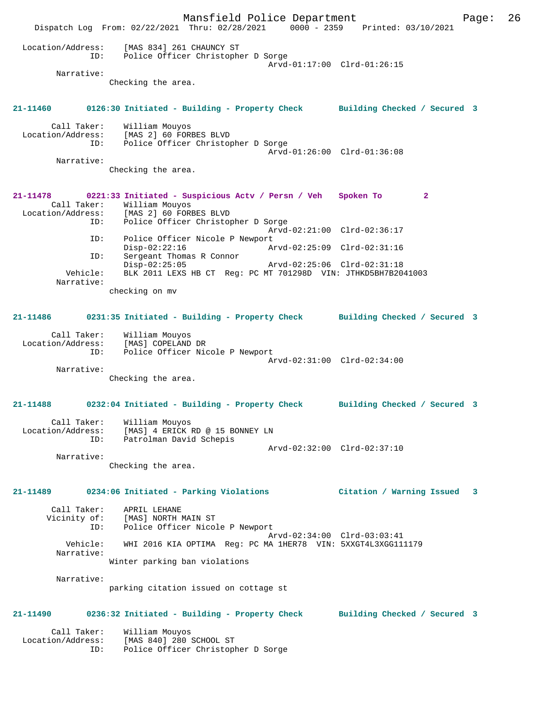Mansfield Police Department Page: 26 Dispatch Log From: 02/22/2021 Thru: 02/28/2021 0000 - 2359 Printed: 03/10/2021 Location/Address: [MAS 834] 261 CHAUNCY ST ID: Police Officer Christopher D Sorge Arvd-01:17:00 Clrd-01:26:15 Narrative: Checking the area. **21-11460 0126:30 Initiated - Building - Property Check Building Checked / Secured 3** Call Taker: William Mouyos Location/Address: [MAS 2] 60 FORBES BLVD ID: Police Officer Christopher D Sorge Arvd-01:26:00 Clrd-01:36:08 Narrative: Checking the area. **21-11478 0221:33 Initiated - Suspicious Actv / Persn / Veh Spoken To 2**  Call Taker: William Mouyos<br>Location/Address: [MAS 2] 60 FORE ess: [MAS 2] 60 FORBES BLVD<br>ID: Police Officer Christop Police Officer Christopher D Sorge Arvd-02:21:00 Clrd-02:36:17 ID: Police Officer Nicole P Newport<br>Disp-02:22:16 Ar Disp-02:22:16 Arvd-02:25:09 Clrd-02:31:16 ID: Sergeant Thomas R Connor<br>Disp-02:25:05 Disp-02:25:05 Arvd-02:25:06 Clrd-02:31:18<br>Vehicle: BLK 2011 LEXS HB CT Reg: PC MT 701298D VIN: JTHKD5BH7B20 BLK 2011 LEXS HB CT Reg: PC MT 701298D VIN: JTHKD5BH7B2041003 Narrative: checking on mv **21-11486 0231:35 Initiated - Building - Property Check Building Checked / Secured 3** Call Taker: William Mouyos Location/Address: [MAS] COPELAND DR ID: Police Officer Nicole P Newport Arvd-02:31:00 Clrd-02:34:00 Narrative: Checking the area. **21-11488 0232:04 Initiated - Building - Property Check Building Checked / Secured 3** Call Taker: William Mouyos Location/Address: [MAS] 4 ERICK RD @ 15 BONNEY LN ID: Patrolman David Schepis Arvd-02:32:00 Clrd-02:37:10 Narrative: Checking the area. **21-11489 0234:06 Initiated - Parking Violations Citation / Warning Issued 3** Call Taker: APRIL LEHANE Vicinity of: [MAS] NORTH MAIN ST ID: Police Officer Nicole P Newport Arvd-02:34:00 Clrd-03:03:41 Vehicle: WHI 2016 KIA OPTIMA Reg: PC MA 1HER78 VIN: 5XXGT4L3XGG111179 Narrative: Winter parking ban violations Narrative: parking citation issued on cottage st **21-11490 0236:32 Initiated - Building - Property Check Building Checked / Secured 3** Call Taker: William Mouyos Location/Address: [MAS 840] 280 SCHOOL ST ID: Police Officer Christopher D Sorge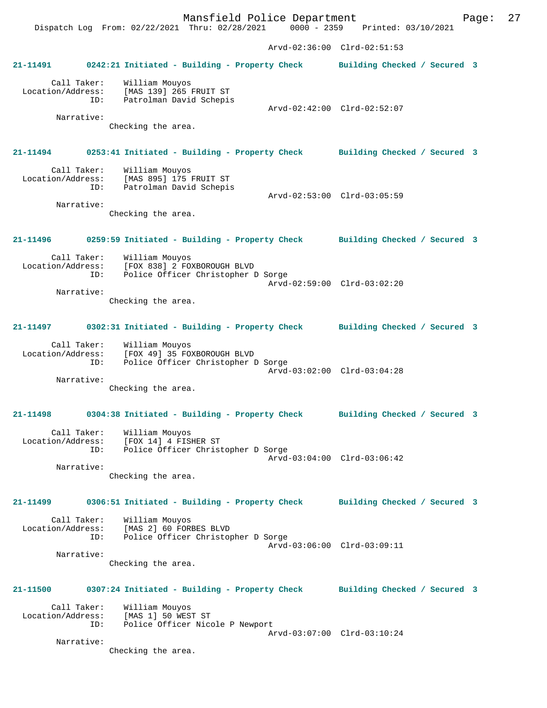Mansfield Police Department Page: 27 Dispatch Log From: 02/22/2021 Thru: 02/28/2021 0000 - 2359 Printed: 03/10/2021 Arvd-02:36:00 Clrd-02:51:53 **21-11491 0242:21 Initiated - Building - Property Check Building Checked / Secured 3** Call Taker: William Mouyos Location/Address: [MAS 139] 265 FRUIT ST Patrolman David Schepis Arvd-02:42:00 Clrd-02:52:07 Narrative: Checking the area. **21-11494 0253:41 Initiated - Building - Property Check Building Checked / Secured 3** Call Taker: William Mouyos Location/Address: [MAS 895] 175 FRUIT ST ID: Patrolman David Schepis Arvd-02:53:00 Clrd-03:05:59 Narrative: Checking the area. **21-11496 0259:59 Initiated - Building - Property Check Building Checked / Secured 3** Call Taker: William Mouyos Location/Address: [FOX 838] 2 FOXBOROUGH BLVD Police Officer Christopher D Sorge Arvd-02:59:00 Clrd-03:02:20 Narrative: Checking the area. **21-11497 0302:31 Initiated - Building - Property Check Building Checked / Secured 3** Call Taker: William Mouyos Location/Address: [FOX 49] 35 FOXBOROUGH BLVD ID: Police Officer Christopher D Sorge Arvd-03:02:00 Clrd-03:04:28 Narrative: Checking the area. **21-11498 0304:38 Initiated - Building - Property Check Building Checked / Secured 3** Call Taker: William Mouyos Location/Address: [FOX 14] 4 FISHER ST ID: Police Officer Christopher D Sorge Arvd-03:04:00 Clrd-03:06:42 Narrative: Checking the area. **21-11499 0306:51 Initiated - Building - Property Check Building Checked / Secured 3** Call Taker: William Mouyos Location/Address: [MAS 2] 60 FORBES BLVD ID: Police Officer Christopher D Sorge Arvd-03:06:00 Clrd-03:09:11 Narrative: Checking the area. **21-11500 0307:24 Initiated - Building - Property Check Building Checked / Secured 3** Call Taker: William Mouyos Location/Address: [MAS 1] 50 WEST ST ID: Police Officer Nicole P Newport Arvd-03:07:00 Clrd-03:10:24 Narrative:

Checking the area.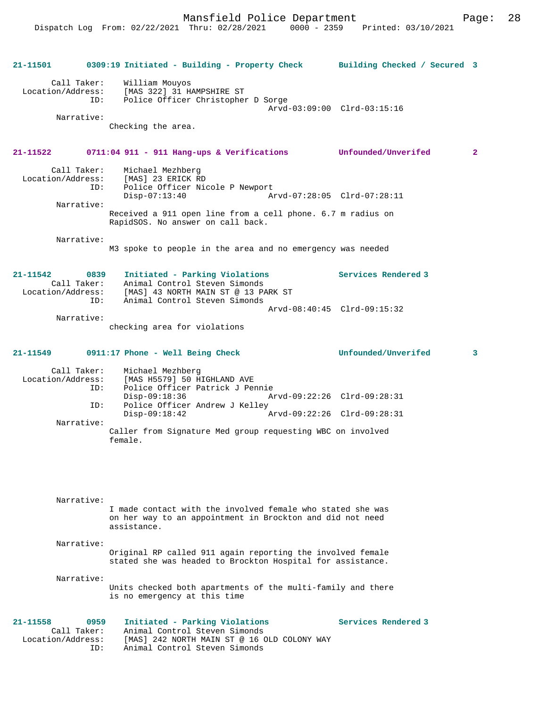Mansfield Police Department Page: 28

| 21-11501                                                    | 0309:19 Initiated - Building - Property Check Building Checked / Secured 3                                                                                |                             |                         |
|-------------------------------------------------------------|-----------------------------------------------------------------------------------------------------------------------------------------------------------|-----------------------------|-------------------------|
| Call Taker:                                                 | William Mouyos<br>Location/Address: [MAS 322] 31 HAMPSHIRE ST<br>ID: Police Officer Christopher<br>Police Officer Christopher D Sorge                     | Arvd-03:09:00 Clrd-03:15:16 |                         |
| Narrative:                                                  | Checking the area.                                                                                                                                        |                             |                         |
| 21-11522                                                    | 0711:04 911 - 911 Hang-ups & Verifications Unfounded/Unverifed                                                                                            |                             | $\mathbf{2}$            |
| Call Taker:<br>ID:                                          | Michael Mezhberg<br>Location/Address: [MAS] 23 ERICK RD<br>Police Officer Nicole P Newport                                                                |                             |                         |
| Narrative:                                                  | $Disp-07:13:40$                                                                                                                                           | Arvd-07:28:05 Clrd-07:28:11 |                         |
|                                                             | Received a 911 open line from a cell phone. 6.7 m radius on<br>RapidSOS. No answer on call back.                                                          |                             |                         |
| Narrative:                                                  | M3 spoke to people in the area and no emergency was needed                                                                                                |                             |                         |
| 21-11542 0839<br>Call Taker:<br>ID:                         | Initiated - Parking Violations<br>Animal Control Steven Simonds<br>Location/Address: [MAS] 43 NORTH MAIN ST @ 13 PARK ST<br>Animal Control Steven Simonds | Services Rendered 3         |                         |
|                                                             |                                                                                                                                                           | Arvd-08:40:45 Clrd-09:15:32 |                         |
| Narrative:                                                  | checking area for violations                                                                                                                              |                             |                         |
| 21-11549                                                    | 0911:17 Phone - Well Being Check                                                                                                                          | Unfounded/Unverifed         | $\overline{\mathbf{3}}$ |
| Call Taker:<br>Location/Address:<br>ID:                     | Michael Mezhberg<br>[MAS H5579] 50 HIGHLAND AVE<br>Police Officer Patrick J Pennie                                                                        |                             |                         |
| ID:                                                         | $Disp-09:18:36$<br>Police Officer Andrew J Kelley                                                                                                         | Arvd-09:22:26 Clrd-09:28:31 |                         |
| Narrative:                                                  | $Disp-09:18:42$                                                                                                                                           | Arvd-09:22:26 Clrd-09:28:31 |                         |
|                                                             | Caller from Signature Med group requesting WBC on involved<br>female.                                                                                     |                             |                         |
| Narrative:                                                  | I made contact with the involved female who stated she was<br>on her way to an appointment in Brockton and did not need                                   |                             |                         |
|                                                             | assistance.                                                                                                                                               |                             |                         |
| Narrative:                                                  | Original RP called 911 again reporting the involved female<br>stated she was headed to Brockton Hospital for assistance.                                  |                             |                         |
| Narrative:                                                  | Units checked both apartments of the multi-family and there<br>is no emergency at this time                                                               |                             |                         |
| 21-11558<br>0959<br>Call Taker:<br>Location/Address:<br>ID: | Initiated - Parking Violations<br>Animal Control Steven Simonds<br>[MAS] 242 NORTH MAIN ST @ 16 OLD COLONY WAY<br>Animal Control Steven Simonds           | Services Rendered 3         |                         |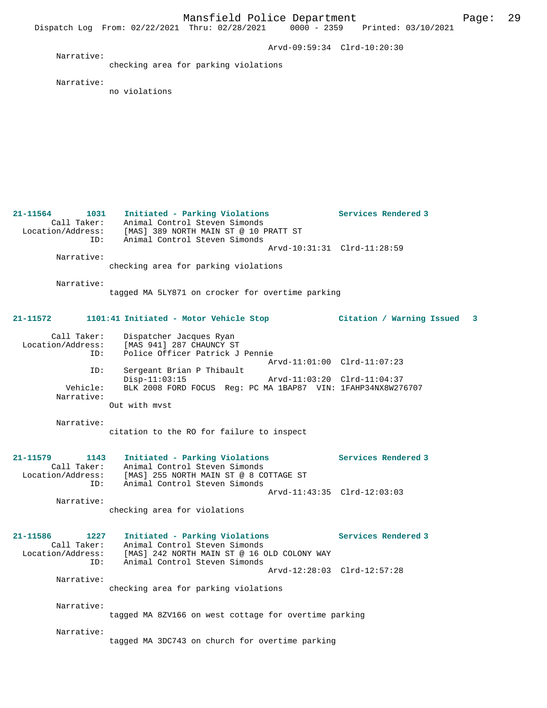Dispatch Log From: 02/22/2021 Thru: 02/28/2021 0000 - 2359 Printed: 03/10/2021 Arvd-09:59:34 Clrd-10:20:30 Narrative: checking area for parking violations Narrative: no violations **21-11564 1031 Initiated - Parking Violations Services Rendered 3**  Call Taker: Animal Control Steven Simonds Location/Address: [MAS] 389 NORTH MAIN ST @ 10 PRATT ST ID: Animal Control Steven Simonds Arvd-10:31:31 Clrd-11:28:59 Narrative: checking area for parking violations Narrative: tagged MA 5LY871 on crocker for overtime parking **21-11572 1101:41 Initiated - Motor Vehicle Stop Citation / Warning Issued 3** Call Taker: Dispatcher Jacques Ryan<br>Location/Address: [MAS 941] 287 CHAUNCY S' Location Catalogues Ryan<br>- IMAS 941] 287 CHAUNCY ST<br>- Police Officer Patrick J Police Officer Patrick J Pennie Arvd-11:01:00 Clrd-11:07:23 ID: Sergeant Brian P Thibault Disp-11:03:15 Arvd-11:03:20 Clrd-11:04:37<br>Vehicle: BLK 2008 FORD FOCUS Reg: PC MA 1BAP87 VIN: 1FAHP34NX8W27 BLK 2008 FORD FOCUS Reg: PC MA 1BAP87 VIN: 1FAHP34NX8W276707 Narrative: Out with mvst Narrative: citation to the RO for failure to inspect **21-11579 1143 Initiated - Parking Violations Services Rendered 3**  Call Taker: Animal Control Steven Simonds Location/Address: [MAS] 255 NORTH MAIN ST @ 8 COTTAGE ST ID: Animal Control Steven Simonds Arvd-11:43:35 Clrd-12:03:03 Narrative: checking area for violations **21-11586 1227 Initiated - Parking Violations Services Rendered 3**  Call Taker: Animal Control Steven Simonds Location/Address: [MAS] 242 NORTH MAIN ST @ 16 OLD COLONY WAY ID: Animal Control Steven Simonds Arvd-12:28:03 Clrd-12:57:28 Narrative: checking area for parking violations Narrative: tagged MA 8ZV166 on west cottage for overtime parking Narrative: tagged MA 3DC743 on church for overtime parking

Mansfield Police Department Page: 29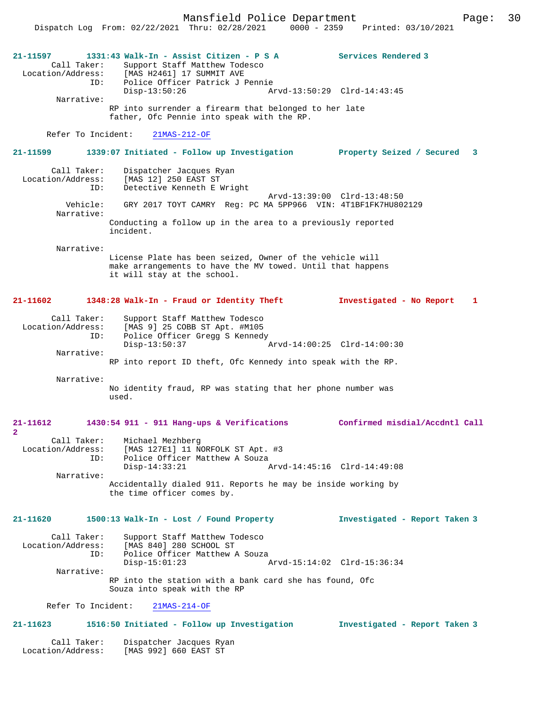Mansfield Police Department Page: 30 Dispatch Log From: 02/22/2021 Thru: 02/28/2021 0000 - 2359 **21-11597 1331:43 Walk-In - Assist Citizen - P S A Services Rendered 3**  Call Taker: Support Staff Matthew Todesco<br>Location/Address: [MAS H2461] 17 SUMMIT AVE ess: [MAS H2461] 17 SUMMIT AVE<br>ID: Police Officer Patrick J I Police Officer Patrick J Pennie Disp-13:50:26 Arvd-13:50:29 Clrd-14:43:45 Narrative: RP into surrender a firearm that belonged to her late father, Ofc Pennie into speak with the RP. Refer To Incident: 21MAS-212-OF **21-11599 1339:07 Initiated - Follow up Investigation Property Seized / Secured 3** Call Taker: Dispatcher Jacques Ryan<br>Location/Address: [MAS 12] 250 EAST ST [MAS 12] 250 EAST ST ID: Detective Kenneth E Wright Arvd-13:39:00 Clrd-13:48:50 Vehicle: GRY 2017 TOYT CAMRY Reg: PC MA 5PP966 VIN: 4T1BF1FK7HU802129 Narrative: Conducting a follow up in the area to a previously reported incident. Narrative: License Plate has been seized, Owner of the vehicle will make arrangements to have the MV towed. Until that happens it will stay at the school. **21-11602 1348:28 Walk-In - Fraud or Identity Theft Investigated - No Report 1** Call Taker: Support Staff Matthew Todesco<br>Location/Address: [MAS 9] 25 COBB ST Apt. #M105 ess: [MAS 9] 25 COBB ST Apt. #M105<br>TD: Police Officer Gregg S Kenned: Police Officer Gregg S Kennedy Disp-13:50:37 Arvd-14:00:25 Clrd-14:00:30 Narrative: RP into report ID theft, Ofc Kennedy into speak with the RP. Narrative: No identity fraud, RP was stating that her phone number was used. **21-11612 1430:54 911 - 911 Hang-ups & Verifications Confirmed misdial/Accdntl Call 2**  Call Taker: Michael Mezhberg<br>Location/Address: [MAS 127E1] 11 N ess: [MAS 127E1] 11 NORFOLK ST Apt. #3<br>ID: Police Officer Matthew A Souza Police Officer Matthew A Souza<br>Disp-14:33:21  $I$  Disp-14:33:21 Arvd-14:45:16 Clrd-14:49:08 Narrative: Accidentally dialed 911. Reports he may be inside working by the time officer comes by. **21-11620 1500:13 Walk-In - Lost / Found Property Investigated - Report Taken 3** Call Taker: Support Staff Matthew Todesco<br>Location/Address: [MAS 840] 280 SCHOOL ST ess: [MAS 840] 280 SCHOOL ST<br>TD: Police Officer Matthew A Police Officer Matthew A Souza<br>Disp-15:01:23 Disp-15:01:23 Arvd-15:14:02 Clrd-15:36:34 Narrative: RP into the station with a bank card she has found, Ofc Souza into speak with the RP Refer To Incident: 21MAS-214-OF **21-11623 1516:50 Initiated - Follow up Investigation Investigated - Report Taken 3** Call Taker: Dispatcher Jacques Ryan<br>Location/Address: [MAS 992] 660 EAST ST [MAS 992] 660 EAST ST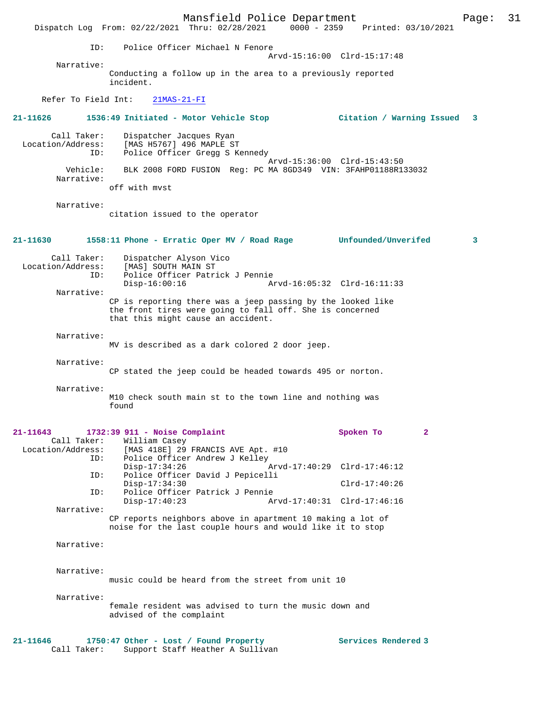Mansfield Police Department Page: 31 Dispatch Log From: 02/22/2021 Thru: 02/28/2021 ID: Police Officer Michael N Fenore Arvd-15:16:00 Clrd-15:17:48 Narrative: Conducting a follow up in the area to a previously reported incident. Refer To Field Int: 21MAS-21-FI **21-11626 1536:49 Initiated - Motor Vehicle Stop Citation / Warning Issued 3** Call Taker: Dispatcher Jacques Ryan Location/Address: [MAS H5767] 496 MAPLE ST ID: Police Officer Gregg S Kennedy Arvd-15:36:00 Clrd-15:43:50 Vehicle: BLK 2008 FORD FUSION Reg: PC MA 8GD349 VIN: 3FAHP01188R133032 Narrative: off with mvst Narrative: citation issued to the operator **21-11630 1558:11 Phone - Erratic Oper MV / Road Rage Unfounded/Unverifed 3** Call Taker: Dispatcher Alyson Vico Location/Address: [MAS] SOUTH MAIN ST ID: Police Officer Patrick J Pennie Disp-16:00:16 Arvd-16:05:32 Clrd-16:11:33 Narrative: CP is reporting there was a jeep passing by the looked like the front tires were going to fall off. She is concerned that this might cause an accident. Narrative: MV is described as a dark colored 2 door jeep. Narrative: CP stated the jeep could be headed towards 495 or norton. Narrative: M10 check south main st to the town line and nothing was found **21-11643 1732:39 911 - Noise Complaint Spoken To 2**  Call Taker: William Casey Location/Address: [MAS 418E] 29 FRANCIS AVE Apt. #10<br>TD: Police Officer Andrew J Kelley Police Officer Andrew J Kelley<br>Disp-17:34:26 Disp-17:34:26 Arvd-17:40:29 Clrd-17:46:12<br>TD: Police Officer David J Penicelli Police Officer David J Pepicelli Disp-17:34:30 Clrd-17:40:26 ID: Police Officer Patrick J Pennie Disp-17:40:23 Arvd-17:40:31 Clrd-17:46:16 Narrative: CP reports neighbors above in apartment 10 making a lot of noise for the last couple hours and would like it to stop Narrative: Narrative: music could be heard from the street from unit 10 Narrative: female resident was advised to turn the music down and advised of the complaint **21-11646 1750:47 Other - Lost / Found Property Services Rendered 3**  Call Taker: Support Staff Heather A Sullivan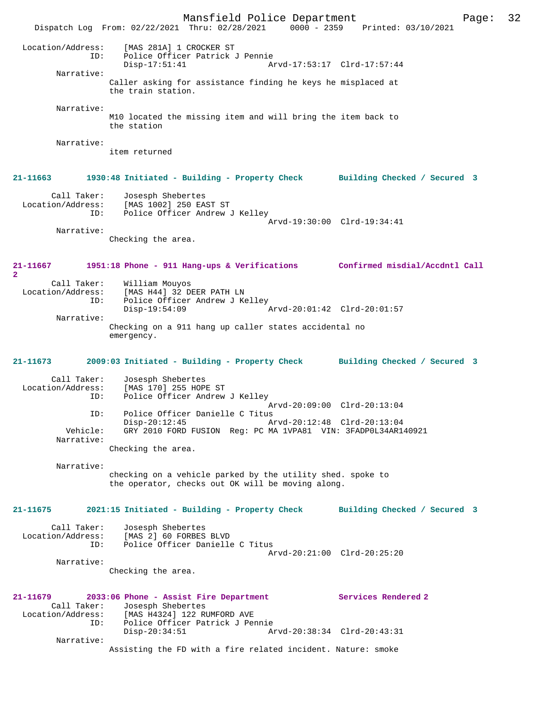Mansfield Police Department Page: 32 Dispatch Log From: 02/22/2021 Thru: 02/28/2021 0000 - 2359 Printed: 03/10/2021 Location/Address: [MAS 281A] 1 CROCKER ST ID: Police Officer Patrick J Pennie Disp-17:51:41 Arvd-17:53:17 Clrd-17:57:44 Narrative: Caller asking for assistance finding he keys he misplaced at the train station. Narrative: M10 located the missing item and will bring the item back to the station Narrative: item returned **21-11663 1930:48 Initiated - Building - Property Check Building Checked / Secured 3** Call Taker: Josesph Shebertes Location/Address: [MAS 1002] 250 EAST ST Police Officer Andrew J Kelley Arvd-19:30:00 Clrd-19:34:41 Narrative: Checking the area. **21-11667 1951:18 Phone - 911 Hang-ups & Verifications Confirmed misdial/Accdntl Call 2**  Call Taker: William Mouyos Location/Address: [MAS H44] 32 DEER PATH LN<br>ID: Police Officer Andrew J K .<br>Police Officer Andrew J Kelley<br>Disp-19:54:09 Arvd-20:01:42 Clrd-20:01:57 Narrative: Checking on a 911 hang up caller states accidental no emergency. **21-11673 2009:03 Initiated - Building - Property Check Building Checked / Secured 3** Call Taker: Josesph Shebertes<br>Location/Address: [MAS 170] 255 HOP ess: [MAS 170] 255 HOPE ST<br>ID: Police Officer Andrew Police Officer Andrew J Kelley Arvd-20:09:00 Clrd-20:13:04<br>TD: Police Officer Danielle C Titus ID: Police Officer Danielle C Titus Disp-20:12:45 Arvd-20:12:48 Clrd-20:13:04<br>Vehicle: GRY 2010 FORD FUSION Reg: PC MA 1VPA81 VIN: 3FADP0L34AR14 GRY 2010 FORD FUSION Reg: PC MA 1VPA81 VIN: 3FADP0L34AR140921 Narrative: Checking the area. Narrative: checking on a vehicle parked by the utility shed. spoke to the operator, checks out OK will be moving along. **21-11675 2021:15 Initiated - Building - Property Check Building Checked / Secured 3** Call Taker: Josesph Shebertes Location/Address: [MAS 2] 60 FORBES BLVD Police Officer Danielle C Titus Arvd-20:21:00 Clrd-20:25:20 Narrative: Checking the area. **21-11679 2033:06 Phone - Assist Fire Department Services Rendered 2**  Call Taker: Josesph Shebertes<br>Location/Address: [MAS H4324] 122 R للمولدين المواجدة<br>ESS: [MAS H4324] 122 RUMFORD AVE<br>ID: Police Officer Patrick J Per Police Officer Patrick J Pennie<br>Disp-20:34:51 Ar Disp-20:34:51 Arvd-20:38:34 Clrd-20:43:31 Narrative: Assisting the FD with a fire related incident. Nature: smoke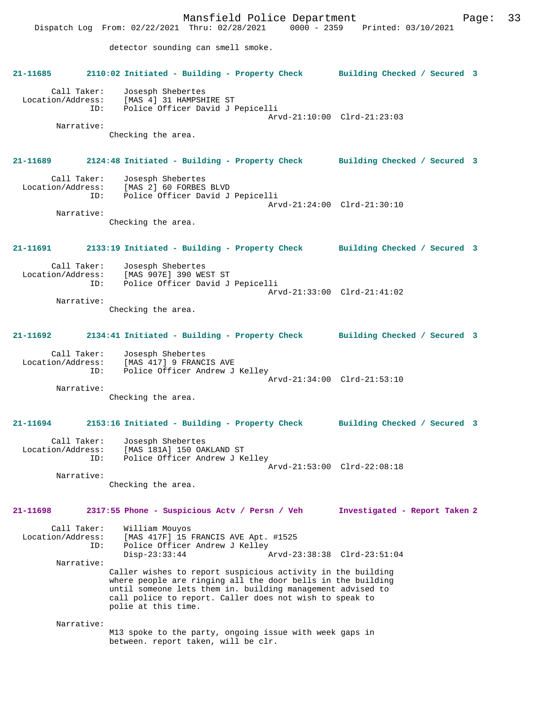Mansfield Police Department Page: 33 Dispatch Log From: 02/22/2021 Thru: 02/28/2021 detector sounding can smell smoke. **21-11685 2110:02 Initiated - Building - Property Check Building Checked / Secured 3** Call Taker: Josesph Shebertes Location/Address: [MAS 4] 31 HAMPSHIRE ST<br>TD: Police Officer David J J Police Officer David J Pepicelli Arvd-21:10:00 Clrd-21:23:03 Narrative: Checking the area. **21-11689 2124:48 Initiated - Building - Property Check Building Checked / Secured 3** Call Taker: Josesph Shebertes<br>Location/Address: [MAS 2] 60 FORBES [MAS 2] 60 FORBES BLVD ID: Police Officer David J Pepicelli Arvd-21:24:00 Clrd-21:30:10 Narrative: Checking the area. **21-11691 2133:19 Initiated - Building - Property Check Building Checked / Secured 3** Call Taker: Josesph Shebertes<br>Location/Address: [MAS 907E] 390 WE ess: [MAS 907E] 390 WEST ST<br>ID: Police Officer David J Police Officer David J Pepicelli Arvd-21:33:00 Clrd-21:41:02 Narrative: Checking the area. **21-11692 2134:41 Initiated - Building - Property Check Building Checked / Secured 3** Call Taker: Josesph Shebertes Location/Address: [MAS 417] 9 FRANCIS AVE ID: Police Officer Andrew J Kelley Arvd-21:34:00 Clrd-21:53:10 Narrative: Checking the area. **21-11694 2153:16 Initiated - Building - Property Check Building Checked / Secured 3** Call Taker: Josesph Shebertes Location/Address: [MAS 181A] 150 OAKLAND ST ID: Police Officer Andrew J Kelley Arvd-21:53:00 Clrd-22:08:18 Narrative: Checking the area. **21-11698 2317:55 Phone - Suspicious Actv / Persn / Veh Investigated - Report Taken 2** Call Taker: William Mouyos Location/Address: [MAS 417F] 15 FRANCIS AVE Apt. #1525 Police Officer Andrew J Kelley<br>Disp-23:33:44 Disp-23:33:44 Arvd-23:38:38 Clrd-23:51:04 Narrative: Caller wishes to report suspicious activity in the building where people are ringing all the door bells in the building until someone lets them in. building management advised to call police to report. Caller does not wish to speak to polie at this time. Narrative: M13 spoke to the party, ongoing issue with week gaps in between. report taken, will be clr.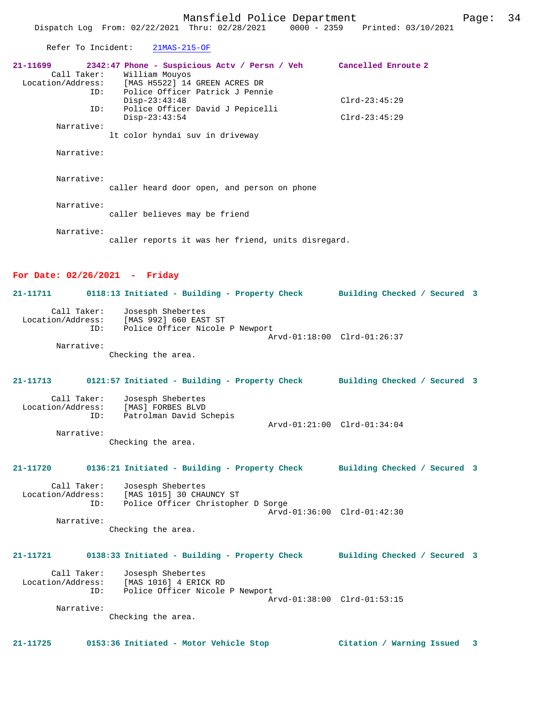| Refer To Incident:                      | $21MAS-215-OF$                                                                                                                                                                         |                 |
|-----------------------------------------|----------------------------------------------------------------------------------------------------------------------------------------------------------------------------------------|-----------------|
| 21-11699<br>Location/Address:<br>ID:    | 2342:47 Phone - Suspicious Actv / Persn / Veh Cancelled Enroute 2<br>Call Taker: William Mouyos<br>[MAS H5522] 14 GREEN ACRES DR<br>Police Officer Patrick J Pennie<br>$Disp-23:43:48$ | $Clrd-23:45:29$ |
| ID:<br>Narrative:                       | Police Officer David J Pepicelli<br>$Disp-23:43:54$<br>It color hyndai suv in driveway                                                                                                 | $Clrd-23:45:29$ |
| Narrative:                              |                                                                                                                                                                                        |                 |
| Narrative:                              | caller heard door open, and person on phone                                                                                                                                            |                 |
| Narrative:                              | caller believes may be friend                                                                                                                                                          |                 |
| Narrative:                              | caller reports it was her friend, units disregard.                                                                                                                                     |                 |
| For Date: $02/26/2021$ - Friday         |                                                                                                                                                                                        |                 |
| 21-11711                                | 0118:13 Initiated - Building - Property Check Building Checked / Secured 3                                                                                                             |                 |
| Call Taker:<br>ID:                      | Josesph Shebertes<br>Location/Address: [MAS 992] 660 EAST ST<br>ID: Police Officer Nicole<br>Police Officer Nicole P Newport                                                           |                 |
| Narrative:                              | Arvd-01:18:00 Clrd-01:26:37<br>Checking the area.                                                                                                                                      |                 |
| 21-11713                                | 0121:57 Initiated - Building - Property Check Building Checked / Secured 3                                                                                                             |                 |
| Call Taker:<br>Location/Address:<br>ID: | Josesph Shebertes<br>[MAS] FORBES BLVD<br>Patrolman David Schepis<br>Arvd-01:21:00 Clrd-01:34:04                                                                                       |                 |
| Narrative:                              | Checking the area.                                                                                                                                                                     |                 |
|                                         | 21-11720 0136:21 Initiated - Building - Property Check Building Checked / Secured 3                                                                                                    |                 |
| Call Taker:<br>Location/Address:<br>ID: | Josespn Sueberter<br>[MAS 1015] 30 CHAUNCY ST<br>Chicar Christoph<br>Police Officer Christopher D Sorge<br>Arvd-01:36:00 Clrd-01:42:30                                                 |                 |
| Narrative:                              | Checking the area.                                                                                                                                                                     |                 |
|                                         | 21-11721 0138:33 Initiated - Building - Property Check Building Checked / Secured 3                                                                                                    |                 |
| Call Taker:<br>Location/Address:<br>ID: | Josesph Shebertes<br>MAS 1016] 4 ERICK RD<br>[MAS 1016] 4 ERICK RD<br>Police Officer Nicole P Newport                                                                                  |                 |
| Narrative:                              | Arvd-01:38:00 Clrd-01:53:15                                                                                                                                                            |                 |

Checking the area.

**21-11725 0153:36 Initiated - Motor Vehicle Stop Citation / Warning Issued 3**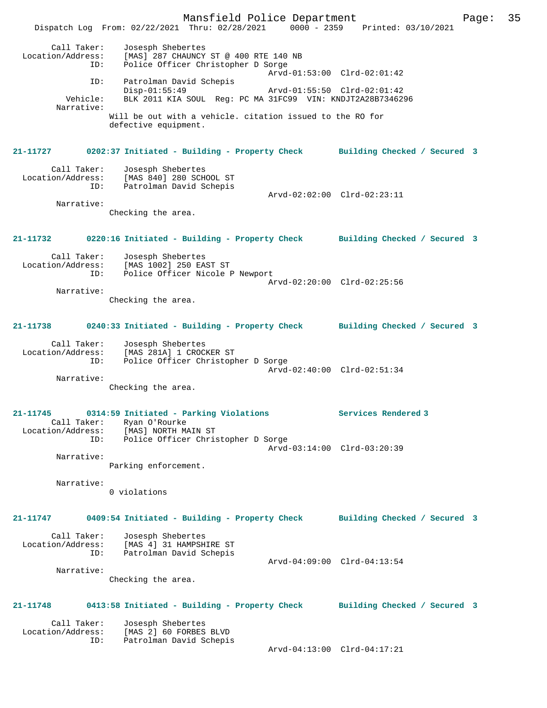Mansfield Police Department Page: 35 Dispatch Log From: 02/22/2021 Thru: 02/28/2021 0000 - 2359 Printed: 03/10/2021 Call Taker: Josesph Shebertes Location/Address: [MAS] 287 CHAUNCY ST @ 400 RTE 140 NB ID: Police Officer Christopher D Sorge Arvd-01:53:00 Clrd-02:01:42 ID: Patrolman David Schepis Disp-01:55:49 Arvd-01:55:50 Clrd-02:01:42<br>Vehicle: BLK 2011 KIA SOUL Reg: PC MA 31FC99 VIN: KNDJT2A28B734629 BLK 2011 KIA SOUL Reg: PC MA 31FC99 VIN: KNDJT2A28B7346296 Narrative: Will be out with a vehicle. citation issued to the RO for defective equipment. **21-11727 0202:37 Initiated - Building - Property Check Building Checked / Secured 3** Call Taker: Josesph Shebertes Location/Address: [MAS 840] 280 SCHOOL ST ID: Patrolman David Schepis Arvd-02:02:00 Clrd-02:23:11 Narrative: Checking the area. **21-11732 0220:16 Initiated - Building - Property Check Building Checked / Secured 3** Call Taker: Josesph Shebertes Location/Address: [MAS 1002] 250 EAST ST ID: Police Officer Nicole P Newport Arvd-02:20:00 Clrd-02:25:56 Narrative: Checking the area. **21-11738 0240:33 Initiated - Building - Property Check Building Checked / Secured 3** Call Taker: Josesph Shebertes Location/Address: [MAS 281A] 1 CROCKER ST ID: Police Officer Christopher D Sorge Arvd-02:40:00 Clrd-02:51:34 Narrative: Checking the area. **21-11745 0314:59 Initiated - Parking Violations Services Rendered 3**  Call Taker: Ryan O'Rourke Location/Address: [MAS] NORTH MAIN ST ID: Police Officer Christopher D Sorge Arvd-03:14:00 Clrd-03:20:39 Narrative: Parking enforcement. Narrative: 0 violations **21-11747 0409:54 Initiated - Building - Property Check Building Checked / Secured 3** Call Taker: Josesph Shebertes Location/Address: [MAS 4] 31 HAMPSHIRE ST ID: Patrolman David Schepis Arvd-04:09:00 Clrd-04:13:54 Narrative: Checking the area. **21-11748 0413:58 Initiated - Building - Property Check Building Checked / Secured 3** Call Taker: Josesph Shebertes Location/Address: [MAS 2] 60 FORBES BLVD ID: Patrolman David Schepis Arvd-04:13:00 Clrd-04:17:21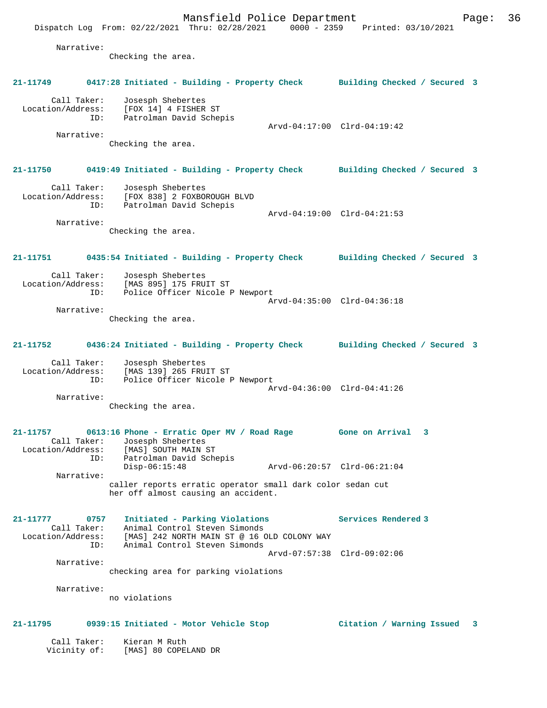Mansfield Police Department Page: 36 Dispatch Log From: 02/22/2021 Thru: 02/28/2021 0000 - 2359 Printed: 03/10/2021 Narrative: Checking the area. **21-11749 0417:28 Initiated - Building - Property Check Building Checked / Secured 3** Call Taker: Josesph Shebertes Location/Address: [FOX 14] 4 FISHER ST ID: Patrolman David Schepis Arvd-04:17:00 Clrd-04:19:42 Narrative: Checking the area. **21-11750 0419:49 Initiated - Building - Property Check Building Checked / Secured 3** Call Taker: Josesph Shebertes Location/Address: [FOX 838] 2 FOXBOROUGH BLVD ID: Patrolman David Schepis Arvd-04:19:00 Clrd-04:21:53 Narrative: Checking the area. **21-11751 0435:54 Initiated - Building - Property Check Building Checked / Secured 3** Call Taker: Josesph Shebertes Location/Address: [MAS 895] 175 FRUIT ST ID: Police Officer Nicole P Newport Arvd-04:35:00 Clrd-04:36:18 Narrative: Checking the area. **21-11752 0436:24 Initiated - Building - Property Check Building Checked / Secured 3** Call Taker: Josesph Shebertes Location/Address: [MAS 139] 265 FRUIT ST ID: Police Officer Nicole P Newport Arvd-04:36:00 Clrd-04:41:26 Narrative: Checking the area. **21-11757 0613:16 Phone - Erratic Oper MV / Road Rage Gone on Arrival 3**  Call Taker: Josesph Shebertes Location/Address: [MAS] SOUTH MAIN ST ID: Patrolman David Schepis Disp-06:15:48 Arvd-06:20:57 Clrd-06:21:04 Narrative: caller reports erratic operator small dark color sedan cut her off almost causing an accident. **21-11777 0757 Initiated - Parking Violations Services Rendered 3**  Call Taker: Animal Control Steven Simonds Location/Address: [MAS] 242 NORTH MAIN ST @ 16 OLD COLONY WAY ID: Animal Control Steven Simonds Arvd-07:57:38 Clrd-09:02:06 Narrative: checking area for parking violations Narrative: no violations **21-11795 0939:15 Initiated - Motor Vehicle Stop Citation / Warning Issued 3** Call Taker: Kieran M Ruth Vicinity of: [MAS] 80 COPELAND DR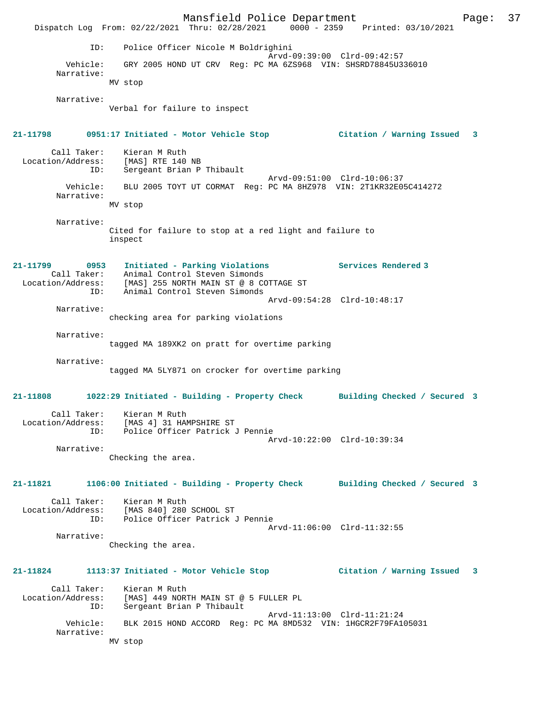Mansfield Police Department Fage: 37 Dispatch Log From: 02/22/2021 Thru: 02/28/2021 0000 - 2359 Printed: 03/10/2021 ID: Police Officer Nicole M Boldrighini Arvd-09:39:00 Clrd-09:42:57 Vehicle: GRY 2005 HOND UT CRV Reg: PC MA 6ZS968 VIN: SHSRD78845U336010 Narrative: MV stop Narrative: Verbal for failure to inspect **21-11798 0951:17 Initiated - Motor Vehicle Stop Citation / Warning Issued 3** Call Taker: Kieran M Ruth Location/Address: [MAS] RTE 140 NB Sergeant Brian P Thibault Arvd-09:51:00 Clrd-10:06:37 Vehicle: BLU 2005 TOYT UT CORMAT Reg: PC MA 8HZ978 VIN: 2T1KR32E05C414272 Narrative: MV stop Narrative: Cited for failure to stop at a red light and failure to inspect **21-11799 0953 Initiated - Parking Violations Services Rendered 3**  Call Taker: Animal Control Steven Simonds Location/Address: [MAS] 255 NORTH MAIN ST @ 8 COTTAGE ST ID: Animal Control Steven Simonds Arvd-09:54:28 Clrd-10:48:17 Narrative: checking area for parking violations Narrative: tagged MA 189XK2 on pratt for overtime parking Narrative: tagged MA 5LY871 on crocker for overtime parking **21-11808 1022:29 Initiated - Building - Property Check Building Checked / Secured 3** Call Taker: Kieran M Ruth Location/Address: [MAS 4] 31 HAMPSHIRE ST ID: Police Officer Patrick J Pennie Arvd-10:22:00 Clrd-10:39:34 Narrative: Checking the area. **21-11821 1106:00 Initiated - Building - Property Check Building Checked / Secured 3** Call Taker: Kieran M Ruth Location/Address: [MAS 840] 280 SCHOOL ST ID: Police Officer Patrick J Pennie Arvd-11:06:00 Clrd-11:32:55 Narrative: Checking the area. **21-11824 1113:37 Initiated - Motor Vehicle Stop Citation / Warning Issued 3** Call Taker: Kieran M Ruth Location/Address: [MAS] 449 NORTH MAIN ST @ 5 FULLER PL ID: Sergeant Brian P Thibault Arvd-11:13:00 Clrd-11:21:24 Vehicle: BLK 2015 HOND ACCORD Reg: PC MA 8MD532 VIN: 1HGCR2F79FA105031 Narrative: MV stop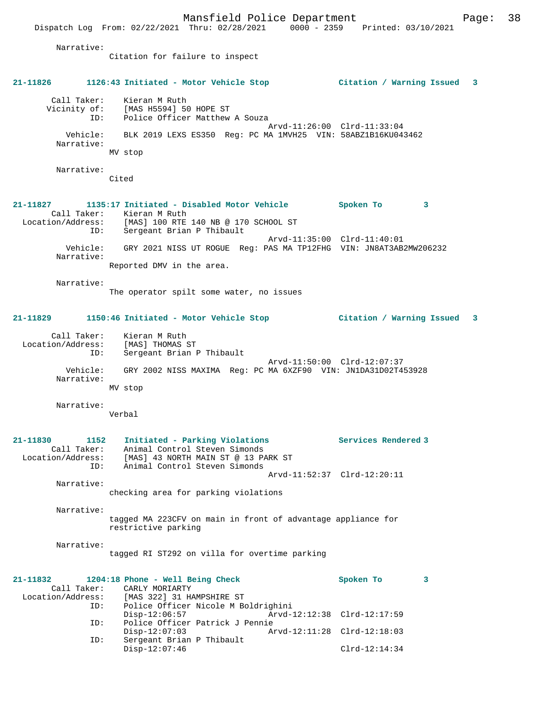Mansfield Police Department Page: 38 Dispatch Log From: 02/22/2021 Thru: 02/28/2021 0000 - 2359 Printed: 03/10/2021 Narrative: Citation for failure to inspect **21-11826 1126:43 Initiated - Motor Vehicle Stop Citation / Warning Issued 3** Call Taker: Kieran M Ruth Vicinity of: [MAS H5594] 50 HOPE ST ID: Police Officer Matthew A Souza Arvd-11:26:00 Clrd-11:33:04 Vehicle: BLK 2019 LEXS ES350 Reg: PC MA 1MVH25 VIN: 58ABZ1B16KU043462 Narrative: MV stop Narrative: Cited **21-11827 1135:17 Initiated - Disabled Motor Vehicle Spoken To 3**  Call Taker: Kieran M Ruth<br>Location/Address: [MAS] 100 RTE<br>ID: Sergeant Brian Location/Address: [MAS] 100 RTE 140 NB @ 170 SCHOOL ST ID: Sergeant Brian P Thibault Arvd-11:35:00 Clrd-11:40:01 Vehicle: GRY 2021 NISS UT ROGUE Reg: PAS MA TP12FHG VIN: JN8AT3AB2MW206232 Narrative: Reported DMV in the area. Narrative: The operator spilt some water, no issues **21-11829 1150:46 Initiated - Motor Vehicle Stop Citation / Warning Issued 3** Call Taker: Kieran M Ruth<br>Location/Address: [MAS] THOMAS S Location In Kuttlers: [MAS] THOMAS ST<br>ID: Sergeant Brian Sergeant Brian P Thibault Arvd-11:50:00 Clrd-12:07:37 Vehicle: GRY 2002 NISS MAXIMA Reg: PC MA 6XZF90 VIN: JN1DA31D02T453928 Narrative: MV stop Narrative: Verbal **21-11830 1152 Initiated - Parking Violations Services Rendered 3**  Call Taker: Animal Control Steven Simonds Location/Address: [MAS] 43 NORTH MAIN ST @ 13 PARK ST ID: Animal Control Steven Simonds Arvd-11:52:37 Clrd-12:20:11 Narrative: checking area for parking violations Narrative: tagged MA 223CFV on main in front of advantage appliance for restrictive parking Narrative: tagged RI ST292 on villa for overtime parking **21-11832 1204:18 Phone - Well Being Check Spoken To 3**  Call Taker: CARLY MORIARTY<br>Location/Address: [MAS 322] 31 H [MAS 322] 31 HAMPSHIRE ST ID: Police Officer Nicole M Boldrighini Disp-12:06:57 Arvd-12:12:38 Clrd-12:17:59<br>TD: Police Officer Patrick J Pennie Police Officer Patrick J Pennie Disp-12:07:03 Arvd-12:11:28 Clrd-12:18:03<br>ID: Sergeant Brian P Thibault Sergeant Brian P Thibault Disp-12:07:46 Clrd-12:14:34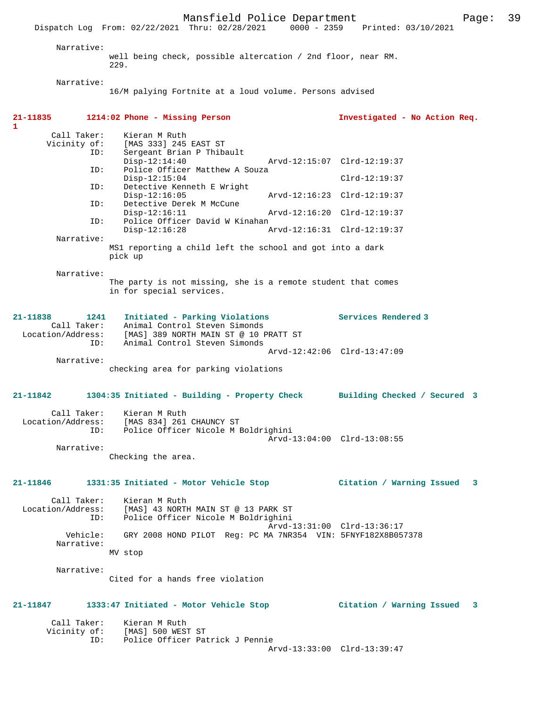Dispatch Log From: 02/22/2021 Thru: 02/28/2021 0000 - 2359 Printed: 03/10/2021 Narrative: well being check, possible altercation / 2nd floor, near RM. 229. Narrative: 16/M palying Fortnite at a loud volume. Persons advised **21-11835 1214:02 Phone - Missing Person Investigated - No Action Req.** Call Taker: Kieran M Ruth<br>Vicinity of: [MAS 333] 245 [MAS 333] 245 EAST ST ID: Sergeant Brian P Thibault Disp-12:14:40 Arvd-12:15:07 Clrd-12:19:37<br>ID: Police Officer Matthew A Souza Police Officer Matthew A Souza Disp-12:15:04 Clrd-12:19:37<br>ID: Detective Kenneth E Wright Detective Kenneth E Wright<br>Disp-12:16:05 Disp-12:16:05 Arvd-12:16:23 Clrd-12:19:37<br>TD: Detective Derek M McCune Detective Derek M McCune<br>Disp-12:16:11 Disp-12:16:11 Arvd-12:16:20 Clrd-12:19:37<br>ID: Police Officer David W Kinahan Police Officer David W Kinahan<br>Disp-12:16:28 A Disp-12:16:28 Arvd-12:16:31 Clrd-12:19:37 Narrative: MS1 reporting a child left the school and got into a dark pick up Narrative: The party is not missing, she is a remote student that comes in for special services. **21-11838 1241 Initiated - Parking Violations Services Rendered 3**  Call Taker: Animal Control Steven Simonds Location/Address: [MAS] 389 NORTH MAIN ST @ 10 PRATT ST ID: Animal Control Steven Simonds Arvd-12:42:06 Clrd-13:47:09 Narrative: checking area for parking violations **21-11842 1304:35 Initiated - Building - Property Check Building Checked / Secured 3** Call Taker: Kieran M Ruth Location/Address: [MAS 834] 261 CHAUNCY ST Police Officer Nicole M Boldrighini Arvd-13:04:00 Clrd-13:08:55 Narrative: Checking the area. **21-11846 1331:35 Initiated - Motor Vehicle Stop Citation / Warning Issued 3** Call Taker: Kieran M Ruth Location/Address: [MAS] 43 NORTH MAIN ST @ 13 PARK ST ID: Police Officer Nicole M Boldrighini Arvd-13:31:00 Clrd-13:36:17 Vehicle: GRY 2008 HOND PILOT Reg: PC MA 7NR354 VIN: 5FNYF182X8B057378 Narrative: MV stop Narrative: Cited for a hands free violation **21-11847 1333:47 Initiated - Motor Vehicle Stop Citation / Warning Issued 3** Call Taker: Kieran M Ruth

Vicinity of: [MAS] 500 WEST ST<br>ID: Police Officer Pat

Police Officer Patrick J Pennie

**1** 

Mansfield Police Department Page: 39

Arvd-13:33:00 Clrd-13:39:47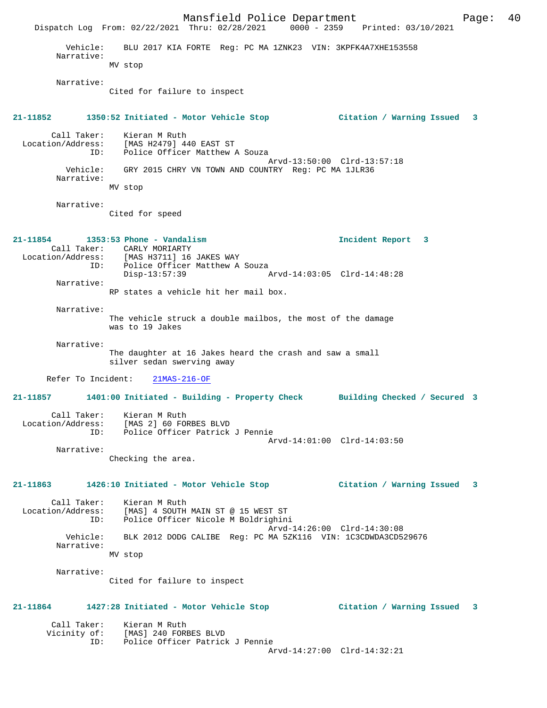Mansfield Police Department Fage: 40 Dispatch Log From: 02/22/2021 Thru: 02/28/2021 0000 - 2359 Printed: 03/10/2021 Vehicle: BLU 2017 KIA FORTE Reg: PC MA 1ZNK23 VIN: 3KPFK4A7XHE153558 Narrative: MV stop Narrative: Cited for failure to inspect **21-11852 1350:52 Initiated - Motor Vehicle Stop Citation / Warning Issued 3** Call Taker: Kieran M Ruth Location/Address: [MAS H2479] 440 EAST ST ID: Police Officer Matthew A Souza Arvd-13:50:00 Clrd-13:57:18 Vehicle: GRY 2015 CHRY VN TOWN AND COUNTRY Reg: PC MA 1JLR36 Narrative: MV stop Narrative: Cited for speed **21-11854 1353:53 Phone - Vandalism Incident Report 3**  Call Taker: CARLY MORIARTY Location/Address: [MAS H3711] 16 JAKES WAY ID: Police Officer Matthew A Souza<br>Disp-13:57:39 A Arvd-14:03:05 Clrd-14:48:28 Narrative: RP states a vehicle hit her mail box. Narrative: The vehicle struck a double mailbos, the most of the damage was to 19 Jakes Narrative: The daughter at 16 Jakes heard the crash and saw a small silver sedan swerving away Refer To Incident: 21MAS-216-OF **21-11857 1401:00 Initiated - Building - Property Check Building Checked / Secured 3** Call Taker: Kieran M Ruth Location/Address: [MAS 2] 60 FORBES BLVD ID: Police Officer Patrick J Pennie Arvd-14:01:00 Clrd-14:03:50 Narrative: Checking the area. **21-11863 1426:10 Initiated - Motor Vehicle Stop Citation / Warning Issued 3** Call Taker: Kieran M Ruth Location/Address: [MAS] 4 SOUTH MAIN ST @ 15 WEST ST Police Officer Nicole M Boldrighini Arvd-14:26:00 Clrd-14:30:08<br>Vehicle: BLK 2012 DODG CALIBE Req: PC MA 5ZK116 VIN: 1C3CDWDA3CD5 BLK 2012 DODG CALIBE Reg: PC MA 5ZK116 VIN: 1C3CDWDA3CD529676 Narrative: MV stop Narrative: Cited for failure to inspect **21-11864 1427:28 Initiated - Motor Vehicle Stop Citation / Warning Issued 3** Call Taker: Kieran M Ruth Vicinity of: [MAS] 240 FORBES BLVD ID: Police Officer Patrick J Pennie Arvd-14:27:00 Clrd-14:32:21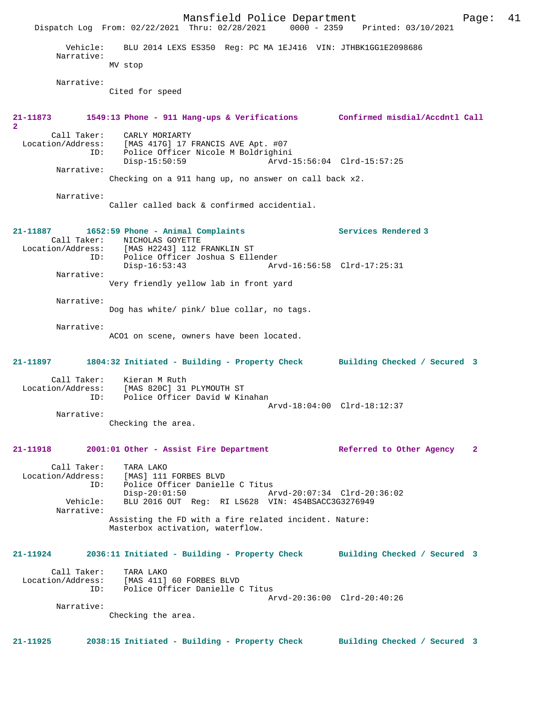|                        | Mansfield Police Department                                                                                                                                |                              | Page:        | 41 |
|------------------------|------------------------------------------------------------------------------------------------------------------------------------------------------------|------------------------------|--------------|----|
|                        | Dispatch Log From: 02/22/2021 Thru: 02/28/2021 0000 - 2359 Printed: 03/10/2021                                                                             |                              |              |    |
| Vehicle:<br>Narrative: | BLU 2014 LEXS ES350 Reg: PC MA 1EJ416 VIN: JTHBK1GG1E2098686<br>MV stop                                                                                    |                              |              |    |
|                        |                                                                                                                                                            |                              |              |    |
| Narrative:             | Cited for speed                                                                                                                                            |                              |              |    |
| $\overline{2}$         | 21-11873 1549:13 Phone - 911 Hang-ups & Verifications Confirmed misdial/Accdntl Call                                                                       |                              |              |    |
| Call Taker:<br>ID:     | CARLY MORIARTY<br>Location/Address: [MAS 417G] 17 FRANCIS AVE Apt. #07<br>Police Officer Nicole M Boldrighini<br>$Disp-15:50:59$                           | Arvd-15:56:04 Clrd-15:57:25  |              |    |
| Narrative:             |                                                                                                                                                            |                              |              |    |
|                        | Checking on a 911 hang up, no answer on call back x2.                                                                                                      |                              |              |    |
| Narrative:             | Caller called back & confirmed accidential.                                                                                                                |                              |              |    |
| 21-11887               | 1652:59 Phone - Animal Complaints<br>Call Taker: NICHOLAS GOYETTE<br>Location/Address: [MAS H2243] 112 FRANKLIN ST<br>ID: Police Officer Joshua S Ellender | Services Rendered 3          |              |    |
| Narrative:             | Disp-16:53:43                                                                                                                                              | Arvd-16:56:58 Clrd-17:25:31  |              |    |
|                        | Very friendly yellow lab in front yard                                                                                                                     |                              |              |    |
| Narrative:             | Dog has white/ pink/ blue collar, no tags.                                                                                                                 |                              |              |    |
| Narrative:             | ACO1 on scene, owners have been located.                                                                                                                   |                              |              |    |
|                        | 21-11897 1804:32 Initiated - Building - Property Check Building Checked / Secured 3                                                                        |                              |              |    |
| ID:                    | Call Taker: Kieran M Ruth<br>Location/Address: [MAS 820C] 31 PLYMOUTH ST<br>Police Officer David W Kinahan                                                 | Arvd-18:04:00 Clrd-18:12:37  |              |    |
| Narrative:             | Checking the area.                                                                                                                                         |                              |              |    |
| 21-11918               | 2001:01 Other - Assist Fire Department                                                                                                                     | Referred to Other Agency     | $\mathbf{2}$ |    |
| Call Taker:<br>ID:     | TARA LAKO<br>Location/Address: [MAS] 111 FORBES BLVD<br>Police Officer Danielle C Titus<br>$Divd-20:01:50$ $Arvd-20:07:34$ $Clrd-20:36:02$                 |                              |              |    |
| Narrative:             | Vehicle: BLU 2016 OUT Req: RI LS628 VIN: 4S4BSACC3G3276949<br>Assisting the FD with a fire related incident. Nature:<br>Masterbox activation, waterflow.   |                              |              |    |
| 21-11924               | 2036:11 Initiated - Building - Property Check Building Checked / Secured 3                                                                                 |                              |              |    |
|                        | Call Taker: TARA LAKO<br>Location/Address: [MAS 411] 60 FORBES BLVD<br>ID: Police Officer Danielle C Titus                                                 |                              |              |    |
| Narrative:             | Checking the area.                                                                                                                                         | Arvd-20:36:00 Clrd-20:40:26  |              |    |
| 21-11925               | 2038:15 Initiated - Building - Property Check                                                                                                              | Building Checked / Secured 3 |              |    |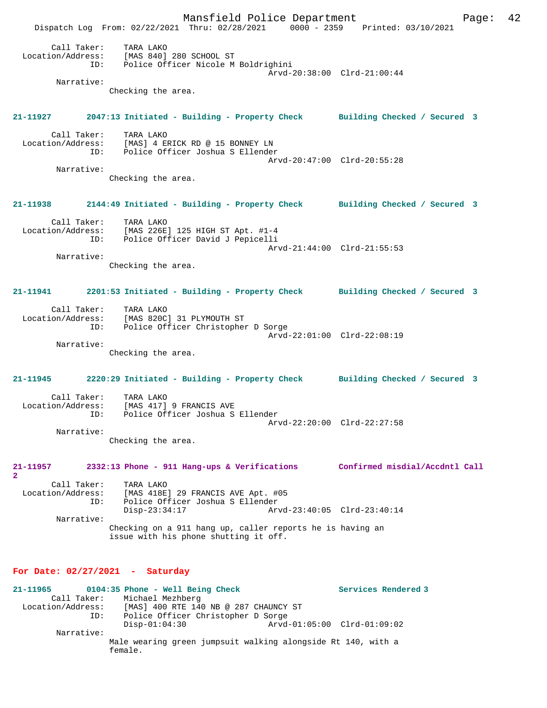Mansfield Police Department Page: 42 Dispatch Log From: 02/22/2021 Thru: 02/28/2021 0000 - 2359 Printed: 03/10/2021 Call Taker: TARA LAKO Location/Address: [MAS 840] 280 SCHOOL ST<br>ID: Police Officer Nicola M Police Officer Nicole M Boldrighini Arvd-20:38:00 Clrd-21:00:44 Narrative: Checking the area. **21-11927 2047:13 Initiated - Building - Property Check Building Checked / Secured 3** Call Taker: TARA LAKO<br>Location/Address: [MAS] 4 E ess: [MAS] 4 ERICK RD @ 15 BONNEY LN:<br>ID: Police Officer Joshua S Ellender Police Officer Joshua S Ellender Arvd-20:47:00 Clrd-20:55:28 Narrative: Checking the area. **21-11938 2144:49 Initiated - Building - Property Check Building Checked / Secured 3** Call Taker: TARA LAKO<br>Location/Address: [MAS 226E ess: [MAS 226E] 125 HIGH ST Apt. #1-4<br>ID: Police Officer David J Penicelli Police Officer David J Pepicelli Arvd-21:44:00 Clrd-21:55:53 Narrative: Checking the area. **21-11941 2201:53 Initiated - Building - Property Check Building Checked / Secured 3** Call Taker: TARA LAKO Location/Address: [MAS 820C] 31 PLYMOUTH ST ID: Police Officer Christopher D Sorge Arvd-22:01:00 Clrd-22:08:19 Narrative: Checking the area. **21-11945 2220:29 Initiated - Building - Property Check Building Checked / Secured 3** Call Taker: TARA LAKO<br>Location/Address: [MAS 417] [MAS 417] 9 FRANCIS AVE ID: Police Officer Joshua S Ellender Arvd-22:20:00 Clrd-22:27:58 Narrative: Checking the area. **21-11957 2332:13 Phone - 911 Hang-ups & Verifications Confirmed misdial/Accdntl Call 2**  Call Taker: TARA LAKO Location/Address: [MAS 418E] 29 FRANCIS AVE Apt. #05 ID: Police Officer Joshua S Ellender Disp-23:34:17 Arvd-23:40:05 Clrd-23:40:14 Narrative: Checking on a 911 hang up, caller reports he is having an issue with his phone shutting it off. **For Date: 02/27/2021 - Saturday 21-11965 0104:35 Phone - Well Being Check Services Rendered 3**  Call Taker: Michael Mezhberg<br>Location/Address: [MAS] 400 RTE 14  $[MAS]$  400 RTE 140 NB @ 287 CHAUNCY ST ID: Police Officer Christopher D Sorge

Narrative:

Male wearing green jumpsuit walking alongside Rt 140, with a female.

Disp-01:04:30 Arvd-01:05:00 Clrd-01:09:02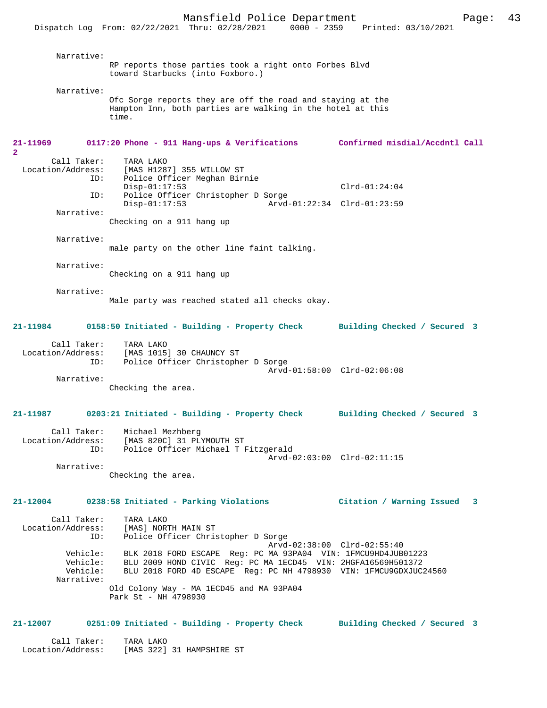| Narrative:                              | RP reports those parties took a right onto Forbes Blvd<br>toward Starbucks (into Foxboro.)                                                                                                                  |                                |
|-----------------------------------------|-------------------------------------------------------------------------------------------------------------------------------------------------------------------------------------------------------------|--------------------------------|
| Narrative:                              |                                                                                                                                                                                                             |                                |
|                                         | Ofc Sorge reports they are off the road and staying at the<br>Hampton Inn, both parties are walking in the hotel at this<br>time.                                                                           |                                |
| 21-11969                                | 0117:20 Phone - 911 Hang-ups & Verifications                                                                                                                                                                | Confirmed misdial/Accdntl Call |
| $\overline{\mathbf{2}}$<br>Call Taker:  | TARA LAKO                                                                                                                                                                                                   |                                |
| Location/Address:                       | [MAS H1287] 355 WILLOW ST                                                                                                                                                                                   |                                |
| ID:                                     | Police Officer Meghan Birnie                                                                                                                                                                                |                                |
| ID:                                     | $Disp-01:17:53$<br>Police Officer Christopher D Sorge                                                                                                                                                       | $Clrd-01:24:04$                |
|                                         | $Disp-01:17:53$                                                                                                                                                                                             | Arvd-01:22:34 Clrd-01:23:59    |
| Narrative:                              |                                                                                                                                                                                                             |                                |
|                                         | Checking on a 911 hang up                                                                                                                                                                                   |                                |
| Narrative:                              |                                                                                                                                                                                                             |                                |
|                                         | male party on the other line faint talking.                                                                                                                                                                 |                                |
| Narrative:                              |                                                                                                                                                                                                             |                                |
|                                         | Checking on a 911 hang up                                                                                                                                                                                   |                                |
|                                         |                                                                                                                                                                                                             |                                |
| Narrative:                              | Male party was reached stated all checks okay.                                                                                                                                                              |                                |
| 21-11984                                | 0158:50 Initiated - Building - Property Check                                                                                                                                                               | Building Checked / Secured 3   |
| Call Taker:<br>ID:                      | TARA LAKO<br>Location/Address: [MAS 1015] 30 CHAUNCY ST<br>Police Officer Christopher D Sorge                                                                                                               |                                |
|                                         |                                                                                                                                                                                                             | Arvd-01:58:00 Clrd-02:06:08    |
| Narrative:                              | Checking the area.                                                                                                                                                                                          |                                |
| 21-11987                                | 0203:21 Initiated - Building - Property Check Building Checked / Secured 3                                                                                                                                  |                                |
| Call Taker:                             | Michael Mezhberg<br>Location/Address: [MAS 820C] 31 PLYMOUTH ST                                                                                                                                             |                                |
| ID:                                     | Police Officer Michael T Fitzgerald                                                                                                                                                                         | Arvd-02:03:00 Clrd-02:11:15    |
| Narrative:                              |                                                                                                                                                                                                             |                                |
|                                         | Checking the area.                                                                                                                                                                                          |                                |
|                                         | 21-12004 0238:58 Initiated - Parking Violations                                                                                                                                                             | Citation / Warning Issued 3    |
| Call Taker:<br>Location/Address:<br>ID: | [MAS] NORTH MAIN ST<br>Police Off:<br>Police Officer Christopher D Sorge                                                                                                                                    |                                |
| Vehicle:<br>Vehicle:<br>Narrative:      | BLK 2018 FORD ESCAPE Req: PC MA 93PA04 VIN: 1FMCU9HD4JUB01223<br>Vehicle: BLU 2009 HOND CIVIC Reg: PC MA 1ECD45 VIN: 2HGFA16569H501372<br>BLU 2018 FORD 4D ESCAPE Reg: PC NH 4798930 VIN: 1FMCU9GDXJUC24560 | Arvd-02:38:00 Clrd-02:55:40    |
|                                         | Old Colony Way - MA 1ECD45 and MA 93PA04<br>Park St - NH 4798930                                                                                                                                            |                                |
| 21-12007                                | 0251:09 Initiated - Building - Property Check Building Checked / Secured 3                                                                                                                                  |                                |

 Call Taker: TARA LAKO Location/Address: [MAS 322] 31 HAMPSHIRE ST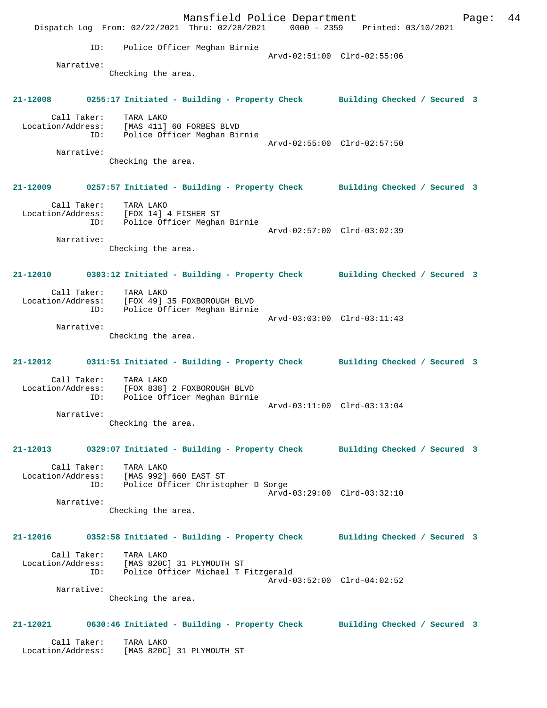Mansfield Police Department Fage: 44 Dispatch Log From: 02/22/2021 Thru: 02/28/2021 0000 - 2359 Printed: 03/10/2021 ID: Police Officer Meghan Birnie Arvd-02:51:00 Clrd-02:55:06 Narrative: Checking the area. **21-12008 0255:17 Initiated - Building - Property Check Building Checked / Secured 3** Call Taker: TARA LAKO Location/Address: [MAS 411] 60 FORBES BLVD ID: Police Officer Meghan Birnie Arvd-02:55:00 Clrd-02:57:50 Narrative: Checking the area. **21-12009 0257:57 Initiated - Building - Property Check Building Checked / Secured 3** Call Taker: TARA LAKO Location/Address: [FOX 14] 4 FISHER ST ID: Police Officer Meghan Birnie Arvd-02:57:00 Clrd-03:02:39 Narrative: Checking the area. **21-12010 0303:12 Initiated - Building - Property Check Building Checked / Secured 3** Call Taker: TARA LAKO Location/Address: [FOX 49] 35 FOXBOROUGH BLVD ID: Police Officer Meghan Birnie Arvd-03:03:00 Clrd-03:11:43 Narrative: Checking the area. **21-12012 0311:51 Initiated - Building - Property Check Building Checked / Secured 3** Call Taker: TARA LAKO Location/Address: [FOX 838] 2 FOXBOROUGH BLVD ID: Police Officer Meghan Birnie Arvd-03:11:00 Clrd-03:13:04 Narrative: Checking the area. **21-12013 0329:07 Initiated - Building - Property Check Building Checked / Secured 3** Call Taker: TARA LAKO Location/Address: [MAS 992] 660 EAST ST ID: Police Officer Christopher D Sorge Arvd-03:29:00 Clrd-03:32:10 Narrative: Checking the area. **21-12016 0352:58 Initiated - Building - Property Check Building Checked / Secured 3** Call Taker: TARA LAKO Location/Address: [MAS 820C] 31 PLYMOUTH ST ID: Police Officer Michael T Fitzgerald Arvd-03:52:00 Clrd-04:02:52 Narrative: Checking the area. **21-12021 0630:46 Initiated - Building - Property Check Building Checked / Secured 3** Call Taker: TARA LAKO Location/Address: [MAS 820C] 31 PLYMOUTH ST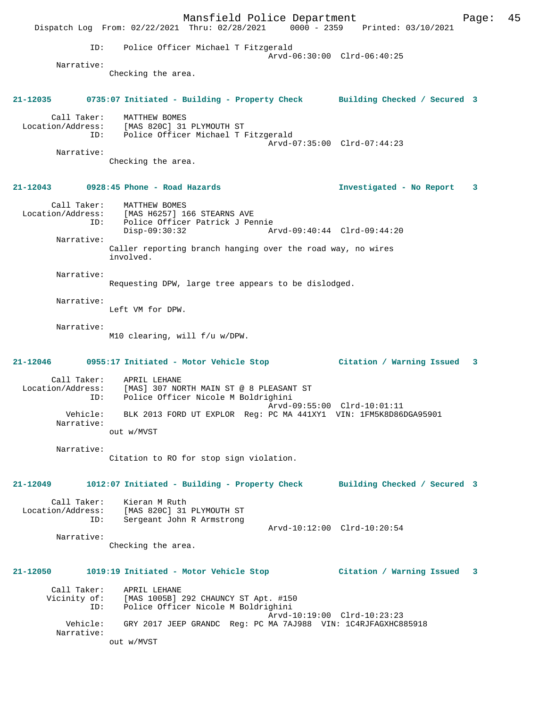Mansfield Police Department Page: 45 Dispatch Log From: 02/22/2021 Thru: 02/28/2021 0000 - 2359 Printed: 03/10/2021 ID: Police Officer Michael T Fitzgerald Arvd-06:30:00 Clrd-06:40:25 Narrative: Checking the area. **21-12035 0735:07 Initiated - Building - Property Check Building Checked / Secured 3** Call Taker: MATTHEW BOMES Location/Address: [MAS 820C] 31 PLYMOUTH ST ID: Police Officer Michael T Fitzgerald Arvd-07:35:00 Clrd-07:44:23 Narrative: Checking the area. **21-12043 0928:45 Phone - Road Hazards Investigated - No Report 3** Call Taker: MATTHEW BOMES Location/Address: [MAS H6257] 166 STEARNS AVE ID: Police Officer Patrick J Pennie Disp-09:30:32 Arvd-09:40:44 Clrd-09:44:20 Narrative: Caller reporting branch hanging over the road way, no wires involved. Narrative: Requesting DPW, large tree appears to be dislodged. Narrative: Left VM for DPW. Narrative: M10 clearing, will f/u w/DPW. **21-12046 0955:17 Initiated - Motor Vehicle Stop Citation / Warning Issued 3** Call Taker: APRIL LEHANE Location/Address: [MAS] 307 NORTH MAIN ST @ 8 PLEASANT ST ID: Police Officer Nicole M Boldrighini Arvd-09:55:00 Clrd-10:01:11<br>Vehicle: BLK 2013 FORD UT EXPLOR Reg: PC MA 441XY1 VIN: 1FM5K8D861 BLK 2013 FORD UT EXPLOR Req: PC MA 441XY1 VIN: 1FM5K8D86DGA95901 Narrative: out w/MVST Narrative: Citation to RO for stop sign violation. **21-12049 1012:07 Initiated - Building - Property Check Building Checked / Secured 3** Call Taker: Kieran M Ruth Location/Address: [MAS 820C] 31 PLYMOUTH ST Sergeant John R Armstrong Arvd-10:12:00 Clrd-10:20:54 Narrative: Checking the area. **21-12050 1019:19 Initiated - Motor Vehicle Stop Citation / Warning Issued 3** Call Taker: APRIL LEHANE Vicinity of: [MAS 1005B] 292 CHAUNCY ST Apt. #150 ID: Police Officer Nicole M Boldrighini Arvd-10:19:00 Clrd-10:23:23 Vehicle: GRY 2017 JEEP GRANDC Reg: PC MA 7AJ988 VIN: 1C4RJFAGXHC885918 Narrative: out w/MVST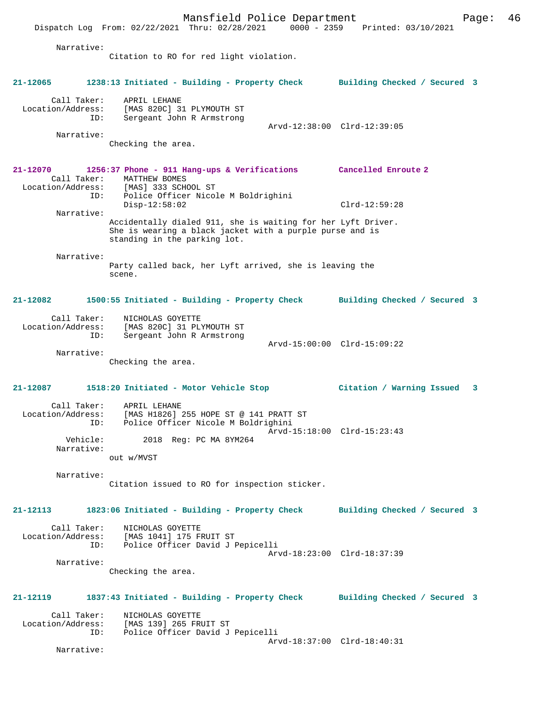Mansfield Police Department Form Page: 46 Dispatch Log From: 02/22/2021 Thru: 02/28/2021 0000 - 2359 Printed: 03/10/2021 Narrative: Citation to RO for red light violation. **21-12065 1238:13 Initiated - Building - Property Check Building Checked / Secured 3** Call Taker: APRIL LEHANE Location/Address: [MAS 820C] 31 PLYMOUTH ST ID: Sergeant John R Armstrong Arvd-12:38:00 Clrd-12:39:05 Narrative: Checking the area. **21-12070 1256:37 Phone - 911 Hang-ups & Verifications Cancelled Enroute 2**  Call Taker: MATTHEW BOMES Location/Address: [MAS] 333 SCHOOL ST<br>TD: Police Officer Nicol Police Officer Nicole M Boldrighini Disp-12:58:02 Clrd-12:59:28 Narrative: Accidentally dialed 911, she is waiting for her Lyft Driver. She is wearing a black jacket with a purple purse and is standing in the parking lot. Narrative: Party called back, her Lyft arrived, she is leaving the scene. **21-12082 1500:55 Initiated - Building - Property Check Building Checked / Secured 3** Call Taker: NICHOLAS GOYETTE Location/Address: [MAS 820C] 31 PLYMOUTH ST Sergeant John R Armstrong Arvd-15:00:00 Clrd-15:09:22 Narrative: Checking the area. **21-12087 1518:20 Initiated - Motor Vehicle Stop Citation / Warning Issued 3** Call Taker: APRIL LEHANE Location/Address: [MAS H1826] 255 HOPE ST @ 141 PRATT ST ID: Police Officer Nicole M Boldrighini Arvd-15:18:00 Clrd-15:23:43<br>Vehicle: 2018 Rea: PC MA 8YM264 2018 Reg: PC MA 8YM264 Narrative: out w/MVST Narrative: Citation issued to RO for inspection sticker. **21-12113 1823:06 Initiated - Building - Property Check Building Checked / Secured 3** Call Taker: NICHOLAS GOYETTE<br>Location/Address: [MAS 1041] 175 F ess: [MAS 1041] 175 FRUIT ST<br>ID: Police Officer David JI Police Officer David J Pepicelli Arvd-18:23:00 Clrd-18:37:39 Narrative: Checking the area. **21-12119 1837:43 Initiated - Building - Property Check Building Checked / Secured 3** Call Taker: NICHOLAS GOYETTE<br>Location/Address: [MAS 139] 265 FR ess: [MAS 139] 265 FRUIT ST<br>ID: Police Officer David J Police Officer David J Pepicelli Arvd-18:37:00 Clrd-18:40:31

Narrative: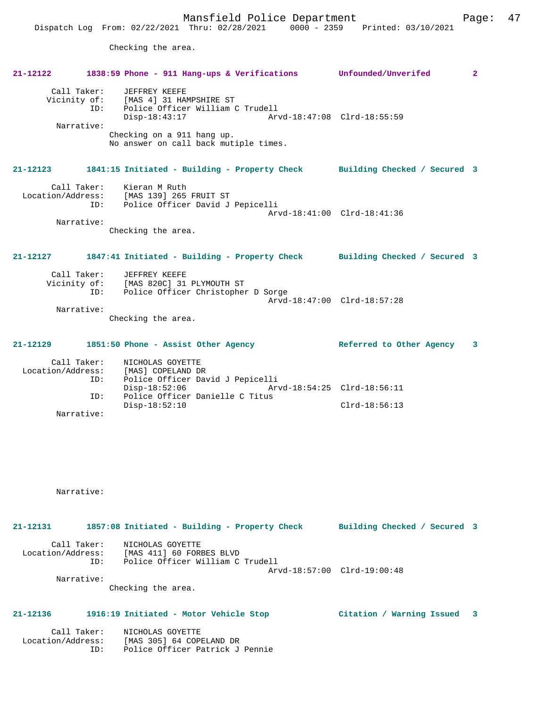Checking the area.

## **21-12122 1838:59 Phone - 911 Hang-ups & Verifications Unfounded/Unverifed 2** Call Taker: JEFFREY KEEFE Vicinity of: [MAS 4] 31 HAMPSHIRE ST ID: Police Officer William C Trudell Disp-18:43:17 Arvd-18:47:08 Clrd-18:55:59 Narrative: Checking on a 911 hang up. No answer on call back mutiple times. **21-12123 1841:15 Initiated - Building - Property Check Building Checked / Secured 3** Call Taker: Kieran M Ruth Location/Address: [MAS 139] 265 FRUIT ST ID: Police Officer David J Pepicelli Arvd-18:41:00 Clrd-18:41:36 Narrative: Checking the area. **21-12127 1847:41 Initiated - Building - Property Check Building Checked / Secured 3** Call Taker: JEFFREY KEEFE Vicinity of: [MAS 820C] 31 PLYMOUTH ST<br>TD: Police Officer Christopher ID: Police Officer Christopher D Sorge Arvd-18:47:00 Clrd-18:57:28 Narrative: Checking the area. **21-12129 1851:50 Phone - Assist Other Agency Referred to Other Agency 3** Call Taker: NICHOLAS GOYETTE Location/Address: [MAS] COPELAND DR ID: Police Officer David J Pepicelli Disp-18:52:06 Arvd-18:54:25 Clrd-18:56:11<br>ID: Police Officer Danielle C Titus

Narrative:

Narrative:

**21-12131 1857:08 Initiated - Building - Property Check Building Checked / Secured 3** Call Taker: NICHOLAS GOYETTE Location/Address: [MAS 411] 60 FORBES BLVD ID: Police Officer William C Trudell Arvd-18:57:00 Clrd-19:00:48 Narrative: Checking the area.

Disp-18:52:10 Clrd-18:56:13

Police Officer Danielle C Titus

## **21-12136 1916:19 Initiated - Motor Vehicle Stop Citation / Warning Issued 3**

|  |                                 | NICHOLAS GOYETTE | Call Taker:       |
|--|---------------------------------|------------------|-------------------|
|  | [MAS 305] 64 COPELAND DR        |                  | Location/Address: |
|  | Police Officer Patrick J Pennie |                  | TD:               |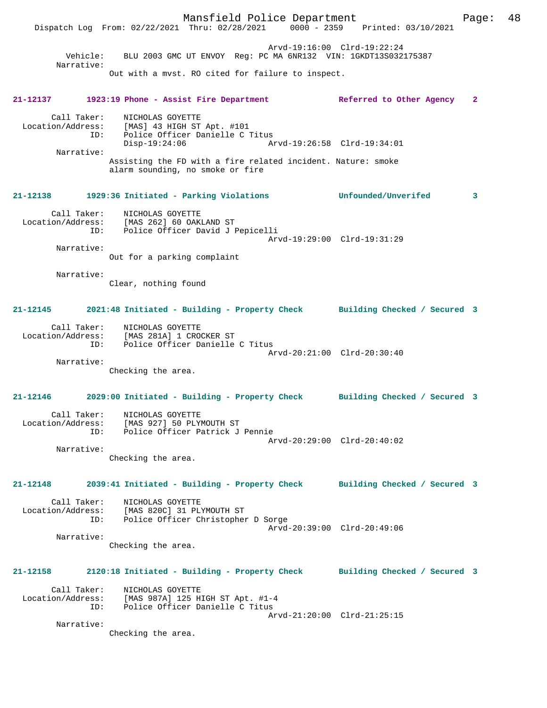Mansfield Police Department Page: 48 Dispatch Log From: 02/22/2021 Thru: 02/28/2021 0000 - 2359 Printed: 03/10/2021 Arvd-19:16:00 Clrd-19:22:24 Vehicle: BLU 2003 GMC UT ENVOY Reg: PC MA 6NR132 VIN: 1GKDT13S032175387 Narrative: Out with a mvst. RO cited for failure to inspect. **21-12137 1923:19 Phone - Assist Fire Department Referred to Other Agency 2** Call Taker: NICHOLAS GOYETTE Location/Address: [MAS] 43 HIGH ST Apt. #101 ID: Police Officer Danielle C Titus Disp-19:24:06 Arvd-19:26:58 Clrd-19:34:01 Narrative: Assisting the FD with a fire related incident. Nature: smoke alarm sounding, no smoke or fire **21-12138 1929:36 Initiated - Parking Violations Unfounded/Unverifed 3** Call Taker: NICHOLAS GOYETTE Location/Address: [MAS 262] 60 OAKLAND ST ID: Police Officer David J Pepicelli Arvd-19:29:00 Clrd-19:31:29 Narrative: Out for a parking complaint Narrative: Clear, nothing found **21-12145 2021:48 Initiated - Building - Property Check Building Checked / Secured 3** Call Taker: NICHOLAS GOYETTE Location/Address: [MAS 281A] 1 CROCKER ST ID: Police Officer Danielle C Titus Arvd-20:21:00 Clrd-20:30:40 Narrative: Checking the area. **21-12146 2029:00 Initiated - Building - Property Check Building Checked / Secured 3** Call Taker: NICHOLAS GOYETTE Location/Address: [MAS 927] 50 PLYMOUTH ST ID: Police Officer Patrick J Pennie Arvd-20:29:00 Clrd-20:40:02 Narrative: Checking the area. **21-12148 2039:41 Initiated - Building - Property Check Building Checked / Secured 3** Call Taker: NICHOLAS GOYETTE Location/Address: [MAS 820C] 31 PLYMOUTH ST Police Officer Christopher D Sorge Arvd-20:39:00 Clrd-20:49:06 Narrative: Checking the area. **21-12158 2120:18 Initiated - Building - Property Check Building Checked / Secured 3** Call Taker: NICHOLAS GOYETTE Location/Address: [MAS 987A] 125 HIGH ST Apt. #1-4 ID: Police Officer Danielle C Titus Arvd-21:20:00 Clrd-21:25:15 Narrative: Checking the area.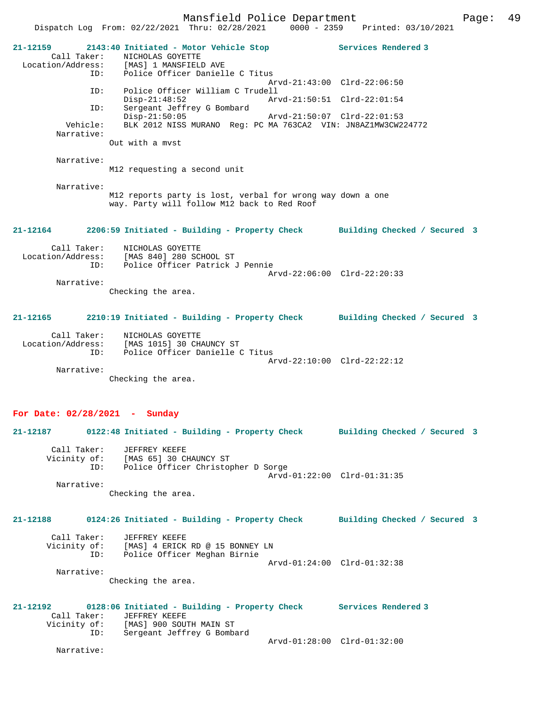Mansfield Police Department Page: 49 Dispatch Log From: 02/22/2021 Thru: 02/28/2021 0000 - 2359 Printed: 03/10/2021 **21-12159 2143:40 Initiated - Motor Vehicle Stop Services Rendered 3**  Call Taker: <br> NICHOLAS GOYETTE<br>
Location/Address: [MAS] 1 MANSFIELI [MAS] 1 MANSFIELD AVE ID: Police Officer Danielle C Titus Arvd-21:43:00 Clrd-22:06:50 ID: Police Officer William C Trudell Disp-21:48:52 Arvd-21:50:51 Clrd-22:01:54<br>ID: Sergeant Jeffrey G Bombard Sergeant Jeffrey G Bombard<br>Disp-21:50:05 Disp-21:50:05 Arvd-21:50:07 Clrd-22:01:53<br>Vehicle: BLK 2012 NISS MURANO Reg: PC MA 763CA2 VIN: JN8AZ1MW3CW2 BLK 2012 NISS MURANO Reg: PC MA 763CA2 VIN: JN8AZ1MW3CW224772 Narrative: Out with a mvst Narrative: M12 requesting a second unit Narrative: M12 reports party is lost, verbal for wrong way down a one way. Party will follow M12 back to Red Roof **21-12164 2206:59 Initiated - Building - Property Check Building Checked / Secured 3** Call Taker: NICHOLAS GOYETTE Location/Address: [MAS 840] 280 SCHOOL ST ID: Police Officer Patrick J Pennie Arvd-22:06:00 Clrd-22:20:33 Narrative: Checking the area. **21-12165 2210:19 Initiated - Building - Property Check Building Checked / Secured 3** Call Taker: NICHOLAS GOYETTE Location/Address: [MAS 1015] 30 CHAUNCY ST ID: Police Officer Danielle C Titus Arvd-22:10:00 Clrd-22:22:12 Narrative: Checking the area. **For Date: 02/28/2021 - Sunday 21-12187 0122:48 Initiated - Building - Property Check Building Checked / Secured 3** Call Taker: JEFFREY KEEFE Vicinity of: [MAS 65] 30 CHAUNCY ST ID: Police Officer Christopher D Sorge Arvd-01:22:00 Clrd-01:31:35 Narrative: Checking the area. **21-12188 0124:26 Initiated - Building - Property Check Building Checked / Secured 3** Call Taker: JEFFREY KEEFE Vicinity of: [MAS] 4 ERICK RD @ 15 BONNEY LN

 ID: Police Officer Meghan Birnie Arvd-01:24:00 Clrd-01:32:38 Narrative: Checking the area.

**21-12192 0128:06 Initiated - Building - Property Check Services Rendered 3**  Call Taker: JEFFREY KEEFE<br>Vicinity of: [MAS] 900 SOU of: [MAS] 900 SOUTH MAIN ST<br>ID: Sergeant Jeffrey G Bomba Sergeant Jeffrey G Bombard Arvd-01:28:00 Clrd-01:32:00

Narrative: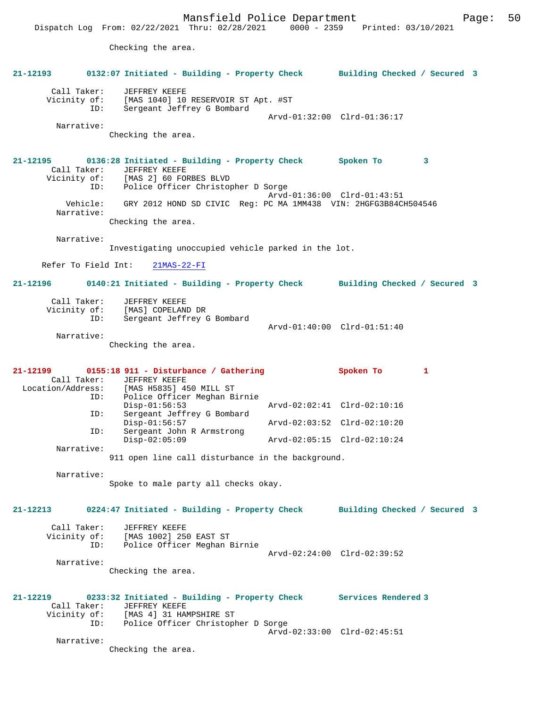Dispatch Log From: 02/22/2021 Thru: 02/28/2021 0000 - 2359 Printed: 03/10/2021

Checking the area.

| 21-12193                                         | 0132:07 Initiated - Building - Property Check Building Checked / Secured 3                                                                                                                                                                                           |                              |   |  |
|--------------------------------------------------|----------------------------------------------------------------------------------------------------------------------------------------------------------------------------------------------------------------------------------------------------------------------|------------------------------|---|--|
| Call Taker:<br>ID:                               | JEFFREY KEEFE<br>Vicinity of: [MAS 1040] 10 RESERVOIR ST Apt. #ST<br>Sergeant Jeffrey G Bombard                                                                                                                                                                      | Arvd-01:32:00 Clrd-01:36:17  |   |  |
| Narrative:                                       | Checking the area.                                                                                                                                                                                                                                                   |                              |   |  |
| Call Taker:<br>Narrative:                        | 21-12195 0136:28 Initiated - Building - Property Check Spoken To<br>JEFFREY KEEFE<br>Vicinity of: [MAS 2] 60 FORBES BLVD<br>ID: Police Officer Christopher D Sorge<br>Vehicle: GRY 2012 HOND SD CIVIC Req: PC MA 1MM438 VIN: 2HGFG3B84CH504546<br>Checking the area. | Arvd-01:36:00 Clrd-01:43:51  | 3 |  |
| Narrative:                                       |                                                                                                                                                                                                                                                                      |                              |   |  |
|                                                  | Investigating unoccupied vehicle parked in the lot.                                                                                                                                                                                                                  |                              |   |  |
|                                                  | Refer To Field Int: 21MAS-22-FI                                                                                                                                                                                                                                      |                              |   |  |
| 21-12196                                         | 0140:21 Initiated - Building - Property Check Building Checked / Secured 3                                                                                                                                                                                           |                              |   |  |
| Call Taker:<br>Vicinity of:<br>ID:<br>Narrative: | JEFFREY KEEFE<br>[MAS] COPELAND DR<br>Sergeant Jeffrey G Bombard<br>Checking the area.                                                                                                                                                                               | Arvd-01:40:00 Clrd-01:51:40  |   |  |
|                                                  |                                                                                                                                                                                                                                                                      |                              |   |  |
| Call Taker:<br>Location/Address:<br>ID:          | 21-12199 0155:18 911 - Disturbance / Gathering<br>JEFFREY KEEFE<br>[MAS H5835] 450 MILL ST<br>Police Officer Meghan Birnie                                                                                                                                           | Spoken To                    | 1 |  |
|                                                  | $Disp-01:56:53$                                                                                                                                                                                                                                                      | Arvd-02:02:41 Clrd-02:10:16  |   |  |
| ID:                                              | Sergeant Jeffrey G Bombard<br>$Disp-01:56:57$                                                                                                                                                                                                                        | Arvd-02:03:52 Clrd-02:10:20  |   |  |
| ID:                                              | Sergeant John R Armstrong<br>$Disp-02:05:09$                                                                                                                                                                                                                         | Arvd-02:05:15 Clrd-02:10:24  |   |  |
| Narrative:                                       | 911 open line call disturbance in the background.                                                                                                                                                                                                                    |                              |   |  |
|                                                  |                                                                                                                                                                                                                                                                      |                              |   |  |
| Narrative:                                       | Spoke to male party all checks okay.                                                                                                                                                                                                                                 |                              |   |  |
| 21-12213                                         | 0224:47 Initiated - Building - Property Check                                                                                                                                                                                                                        | Building Checked / Secured 3 |   |  |
| Call Taker:<br>Vicinity of:<br>ID:               | JEFFREY KEEFE<br>[MAS 1002] 250 EAST ST<br>Police Officer Meghan Birnie                                                                                                                                                                                              | Arvd-02:24:00 Clrd-02:39:52  |   |  |
| Narrative:                                       | Checking the area.                                                                                                                                                                                                                                                   |                              |   |  |
|                                                  |                                                                                                                                                                                                                                                                      |                              |   |  |
| 21-12219<br>Call Taker:<br>Vicinity of:          | 0233:32 Initiated - Building - Property Check<br>JEFFREY KEEFE<br>[MAS 4] 31 HAMPSHIRE ST<br>Police Officer Christopher D Sorge                                                                                                                                      | Services Rendered 3          |   |  |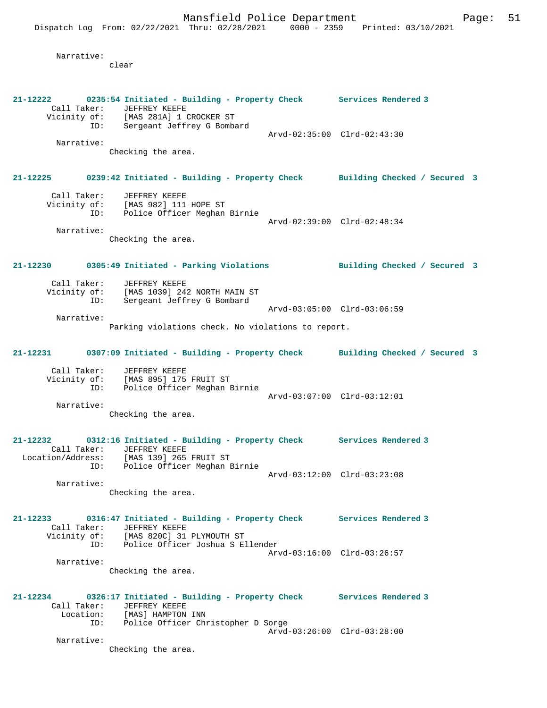Narrative:

clear

**21-12222 0235:54 Initiated - Building - Property Check Services Rendered 3**  Call Taker: JEFFREY KEEFE Vicinity of: [MAS 281A] 1 CROCKER ST ID: Sergeant Jeffrey G Bombard Arvd-02:35:00 Clrd-02:43:30 Narrative: Checking the area. **21-12225 0239:42 Initiated - Building - Property Check Building Checked / Secured 3** Call Taker: JEFFREY KEEFE Vicinity of: [MAS 982] 111 HOPE ST ID: Police Officer Meghan Birnie Arvd-02:39:00 Clrd-02:48:34 Narrative: Checking the area. **21-12230 0305:49 Initiated - Parking Violations Building Checked / Secured 3** Call Taker: JEFFREY KEEFE Vicinity of: [MAS 1039] 242 NORTH MAIN ST ID: Sergeant Jeffrey G Bombard Arvd-03:05:00 Clrd-03:06:59 Narrative: Parking violations check. No violations to report. **21-12231 0307:09 Initiated - Building - Property Check Building Checked / Secured 3** Call Taker: JEFFREY KEEFE Vicinity of: [MAS 895] 175 FRUIT ST ID: Police Officer Meghan Birnie Arvd-03:07:00 Clrd-03:12:01 Narrative: Checking the area. **21-12232 0312:16 Initiated - Building - Property Check Services Rendered 3**  Call Taker: JEFFREY KEEFE<br>Location/Address: [MAS 139] 265 Location/Address: [MAS 139] 265 FRUIT ST ID: Police Officer Meghan Birnie Arvd-03:12:00 Clrd-03:23:08 Narrative: Checking the area. **21-12233 0316:47 Initiated - Building - Property Check Services Rendered 3**  Call Taker: JEFFREY KEEFE Vicinity of: [MAS 820C] 31 PLYMOUTH ST ID: Police Officer Joshua S Ellender Arvd-03:16:00 Clrd-03:26:57 Narrative: Checking the area. **21-12234 0326:17 Initiated - Building - Property Check Services Rendered 3**  Call Taker: JEFFREY KEEFE<br>Location: [MAS] HAMPTON Lon: [MAS] HAMPTON INN<br>ID: Police Officer Chr Police Officer Christopher D Sorge Arvd-03:26:00 Clrd-03:28:00 Narrative: Checking the area.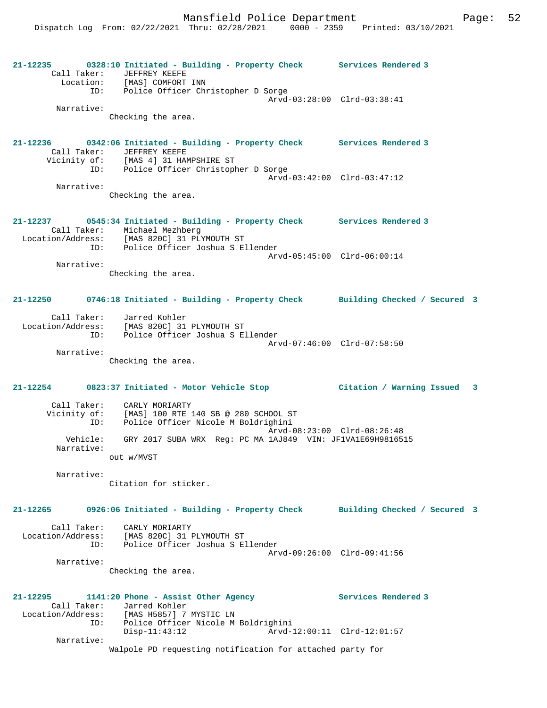**21-12235 0328:10 Initiated - Building - Property Check Services Rendered 3**  Call Taker: JEFFREY KEEFE Location: [MAS] COMFORT INN ID: Police Officer Christopher D Sorge Arvd-03:28:00 Clrd-03:38:41 Narrative: Checking the area. **21-12236 0342:06 Initiated - Building - Property Check Services Rendered 3**  Call Taker: JEFFREY KEEFE<br>Vicinity of: [MAS 4] 31 HAM Vicinity of: [MAS 4] 31 HAMPSHIRE ST ID: Police Officer Christopher D Sorge Arvd-03:42:00 Clrd-03:47:12 Narrative: Checking the area. **21-12237 0545:34 Initiated - Building - Property Check Services Rendered 3**  Call Taker: Michael Mezhberg Location/Address: [MAS 820C] 31 PLYMOUTH ST ID: Police Officer Joshua S Ellender Arvd-05:45:00 Clrd-06:00:14 Narrative: Checking the area. **21-12250 0746:18 Initiated - Building - Property Check Building Checked / Secured 3** Call Taker: Jarred Kohler Location/Address: [MAS 820C] 31 PLYMOUTH ST ID: Police Officer Joshua S Ellender Arvd-07:46:00 Clrd-07:58:50 Narrative: Checking the area. **21-12254 0823:37 Initiated - Motor Vehicle Stop Citation / Warning Issued 3** Call Taker: CARLY MORIARTY Vicinity of: [MAS] 100 RTE 140 SB @ 280 SCHOOL ST ID: Police Officer Nicole M Boldrighini Arvd-08:23:00 Clrd-08:26:48 Vehicle: GRY 2017 SUBA WRX Reg: PC MA 1AJ849 VIN: JF1VA1E69H9816515 Narrative: out w/MVST Narrative: Citation for sticker. **21-12265 0926:06 Initiated - Building - Property Check Building Checked / Secured 3** Call Taker: CARLY MORIARTY Location/Address: [MAS 820C] 31 PLYMOUTH ST ID: Police Officer Joshua S Ellender Arvd-09:26:00 Clrd-09:41:56 Narrative: Checking the area. **21-12295 1141:20 Phone - Assist Other Agency Services Rendered 3**  Call Taker: Jarred Kohler Location/Address: [MAS H5857] 7 MYSTIC LN ID: Police Officer Nicole M Boldrighini Disp-11:43:12 Arvd-12:00:11 Clrd-12:01:57 Narrative: Walpole PD requesting notification for attached party for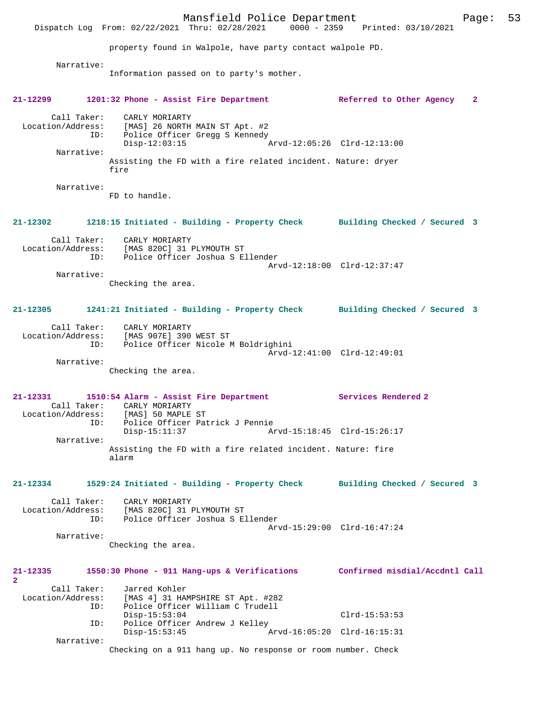Mansfield Police Department Fage: 53 Dispatch Log From: 02/22/2021 Thru: 02/28/2021 0000 - 2359 Printed: 03/10/2021 property found in Walpole, have party contact walpole PD. Narrative: Information passed on to party's mother. **21-12299 1201:32 Phone - Assist Fire Department Referred to Other Agency 2** Call Taker: CARLY MORIARTY Location/Address: [MAS] 26 NORTH MAIN ST Apt. #2 ID: Police Officer Gregg S Kennedy Disp-12:03:15 Arvd-12:05:26 Clrd-12:13:00 Narrative: Assisting the FD with a fire related incident. Nature: dryer fire Narrative: FD to handle. **21-12302 1218:15 Initiated - Building - Property Check Building Checked / Secured 3** Call Taker: CARLY MORIARTY Location/Address: [MAS 820C] 31 PLYMOUTH ST ID: Police Officer Joshua S Ellender Arvd-12:18:00 Clrd-12:37:47 Narrative: Checking the area. **21-12305 1241:21 Initiated - Building - Property Check Building Checked / Secured 3** Call Taker: CARLY MORIARTY Location/Address: [MAS 907E] 390 WEST ST ID: Police Officer Nicole M Boldrighini Arvd-12:41:00 Clrd-12:49:01 Narrative: Checking the area. **21-12331 1510:54 Alarm - Assist Fire Department Services Rendered 2**  Call Taker: CARLY MORIARTY Location/Address: [MAS] 50 MAPLE ST ID: Police Officer Patrick J Pennie Disp-15:11:37 Arvd-15:18:45 Clrd-15:26:17 Narrative: Assisting the FD with a fire related incident. Nature: fire alarm **21-12334 1529:24 Initiated - Building - Property Check Building Checked / Secured 3** Call Taker: CARLY MORIARTY Location/Address: [MAS 820C] 31 PLYMOUTH ST<br>TD: Police Officer Joshua S.E. ID: Police Officer Joshua S Ellender Arvd-15:29:00 Clrd-16:47:24 Narrative: Checking the area. **21-12335 1550:30 Phone - 911 Hang-ups & Verifications Confirmed misdial/Accdntl Call 2**  Call Taker: Jarred Kohler Location/Address: [MAS 4] 31 HAMPSHIRE ST Apt. #282 ID: Police Officer William C Trudell Disp-15:53:04 Clrd-15:53:53<br>ID: Police Officer Andrew J Kelley Police Officer Andrew J Kelley<br>Disp-15:53:45 Arvd-16:05:20 Clrd-16:15:31 Narrative: Checking on a 911 hang up. No response or room number. Check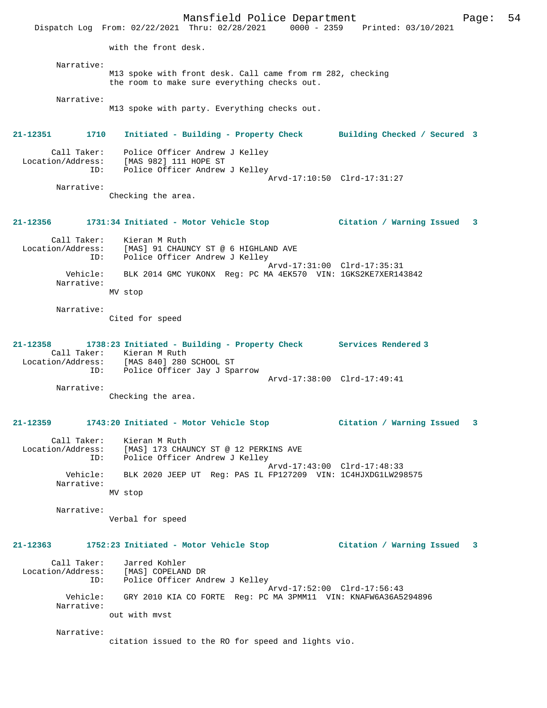Mansfield Police Department Fage: 54 Dispatch Log From: 02/22/2021 Thru: 02/28/2021 0000 - 2359 Printed: 03/10/2021 with the front desk. Narrative: M13 spoke with front desk. Call came from rm 282, checking the room to make sure everything checks out. Narrative: M13 spoke with party. Everything checks out. **21-12351 1710 Initiated - Building - Property Check Building Checked / Secured 3** Call Taker: Police Officer Andrew J Kelley<br>Location/Address: [MAS 982] 111 HOPE ST Location (Address: [MAS 982] 111 HOPE ST<br>ID: Police Officer Andrew Police Officer Andrew J Kelley Arvd-17:10:50 Clrd-17:31:27 Narrative: Checking the area. **21-12356 1731:34 Initiated - Motor Vehicle Stop Citation / Warning Issued 3** Call Taker: Kieran M Ruth Location/Address: [MAS] 91 CHAUNCY ST @ 6 HIGHLAND AVE ID: Police Officer Andrew J Kelley Arvd-17:31:00 Clrd-17:35:31 Vehicle: BLK 2014 GMC YUKONX Reg: PC MA 4EK570 VIN: 1GKS2KE7XER143842 Narrative: MV stop Narrative: Cited for speed **21-12358 1738:23 Initiated - Building - Property Check Services Rendered 3**  Call Taker: Kieran M Ruth Location/Address: [MAS 840] 280 SCHOOL ST ID: Police Officer Jay J Sparrow Arvd-17:38:00 Clrd-17:49:41 Narrative: Checking the area. **21-12359 1743:20 Initiated - Motor Vehicle Stop Citation / Warning Issued 3** Call Taker: Kieran M Ruth Location/Address: [MAS] 173 CHAUNCY ST @ 12 PERKINS AVE ID: Police Officer Andrew J Kelley Arvd-17:43:00 Clrd-17:48:33 Vehicle: BLK 2020 JEEP UT Reg: PAS IL FP127209 VIN: 1C4HJXDG1LW298575 Narrative: MV stop Narrative: Verbal for speed **21-12363 1752:23 Initiated - Motor Vehicle Stop Citation / Warning Issued 3** Call Taker: Jarred Kohler Location/Address: [MAS] COPELAND DR ID: Police Officer Andrew J Kelley Arvd-17:52:00 Clrd-17:56:43 Vehicle: GRY 2010 KIA CO FORTE Reg: PC MA 3PMM11 VIN: KNAFW6A36A5294896 Narrative: out with mvst Narrative: citation issued to the RO for speed and lights vio.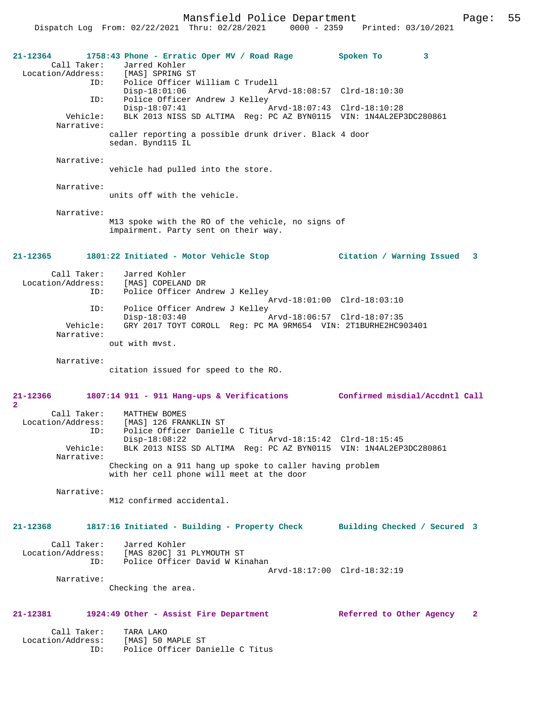| 21-12364<br>Call Taker:          | 1758:43 Phone - Erratic Oper MV / Road Rage<br>Jarred Kohler<br>Location/Address: [MAS] SPRING ST<br>ID: Police Officer William C Trudell | Spoken To<br>3                 |
|----------------------------------|-------------------------------------------------------------------------------------------------------------------------------------------|--------------------------------|
|                                  | $Disp-18:01:06$<br>Arvd-18:08:57 Clrd-18:10:30                                                                                            |                                |
| ID:<br>Vehicle:                  | Police Officer Andrew J Kelley<br>Disp-18:07:41<br>BLK 2013 NISS SD ALTIMA Reg: PC AZ BYN0115 VIN: 1N4AL2EP3DC280861                      |                                |
| Narrative:                       | caller reporting a possible drunk driver. Black 4 door<br>sedan. Bynd115 IL                                                               |                                |
| Narrative:                       |                                                                                                                                           |                                |
|                                  | vehicle had pulled into the store.                                                                                                        |                                |
| Narrative:                       | units off with the vehicle.                                                                                                               |                                |
| Narrative:                       | M13 spoke with the RO of the vehicle, no signs of<br>impairment. Party sent on their way.                                                 |                                |
| $21 - 12365$                     | 1801:22 Initiated - Motor Vehicle Stop                                                                                                    | Citation / Warning Issued 3    |
| Call Taker:                      | Jarred Kohler<br>Location/Address: [MAS] COPELAND DR<br>ID: Police Officer Andrew J Kelley                                                |                                |
| ID:                              | Police Officer Andrew J Kelley                                                                                                            | Arvd-18:01:00 Clrd-18:03:10    |
| Vehicle:<br>Narrative:           | $Disp-18:03:40$<br>Arvd-18:06:57 Clrd-18:07:35<br>GRY 2017 TOYT COROLL Req: PC MA 9RM654 VIN: 2T1BURHE2HC903401                           |                                |
|                                  | out with myst.                                                                                                                            |                                |
| Narrative:                       | citation issued for speed to the RO.                                                                                                      |                                |
| 21-12366<br>$\overline{a}$       | 1807:14 911 - 911 Hang-ups & Verifications Confirmed misdial/Accdntl Call                                                                 |                                |
| Call Taker:<br>Location/Address: | MATTHEW BOMES<br>[MAS] 126 FRANKLIN ST                                                                                                    |                                |
| ID:                              | Police Officer Danielle C Titus<br>$Disp-18:08:22$                                                                                        | Arvd-18:15:42 Clrd-18:15:45    |
| Vehicle:<br>Narrative:           | BLK 2013 NISS SD ALTIMA Reg: PC AZ BYN0115 VIN: 1N4AL2EP3DC280861                                                                         |                                |
|                                  | Checking on a 911 hang up spoke to caller having problem<br>with her cell phone will meet at the door                                     |                                |
| Narrative:                       | M12 confirmed accidental.                                                                                                                 |                                |
| $21 - 12368$                     | 1817:16 Initiated - Building - Property Check                                                                                             | Building Checked / Secured 3   |
| Call Taker:<br>Location/Address: | Jarred Kohler<br>[MAS 820C] 31 PLYMOUTH ST                                                                                                |                                |
| ID:                              | Police Officer David W Kinahan                                                                                                            | Arvd-18:17:00 Clrd-18:32:19    |
| Narrative:                       | Checking the area.                                                                                                                        |                                |
|                                  |                                                                                                                                           |                                |
| 21-12381                         | 1924:49 Other - Assist Fire Department                                                                                                    | Referred to Other Agency<br>-2 |
| Call Taker:<br>Location/Address: | TARA LAKO<br>[MAS] 50 MAPLE ST                                                                                                            |                                |
| ID:                              | Police Officer Danielle C Titus                                                                                                           |                                |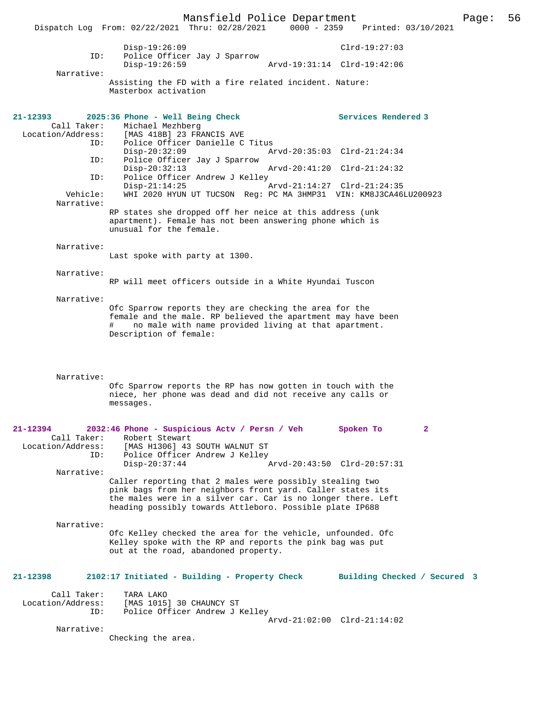Mansfield Police Department Page: 56 Dispatch Log From: 02/22/2021 Thru: 02/28/2021 Disp-19:26:09 Clrd-19:27:03 ID: Police Officer Jay J Sparrow Disp-19:26:59 Arvd-19:31:14 Clrd-19:42:06 Narrative: Assisting the FD with a fire related incident. Nature: Masterbox activation **21-12393 2025:36 Phone - Well Being Check Services Rendered 3**  Call Taker: Michael Mezhberg<br>Location/Address: [MAS 418B] 23 FR ess: [MAS 418B] 23 FRANCIS AVE<br>ID: Police Officer Danielle C Police Officer Danielle C Titus<br>Disp-20:32:09 A Disp-20:32:09 Arvd-20:35:03 Clrd-21:24:34<br>ID: Police Officer Jav J Sparrow Police Officer Jay J Sparrow Disp-20:32:13 Arvd-20:41:20 Clrd-21:24:32<br>TD: Police Officer Andrew J Kelley Police Officer Andrew J Kelley<br>Disp-21:14:25 Disp-21:14:25 Arvd-21:14:27 Clrd-21:24:35<br>Vehicle: WHI 2020 HYUN UT TUCSON Reg: PC MA 3HMP31 VIN: KM8J3CA46 WHI 2020 HYUN UT TUCSON Reg: PC MA 3HMP31 VIN: KM8J3CA46LU200923 Narrative: RP states she dropped off her neice at this address (unk apartment). Female has not been answering phone which is unusual for the female. Narrative: Last spoke with party at 1300. Narrative: RP will meet officers outside in a White Hyundai Tuscon Narrative: Ofc Sparrow reports they are checking the area for the female and the male. RP believed the apartment may have been # no male with name provided living at that apartment. Description of female: Narrative: Ofc Sparrow reports the RP has now gotten in touch with the niece, her phone was dead and did not receive any calls or messages. **21-12394 2032:46 Phone - Suspicious Actv / Persn / Veh Spoken To 2**  Call Taker: Robert Stewart<br>Location/Address: [MAS H1306] 43 ess: [MAS H1306] 43 SOUTH WALNUT ST<br>ID: Police Officer Andrew J Kelley Police Officer Andrew J Kelley Disp-20:37:44 Arvd-20:43:50 Clrd-20:57:31 Narrative: Caller reporting that 2 males were possibly stealing two pink bags from her neighbors front yard. Caller states its the males were in a silver car. Car is no longer there. Left heading possibly towards Attleboro. Possible plate IP688 Narrative: Ofc Kelley checked the area for the vehicle, unfounded. Ofc Kelley spoke with the RP and reports the pink bag was put out at the road, abandoned property. **21-12398 2102:17 Initiated - Building - Property Check Building Checked / Secured 3** Call Taker: TARA LAKO<br>Location/Address: [MAS 1015 ess: [MAS 1015] 30 CHAUNCY ST<br>TD: Police Officer Andrew JJ Police Officer Andrew J Kelley Arvd-21:02:00 Clrd-21:14:02 Narrative: Checking the area.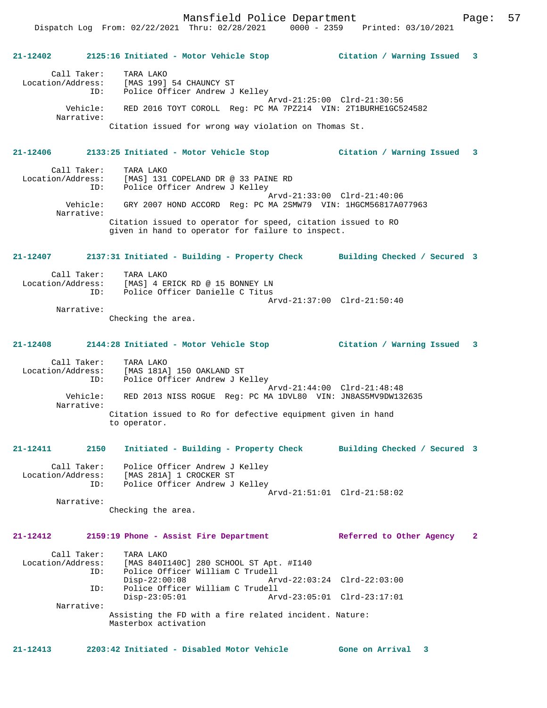Mansfield Police Department Form Page: 57

**21-12402 2125:16 Initiated - Motor Vehicle Stop Citation / Warning Issued 3** Call Taker: TARA LAKO Location/Address: [MAS 199] 54 CHAUNCY ST ID: Police Officer Andrew J Kelley Arvd-21:25:00 Clrd-21:30:56 Vehicle: RED 2016 TOYT COROLL Reg: PC MA 7PZ214 VIN: 2T1BURHE1GC524582 Narrative: Citation issued for wrong way violation on Thomas St. **21-12406 2133:25 Initiated - Motor Vehicle Stop Citation / Warning Issued 3** Call Taker: TARA LAKO<br>Location/Address: [MAS] 131 [MAS] 131 COPELAND DR @ 33 PAINE RD ID: Police Officer Andrew J Kelley Arvd-21:33:00 Clrd-21:40:06 Vehicle: GRY 2007 HOND ACCORD Reg: PC MA 2SMW79 VIN: 1HGCM56817A077963 Narrative: Citation issued to operator for speed, citation issued to RO given in hand to operator for failure to inspect. **21-12407 2137:31 Initiated - Building - Property Check Building Checked / Secured 3** Call Taker: TARA LAKO<br>Location/Address: [MAS] 4 E Location<br>[MAS] 4 ERICK RD @ 15 BONNEY LN ID: Police Officer Danielle C Titus Arvd-21:37:00 Clrd-21:50:40 Narrative: Checking the area. **21-12408 2144:28 Initiated - Motor Vehicle Stop Citation / Warning Issued 3** Call Taker: TARA LAKO Location/Address: [MAS 181A] 150 OAKLAND ST ID: Police Officer Andrew J Kelley Arvd-21:44:00 Clrd-21:48:48 Vehicle: RED 2013 NISS ROGUE Reg: PC MA 1DVL80 VIN: JN8AS5MV9DW132635 Narrative: Citation issued to Ro for defective equipment given in hand to operator. **21-12411 2150 Initiated - Building - Property Check Building Checked / Secured 3** Call Taker: Police Officer Andrew J Kelley Location/Address: [MAS 281A] 1 CROCKER ST ID: Police Officer Andrew J Kelley Arvd-21:51:01 Clrd-21:58:02 Narrative: Checking the area. **21-12412 2159:19 Phone - Assist Fire Department Referred to Other Agency 2** Call Taker: TARA LAKO Location/Address: [MAS 840I140C] 280 SCHOOL ST Apt. #1140<br>TD: Police Officer William C Trudell Police Officer William C Trudell<br>Disp-22:00:08 Art Disp-22:00:08 Arvd-22:03:24 Clrd-22:03:00<br>TD: Police Officer William C Trudell Police Officer William C Trudell<br>Disp-23:05:01 Ary Disp-23:05:01 Arvd-23:05:01 Clrd-23:17:01 Narrative: Assisting the FD with a fire related incident. Nature: Masterbox activation **21-12413 2203:42 Initiated - Disabled Motor Vehicle Gone on Arrival 3**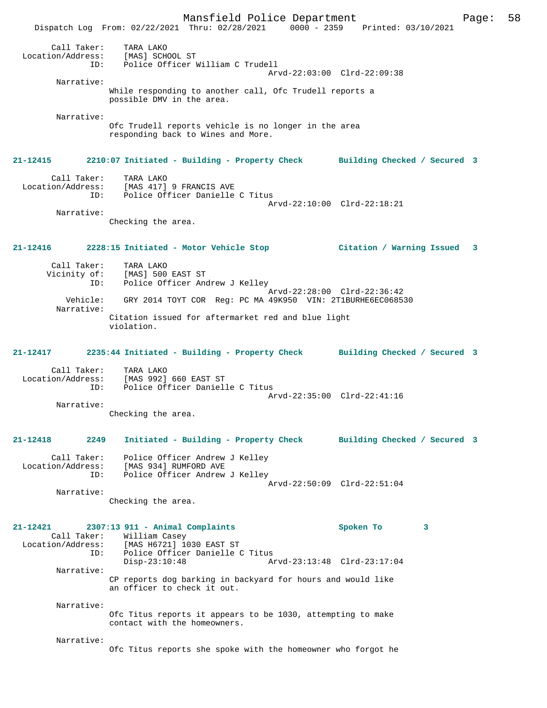Mansfield Police Department Page: 58 Dispatch Log From: 02/22/2021 Thru: 02/28/2021 0000 - 2359 Printed: 03/10/2021 Call Taker: TARA LAKO Location/Address: [MAS] SCHOOL ST ID: Police Officer William C Trudell Arvd-22:03:00 Clrd-22:09:38 Narrative: While responding to another call, Ofc Trudell reports a possible DMV in the area. Narrative: Ofc Trudell reports vehicle is no longer in the area responding back to Wines and More. **21-12415 2210:07 Initiated - Building - Property Check Building Checked / Secured 3** Call Taker: TARA LAKO Location/Address: [MAS 417] 9 FRANCIS AVE ID: Police Officer Danielle C Titus Arvd-22:10:00 Clrd-22:18:21 Narrative: Checking the area. **21-12416 2228:15 Initiated - Motor Vehicle Stop Citation / Warning Issued 3** Call Taker: TARA LAKO Vicinity of: [MAS] 500 EAST ST<br>ID: Police Officer And Police Officer Andrew J Kelley Arvd-22:28:00 Clrd-22:36:42 Vehicle: GRY 2014 TOYT COR Reg: PC MA 49K950 VIN: 2T1BURHE6EC068530 Narrative: Citation issued for aftermarket red and blue light violation. **21-12417 2235:44 Initiated - Building - Property Check Building Checked / Secured 3** Call Taker: TARA LAKO Location/Address: [MAS 992] 660 EAST ST Police Officer Danielle C Titus Arvd-22:35:00 Clrd-22:41:16 Narrative: Checking the area. **21-12418 2249 Initiated - Building - Property Check Building Checked / Secured 3** Call Taker: Police Officer Andrew J Kelley Location/Address: [MAS 934] RUMFORD AVE ID: Police Officer Andrew J Kelley Arvd-22:50:09 Clrd-22:51:04 Narrative: Checking the area. **21-12421 2307:13 911 - Animal Complaints Spoken To 3**  Call Taker: William Casey<br>Location/Address: [MAS H6721] 10 ess: [MAS H6721] 1030 EAST ST<br>ID: Police Officer Danielle C ID: Police Officer Danielle C Titus Disp-23:10:48 Arvd-23:13:48 Clrd-23:17:04 Narrative: CP reports dog barking in backyard for hours and would like an officer to check it out. Narrative: Ofc Titus reports it appears to be 1030, attempting to make contact with the homeowners. Narrative: Ofc Titus reports she spoke with the homeowner who forgot he